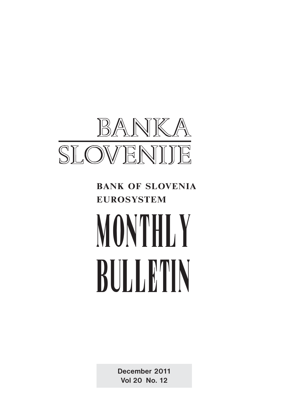

# **BANK OF SLOVENIA EUROSYSTEM**

# MONTHLY BULLEM

**December 2011 Vol 20 No. 12**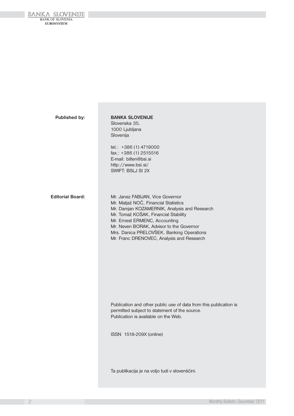

| Published by:           | <b>BANKA SLOVENIJE</b><br>Slovenska 35,<br>1000 Ljubljana<br>Slovenija<br>tel.: +386 (1) 4719000<br>fax.: +386 (1) 2515516<br>E-mail: bilten@bsi.si<br>http://www.bsi.si/<br>SWIFT: BSLJ SI 2X                                                                                                                                          |
|-------------------------|-----------------------------------------------------------------------------------------------------------------------------------------------------------------------------------------------------------------------------------------------------------------------------------------------------------------------------------------|
| <b>Editorial Board:</b> | Mr. Janez FABIJAN, Vice Governor<br>Mr. Matjaž NOČ, Financial Statistics<br>Mr. Damjan KOZAMERNIK, Analysis and Research<br>Mr. Tomaž KOŠAK, Financial Stability<br>Mr. Ernest ERMENC, Accounting<br>Mr. Neven BORAK, Advisor to the Governor<br>Mrs. Danica PRELOVŠEK, Banking Operations<br>Mr. Franc DRENOVEC, Analysis and Research |
|                         | Publication and other public use of data from this publication is<br>permitted subject to statement of the source.<br>Publication is available on the Web.                                                                                                                                                                              |
|                         | ISSN 1518-209X (online)                                                                                                                                                                                                                                                                                                                 |
|                         | Ta publikacija je na voljo tudi v slovenščini.                                                                                                                                                                                                                                                                                          |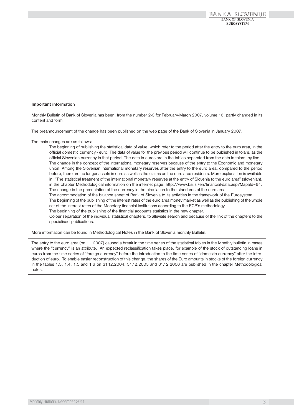#### **Important information**

Monthly Bulletin of Bank of Slovenia has been, from the number 2-3 for February-March 2007, volume 16, partly changed in its content and form.

The preannouncement of the change has been published on the web page of the Bank of Slovenia in January 2007.

The main changes are as follows:

- The beginning of publishing the statistical data of value, which refer to the period after the entry to the euro area, in the official domestic currency - euro. The data of value for the previous period will continue to be published in tolars, as the official Slovenian currency in that period. The data in euros are in the tables separated from the data in tolars by line.
- The change in the concept of the international monetary reserves because of the entry to the Economic and monetary union. Among the Slovenian international monetary reserves after the entry to the euro area, compared to the period before, there are no longer assets in euro as well as the claims on the euro area residents. More explanation is available in: "The statistical treatment of the international monetary reserves at the entry of Slovenia to the euro area" (slovenian), in the chapter Methodological information on the internet page: http://www.bsi.si/en/financial-data.asp?MapaId=64.
- The change in the presentation of the currency in the circulation to the standards of the euro area.
- The accommodation of the balance sheet of Bank of Slovenia to its activities in the framework of the Eurosystem.
- The beginning of the publishing of the interest rates of the euro area money market as well as the publishing of the whole set of the interest rates of the Monetary financial institutions according to the ECB's methodology.
- The beginning of the publishing of the financial accounts statistics in the new chapter.
- · Colour separation of the individual statistical chapters, to alleviate search and because of the link of the chapters to the specialised publications.

More information can be found in Methodological Notes in the Bank of Slovenia monthly Bulletin.

The entry to the euro area (on 1.1.2007) caused a break in the time series of the statistical tables in the Monthly bulletin in cases where the "currency" is an attribute. An expected reclassification takes place, for example of the stock of outstanding loans in euros from the time series of "foreign currency" before the introduction to the time series of "domestic currency" after the introduction of euro. To enable easier reconstruction of this change, the shares of the Euro amounts in stocks of the foreign currency in the tables 1.3, 1.4, 1.5 and 1.6 on 31.12.2004, 31.12.2005 and 31.12.2006 are published in the chapter Methodological notes.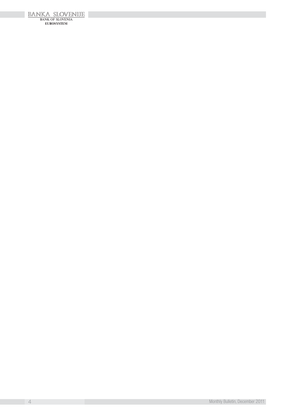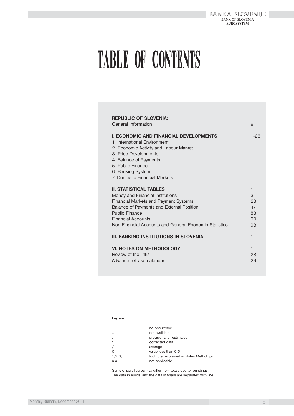# TABLE OF CONTENTS

#### **REPUBLIC OF SLOVENIA:** General Information **I. ECONOMIC AND FINANCIAL DEVELOPMENTS** 1. International Environment 2. Economic Activity and Labour Market 3. Price Developments 4. Balance of Payments 5. Public Finance 6. Banking System 7. Domestic Financial Markets **II. STATISTICAL TABLES** Money and Financial Institutions Financial Markets and Payment Systems Balance of Payments and External Position Public Finance Financial Accounts Non-Financial Accounts and General Economic Statistics **III. BANKING INSTITUTIONS IN SLOVENIA VI. NOTES ON METHODOLOGY** Review of the links Advance release calendar 6 1-26 1 3 28 47 83 90 98 1 1 28 29

#### **Legend:**

|                   | no occurence                           |
|-------------------|----------------------------------------|
|                   | not available                          |
|                   | provisional or estimated               |
| $\star$           | corrected data                         |
|                   | average                                |
| $\Omega$          | value less than 0.5                    |
| $1, 2, 3, \ldots$ | footnote, explained in Notes Methology |
| n.a.              | not applicable                         |

Sums of part figures may differ from totals due to roundings. The data in euros and the data in tolars are separated with line.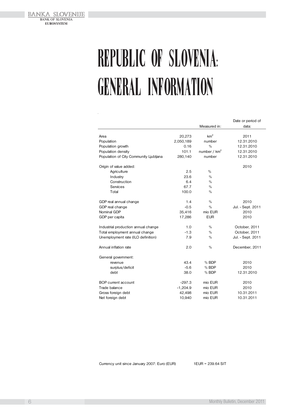# REPUBLIC OF SLOVENIA: GENERAL INFORMATION

|                                        |            |                 | Date or period of |
|----------------------------------------|------------|-----------------|-------------------|
|                                        |            | Measured in:    | data:             |
|                                        |            |                 |                   |
| Area                                   | 20,273     | km <sup>2</sup> | 2011              |
| Population                             | 2,050,189  | number          | 12.31.2010        |
| Population growth                      | 0.16       | $\frac{0}{0}$   | 12.31.2010        |
| Population density                     | 101.1      | number / $km^2$ | 12.31.2010        |
| Population of City Community Ljubljana | 280,140    | number          | 12.31.2010        |
| Origin of value added:                 |            |                 | 2010              |
| Agriculture                            | 2.5        | $\frac{0}{0}$   |                   |
| Industry                               | 23.6       | $\%$            |                   |
| Construction                           | 6.4        | $\frac{0}{0}$   |                   |
| Services                               | 67.7       | $\frac{0}{0}$   |                   |
| Total                                  | 100.0      | $\frac{0}{0}$   |                   |
| GDP real annual change                 | 1.4        | $\frac{0}{0}$   | 2010              |
| GDP real change                        | $-0.5$     | $\frac{0}{0}$   | Jul. - Sept. 2011 |
| Nominal GDP                            | 35,416     | mio EUR         | 2010              |
| GDP per capita                         | 17,286     | <b>EUR</b>      | 2010              |
|                                        |            |                 |                   |
| Industrial production annual change    | 1.0        | $\frac{0}{0}$   | October, 2011     |
| Total employment annual change         | $-1.3$     | $\frac{0}{0}$   | October, 2011     |
| Unemployment rate (ILO definition)     | 7.9        | $\%$            | Jul. - Sept. 2011 |
| Annual inflation rate                  | 2.0        | $\frac{0}{0}$   | December, 2011    |
| General government:                    |            |                 |                   |
| revenue                                | 43.4       | % BDP           | 2010              |
| surplus/deficit                        | $-5.6$     | % BDP           | 2010              |
| debt                                   | 38.0       | % BDP           | 12.31.2010        |
| BOP current account                    | $-297.3$   | mio EUR         | 2010              |
| Trade balance                          | $-1,204.9$ | mio EUR         | 2010              |
| Gross foreign debt                     | 42,498     | mio EUR         | 10.31.2011        |
| Net foreign debt                       | 10,940     | mio EUR         | 10.31.2011        |
|                                        |            |                 |                   |

Currency unit since January 2007: Euro (EUR) 1EUR = 239.64 SIT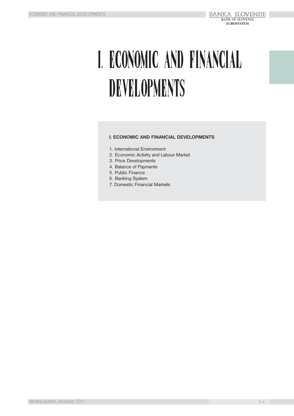# I. ECONOMIC AND FINANCIAL DEVELOPMENTS

#### **I. ECONOMIC AND FINANCIAL DEVELOPMENTS**

- 1. International Environment
- 2. Economic Activity and Labour Market
- 3. Price Developments
- 4. Balance of Payments
- 5. Public Finance
- 6. Banking System
- 7. Domestic Financial Markets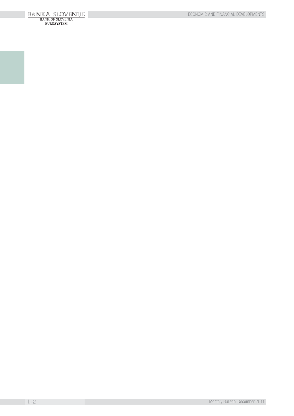**EUROSYSTEM**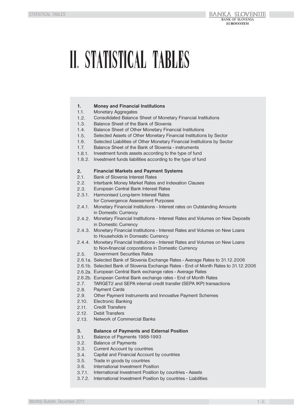# II. STATISTICAL TABLES

#### **1. Money and Financial Institutions**

- 1.1. Monetary Aggregates
- 1.2. Consolidated Balance Sheet of Monetary Financial Institutions
- 1.3. Balance Sheet of the Bank of Slovenia
- 1.4. Balance Sheet of Other Monetary Financial Institutions
- 1.5. Selected Assets of Other Monetary Financial Institutions by Sector
- 1.6. Selected Liabilities of Other Monetary Financial Institutions by Sector
- 1.7. Balance Sheet of the Bank of Slovenia - instruments
- 1.8.1. Investment funds assets according to the type of fund
- 1.8.2. Investment funds liabilities according to the type of fund

#### **2. Financial Markets and Payment Systems**

- 2.1. Bank of Slovenia Interest Rates
- 2.2. Interbank Money Market Rates and Indexation Clauses
- 2.3. European Central Bank Interest Rates
- 2.3.1. Harmonised Long-term Interest Rates for Convergence Assessment Purposes
- 2.4.1. Monetary Financial Institutions - Interest rates on Outstanding Amounts in Domestic Currency
- 2.4.2. Monetary Financial Institutions Interest Rates and Volumes on New Deposits in Domestic Currency
- 2.4.3. Monetary Financial Institutions Interest Rates and Volumes on New Loans to Households in Domestic Currency
- 2.4.4. Monetary Financial Institutions Interest Rates and Volumes on New Loans to Non-financial corporations in Domestic Currency
- 2.5. Government Securities Rates
- 2.6.1a. Selected Bank of Slovenia Exchange Rates Average Rates to 31.12.2006
- 2.6.1b. Selected Bank of Slovenia Exchange Rates End of Month Rates to 31.12.2006
- 2.6.2a. European Central Bank exchange rates Average Rates
- 2.6.2b. European Central Bank exchange rates End of Month Rates
- 2.7. TARGET2 and SEPA internal credit transfer (SEPA IKP) transactions
- 2.8. Payment Cards
- 2.9. Other Payment Instruments and Innovative Payment Schemes
- 2.10. Electronic Banking
- $2.11.$ Credit Transfers
- 2.12. Debit Transfers
- 2.13. Network of Commercial Banks

#### **3. Balance of Payments and External Position**

- 3.1. Balance of Payments 1988-1993
- 3.2. Balance of Payments
- 3.3. Current Account by countries
- 3.4. Capital and Financial Account by countries
- 3.5. Trade in goods by countries
- 3.6. International Investment Position
- 3.7.1. International Investment Position by countries - Assets
- 3.7.2. International Investment Position by countries Liabilities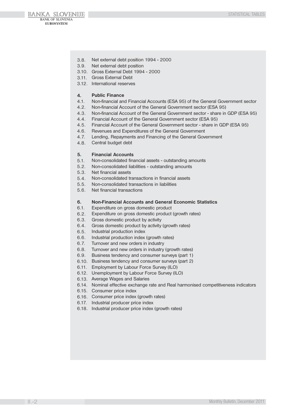- 3.8. Net external debt position 1994 2000
- 3.9. Net external debt position
- 3.10. Gross External Debt 1994 2000
- 3.11. Gross External Debt
- 3.12. International reserves

#### **4. Public Finance**

- 4.1. Non-financial and Financial Accounts (ESA 95) of the General Government sector
- 4.2. Non-financial Account of the General Government sector (ESA 95)
- 4.3. Non-financial Account of the General Government sector - share in GDP (ESA 95)
- 4.4. Financial Account of the General Government sector (ESA 95)
- 4.5. Financial Account of the General Government sector - share in GDP (ESA 95)
- 4.6. Revenues and Expenditures of the General Government
- 4.7. Lending, Repayments and Financing of the General Government
- 4.8. Central budget debt

#### **5. Financial Accounts**

- 5.1. Non-consolidated financial assets - outstanding amounts
- 5.2. Non-consolidated liabilities outstanding amounts
- 5.3. Net financial assets
- 5.4. Non-consolidated transactions in financial assets
- 5.5. Non-consolidated transactions in liabilities
- 5.6. Net financial transactions

#### **6. Non-Financial Accounts and General Economic Statistics**

- 6.1. Expenditure on gross domestic product
- 6.2. Expenditure on gross domestic product (growth rates)
- 6.3. Gross domestic product by activity
- 6.4. Gross domestic product by activity (growth rates)
- 6.5. Industrial production index
- 6.6. Industrial production index (growth rates)
- 6.7. Turnover and new orders in industry
- 6.8. Turnover and new orders in industry (growth rates)
- 6.9. Business tendency and consumer surveys (part 1)
- 6.10. Business tendency and consumer surveys (part 2)
- 6.11. Employment by Labour Force Survey (ILO)
- 6.12. Unemployment by Labour Force Survey (ILO)
- 6.13. Average Wages and Salaries
- 6.14. Nominal effective exchange rate and Real harmonised competitiveness indicators
- 6.15. Consumer price index
- 6.16. Consumer price index (growth rates)
- 6.17. Industrial producer price index
- 6.18. Industrial producer price index (growth rates)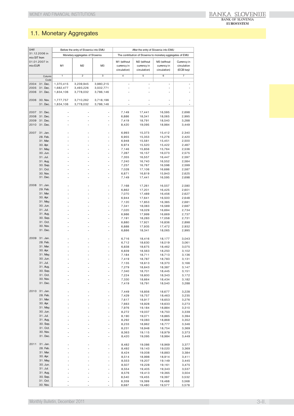# 1.1. Monetary Aggregates

| Until<br>Before the entry of Slovenia into EMU |                       |           |                                 |                                 | After the entry of Slovenia into EMU |                                                            |                          |                |  |  |
|------------------------------------------------|-----------------------|-----------|---------------------------------|---------------------------------|--------------------------------------|------------------------------------------------------------|--------------------------|----------------|--|--|
|                                                | 31.12.2006 in         |           | Monetary aggregates of Slovenia |                                 |                                      | The contribution of Slovenia to monetary aggregates of EMU |                          |                |  |  |
| mio SIT from                                   |                       |           |                                 |                                 |                                      |                                                            |                          |                |  |  |
|                                                | 01.01.2007 in         |           |                                 |                                 | M1 (without                          | M2 (without                                                | M3 (without              | Currency in    |  |  |
| mio EUR                                        |                       | M1        | M <sub>2</sub>                  | M <sub>3</sub>                  | currency in                          | currency in                                                | currency in              | circulation    |  |  |
|                                                |                       |           |                                 |                                 | circulation)                         | circulation)                                               | circulation)             | (ECB key)      |  |  |
|                                                | 1<br>2<br>3<br>Column |           |                                 |                                 |                                      |                                                            |                          |                |  |  |
|                                                |                       |           |                                 |                                 | $\sqrt{4}$                           | 5                                                          | 6                        | 7              |  |  |
|                                                | Code                  |           |                                 |                                 |                                      |                                                            |                          |                |  |  |
| 2004                                           | 31. Dec.              | 1,370,415 | 3,239,945                       | 3,980,215                       | ÷                                    | ÷,                                                         | $\overline{\phantom{m}}$ |                |  |  |
| 2005                                           | 31. Dec.              | 1,682,477 | 3,493,226                       | 3,502,771                       |                                      |                                                            | ä,                       |                |  |  |
| 2006                                           | 31. Dec.              | 1,834,106 | 3,778,032                       | 3,786,146                       |                                      |                                                            |                          |                |  |  |
|                                                |                       |           |                                 |                                 |                                      |                                                            |                          |                |  |  |
| 2006                                           | 30. Nov.              | 1,777,757 | 3,710,262                       | 3,718,196                       |                                      |                                                            |                          |                |  |  |
|                                                | 31. Dec.              | 1,834,106 | 3,778,032                       | 3,786,146                       |                                      |                                                            |                          |                |  |  |
|                                                |                       |           |                                 |                                 |                                      |                                                            |                          |                |  |  |
| 2007                                           | 31. Dec.              |           |                                 | ä,                              | 7,149                                | 17,441                                                     | 16,595                   | 2,698          |  |  |
| 2008                                           | 31. Dec.              |           |                                 | ÷                               | 6,886                                | 18,341                                                     | 18,065                   | 2,995          |  |  |
| 2009                                           | 31. Dec.              |           |                                 | ٠                               | 7,419                                | 18,791                                                     | 18,540                   | 3,288          |  |  |
| 2010                                           | 31. Dec.              |           |                                 |                                 | 8,420                                | 19,095                                                     | 18,984                   | 3,449          |  |  |
|                                                |                       |           |                                 |                                 |                                      |                                                            |                          |                |  |  |
| 2007                                           | 31. Jan.              |           |                                 |                                 | 6,993                                | 15,373                                                     | 15,412                   | 2,340          |  |  |
|                                                | 28. Feb.              |           |                                 | ä,                              | 6,955                                | 15,353                                                     | 15,276                   | 2,420          |  |  |
|                                                | 31. Mar.              |           |                                 |                                 | 6,948                                | 15,581                                                     | 15,451                   | 2,500          |  |  |
|                                                | 30. Apr.              |           |                                 | ٠                               | 6,974                                | 15,520                                                     | 15,422                   | 2,487          |  |  |
|                                                | 31. May.              |           |                                 |                                 | 7,146                                | 15,856                                                     | 15,764                   | 2,536          |  |  |
|                                                | 30. Jun.              |           |                                 | ä,                              | 7,287                                | 16,157                                                     | 16,073                   | 2,575          |  |  |
|                                                | 31. Jul.              |           |                                 |                                 | 7,355                                | 16,557                                                     | 16,447                   | 2,597          |  |  |
|                                                | 31. Aug.              |           |                                 | ٠                               | 7,240                                | 16,740                                                     | 16,552                   | 2,584          |  |  |
|                                                | 30. Sep.              |           |                                 |                                 | 7,257                                | 16,767                                                     | 16,598                   | 2,599          |  |  |
|                                                | 31. Oct.              |           |                                 | ä,                              | 7,028                                | 17,106                                                     | 16,686                   | 2,587          |  |  |
|                                                | 30. Nov.              |           |                                 |                                 | 6,871                                | 16,819                                                     | 15,943                   | 2,625          |  |  |
|                                                | 31. Dec.              |           |                                 | ٠                               | 7,149                                | 17,441                                                     | 16,595                   | 2,698          |  |  |
|                                                |                       |           |                                 |                                 |                                      |                                                            |                          |                |  |  |
| 2008                                           | 31. Jan.              |           |                                 | ä,                              | 7,168                                | 17,261                                                     | 16,557                   | 2,580          |  |  |
|                                                | 29. Feb.              |           |                                 |                                 | 6,862                                | 17,201                                                     | 16,425                   | 2,601          |  |  |
|                                                | 31. Mar.              |           |                                 | ä,                              | 7,070                                | 17,489                                                     | 16,456                   | 2,627          |  |  |
|                                                | 30. Apr.              |           |                                 |                                 | 6,944                                | 17,641                                                     | 16,500                   | 2,648          |  |  |
|                                                | 31. May.              |           |                                 | ä,                              | 7,120                                | 17,853                                                     | 16,385                   | 2,681          |  |  |
|                                                | 30. Jun.              |           |                                 |                                 | 7,341                                | 18,083                                                     | 16,589                   | 2,687          |  |  |
|                                                | 31. Jul.              |           |                                 | ٠                               | 7,020                                | 18,029                                                     | 16,694                   | 2,734          |  |  |
|                                                | 31. Aug.              |           |                                 |                                 | 6,986                                | 17,999                                                     | 16,669                   | 2,737          |  |  |
|                                                | 30. Sep.              |           |                                 | ä,                              | 7,191                                | 18,283                                                     | 17,058                   | 2,731          |  |  |
|                                                | 31. Oct.              |           |                                 |                                 | 6,880                                | 17,921                                                     | 16,836                   | 2,898          |  |  |
|                                                | 30. Nov.              |           |                                 | ٠                               | 6,888                                | 17,935                                                     | 17,472                   | 2,932          |  |  |
|                                                | 31. Dec.              |           |                                 |                                 | 6,886                                | 18,341                                                     | 18,065                   | 2,995          |  |  |
|                                                |                       |           |                                 |                                 |                                      |                                                            |                          |                |  |  |
| 2009                                           | 31. Jan.              |           |                                 |                                 | 6,716                                | 18,416                                                     | 18,177                   | 3,043          |  |  |
|                                                | 28. Feb.              |           |                                 | ٠                               | 6,712                                | 18,630                                                     | 18,019                   | 3,061          |  |  |
|                                                | 31. Mar.              |           |                                 |                                 | 6,838                                | 18,675                                                     | 18,462                   | 3,075          |  |  |
|                                                | 30. Apr.              |           |                                 | ٠                               | 6,839                                | 18,563                                                     | 18,250                   | 3,102          |  |  |
|                                                | 31. May.              |           |                                 |                                 | 7,184                                | 18,711                                                     | 18,713                   | 3,136          |  |  |
|                                                | 30. Jun.              |           |                                 |                                 | 7,419                                | 18,787                                                     | 18,783                   | 3,131          |  |  |
|                                                | 31. Jul.              |           |                                 |                                 | 7,135                                | 18,613                                                     | 18,370                   | 3,166          |  |  |
|                                                | 31. Aug.              |           |                                 |                                 | 7,279                                | 18,643                                                     | 18,387                   | 3,147          |  |  |
|                                                | 30. Sep.              |           |                                 |                                 | 7,340                                | 18,701                                                     | 18,445                   | 3,151          |  |  |
|                                                | 31. Oct.              |           |                                 | ä,                              | 7,224                                | 18,600                                                     | 18,343                   | 3,172          |  |  |
|                                                | 30. Nov.              |           | $\overline{\phantom{m}}$        |                                 | 7,330                                | 18,664                                                     | 18,434                   |                |  |  |
|                                                | 31. Dec.              |           | ä,                              | ÷,                              | 7,419                                | 18,791                                                     | 18,540                   | 3,182<br>3,288 |  |  |
|                                                |                       |           |                                 |                                 |                                      |                                                            |                          |                |  |  |
|                                                | 2010 31. Jan.         |           |                                 | $\frac{1}{2}$                   | 7,449                                | 18,856                                                     | 18,677                   | 3,228          |  |  |
|                                                | 28. Feb.              |           |                                 | $\overline{\phantom{m}}$        | 7,429                                | 18,757                                                     | 18,463                   | 3,235          |  |  |
|                                                | 31. Mar.              |           | ä,                              | ÷,                              | 7,617                                | 18,917                                                     | 18,653                   | 3,276          |  |  |
|                                                | 30. Apr.              |           |                                 | $\frac{1}{2}$                   | 7,663                                | 18,928                                                     | 18,633                   | 3,273          |  |  |
|                                                | 31. May.              |           |                                 |                                 |                                      |                                                            |                          |                |  |  |
|                                                | 30. Jun.              |           |                                 | $\overline{a}$<br>$\frac{1}{2}$ | 7,976<br>8,272                       | 19,184                                                     | 18,884                   | 3,310          |  |  |
|                                                |                       |           |                                 |                                 |                                      | 19,037                                                     | 18,750                   | 3,339          |  |  |
|                                                | 31. Jul.<br>31. Aug.  |           |                                 | ÷,                              | 8,190                                | 19,071                                                     | 18,885                   | 3,394          |  |  |
|                                                |                       |           |                                 | $\qquad \qquad \blacksquare$    | 8,292                                | 19,083                                                     | 18,868                   | 3,352          |  |  |
|                                                | 30. Sep.              | ٠         | ä,                              | ×,                              | 8,233                                | 18,962                                                     | 18,777                   | 3,346          |  |  |
|                                                | 31. Oct.              |           |                                 | $\qquad \qquad \blacksquare$    | 8,231                                | 18,948                                                     | 18,754                   | 3,369          |  |  |
|                                                | 30. Nov.              | ä,        | ä,                              | ×,                              | 8,363                                | 19,115                                                     | 18,979                   | 3,373          |  |  |
|                                                | 31. Dec.              |           | ÷,                              | $\qquad \qquad \blacksquare$    | 8,420                                | 19,095                                                     | 18,984                   | 3,449          |  |  |
|                                                |                       |           |                                 |                                 |                                      |                                                            |                          |                |  |  |
| 2011                                           | 31. Jan.              |           |                                 | $\qquad \qquad \blacksquare$    | 8,482                                | 19,086                                                     | 18,969                   | 3,377          |  |  |
|                                                | 28. Feb.              |           |                                 | ×,                              | 8,492                                | 19,143                                                     | 19,020                   | 3,369          |  |  |
|                                                | 31. Mar.              |           |                                 | $\qquad \qquad \blacksquare$    | 8,424                                | 19,008                                                     | 18,883                   | 3,384          |  |  |
|                                                | 30. Apr.              |           | ÷,                              | ×,                              | 8,514                                | 18,998                                                     | 18,914                   | 3,411          |  |  |
|                                                | 31. May.              |           |                                 | $\qquad \qquad \blacksquare$    | 8,553                                | 19,207                                                     | 19,149                   | 3,445          |  |  |
|                                                | 30. Jun.              |           | ä,                              | ×,                              | 8,507                                | 19,228                                                     | 19,161                   | 3,475          |  |  |
|                                                | 31. Jul.              |           |                                 |                                 | 8,554                                | 19,405                                                     | 19,343                   | 3,537          |  |  |
|                                                | 31. Aug.              |           |                                 | $\overline{a}$                  | 8,576                                | 19,413                                                     | 19,365                   | 3,504          |  |  |
|                                                | 30. Sep.              |           |                                 | $\overline{\phantom{0}}$        | 8,540                                | 19,455                                                     | 19,397                   | 3,532          |  |  |
|                                                | 31. Oct.              |           |                                 | i.                              | 8,359                                | 19,399                                                     | 19,488                   | 3,568          |  |  |
|                                                | 30. Nov.              |           |                                 | i.                              | 8,687                                | 19,480                                                     | 19,577                   | 3,578          |  |  |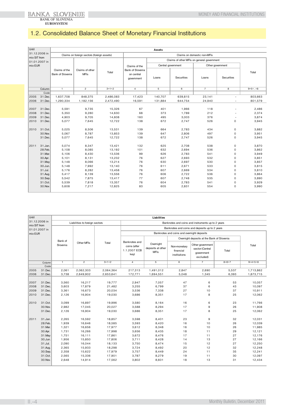**EUROSYSTEM**

# 1.2. Consolidated Balance Sheet of Monetary Financial Institutions

| Until        |               |                                   | <b>Assets</b>                              |             |                                              |                    |                                            |                             |                  |                 |  |  |  |  |
|--------------|---------------|-----------------------------------|--------------------------------------------|-------------|----------------------------------------------|--------------------|--------------------------------------------|-----------------------------|------------------|-----------------|--|--|--|--|
| mio SIT from | 31.12.2006 in |                                   | Claims on foreign sectors (foreign assets) |             |                                              |                    |                                            | Claims on domestic non-MFIs |                  |                 |  |  |  |  |
|              | 01.01.2007 in |                                   |                                            |             |                                              |                    | Claims of other MFIs on general government |                             |                  |                 |  |  |  |  |
| mio EUR      |               |                                   |                                            |             | Claims of the                                | Central government |                                            |                             | Other government |                 |  |  |  |  |
|              |               | Claims of the<br>Bank of Slovenia | Claims of other<br><b>MFIs</b>             | Total       | Bank of Slovenia<br>on central<br>government | Loans              | Securities                                 | Loans                       | Securities       | Total           |  |  |  |  |
|              | Column        | $\mathbf{1}$                      | $\overline{2}$                             | $3 = 1 + 2$ | $\overline{4}$                               | 5                  | 6                                          | $\overline{7}$              | 8                | $9 = 5 + . + 8$ |  |  |  |  |
|              | Code          |                                   |                                            |             |                                              |                    |                                            |                             |                  |                 |  |  |  |  |
| 2005         | 31.Dec.       | 1.637.708                         | 848,375                                    | 2,486,083   | 17.423                                       | 140.707            | 639.815                                    | 23.141                      | $\sim$           | 803,663         |  |  |  |  |
| 2006         | 31.Dec.       | 1,290,334                         | 1,182,156                                  | 2,472,490   | 16,591                                       | 131.884            | 644.754                                    | 24,940                      | ×                | 801,579         |  |  |  |  |
|              |               |                                   |                                            |             |                                              |                    |                                            |                             |                  |                 |  |  |  |  |
| 2007         | 31.Dec.       | 5,591                             | 9,735                                      | 15,326      | 67                                           | 401                | 1,966                                      | 118                         |                  | 2,486           |  |  |  |  |
| 2008         | 31.Dec.       | 5,350                             | 9,280                                      | 14,630      | 68                                           | 373                | 1,789                                      | 212                         | ×.               | 2,374           |  |  |  |  |
| 2009         | 31.Dec.       | 4,903                             | 9,705                                      | 14,608      | 160                                          | 495                | 3,003                                      | 376                         | ×.               | 3,874           |  |  |  |  |
| 2010         | 31.Dec.       | 5,077                             | 7,645                                      | 12,722      | 138                                          | 672                | 2,747                                      | 526                         | $\Omega$         | 3,945           |  |  |  |  |
|              |               |                                   |                                            |             |                                              |                    |                                            |                             |                  |                 |  |  |  |  |
| 2010         | 31.Oct.       | 5,025                             | 8,506                                      | 13,531      | 139                                          | 664                | 2,783                                      | 434                         | $\Omega$         | 3,882           |  |  |  |  |
|              | 30.Nov.       | 5.067                             | 8,787                                      | 13,853      | 139                                          | 647                | 2,806                                      | 497                         | 0                | 3,951           |  |  |  |  |
|              | 31.Dec.       | 5.077                             | 7.645                                      | 12,722      | 138                                          | 672                | 2,747                                      | 526                         | 0                | 3,945           |  |  |  |  |
|              |               |                                   |                                            |             |                                              |                    |                                            |                             |                  |                 |  |  |  |  |
| 2011         | 31.Jan.       | 5,074                             | 8,347                                      | 13,421      | 132                                          | 625                | 2,708                                      | 538                         | $\mathbf 0$      | 3,870           |  |  |  |  |
|              | 28.Feb.       | 5,108                             | 8,085                                      | 13,192      | 101                                          | 632                | 2,694                                      | 536                         | $\mathbf 0$      | 3,862           |  |  |  |  |
|              | 31.Mar.       | 5.106                             | 8,430                                      | 13,536      | 99                                           | 626                | 2.783                                      | 541                         | $\Omega$         | 3,949           |  |  |  |  |
|              | 30.Apr.       | 5.101                             | 8.131                                      | 13.232      | 76                                           | 627                | 2.693                                      | 532                         | $\mathbf 0$      | 3,851           |  |  |  |  |
|              | 31.May        | 5.148                             | 8.066                                      | 13.214      | 76                                           | 630                | 2.697                                      | 530                         | $\Omega$         | 3.857           |  |  |  |  |
|              | 30.Jun.       | 5,148                             | 7,992                                      | 13,140      | 76                                           | 611                | 2,671                                      | 533                         | $\mathbf 0$      | 3,815           |  |  |  |  |
|              | 31.Jul.       | 5,176                             | 8,282                                      | 13,458      | 76                                           | 607                | 2,669                                      | 534                         | $\mathbf 0$      | 3,810           |  |  |  |  |
|              | 31.Aug.       | 5,417                             | 8,139                                      | 13,556      | 76                                           | 606                | 2,722                                      | 536                         | $\mathbf 0$      | 3,864           |  |  |  |  |
|              | 30.Sep.       | 5,542                             | 7,875                                      | 13,417      | 77                                           | 607                | 2,748                                      | 535                         | $\Omega$         | 3,890           |  |  |  |  |
|              | 31.Oct.       | 5,539                             | 7,818                                      | 13,357      | 76                                           | 604                | 2,783                                      | 541                         | $\mathbf 0$      | 3,929           |  |  |  |  |
|              | 30.Nov.       | 5,608                             | 7,217                                      | 12,825      | 83                                           | 605                | 2,831                                      | 554                         | $\Omega$         | 3,990           |  |  |  |  |
|              |               |                                   |                                            |             |                                              |                    |                                            |                             |                  |                 |  |  |  |  |

| Until        |               | Liabilities         |                                |           |                                                       |                                              |                                           |                                                                |             |                 |  |
|--------------|---------------|---------------------|--------------------------------|-----------|-------------------------------------------------------|----------------------------------------------|-------------------------------------------|----------------------------------------------------------------|-------------|-----------------|--|
| mio SIT from | 31.12.2006 in |                     | Liabilities to foreign sectors |           |                                                       |                                              |                                           | Banknotes and coins and instruments up to 2 years              |             |                 |  |
|              | 01.01.2007 in |                     |                                |           |                                                       |                                              |                                           | Banknotes and coins and deposits up to 2 years                 |             |                 |  |
| mio EUR      |               |                     |                                |           |                                                       |                                              | Banknotes and coins and ovemight deposits |                                                                |             |                 |  |
|              |               |                     |                                |           |                                                       |                                              |                                           | Ovemight deposits at the Bank of Slovenia                      |             |                 |  |
|              |               | Bank of<br>Slovenia | Other MFIs                     | Total     | Banknotes and<br>coins (after<br>1.1.2007 ECB<br>key) | Ovemight<br>deposits at other<br><b>MFIs</b> | Non-monetary<br>financial<br>institutions | Other government<br>sector (Central<br>government<br>excluded) | Total       | Total           |  |
|              | Column        | $\mathbf{1}$        | $\overline{2}$                 | $3=1+2$   | $\overline{4}$                                        | $\overline{5}$                               | 6                                         | $\overline{7}$                                                 | $8 = 6 + 7$ | $9 = 4 + 5 + 8$ |  |
|              | Code          |                     |                                |           |                                                       |                                              |                                           |                                                                |             |                 |  |
| 2005         | 31.Dec.       | 2,061               | 2,062,303                      | 2,064,364 | 217,313                                               | 1,491,012                                    | 2,847                                     | 2,690                                                          | 5,537       | 1,713,862       |  |
| 2006         | 31.Dec.       | 3,738               | 2,649,902                      | 2,653,641 | 172,771                                               | 1,694,551                                    | 5,048                                     | 1,345                                                          | 6,393       | 1,873,715       |  |
| 2007         | 31.Dec.       | 3,560               | 16,217                         | 19,777    | 2,947                                                 | 7,057                                        | 47                                        | 6                                                              | 53          | 10,057          |  |
| 2008         | 31.Dec.       | 3,603               | 17,879                         | 21,482    | 3,255                                                 | 6,799                                        | 37                                        | 6                                                              | 43          | 10,097          |  |
| 2009         | 31.Dec.       | 3,361               | 16,673                         | 20.034    | 3,536                                                 | 7,338                                        | 27                                        | 10                                                             | 37          | 10,911          |  |
| 2010         | 31.Dec.       | 2,126               | 16,904                         | 19,030    | 3,686                                                 | 8,351                                        | 17                                        | 8                                                              | 25          | 12,062          |  |
| 2010         | 31.Oct.       | 3,099               | 16,897                         | 19,996    | 3,580                                                 | 8,164                                        | 16                                        | 6                                                              | 23          | 11,766          |  |
|              | 30.Nov.       | 2.982               | 17.045                         | 20.027    | 3.588                                                 | 8,294                                        | 17                                        | 9                                                              | 26          | 11,908          |  |
|              | 31.Dec.       | 2,126               | 16,904                         | 19,030    | 3,686                                                 | 8,351                                        | 17                                        | 8                                                              | 25          | 12,062          |  |
| 2011         | 31.Jan.       | 2,265               | 16,592                         | 18,857    | 3,598                                                 | 8,401                                        | 23                                        | 9                                                              | 32          | 12,031          |  |
|              | 28.Feb.       | 1,939               | 16,646                         | 18,585    | 3,593                                                 | 8,420                                        | 16                                        | 10                                                             | 26          | 12,039          |  |
|              | 31.Mar.       | 1,321               | 16,656                         | 17.977    | 3,612                                                 | 8,348                                        | 16                                        | 10                                                             | 26          | 11,985          |  |
|              | 30.Apr.       | 1,731               | 16,266                         | 17,998    | 3,656                                                 | 8,435                                        | 18                                        | 11                                                             | 29          | 12,121          |  |
|              | 31.May        | 1.751               | 16,111                         | 17.861    | 3.672                                                 | 8,476                                        | 17                                        | 11                                                             | 27          | 12.176          |  |
|              | 30.Jun.       | 1,956               | 15,850                         | 17,806    | 3,711                                                 | 8,428                                        | 14                                        | 13                                                             | 27          | 12,166          |  |
|              | 31.Jul.       | 2,090               | 16,044                         | 18,133    | 3,750                                                 | 8,474                                        | 15                                        | 12                                                             | 27          | 12,250          |  |
|              | 31.Aug.       | 2,365               | 15,933                         | 18,298    | 3,724                                                 | 8,492                                        | 20                                        | 12                                                             | 32          | 12,248          |  |
|              | 30.Sep.       | 2,358               | 15,622                         | 17,979    | 3,757                                                 | 8,449                                        | 24                                        | 11                                                             | 35          | 12,241          |  |
|              | 31.Oct.       | 2,565               | 15,336                         | 17,901    | 3,787                                                 | 8,279                                        | 19                                        | 11                                                             | 30          | 12,097          |  |
|              | 30.Nov.       | 2,648               | 14.914                         | 17.562    | 3,802                                                 | 8,601                                        | 18                                        | 13                                                             | 31          | 12,434          |  |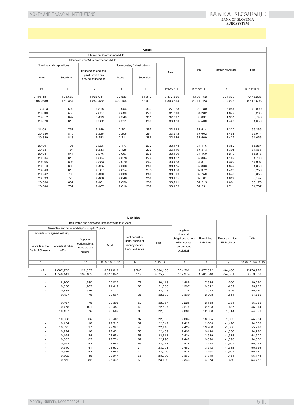2,495,187 125,683 1,025,944 179,533 51,319 3,877,666 4,698,752 291,393 7,476,228 3,083,689 152,357 1,289,432 309,165 58,911 4,893,554 5,711,723 329,295 8,513,508 17,413 692 6,818 1,966 339 27,228 29,780 3,984 49,090 20,599 550 7,827 2,539 276 31,790 34,232 4,374 53,235 20,812 892 8,413 2,349 331 32,797 36,831 4,301 55,740 20,829 818 9,282 2,211 286 33,426 37,509 4,425 54,656 21,091 757 9,149 2,201 295 33,493 37,514 4,320 55,365 20,980 810 9,225 2,206 291 33,512 37,602 4,458 55,914 20,829 818 9,282 2,211 286 33,426 37,509 4,425 54,656 20,997 795 9,226 2,177 277 33,473 37,476 4,387 55,284 20,981 794 9,233 2,126 277 33,410 37,373 4,308 54,873 20,931 841 9,276 2,097 275 33,420 37,469 4,213 55,218 20,964 818 9,304 2,078 272 33,437 37,364 4,194 54,790 **Assets** Claims on domestic non-MFIs Total Remaining Assets Total Claims of other MFIs on other non-MFIs Total Non-financial corporations Households and nonprofit institutions Loans | Securities | serving households | Loans | Securities Non-monetary fin.institutions 10 | 11 | 12 | 13 | 14 | 15=10+..+14 | 16=4+9+15 | 17 | 18=3+16+17

20,906 808 9,383 2,079 262 33,438 37,371 4,322 54,907 20,916 809 9,425 2,066 259 33,475 37,366 4,344 54,850 20,843 813 9,507 2,054 270 33,486 37,372 4,423 55,253 20,742 795 9,490 2,033 259 33,319 37,259 4,540 55,355 20,599 770 9,468 2,046 252 33,135 37,101 4,629 55,147 20,638 807 9,481 2,030 256 33,211 37,215 4,601 55,173 20,648 787 9,467 2,018 259 33,179 37,251 4,711 54,787

|                                     |                                                |                                                       |                                                   | Liabilities                                                            |                            |                                                                 |                            |                                            |                            |
|-------------------------------------|------------------------------------------------|-------------------------------------------------------|---------------------------------------------------|------------------------------------------------------------------------|----------------------------|-----------------------------------------------------------------|----------------------------|--------------------------------------------|----------------------------|
|                                     |                                                |                                                       | Banknotes and coins and instruments up to 2 years |                                                                        |                            |                                                                 |                            |                                            |                            |
|                                     | Banknotes and coins and deposits up to 2 years |                                                       |                                                   |                                                                        |                            |                                                                 |                            |                                            |                            |
|                                     | Deposits with agreed maturity                  |                                                       |                                                   |                                                                        |                            | Long-term<br>financial                                          |                            |                                            |                            |
| Deposits at the<br>Bank of Slovenia | Deposits at other<br><b>MFIs</b>               | Deposits<br>reedemable at<br>notice up to 3<br>months | Total                                             | Debt securities.<br>units/shares of<br>money market<br>funds and repos | Total                      | obligations to non-<br>MFIs (central<br>government<br>excluded) | Remaining<br>liabilities   | Excess of inter-<br><b>MFI</b> liabilities | Total                      |
| 10                                  | 11                                             | 12                                                    | $13=9+10+11+12$                                   | 14                                                                     | $15=13+14$                 | 16                                                              | 17                         | 18                                         | $19=3+15+16+17+18$         |
|                                     |                                                |                                                       |                                                   |                                                                        |                            |                                                                 |                            |                                            |                            |
| 421                                 | 1,687,973                                      | 122,355                                               | 3,524,612                                         | 9,545                                                                  | 3,534,156                  | 534,292                                                         | 1,377,822                  | $-34,406$                                  | 7,476,228                  |
| $\sim$                              | 1,746,441                                      | 197,485                                               | 3,817,641                                         | 8,114                                                                  | 3,825,755                  | 507,374                                                         | 1,581,540                  | $-54,801$                                  | 8,513,508                  |
|                                     | 8,700<br>10,058                                | 1,280<br>1,265                                        | 20,037<br>21,419                                  | 76<br>83                                                               | 20,113<br>21,503           | 1,485<br>1,397                                                  | 7,915<br>9,012             | $-200$<br>$-159$                           | 49,090<br>53,235           |
|                                     | 10,734                                         | 526                                                   | 22,171                                            | 72                                                                     | 22,243                     | 1,738                                                           | 12,072                     | $-346$                                     | 55,740                     |
|                                     | 10,427                                         | 75                                                    | 22,564                                            | 38                                                                     | 22,602                     | 2,330                                                           | 12,208                     | $-1,514$                                   | 54,656                     |
|                                     | 10,467<br>10,475<br>10,427                     | 75<br>101<br>75                                       | 22,308<br>22,483<br>22,564                        | 59<br>43<br>38                                                         | 22,367<br>22,527<br>22,602 | 2,225<br>2,275<br>2,330                                         | 12,158<br>12,523<br>12,208 | $-1,381$<br>$-1,437$<br>$-1,514$           | 55,365<br>55,914<br>54,656 |
|                                     | 10,368                                         | 65                                                    | 22,463                                            | 37                                                                     | 22,500                     | 2,364                                                           | 13,065                     | $-1,502$                                   | 55,284                     |
|                                     | 10,454                                         | 18                                                    | 22,510                                            | 37                                                                     | 22,547                     | 2,427                                                           | 12,803                     | $-1,490$                                   | 54,873                     |
|                                     | 10,395                                         | 17                                                    | 22,398                                            | 45                                                                     | 22,443                     | 2,424                                                           | 13,980                     | $-1,606$                                   | 55,218                     |
|                                     | 10,294                                         | 16                                                    | 22,431                                            | 58                                                                     | 22,489                     | 2,436                                                           | 13,416                     | $-1,550$                                   | 54,790                     |
|                                     | 10,454                                         | 24                                                    | 22,654                                            | 58                                                                     | 22,711                     | 2,434                                                           | 13,519                     | $-1,618$                                   | 54,907                     |
|                                     | 10,535                                         | 32                                                    | 22,734                                            | 62                                                                     | 22,796                     | 2,447                                                           | 13,394                     | $-1,593$                                   | 54,850                     |
| ٠                                   | 10.652                                         | 43                                                    | 22,945                                            | 66                                                                     | 23,011                     | 2,438                                                           | 13,278                     | $-1,607$                                   | 55,253                     |
|                                     | 10,640                                         | 41                                                    | 22,930                                            | 71                                                                     | 23,001                     | 2,452                                                           | 13,242                     | $-1,638$                                   | 55,355                     |
|                                     | 10,686                                         | 42                                                    | 22,969                                            | 72                                                                     | 23,040                     | 2,436                                                           | 13,294                     | $-1,602$                                   | 55,147                     |
|                                     | 10,802                                         | 45                                                    | 22,944                                            | 65                                                                     | 23,009                     | 2,367                                                           | 13,348                     | $-1,451$                                   | 55,173                     |
|                                     | 10,552                                         | 52                                                    | 23,038                                            | 61                                                                     | 23,100                     | 2,333                                                           | 13,273                     | $-1,480$                                   | 54,787                     |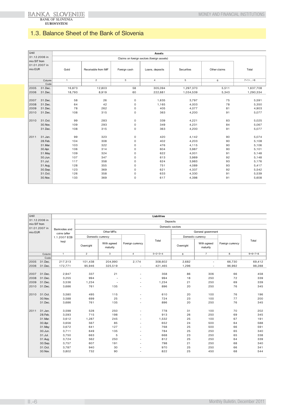**EUROSYSTEM**

#### 1.3. Balance Sheet of the Bank of Slovenia

| Until        |               |              | Assets                                     |                         |                 |                |              |                |  |  |  |  |  |  |
|--------------|---------------|--------------|--------------------------------------------|-------------------------|-----------------|----------------|--------------|----------------|--|--|--|--|--|--|
|              | 31.12.2006 in |              | Claims on foreign sectors (foreign assets) |                         |                 |                |              |                |  |  |  |  |  |  |
| mio SIT from |               |              |                                            |                         |                 |                |              |                |  |  |  |  |  |  |
| mio EUR      | 01.01.2007 in |              |                                            |                         |                 | Securities     |              | Total          |  |  |  |  |  |  |
|              |               | Gold         | Receivable from IMF                        | Foreign cash            | Loans, deposits |                | Other claims |                |  |  |  |  |  |  |
|              |               |              |                                            |                         |                 |                |              |                |  |  |  |  |  |  |
|              | Column        | $\mathbf{1}$ | $\overline{2}$                             | $\overline{\mathbf{3}}$ | 4               | $\overline{5}$ | 6            | $7 = 1 +  + 6$ |  |  |  |  |  |  |
|              | Code          |              |                                            |                         |                 |                |              |                |  |  |  |  |  |  |
| 2005         | 31.Dec.       | 16,873       | 12,803                                     | 58                      | 305,094         | 1,297,370      | 5,511        | 1,637,708      |  |  |  |  |  |  |
| 2006         | 31.Dec.       | 18,793       | 8,919                                      | 60                      | 222,681         | 1,034,539      | 5,343        | 1,290,334      |  |  |  |  |  |  |
|              |               |              |                                            |                         |                 |                |              |                |  |  |  |  |  |  |
| 2007         | 31.Dec.       | 58           | 26                                         | $\mathsf O$             | 1,635           | 3,797          | 75           | 5,591          |  |  |  |  |  |  |
| 2008         | 31.Dec.       | 64           | 42                                         | 0                       | 1,165           | 4,003          | 78           | 5,350          |  |  |  |  |  |  |
| 2009         | 31.Dec.       | 78           | 262                                        | $\mathsf O$             | 405             | 4,077          | 81           | 4,903          |  |  |  |  |  |  |
| 2010         | 31.Dec.       | 108          | 315                                        | 0                       | 363             | 4,200          | 91           | 5,077          |  |  |  |  |  |  |
|              |               |              |                                            |                         |                 |                |              |                |  |  |  |  |  |  |
| 2010         | 31.Oct.       | 99           | 283                                        | $\mathsf{O}\xspace$     | 339             | 4,221          | 83           | 5,025          |  |  |  |  |  |  |
|              | 30.Nov.       | 109          | 293                                        | $\mathsf O$             | 349             | 4,231          | 84           | 5,067          |  |  |  |  |  |  |
|              | 31.Dec.       | 108          | 315                                        | 0                       | 363             | 4,200          | 91           | 5,077          |  |  |  |  |  |  |
|              |               |              |                                            |                         |                 |                |              |                |  |  |  |  |  |  |
| 2011         | 31.Jan.       | 99           | 323                                        | 0                       | 420             | 4,142          | 90           | 5,074          |  |  |  |  |  |  |
|              | 28.Feb.       | 104          | 308                                        | $\circ$                 | 402             | 4,203          | 90           | 5,108          |  |  |  |  |  |  |
|              | 31.Mar.       | 103          | 322                                        | 0                       | 476             | 4,115          | 90           | 5,106          |  |  |  |  |  |  |
|              | 30.Apr.       | 106          | 314                                        | 0                       | 604             | 3,987          | 90           | 5,101          |  |  |  |  |  |  |
|              | 31.May        | 109          | 324                                        | $\circ$                 | 622             | 4,001          | 91           | 5,148          |  |  |  |  |  |  |
|              | 30.Jun.       | 107          | 347                                        | 0                       | 613             | 3,989          | 92           | 5,148          |  |  |  |  |  |  |
|              | 31.Jul.       | 117          | 358                                        | $\circ$                 | 624             | 3,983          | 93           | 5,176          |  |  |  |  |  |  |
|              | 31.Aug.       | 128          | 355                                        | $\mathsf{O}\xspace$     | 751             | 4,089          | 93           | 5,417          |  |  |  |  |  |  |
|              | 30.Sep.       | 123          | 369                                        | $\circ$                 | 621             | 4,337          | 92           | 5,542          |  |  |  |  |  |  |
|              | 31.Oct.       | 126          | 358                                        | 0                       | 633             | 4,330          | 91           | 5,539          |  |  |  |  |  |  |
|              | 30.Nov.       | 133          | 369                                        | 0                       | 617             | 4,398          | 91           | 5,608          |  |  |  |  |  |  |
|              |               |              |                                            |                         |                 |                |              |                |  |  |  |  |  |  |

| Until        |               |                              | Liabilities    |                         |                  |                  |                                     |                    |                  |           |  |  |  |  |
|--------------|---------------|------------------------------|----------------|-------------------------|------------------|------------------|-------------------------------------|--------------------|------------------|-----------|--|--|--|--|
|              | 31.12.2006 in |                              |                |                         |                  | Deposits         |                                     |                    |                  |           |  |  |  |  |
| mio SIT from | 01.01.2007 in |                              |                |                         |                  | Domestic sectors |                                     |                    |                  |           |  |  |  |  |
| mio EUR      |               | Banknotes and                |                | Other MFIs              |                  |                  |                                     | General government |                  |           |  |  |  |  |
|              |               | coins (after<br>1.1.2007 ECB |                | Domestic currency       |                  |                  |                                     | Domestic currency  |                  |           |  |  |  |  |
|              |               | key)                         |                |                         |                  | Total            |                                     |                    |                  | Total     |  |  |  |  |
|              |               |                              | Ovemight       | With agreed<br>maturity | Foreign currency |                  | With agreed<br>Ovemight<br>maturity |                    | Foreign currency |           |  |  |  |  |
|              | Column        | $\mathbf{1}$                 | $\overline{2}$ | 3                       | $\overline{4}$   | $5=2+3+4$        | 6                                   | $\overline{7}$     | $\overline{8}$   | $9=6+7+8$ |  |  |  |  |
|              | Code          |                              |                |                         |                  |                  |                                     |                    |                  |           |  |  |  |  |
| 2005         | 31.Dec.       | 217,313                      | 101,438        | 204,990                 | 2,174            | 308,602          | 2,682                               | ä,                 | 66,730           | 69,412    |  |  |  |  |
| 2006         | 31.Dec.       | 172,771                      | 95,946         | 325,519                 | ÷.               | 421,465          | 1,296                               | ÷                  | 96,992           | 98,288    |  |  |  |  |
|              |               |                              |                |                         |                  |                  |                                     |                    |                  |           |  |  |  |  |
| 2007         | 31.Dec.       | 2,947                        | 337            | 21                      |                  | 358              | 86                                  | 306                | 66               | 458       |  |  |  |  |
| 2008         | 31.Dec.       | 3,255                        | 994            |                         |                  | 994              | 18                                  | 250                | 72               | 339       |  |  |  |  |
| 2009         | 31.Dec.       | 3,536                        | 1,234          |                         |                  | 1,234            | 21                                  | 250                | 69               | 339       |  |  |  |  |
| 2010         | 31.Dec.       | 3,686                        | 761            | 135                     | ÷                | 896              | 20                                  | 250                | 76               | 345       |  |  |  |  |
| 2010         | 31.Oct.       | 3,580                        | 495            | 115                     | ÷                | 610              | 20                                  | 100                | 76               | 196       |  |  |  |  |
|              | 30.Nov.       | 3,588                        | 699            | 25                      |                  | 724              | 23                                  | 100                | 77               | 200       |  |  |  |  |
|              | 31.Dec.       | 3,686                        | 761            | 135                     | ÷                | 896              | 20                                  | 250                | 76               | 345       |  |  |  |  |
| 2011         | 31.Jan.       | 3,598                        | 528            | 250                     | ÷                | 778              | 31                                  | 100                | 70               | 202       |  |  |  |  |
|              | 28.Feb.       | 3,593                        | 715            | 198                     |                  | 913              | 26                                  | 250                | 69               | 345       |  |  |  |  |
|              | 31.Mar.       | 3,612                        | 1,287          | 245                     | ÷.               | 1,532            | 25                                  | 100                | 67               | 191       |  |  |  |  |
|              | 30.Apr.       | 3,656                        | 567            | 85                      | ÷                | 652              | 24                                  | 500                | 64               | 588       |  |  |  |  |
|              | 31.May        | 3,672                        | 641            | 127                     | ٠                | 768              | 25                                  | 500                | 66               | 591       |  |  |  |  |
|              | 30.Jun.       | 3,711                        | 649            | 135                     | ÷                | 784              | 25                                  | 250                | 65               | 340       |  |  |  |  |
|              | 31.Jul.       | 3,750                        | 663            | 5                       | ÷                | 668              | 23                                  | 250                | 65               | 338       |  |  |  |  |
|              | 31.Aug.       | 3,724                        | 562            | 250                     |                  | 812              | 25                                  | 250                | 64               | 339       |  |  |  |  |
|              | 30.Sep.       | 3,757                        | 607            | 191                     |                  | 798              | 21                                  | 250                | 68               | 340       |  |  |  |  |
|              | 31.Oct.       | 3,787                        | 940            | 30                      |                  | 970              | 25                                  | 250                | 66               | 341       |  |  |  |  |
|              | 30.Nov.       | 3,802                        | 732            | 90                      |                  | 822              | 25                                  | 450                | 68               | 544       |  |  |  |  |
|              |               |                              |                |                         |                  |                  |                                     |                    |                  |           |  |  |  |  |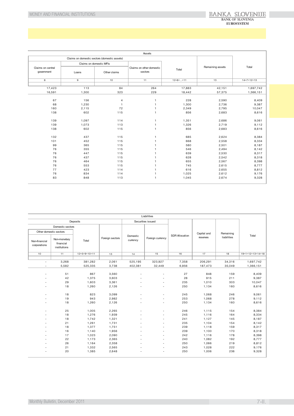|                                 |                         |                                              | Assets                              |                |                  |                |
|---------------------------------|-------------------------|----------------------------------------------|-------------------------------------|----------------|------------------|----------------|
|                                 |                         | Claims on domestic sectors (domestic assets) |                                     |                |                  |                |
|                                 | Claims on domestic MFIs |                                              |                                     |                |                  |                |
| Claims on central<br>government | Loans                   | Other claims                                 | Claims on other domestic<br>sectors | Total          | Remaining assets | Total          |
| $\overline{8}$                  | $\overline{9}$          | 10                                           | $\overline{11}$                     | $12=8++11$     | 13               | $14=7+12+13$   |
|                                 |                         |                                              |                                     |                |                  |                |
| 17,423                          | 113                     | 84                                           | 264                                 | 17,883         | 42,151           | 1,697,742      |
| 16,591                          | 1,300                   | 323                                          | 229                                 | 18,442         | 57,375           | 1,366,151      |
| 67                              | 156                     | $\overline{4}$                               | 1                                   | 228            | 2,590            | 8,409          |
| 68                              | 1,230                   | $\overline{1}$                               |                                     | 1,300          | 2,736            | 9,387          |
| 160                             | 2,115                   | 72                                           | $\mathbf{1}$                        | 2,349          | 2,795            | 10,047         |
| 138                             | 602                     | 115                                          | 1                                   | 856            | 2,683            | 8,616          |
| 139<br>139                      | 1,097<br>1,073          | 114<br>113                                   | 1<br>$\mathbf{1}$                   | 1,351<br>1,326 | 2,686<br>2,719   | 9,061<br>9,112 |
| 138                             | 602                     | 115                                          | 1                                   | 856            | 2,683            | 8,616          |
| 132<br>101                      | 437<br>452              | 115<br>115                                   |                                     | 685<br>668     | 2,624<br>2,558   | 8,384<br>8,334 |
| 99                              | 365                     | 115                                          |                                     | 580            | 2,501            | 8,187          |
| 76                              | 355                     | 115                                          |                                     | 546            | 2,494            | 8,142          |
| 76                              | 447                     | 115                                          |                                     | 639            | 2,530            | 8,317          |
| 76                              | 437                     | 115                                          |                                     | 628            | 2,542            | 8,318          |
| 76                              | 464                     | 115                                          |                                     | 655            | 2,567            | 8,398          |
| 76<br>77                        | 553                     | 115                                          |                                     | 745            | 2,615            | 8,777          |
|                                 | 423                     | 114                                          |                                     | 616            | 2,655            | 8,812          |
| 76                              | 834                     | 114                                          |                                     | 1,025          | 2,612            | 9,176          |
| 83                              | 848                     | 113                                          | 1                                   | 1,045          | 2,674            | 9,328          |

|                               | Liabilities                               |                |                 |                      |                   |                |                         |                          |                    |  |  |  |  |
|-------------------------------|-------------------------------------------|----------------|-----------------|----------------------|-------------------|----------------|-------------------------|--------------------------|--------------------|--|--|--|--|
|                               |                                           | Deposits       |                 |                      | Securities issued |                |                         |                          |                    |  |  |  |  |
|                               | Domestic sectors                          |                |                 |                      |                   |                |                         |                          |                    |  |  |  |  |
|                               | Other domestic sectors                    |                |                 |                      |                   |                |                         |                          |                    |  |  |  |  |
| Non-financial<br>corporations | Non-monetary<br>financial<br>institutions | Total          | Foreign sectors | Domestic<br>currency | Foreign currency  | SDR Allocation | Capital and<br>reserves | Remaining<br>liabilities | Total              |  |  |  |  |
| 10                            | 11                                        | $12=5+9+10+11$ | 13              | 14                   | 15                | 16             | $\overline{17}$         | 18                       | $19=1+12+13+14+18$ |  |  |  |  |
|                               |                                           |                |                 |                      |                   |                |                         |                          |                    |  |  |  |  |
|                               | 3,268                                     | 381,282        | 2,061           | 525,195              | 323,927           | 7,358          | 206,291                 | 34,316                   | 1,697,742          |  |  |  |  |
| ٠                             | 5,582                                     | 525,335        | 3,738           | 402,381              | 32,449            | 6,956          | 187,473                 | 35,049                   | 1,366,151          |  |  |  |  |
|                               | 51                                        | 867            | 3,560           |                      |                   | 27             | 848                     | 159                      | 8,409              |  |  |  |  |
|                               | 42                                        | 1,375          | 3,603           |                      | ×                 | 28             | 915                     | 211                      | 9,387              |  |  |  |  |
|                               | 29                                        | 1,603          | 3,361           |                      | ×                 | 235            | 1,010                   | 303                      | 10,047             |  |  |  |  |
|                               | 18                                        | 1,260          | 2,126           |                      | ×                 | 250            | 1,134                   | 160                      | 8,616              |  |  |  |  |
|                               | 18                                        | 823            | 3,099           |                      | ٠                 | 245            | 1,068                   | 246                      | 9,061              |  |  |  |  |
|                               | 19                                        | 943            | 2,982           |                      | ×                 | 253            | 1,068                   | 278                      | 9,112              |  |  |  |  |
|                               | 18                                        | 1,260          | 2,126           |                      | ٠                 | 250            | 1,134                   | 160                      | 8,616              |  |  |  |  |
|                               | 25                                        | 1,005          | 2,265           |                      | ٠                 | 246            | 1.115                   | 154                      | 8,384              |  |  |  |  |
|                               | 18                                        | 1,276          | 1,939           |                      |                   | 245            | 1,116                   | 164                      | 8,334              |  |  |  |  |
|                               | 18                                        | 1,742          | 1,321           |                      | ÷                 | 241            | 1,127                   | 145                      | 8,187              |  |  |  |  |
|                               | 21                                        | 1,261          | 1,731           |                      | ÷                 | 235            | 1,104                   | 154                      | 8,142              |  |  |  |  |
|                               | 18                                        | 1,377          | 1,751           |                      | ٠                 | 239            | 1,118                   | 159                      | 8,317              |  |  |  |  |
|                               | 16                                        | 1,140          | 1,956           | ٠                    | ÷,                | 239            | 1,100                   | 170                      | 8,318              |  |  |  |  |
|                               | 17                                        | 1,023          | 2,090           |                      | ٠                 | 242            | 1,116                   | 178                      | 8,398              |  |  |  |  |
|                               | 22                                        | 1,173          | 2,365           |                      | ٠                 | 240            | 1,082                   | 192                      | 8,777              |  |  |  |  |
|                               | 26                                        | 1,164          | 2,358           |                      | ÷                 | 250            | 1,066                   | 219                      | 8,812              |  |  |  |  |
|                               | 21                                        | 1,332          | 2,565           |                      | ٠                 | 243            | 1,028                   | 222                      | 9,176              |  |  |  |  |
|                               | 20                                        | 1,385          | 2,648           |                      |                   | 250            | 1,006                   | 236                      | 9,328              |  |  |  |  |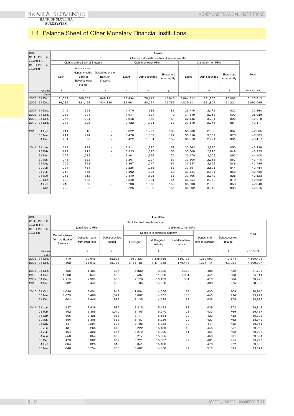# 1.4. Balance Sheet of Other Monetary Financial Institutions

| Until        |                                                                                                                           | Assets                                                                    |                                                                             |                                          |                                                                                                 |                                                                                                 |                                                                           |                                                                                                            |                                                                                                 |                                                                           |                                                                                                            |
|--------------|---------------------------------------------------------------------------------------------------------------------------|---------------------------------------------------------------------------|-----------------------------------------------------------------------------|------------------------------------------|-------------------------------------------------------------------------------------------------|-------------------------------------------------------------------------------------------------|---------------------------------------------------------------------------|------------------------------------------------------------------------------------------------------------|-------------------------------------------------------------------------------------------------|---------------------------------------------------------------------------|------------------------------------------------------------------------------------------------------------|
|              | 31.12.2006 in                                                                                                             |                                                                           |                                                                             |                                          |                                                                                                 | Claims on domestic sectors (domestic assets)                                                    |                                                                           |                                                                                                            |                                                                                                 |                                                                           |                                                                                                            |
| mio SIT from |                                                                                                                           |                                                                           | Claims on the Bank of Slovenia                                              |                                          |                                                                                                 | Claims on other MFIs                                                                            |                                                                           | Claims on non-MFIs                                                                                         |                                                                                                 |                                                                           |                                                                                                            |
| mio EUR      | 01.01.2007 in                                                                                                             | Cash                                                                      | Accounts and<br>deposits at the<br>Bank of<br>Slovenia, other<br>claims     | Securities of the<br>Bank of<br>Slovenia | Loans                                                                                           | Debt securities                                                                                 | Shares and<br>other equity                                                | Loans                                                                                                      | Debt securities                                                                                 | Shares and<br>other equity                                                | Total                                                                                                      |
|              | Column                                                                                                                    | $\overline{1}$                                                            | $\overline{2}$                                                              | 3                                        | $\overline{4}$                                                                                  | 5                                                                                               | 6                                                                         | $\overline{7}$                                                                                             | 8                                                                                               | 9                                                                         | $10 = 1 +  + 9$                                                                                            |
|              | Code                                                                                                                      |                                                                           |                                                                             |                                          |                                                                                                 |                                                                                                 |                                                                           |                                                                                                            |                                                                                                 |                                                                           |                                                                                                            |
|              | 2005 31.Dec.                                                                                                              | 31,302                                                                    | 308,602                                                                     | 849,121                                  | 125,494                                                                                         | 78,119                                                                                          | 46,846                                                                    | 3,864,512                                                                                                  | 691,756                                                                                         | 125,062                                                                   | 6,120,813                                                                                                  |
|              | 2006 31.Dec.                                                                                                              | 39,286                                                                    | 421,465                                                                     | 434,830                                  | 186,601                                                                                         | 90,011                                                                                          | 25,769                                                                    | 4,839,111                                                                                                  | 691,801                                                                                         | 164,221                                                                   | 6,893,095                                                                                                  |
|              | 2007 31.Dec.<br>2008 31.Dec.<br>2009 31.Dec.<br>2010 31.Dec.<br>2010 31.Oct.<br>30.Nov.<br>31.Dec.                        | 245<br>259<br>246<br>234<br>211<br>214<br>234                             | 358<br>994<br>1,234<br>896<br>610<br>724<br>896                             | ٠<br>ä,<br>ä,<br>ä,<br>٠<br>٠<br>ä,      | 1.470<br>1,941<br>2,948<br>3,422<br>3,022<br>3.428<br>3,422                                     | 386<br>621<br>969<br>1,334<br>1,277<br>1,359<br>1,334                                           | 186<br>110<br>151<br>159<br>169<br>177<br>159                             | 26,716<br>31,549<br>32,445<br>33,519<br>33,539<br>33,556<br>33,519                                         | 2,176<br>2,013<br>3,231<br>2,971<br>2,938<br>3,032<br>2,971                                     | 822<br>602<br>995<br>881<br>897<br>876<br>881                             | 32,360<br>38,089<br>42,218<br>43,417<br>42,665<br>43,365<br>43,417                                         |
|              | 2011 31.Jan.<br>28.Feb.<br>31.Mar.<br>30.Apr.<br>31.May<br>30.Jun.<br>31.Jul.<br>31.Aug.<br>30.Sep.<br>31.Oct.<br>30.Nov. | 219<br>222<br>226<br>243<br>225<br>234<br>210<br>218<br>223<br>218<br>222 | 778<br>913<br>1,532<br>652<br>768<br>784<br>668<br>812<br>798<br>970<br>822 | ä,<br>٠<br>٠<br>٠<br>٠<br>٠<br>ä,        | 3,411<br>3,325<br>3,401<br>3,267<br>3,267<br>3,225<br>3,302<br>3,340<br>3,340<br>3,293<br>3,226 | 1,327<br>1,347<br>1,396<br>1,097<br>1,077<br>1,085<br>1,085<br>1,105<br>1,084<br>1,078<br>1,026 | 158<br>155<br>175<br>163<br>163<br>165<br>169<br>165<br>154<br>150<br>151 | 33,563<br>33,508<br>33,470<br>33,505<br>33,527<br>33,551<br>33,544<br>33,406<br>33,254<br>33,293<br>33,292 | 2,930<br>2,916<br>3,006<br>2,916<br>2,922<br>2,895<br>2,894<br>2,949<br>2,960<br>2,993<br>3,040 | 850<br>849<br>893<br>867<br>846<br>844<br>858<br>828<br>810<br>853<br>836 | 43,236<br>43,235<br>44,100<br>42,710<br>42,795<br>42,784<br>42,730<br>42,823<br>42,622<br>42,849<br>42,615 |

| Until        |                                    |                                                 |                                    |                           |                                 | Liabilities                   |                         |                                 |                           |                            |
|--------------|------------------------------------|-------------------------------------------------|------------------------------------|---------------------------|---------------------------------|-------------------------------|-------------------------|---------------------------------|---------------------------|----------------------------|
|              | 31.12.2006 in                      |                                                 |                                    |                           | Liabilities to domestic sectors |                               |                         |                                 |                           |                            |
| mio SIT from | 01.01.2007 in                      |                                                 | Liabilities to MFIs                |                           |                                 |                               | Liabilities to non-MFIs |                                 |                           |                            |
| mio EUR      |                                    |                                                 |                                    |                           |                                 | Deposits in domestic currency |                         |                                 |                           | Total                      |
|              |                                    | Deposits, Ioans<br>from the Bank of<br>Slovenia | Deposits, Ioans<br>from other MFIs | Debt securities<br>issued | Ovemight                        | With agreed<br>maturity       | Reedemable at<br>notice | Deposits in<br>foreign currency | Debt securities<br>issued |                            |
|              | Column                             | $\mathbf{1}$                                    | $\overline{2}$                     | 3                         | $\overline{4}$                  | 5                             | 6                       | $\overline{7}$                  | 8                         | $9 = 1 +  + 8$             |
|              | Code                               |                                                 |                                    |                           |                                 |                               |                         |                                 |                           |                            |
|              | 2005 31.Dec.                       | 110                                             | 132,645                            | 65,998                    | 980,327                         | 1,438,465                     | 136,195                 | 1,269,092                       | 172,573                   | 4,195,405                  |
|              | 2006 31.Dec.                       | 102                                             | 171,042                            | 88,766                    | 1,161,185                       | 1,471,968                     | 179,476                 | 1,374,144                       | 163,254                   | 4,609,937                  |
|              | 2007 31.Dec.                       | 156                                             | 1,496                              | 387                       | 6,882                           | 10,202                        | 1,363                   | 488                             | 752                       | 21,726                     |
|              | 2008 31.Dec.                       | 1,230                                           | 2,040                              | 590                       | 6,597                           | 11,930                        | 1,381                   | 441                             | 703                       | 24,911                     |
|              | 2009 31.Dec.                       | 2,115                                           | 2,995                              | 838                       | 7,178                           | 15,139                        | 561                     | 410                             | 684                       | 29,920                     |
|              | 2010 31.Dec.                       | 602                                             | 3,446                              | 993                       | 8,135                           | 14,528                        | 82                      | 438                             | 775                       | 28,999                     |
|              | 2010 31.Oct.<br>30.Nov.<br>31.Dec. | 1.098<br>1.073<br>602                           | 3.091<br>3,488<br>3.446            | 948<br>1,022<br>993       | 7,894<br>8,067<br>8,135         | 14,556<br>14.775<br>14,528    | 83<br>108<br>82         | 430<br>445<br>438               | 809<br>794<br>775         | 28,910<br>29,772<br>28,999 |
|              | 2011 31.Jan.                       | 437                                             | 3,436                              | 989                       | 8,215                           | 15,492                        | 73                      | 429                             | 772                       | 29,843                     |
|              | 28.Feb.                            | 452                                             | 3,355                              | 1,010                     | 8,155                           | 15,270                        | 23                      | 433                             | 769                       | 29,467                     |
|              | 31.Mar.                            | 365                                             | 3,425                              | 966                       | 8,771                           | 15,564                        | 23                      | 430                             | 752                       | 30,296                     |
|              | 30.Apr.                            | 355                                             | 3,305                              | 655                       | 8,187                           | 15,229                        | 22                      | 427                             | 762                       | 28,942                     |
|              | 31.May                             | 447                                             | 3,294                              | 634                       | 8,198                           | 15,253                        | 30                      | 441                             | 755                       | 29,051                     |
|              | 30.Jun.                            | 437                                             | 3.265                              | 645                       | 8,222                           | 15.439                        | 40                      | 445                             | 757                       | 29,250                     |
|              | 31.Jul.                            | 464                                             | 3,322                              | 645                       | 8,279                           | 15,300                        | 51                      | 464                             | 762                       | 29,286                     |
|              | 31.Aug.                            | 553                                             | 3,354                              | 662                       | 8,217                           | 15,265                        | 52                      | 458                             | 761                       | 29,321                     |
|              | 30.Sep.                            | 423                                             | 3,362                              | 669                       | 8,221                           | 15,307                        | 49                      | 461                             | 755                       | 29,247                     |
|              | 31.Oct.                            | 834                                             | 3,325                              | 812                       | 8,041                           | 15,400                        | 53                      | 473                             | 722                       | 29,660                     |
|              | 30.Nov.                            | 848                                             | 3,254                              | 763                       | 8,402                           | 14,838                        | 59                      | 512                             | 695                       | 29,371                     |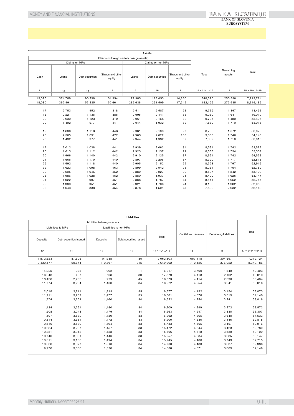|          | Assets         |                 |                                            |                |                    |                            |                   |                     |                  |  |  |  |  |  |
|----------|----------------|-----------------|--------------------------------------------|----------------|--------------------|----------------------------|-------------------|---------------------|------------------|--|--|--|--|--|
|          |                |                 | Claims on foreign sectors (foreign assets) |                |                    |                            |                   |                     |                  |  |  |  |  |  |
|          |                | Claims on MFIs  |                                            |                | Claims on non-MFIs |                            |                   |                     |                  |  |  |  |  |  |
| Cash     | Loans          | Debt securities | Shares and other<br>equity                 | Loans          | Debt securities    | Shares and other<br>equity | Total             | Remaining<br>assets | Total            |  |  |  |  |  |
| 11       | 12             | 13              | 14                                         | 15             | 16                 | 17                         | $18 = 11 +  + 17$ | 19                  | $20 = 10+18+19$  |  |  |  |  |  |
|          |                |                 |                                            |                |                    |                            |                   |                     |                  |  |  |  |  |  |
| 13,096   | 374,789        | 90,238          | 51,954                                     | 179,985        | 123,453            | 14,860                     | 848,375           | 250,536             | 7,219,724        |  |  |  |  |  |
| 18,080   | 362,491        | 153,235         | 52,661                                     | 286,638        | 291,509            | 17,542                     | 1,182,156         | 273,935             | 8,349,186        |  |  |  |  |  |
| 17       | 2,753          | 1,452           | 318                                        | 2,511          | 2,587              | 98                         | 9,735             | 1,397               | 43,493           |  |  |  |  |  |
| 16       | 2,221          | 1.135           | 385                                        | 2,995          | 2,441              | 86                         | 9,280             | 1.641               | 49,010           |  |  |  |  |  |
| 22       | 2,930          | 1,123           | 419                                        | 2,961          | 2,168              | 82                         | 9,705             | 1,480               | 53,404           |  |  |  |  |  |
| 20       | 1,492          | 977             | 441                                        | 2,944          | 1,932              | 82                         | 7,889             | 1,710               | 53,016           |  |  |  |  |  |
| 19<br>20 | 1,886<br>2.365 | 1,116<br>1.091  | 448<br>472                                 | 2,981<br>2.963 | 2,190<br>2,022     | 97<br>103                  | 8,736<br>9.036    | 1,672<br>1.746      | 53,073<br>54,148 |  |  |  |  |  |
| 20       | 1,492          | 977             | 441                                        | 2,944          | 1,932              | 82                         | 7,889             | 1.710               | 53,016           |  |  |  |  |  |
| 17<br>20 | 2,012<br>1,613 | 1,038<br>1.112  | 441<br>442                                 | 2,939<br>2,923 | 2,062<br>2,137     | 84<br>91                   | 8,594<br>8,338    | 1,742<br>1,734      | 53,572<br>53,307 |  |  |  |  |  |
| 20       | 1,966          | 1,140           | 442                                        | 2,910          | 2,125              | 87                         | 8,691             | 1.742               | 54,533           |  |  |  |  |  |
| 24       | 1,566          | 1,170           | 440                                        | 2,897          | 2,206              | 87                         | 8,390             | 1,717               | 52,818           |  |  |  |  |  |
| 25       | 1,592          | 1,118           | 440                                        | 2.905          | 2,152              | 92                         | 8,323             | 1.797               | 52,916           |  |  |  |  |  |
| 32       | 1,623          | 1,098           | 463                                        | 2,899          | 2,042              | 93                         | 8,251             | 1,754               | 52,789           |  |  |  |  |  |
| 29       | 2,005          | 1,045           | 452                                        | 2,889          | 2,027              | 90                         | 8,537             | 1,842               | 53,109           |  |  |  |  |  |
| 26       | 1.986          | 1,028           | 452                                        | 2,880          | 1.937              | 91                         | 8,400             | 1,925               | 53,147           |  |  |  |  |  |
| 21       | 1,922          | 997             | 451                                        | 2,888          | 1,787              | 74                         | 8,141             | 1,952               | 52,715           |  |  |  |  |  |
| 22       | 1,980          | 951             | 451                                        | 2,921          | 1.706              | 74                         | 8,106             | 1,982               | 52,936           |  |  |  |  |  |
| 23       | 1,643          | 838             | 454                                        | 2,878          | 1,591              | 75                         | 7,502             | 2,032               | 52,149           |  |  |  |  |  |
|          |                |                 |                                            |                |                    |                            |                   |                     |                  |  |  |  |  |  |

| Liabilities      |                        |                                |                         |                   |                      |                       |                         |  |  |  |  |  |
|------------------|------------------------|--------------------------------|-------------------------|-------------------|----------------------|-----------------------|-------------------------|--|--|--|--|--|
|                  |                        | Liabilities to foreign sectors |                         |                   |                      |                       |                         |  |  |  |  |  |
|                  | Liabilities to MFIs    |                                | Liabilities to non-MFIs |                   |                      |                       |                         |  |  |  |  |  |
| Deposits         | Debt securities issued | Deposits                       | Debt securities issued  | Total             | Capital and reserves | Remaining liabilities | Total                   |  |  |  |  |  |
| 10               | 11                     | 12                             | 13                      | $14 = 10 +  + 13$ | 15                   | 16                    | $17 = 9 + 14 + 15 + 16$ |  |  |  |  |  |
|                  |                        |                                |                         |                   |                      |                       |                         |  |  |  |  |  |
| 1,872,623        | 87,606                 | 101,988                        | 85                      | 2,062,303         | 657,418              | 304,597               | 7,219,724               |  |  |  |  |  |
| 2,439,177        | 99,644                 | 110,867                        | 215                     | 2,649,902         | 712,426              | 376,922               | 8,349,186               |  |  |  |  |  |
| 14,925<br>16,643 | 388<br>437             | 902<br>768                     | $\overline{1}$<br>30    | 16,217<br>17,879  | 3,700<br>4,118       | 1,849<br>2,102        | 43,493<br>49,010        |  |  |  |  |  |
| 13,436           | 2,263                  | 929                            | 45                      | 16,673            | 4,414                | 2,396                 | 53,404                  |  |  |  |  |  |
| 11,774           | 3,254                  | 1.460                          | 34                      | 16,522            | 4,254                | 3,241                 | 53,016                  |  |  |  |  |  |
|                  |                        |                                |                         |                   |                      |                       |                         |  |  |  |  |  |
| 12,018           | 3,211                  | 1,313                          | 35                      | 16,577            | 4,432                | 3,154                 | 53,073                  |  |  |  |  |  |
| 11,911           | 3,259                  | 1,477                          | 35                      | 16,681            | 4,376                | 3,319                 | 54,148                  |  |  |  |  |  |
| 11,774           | 3,254                  | 1,460                          | 34                      | 16,522            | 4,254                | 3,241                 | 53,016                  |  |  |  |  |  |
| 11,434           | 3,261                  | 1,480                          | 34                      | 16,209            | 4,249                | 3,272                 | 53,572                  |  |  |  |  |  |
| 11,508           | 3,243                  | 1,479                          | 34                      | 16,263            | 4,247                | 3,330                 | 53,307                  |  |  |  |  |  |
| 11,197           | 3,582                  | 1,480                          | 33                      | 16,292            | 4,305                | 3,640                 | 54,533                  |  |  |  |  |  |
| 10,814           | 3,581                  | 1,472                          | 33                      | 15,900            | 4,530                | 3,446                 | 52,818                  |  |  |  |  |  |
| 10.616           | 3.589                  | 1,494                          | 33                      | 15.733            | 4,665                | 3,467                 | 52,916                  |  |  |  |  |  |
| 10,684           | 3,297                  | 1,457                          | 33                      | 15,472            | 4,644                | 3,423                 | 52,789                  |  |  |  |  |  |
| 10,881           | 3,313                  | 1,438                          | 33                      | 15,666            | 4,618                | 3,539                 | 53,109                  |  |  |  |  |  |
| 10,746           | 3,331                  | 1,446                          | 33                      | 15,557            | 4,584                | 3,685                 | 53,147                  |  |  |  |  |  |
| 10,611           | 3,106                  | 1,494                          | 34                      | 15,245            | 4,480                | 3,743                 | 52,715                  |  |  |  |  |  |
| 10,336           | 3,077                  | 1,513                          | 34                      | 14,960            | 4,480                | 3,837                 | 52,936                  |  |  |  |  |  |
| 9,976            | 3,008                  | 1,520                          | 34                      | 14,538            | 4,371                | 3,869                 | 52,149                  |  |  |  |  |  |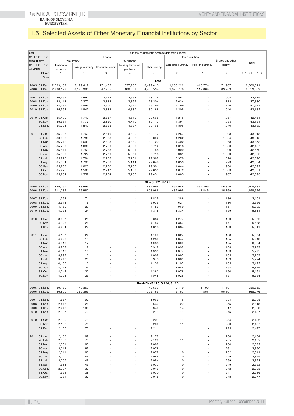**EUROSYSTEM**

# 1.5. Selected Assets of Other Monetary Financial Institutions by Sector

| Until              |                          |                  |                 |                            |                                | Claims on domestic sectors (domestic assets) |                          |                  |                         |  |  |
|--------------------|--------------------------|------------------|-----------------|----------------------------|--------------------------------|----------------------------------------------|--------------------------|------------------|-------------------------|--|--|
| 31.12.2006 in      |                          |                  | Loans           |                            |                                | Debt securities                              |                          |                  |                         |  |  |
| mio SIT from       |                          | By currency      |                 | By purpose                 |                                |                                              |                          | Shares and other | Total                   |  |  |
| 01.01.2007 in      | Domestic                 | Foreign currency | Consumer credit | Lending for house          | Other lending                  | Domestic currency                            | Foreign currency         | equity           |                         |  |  |
| mio EUR<br>Column  | currency<br>$\mathbf{1}$ | $\overline{c}$   | 3               | purchase<br>$\overline{4}$ | 5                              | 6                                            | $\boldsymbol{7}$         | 8                | $9 = 1 + 2 + 6 + 7 + 8$ |  |  |
| Code               |                          |                  |                 |                            |                                |                                              |                          |                  |                         |  |  |
|                    |                          |                  |                 |                            | Total                          |                                              |                          |                  |                         |  |  |
| 2005 31.Dec.       | 2,099,189                | 2,199,419        | 471,462         | 327,736                    | 3,499,410                      | 1,203,222                                    | 415,774                  | 171,907          | 6,089,511               |  |  |
| 2006 31.Dec.       | 2,298,192                | 3,148,985        | 547,955         | 468,689                    | 4,430,534                      | 1,096,779                                    | 119,864                  | 189,989          | 6,853,809               |  |  |
|                    |                          |                  |                 |                            |                                |                                              |                          |                  |                         |  |  |
| 2007 31.Dec.       | 26,555                   | 1,990            | 2,743           | 2,668                      | 23,134                         | 2,562                                        | $\overline{\phantom{a}}$ | 1,008            | 32,115                  |  |  |
| 2008 31.Dec.       | 32,113                   | 2,370            | 2,884           | 3,395                      | 28,204                         | 2,634                                        |                          | 712              | 37,830                  |  |  |
| 2009 31.Dec.       | 34,731                   | 1,895            | 2,900           | 3,927                      | 29,799                         | 4,199                                        |                          | 1,146            | 41,972                  |  |  |
| 2010 31.Dec.       | 35,994                   | 1,843            | 2,833           | 4,837                      | 30,168                         | 4,305                                        |                          | 1,040            | 43,182                  |  |  |
| 2010 31.Oct.       | 35,430                   | 1,742            | 2,857           | 4,649                      | 29,665                         | 4,215                                        |                          | 1,067            | 42,454                  |  |  |
| 30.Nov.            | 35,931                   | 1,777            | 2,850           | 4,740                      | 30,117                         | 4,391                                        | ÷,                       | 1,053            | 43,151                  |  |  |
| 31.Dec.            | 35,994                   | 1,843            | 2,833           | 4,837                      | 30,168                         | 4,305                                        | $\overline{a}$           | 1,040            | 43,182                  |  |  |
|                    |                          |                  |                 |                            |                                |                                              |                          |                  |                         |  |  |
| 2011 31.Jan.       | 35,993                   | 1,760            | 2,816           | 4,820                      | 30,117                         | 4,257                                        |                          | 1,008            | 43,018                  |  |  |
| 28.Feb.            | 36,008                   | 1,739            | 2,803           | 4,852                      | 30,092                         | 4,262                                        |                          | 1,004            | 43,013                  |  |  |
| 31.Mar.            | 36,712                   | 1,691            | 2,803           | 4,880                      | 30,720                         | 4,402                                        |                          | 1,068            | 43,873                  |  |  |
| 30.Apr.            | 35,736                   | 1,689            | 2,786           | 4,926                      | 29,712                         | 4,013                                        |                          | 1,030            | 42,467                  |  |  |
| 31.May.            | 35,811                   | 1,751            | 2,783           | 5,021                      | 29,758                         | 3,999                                        |                          | 1,009            | 42,570                  |  |  |
| 30.Jun.            | 35,836                   | 1,724            | 2,776           | 5,071                      | 29,713                         | 3,981                                        |                          | 1,009            | 42,550                  |  |  |
| 31.Jul.<br>31.Aug. | 35,720<br>35,854         | 1,794<br>1,705   | 2,786<br>2,766  | 5,161<br>5,144             | 29,567<br>29,648               | 3,979<br>4,053                               |                          | 1,028<br>993     | 42,520<br>42,604        |  |  |
| 30.Sep.            | 35,763                   | 1,628            | 2,760           | 5,130                      | 29,501                         | 4,044                                        |                          | 964              | 42,399                  |  |  |
| 31.Oct.            | 35,975                   | 1,580            | 2,747           | 5,153                      | 29,655                         | 4,072                                        |                          | 1,003            | 42,631                  |  |  |
| 30.Nov.            | 35,784                   | 1,557            | 2,754           | 5,136                      | 29,451                         | 4,065                                        |                          | 987              | 42,393                  |  |  |
|                    |                          |                  |                 |                            |                                |                                              |                          |                  |                         |  |  |
|                    |                          |                  |                 |                            | MFIs (S.121, S.122)            |                                              |                          |                  |                         |  |  |
| 2005 31.Dec.       | 345,097                  | 88,999           |                 | ÷,                         | 434,096                        | 594,946                                      | 332,295                  | 46,846           | 1,408,182               |  |  |
| 2006 31.Dec.       | 511,086                  | 96,980           | ÷,              | ÷,                         | 608,066                        | 482,995                                      | 41,846                   | 25,769           | 1,158,676               |  |  |
| 2007 31.Dec.       | 1,758                    | 71               |                 |                            | 1,829                          | 386                                          |                          | 186              | 2,401                   |  |  |
| 2008 31.Dec.       | 2,918                    | 16               |                 | ÷,                         | 2,935                          | 621                                          |                          | 110              | 3,666                   |  |  |
| 2009 31.Dec.       | 4,160                    | 22               |                 | ä,                         | 4,182                          | 969                                          |                          | 151              | 5,302                   |  |  |
| 2010 31.Dec.       | 4,294                    | 24               |                 |                            | 4,318                          | 1,334                                        |                          | 159              | 5,811                   |  |  |
|                    |                          |                  |                 |                            |                                |                                              |                          |                  |                         |  |  |
| 2010 31.Oct.       | 3,607                    | 25               |                 |                            | 3,632                          | 1,277                                        |                          | 169              | 5,079                   |  |  |
| 30.Nov.            | 4,126                    | 26               |                 |                            | 4,152                          | 1,359                                        |                          | 177              | 5,688                   |  |  |
| 31.Dec.            | 4,294                    | 24               |                 | ÷,                         | 4,318                          | 1,334                                        |                          | 159              | 5,811                   |  |  |
| 2011 31.Jan.       | 4,167                    | 22               |                 |                            | 4,190                          | 1,327                                        |                          | 158              | 5,674                   |  |  |
| 28.Feb.            | 4,220                    | 18               |                 |                            | 4,239                          | 1,347                                        |                          | 155              | 5,740                   |  |  |
| 31.Mar.            | 4,916                    | 17               |                 |                            | 4,933                          | 1,396                                        |                          | 175              | 6,504                   |  |  |
| 30.Apr.            | 3,902                    | 17               |                 |                            | 3,919                          | 1,097                                        |                          | 163              | 5,179                   |  |  |
| 31.May.            | 4,018                    | 16               |                 |                            | 4,035                          | 1,077                                        |                          | 163              | 5,275                   |  |  |
| 30.Jun.            | 3,992                    | 18               |                 |                            | 4,009                          | 1,085                                        |                          | 165              | 5,259                   |  |  |
| 31.Jul.            | 3,946                    | 23               |                 |                            | 3,970                          | 1,085                                        |                          | 169              | 5,224                   |  |  |
| 31.Aug.<br>30.Sep. | 4,136<br>4,113           | 16<br>24         |                 | ٠                          | 4,152<br>4,137                 | 1,105<br>1,084                               |                          | 165<br>154       | 5,422                   |  |  |
| 31.Oct.            | 4,242                    | 20               |                 |                            | 4,262                          | 1,078                                        |                          | 150              | 5,375<br>5,491          |  |  |
| 30.Nov.            | 4,024                    | 25               |                 |                            | 4,048                          | 1,026                                        |                          | 151              | 5,224                   |  |  |
|                    |                          |                  |                 |                            |                                |                                              |                          |                  |                         |  |  |
|                    |                          |                  |                 |                            | Non-MFIs (S.123, S.124, S.125) |                                              |                          |                  |                         |  |  |
| 2005 31.Dec.       | 39,180                   | 140,353          |                 |                            | 179,533                        | 2,419                                        | 1,799                    | 47,101           | 230,852                 |  |  |
| 2006 31.Dec.       | 46,800                   | 262,365          |                 |                            | 309,165                        | 2,753                                        | 857                      | 55,301           | 368,076                 |  |  |
| 2007 31.Dec.       | 1,867                    | 99               |                 |                            | 1,966                          | 15                                           |                          | 324              | 2,305                   |  |  |
| 2008 31.Dec.       | 2,413                    | 126              |                 |                            | 2,539                          | 20                                           |                          | 255              | 2,815                   |  |  |
| 2009 31.Dec.       | 2,248                    | 100              |                 |                            | 2,349                          | 14                                           |                          | 317              | 2,680                   |  |  |
| 2010 31.Dec.       | 2,137                    | 73               |                 |                            | 2,211                          | 11                                           |                          | 275              | 2,497                   |  |  |
|                    |                          |                  |                 |                            |                                |                                              |                          |                  |                         |  |  |
| 2010 31.Oct.       | 2,130                    | 71               |                 |                            | 2,201                          | 11                                           |                          | 284              | 2,496                   |  |  |
| 30.Nov.            | 2,132                    | 73               |                 |                            | 2,206                          | 11                                           |                          | 280              | 2,497                   |  |  |
| 31.Dec.            | 2,137                    | 73               |                 |                            | 2,211                          | 11                                           |                          | 275              | 2,497                   |  |  |
| 2011 31.Jan.       | 2,108                    | 69               |                 |                            | 2,177                          | 11                                           |                          | 266              | 2,454                   |  |  |
| 28.Feb.            | 2,056                    | 70               |                 |                            | 2,126                          | 11                                           |                          | 265              | 2,402                   |  |  |
| 31.Mar.            | 2,031                    | 65               |                 |                            | 2,097                          | 11                                           |                          | 264              | 2,372                   |  |  |
| 30.Apr.            | 2,014                    | 65               |                 |                            | 2,078                          | 11                                           |                          | 261              | 2,350                   |  |  |
| 31.May.            | 2,011                    | 68               |                 |                            | 2,079                          | 10                                           |                          | 252              | 2,341                   |  |  |
| 30.Jun.            | 2,020                    | 46               |                 |                            | 2,066                          | 10                                           |                          | 249              | 2,325                   |  |  |
| 31.Jul.            | 2,007                    | 46               |                 |                            | 2,054                          | 10                                           |                          | 259              | 2,323                   |  |  |
| 31.Aug.            | 1,988                    | 45               |                 |                            | 2,033                          | 10                                           |                          | 249              | 2,292                   |  |  |
| 30.Sep.            | 2,007                    | 39               |                 |                            | 2,046                          | 10                                           |                          | 242              | 2,298                   |  |  |
| 31.Oct.<br>30.Nov. | 1,992<br>1,981           | 38<br>37         |                 |                            | 2,030<br>2,018                 | 10<br>10                                     |                          | 247<br>248       | 2,286<br>2,277          |  |  |
|                    |                          |                  |                 |                            |                                |                                              |                          |                  |                         |  |  |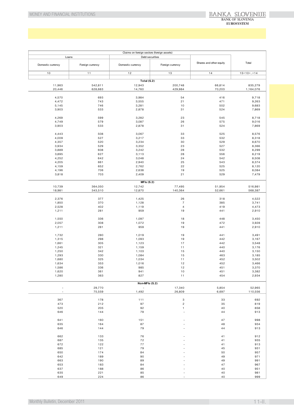|                   |                  | Claims on foreign sectors (foreign assets) |                           |                         |                   |
|-------------------|------------------|--------------------------------------------|---------------------------|-------------------------|-------------------|
| Loans             |                  | Debt securities                            |                           |                         |                   |
| Domestic currency | Foreign currency | Domestic currency                          | Foreign currency          | Shares and other equity | Total             |
| 10                | 11               | 12                                         | 13                        | 14                      | $15 = 10 +  + 14$ |
|                   |                  |                                            |                           |                         |                   |
|                   |                  | Total $(S.2)$                              |                           |                         |                   |
| 11,963            | 542,811          | 12,943                                     | 200,748                   | 66,814                  | 835,279           |
| 20,446            | 628,683          | 14,760                                     | 429,984                   | 70,203                  | 1,164,076         |
|                   |                  |                                            |                           |                         |                   |
| 4,570             | 693              | 3,984                                      | 54                        | 416                     | 9,718             |
| 4,472             | 743              | 3,555                                      | 21                        | 471                     | 9,263             |
| 5,145             | 746              | 3,281                                      | 10                        | 502                     | 9,683             |
| 3,903             | 533              | 2,878                                      | 31                        | 524                     | 7,869             |
|                   |                  |                                            |                           |                         |                   |
| 4,269             | 599              | 3,282                                      | 23                        | 545                     | 8,718             |
| 4,749             | 579              | 3,087                                      | 26                        | 575                     | 9,016             |
| 3,903             | 533              | 2,878                                      | 31                        | 524                     | 7,869             |
|                   |                  |                                            |                           |                         |                   |
| 4,443             | 508              | 3,067                                      | 33                        | 525                     | 8,576             |
| 4,009             | 527              | 3,217                                      | 33                        | 532                     | 8,318             |
| 4,357             | 520              | 3,234                                      | 30                        | 529                     | 8,670             |
| 3,934             | 529              | 3,352                                      | 23                        | 527                     | 8,366             |
| 3,889             | 608              | 3,242                                      | 28                        | 532                     | 8,299             |
| 3,895             | 627              | 3,113                                      | 28                        | 556                     | 8,219             |
| 4,252             | 642              | 3,048                                      | 24                        | 542                     | 8,508             |
| 4,205             | 661              | 2,940                                      | 25                        | 543                     | 8,374             |
| 4,159             | 652              | 2,762                                      | 22                        | 525                     | 8,120             |
| 4,196             | 706              | 2,638                                      | 19                        | 525                     | 8,084             |
| 3,818             | 703              | 2,409                                      | 21                        | 529                     | 7,479             |
|                   |                  |                                            |                           |                         |                   |
|                   |                  | MFIs(S.2)                                  |                           |                         |                   |
| 10,739            | 364,050          | 12,742                                     | 77,495                    | 51,954                  | 516,981           |
| 18,981            | 343,510          | 12,870                                     | 140,364                   | 52,661                  | 568,387           |
|                   |                  |                                            |                           |                         |                   |
| 2,376             | 377              | 1,425                                      | 26                        | 318                     | 4,522             |
| 1,850             | 370              | 1,128                                      | $\overline{7}$            | 385                     | 3,741             |
| 2,528             | 402              | 1,119                                      | $\overline{4}$            | 419                     | 4,473             |
| 1,211             | 281              | 959                                        | 19                        | 441                     | 2,910             |
|                   |                  |                                            |                           |                         |                   |
| 1,550             | 336              | 1,097                                      | 18                        | 448                     | 3,450             |
| 2,057             | 308              | 1,072                                      | 19                        | 472                     | 3,928             |
| 1,211             | 281              | 959                                        | 19                        | 441                     | 2,910             |
|                   |                  |                                            |                           |                         |                   |
| 1,732             | 280              | 1,019                                      | 19                        | 441                     | 3,491             |
| 1,315             | 298              | 1,093                                      | 19                        | 442                     | 3,167             |
| 1,661             | 305              | 1,123                                      | 17                        | 442                     | 3,548             |
| 1,245             | 321              | 1,159                                      | 11                        | 440                     | 3,176             |
| 1,250             | 342              | 1,103                                      | 15                        | 440                     | 3,150             |
| 1,293             | 330              | 1,084                                      | 15                        | 463                     | 3,185             |
| 1,680             | 325              | 1,034                                      | 11                        | 452                     | 3,502             |
| 1,634             | 353              | 1,016                                      | 12                        | 452                     | 3,466             |
| 1,586             | 336              | 985                                        | 12                        | 451                     | 3,370             |
| 1,620             | 361              | 941                                        | 10                        | 451                     | 3,382             |
| 1,280             | 363              | 827                                        | 11                        | 454                     | 2,934             |
|                   |                  |                                            |                           |                         |                   |
|                   |                  | Non-MFIs (S.2)                             |                           |                         |                   |
| ×,                | 29,770           | $\overline{\phantom{a}}$                   | 17,340                    | 5,854                   | 52,965            |
|                   | 75,559           | 1,492                                      | 26,809                    | 6,697                   | 110,556           |
|                   |                  |                                            |                           |                         |                   |
| 367               | 178              | 111                                        | $\ensuremath{\mathsf{3}}$ | 33                      | 692               |
| 473               | 212              | 97                                         | $\sqrt{2}$                | 35                      | 819               |
| 520               | 205              | 92                                         | $\mathbf{1}$              | 40                      | 858               |
| 646               | 144              | 79                                         | ÷,                        | 44                      | 913               |
|                   |                  |                                            |                           |                         |                   |
| 641               | 160              | 151                                        |                           | 47                      | 998               |
| 635               | 164              | 87                                         |                           | 48                      | 934               |
| 646               | 144              | 79                                         |                           | 44                      | 913               |
|                   |                  |                                            |                           |                         |                   |
| 662               | 133              | 76                                         |                           | 41                      | 912               |
| 687               | 135              | 72                                         |                           | 41                      | 935               |
| 672               | 122              | 77                                         |                           | 41                      | 913               |
| 685               | 121              | 79                                         |                           | 45                      | 931               |
| 650               | 174              | 84                                         |                           | 50                      | 957               |
| 642               | 189              | 90                                         |                           | 49                      | 971               |
| 663               | 190              | 89                                         |                           | 49                      | 991               |
| 653               | 183              | 84                                         |                           | 47                      | 967               |
| 637               | 188              | 86                                         |                           | 40                      | 951               |
| 635               | 221              | 85                                         |                           | 40                      | 981               |
| 649               | 224              | 86                                         |                           | 40                      | 999               |
|                   |                  |                                            |                           |                         |                   |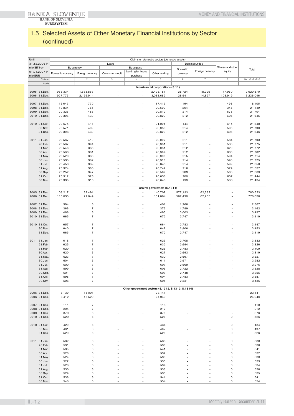# 1.5. Selected Assets of Other Monetary Financial Institutions by Sector (continued)

| Until         | Claims on domestic sectors (domestic assets) |                     |                           |                                                   |                                   |                |                           |                     |                |
|---------------|----------------------------------------------|---------------------|---------------------------|---------------------------------------------------|-----------------------------------|----------------|---------------------------|---------------------|----------------|
| 31.12.2006 in |                                              |                     | Loans                     |                                                   |                                   |                | Debt securities           |                     |                |
| mio SIT from  |                                              | By currency         |                           | By purpose                                        |                                   | Domestic       |                           | Shares and other    | Total          |
| 01.01.2007 in | Domestic currency                            | Foreign currency    | Consumer credit           | Lending for house                                 | Other lending                     | currency       | Foreign currency          | equity              |                |
| mio EUR       |                                              |                     |                           | purchase                                          |                                   |                |                           |                     |                |
| Column        | $\mathbf{1}$                                 | $\boldsymbol{2}$    | $\ensuremath{\mathsf{3}}$ | $\sqrt{4}$                                        | $\,$ 5 $\,$                       | 6              | $\overline{\mathfrak{c}}$ | 8                   | $9=1+2+6+7+8$  |
| Code          |                                              |                     |                           |                                                   |                                   |                |                           |                     |                |
|               |                                              |                     |                           |                                                   | Non-financial corporations (S.11) |                |                           |                     |                |
| 2005 31.Dec.  | 956,334                                      | 1,538,853           | ٠                         | ÷                                                 | 2,495,187                         | 28,724         | 18,999                    | 77,960              | 2,620,870      |
| 2006 31.Dec.  | 927,775                                      | 2,155,914           | ä,                        | ÷                                                 | 3,083,689                         | 28,541         | 14,897                    | 108,919             | 3,236,046      |
|               |                                              |                     |                           |                                                   |                                   |                |                           |                     |                |
| 2007 31.Dec.  | 16,643                                       | 770                 | ÷.                        | ×,                                                | 17,413                            | 194            | ÷,                        | 498                 | 18,105         |
| 2008 31.Dec.  | 19,834                                       | 765                 |                           |                                                   | 20,599                            | 204            |                           | 346                 | 21,149         |
| 2009 31.Dec.  | 20,326                                       | 486                 |                           | ٠                                                 | 20,812                            | 214            | ÷,                        | 678                 | 21,704         |
| 2010 31.Dec.  | 20,398                                       | 430                 |                           | ÷                                                 | 20,829                            | 212            |                           | 606                 | 21,646         |
|               |                                              |                     |                           |                                                   |                                   |                |                           |                     |                |
| 2010 31.Oct.  | 20,674                                       | 416                 |                           | ÷,                                                | 21,091                            | 144            | ÷.                        | 614                 | 21,848         |
| 30.Nov.       | 20,571                                       | 409                 |                           | ä,                                                | 20,980                            | 214            | ä,                        | 596                 | 21,790         |
| 31.Dec.       | 20,398                                       | 430                 |                           | ٠                                                 | 20,829                            | 212            | ×                         | 606                 | 21,646         |
|               |                                              |                     |                           | ٠                                                 |                                   |                |                           |                     |                |
| 2011 31.Jan.  | 20,587                                       | 410                 |                           |                                                   | 20,997                            | 211            |                           | 584                 | 21,793         |
| 28.Feb.       | 20,587                                       | 394                 |                           |                                                   | 20,981                            | 211            |                           | 583                 | 21,775         |
| 31.Mar.       | 20,546                                       | 386                 |                           | ٠                                                 | 20,931                            | 212            | ٠                         | 629                 | 21,772         |
| 30.Apr.       | 20,583                                       | 381                 |                           |                                                   | 20,964                            | 212            | ä,                        | 606                 | 21,782         |
| 31.May.       | 20,520                                       | 386                 |                           | ä,                                                | 20,906                            | 215            |                           | 594                 | 21,714         |
| 30.Jun.       | 20,535                                       | 382                 |                           | ٠                                                 | 20,916                            | 214            | ×                         | 595                 | 21,725         |
| 31.Jul.       | 20,453                                       | 389                 |                           | ٠                                                 | 20,843                            | 214            |                           | 599                 | 21,656         |
| 31.Aug.       | 20,374                                       | 368                 |                           | ä,                                                | 20,742                            | 216            | ä,                        | 579                 | 21,537         |
| 30.Sep.       | 20,252                                       | 347                 |                           |                                                   | 20,599                            | 203            |                           | 568                 | 21,369         |
| 31.Oct.       | 20,312                                       | 326                 |                           | ä,                                                | 20,638                            | 200            |                           | 607                 | 21,444         |
| 30.Nov.       | 20,335                                       | 313                 |                           | ÷,                                                | 20,648                            | 199            | Ĭ.                        | 588                 | 21,434         |
|               |                                              |                     |                           |                                                   |                                   |                |                           |                     |                |
|               |                                              |                     |                           |                                                   | Central government (S.1311)       |                |                           |                     |                |
| 2005 31.Dec.  | 108,217                                      | 32,491              | ×,<br>ä,                  | $\frac{1}{2}$<br>÷.                               | 140,707                           | 577,133        | 62,682                    | ÷,                  | 780,523        |
| 2006 31.Dec.  | 110,035                                      | 21,849              |                           |                                                   | 131,884                           | 582,490        | 62,265                    | ×.                  | 776,638        |
| 2007 31.Dec.  | 394                                          | 6                   | ٠                         | ä,                                                | 401                               | 1,966          |                           | ٠                   | 2,367          |
| 2008 31.Dec.  | 366                                          | $\overline{7}$      |                           |                                                   | 373                               |                |                           |                     |                |
| 2009 31.Dec.  | 488                                          | 6                   |                           |                                                   | 495                               | 1,789          |                           |                     | 2,162          |
| 2010 31.Dec.  | 665                                          | $\overline{7}$      |                           | ٠                                                 | 672                               | 3,003<br>2,747 |                           |                     | 3,497<br>3,419 |
|               |                                              |                     |                           |                                                   |                                   |                |                           |                     |                |
| 2010 31.Oct.  | 657                                          | $\overline{7}$      |                           | ÷.                                                | 664                               | 2,783          |                           | ×.                  | 3,447          |
| 30.Nov.       | 640                                          | $\overline{7}$      |                           |                                                   | 647                               | 2,806          |                           |                     | 3,453          |
| 31.Dec.       | 665                                          | $\overline{7}$      |                           | ٠                                                 | 672                               | 2,747          |                           |                     | 3,419          |
|               |                                              |                     |                           |                                                   |                                   |                |                           |                     |                |
| 2011 31.Jan.  | 618                                          | $\boldsymbol{7}$    |                           |                                                   | 625                               | 2,708          |                           |                     | 3,332          |
| 28.Feb.       | 625                                          | $\overline{7}$      |                           |                                                   | 632                               | 2,694          |                           |                     | 3,326          |
| 31.Mar.       | 620                                          | $\overline{7}$      |                           |                                                   | 626                               | 2,783          |                           |                     | 3,409          |
| 30.Apr.       | 620                                          | 6                   |                           | ÷.                                                | 627                               | 2,693          |                           | ä,                  | 3,319          |
| 31.May.       | 623                                          | $\overline{7}$      |                           |                                                   | 630                               | 2,697          |                           |                     | 3,327          |
|               |                                              | 6                   |                           |                                                   |                                   |                |                           |                     |                |
| 30.Jun.       | 604                                          | $\overline{7}$      |                           |                                                   | 611                               | 2,671          |                           |                     | 3,282          |
| 31.Jul.       | 600                                          |                     |                           |                                                   | 607                               | 2,669          |                           |                     | 3,276          |
| 31.Aug.       | 599                                          | 6<br>$\overline{7}$ |                           |                                                   | 606                               | 2,722          |                           |                     | 3,328          |
| 30.Sep.       | 601                                          |                     |                           |                                                   | 607                               | 2,748          |                           |                     | 3,355          |
| 31.Oct.       | 598                                          | $\overline{7}$      |                           |                                                   | 604                               | 2,783          |                           |                     | 3,387          |
| 30.Nov.       | 598                                          | $\boldsymbol{7}$    | ٠                         | $\overline{a}$                                    | 605                               | 2,831          |                           |                     | 3,436          |
|               |                                              |                     |                           | Other government sectors (S.1312, S.1313, S.1314) |                                   |                |                           |                     |                |
| 2005 31.Dec.  | 8,139                                        | 15,001              | ÷,                        |                                                   | 23,141                            | ÷,             | $\overline{a}$            | Ĭ.                  | 23,141         |
| 2006 31.Dec.  | 8,412                                        | 16,529              | ä,                        | ÷,                                                | 24,940                            | ÷,             | ×                         | J.                  | 24,940         |
|               |                                              |                     |                           |                                                   |                                   |                |                           |                     |                |
| 2007 31.Dec.  | 111                                          | $\overline{7}$      | í.                        | ä,                                                | 118                               | í.             | ä,                        | ä,                  | 118            |
| 2008 31.Dec.  | 204                                          | $\boldsymbol{7}$    |                           | ä,                                                | 212                               |                |                           | $\overline{a}$      | 212            |
| 2009 31.Dec.  | 370                                          | 6                   |                           | ä,                                                | 376                               |                |                           | ÷,                  | 376            |
| 2010 31.Dec.  | 520                                          | 6                   |                           | ٠                                                 | 526                               |                |                           | $\mathsf O$         | 526            |
|               |                                              |                     |                           |                                                   |                                   |                |                           |                     |                |
| 2010 31.Oct.  | 429                                          | 6                   |                           | ÷.                                                | 434                               |                |                           | $\mathsf O$         | 434            |
| 30.Nov.       | 491                                          | 6                   |                           | ÷,                                                | 497                               |                |                           | $\mathsf O$         | 497            |
| 31.Dec.       | 520                                          | 6                   |                           | ä,                                                | 526                               |                |                           | $\mathsf O$         | 526            |
|               |                                              |                     |                           |                                                   |                                   |                |                           |                     |                |
| 2011 31.Jan.  | 532                                          | 6                   |                           | ä,                                                | 538                               |                |                           | $\mathsf O$         | 538            |
| 28.Feb.       | 531                                          | 6                   |                           |                                                   | 536                               |                |                           | $\mathsf O$         | 536            |
| 31.Mar.       | 535                                          | 6                   |                           |                                                   | 541                               |                |                           | $\mathsf O$         | 541            |
| 30.Apr.       | 526                                          | 6                   |                           |                                                   | 532                               |                |                           | $\mathsf O$         | 532            |
| 31.May.       | 524                                          | 6                   |                           |                                                   | 530                               |                |                           | $\mathsf O$         | 530            |
| 30.Jun.       | 527                                          | 6                   |                           |                                                   | 533                               |                |                           | $\mathsf O$         | 533            |
| 31.Jul.       | 528                                          | 6                   |                           |                                                   | 534                               |                |                           | $\mathsf O$         | 534            |
| 31.Aug.       | 530                                          | 6                   |                           |                                                   | 536                               |                |                           | $\mathsf O$         | 536            |
| 30.Sep.       | 529                                          | 6                   |                           | ٠                                                 | 535                               |                |                           | $\mathsf O$         | 535            |
| 31.Oct.       | 536                                          | 6                   |                           |                                                   | 541                               |                |                           | $\mathsf{O}\xspace$ | 541            |
| 30.Nov.       | 548                                          | 5                   |                           |                                                   | 554                               |                |                           | $\mathsf O$         | 554            |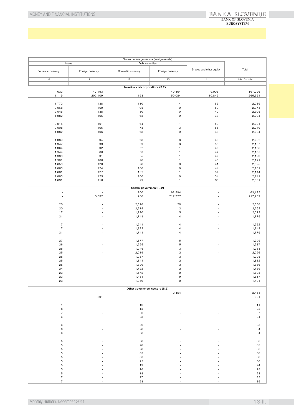|                          |                  | Claims on foreign sectors (foreign assets) |                     |                          |                |
|--------------------------|------------------|--------------------------------------------|---------------------|--------------------------|----------------|
| Loans                    |                  | Debt securities                            |                     |                          |                |
| Domestic currency        | Foreign currency | Domestic currency                          | Foreign currency    | Shares and other equity  | Total          |
| $10$                     | 11               | 12                                         | 13                  | 14                       | $15=10++14$    |
|                          |                  |                                            |                     |                          |                |
|                          |                  | Non-financial corporations (S.2)           |                     |                          |                |
| 633                      | 147,193          | $\overline{\phantom{a}}$                   | 40,464              | 9,005                    | 197,296        |
| 1,119                    | 203,109          | 198                                        | 50,084              | 10,845                   | 265,354        |
|                          |                  |                                            |                     |                          |                |
| 1,772                    | 138              | 110                                        | $\overline{4}$      | 65                       | 2,089          |
| 2,068                    | 160              | 95                                         | $\mathsf{O}\xspace$ | 50                       | 2,374          |
| 2,045                    | 138              | 80                                         | $\mathsf{O}\xspace$ | 42                       | 2,305          |
| 1,982                    | 106              | 68                                         | $\boldsymbol{9}$    | 38                       | 2,204          |
|                          |                  |                                            |                     |                          |                |
| 2,015                    | 101              | 64                                         | $\mathbf{1}$        | 50                       | 2,231          |
|                          |                  |                                            |                     |                          |                |
| 2,008                    | 106              | 78                                         | 3                   | 55                       | 2,249          |
| 1,982                    | 106              | 68                                         | 9                   | 38                       | 2,204          |
|                          |                  |                                            |                     |                          |                |
| 1,989                    | 94               | 68                                         | 8                   | 43                       | 2,202          |
| 1,947                    | 93               | 69                                         | 8                   | 50                       | 2,167          |
| 1,964                    | 92               | 62                                         | $\mathbf{1}$        | 46                       | 2,163          |
| 1,944                    | 86               | 63                                         | $\mathbf{1}$        | 42                       | 2,135          |
| 1,930                    | 91               | 65                                         | $\mathbf{1}$        | 42                       | 2,129          |
| 1,901                    | 106              | 70                                         | $\mathbf{1}$        | 43                       | 2,121          |
| 1,850                    | 126              | 78                                         | $\mathsf{O}\xspace$ | 41                       | 2,095          |
| 1,863                    | 124              | 100                                        | $\mathsf{O}\xspace$ | 44                       | 2,131          |
| 1,881                    | 127              | 102                                        | $\mathbf{1}$        | 34                       | 2,144          |
|                          |                  |                                            |                     |                          |                |
| 1,883                    | 123              | 100                                        | $\mathsf{O}\xspace$ | 34                       | 2,141          |
| 1,831                    | 116              | 99                                         | $\mathbf{1}$        | 35                       | 2,081          |
|                          |                  |                                            |                     |                          |                |
|                          |                  | Central government (S.2)                   |                     |                          |                |
|                          | ä,               | 200                                        | 62,994              | ä,                       | 63,195         |
| $\overline{\phantom{a}}$ | 5,032            | 200                                        | 212,727             | $\overline{\phantom{a}}$ | 217,959        |
|                          |                  |                                            |                     |                          |                |
| 20                       | ä,               | 2,328                                      | 20                  | ä,                       | 2,368          |
| 20                       |                  | 2,219                                      | 12                  |                          | 2,252          |
| $17$                     |                  | 1,990                                      | $\,$ 5 $\,$         | ä,                       | 2,012          |
| 31                       |                  | 1,744                                      | $\overline{4}$      |                          | 1,779          |
|                          |                  |                                            |                     |                          |                |
| 17                       |                  | 1,941                                      | $\overline{4}$      |                          | 1,962          |
| 17                       |                  | 1,822                                      | $\overline{4}$      |                          | 1,843          |
| 31                       |                  | 1,744                                      | $\overline{4}$      | ä,                       | 1,779          |
|                          |                  |                                            |                     |                          |                |
|                          |                  |                                            |                     |                          |                |
| 27                       |                  | 1,877                                      | 5                   |                          | 1,909          |
| 26                       |                  | 1,955                                      | $\,$ 5 $\,$         |                          | 1,987          |
| 25                       |                  | 1,945                                      | 13                  |                          | 1,983          |
| 25                       |                  | 2,019                                      | 12                  |                          | 2,056          |
| 25                       |                  | 1,957                                      | 13                  |                          | 1,995          |
| 25                       |                  | 1,844                                      | 12                  |                          | 1,882          |
| 25                       |                  | 1,829                                      | 13                  |                          | 1,866          |
| 24                       |                  | 1,722                                      | 12                  |                          | 1,759          |
| 23                       |                  | 1,572                                      | $\boldsymbol{9}$    |                          | 1,605          |
| 23                       | ×                | 1,484                                      | 9                   | ×                        | 1,517          |
|                          |                  |                                            | 9                   |                          | 1,401          |
| 23                       |                  | 1,369                                      |                     |                          |                |
|                          |                  | Other government sectors (S.2)             |                     |                          |                |
|                          | ÷,               | ÷,                                         |                     |                          |                |
| ÷,                       | 391              |                                            | 2,454               |                          | 2,454<br>391   |
|                          |                  |                                            |                     |                          |                |
|                          |                  |                                            |                     |                          |                |
| $\mathbf{1}$             |                  | $10$                                       |                     |                          | 11             |
| $\,$ 8 $\,$              |                  | 15                                         |                     |                          | 23             |
| $\boldsymbol{7}$         |                  | $\mathsf{O}\xspace$                        |                     |                          | $\overline{7}$ |
| 6                        |                  | 28                                         |                     |                          | 34             |
|                          |                  |                                            |                     |                          |                |
| 6                        |                  | $30\,$                                     |                     |                          | 35             |
| 6                        |                  | 28                                         |                     |                          | 34             |
| 6                        |                  | 28                                         |                     |                          | 34             |
|                          |                  |                                            |                     |                          |                |
| 5                        |                  | 28                                         |                     |                          | 33             |
| 5                        |                  | 28                                         |                     |                          | 33             |
| 5                        |                  |                                            |                     |                          |                |
|                          |                  | 28                                         |                     |                          | 33             |
| $\,$ 5 $\,$              |                  | 33                                         |                     |                          | 38             |
| $\,$ 5 $\,$              |                  | 33                                         |                     |                          | 38             |
| 5                        |                  | 25                                         |                     |                          | 30             |
| 5                        |                  | 19                                         |                     |                          | 24             |
| 5                        |                  | 18                                         |                     |                          | 23             |
| 5                        |                  | 18                                         |                     |                          | 23             |
| $\overline{7}$           |                  | 27                                         |                     |                          | 35             |
| $\overline{7}$           |                  | 28                                         |                     |                          | 35             |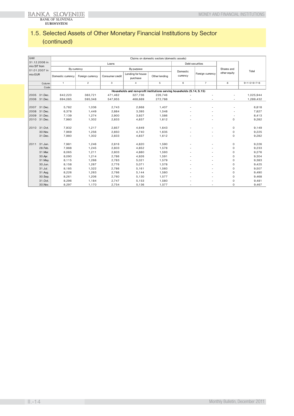# 1.5. Selected Assets of Other Monetary Financial Institutions by Sector (continued)

| Until        |               |                   |                  |                 |                                                                        |                                              |                 |                  |              |               |  |
|--------------|---------------|-------------------|------------------|-----------------|------------------------------------------------------------------------|----------------------------------------------|-----------------|------------------|--------------|---------------|--|
|              | 31.12.2006 in |                   |                  |                 |                                                                        | Claims on domestic sectors (domestic assets) |                 |                  |              |               |  |
| mio SIT from |               |                   |                  | Loans           |                                                                        |                                              | Debt securities |                  |              |               |  |
|              | 01.01.2007 in |                   | By currency      |                 | By purpose                                                             |                                              | Domestic        |                  | Shares and   | Total         |  |
| mio EUR      |               | Domestic currency | Foreign currency | Consumer credit | Lending for house<br>purchase                                          | Other lending                                | currency        | Foreign currency | other equity |               |  |
|              | Column        | 1                 | $\overline{c}$   | 3               | 4                                                                      | 5                                            | 6               | $\overline{7}$   | 8            | $9=1+2+6+7+8$ |  |
|              | Code          |                   |                  |                 |                                                                        |                                              |                 |                  |              |               |  |
|              |               |                   |                  |                 | Households and non-profit institutions serving households (S.14, S.15) |                                              |                 |                  |              |               |  |
| 2005         | 31.Dec.       | 642,223           | 383,721          | 471,462         | 327.736                                                                | 226,746                                      |                 |                  |              | 1,025,944     |  |
|              | 2006 31.Dec.  | 694,085           | 595,348          | 547,955         | 468,689                                                                | 272,788                                      | ٠               | ٠                | ٠            | 1,289,432     |  |
|              |               |                   |                  |                 |                                                                        |                                              |                 |                  |              |               |  |
| 2007         | 31.Dec.       | 5,782             | 1,036            | 2,743           | 2,668                                                                  | 1,407                                        |                 |                  |              | 6,818         |  |
| 2008         | 31.Dec.       | 6,378             | 1.449            | 2.884           | 3,395                                                                  | 1,548                                        |                 |                  |              | 7,827         |  |
| 2009         | 31.Dec.       | 7,139             | 1,274            | 2,900           | 3,927                                                                  | 1,586                                        |                 |                  |              | 8,413         |  |
|              | 2010 31.Dec.  | 7,980             | 1,302            | 2,833           | 4,837                                                                  | 1,612                                        |                 |                  | $\mathbf 0$  | 9,282         |  |
|              |               |                   |                  |                 |                                                                        |                                              |                 |                  |              |               |  |
|              | 2010 31.Oct.  | 7,932             | 1,217            | 2.857           | 4.649                                                                  | 1,643                                        |                 |                  | $\circ$      | 9,149         |  |
|              | 30.Nov.       | 7,969             | 1,256            | 2,850           | 4,740                                                                  | 1,635                                        |                 |                  | $\mathbf 0$  | 9,225         |  |
|              | 31.Dec.       | 7,980             | 1,302            | 2,833           | 4,837                                                                  | 1,612                                        |                 |                  | 0            | 9,282         |  |
|              |               |                   |                  |                 |                                                                        |                                              |                 |                  |              |               |  |
| 2011         | 31.Jan.       | 7,981             | 1,246            | 2,816           | 4,820                                                                  | 1,590                                        |                 |                  | $\mathbf 0$  | 9,226         |  |
|              | 28.Feb.       | 7,988             | 1,245            | 2,803           | 4.852                                                                  | 1,578                                        |                 |                  | $\mathbf 0$  | 9,233         |  |
|              | 31.Mar.       | 8,065             | 1,211            | 2,803           | 4,880                                                                  | 1,593                                        |                 |                  | $\Omega$     | 9,276         |  |
|              | 30.Apr.       | 8,090             | 1,214            | 2,786           | 4,926                                                                  | 1,591                                        |                 |                  | $\mathbf 0$  | 9,304         |  |
|              | 31.May.       | 8,115             | 1,268            | 2,783           | 5,021                                                                  | 1,579                                        |                 |                  | $\mathbf 0$  | 9,383         |  |
|              | 30.Jun.       | 8,158             | 1,267            | 2,776           | 5,071                                                                  | 1,578                                        |                 |                  | $\mathbf 0$  | 9,425         |  |
|              | 31.Jul.       | 8,185             | 1,322            | 2,786           | 5,161                                                                  | 1,560                                        |                 |                  | $\Omega$     | 9,507         |  |
|              | 31.Aug.       | 8,226             | 1,263            | 2,766           | 5,144                                                                  | 1,580                                        |                 |                  | $\mathbf 0$  | 9,490         |  |
|              | 30.Sep.       | 8,261             | 1,206            | 2,760           | 5,130                                                                  | 1,577                                        |                 |                  | $\mathbf 0$  | 9,468         |  |
|              | 31.Oct.       | 8,296             | 1.184            | 2.747           | 5.153                                                                  | 1,580                                        |                 |                  | $\Omega$     | 9,481         |  |
|              | 30.Nov.       | 8,297             | 1,170            | 2,754           | 5,136                                                                  | 1,577                                        |                 |                  | $\mathbf 0$  | 9,467         |  |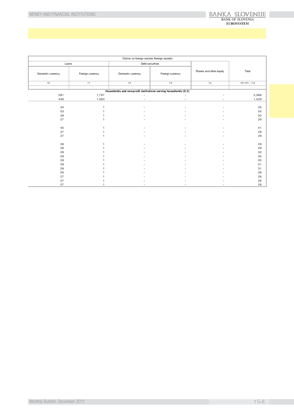|                   |                  | Claims on foreign sectors (foreign assets)                      |                  |                         |              |
|-------------------|------------------|-----------------------------------------------------------------|------------------|-------------------------|--------------|
| Loans             |                  |                                                                 | Debt securities  |                         |              |
| Domestic currency | Foreign currency | Domestic currency                                               | Foreign currency | Shares and other equity | Total        |
| 10                | 11               | 12                                                              | 13               | 14                      | $15=10+.+14$ |
|                   |                  |                                                                 |                  |                         |              |
|                   |                  | Households and non-profit institutions serving households (S.2) |                  |                         |              |
| 591               | 1,797            |                                                                 |                  |                         | 2,388        |
| 346               | 1,083            |                                                                 | ٠                |                         | 1,429        |
| 34                |                  |                                                                 |                  |                         | 35           |
| 53                |                  |                                                                 |                  |                         | 54           |
| 29                |                  |                                                                 |                  |                         | 30           |
| 27                |                  |                                                                 |                  |                         | 29           |
|                   |                  |                                                                 |                  |                         |              |
| 40                |                  |                                                                 |                  |                         | 41           |
| 27                |                  |                                                                 |                  |                         | 28           |
| 27                |                  |                                                                 |                  |                         | 29           |
|                   |                  |                                                                 |                  |                         |              |
| 28                |                  |                                                                 |                  |                         | 29           |
| 28                |                  |                                                                 |                  |                         | 29           |
| 29                |                  |                                                                 |                  |                         | 30           |
| 29                |                  |                                                                 |                  |                         | 30           |
| 29                |                  |                                                                 |                  |                         | 30           |
| 29                |                  |                                                                 |                  |                         | 31           |
| 29                |                  |                                                                 |                  |                         | 31           |
| 26                |                  |                                                                 |                  |                         | 28           |
| 27                |                  |                                                                 |                  |                         | 28           |
| 27                |                  |                                                                 |                  |                         | 28           |
| 27                |                  |                                                                 |                  |                         | 28           |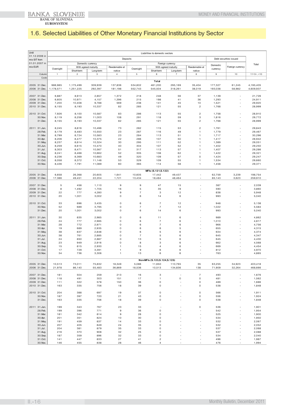**EUROSYSTEM**

# 1.6. Selected Liabilities of Other Monetary Financial Institutions by Sector

| Until                    | Liabilities to domestic sectors |                         |                                           |                     |                                |                                          |                     |                           |                |                          |                  |
|--------------------------|---------------------------------|-------------------------|-------------------------------------------|---------------------|--------------------------------|------------------------------------------|---------------------|---------------------------|----------------|--------------------------|------------------|
| 31.12.2006 in            |                                 |                         |                                           |                     |                                |                                          |                     |                           |                |                          |                  |
| mio SIT from             |                                 |                         |                                           | Deposits            |                                |                                          |                     |                           |                | Debt securities issued   |                  |
| 01.01.2007 in<br>mio EUR |                                 |                         | Domestic currency<br>With agreed maturity | Reedemable at       |                                | Foreign currency<br>With agreed maturity |                     | Reedemable at             | Domestic       | Foreign currency         | Total            |
|                          | Overnight                       | Short-term              | Long-term                                 | notice              | Ovemight                       | Short-term                               | Long-term           | notice                    | currency       |                          |                  |
| Column                   | $\mathbf{1}$                    | $\overline{\mathbf{c}}$ | 3                                         | $\overline{4}$      | 5                              | 6                                        | $\overline{7}$      | 8                         | 9              | 10                       | $11=3++10$       |
| Code                     |                                 |                         |                                           |                     |                                |                                          |                     |                           |                |                          |                  |
|                          |                                 |                         |                                           |                     |                                | Total                                    |                     |                           |                |                          |                  |
| 2005 31.Dec.             | 986,985                         | 1,175,499               | 309,939                                   | 137,836             | 534,802                        | 481,200                                  | 295,169             | 35,404                    | 177,327        | 61,245                   | 4,195,405        |
| 2006 31.Dec.             | 1,178,571                       | 1,251,225               | 292,397                                   | 181,198             | 552,743                        | 545,504                                  | 318,261             | 38,019                    | 193,038        | 58,982                   | 4,609,937        |
| 2007 31.Dec.             | 6,887                           | 8,913                   | 2,857                                     | 1,372               | 218                            | 248                                      | 56                  | 37                        | 1,139          | ÷,                       | 21,726           |
| 2008 31.Dec.             | 6,605                           | 10,971                  | 4,157                                     | 1,396               | 215                            | 198                                      | 41                  | 36                        | 1,293          |                          | 24,911           |
| 2009 31.Dec.             | 7,200                           | 10,408                  | 9,788                                     | 569                 | 238                            | 141                                      | 45                  | 10                        | 1,521          |                          | 29,920           |
| 2010 31.Dec.             | 8,155                           | 8,193                   | 10,337                                    | 82                  | 285                            | 121                                      | 55                  | $\sqrt{2}$                | 1,768          |                          | 28,999           |
| 2010 31.Oct.             | 7,926                           | 8,100                   | 10,587                                    | 83                  | 286                            | 113                                      | 55                  | $\boldsymbol{2}$          | 1,758          | $\sim$                   | 28,910           |
| 30.Nov.                  | 8,119                           | 8,256                   | 11,003                                    | 108                 | 291                            | 118                                      | 59                  | 3                         | 1,816          |                          | 29,772           |
| 31.Dec.                  | 8,155                           | 8,193                   | 10,337                                    | 82                  | 285                            | 121                                      | 55                  | $\boldsymbol{2}$          | 1,768          |                          | 28,999           |
|                          |                                 |                         |                                           |                     |                                |                                          |                     |                           |                |                          |                  |
| 2011 31.Jan.             | 8,245                           | 8,816                   | 10,496                                    | 73                  | 282                            | 115                                      | 53                  | $\mathbf 2$               | 1,761          |                          | 29,843           |
| 28.Feb.                  | 8,179                           | 8,483                   | 10,550                                    | 23                  | 287                            | 116                                      | 49                  | 1                         | 1,779          |                          | 29,467           |
| 31.Mar.<br>30.Apr.       | 8,799<br>8,206                  | 8,724<br>8,477          | 10,583<br>10,375                          | 23<br>22            | 284<br>286                     | 113<br>107                               | 51<br>50            | 1<br>1                    | 1,717<br>1,417 |                          | 30,296<br>28,942 |
| 31.May                   | 8,237                           | 8,614                   | 10,324                                    | 30                  | 295                            | 111                                      | 52                  | 1                         | 1,389          |                          | 29,051           |
| 30.Jun.                  | 8,259                           | 8,615                   | 10,470                                    | 40                  | 304                            | 107                                      | 52                  | 1                         | 1,402          |                          | 29,250           |
| 31.Jul.                  | 8,303                           | 8,471                   | 10,567                                    | 51                  | 317                            | 113                                      | 57                  | 1                         | 1,407          |                          | 29,286           |
| 31.Aug.                  | 8,241                           | 8,468                   | 10,662                                    | 52                  | 305                            | 108                                      | 62                  | 1                         | 1,422          |                          | 29,321           |
| 30.Sep.                  | 8,236                           | 8,369                   | 10,683                                    | 49                  | 320                            | 109                                      | 57                  | 0                         | 1,424          |                          | 29,247           |
| 31.Oct.<br>30.Nov.       | 8,058                           | 8,372<br>7,791          | 11,148<br>11,089                          | 53<br>60            | 329<br>365                     | 109<br>114                               | 55<br>58            | $\overline{1}$<br>1       | 1,534<br>1,458 |                          | 29,660           |
|                          | 8,436                           |                         |                                           |                     |                                |                                          |                     |                           |                |                          | 29,371           |
|                          |                                 |                         |                                           |                     |                                | MFIs (S.121, S.122)                      |                     |                           |                |                          |                  |
| 2005 31.Dec.             | 6,658                           | 26,368                  | 20,605                                    | 1,641               | 10,605                         | 17,442                                   | 49,437              | $\overline{\phantom{a}}$  | 62,759         | 3,239                    | 198,754          |
| 2006 31.Dec.             | 17,386                          | 49,451                  | 22,204                                    | 1,721               | 13,434                         | 18,484                                   | 48,464              | ÷,                        | 85,143         | 3,623                    | 259,910          |
| 2007 31.Dec.             | 5                               | 458                     | 1,110                                     | 9                   | 9                              | 47                                       | 15                  |                           | 387            |                          | 2,039            |
| 2008 31.Dec.             | 8                               | 1,492                   | 1,705                                     | 16                  | 5                              | 35                                       | 9                   | ÷.                        | 590            |                          | 3,860            |
| 2009 31.Dec.             | 22                              | 777                     | 4,280                                     | 9                   | $\overline{7}$                 | 3                                        | 12                  |                           | 838            |                          | 5,948            |
| 2010 31.Dec.             | 20                              | 1,001                   | 3,002                                     | $\circ$             | 6                              | 14                                       | 6                   | ä,                        | 993            |                          | 5,040            |
|                          |                                 |                         |                                           |                     |                                |                                          |                     |                           |                |                          |                  |
| 2010 31.Oct.             | 33                              | 696                     | 3,435                                     | $\circ$             | 6                              | $\overline{7}$                           | 12                  |                           | 948            |                          | 5,138            |
| 30.Nov.                  | 52                              | 689                     | 3,795                                     | 0<br>0              | $\overline{7}$<br>6            | $\overline{7}$<br>14                     | 12<br>6             | ÷,<br>÷,                  | 1,022          |                          | 5,584            |
| 31.Dec.                  | 20                              | 1,001                   | 3,002                                     |                     |                                |                                          |                     |                           | 993            |                          | 5,040            |
| 2011 31.Jan.             | 30                              | 835                     | 2,985                                     | $\mathsf{O}\xspace$ | 6                              | 11                                       | 6                   | ä,                        | 989            |                          | 4,862            |
| 28.Feb.                  | 24                              | 777                     | 2,985                                     | $\circ$             | 6                              | $\overline{7}$                           | 6                   |                           | 1,010          |                          | 4,817            |
| 31.Mar.                  | 28                              | 772                     | 2,971                                     | 0                   | 6                              | $\overline{7}$                           | 6                   |                           | 966            |                          | 4,756            |
| 30.Apr.                  | 19                              | 689                     | 2,935                                     | 0<br>$\circ$        | 6                              | 6                                        | 5                   | ÷.                        | 655            |                          | 4,315            |
| 31.May<br>30.Jun.        | 38<br>38                        | 837<br>761              | 2,848<br>2,885                            | $\mathsf{O}\xspace$ | 6<br>$\overline{\mathfrak{c}}$ | 5<br>5                                   | 6<br>6              |                           | 634<br>645     |                          | 4,374<br>4,347   |
| 31.Jul.                  | 24                              | 850                     | 2,887                                     | $\circ$             | 13                             | 5                                        | 6                   |                           | 645            |                          | 4,430            |
| 31.Aug.                  | 23                              | 949                     | 2,916                                     | 0                   | 8                              | 3                                        | 6                   |                           | 662            |                          | 4,568            |
| 30.Sep.                  | 15                              | 815                     | 2,930                                     | $\overline{1}$      | 15                             | $\overline{4}$                           | 6                   |                           | 669            |                          | 4,454            |
| 31.Oct.                  | 17                              | 729                     | 3,391                                     | 1                   | 9                              | 6                                        | 6                   |                           | 812            |                          | 4,970            |
| 30.Nov.                  | 34                              | 736                     | 3,306                                     | 1                   | 13                             | 6                                        | 6                   | ÷,                        | 763            |                          | 4,865            |
|                          |                                 |                         |                                           |                     |                                | Non-MFIs (S.123, S.124, S.125)           |                     |                           |                |                          |                  |
| 2005 31.Dec.             | 10,513                          | 73,011                  | 75,832                                    | 18,349              | 5,086                          | 11,650                                   | 110,765             | 35                        | 63,255         | 34,923                   | 403,418          |
| 2006 31.Dec.             | 21,978                          | 86.140                  | 55,483                                    | 36,869              | 18,536                         | 10,513                                   | 134,836             | 138                       | 71,909         | 32,264                   | 468,666          |
| 2007 31.Dec.             | 181                             | 504                     | 259                                       | 213                 | 16                             | 3                                        |                     | $\overline{\mathfrak{c}}$ | 493            |                          | 1,676            |
| 2008 31.Dec.             | 118                             | 491                     | 303                                       | 151                 | 17                             | 1                                        | $\mathsf{O}\xspace$ | 0                         | 481            |                          | 1,562            |
| 2009 31.Dec.             | 111                             | 322                     | 578                                       | 150                 | 36                             | $\mathsf O$                              | ÷,                  | 0                         | 489            | $\sim$                   | 1,686            |
| 2010 31.Dec.             | 163                             | 335                     | 756                                       | 18                  | 39                             | $\mathsf{O}$                             |                     | 0                         | 538            | $\sim$                   | 1,848            |
|                          |                                 |                         |                                           |                     |                                |                                          |                     |                           |                |                          |                  |
| 2010 31.Oct.             | 204                             | 388                     | 697                                       | 19                  | 37                             | $\mathsf O$                              |                     | 0                         | 566            |                          | 1,911            |
| 30.Nov.                  | 187                             | 397                     | 720                                       | 21                  | 43                             | $\mathsf{O}\xspace$                      | ÷                   | 0                         | 556            | $\overline{\phantom{a}}$ | 1,924            |
| 31.Dec.                  | 163                             | 335                     | 756                                       | 18                  | 39                             | $\mathsf{O}\xspace$                      |                     | 0                         | 538            |                          | 1,848            |
| 2011 31.Jan.             | 199                             | 343                     | 767                                       | 23                  | 33                             | $\overline{\phantom{a}}$                 |                     | 0                         | 536            |                          | 1,901            |
| 28.Feb.                  | 199                             | 396                     | 771                                       | $\mathsf g$         | 36                             | $\mathsf O$                              |                     | ÷,                        | 542            |                          | 1,954            |
| 31.Mar.                  | 181                             | 342                     | 814                                       | $\mathsf g$         | 28                             | 0                                        |                     | ÷,                        | 525            |                          | 1,900            |
| 30.Apr.                  | 201                             | 351                     | 824                                       | 10                  | 30                             | $\mathsf O$                              |                     | ÷,                        | 534            |                          | 1,950            |
| 31.May.                  | 191                             | 459                     | 837                                       | 14                  | 33                             | $\mathsf{O}\xspace$                      |                     | $\sim$                    | 532            |                          | 2,067            |
| 30.Jun.<br>31.Jul.       | 207<br>204                      | 405<br>381              | 849<br>879                                | 24<br>35            | 35<br>33                       | $\mathsf O$<br>$\mathsf{O}\xspace$       |                     | ÷,<br>÷,                  | 532<br>537     |                          | 2,052<br>2,068   |
| 31.Aug.                  | 216                             | 370                     | 908                                       | 32                  | 25                             | $\mathsf O$                              |                     | $\frac{1}{2}$             | 537            |                          | 2,088            |
| 30.Sep.                  | 187                             | 359                     | 896                                       | 32                  | 33                             | $\mathsf{O}\xspace$                      |                     | ÷,                        | 534            |                          | 2,040            |
| 31.Oct.                  | 141                             | 447                     | 833                                       | 27                  | 41                             | $\overline{\mathbf{c}}$                  |                     | ÷,                        | 496            | ÷,                       | 1,987            |
| 30.Nov.                  | 146                             | 455                     | 838                                       | 28                  | 46                             | $\overline{4}$                           |                     | $\sim$                    | 476            |                          | 1,994            |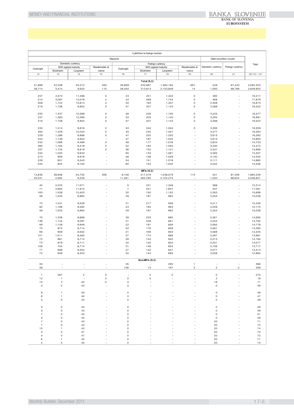| Liabilities to foreign sectors |                       |                        |                                        |                               |                      |                |                              |                          |                                |                   |  |
|--------------------------------|-----------------------|------------------------|----------------------------------------|-------------------------------|----------------------|----------------|------------------------------|--------------------------|--------------------------------|-------------------|--|
|                                |                       |                        |                                        | Deposits                      |                      |                |                              | Debt securities issued   |                                |                   |  |
|                                |                       | Domestic currency      |                                        |                               | Foreign currency     |                |                              |                          |                                | Total             |  |
| Overnight                      |                       | With agreed maturity   | Reedemable at                          | Ovemight                      | With agreed maturity |                | Reedemable at                | Domestic currency        | Foreign currency               |                   |  |
|                                | Short-term            | Long-term              | notice                                 |                               | Short-term           | Long-term      | notice                       |                          |                                |                   |  |
| 12                             | 13                    | $14$                   | 15                                     | 16                            | 17                   | 18             | 19                           | 20                       | 21                             | $22 - 12 +  + 21$ |  |
|                                |                       |                        |                                        |                               | Total (S.2)          |                |                              |                          |                                |                   |  |
| 21,896                         | 42,339                | 55,272                 | 463                                    | 36,869                        | 232,897              | 1,584,184      | 691                          | 249                      | 87,443                         | 2,062,303         |  |
| 28,714                         | 5,474                 | 9,620                  | 110                                    | 38,450                        | 313,813              | 2,153,848      | 14                           | 1,093                    | 98,766                         | 2,649,902         |  |
|                                |                       |                        |                                        |                               |                      |                |                              |                          |                                |                   |  |
| 257<br>210                     | 2,573<br>3,087        | 11,288<br>12,076       | $\mathbf 5$<br>$\overline{\mathbf{4}}$ | 23<br>22                      | 251<br>269           | 1,432<br>1,744 | $\mathsf{O}$<br>$\mathsf{O}$ | 390<br>468               | $\overline{\phantom{a}}$<br>ä, | 16,217<br>17,879  |  |
| 308                            | 1,722                 | 10,813                 | $\boldsymbol{2}$                       | 50                            | 163                  | 1,307          | $\mathsf{O}$                 | 2,308                    | ÷                              | 16,673            |  |
| 216                            | 1,708                 | 9,902                  | $\mathsf{o}$                           | 57                            | 207                  | 1,143          | $\mathsf{O}$                 | 3,288                    | ÷                              | 16,522            |  |
|                                |                       |                        |                                        |                               |                      |                |                              |                          |                                |                   |  |
| 230                            | 1,437                 | 10,288                 | 0                                      | 46                            | 226                  | 1,105          | $\mathsf{O}$                 | 3,245                    | ÷                              | 16,577            |  |
| 237<br>216                     | 1,383<br>1,708        | 10,369<br>9,902        | $\overline{c}$<br>0                    | 53<br>57                      | 203<br>207           | 1,140<br>1,143 | $\mathsf{O}$<br>$\mathsf{O}$ | 3,294<br>3,288           | ł,<br>÷                        | 16,681<br>16,522  |  |
|                                |                       |                        |                                        |                               |                      |                |                              |                          |                                |                   |  |
| 230                            | 1,514                 | 9,816                  | $\boldsymbol{2}$                       | 53                            | 244                  | 1,054          | $\mathsf{O}$                 | 3,295                    | ł,                             | 16,209            |  |
| 292                            | 1,329                 | 10,024                 | 0                                      | 45                            | 240                  | 1,057          |                              | 3,277                    | ł,                             | 16,263            |  |
| 229                            | 1,286                 | 9,888                  | 0                                      | 47                            | 202                  | 1,025          | ÷,                           | 3,615                    | ä,                             | 16,292            |  |
| 224                            | 1,149                 | 9,653                  | J.                                     | 47                            | 187                  | 1,025          | ÷                            | 3,615                    | ä,                             | 15,900            |  |
| 232                            | 1,086                 | 9,489                  | 0                                      | 48                            | 177                  | 1,078          | $\sim$                       | 3,623                    | $\sim$                         | 15,733            |  |
| 260                            | 1,165                 | 9,418                  | $\mathsf{O}\xspace$                    | 52                            | 183                  | 1,064          |                              | 3,330                    | ä,                             | 15,472            |  |
| 237                            | 1,134                 | 9,619                  | $\mathsf{O}\xspace$                    | 56                            | 152                  | 1,121          | ÷,                           | 3,347                    | ä,                             | 15,666            |  |
| 245                            | 1,020                 | 9,633                  |                                        | 60                            | 153                  | 1,081          |                              | 3,365                    |                                | 15,557            |  |
| 273                            | 909                   | 9,678                  | J.                                     | 58                            | 158                  | 1,029          | ÷,                           | 3,140                    | l,                             | 15,245            |  |
| 229                            | 851                   | 9,545                  | ÷,<br>$\sim$                           | 54<br>60                      | 151                  | 1,018          | ÷,<br>÷                      | 3,111                    | ÷,<br>÷,                       | 14,960            |  |
| 225                            | 825                   | 9,193                  |                                        |                               | 153                  | 1,040          |                              | 3,042                    |                                | 14,538            |  |
|                                |                       |                        |                                        |                               | MFIs (S.2)           |                |                              |                          |                                |                   |  |
| 14,836                         | 38,958                | 54,705                 | 308                                    | 8,108                         | 217,019              | 1,538,579      | 110                          | 201                      | 87,406                         | 1,960,229         |  |
| 20,031                         | 2,562                 | 9,249                  | ÷,                                     | 11,281                        | 293,780              | 2,102,275      |                              | 1,020                    | 98,624                         | 2,538,821         |  |
|                                | 2,225                 |                        | ÷,                                     |                               | 231                  | 1,348          |                              | 388                      | $\sim$                         |                   |  |
| 45<br>71                       | 2,893                 | 11,071<br>11,815       | Î.                                     | $\mathbf 5$<br>$\overline{7}$ | 251                  | 1,607          |                              | 437                      | ÷                              | 15,314<br>17,081  |  |
| 163                            | 1,538                 | 10,403                 |                                        | 30                            | 150                  | 1,152          |                              | 2,263                    |                                | 15,699            |  |
| 59                             | 1,533                 | 8,994                  |                                        | 29                            | 197                  | 962            | ÷,                           | 3,254                    | $\overline{\phantom{a}}$       | 15,028            |  |
|                                |                       |                        |                                        |                               |                      |                |                              |                          |                                |                   |  |
| 72                             | 1,241                 | 9,529                  |                                        | 21                            | 217                  | 938            |                              | 3,211                    | Ĭ.                             | 15,229            |  |
| 82                             | 1,189                 | 9,460                  |                                        | 23                            | 193                  | 963            | $\overline{\phantom{a}}$     | 3,259                    | Ĭ.                             | 15,170            |  |
| 59                             | 1,533                 | 8,994                  |                                        | 29                            | 197                  | 962            | L,                           | 3,254                    | Ĭ.                             | 15,028            |  |
| 70                             | 1,336                 | 8,888                  |                                        | 28                            | 233                  | 880            |                              | 3,261                    |                                | 14,695            |  |
| 136                            | 1,144                 | 9,097                  |                                        | 21                            | 228                  | 881            |                              | 3,243                    | ä,                             | 14,750            |  |
| 69                             | 1,109                 | 8,949                  |                                        | 22                            | 191                  | 856            | $\overline{\phantom{a}}$     | 3,582                    | $\overline{a}$                 | 14,778            |  |
| 70                             | 972                   | 8,714                  |                                        | 22                            | 176                  | 859            | $\sim$                       | 3,581                    | $\sim$                         | 14,395            |  |
| 66                             | 908                   | 8,552                  |                                        | 21                            | 166                  | 903            |                              | 3,589                    | Ĭ.                             | 14,205            |  |
| 101                            | 1,011                 | 8,482                  |                                        | 27                            | 174                  | 888            |                              | 3,297                    |                                | 13,981            |  |
| 72                             | 981                   | 8,714                  |                                        | 29                            | 144                  | 940            |                              | 3,313                    |                                | 14,194            |  |
| 73                             | 879                   | 8,711                  |                                        | 34                            | 145                  | 904            | ÷,                           | 3,331                    | Ĭ.                             | 14,077            |  |
| 108                            | 754                   | 8,714                  | Î.                                     | 31                            | 149                  | 854            | $\sim$                       | 3,106                    | $\sim$                         | 13,717            |  |
| $77$                           | 688                   | 8,554                  | ÷,                                     | 27                            | 142                  | 847            |                              | 3,077                    | ä,                             | 13,413            |  |
| 72                             | 659                   | 8,203                  | r.                                     | 34                            | 144                  | 865            | ÷,                           | 3,008                    | Ĭ.                             | 12,984            |  |
|                                |                       |                        |                                        |                               | Non-MFIs (S.2)       |                |                              |                          |                                |                   |  |
| 35                             |                       | ÷,                     | Ĭ.                                     | 35                            |                      | 295            | 1                            | $\overline{\phantom{a}}$ | $\overline{a}$                 | 366               |  |
| 38                             |                       |                        | J.                                     | 106                           | 13                   | 197            | $\sqrt{2}$                   | $\overline{c}$           | $\mathsf 0$                    | 359               |  |
| $\mathbf{1}$                   |                       |                        | 0                                      |                               | 4                    | 0              |                              | $\mathsf{O}\xspace$      |                                |                   |  |
| 12                             | 267<br>$\overline{1}$ | $\boldsymbol{2}$<br>÷, | 0                                      | 0                             | 3                    |                |                              | $\boldsymbol{2}$         |                                | 275<br>19         |  |
| 10                             | 3                     | 40                     | 0                                      | $\mathsf O$                   |                      |                |                              | 18                       |                                | 71                |  |
| $\mathbf 5$                    | $\mathsf{O}\xspace$   | 43                     | J.                                     | 0                             |                      |                |                              | 0                        |                                | 49                |  |
|                                |                       |                        |                                        |                               |                      |                |                              |                          |                                |                   |  |
| 8                              | $\mathbf{1}$          | 40                     |                                        | $\mathsf O$                   |                      |                |                              | $\mathsf{O}\xspace$      | $\sim$                         | 49                |  |
| 6                              | $\mathbf{1}$          | 40                     |                                        | $\mathsf O$                   |                      |                |                              | 0                        |                                | 47                |  |
| 5                              | 0                     | 43                     |                                        | $\mathsf O$                   |                      |                |                              | 0                        | $\overline{a}$                 | 49                |  |
| 5                              | 0                     | 43                     |                                        | $\mathsf O$                   |                      |                |                              | 0                        |                                | 49                |  |
| $\,$ 5 $\,$                    | $\mathsf{O}\xspace$   | 43                     |                                        | $\mathsf O$                   |                      |                |                              | 0                        |                                | 49                |  |
| $\overline{\mathfrak{c}}$      | 0                     | 43                     |                                        | $\mathsf O$                   |                      |                |                              | 0                        |                                | 51                |  |
| 5                              | 0                     | 43                     |                                        | $\mathsf O$                   |                      |                |                              | $\mathsf O$              |                                | 49                |  |
| $\overline{7}$                 | $\circ$               | 43                     |                                        | 0                             |                      |                |                              | 20                       |                                | 71                |  |
| $\overline{\mathfrak{c}}$      | 0                     | 43                     |                                        | 0                             |                      |                |                              | 20                       |                                | 70                |  |
| 10                             | $\mathbf{1}$          | 43                     |                                        | 0                             |                      |                |                              | 20                       |                                | 74                |  |
| 5                              | 0                     | 47                     |                                        | $\mathsf O$                   |                      |                |                              | 20                       |                                | $\bf 72$          |  |
| 5                              | 0                     | 47                     |                                        | $\mathsf O$                   |                      |                |                              | 20                       |                                | $\bf 72$          |  |
| 6                              | $\mathbf{1}$          | 45                     |                                        | 0                             |                      |                |                              | 20                       |                                | 71                |  |

4 5 45 - 0 - - - - 20 - 74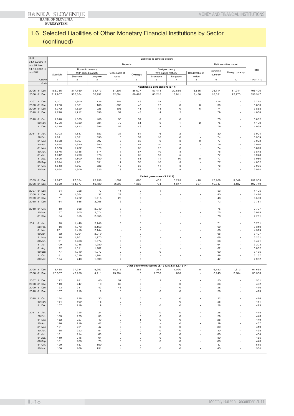# 1.6. Selected Liabilities of Other Monetary Financial Institutions by Sector (continued)

| Until                         | Liabilities to domestic sectors |                      |                  |                                    |                                            |                                                 |                                    |                                    |                  |                                    |                    |
|-------------------------------|---------------------------------|----------------------|------------------|------------------------------------|--------------------------------------------|-------------------------------------------------|------------------------------------|------------------------------------|------------------|------------------------------------|--------------------|
| 31.12.2006 in                 |                                 |                      |                  | Deposits                           |                                            |                                                 |                                    |                                    |                  | Debt securities issued             |                    |
| mio SIT from<br>01.01.2007 in |                                 | Domestic currency    |                  |                                    |                                            |                                                 | Foreign currency                   |                                    |                  |                                    |                    |
| mio EUR                       |                                 | With agreed maturity |                  | Reedemable at                      |                                            |                                                 | With agreed maturity               | Reedemable at                      | Domestic         | Foreign currency                   | Total              |
|                               | Overnight                       | Short-term           | Long-term        | notice                             | Ovemight                                   | Short-term                                      | Long-term                          | notice                             | currency         |                                    |                    |
| Column                        | $\mathbf 1$                     | $\boldsymbol{2}$     | 3                | 4                                  | $\mathbf 5$                                | $\,6\,$                                         | $\overline{7}$                     | 8                                  | 9                | 10                                 | $11 = 3 +  + 10$   |
| Code                          |                                 |                      |                  |                                    |                                            |                                                 |                                    |                                    |                  |                                    |                    |
|                               |                                 |                      |                  |                                    |                                            | Non-financial corporations (S.11)               |                                    |                                    |                  |                                    |                    |
| 2005 31.Dec.<br>2006 31.Dec.  | 185,785<br>219,967              | 317,159<br>305,864   | 34,773<br>30,992 | 51,807<br>72,094                   | 85,077<br>89,487                           | 53,414<br>63,215                                | 22,685<br>18,941                   | 6,835<br>7,486                     | 26,714<br>18,331 | 11,241<br>12,170                   | 795,490<br>838,547 |
|                               |                                 |                      |                  |                                    |                                            |                                                 |                                    |                                    |                  |                                    |                    |
| 2007 31.Dec.                  | 1,301                           | 1,800                | 126              | 351                                | 49                                         | 24                                              | $\mathbf{1}$                       | $\overline{\mathfrak{c}}$          | 116              | ÷,                                 | 3,774              |
| 2008 31.Dec.                  | 1,250                           | 1,881                | 166              | 339                                | 45                                         | 12                                              | $\mathsf{O}$                       | 8                                  | 99               |                                    | 3,800              |
| 2009 31.Dec.                  | 1,372                           | 1,829                | 225              | 306                                | 41                                         | 14                                              | $\mathsf{O}$                       | 6                                  | 74               |                                    | 3,868              |
| 2010 31.Dec.                  | 1,748                           | 1,712                | 396              | 52                                 | 43                                         | $\sqrt{4}$                                      | $\sqrt{2}$                         | $\mathbf{1}$                       | 79               | ÷,                                 | 4,038              |
| 2010 31.Oct.                  | 1,618                           | 1,665                | 406              | 50                                 | 59                                         | 8                                               | 0                                  | $\mathbf{1}$                       | 75               | $\overline{\phantom{a}}$           | 3,882              |
| 30.Nov.                       | 1,726                           | 1,780                | 384              | 72                                 | 51                                         | 9                                               | 1                                  | $\sqrt{2}$                         | 75               |                                    | 4,100              |
| 31.Dec.                       | 1,748                           | 1,712                | 396              | 52                                 | 43                                         | 4                                               | $\sqrt{2}$                         | $\mathbf{1}$                       | 79               | ä,                                 | 4,038              |
|                               |                                 |                      |                  |                                    |                                            |                                                 |                                    |                                    |                  |                                    |                    |
| 2011 31.Jan.                  | 1,703                           | 1,637                | 383              | 37                                 | 54                                         | 6                                               | $\sqrt{2}$                         | $\mathbf{1}$                       | 80               | ٠                                  | 3,904              |
| 28.Feb.<br>31.Mar.            | 1,691<br>1,658                  | 1,681<br>1,707       | 390<br>397       | 5<br>6                             | 57<br>63                                   | 10<br>9                                         | $\mathsf O$<br>3                   | 0                                  | 74<br>77         |                                    | 3,909<br>3,922     |
| 30.Apr.                       | 1,674                           | 1,690                | 380              | 5                                  | 67                                         | 10                                              | 4                                  |                                    | 79               |                                    | 3,910              |
| 31.May                        | 1,579                           | 1,702                | 379              | $\mathbf 9$                        | 62                                         | 12                                              | $\ensuremath{\mathsf{3}}$          | $\overline{\phantom{a}}$           | 74               | ä,                                 | 3,820              |
| 30.Jun.                       | 1,575                           | 1,736                | 374              | $\overline{7}$                     | 67                                         | 10                                              | $\ensuremath{\mathsf{3}}$          | $\overline{\phantom{a}}$           | 76               |                                    | 3,848              |
| 31.Jul.                       | 1,612                           | 1,790                | 378              | $\overline{7}$                     | 65                                         | 13                                              | $\overline{5}$                     |                                    | 77               |                                    | 3,948              |
| 31.Aug.                       | 1,605                           | 1,800                | 380              | $\overline{7}$                     | 68                                         | 11                                              | 10                                 | 0                                  | 77               |                                    | 3,960              |
| 30.Sep.<br>31.Oct.            | 1,624<br>1,543                  | 1,901<br>1,897       | 351<br>328       | $\overline{7}$<br>15               | 58<br>63                                   | 10<br>11                                        | 3<br>3                             |                                    | 77<br>76         |                                    | 4,032<br>3,935     |
| 30.Nov.                       | 1,664                           | 1,809                | 325              | 19                                 | 69                                         | 9                                               | $\overline{4}$                     |                                    | 74               | ä,                                 | 3,974              |
|                               |                                 |                      |                  |                                    |                                            |                                                 |                                    |                                    |                  |                                    |                    |
|                               |                                 |                      |                  |                                    |                                            | Central government (S.1311)                     |                                    |                                    |                  |                                    |                    |
| 2005 31.Dec.<br>2006 31.Dec.  | 12,647<br>4,659                 | 97,654<br>154,577    | 12,958<br>16,720 | 1,609<br>2,998                     | 865<br>1,283                               | 432<br>704                                      | 3,223<br>1,647                     | 410<br>627                         | 17,106<br>10,347 | 5,649                              | 152,553<br>197,749 |
|                               |                                 |                      |                  |                                    |                                            |                                                 |                                    |                                    |                  | 4,187                              |                    |
| 2007 31.Dec.                  | 34                              | 928                  | 77               | 11                                 | $\mathsf{O}\xspace$                        | $\mathbf{1}$                                    |                                    |                                    | 53               | ٠                                  | 1,105              |
| 2008 31.Dec.                  | 8                               | 1,364                | 37               | 22                                 | $\mathsf{O}\xspace$                        | ä,                                              |                                    |                                    | 40               |                                    | 1,470              |
| 2009 31.Dec.                  | 71                              | 1,722                | 1,715            | 29                                 | $\mathsf{O}\xspace$                        |                                                 |                                    |                                    | 43               |                                    | 3,580              |
| 2010 31.Dec.                  | 64                              | 555                  | 2,055            | 3                                  | $\mathsf{O}\xspace$                        |                                                 |                                    |                                    | 73               | ÷,                                 | 2,751              |
| 2010 31.Oct.                  | 10                              | 668                  | 2,040            | 3                                  | $\mathsf{O}\xspace$                        |                                                 |                                    |                                    | 75               |                                    | 2,797              |
| 30.Nov.                       | 57                              | 805                  | 2,074            | 3                                  | $\mathsf 0$                                |                                                 |                                    |                                    | 75               |                                    | 3,015              |
| 31.Dec.                       | 64                              | 555                  | 2,055            | 3                                  | $\mathsf{O}\xspace$                        |                                                 |                                    |                                    | 73               | ÷,                                 | 2,751              |
|                               |                                 |                      |                  |                                    |                                            |                                                 |                                    |                                    |                  |                                    |                    |
| 2011 31.Jan.                  | 90                              | 1,448                | 2,148            | 3                                  | $\mathsf{O}\xspace$                        |                                                 |                                    |                                    | 71               |                                    | 3,761              |
| 28.Feb.<br>31.Mar.            | 16<br>701                       | 1,073<br>1,416       | 2,153<br>2,144   |                                    | 0<br>0                                     |                                                 |                                    |                                    | 69<br>68         |                                    | 3,310<br>4,329     |
| 30.Apr.                       | 32                              | 1,291                | 2,019            |                                    | $\mathsf{O}\xspace$                        |                                                 |                                    |                                    | 66               | ä,                                 | 3,407              |
| 31.May                        | 10                              | 1,201                | 1,973            | 0                                  | $\mathsf{O}\xspace$                        |                                                 |                                    |                                    | 66               |                                    | 3,251              |
| 30.Jun.                       | 91                              | 1,288                | 1,974            | 3                                  | $\mathsf{O}\xspace$                        |                                                 |                                    |                                    | 66               |                                    | 3,421              |
| 31.Jul.                       | 109                             | 1,048                | 1,980            | $\overline{c}$                     | 0                                          |                                                 |                                    |                                    | 64               |                                    | 3,203              |
| 31.Aug.                       | 22                              | 1,011                | 1,982            | 6                                  | 0                                          |                                                 |                                    |                                    | 62               |                                    | 3,082              |
| 30.Sep.<br>31.Oct.            | 77<br>81                        | 1,019<br>1,039       | 1,977<br>1,984   | $\overline{c}$<br>3                | $\mathsf{O}\xspace$<br>$\mathsf{O}\xspace$ | 0                                               |                                    |                                    | 60<br>49         |                                    | 3,135<br>3,157     |
| 30.Nov.                       | 154                             | 740                  | 1,990            | $\sqrt{2}$                         | 0                                          |                                                 |                                    |                                    | 47               | Ĭ.                                 | 2,932              |
|                               |                                 |                      |                  |                                    |                                            |                                                 |                                    |                                    |                  |                                    |                    |
|                               |                                 |                      |                  |                                    |                                            | Other government sectors (S.1312,S.1313,S.1314) |                                    |                                    |                  |                                    |                    |
| 2005 31.Dec.<br>2006 31.Dec.  | 18,488<br>20,507                | 37,244<br>42,158     | 8,257<br>4,711   | 18,215<br>15,994                   | 386<br>5                                   | 264<br>2,763                                    | 1,020<br>696                       | 0<br>$\sim$                        | 6,182<br>6,243   | 1,612<br>2,284                     | 91,668<br>95,363   |
|                               |                                 |                      |                  |                                    |                                            |                                                 |                                    |                                    |                  |                                    |                    |
| 2007 31.Dec.                  | 122                             | 281                  | 40               | 57                                 | $\mathsf{O}\xspace$                        | 2                                               | ÷,                                 |                                    | 50               | Ĭ.                                 | 551                |
| 2008 31.Dec.                  | 119                             | 247                  | 19               | 60                                 | $\mathsf{O}\xspace$                        | L,                                              | $\mathsf{O}\xspace$                |                                    | 36               | ä,                                 | 482                |
| 2009 31.Dec.                  | 123                             | 231                  | 47               | 46                                 | 0                                          | ÷                                               | $\mathsf O$                        | $\overline{\phantom{a}}$           | 28               | $\overline{a}$                     | 476                |
| 2010 31.Dec.                  | 157                             | 219                  | 19               | $\mathsf{O}\xspace$                | 0                                          | 0                                               | $\mathsf O$                        | ÷,                                 | 28               | $\overline{\phantom{a}}$           | 425                |
| 2010 31.Oct.                  | 174                             | 236                  | 33               | 1                                  | $\mathsf 0$                                | $\overline{\phantom{a}}$                        | $\mathsf{O}$                       | $\sim$                             | 32               | $\sim$                             | 476                |
| 30.Nov.                       | 164                             | 199                  | 18               | $\boldsymbol{2}$                   | 0                                          | ÷,                                              | $\mathsf O$                        | ÷,                                 | 28               | ÷,                                 | 411                |
| 31.Dec.                       | 157                             | 219                  | 19               | $\mathsf{O}\xspace$                | $\mathsf{O}\xspace$                        | 0                                               | $\mathsf O$                        | ÷,                                 | 28               | ÷                                  | 425                |
|                               |                                 |                      |                  |                                    |                                            |                                                 |                                    |                                    |                  |                                    |                    |
| 2011 31.Jan.                  | 141                             | 225<br>225           | 24<br>50         | 0<br>$\mathsf O$                   | 0                                          | 0<br>0                                          | $\mathsf O$<br>$\mathsf{O}\xspace$ | $\overline{\phantom{a}}$<br>$\sim$ | 28               | $\overline{a}$<br>$\sim$           | 418                |
| 28.Feb.<br>31.Mar.            | 139<br>152                      | 227                  | 40               | 0                                  | 0<br>1                                     | 0                                               | $\mathsf{O}\xspace$                | $\sim$                             | 29<br>28         | $\overline{\phantom{a}}$           | 443<br>449         |
| 30.Apr.                       | 146                             | 219                  | 42               | 0                                  | $\mathsf{O}\xspace$                        | ÷,                                              | $\mathsf O$                        | ÷,                                 | 29               |                                    | 437                |
| 31.May.                       | 121                             | 221                  | 47               | 0                                  | $\mathsf{O}\xspace$                        | 0                                               | 0                                  |                                    | 30               | ÷,                                 | 419                |
| 30.Jun.                       | 135                             | 222                  | 51               | 0                                  | 0                                          | 0                                               | $\mathsf O$                        |                                    | 30               | ÷,                                 | 438                |
| 31.Jul.                       | 131                             | 214                  | 60               | 0                                  | 0                                          | 0                                               | $\mathsf{O}\xspace$                | $\overline{a}$                     | 30               | ÷,                                 | 434                |
| 31.Aug.                       | 149                             | 215                  | 61               | 0                                  | 0                                          | 0                                               | $\mathsf{O}\xspace$                | $\sim$                             | 30               | $\sim$                             | 455                |
| 30.Sep.<br>31.Oct.            | 131<br>129                      | 200<br>187           | 78<br>150        | $\circ$<br>$\overline{\mathbf{c}}$ | 0<br>$\mathsf 0$                           | 0<br>÷,                                         | $\mathsf{O}\xspace$<br>$\mathsf O$ | $\sim$<br>$\sim$                   | 30<br>47         | $\sim$<br>$\overline{\phantom{a}}$ | 440<br>515         |
| 30.Nov.                       | 166                             | 169                  | 151              | $\overline{4}$                     | 0                                          | 0                                               | $\mathsf O$                        | ÷,                                 | 45               | ÷,                                 | 534                |
|                               |                                 |                      |                  |                                    |                                            |                                                 |                                    |                                    |                  |                                    |                    |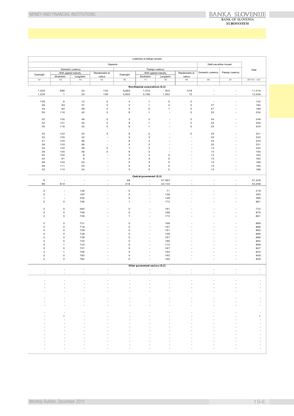| Liabilities to foreign sectors |                                     |                                       |                                         |                                          |                                           |                                            |                                 |                                                                                                                                                                                                                                                                                                                                                                                                                                                                                |                          |                          |  |
|--------------------------------|-------------------------------------|---------------------------------------|-----------------------------------------|------------------------------------------|-------------------------------------------|--------------------------------------------|---------------------------------|--------------------------------------------------------------------------------------------------------------------------------------------------------------------------------------------------------------------------------------------------------------------------------------------------------------------------------------------------------------------------------------------------------------------------------------------------------------------------------|--------------------------|--------------------------|--|
|                                |                                     |                                       | Deposits                                |                                          |                                           |                                            |                                 |                                                                                                                                                                                                                                                                                                                                                                                                                                                                                | Debt securities issued   |                          |  |
|                                |                                     | Domestic currency                     |                                         |                                          |                                           | Foreign currency                           |                                 |                                                                                                                                                                                                                                                                                                                                                                                                                                                                                |                          | Total                    |  |
| Ovemight                       | With agreed maturity<br>Short-term  | Long-term                             | Reedemable at<br>notice                 | Ovemight                                 | Short-term                                | With agreed maturity<br>Long-term          | Reedemable at<br>notice         | Domestic currency                                                                                                                                                                                                                                                                                                                                                                                                                                                              | Foreign currency         |                          |  |
| 12                             | 13                                  | 14                                    | 15                                      | 16                                       | $17\,$                                    | 18                                         | 19                              | 20                                                                                                                                                                                                                                                                                                                                                                                                                                                                             | 21                       | $22 - 12 +  + 21$        |  |
|                                |                                     |                                       |                                         |                                          |                                           |                                            |                                 |                                                                                                                                                                                                                                                                                                                                                                                                                                                                                |                          |                          |  |
| 1,329                          | 686                                 | 24                                    | 155                                     | 6,864                                    | Non-financial corporations (S.2)<br>1,075 | 304                                        | 579                             |                                                                                                                                                                                                                                                                                                                                                                                                                                                                                | ä,                       | 11,016                   |  |
| 1,229                          | $\mathbf{1}$                        | 33                                    | 109                                     | 5,955                                    | 3,768                                     | 1,352                                      | 10                              | ÷,                                                                                                                                                                                                                                                                                                                                                                                                                                                                             | ä,                       | 12,458                   |  |
|                                |                                     |                                       |                                         |                                          |                                           |                                            |                                 |                                                                                                                                                                                                                                                                                                                                                                                                                                                                                |                          |                          |  |
| 109<br>28                      | $\mathbf 6$<br>83                   | 12<br>37                              | 5<br>3                                  | 4<br>3                                   | $\overline{1}$<br>1                       | $\,$ 5 $\,$<br>$\boldsymbol{2}$            | $\mathsf{O}$<br>$\mathsf O$     | ÷,<br>27                                                                                                                                                                                                                                                                                                                                                                                                                                                                       | Ĭ.<br>Ĭ.                 | 142<br>184               |  |
| 34                             | 82                                  | 39                                    | $\overline{c}$                          | 5                                        | $\mathsf{O}\xspace$                       | 1                                          | $\mathsf O$                     | 27                                                                                                                                                                                                                                                                                                                                                                                                                                                                             | Ĭ.                       | 189                      |  |
| 35                             | 116                                 | 42                                    | $\mathsf{O}\xspace$                     | 6                                        | 1                                         | ÷,                                         | $\mathsf O$                     | 33                                                                                                                                                                                                                                                                                                                                                                                                                                                                             | Ĭ.                       | 234                      |  |
|                                |                                     |                                       |                                         |                                          |                                           |                                            |                                 |                                                                                                                                                                                                                                                                                                                                                                                                                                                                                |                          |                          |  |
| 32<br>32                       | 130<br>131                          | 46<br>$4\sqrt{5}$                     | $\mathsf{O}\xspace$<br>$\sqrt{2}$       | 4<br>9                                   | $\sqrt{2}$<br>$\mathbf{1}$                | ÷                                          | $\mathsf{O}$<br>$\mathsf O$     | 34<br>34                                                                                                                                                                                                                                                                                                                                                                                                                                                                       | $\sim$                   | 249<br>255               |  |
| 35                             | 116                                 | 42                                    | $\circ$                                 | 6                                        | $\mathbf{1}$                              |                                            | $\mathsf O$                     | 33                                                                                                                                                                                                                                                                                                                                                                                                                                                                             |                          | 234                      |  |
|                                |                                     |                                       |                                         |                                          |                                           |                                            |                                 |                                                                                                                                                                                                                                                                                                                                                                                                                                                                                |                          |                          |  |
| 34                             | 122                                 | 42                                    | $\sqrt{2}$                              | 6                                        | $\overline{\mathbf{c}}$                   |                                            | $\mathsf O$                     | 33                                                                                                                                                                                                                                                                                                                                                                                                                                                                             |                          | 241                      |  |
| 32<br>31                       | 125<br>125                          | 42<br>36                              | $\sim$                                  | 5<br>6                                   | 3<br>$\mathbf 2$                          |                                            | $\sim$                          | 33<br>33                                                                                                                                                                                                                                                                                                                                                                                                                                                                       | $\sim$                   | 240<br>233               |  |
| 29                             | 125                                 | 36                                    | ٠                                       | 5                                        | 3                                         |                                            |                                 | 33                                                                                                                                                                                                                                                                                                                                                                                                                                                                             |                          | 231                      |  |
| 34                             | 125                                 | 39                                    | $\circ$                                 | 7                                        | 3                                         |                                            |                                 | 13                                                                                                                                                                                                                                                                                                                                                                                                                                                                             |                          | 220                      |  |
| 29                             | 105                                 | 38                                    | $\circ$                                 | 6                                        | $\overline{\mathbf{c}}$                   |                                            |                                 | 13                                                                                                                                                                                                                                                                                                                                                                                                                                                                             |                          | 193                      |  |
| 35<br>42                       | 100<br>91                           | 9<br>$\mathsf g$                      | J.                                      | 5<br>5                                   | $\overline{\mathbf{c}}$<br>3              | 0<br>0                                     | $\overline{a}$                  | 13<br>13                                                                                                                                                                                                                                                                                                                                                                                                                                                                       | $\overline{a}$<br>ä,     | 163<br>162               |  |
| 39                             | 103                                 | 25                                    |                                         | 5                                        | 3                                         | 0                                          |                                 | 13                                                                                                                                                                                                                                                                                                                                                                                                                                                                             | ä,                       | 188                      |  |
| 28                             | 111                                 | 24                                    |                                         | 5                                        | $\overline{4}$                            | $\circ$                                    |                                 | 13                                                                                                                                                                                                                                                                                                                                                                                                                                                                             |                          | 185                      |  |
| 32                             | 110                                 | 24                                    |                                         | 5                                        | 3                                         | $\mathsf O$                                |                                 | 13                                                                                                                                                                                                                                                                                                                                                                                                                                                                             | Ĭ.                       | 186                      |  |
|                                |                                     |                                       |                                         |                                          | Central government (S.2)                  |                                            |                                 |                                                                                                                                                                                                                                                                                                                                                                                                                                                                                |                          |                          |  |
| 8                              | $\overline{\phantom{a}}$            | $\sim$                                | $\sim$                                  | 58                                       | ä,                                        | 37,363                                     | $\sim$                          | $\overline{\phantom{a}}$                                                                                                                                                                                                                                                                                                                                                                                                                                                       | $\overline{\phantom{a}}$ | 37,428                   |  |
| 98                             | 610                                 | ÷,                                    | $\overline{\phantom{a}}$                | 416                                      | $\ddot{\phantom{1}}$                      | 42,133                                     | $\sim$                          | ÷,                                                                                                                                                                                                                                                                                                                                                                                                                                                                             | ä,                       | 43,258                   |  |
| $\sqrt{2}$                     | ÷,                                  | 146                                   |                                         | 0                                        |                                           | 71                                         |                                 |                                                                                                                                                                                                                                                                                                                                                                                                                                                                                | Ĭ.                       | 219                      |  |
| $\overline{\mathbf{c}}$        | r.                                  | 163                                   |                                         | 0                                        | ÷                                         | 128                                        |                                 |                                                                                                                                                                                                                                                                                                                                                                                                                                                                                | L,                       | 293                      |  |
| 1                              | ł,                                  | 235                                   |                                         | 0                                        | L,                                        | 149                                        |                                 |                                                                                                                                                                                                                                                                                                                                                                                                                                                                                |                          | 386                      |  |
| $\sqrt{2}$                     | $\mathsf{O}\xspace$                 | 706                                   |                                         | 1                                        | ä,                                        | 172                                        |                                 |                                                                                                                                                                                                                                                                                                                                                                                                                                                                                | ä,                       | 881                      |  |
| $\sqrt{2}$                     | $\mathsf 0$                         | 560                                   |                                         | 0                                        |                                           | 161                                        |                                 |                                                                                                                                                                                                                                                                                                                                                                                                                                                                                |                          | 722                      |  |
| $\overline{\mathbf{c}}$        | 0                                   | 708                                   |                                         | 0                                        |                                           | 168                                        |                                 |                                                                                                                                                                                                                                                                                                                                                                                                                                                                                |                          | 878                      |  |
| $\sqrt{2}$                     | $\mathsf{O}\xspace$                 | 706                                   |                                         | 1                                        | ÷,                                        | 172                                        | $\overline{a}$                  |                                                                                                                                                                                                                                                                                                                                                                                                                                                                                | Ĭ.                       | 881                      |  |
|                                |                                     |                                       |                                         |                                          |                                           |                                            |                                 |                                                                                                                                                                                                                                                                                                                                                                                                                                                                                |                          |                          |  |
| $\sqrt{2}$<br>$\overline{c}$   | $\mathsf{O}\xspace$<br>$\mathsf 0$  | 721<br>719                            |                                         | 0<br>0                                   | ٠                                         | 166<br>167                                 |                                 |                                                                                                                                                                                                                                                                                                                                                                                                                                                                                | ä,                       | 889<br>888               |  |
| $\overline{\mathbf{c}}$        | $\mathsf{O}\xspace$                 | 729                                   |                                         | 0                                        |                                           | 161                                        |                                 |                                                                                                                                                                                                                                                                                                                                                                                                                                                                                |                          | 892                      |  |
| $\overline{c}$                 | $\mathsf{O}\xspace$                 | 728                                   |                                         | 0                                        |                                           | 159                                        |                                 |                                                                                                                                                                                                                                                                                                                                                                                                                                                                                |                          | 889                      |  |
| $\sqrt{2}$                     | $\mathsf{O}\xspace$                 | 728                                   |                                         | 0                                        | L,                                        | 167                                        |                                 |                                                                                                                                                                                                                                                                                                                                                                                                                                                                                |                          | 898                      |  |
| $\sqrt{2}$<br>3                | $\mathsf{O}\xspace$<br>$\mathbf{1}$ | 725<br>723                            |                                         | 0<br>0                                   | ÷<br>ä,                                   | 166<br>172                                 |                                 |                                                                                                                                                                                                                                                                                                                                                                                                                                                                                | ÷                        | 894<br>899               |  |
| $\sqrt{2}$                     | $\mathsf{O}\xspace$                 | 737                                   |                                         | 0                                        |                                           | 167                                        |                                 |                                                                                                                                                                                                                                                                                                                                                                                                                                                                                |                          | 907                      |  |
| $\sqrt{2}$                     | $\mathbf{1}$                        | 756                                   |                                         | 0                                        |                                           | 164                                        |                                 |                                                                                                                                                                                                                                                                                                                                                                                                                                                                                |                          | 924                      |  |
| $\overline{c}$                 | $\mathsf 0$                         | 783                                   | ÷,                                      | 0                                        |                                           | 162                                        | ÷,                              | J.                                                                                                                                                                                                                                                                                                                                                                                                                                                                             | l,                       | 948                      |  |
| $\sqrt{2}$                     | $\mathsf{O}\xspace$                 | 782                                   |                                         | 0                                        |                                           | 165                                        |                                 |                                                                                                                                                                                                                                                                                                                                                                                                                                                                                |                          | 949                      |  |
|                                |                                     |                                       |                                         |                                          | Other government sectors (S.2)            |                                            |                                 |                                                                                                                                                                                                                                                                                                                                                                                                                                                                                |                          |                          |  |
| $\overline{a}$                 | ÷,                                  |                                       | $\overline{a}$                          | ÷,                                       |                                           |                                            | $\sim$                          |                                                                                                                                                                                                                                                                                                                                                                                                                                                                                | ä,                       | $\overline{\phantom{a}}$ |  |
|                                |                                     |                                       |                                         | L.                                       | ä,                                        | ÷,                                         |                                 |                                                                                                                                                                                                                                                                                                                                                                                                                                                                                |                          | L.                       |  |
|                                |                                     |                                       |                                         |                                          |                                           |                                            |                                 |                                                                                                                                                                                                                                                                                                                                                                                                                                                                                |                          |                          |  |
|                                | $\overline{\phantom{a}}$            |                                       |                                         |                                          |                                           |                                            |                                 |                                                                                                                                                                                                                                                                                                                                                                                                                                                                                |                          |                          |  |
|                                | $\sim$<br>$\sim$                    | $\blacksquare$<br>$\omega_{\rm c}$    | $\sim$<br>$\sim$                        | $\omega$<br>$\omega$                     | $\omega$                                  | $\sim$<br>$\omega_{\rm{eff}}$              | $\mathbb{Z}^{\mathbb{Z}}$       | $\mathbb{L}^2$                                                                                                                                                                                                                                                                                                                                                                                                                                                                 |                          |                          |  |
|                                |                                     |                                       |                                         |                                          |                                           |                                            |                                 |                                                                                                                                                                                                                                                                                                                                                                                                                                                                                |                          |                          |  |
|                                | $\sigma_{\rm{eff}}$                 | $\overline{\phantom{a}}$              | $\sigma_{\rm{max}}$                     | $\frac{1}{2} \left( \frac{1}{2} \right)$ | $\sigma_{\rm{max}}$                       |                                            | $\sigma_{\rm{max}}$             | $\sigma_{\rm{max}}$ .                                                                                                                                                                                                                                                                                                                                                                                                                                                          | $\sigma_{\rm{max}}$      |                          |  |
| $\Box$                         | $\omega$                            | $\mathbb{Z}^2$                        | $\omega_{\rm{max}}$                     |                                          | $\frac{1}{2}$                             | $\omega_{\rm{max}}$<br>$\omega_{\rm{max}}$ |                                 | $\begin{array}{l} \frac{1}{2} \left( \begin{array}{cc} 1 & 0 \\ 0 & 1 \end{array} \right) & \mbox{if} \quad \frac{1}{2} \left( \begin{array}{cc} 1 & 0 \\ 0 & 1 \end{array} \right) & \mbox{if} \quad \frac{1}{2} \left( \begin{array}{cc} 1 & 0 \\ 0 & 1 \end{array} \right) & \mbox{if} \quad \frac{1}{2} \left( \begin{array}{cc} 1 & 0 \\ 0 & 1 \end{array} \right) & \mbox{if} \quad \frac{1}{2} \left( \begin{array}{cc} 1 & 0 \\ 0 & 1 \end{array}$<br>$\frac{1}{2}$ ). | $\Box$                   | $\overline{\phantom{a}}$ |  |
| $\mathcal{L}_{\mathcal{A}}$    | $\sim$                              | $\omega_{\rm{eff}}$                   | $\sim$                                  | $\sim$                                   |                                           |                                            |                                 |                                                                                                                                                                                                                                                                                                                                                                                                                                                                                | $\omega$                 | $\Box$                   |  |
|                                | $\sim$                              | $\sim$                                | $\sim$                                  | $\sim$                                   | $\sim$                                    | $\sim$                                     |                                 | $\sigma_{\rm{max}}$ and $\sigma_{\rm{max}}$<br>$\sim$                                                                                                                                                                                                                                                                                                                                                                                                                          | $\sim$                   |                          |  |
|                                | 1                                   | $\sim$                                | $\omega_{\rm{max}}$                     | $\frac{1}{2}$ , $\frac{1}{2}$            | $\omega_{\rm{max}}$                       | $\omega_{\rm{max}}$                        | $\omega_{\rm{max}}$             | $\omega_{\rm{max}}$                                                                                                                                                                                                                                                                                                                                                                                                                                                            | $\omega_{\rm{max}}$      | $\mathbf 1$              |  |
| $\blacksquare$                 | $\omega$                            | $\sim$                                | $\sim$                                  | $\sim$                                   | $\omega_{\rm{max}}$                       | $\omega_{\rm{eff}}$                        | $\omega_{\rm{max}}$             | $\omega_{\rm c}$                                                                                                                                                                                                                                                                                                                                                                                                                                                               | $\sim$                   |                          |  |
|                                | $\omega$<br>$\omega$                | $\omega_{\rm{eff}}$<br>$\mathbb{R}^2$ | $\omega_{\rm{eff}}$<br>$\omega_{\rm c}$ | $\sim$<br>$\sim$                         | $\omega_{\rm{max}}$<br>$\omega$           | $\omega_{\rm{max}}$<br>$\omega_{\rm{max}}$ | $\omega_{\rm{max}}$<br>$\omega$ | $\omega_{\rm c}$<br>$\mathcal{L}_{\mathcal{A}}$                                                                                                                                                                                                                                                                                                                                                                                                                                | ÷.                       |                          |  |
|                                | $\mathbb{Z}^+$                      | $\sim$                                | $\sim$                                  | $\sim$                                   | $\sim$                                    | $\sim$                                     | $\sim$                          | $\sim$                                                                                                                                                                                                                                                                                                                                                                                                                                                                         | $\overline{\phantom{a}}$ |                          |  |
|                                | $\sim$                              | $\omega_{\rm{max}}$                   | $\omega_{\rm{max}}$                     | $\omega_{\rm{max}}$                      |                                           | $\omega_{\rm{max}}$                        | $\Delta \sim 10^{-11}$          | $\omega_{\rm{max}}$                                                                                                                                                                                                                                                                                                                                                                                                                                                            |                          |                          |  |
|                                | $\sim$                              | $\sim$<br>$\omega_{\rm{eff}}$         | $\sim$                                  | $\sim$<br>$\sim$                         | $\omega$<br>$\omega_{\rm c}$              | $\omega_{\rm c}$<br>$\sim$                 | $\omega_{\rm{max}}$<br>$\sim$   | $\sim$<br>$\omega$                                                                                                                                                                                                                                                                                                                                                                                                                                                             |                          |                          |  |
|                                | $\sim$                              |                                       | $\sim$<br>$\bar{\phantom{a}}$           |                                          |                                           |                                            |                                 |                                                                                                                                                                                                                                                                                                                                                                                                                                                                                |                          |                          |  |
|                                |                                     |                                       |                                         |                                          |                                           |                                            |                                 |                                                                                                                                                                                                                                                                                                                                                                                                                                                                                |                          |                          |  |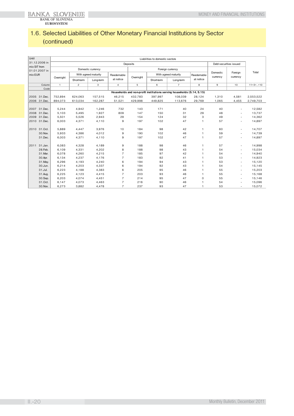# 1.6. Selected Liabilities of Other Monetary Financial Institutions by Sector (continued)

| Until        |               |           |                |                      |                |          | Liabilities to domestic sectors |                                                                        |            |          |                        |            |  |  |
|--------------|---------------|-----------|----------------|----------------------|----------------|----------|---------------------------------|------------------------------------------------------------------------|------------|----------|------------------------|------------|--|--|
| mio SIT from | 31.12.2006 in |           |                |                      |                | Deposits |                                 |                                                                        |            |          | Debt securities issued |            |  |  |
|              | 01.01.2007 in |           |                | Domestic currency    |                |          |                                 | Foreign currency                                                       |            |          |                        |            |  |  |
| mio EUR      |               |           |                | With agreed maturity | Reedemable     |          |                                 | With agreed maturity                                                   | Reedemable | Domestic | Foreign                | Total      |  |  |
|              |               | Overnight | Short-term     | Long-term            | at notice      | Ovemight | Short-term                      | Long-term                                                              | at notice  | currency | currency               |            |  |  |
|              | Column        | 1         | $\overline{c}$ | 3                    | $\overline{4}$ | 5        | 6                               | $\overline{7}$                                                         | 8          | 9        | 10                     | $11=3++10$ |  |  |
|              | Code          |           |                |                      |                |          |                                 |                                                                        |            |          |                        |            |  |  |
|              |               |           |                |                      |                |          |                                 | Households and non-profit institutions serving households (S.14, S.15) |            |          |                        |            |  |  |
|              | 2005 31.Dec.  | 752.894   | 624,063        | 157,515              | 46,215         | 432.783  | 397.997                         | 108.039                                                                | 28,124     | 1.310    | 4,581                  | 2,553,522  |  |  |
|              | 2006 31.Dec.  | 894,073   | 613,034        | 162,287              | 51,521         | 429,998  | 449,825                         | 113,676                                                                | 29,769     | 1,065    | 4,455                  | 2,749,703  |  |  |
|              |               |           |                |                      |                |          |                                 |                                                                        |            |          |                        |            |  |  |
|              | 2007 31.Dec.  | 5,244     | 4,942          | 1,246                | 732            | 143      | 171                             | 40                                                                     | 24         | 40       |                        | 12,582     |  |  |
|              | 2008 31.Dec.  | 5,103     | 5,495          | 1,927                | 809            | 147      | 150                             | 31                                                                     | 29         | 48       |                        | 13,737     |  |  |
|              | 2009 31.Dec.  | 5,501     | 5,526          | 2,943                | 29             | 154      | 124                             | 32                                                                     | 3          | 49       | ÷                      | 14,362     |  |  |
|              | 2010 31.Dec.  | 6,003     | 4,371          | 4,110                | 9              | 197      | 102                             | 47                                                                     | -1         | 57       |                        | 14,897     |  |  |
|              |               |           |                |                      |                |          |                                 |                                                                        |            |          |                        |            |  |  |
|              | 2010 31.Oct.  | 5,889     | 4,447          | 3,976                | 10             | 184      | 98                              | 42                                                                     |            | 60       |                        | 14,707     |  |  |
|              | 30.Nov.       | 5,933     | 4,386          | 4,012                | 9              | 190      | 102                             | 46                                                                     |            | 59       | ٠                      | 14,739     |  |  |
|              | 31.Dec.       | 6,003     | 4,371          | 4,110                | 9              | 197      | 102                             | 47                                                                     |            | 57       |                        | 14,897     |  |  |
|              |               |           |                |                      |                |          |                                 |                                                                        |            |          |                        |            |  |  |
| 2011         | 31.Jan.       | 6,083     | 4,328          | 4,189                | 9              | 188      | 98                              | 46                                                                     |            | 57       | ۰                      | 14,998     |  |  |
|              | 28.Feb.       | 6,109     | 4,331          | 4,202                | 8              | 188      | 98                              | 43                                                                     |            | 54       | ۰                      | 15,034     |  |  |
|              | 31.Mar.       | 6,078     | 4,260          | 4.215                | $\overline{7}$ | 185      | 97                              | 42                                                                     |            | 54       | ٠                      | 14,940     |  |  |
|              | 30.Apr.       | 6,134     | 4,237          | 4,176                | $\overline{7}$ | 183      | 92                              | 41                                                                     |            | 53       | ۰                      | 14,923     |  |  |
|              | 31.May.       | 6,296     | 4,193          | 4,240                | 6              | 194      | 94                              | 43                                                                     |            | 53       | ÷                      | 15,120     |  |  |
|              | 30.Jun.       | 6,214     | 4,203          | 4,337                | 6              | 194      | 92                              | 43                                                                     |            | 54       | ۰                      | 15,145     |  |  |
|              | 31.Jul.       | 6,223     | 4,188          | 4,383                | 6              | 205      | 95                              | 46                                                                     |            | 55       | ٠                      | 15,203     |  |  |
|              | 31.Aug.       | 6,225     | 4,123          | 4,415                | $\overline{7}$ | 203      | 93                              | 46                                                                     |            | 55       |                        | 15,168     |  |  |
|              | 30.Sep.       | 6,203     | 4,074          | 4,451                | $\overline{7}$ | 214      | 95                              | 47                                                                     | $\circ$    | 55       | ۰                      | 15,146     |  |  |
|              | 31.Oct.       | 6,147     | 4,073          | 4,463                | $\overline{7}$ | 216      | 90                              | 46                                                                     |            | 54       |                        | 15,096     |  |  |
|              | 30.Nov.       | 6,273     | 3,882          | 4,478                | $\overline{7}$ | 237      | 93                              | 47                                                                     |            | 53       |                        | 15,072     |  |  |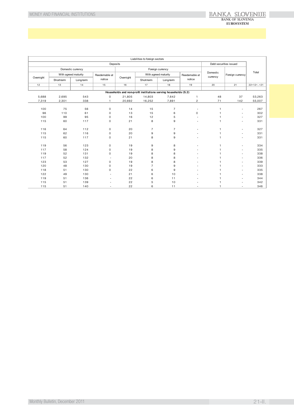|          |                                                                 |                      |                          |          | Liabilities to foreign sectors |                      |                |              |                        |             |  |  |  |  |
|----------|-----------------------------------------------------------------|----------------------|--------------------------|----------|--------------------------------|----------------------|----------------|--------------|------------------------|-------------|--|--|--|--|
|          |                                                                 |                      |                          | Deposits |                                |                      |                |              | Debt securities issued |             |  |  |  |  |
|          |                                                                 | Domestic currency    |                          |          |                                | Foreign currency     |                |              |                        |             |  |  |  |  |
|          |                                                                 | With agreed maturity | Reedemable at            |          |                                | With agreed maturity | Reedemable at  | Domestic     | Foreign currency       | Total       |  |  |  |  |
| Ovemight | Short-term                                                      | Long-term            | notice                   | Ovemight | Short-term                     | Long-term            | notice         | currency     |                        |             |  |  |  |  |
| 12       | 13                                                              | 14                   | 15                       | 16       | 17                             | 18                   | 19             | 20           | 21                     | $22=12++21$ |  |  |  |  |
|          |                                                                 |                      |                          |          |                                |                      |                |              |                        |             |  |  |  |  |
|          | Households and non-profit institutions serving households (S.2) |                      |                          |          |                                |                      |                |              |                        |             |  |  |  |  |
| 5,688    | 2,695                                                           | 543                  | 0                        | 21,805   | 14,803                         | 7,642                | $\mathbf{1}$   | 48           | 37                     | 53,263      |  |  |  |  |
| 7,319    | 2,301                                                           | 338                  | 1                        | 20,692   | 16,252                         | 7,891                | $\overline{c}$ | 71           | 142                    | 55,007      |  |  |  |  |
|          |                                                                 |                      |                          |          |                                |                      |                |              |                        |             |  |  |  |  |
| 100      | 75                                                              | 56                   | 0                        | 14       | 15                             | $\overline{7}$       | ٠              | $\mathbf{1}$ | ٠                      | 267         |  |  |  |  |
| 96       | 110                                                             | 61                   | 0                        | 13       | 15                             | 6                    | $\circ$        | 1            | ٠                      | 302         |  |  |  |  |
| 100      | 99                                                              | 95                   | 0                        | 16       | 12                             | 5                    | ä,             | 1            | ٠                      | 327         |  |  |  |  |
| 115      | 60                                                              | 117                  | 0                        | 21       | 8                              | $\overline{9}$       | ÷              | $\mathbf{1}$ | ٠                      | 331         |  |  |  |  |
|          |                                                                 |                      |                          |          |                                |                      |                |              |                        |             |  |  |  |  |
| 116      | 64                                                              | 112                  | 0                        | 20       | $\overline{7}$                 | $\overline{7}$       | ä,             | 1            | ٠                      | 327         |  |  |  |  |
| 115      | 62                                                              | 116                  | 0                        | 20       | $\mathsf g$                    | 9                    | ä,             | $\mathbf{1}$ | ٠                      | 331         |  |  |  |  |
| 115      | 60                                                              | 117                  | 0                        | 21       | 8                              | 9                    |                | 1            | ٠                      | 331         |  |  |  |  |
|          |                                                                 |                      |                          |          |                                |                      |                |              |                        |             |  |  |  |  |
| 119      | 56                                                              | 123                  | 0                        | 19       | 9                              | 8                    | ٠              | $\mathbf{1}$ | ٠                      | 334         |  |  |  |  |
| 117      | 58                                                              | 124                  | 0                        | 19       | 8                              | 9                    |                |              | ٠                      | 335         |  |  |  |  |
| 119      | 52                                                              | 131                  | 0                        | 19       | 8                              | 8                    | ٠              | 1            | ٠                      | 338         |  |  |  |  |
| 117      | 52                                                              | 132                  | ٠                        | 20       | 8                              | 8                    | ä,             |              | ٠                      | 336         |  |  |  |  |
| 123      | 53                                                              | 127                  | 0                        | 19       | 8                              | 8                    |                |              | ٠                      | 339         |  |  |  |  |
| 120      | 48                                                              | 130                  | 0                        | 19       | $\overline{7}$                 | 9                    | ٠              | $\mathbf{1}$ | ٠                      | 333         |  |  |  |  |
| 118      | 51                                                              | 130                  | 0                        | 22       | 6                              | 9                    | ٠              |              | ٠                      | 335         |  |  |  |  |
| 122      | 49                                                              | 130                  | $\overline{\phantom{a}}$ | 21       | 6                              | 10                   | ä,             |              | ×                      | 338         |  |  |  |  |
| 119      | 51                                                              | 136                  | ٠                        | 22       | 6                              | 11                   | ٠              |              | ٠                      | 344         |  |  |  |  |
| 115      | 51                                                              | 139                  |                          | 22       | 5                              | 10                   |                |              | ٠                      | 342         |  |  |  |  |
| 115      | 51                                                              | 140                  | $\overline{\phantom{a}}$ | 22       | 6                              | 11                   | ٠              |              | ٠                      | 346         |  |  |  |  |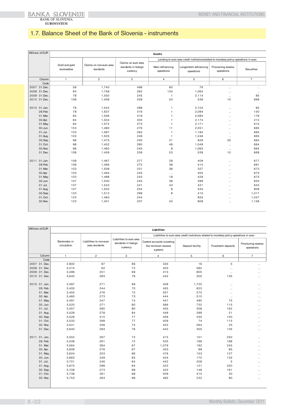**EUROSYSTEM**

#### 1.7. Balance Sheet of the Bank of Slovenia - instruments

| Millions of EUR |                              |                                      |                                                         | Assets                         |                                                                                       |                                   |                |
|-----------------|------------------------------|--------------------------------------|---------------------------------------------------------|--------------------------------|---------------------------------------------------------------------------------------|-----------------------------------|----------------|
|                 |                              |                                      |                                                         |                                | Lending to euro area credit institutionsrelated to monetary policy operations in euro |                                   |                |
|                 | Gold and gold<br>receivables | Claims on non-euro area<br>residents | Claims on euro area<br>residents in foreign<br>currency | Main refinancing<br>operations | Longer-term refinancing<br>operations                                                 | Fine-tuning reverse<br>operations | Securities     |
| Column          | $\mathbf{1}$                 | $\overline{c}$                       | 3                                                       | $\overline{4}$                 | 5                                                                                     | 6                                 | $\overline{7}$ |
| Code            |                              |                                      |                                                         |                                |                                                                                       |                                   |                |
| 2007 31.Dec.    | 58                           | 1,740                                | 498                                                     | 80                             | 76                                                                                    | $\cdots$                          |                |
| 2008 31.Dec.    | 64                           | 1,758                                | 262                                                     | 134                            | 1,064                                                                                 | $\cdots$                          | $\cdots$       |
| 2009 31.Dec.    | 78                           | 1,550                                | 245                                                     | $\mathbf{1}$                   | 2,114                                                                                 | $\cdots$                          | 85             |
| 2010 31.Dec.    | 108                          | 1,459                                | 259                                                     | 53                             | 539                                                                                   | 10                                | 669            |
| 2010 31.Jan.    | 78                           | 1,542                                | 298                                                     | $\mathbf{1}$                   | 2,104                                                                                 | $\cdots$                          | 95             |
| 28.Feb.         | 78                           | 1,637                                | 316                                                     | $\mathbf{1}$                   | 2,094                                                                                 | $\cdots$                          | 150            |
| 31.Mar.         | 84                           | 1,556                                | 319                                                     | $\mathbf{1}$                   | 2,084                                                                                 |                                   | 179            |
| 30.Apr.         | 84                           | 1,504                                | 333                                                     | $\mathbf{1}$                   | 2,174                                                                                 | $\cdots$                          | 213            |
| 31.May.         | 84                           | 1,572                                | 273                                                     | $\mathbf{1}$                   | 2,171                                                                                 | $\cdots$                          | 615            |
| 30.Jun.         | 103                          | 1,480                                | 276                                                     | 11                             | 2,051                                                                                 | $\cdots$                          | 665            |
| 31.Jul.         | 103                          | 1,597                                | 262                                                     | $\mathbf{1}$                   | 1,184                                                                                 | $\cdots$                          | 665            |
| 31.Aug.         | 103                          | 1,505                                | 249                                                     | $\overline{1}$                 | 1,248                                                                                 | $\cdots$                          | 665            |
| 30.Sep.         | 98                           | 1,475                                | 240                                                     | 21                             | 929                                                                                   | 35                                | 664            |
| 31.Oct.         | 98                           | 1,452                                | 260                                                     | 48                             | 1,049                                                                                 | $\cdots$                          | 664            |
| 30.Nov.         | 98                           | 1,460                                | 245                                                     | 8                              | 1,065                                                                                 | $\ldots$                          | 664            |
| 31.Dec.         | 108                          | 1,459                                | 259                                                     | 53                             | 539                                                                                   | 10                                | 669            |
| 2011 31.Jan.    | 108                          | 1,467                                | 277                                                     | 28                             | 409                                                                                   | $\cdots$                          | 677            |
| 28.Feb.         | 108                          | 1,466                                | 272                                                     | 38                             | 414                                                                                   | $\cdots$                          | 681            |
| 31.Mar.         | 103                          | 1,508                                | 231                                                     | 38                             | 327                                                                                   | $\cdots$                          | 673            |
| 30.Apr.         | 103                          | 1,494                                | 245                                                     | $\cdots$                       | 355                                                                                   | $\cdots$                          | 673            |
| 31.May.         | 103                          | 1,488                                | 243                                                     | 18                             | 429                                                                                   |                                   | 673            |
| 30.Jun.         | 107                          | 1,530                                | 245                                                     | 38                             | 399                                                                                   | $\cdots$                          | 653            |
| 31.Jul.         | 107                          | 1,543                                | 241                                                     | 43                             | 421                                                                                   |                                   | 643            |
| 31.Aug.         | 107                          | 1,502                                | 254                                                     | 8                              | 545                                                                                   | $\cdots$                          | 909            |
| 30.Sep.         | 123                          | 1,512                                | 299                                                     | 8                              | 415                                                                                   | $\cdots$                          | 1,017          |
| 31.Oct.         | 123                          | 1,483                                | 244                                                     | $\ldots$                       | 834                                                                                   | $\cdots$                          | 1,047          |
| 30.Nov.         | 123                          | 1,401                                | 237                                                     | 40                             | 808                                                                                   | $\cdots$                          | 1,159          |
|                 |                              |                                      |                                                         |                                |                                                                                       |                                   |                |

| Millions of EUR |                             |                                           |                                                              | Liabilities                                                  |                                                                                           |                     |                                   |
|-----------------|-----------------------------|-------------------------------------------|--------------------------------------------------------------|--------------------------------------------------------------|-------------------------------------------------------------------------------------------|---------------------|-----------------------------------|
|                 |                             |                                           |                                                              |                                                              | Liabilities to euro area credit instiutions related to monetary policy operations in euro |                     |                                   |
|                 | Banknotes in<br>circulation | Liabilities to non-euro<br>area residents | Liabilities to euro area<br>residents in foreign<br>currency | Current accounts (covering<br>the minimum reserve<br>system) | Deposit facility                                                                          | Fixed-term deposits | Fine-tuning reverse<br>operations |
| Column          | $\mathbf{1}$                | $\overline{c}$                            | 3                                                            | $\overline{4}$                                               | 5                                                                                         | 6                   | $\overline{7}$                    |
| Code            |                             |                                           |                                                              |                                                              |                                                                                           |                     |                                   |
| 2007 31. Dec.   | 2,900                       | 97                                        | 66                                                           | 335                                                          | 16                                                                                        | 5                   | $\cdots$                          |
| 2008 31. Dec.   | 3,215                       | 62                                        | 72                                                           | 403                                                          | 582                                                                                       | $\cdots$            |                                   |
| 2009 31. Dec.   | 3,496                       | 251                                       | 69                                                           | 415                                                          | 805                                                                                       | $\cdots$            | $\cdots$                          |
| 2010 31. Dec.   | 3,640                       | 283                                       | 76                                                           | 442                                                          | 305                                                                                       | 135                 |                                   |
|                 |                             |                                           |                                                              |                                                              |                                                                                           |                     |                                   |
| 2010 31. Jan.   | 3,397                       | 271                                       | 69                                                           | 408                                                          | 1,725                                                                                     | $\cdots$            | $\cdots$                          |
| 28. Feb.        | 3,400                       | 244                                       | 70                                                           | 455                                                          | 623                                                                                       | $\cdots$            | $\cdots$                          |
| 31. Mar.        | 3,455                       | 276                                       | 72                                                           | 557                                                          | 270                                                                                       | $\cdots$            |                                   |
| 30. Apr.        | 3,460                       | 273                                       | 73                                                           | 444                                                          | 510                                                                                       | $\cdots$            |                                   |
| 31. May.        | 3,491                       | 247                                       | 74                                                           | 447                                                          | 490                                                                                       | 75                  | $\cdots$                          |
| 30. Jun.        | 3,520                       | 271                                       | 80                                                           | 566                                                          | 732                                                                                       | 115                 |                                   |
| 31. Jul.        | 3,557                       | 280                                       | 80                                                           | 455                                                          | 308                                                                                       | 162                 | $\cdots$                          |
| 31. Aug.        | 3,528                       | 278                                       | 84                                                           | 448                                                          | 289                                                                                       | 21                  |                                   |
| 30. Sep.        | 3,526                       | 310                                       | 77                                                           | 459                                                          | 230                                                                                       | 150                 |                                   |
| 31. Oct.        | 3,533                       | 299                                       | 77                                                           | 409                                                          | 74                                                                                        | 115                 |                                   |
| 30. Nov.        | 3,541                       | 256                                       | 74                                                           | 422                                                          | 264                                                                                       | 25                  |                                   |
| 31. Dec.        | 3,640                       | 283                                       | 76                                                           | 442                                                          | 305                                                                                       | 135                 |                                   |
|                 |                             |                                           |                                                              |                                                              |                                                                                           |                     |                                   |
| 2011 31. Jan.   | 3,552                       | 267                                       | 72                                                           | 415                                                          | 101                                                                                       | 250                 |                                   |
| 28. Feb.        | 3,548                       | 261                                       | 72                                                           | 535                                                          | 168                                                                                       | 198                 | $\cdots$                          |
| 31. Mar.        | 3,564                       | 284                                       | 67                                                           | 1,079                                                        | 192                                                                                       | 245                 | $\cdots$                          |
| 30. Apr.        | 3,609                       | 276                                       | 67                                                           | 453                                                          | 99                                                                                        | 85                  |                                   |
| 31. May.        | 3,624                       | 253                                       | 66                                                           | 476                                                          | 153                                                                                       | 127                 |                                   |
| 30. Jun.        | 3,663                       | 249                                       | 65                                                           | 424                                                          | 170                                                                                       | 135                 | $\cdots$                          |
| 31. Jul.        | 3,701                       | 246                                       | 64                                                           | 442                                                          | 209                                                                                       | 5                   |                                   |
| 31. Aug.        | 3,675                       | 298                                       | 64                                                           | 422                                                          | 121                                                                                       | 250                 |                                   |
| 30. Sep.        | 3,708                       | 273                                       | 68                                                           | 422                                                          | 148                                                                                       | 191                 |                                   |
| 31. Oct.        | 3,738                       | 261                                       | 68                                                           | 509                                                          | 410                                                                                       | 30                  | $\cdots$                          |
| 30. Nov.        | 3,753                       | 263                                       | 68                                                           | 482                                                          | 232                                                                                       | 90                  | $\cdots$                          |
|                 |                             |                                           |                                                              |                                                              |                                                                                           |                     |                                   |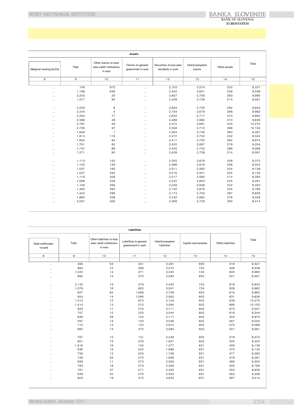| Assets                    |       |                                                             |                                         |                                              |                            |              |        |  |  |  |  |  |
|---------------------------|-------|-------------------------------------------------------------|-----------------------------------------|----------------------------------------------|----------------------------|--------------|--------|--|--|--|--|--|
| Marginal lending facility | Total | Other claims on euro<br>area credit institutions<br>in euro | Claims on general<br>government in euro | Securities of euro area<br>residents in euro | Intra-Eurosystem<br>claims | Other assets | Total  |  |  |  |  |  |
| 8                         | 9     | 10                                                          | 11                                      | 12                                           | 13                         | 14           | 15     |  |  |  |  |  |
|                           |       |                                                             |                                         |                                              |                            |              |        |  |  |  |  |  |
| $\cdots$                  | 156   | 972                                                         | $\cdots$                                | 2,103                                        | 2,574                      | 220          | 8,321  |  |  |  |  |  |
| $\cdots$                  | 1,198 | 636                                                         | $\cdots$                                | 2,442                                        | 2,651                      | 329          | 9,338  |  |  |  |  |  |
| $\cdots$                  | 2,200 | 20                                                          |                                         | 2,857                                        | 2,756                      | 283          | 9,990  |  |  |  |  |  |
| $\cdots$                  | 1,271 | 95                                                          |                                         | 2,428                                        | 2,728                      | 214          | 8,561  |  |  |  |  |  |
|                           |       |                                                             |                                         |                                              |                            |              |        |  |  |  |  |  |
| $\cdots$                  | 2,200 | 8                                                           |                                         | 2,834                                        | 2,700                      | 282          | 9,943  |  |  |  |  |  |
| $\cdots$                  | 2,245 | 5                                                           |                                         | 2,734                                        | 2,679                      | 288          | 9,982  |  |  |  |  |  |
| $\cdots$                  | 2,264 | 77                                                          | $\cdots$                                | 2,632                                        | 2,717                      | 310          | 9,960  |  |  |  |  |  |
| $\cdots$                  | 2,388 | 49                                                          |                                         | 2,489                                        | 2,680                      | 310          | 9,836  |  |  |  |  |  |
| $\cdots$                  | 2,787 | 59                                                          |                                         | 2,472                                        | 2,691                      | 332          | 10,270 |  |  |  |  |  |
| $\cdots$                  | 2,726 | 97                                                          |                                         | 2,358                                        | 2,710                      | 399          | 10,150 |  |  |  |  |  |
| $\cdots$                  | 1,849 | $\mathbf{1}$                                                |                                         | 2,364                                        | 2,746                      | 383          | 9,307  |  |  |  |  |  |
| $\ddots$                  | 1,913 | 119                                                         |                                         | 2,372                                        | 2,750                      | 332          | 9,344  |  |  |  |  |  |
| $\cdots$                  | 1,650 | 84                                                          | $\cdots$                                | 2,411                                        | 2,732                      | 284          | 8,975  |  |  |  |  |  |
| $\cdots$                  | 1,761 | 82                                                          | $\cdots$                                | 2,425                                        | 2,697                      | 279          | 9,054  |  |  |  |  |  |
| $\cdots$                  | 1,737 | 89                                                          |                                         | 2,425                                        | 2,725                      | 286          | 9,066  |  |  |  |  |  |
| $\cdots$                  | 1,271 | 95                                                          |                                         | 2,428                                        | 2,728                      | 214          | 8,561  |  |  |  |  |  |
|                           |       |                                                             |                                         |                                              |                            |              |        |  |  |  |  |  |
| $\cdots$                  | 1,113 | 163                                                         |                                         | 2,355                                        | 2,678                      | 209          | 8,370  |  |  |  |  |  |
| $\cdots$                  | 1,132 | 126                                                         |                                         | 2,398                                        | 2,616                      | 206          | 8,324  |  |  |  |  |  |
| $\cdots$                  | 1,037 | 185                                                         |                                         | 2,311                                        | 2,560                      | 204          | 8,139  |  |  |  |  |  |
| $\cdots$                  | 1,027 | 292                                                         |                                         | 2,216                                        | 2,551                      | 202          | 8,130  |  |  |  |  |  |
| $\cdots$                  | 1,119 | 309                                                         |                                         | 2,217                                        | 2,590                      | 214          | 8,283  |  |  |  |  |  |
| $\cdots$                  | 1,089 | 259                                                         | $\cdots$                                | 2,232                                        | 2,603                      | 225          | 8,291  |  |  |  |  |  |
| $\cdots$                  | 1,106 | 266                                                         | $\cdots$                                | 2,228                                        | 2,636                      | 222          | 8,350  |  |  |  |  |  |
| $\cdots$                  | 1,462 | 392                                                         |                                         | 2,140                                        | 2,676                      | 234          | 8,766  |  |  |  |  |  |
| $\cdots$                  | 1,440 | 296                                                         |                                         | 2,173                                        | 2,705                      | 287          | 8,836  |  |  |  |  |  |
| $\cdots$                  | 1,880 | 338                                                         |                                         | 2,232                                        | 2,682                      | 276          | 9,258  |  |  |  |  |  |
| $\cdots$                  | 2,007 | 356                                                         |                                         | 2,268                                        | 2,729                      | 290          | 9,414  |  |  |  |  |  |
|                           |       |                                                             |                                         |                                              |                            |              |        |  |  |  |  |  |

| Liabilities                 |             |                                                                  |                                              |                                 |                      |                   |        |  |  |  |  |  |
|-----------------------------|-------------|------------------------------------------------------------------|----------------------------------------------|---------------------------------|----------------------|-------------------|--------|--|--|--|--|--|
| Debt certificates<br>issued | Total       | Other liabilities to euro<br>area credit institutions<br>in euro | Liabilities to general<br>government in euro | Intra-Eurosystem<br>liabilities | Capital and reserves | Other liabilities | Total  |  |  |  |  |  |
| 8                           | $\mathsf g$ | 10                                                               | 11                                           | 12                              | 13                   | 14                | 15     |  |  |  |  |  |
|                             |             |                                                                  |                                              |                                 |                      |                   |        |  |  |  |  |  |
| $\cdots$                    | 356         | 53                                                               | 341                                          | 3,491                           | 800                  | 218               | 8,321  |  |  |  |  |  |
|                             | 984         | 10                                                               | 268                                          | 3,570                           | 752                  | 406               | 9,338  |  |  |  |  |  |
|                             | 1,220       | 14                                                               | 271                                          | 3,345                           | 724                  | 600               | 9,990  |  |  |  |  |  |
| $\cdots$                    | 882         | 14                                                               | 270                                          | 2,093                           | 802                  | 501               | 8,561  |  |  |  |  |  |
|                             |             |                                                                  |                                              |                                 |                      |                   |        |  |  |  |  |  |
| $\cdots$                    | 2,132       | 13                                                               | 279                                          | 2,440                           | 724                  | 618               | 9,943  |  |  |  |  |  |
| $\cdots$                    | 1,078       | 16                                                               | 820                                          | 3,001                           | 724                  | 628               | 9,982  |  |  |  |  |  |
| $\cdots$                    | 827         | 84                                                               | 1,069                                        | 2,759                           | 802                  | 616               | 9,960  |  |  |  |  |  |
| $\cdots$                    | 954         | 14                                                               | 1,066                                        | 2,563                           | 802                  | 631               | 9,836  |  |  |  |  |  |
| $\cdots$                    | 1,012       | 12                                                               | 870                                          | 3,124                           | 802                  | 639               | 10,270 |  |  |  |  |  |
|                             | 1,414       | 13                                                               | 270                                          | 3,094                           | 802                  | 686               | 10,150 |  |  |  |  |  |
| $\cdots$                    | 925         | 11                                                               | 270                                          | 2,711                           | 802                  | 670               | 9,307  |  |  |  |  |  |
| $\cdots$                    | 757         | 12                                                               | 220                                          | 3,044                           | 802                  | 618               | 9,344  |  |  |  |  |  |
| $\cdots$                    | 839         | 29                                                               | 122                                          | 2,717                           | 802                  | 554               | 8,975  |  |  |  |  |  |
|                             | 597         | 13                                                               | 120                                          | 3,046                           | 802                  | 567               | 9,054  |  |  |  |  |  |
|                             | 710         | 13                                                               | 123                                          | 2,972                           | 802                  | 575               | 9,066  |  |  |  |  |  |
| $\cdots$                    | 882         | 14                                                               | 270                                          | 2,093                           | 802                  | 501               | 8,561  |  |  |  |  |  |
|                             | 767         | 12                                                               | 131                                          | 2,248                           | 802                  | 519               | 8,370  |  |  |  |  |  |
| $\cdots$                    | 901         | 12                                                               | 276                                          | 1,927                           | 802                  | 525               | 8,324  |  |  |  |  |  |
| $\cdots$                    | 1,516       | 16                                                               | 125                                          | 1,277                           | 831                  | 459               | 8,139  |  |  |  |  |  |
|                             | 636         | 16                                                               | 524                                          | 1,696                           | 831                  | 475               | 8,130  |  |  |  |  |  |
| $\cdots$                    | 756         | 12                                                               | 525                                          | 1,739                           | 831                  | 477               | 8,283  |  |  |  |  |  |
|                             | 729         | 55                                                               | 275                                          | 1,946                           | 831                  | 478               | 8,291  |  |  |  |  |  |
| $\cdots$                    | 656         | 11                                                               | 273                                          | 2,083                           | 831                  | 485               | 8,350  |  |  |  |  |  |
| $\cdots$                    | 793         | 19                                                               | 275                                          | 2,306                           | 831                  | 505               | 8,766  |  |  |  |  |  |
|                             | 761         | 37                                                               | 271                                          | 2,335                           | 831                  | 553               | 8,836  |  |  |  |  |  |
| $\cdots$                    | 949         | 20                                                               | 275                                          | 2,553                           | 831                  | 562               | 9,258  |  |  |  |  |  |
|                             | 803         | 19                                                               | 475                                          | 2,635                           | 831                  | 567               | 9,414  |  |  |  |  |  |
|                             |             |                                                                  |                                              |                                 |                      |                   |        |  |  |  |  |  |

J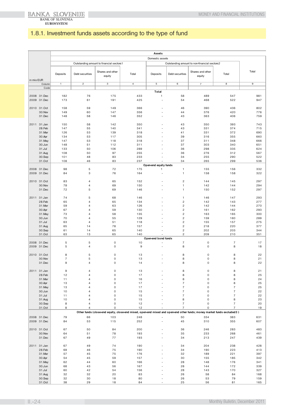#### **EUROSYSTEM**

### 1.8.1. Investment funds assets according to the type of fund

|            |                            |                     |                              |                                          |                | Assets                |                                       |                                              |                                                                                                                        |            |
|------------|----------------------------|---------------------|------------------------------|------------------------------------------|----------------|-----------------------|---------------------------------------|----------------------------------------------|------------------------------------------------------------------------------------------------------------------------|------------|
|            |                            |                     |                              |                                          |                | Domestic assets       |                                       |                                              |                                                                                                                        |            |
|            |                            |                     |                              | Outstanding amount to financial sectors1 |                |                       |                                       | Outstanding amount to non-financial sectors2 |                                                                                                                        |            |
|            |                            | Deposits            | Debt securities              | Shares and other<br>equity               | Total          | Deposits              | Debt securities                       | Shares and other<br>equity                   | Total                                                                                                                  | Total      |
| in mio EUR | Column                     | 1                   | $\overline{2}$               | $\overline{\mathbf{3}}$                  | $\overline{4}$ | $\overline{5}$        | $6\overline{6}$                       | $\overline{7}$                               | $\overline{8}$                                                                                                         | 9          |
|            | Code                       |                     |                              |                                          |                |                       |                                       |                                              |                                                                                                                        |            |
|            |                            |                     |                              |                                          |                | Total                 |                                       |                                              |                                                                                                                        |            |
|            | 2008 31.Dec                | 182                 | 76                           | 175                                      | 433            | 1                     | 58                                    | 489                                          | 547                                                                                                                    | 981        |
|            | 2009 31.Dec                | 173                 | 61                           | 191                                      | 425            |                       | 54                                    | 468                                          | 522                                                                                                                    | 947        |
|            |                            |                     |                              |                                          |                |                       |                                       |                                              |                                                                                                                        |            |
|            | 2010 31.Oct                | 158                 | 59                           | 149                                      | 366            |                       | 46                                    | 390                                          | 436                                                                                                                    | 802        |
|            | 30.Nov                     | 149                 | 60                           | 147                                      | 356            |                       | 44                                    | 376                                          | 420                                                                                                                    | 776        |
|            | 31.Dec                     | 148                 | 58                           | 146                                      | 352            |                       | 43                                    | 363                                          | 406                                                                                                                    | 759        |
|            | 2011 31.Jan                | 150                 | 58                           | 142                                      | 350            |                       | 43                                    | 350                                          | 393                                                                                                                    | 743        |
|            | 28.Feb                     | 147                 | 55                           | 140                                      | 341            |                       | 43                                    | 331                                          | 374                                                                                                                    | 715        |
|            | 31.Mar                     | 126                 | 53                           | 139                                      | 318            |                       | 41                                    | 331                                          | 372                                                                                                                    | 690        |
|            | 30.Apr                     | 134                 | 53                           | 117                                      | 305            |                       | 39                                    | 316                                          | 355                                                                                                                    | 660        |
|            | 31.May                     | 147                 | 53                           | 118                                      | 318            |                       | 37                                    | 311                                          | 348                                                                                                                    | 666        |
|            | 30.Jun                     | 148                 | 51                           | 112                                      | 311            |                       | 37                                    | 303                                          | 340                                                                                                                    | 651        |
|            | 31.Jul                     | 133                 | 50                           | 106                                      | 289            |                       | 36                                    | 298                                          | 335                                                                                                                    | 624        |
|            | 31.Aug                     | 108                 | 50                           | 97                                       | 255            |                       | 36                                    | 276                                          | 312                                                                                                                    | 567        |
|            | 30.Sep                     | 101                 | 48                           | 83                                       | 233            |                       | 34                                    | 255                                          | 290                                                                                                                    | 522        |
|            | 31.Oct                     | 108                 | 46                           | 83                                       | 237            | Open-end equity funds | 34                                    | 265                                          | 299                                                                                                                    | 536        |
|            | 2008 31.Dec                | 98                  | $\,$ 5 $\,$                  | 72                                       | 175            | 1                     | $\overline{1}$                        | 155                                          | 156                                                                                                                    | 332        |
|            | 2009 31.Dec                | 84                  | 3                            | 76                                       | 164            |                       | 1                                     | 158                                          | 158                                                                                                                    | 322        |
|            |                            |                     |                              |                                          |                |                       |                                       |                                              |                                                                                                                        |            |
|            | 2010 31.Oct                | 83                  | 4                            | 65                                       | 152            |                       | $\overline{c}$                        | 144                                          | 145                                                                                                                    | 297        |
|            | 30.Nov                     | 78                  | $\overline{4}$               | 69                                       | 150            |                       | 1                                     | 142                                          | 144                                                                                                                    | 294        |
|            | 31.Dec                     | 72                  | 5                            | 69                                       | 146            |                       | 1                                     | 150                                          | 152                                                                                                                    | 297        |
|            |                            |                     |                              |                                          |                |                       |                                       |                                              |                                                                                                                        |            |
|            | 2011 31.Jan                | 74                  | $\,$ 5 $\,$                  | 68                                       | 146            |                       | $\mathbf{1}$                          | 146                                          | 147                                                                                                                    | 293        |
|            | 28.Feb                     | 65                  | 4                            | 65                                       | 134            |                       | $\sqrt{2}$                            | 142                                          | 143                                                                                                                    | 277        |
|            | 31.Mar                     | 59                  | $\overline{4}$               | 63                                       | 126            |                       | $\overline{c}$                        | 142                                          | 144                                                                                                                    | 270        |
|            | 30.Apr                     | 67                  | 4                            | 59                                       | 130            |                       | $\sqrt{2}$                            | 161                                          | 162                                                                                                                    | 293        |
|            | 31.May                     | 73<br>70            | 4<br>$\overline{4}$          | 58                                       | 135<br>129     |                       | $\sqrt{2}$<br>$\overline{\mathbf{c}}$ | 163                                          | 165                                                                                                                    | 300        |
|            | 30.Jun<br>31.Jul           | 63                  | $\overline{4}$               | 55<br>51                                 | 118            |                       | $\sqrt{2}$                            | 159<br>155                                   | 160<br>157                                                                                                             | 289<br>275 |
|            | 31.Aug                     | 65                  | 14                           | 78                                       | 157            |                       | $\overline{c}$                        | 218                                          | 220                                                                                                                    | 377        |
|            | 30.Sep                     | 61                  | 14                           | 65                                       | 140            |                       | $\overline{\mathbf{c}}$               | 202                                          | 203                                                                                                                    | 344        |
|            | 31.Oct                     | 63                  | 13                           | 65                                       | 140            |                       | $\overline{c}$                        | 209                                          | 210                                                                                                                    | 351        |
|            |                            |                     |                              |                                          |                | Open-end bond funds   |                                       |                                              |                                                                                                                        |            |
|            | 2008 31.Dec                | 5                   | $\,$ 5 $\,$                  | $\mathsf O$                              | 10             |                       | $\overline{7}$                        | 0                                            | $\overline{7}$                                                                                                         | 17         |
|            | 2009 31.Dec                | 5                   | $\overline{\mathbf{4}}$      | 0                                        | 9              |                       | 8                                     | $\mathsf{O}\xspace$                          | 8                                                                                                                      | 18         |
|            |                            |                     |                              |                                          |                |                       |                                       |                                              |                                                                                                                        |            |
|            | 2010 31.Oct                | 8                   | $\,$ 5 $\,$                  | 0                                        | 13             |                       | 8                                     | 0                                            | 8                                                                                                                      | 22         |
|            | 30.Nov                     | $\overline{7}$<br>9 | 5<br>$\overline{4}$          | 0<br>$\mathsf{O}\xspace$                 | 13<br>14       |                       | 8<br>8                                | 0<br>$\mathbf 0$                             | 8<br>8                                                                                                                 | 21<br>22   |
|            | 31.Dec                     |                     |                              |                                          |                |                       |                                       |                                              |                                                                                                                        |            |
|            | 2011 31.Jan                | 9                   | 4                            | 0                                        | 13             |                       | 8                                     | 0                                            | 8                                                                                                                      | 21         |
|            | 28.Feb                     | 12                  | 4                            | 0                                        | 17             |                       | 8                                     | 0                                            | 8                                                                                                                      | 25         |
|            | 31.Mar                     | 11                  | $\overline{\mathbf{4}}$      | 0                                        | 16             |                       | 8                                     | $\mathsf{O}\xspace$                          | 8                                                                                                                      | 24         |
|            | 30.Apr                     | 13                  | $\overline{\mathbf{4}}$      | 0                                        | 17             |                       | $\overline{7}$                        | 0                                            | 8                                                                                                                      | 25         |
|            | 31.May                     | 13                  | 4                            | 0                                        | 17             |                       | $\overline{7}$                        | 0                                            | $\boldsymbol{7}$                                                                                                       | 25         |
|            | 30.Jun                     | 10                  | $\overline{4}$               | 0                                        | 15             |                       | $\overline{7}$                        | 0                                            | $\overline{7}$                                                                                                         | 22         |
|            | $31$ .Jul                  | 11                  | $\overline{\mathbf{4}}$      | 0                                        | 15             |                       | $\overline{\mathfrak{c}}$             | 0                                            | $\overline{\mathfrak{c}}$                                                                                              | 22         |
|            | 31.Aug                     | 10                  | $\overline{4}$               | 0                                        | 15             |                       | 8                                     | $\mathbf 0$                                  | 8                                                                                                                      | 23         |
|            | 30.Sep<br>31.Oct           | 8<br>8              | 4<br>$\overline{\mathbf{4}}$ | 0<br>$\mathsf{O}\xspace$                 | 12<br>12       |                       | $\boldsymbol{7}$<br>$\overline{7}$    | 0<br>0                                       | $\overline{7}$<br>$\overline{7}$                                                                                       | 20<br>19   |
|            |                            |                     |                              |                                          |                |                       |                                       |                                              | Other funds (close-end equity, close-end mixed, open-end mixed and open-end other funds; money market funds excluded3) |            |
|            |                            |                     |                              |                                          |                |                       |                                       |                                              |                                                                                                                        |            |
|            | 2008 31.Dec<br>2009 31.Dec | 79<br>84            | 66<br>53                     | 103<br>115                               | 248<br>252     | ä,                    | 50<br>45                              | 334<br>310                                   | 383<br>355                                                                                                             | 631<br>607 |
|            |                            |                     |                              |                                          |                |                       |                                       |                                              |                                                                                                                        |            |
|            | 2010 31.Oct                | 67                  | 50                           | 84                                       | 200            |                       | 36                                    | 246                                          | 283                                                                                                                    | 483        |
|            | 30.Nov                     | 64                  | 51                           | 78                                       | 193            |                       | 35                                    | 233                                          | 268                                                                                                                    | 461        |
|            | 31.Dec                     | 67                  | 49                           | 77                                       | 193            |                       | 34                                    | 213                                          | 247                                                                                                                    | 439        |
|            |                            |                     |                              |                                          |                |                       |                                       |                                              |                                                                                                                        |            |
|            | 2011 31.Jan                | 67                  | 49                           | 74                                       | 190            |                       | 34                                    | 204                                          | 238                                                                                                                    | 428        |
|            | 28.Feb                     | 69                  | 46                           | 75                                       | 190            |                       | 34                                    | 190                                          | 223                                                                                                                    | 413        |
|            | 31.Mar                     | 57                  | 45                           | 75                                       | 176            |                       | 32                                    | 189                                          | 221                                                                                                                    | 397        |
|            | 30.Apr                     | 54                  | 45                           | 59                                       | 157            |                       | 30                                    | 155                                          | 185                                                                                                                    | 342        |
|            | 31.May                     | 62                  | 44                           | 60                                       | 166            |                       | 28                                    | 148                                          | 176                                                                                                                    | 341        |
|            | 30.Jun<br>$31$ .Jul        | 68<br>60            | 43<br>42                     | 56<br>54                                 | 167<br>156     |                       | 28<br>28                              | 144<br>143                                   | 172<br>170                                                                                                             | 339<br>327 |
|            | 31.Aug                     | 32                  | 32                           | 20                                       | 83             |                       | 26                                    | 58                                           | 84                                                                                                                     | 168        |
|            | 30.Sep                     | 32                  | 30                           | 18                                       | 80             |                       | 26                                    | 53                                           | 79                                                                                                                     | 159        |
|            | 31.Oct                     | 38                  | 29                           | 18                                       | 84             |                       | 25                                    | 56                                           | 81                                                                                                                     | 165        |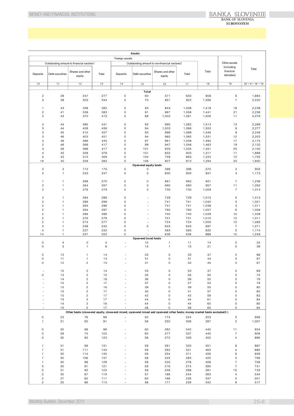|                                           | Assets          |                                                                                                                        |            |                            |                              |                                                                            |                |                |                                                       |                    |  |
|-------------------------------------------|-----------------|------------------------------------------------------------------------------------------------------------------------|------------|----------------------------|------------------------------|----------------------------------------------------------------------------|----------------|----------------|-------------------------------------------------------|--------------------|--|
|                                           |                 |                                                                                                                        |            | Foreign assets             |                              |                                                                            |                |                |                                                       |                    |  |
| Deposits                                  | Debt securities | Outstanding amount to financial sectors1<br>Shares and other<br>equity                                                 | Total      | Deposits                   | Debt securities              | Outstanding amount to non-financial sectors2<br>Shares and other<br>equity | Total          | Total          | Other assets<br>(including<br>financial<br>derivates) | Total              |  |
| 10                                        | 11              | 12                                                                                                                     | 13         | 14                         | 15                           | 16                                                                         | 17             | 18             | 19                                                    | $20 = 9 + 18 + 19$ |  |
|                                           |                 |                                                                                                                        |            |                            |                              |                                                                            |                |                |                                                       |                    |  |
| $\overline{\mathbf{c}}$                   | 28              | 247                                                                                                                    | 277        | $\mathsf{O}\xspace$        | Total<br>60                  | 571                                                                        | 630            | 908            | 6                                                     | 1,894              |  |
| 3                                         | 38              | 303                                                                                                                    | 344        | $\mathsf{O}\xspace$        | 70                           | 851                                                                        | 922            | 1,266          | $\overline{7}$                                        | 2,220              |  |
|                                           |                 |                                                                                                                        |            |                            |                              |                                                                            |                |                |                                                       |                    |  |
| 1                                         | 43              | 338                                                                                                                    | 382        | $\mathsf O$                | 93                           | 944                                                                        | 1,036          | 1,418          | 18                                                    | 2,238              |  |
| $\overline{\mathbf{c}}$                   | 41              | 339                                                                                                                    | 383        | $\mathsf O$                | 91                           | 967                                                                        | 1,058          | 1,441          | 21                                                    | 2,238              |  |
| $\overline{c}$                            | 43              | 370                                                                                                                    | 415        | $\mathsf O$                | 89                           | 1,002                                                                      | 1,091          | 1,506          | 11                                                    | 2,276              |  |
|                                           |                 |                                                                                                                        |            |                            |                              |                                                                            |                |                |                                                       |                    |  |
| $\overline{\mathbf{c}}$<br>3              | 44<br>44        | 385<br>409                                                                                                             | 431<br>456 | $\mathsf O$<br>$\mathsf O$ | 92<br>94                     | 990<br>1,003                                                               | 1,082<br>1,096 | 1,513<br>1,553 | 13<br>9                                               | 2,269<br>2,277     |  |
| 3                                         | 45              | 410                                                                                                                    | 457        | $\circ$                    | 93                           | 996                                                                        | 1,089          | 1,546          | 9                                                     | 2,246              |  |
| 3                                         | 46              | 403                                                                                                                    | 451        | $\mathsf{O}\xspace$        | 94                           | 985                                                                        | 1,080          | 1,531          | 12                                                    | 2,203              |  |
| 3                                         | 46              | 386                                                                                                                    | 435        | $\circ$                    | 97                           | 961                                                                        | 1,058          | 1,492          | 17                                                    | 2,175              |  |
| $\overline{\mathbf{c}}$                   | 46              | 369                                                                                                                    | 417        | $\mathsf O$                | 99                           | 947                                                                        | 1,046          | 1,463          | 19                                                    | 2,132              |  |
| 3                                         | 46              | 368                                                                                                                    | 417        | $\circ$                    | 101                          | 933                                                                        | 1,034          | 1,451          | 25                                                    | 2,100              |  |
| 4                                         | 45              | 328                                                                                                                    | 378        | $\mathsf{O}\xspace$        | 101                          | 832                                                                        | 933            | 1,311          | 11                                                    | 1,889              |  |
| $\,$ 5                                    | 42              | 312                                                                                                                    | 359        | $\mathsf O$                | 104                          | 759                                                                        | 863            | 1,222          | 10                                                    | 1,755              |  |
| 16                                        | 40              | 326                                                                                                                    | 382        | $\mathsf O$                | 106<br>Open-end equity funds | 807                                                                        | 913            | 1,294          | 20                                                    | 1,850              |  |
| $\sqrt{2}$                                | $\sqrt{2}$      | 172                                                                                                                    | 175        | $\mathsf{O}\xspace$        | 0                            | 396                                                                        | 396            | 570            | $\overline{c}$                                        | 905                |  |
| $\overline{c}$                            | $\mathbf{1}$    | 243                                                                                                                    | 247        | $\mathsf O$                | 0                            | 600                                                                        | 600            | 847            | $\overline{4}$                                        | 1,173              |  |
|                                           |                 |                                                                                                                        |            |                            |                              |                                                                            |                |                |                                                       |                    |  |
| 1                                         | 1               | 268                                                                                                                    | 270        | $\circ$                    | 0                            | 661                                                                        | 662            | 931            | $\overline{7}$                                        | 1,236              |  |
| $\overline{\mathbf{c}}$                   | 1               | 264                                                                                                                    | 267        | $\mathsf{O}\xspace$        | 0                            | 690                                                                        | 690            | 957            | 11                                                    | 1,262              |  |
| $\overline{c}$                            | 1               | 276                                                                                                                    | 279        | $\mathsf O$                | 0                            | 730                                                                        | 730            | 1,009          | $\overline{7}$                                        | 1,313              |  |
|                                           |                 |                                                                                                                        |            |                            |                              |                                                                            |                |                |                                                       |                    |  |
| $\sqrt{2}$                                | 1               | 284                                                                                                                    | 286        | $\circ$                    |                              | 729                                                                        | 729            | 1,015          | 5                                                     | 1,313              |  |
| $\overline{\mathbf{c}}$                   | 1               | 296                                                                                                                    | 299        | $\mathsf{O}\xspace$        |                              | 741                                                                        | 741            | 1,040          | 5                                                     | 1,321              |  |
| $\overline{c}$<br>$\overline{\mathbf{c}}$ | 1<br>1          | 294<br>294                                                                                                             | 296<br>297 | $\circ$<br>$\mathsf O$     | ä,                           | 741<br>760                                                                 | 741<br>760     | 1,038<br>1,057 | 3<br>8                                                | 1,311<br>1,358     |  |
| $\sqrt{2}$                                | $\mathbf{1}$    | 286                                                                                                                    | 289        | $\mathsf O$                |                              | 740                                                                        | 740            | 1,029          | 10                                                    | 1,339              |  |
| $\overline{\mathbf{c}}$                   | 1               | 276                                                                                                                    | 279        | $\mathsf{O}\xspace$        | ٠                            | 731                                                                        | 731            | 1,010          | 12                                                    | 1,311              |  |
| $\sqrt{2}$                                | 1               | 274                                                                                                                    | 277        | $\mathsf O$                | ÷,                           | 724                                                                        | 724            | 1,000          | 10                                                    | 1,285              |  |
| 3                                         | 1               | 238                                                                                                                    | 242        | $\mathsf{O}\xspace$        | 0                            | 645                                                                        | 645            | 887            | $\overline{\mathfrak{c}}$                             | 1,271              |  |
| $\overline{4}$                            | $\mathbf{1}$    | 227                                                                                                                    | 232        | $\mathsf O$                |                              | 593                                                                        | 593            | 825            | 5                                                     | 1,174              |  |
| 14                                        | $\mathbf{1}$    | 237                                                                                                                    | 252        | $\mathsf O$                |                              | 636                                                                        | 636            | 888            | 10                                                    | 1,249              |  |
| $\mathsf{O}\xspace$                       | 4               | $\circ$                                                                                                                | $\sqrt{4}$ | $\overline{\phantom{a}}$   | Open-end bond funds<br>10    | $\mathbf{1}$                                                               | 11             | 14             | $\mathsf{O}\xspace$                                   | 32                 |  |
| $\mathsf{O}\xspace$                       | 5               | $\mathbf{1}$                                                                                                           | 6          | ÷,                         | 15                           | $\mathbf{1}$                                                               | 15             | 21             | 0                                                     | 39                 |  |
|                                           |                 |                                                                                                                        |            |                            |                              |                                                                            |                |                |                                                       |                    |  |
| $\mathsf O$                               | 12              | 1                                                                                                                      | 14         |                            | 33                           | $\mathsf O$                                                                | 33             | 47             | 0                                                     | 68                 |  |
| $\mathsf O$                               | 11              | $\mathbf{1}$                                                                                                           | 13         |                            | 31                           | $\mathsf{O}\xspace$                                                        | 31             | 44             | 3                                                     | 67                 |  |
| $\mathsf{O}\xspace$                       | 12              | $\overline{c}$                                                                                                         | 13         |                            | 31                           | $\mathsf{O}\xspace$                                                        | 32             | 45             | 0                                                     | 67                 |  |
|                                           |                 |                                                                                                                        |            |                            |                              |                                                                            |                |                |                                                       |                    |  |
|                                           | 12              | $\overline{c}$                                                                                                         | 14         |                            | 33                           | $\mathsf{O}\xspace$                                                        | 33             | 47             | $\mathbf 0$                                           | 69                 |  |
| 0                                         | 13              | $\overline{\mathbf{c}}$                                                                                                | 15         |                            | 35                           | 0<br>0                                                                     | 35             | 50             | 0<br>0                                                | 75                 |  |
|                                           | 14<br>15        | $\sqrt{2}$<br>$\boldsymbol{2}$                                                                                         | 16<br>17   |                            | 36<br>37                     | 0                                                                          | 36<br>37       | 52<br>53       | 0                                                     | 76<br>79           |  |
|                                           | 15              | $\boldsymbol{2}$                                                                                                       | 16         |                            | 39                           | 0                                                                          | 39             | 55             | 0                                                     | 80                 |  |
|                                           | 15              | $\boldsymbol{2}$                                                                                                       | 17         |                            | 40                           | 0                                                                          | 41             | 57             | 0                                                     | 80                 |  |
|                                           | 15              | $\sqrt{2}$                                                                                                             | 17         |                            | 42                           | 0                                                                          | 42             | 59             | 0                                                     | 82                 |  |
|                                           | 15              | $\boldsymbol{2}$                                                                                                       | 17         |                            | 44                           | 0                                                                          | 44             | 61             | 0                                                     | 84                 |  |
|                                           | 14              | $\sqrt{2}$                                                                                                             | 16         |                            | 44                           | 0                                                                          | 44             | 60             | 0                                                     | 80                 |  |
| $\overline{\phantom{a}}$                  | 15              | $\overline{\mathbf{c}}$                                                                                                | 17         |                            | 48                           | 0                                                                          | 48             | 65             | 0                                                     | 84                 |  |
|                                           |                 | Other funds (close-end equity, close-end mixed, open-end mixed and open-end other funds; money market funds excluded3) |            |                            |                              |                                                                            |                |                |                                                       |                    |  |
| 0                                         | 23              | 76                                                                                                                     | 99         |                            | 50                           | 174                                                                        | 224            | 323            | 3                                                     | 958                |  |
| $\mathbf{1}$                              | 31              | 60                                                                                                                     | 91         |                            | 56                           | 250                                                                        | 306            | 397            | $\overline{\mathbf{c}}$                               | 1,007              |  |
| $\mathsf{O}\xspace$                       | 30              | 68                                                                                                                     | 98         |                            | 60                           | 282                                                                        | 342            | 440            | 11                                                    | 934                |  |
| $\mathsf{O}\xspace$                       | 29              | 74                                                                                                                     | 103        |                            | 60                           | 277                                                                        | 337            | 440            | $\boldsymbol{7}$                                      | 909                |  |
| $\mathbf 0$                               | 30              | 92                                                                                                                     | 123        |                            | 58                           | 272                                                                        | 329            | 452            | $\overline{4}$                                        | 896                |  |
| 1                                         | 31              | 99                                                                                                                     | 131        |                            | 59                           | 261                                                                        | 320            | 451            | 8                                                     | 887                |  |
| 1                                         | 31              | 111                                                                                                                    | 143        |                            | 59                           | 262                                                                        | 321            | 463            | $\overline{4}$                                        | 880                |  |
| 1                                         | 30              | 114                                                                                                                    | 145        |                            | 58                           | 254                                                                        | 311            | 456            | 6                                                     | 859                |  |
| 1                                         | 30              | 106                                                                                                                    | 137        |                            | 58                           | 225                                                                        | 283            | 420            | 3                                                     | 766                |  |
| 1                                         | 30              | 98                                                                                                                     | 129        |                            | 58                           | 220                                                                        | 278            | 408            | $\overline{\mathfrak{c}}$                             | 756                |  |
| $\mathbf 0$                               | 30              | 91                                                                                                                     | 121        |                            | 59                           | 216                                                                        | 274            | 395            | $\overline{\mathfrak{c}}$                             | 741                |  |
| $\mathsf{O}\xspace$                       | 31              | 92                                                                                                                     | 123        |                            | 59                           | 209                                                                        | 268            | 391            | 15                                                    | 733                |  |
| $\overline{\mathbf{c}}$                   | 30              | 87                                                                                                                     | 119        |                            | 57                           | 186                                                                        | 244            | 363            | 4                                                     | 534                |  |
| $\overline{\mathbf{c}}$                   | 27              | 82                                                                                                                     | 111        |                            | 60                           | 166                                                                        | 226            | 337            | 5                                                     | 501                |  |

25 86 113 - 58 171 229 342 9 517

L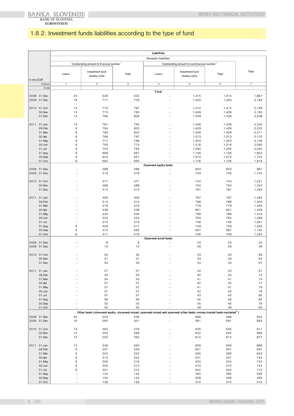#### **EUROSYSTEM**

### 1.8.2. Investment funds liabilities according to the type of fund

| Domestic liabilities<br>Outstanding amount to non-financial sectors <sup>2</sup><br>Outstanding amount to financial sectors<br>Investment fund<br>Investment fund<br>Loans<br>Total<br>Total<br>Loans<br>shares/units<br>shares/units<br>in mio EUR<br>$\overline{2}$<br>3<br>$\overline{4}$<br>$\overline{5}$<br>$6\overline{6}$<br>$\mathbf{1}$<br>Column<br>Code<br>Total<br>528<br>2008 31.Dec<br>24<br>552<br>1,315<br>1,315<br>1,450<br>2009 31.Dec<br>16<br>717<br>733<br>1,450<br>775<br>787<br>2010 31.Oct<br>13<br>1,412<br>1,412<br>13<br>773<br>785<br>1,409<br>1,409<br>30.Nov<br>31.Dec<br>13<br>796<br>809<br>1,429<br>1,429<br>2011 31.Jan<br>13<br>781<br>793<br>1,436<br>1,436<br>9<br>28.Feb<br>794<br>803<br>1,429<br>1,429<br>31.Mar<br>9<br>793<br>802<br>1,409<br>1,409<br>9<br>788<br>797<br>30 Apr<br>1,373<br>1,373<br>31.May<br>9<br>777<br>786<br>1,353<br>1,353<br>30.Jun<br>9<br>765<br>774<br>1,316<br>1,316<br>$31$ .Jul<br>9<br>753<br>762<br>1,292<br>1,292<br>9<br>31 Aug<br>688<br>697<br>1,156<br>1,156<br>651<br>30.Sep<br>9<br>642<br>1,072<br>1,072<br>8<br>684<br>692<br>31.Oct<br>1,126<br>1,126<br>Open-end equity funds<br>288<br>288<br>603<br>603<br>2008 31.Dec<br>2009 31.Dec<br>419<br>419<br>733<br>733<br>2010 31.Oct<br>477<br>477<br>744<br>744<br>488<br>754<br>754<br>30.Nov<br>488<br>31.Dec<br>513<br>513<br>781<br>781<br>2011 31.Jan<br>506<br>506<br>787<br>787<br>28.Feb<br>788<br>788<br>514<br>514<br>31.Mar<br>516<br>516<br>778<br>778 | Total<br>$\overline{7}$<br>1,867<br>2,183<br>2,199<br>2,195<br>2,238<br>2,230<br>2,232<br>2,211<br>2,170<br>2,139<br>2,090<br>2,054<br>1,853<br>1,722<br>1,819<br>891<br>1,152<br>1,221<br>1,243<br>1,294<br>1,294 |
|---------------------------------------------------------------------------------------------------------------------------------------------------------------------------------------------------------------------------------------------------------------------------------------------------------------------------------------------------------------------------------------------------------------------------------------------------------------------------------------------------------------------------------------------------------------------------------------------------------------------------------------------------------------------------------------------------------------------------------------------------------------------------------------------------------------------------------------------------------------------------------------------------------------------------------------------------------------------------------------------------------------------------------------------------------------------------------------------------------------------------------------------------------------------------------------------------------------------------------------------------------------------------------------------------------------------------------------------------------------------------------------------------------------------------------------------------------------------------------------------------------|--------------------------------------------------------------------------------------------------------------------------------------------------------------------------------------------------------------------|
|                                                                                                                                                                                                                                                                                                                                                                                                                                                                                                                                                                                                                                                                                                                                                                                                                                                                                                                                                                                                                                                                                                                                                                                                                                                                                                                                                                                                                                                                                                         |                                                                                                                                                                                                                    |
|                                                                                                                                                                                                                                                                                                                                                                                                                                                                                                                                                                                                                                                                                                                                                                                                                                                                                                                                                                                                                                                                                                                                                                                                                                                                                                                                                                                                                                                                                                         |                                                                                                                                                                                                                    |
|                                                                                                                                                                                                                                                                                                                                                                                                                                                                                                                                                                                                                                                                                                                                                                                                                                                                                                                                                                                                                                                                                                                                                                                                                                                                                                                                                                                                                                                                                                         |                                                                                                                                                                                                                    |
|                                                                                                                                                                                                                                                                                                                                                                                                                                                                                                                                                                                                                                                                                                                                                                                                                                                                                                                                                                                                                                                                                                                                                                                                                                                                                                                                                                                                                                                                                                         |                                                                                                                                                                                                                    |
|                                                                                                                                                                                                                                                                                                                                                                                                                                                                                                                                                                                                                                                                                                                                                                                                                                                                                                                                                                                                                                                                                                                                                                                                                                                                                                                                                                                                                                                                                                         |                                                                                                                                                                                                                    |
|                                                                                                                                                                                                                                                                                                                                                                                                                                                                                                                                                                                                                                                                                                                                                                                                                                                                                                                                                                                                                                                                                                                                                                                                                                                                                                                                                                                                                                                                                                         |                                                                                                                                                                                                                    |
|                                                                                                                                                                                                                                                                                                                                                                                                                                                                                                                                                                                                                                                                                                                                                                                                                                                                                                                                                                                                                                                                                                                                                                                                                                                                                                                                                                                                                                                                                                         |                                                                                                                                                                                                                    |
|                                                                                                                                                                                                                                                                                                                                                                                                                                                                                                                                                                                                                                                                                                                                                                                                                                                                                                                                                                                                                                                                                                                                                                                                                                                                                                                                                                                                                                                                                                         |                                                                                                                                                                                                                    |
|                                                                                                                                                                                                                                                                                                                                                                                                                                                                                                                                                                                                                                                                                                                                                                                                                                                                                                                                                                                                                                                                                                                                                                                                                                                                                                                                                                                                                                                                                                         |                                                                                                                                                                                                                    |
|                                                                                                                                                                                                                                                                                                                                                                                                                                                                                                                                                                                                                                                                                                                                                                                                                                                                                                                                                                                                                                                                                                                                                                                                                                                                                                                                                                                                                                                                                                         |                                                                                                                                                                                                                    |
|                                                                                                                                                                                                                                                                                                                                                                                                                                                                                                                                                                                                                                                                                                                                                                                                                                                                                                                                                                                                                                                                                                                                                                                                                                                                                                                                                                                                                                                                                                         |                                                                                                                                                                                                                    |
|                                                                                                                                                                                                                                                                                                                                                                                                                                                                                                                                                                                                                                                                                                                                                                                                                                                                                                                                                                                                                                                                                                                                                                                                                                                                                                                                                                                                                                                                                                         |                                                                                                                                                                                                                    |
|                                                                                                                                                                                                                                                                                                                                                                                                                                                                                                                                                                                                                                                                                                                                                                                                                                                                                                                                                                                                                                                                                                                                                                                                                                                                                                                                                                                                                                                                                                         |                                                                                                                                                                                                                    |
|                                                                                                                                                                                                                                                                                                                                                                                                                                                                                                                                                                                                                                                                                                                                                                                                                                                                                                                                                                                                                                                                                                                                                                                                                                                                                                                                                                                                                                                                                                         |                                                                                                                                                                                                                    |
|                                                                                                                                                                                                                                                                                                                                                                                                                                                                                                                                                                                                                                                                                                                                                                                                                                                                                                                                                                                                                                                                                                                                                                                                                                                                                                                                                                                                                                                                                                         |                                                                                                                                                                                                                    |
|                                                                                                                                                                                                                                                                                                                                                                                                                                                                                                                                                                                                                                                                                                                                                                                                                                                                                                                                                                                                                                                                                                                                                                                                                                                                                                                                                                                                                                                                                                         |                                                                                                                                                                                                                    |
|                                                                                                                                                                                                                                                                                                                                                                                                                                                                                                                                                                                                                                                                                                                                                                                                                                                                                                                                                                                                                                                                                                                                                                                                                                                                                                                                                                                                                                                                                                         |                                                                                                                                                                                                                    |
|                                                                                                                                                                                                                                                                                                                                                                                                                                                                                                                                                                                                                                                                                                                                                                                                                                                                                                                                                                                                                                                                                                                                                                                                                                                                                                                                                                                                                                                                                                         |                                                                                                                                                                                                                    |
|                                                                                                                                                                                                                                                                                                                                                                                                                                                                                                                                                                                                                                                                                                                                                                                                                                                                                                                                                                                                                                                                                                                                                                                                                                                                                                                                                                                                                                                                                                         |                                                                                                                                                                                                                    |
|                                                                                                                                                                                                                                                                                                                                                                                                                                                                                                                                                                                                                                                                                                                                                                                                                                                                                                                                                                                                                                                                                                                                                                                                                                                                                                                                                                                                                                                                                                         |                                                                                                                                                                                                                    |
|                                                                                                                                                                                                                                                                                                                                                                                                                                                                                                                                                                                                                                                                                                                                                                                                                                                                                                                                                                                                                                                                                                                                                                                                                                                                                                                                                                                                                                                                                                         |                                                                                                                                                                                                                    |
|                                                                                                                                                                                                                                                                                                                                                                                                                                                                                                                                                                                                                                                                                                                                                                                                                                                                                                                                                                                                                                                                                                                                                                                                                                                                                                                                                                                                                                                                                                         |                                                                                                                                                                                                                    |
|                                                                                                                                                                                                                                                                                                                                                                                                                                                                                                                                                                                                                                                                                                                                                                                                                                                                                                                                                                                                                                                                                                                                                                                                                                                                                                                                                                                                                                                                                                         |                                                                                                                                                                                                                    |
|                                                                                                                                                                                                                                                                                                                                                                                                                                                                                                                                                                                                                                                                                                                                                                                                                                                                                                                                                                                                                                                                                                                                                                                                                                                                                                                                                                                                                                                                                                         |                                                                                                                                                                                                                    |
|                                                                                                                                                                                                                                                                                                                                                                                                                                                                                                                                                                                                                                                                                                                                                                                                                                                                                                                                                                                                                                                                                                                                                                                                                                                                                                                                                                                                                                                                                                         |                                                                                                                                                                                                                    |
|                                                                                                                                                                                                                                                                                                                                                                                                                                                                                                                                                                                                                                                                                                                                                                                                                                                                                                                                                                                                                                                                                                                                                                                                                                                                                                                                                                                                                                                                                                         |                                                                                                                                                                                                                    |
|                                                                                                                                                                                                                                                                                                                                                                                                                                                                                                                                                                                                                                                                                                                                                                                                                                                                                                                                                                                                                                                                                                                                                                                                                                                                                                                                                                                                                                                                                                         |                                                                                                                                                                                                                    |
|                                                                                                                                                                                                                                                                                                                                                                                                                                                                                                                                                                                                                                                                                                                                                                                                                                                                                                                                                                                                                                                                                                                                                                                                                                                                                                                                                                                                                                                                                                         |                                                                                                                                                                                                                    |
|                                                                                                                                                                                                                                                                                                                                                                                                                                                                                                                                                                                                                                                                                                                                                                                                                                                                                                                                                                                                                                                                                                                                                                                                                                                                                                                                                                                                                                                                                                         |                                                                                                                                                                                                                    |
|                                                                                                                                                                                                                                                                                                                                                                                                                                                                                                                                                                                                                                                                                                                                                                                                                                                                                                                                                                                                                                                                                                                                                                                                                                                                                                                                                                                                                                                                                                         |                                                                                                                                                                                                                    |
|                                                                                                                                                                                                                                                                                                                                                                                                                                                                                                                                                                                                                                                                                                                                                                                                                                                                                                                                                                                                                                                                                                                                                                                                                                                                                                                                                                                                                                                                                                         |                                                                                                                                                                                                                    |
|                                                                                                                                                                                                                                                                                                                                                                                                                                                                                                                                                                                                                                                                                                                                                                                                                                                                                                                                                                                                                                                                                                                                                                                                                                                                                                                                                                                                                                                                                                         | 1,302                                                                                                                                                                                                              |
|                                                                                                                                                                                                                                                                                                                                                                                                                                                                                                                                                                                                                                                                                                                                                                                                                                                                                                                                                                                                                                                                                                                                                                                                                                                                                                                                                                                                                                                                                                         | 1,294                                                                                                                                                                                                              |
| 801<br>801<br>30 Apr<br>538<br>538                                                                                                                                                                                                                                                                                                                                                                                                                                                                                                                                                                                                                                                                                                                                                                                                                                                                                                                                                                                                                                                                                                                                                                                                                                                                                                                                                                                                                                                                      | 1,339                                                                                                                                                                                                              |
| 530<br>530<br>788<br>788<br>31.May                                                                                                                                                                                                                                                                                                                                                                                                                                                                                                                                                                                                                                                                                                                                                                                                                                                                                                                                                                                                                                                                                                                                                                                                                                                                                                                                                                                                                                                                      | 1,319                                                                                                                                                                                                              |
| 30.Jun<br>764<br>524<br>524<br>764                                                                                                                                                                                                                                                                                                                                                                                                                                                                                                                                                                                                                                                                                                                                                                                                                                                                                                                                                                                                                                                                                                                                                                                                                                                                                                                                                                                                                                                                      | 1,288                                                                                                                                                                                                              |
| $31$ Jul<br>515<br>515<br>746<br>746<br>9<br>508<br>517<br>729<br>729                                                                                                                                                                                                                                                                                                                                                                                                                                                                                                                                                                                                                                                                                                                                                                                                                                                                                                                                                                                                                                                                                                                                                                                                                                                                                                                                                                                                                                   | 1,261                                                                                                                                                                                                              |
| 31 Aug<br>30.Sep<br>9<br>474<br>483<br>667<br>667                                                                                                                                                                                                                                                                                                                                                                                                                                                                                                                                                                                                                                                                                                                                                                                                                                                                                                                                                                                                                                                                                                                                                                                                                                                                                                                                                                                                                                                       | 1,245<br>1,150                                                                                                                                                                                                     |
| 8<br>706<br>511<br>519<br>706<br>31.Oct                                                                                                                                                                                                                                                                                                                                                                                                                                                                                                                                                                                                                                                                                                                                                                                                                                                                                                                                                                                                                                                                                                                                                                                                                                                                                                                                                                                                                                                                 | 1,225                                                                                                                                                                                                              |
| Open-end bond funds                                                                                                                                                                                                                                                                                                                                                                                                                                                                                                                                                                                                                                                                                                                                                                                                                                                                                                                                                                                                                                                                                                                                                                                                                                                                                                                                                                                                                                                                                     |                                                                                                                                                                                                                    |
| 8<br>8<br>23<br>23<br>2008 31.Dec                                                                                                                                                                                                                                                                                                                                                                                                                                                                                                                                                                                                                                                                                                                                                                                                                                                                                                                                                                                                                                                                                                                                                                                                                                                                                                                                                                                                                                                                       | 32                                                                                                                                                                                                                 |
| 2009 31.Dec<br>13<br>13<br>26<br>26                                                                                                                                                                                                                                                                                                                                                                                                                                                                                                                                                                                                                                                                                                                                                                                                                                                                                                                                                                                                                                                                                                                                                                                                                                                                                                                                                                                                                                                                     | 39                                                                                                                                                                                                                 |
|                                                                                                                                                                                                                                                                                                                                                                                                                                                                                                                                                                                                                                                                                                                                                                                                                                                                                                                                                                                                                                                                                                                                                                                                                                                                                                                                                                                                                                                                                                         |                                                                                                                                                                                                                    |
| 2010 31.Oct<br>34<br>34<br>33<br>33<br>31<br>31<br>33<br>33<br>30.Nov                                                                                                                                                                                                                                                                                                                                                                                                                                                                                                                                                                                                                                                                                                                                                                                                                                                                                                                                                                                                                                                                                                                                                                                                                                                                                                                                                                                                                                   | 68<br>64                                                                                                                                                                                                           |
| 31.Dec<br>33<br>33<br>34<br>34                                                                                                                                                                                                                                                                                                                                                                                                                                                                                                                                                                                                                                                                                                                                                                                                                                                                                                                                                                                                                                                                                                                                                                                                                                                                                                                                                                                                                                                                          | 67                                                                                                                                                                                                                 |
|                                                                                                                                                                                                                                                                                                                                                                                                                                                                                                                                                                                                                                                                                                                                                                                                                                                                                                                                                                                                                                                                                                                                                                                                                                                                                                                                                                                                                                                                                                         |                                                                                                                                                                                                                    |
| 2011 31.Jan<br>27<br>27<br>40<br>40                                                                                                                                                                                                                                                                                                                                                                                                                                                                                                                                                                                                                                                                                                                                                                                                                                                                                                                                                                                                                                                                                                                                                                                                                                                                                                                                                                                                                                                                     | 67                                                                                                                                                                                                                 |
| 33<br>33<br>40<br>28.Feb<br>40                                                                                                                                                                                                                                                                                                                                                                                                                                                                                                                                                                                                                                                                                                                                                                                                                                                                                                                                                                                                                                                                                                                                                                                                                                                                                                                                                                                                                                                                          | 73                                                                                                                                                                                                                 |
| 31.Mar<br>34<br>34<br>41<br>41                                                                                                                                                                                                                                                                                                                                                                                                                                                                                                                                                                                                                                                                                                                                                                                                                                                                                                                                                                                                                                                                                                                                                                                                                                                                                                                                                                                                                                                                          | 74                                                                                                                                                                                                                 |
| 30.Apr<br>37<br>37<br>40<br>40                                                                                                                                                                                                                                                                                                                                                                                                                                                                                                                                                                                                                                                                                                                                                                                                                                                                                                                                                                                                                                                                                                                                                                                                                                                                                                                                                                                                                                                                          | 77                                                                                                                                                                                                                 |
| 37<br>37<br>31.May<br>41<br>41                                                                                                                                                                                                                                                                                                                                                                                                                                                                                                                                                                                                                                                                                                                                                                                                                                                                                                                                                                                                                                                                                                                                                                                                                                                                                                                                                                                                                                                                          | 79                                                                                                                                                                                                                 |
| 37<br>37<br>42<br>42<br>30.Jun<br>43<br>43<br>$31$ .Jul<br>37<br>37                                                                                                                                                                                                                                                                                                                                                                                                                                                                                                                                                                                                                                                                                                                                                                                                                                                                                                                                                                                                                                                                                                                                                                                                                                                                                                                                                                                                                                     | 79<br>80                                                                                                                                                                                                           |
| 36<br>36<br>45<br>45<br>31.Aug                                                                                                                                                                                                                                                                                                                                                                                                                                                                                                                                                                                                                                                                                                                                                                                                                                                                                                                                                                                                                                                                                                                                                                                                                                                                                                                                                                                                                                                                          | 82                                                                                                                                                                                                                 |
| 30.Sep<br>33<br>33<br>45<br>45                                                                                                                                                                                                                                                                                                                                                                                                                                                                                                                                                                                                                                                                                                                                                                                                                                                                                                                                                                                                                                                                                                                                                                                                                                                                                                                                                                                                                                                                          | 79                                                                                                                                                                                                                 |
| 35<br>35<br>49<br>49<br>31.Oct                                                                                                                                                                                                                                                                                                                                                                                                                                                                                                                                                                                                                                                                                                                                                                                                                                                                                                                                                                                                                                                                                                                                                                                                                                                                                                                                                                                                                                                                          | 83                                                                                                                                                                                                                 |
| Other funds (close-end equity, close-end mixed, open-end mixed and open-end other funds; money market funds excluded <sup>3</sup> )                                                                                                                                                                                                                                                                                                                                                                                                                                                                                                                                                                                                                                                                                                                                                                                                                                                                                                                                                                                                                                                                                                                                                                                                                                                                                                                                                                     |                                                                                                                                                                                                                    |
| 24<br>688<br>688<br>2008 31.Dec<br>232<br>256                                                                                                                                                                                                                                                                                                                                                                                                                                                                                                                                                                                                                                                                                                                                                                                                                                                                                                                                                                                                                                                                                                                                                                                                                                                                                                                                                                                                                                                           | 944                                                                                                                                                                                                                |
| 301<br>691<br>691<br>2009 31.Dec<br>16<br>285                                                                                                                                                                                                                                                                                                                                                                                                                                                                                                                                                                                                                                                                                                                                                                                                                                                                                                                                                                                                                                                                                                                                                                                                                                                                                                                                                                                                                                                           | 992                                                                                                                                                                                                                |
|                                                                                                                                                                                                                                                                                                                                                                                                                                                                                                                                                                                                                                                                                                                                                                                                                                                                                                                                                                                                                                                                                                                                                                                                                                                                                                                                                                                                                                                                                                         |                                                                                                                                                                                                                    |
| 264<br>276<br>635<br>635<br>2010 31.Oct<br>13                                                                                                                                                                                                                                                                                                                                                                                                                                                                                                                                                                                                                                                                                                                                                                                                                                                                                                                                                                                                                                                                                                                                                                                                                                                                                                                                                                                                                                                           | 911                                                                                                                                                                                                                |
| 622<br>30.Nov<br>13<br>253<br>266<br>622                                                                                                                                                                                                                                                                                                                                                                                                                                                                                                                                                                                                                                                                                                                                                                                                                                                                                                                                                                                                                                                                                                                                                                                                                                                                                                                                                                                                                                                                | 888                                                                                                                                                                                                                |
| 31.Dec<br>13<br>250<br>263<br>614<br>614                                                                                                                                                                                                                                                                                                                                                                                                                                                                                                                                                                                                                                                                                                                                                                                                                                                                                                                                                                                                                                                                                                                                                                                                                                                                                                                                                                                                                                                                | 877                                                                                                                                                                                                                |
| 260<br>2011 31.Jan<br>13<br>248<br>609<br>609                                                                                                                                                                                                                                                                                                                                                                                                                                                                                                                                                                                                                                                                                                                                                                                                                                                                                                                                                                                                                                                                                                                                                                                                                                                                                                                                                                                                                                                           | 869                                                                                                                                                                                                                |
| 9<br>601<br>28.Feb<br>247<br>256<br>601                                                                                                                                                                                                                                                                                                                                                                                                                                                                                                                                                                                                                                                                                                                                                                                                                                                                                                                                                                                                                                                                                                                                                                                                                                                                                                                                                                                                                                                                 | 857                                                                                                                                                                                                                |
| 9<br>252<br>590<br>590<br>31.Mar<br>243                                                                                                                                                                                                                                                                                                                                                                                                                                                                                                                                                                                                                                                                                                                                                                                                                                                                                                                                                                                                                                                                                                                                                                                                                                                                                                                                                                                                                                                                 | 843                                                                                                                                                                                                                |
| 30.Apr<br>9<br>213<br>222<br>531<br>531                                                                                                                                                                                                                                                                                                                                                                                                                                                                                                                                                                                                                                                                                                                                                                                                                                                                                                                                                                                                                                                                                                                                                                                                                                                                                                                                                                                                                                                                 | 754                                                                                                                                                                                                                |
| 9<br>209<br>31.May<br>218<br>524<br>524                                                                                                                                                                                                                                                                                                                                                                                                                                                                                                                                                                                                                                                                                                                                                                                                                                                                                                                                                                                                                                                                                                                                                                                                                                                                                                                                                                                                                                                                 | 742                                                                                                                                                                                                                |
| 30.Jun<br>9<br>205<br>214<br>510<br>510                                                                                                                                                                                                                                                                                                                                                                                                                                                                                                                                                                                                                                                                                                                                                                                                                                                                                                                                                                                                                                                                                                                                                                                                                                                                                                                                                                                                                                                                 | 724                                                                                                                                                                                                                |
| $31$ .Jul<br>9<br>201<br>210<br>502<br>502                                                                                                                                                                                                                                                                                                                                                                                                                                                                                                                                                                                                                                                                                                                                                                                                                                                                                                                                                                                                                                                                                                                                                                                                                                                                                                                                                                                                                                                              | 712                                                                                                                                                                                                                |
| 31.Aug<br>144<br>144<br>382<br>382                                                                                                                                                                                                                                                                                                                                                                                                                                                                                                                                                                                                                                                                                                                                                                                                                                                                                                                                                                                                                                                                                                                                                                                                                                                                                                                                                                                                                                                                      | 526                                                                                                                                                                                                                |
| 30.Sep<br>134<br>134<br>359<br>359<br>372<br>31.Oct<br>139<br>139<br>372                                                                                                                                                                                                                                                                                                                                                                                                                                                                                                                                                                                                                                                                                                                                                                                                                                                                                                                                                                                                                                                                                                                                                                                                                                                                                                                                                                                                                                | 493<br>510                                                                                                                                                                                                         |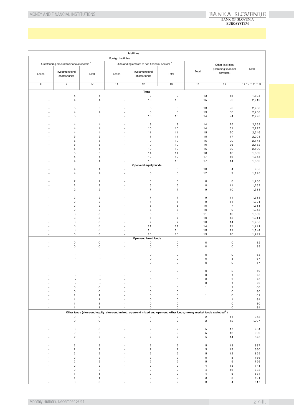|                         |                                                      |                                                      |                     | Liabilities                                                                                                                         |                                            |                     |                                    |                    |
|-------------------------|------------------------------------------------------|------------------------------------------------------|---------------------|-------------------------------------------------------------------------------------------------------------------------------------|--------------------------------------------|---------------------|------------------------------------|--------------------|
|                         |                                                      |                                                      | Foreign liabilities |                                                                                                                                     |                                            |                     |                                    |                    |
|                         | Outstanding amount to financial sectors <sup>1</sup> |                                                      |                     | Outstanding amount to non-financial sectors <sup>2</sup>                                                                            |                                            |                     | Other liabilities                  |                    |
| Loans                   | Investment fund<br>shares/units                      | Total                                                | Loans               | Investment fund<br>shares/units                                                                                                     | Total                                      | Total               | (including financial<br>derivates) | Total              |
| $\overline{\mathbf{8}}$ | $\overline{9}$                                       | 10                                                   | 11                  | 12                                                                                                                                  | 13                                         | 14                  | 15                                 | $16 = 7 + 14 + 15$ |
|                         |                                                      |                                                      |                     |                                                                                                                                     |                                            |                     |                                    |                    |
|                         |                                                      |                                                      |                     | Total                                                                                                                               |                                            |                     |                                    |                    |
|                         | $\sqrt{4}$                                           | $\ensuremath{4}$                                     | ä,                  | $\boldsymbol{9}$                                                                                                                    | $\hbox{9}$                                 | 13                  | 15                                 | 1,894              |
|                         | $\overline{4}$                                       | $\overline{4}$                                       | ä,                  | 10                                                                                                                                  | 10                                         | 15                  | 22                                 | 2,219              |
|                         | 5                                                    | $\,$ 5 $\,$                                          |                     | 8                                                                                                                                   | 8                                          | 13                  | 25                                 | 2,238              |
|                         | $\sqrt{4}$                                           | $\overline{4}$                                       |                     | $\bf8$                                                                                                                              | $\,$ 8 $\,$                                | 13                  | 30                                 | 2,238              |
|                         | $\,$ 5 $\,$                                          | 5                                                    | ä,                  | 10                                                                                                                                  | 10                                         | 14                  | 24                                 | 2,276              |
|                         |                                                      |                                                      |                     |                                                                                                                                     |                                            |                     |                                    |                    |
|                         | $\overline{4}$                                       | $\overline{4}$                                       |                     | $\mathsf g$                                                                                                                         | $\mathsf g$                                | 14                  | 25                                 | 2,269              |
|                         | $\overline{4}$<br>$\overline{4}$                     | $\overline{4}$<br>$\overline{4}$                     |                     | 10<br>11                                                                                                                            | 10                                         | 14<br>15            | 31<br>20                           | 2,277              |
|                         | 5                                                    | $\,$ 5 $\,$                                          | ä,                  | 11                                                                                                                                  | 11<br>11                                   | 15                  | 17                                 | 2,246<br>2,203     |
|                         | 6                                                    | 6                                                    |                     | 10                                                                                                                                  | 10                                         | 16                  | 20                                 | 2,175              |
|                         | $\sqrt{5}$                                           | $\,$ 5 $\,$                                          | ä,                  | 10                                                                                                                                  | 10                                         | 16                  | 26                                 | 2,132              |
|                         | $\sqrt{5}$                                           | $\,$ 5 $\,$                                          |                     | 10                                                                                                                                  | 10                                         | 16                  | 30                                 | 2,100              |
|                         | $\,$ 5 $\,$                                          | 5                                                    | $\overline{a}$      | 14                                                                                                                                  | 14                                         | 18                  | 18                                 | 1,889              |
|                         | $\sqrt{4}$                                           | $\overline{\mathbf{4}}$                              | ×,                  | 12                                                                                                                                  | 12                                         | 17                  | 16                                 | 1,755              |
| ×.                      | $\overline{4}$                                       | $\overline{4}$                                       | $\sim$              | 13                                                                                                                                  | 13                                         | 17                  | 14                                 | 1,850              |
| ×.                      |                                                      |                                                      |                     | Open-end equity funds                                                                                                               |                                            |                     |                                    |                    |
|                         | $\sqrt{4}$<br>$\overline{\mathbf{4}}$                | $\ensuremath{\mathsf{4}}$<br>$\overline{\mathbf{4}}$ | $\sim$<br>÷,        | 6<br>8                                                                                                                              | 6<br>8                                     | 10<br>12            | $\sqrt{4}$<br>$\hbox{9}$           | 905<br>1,173       |
|                         |                                                      |                                                      |                     |                                                                                                                                     |                                            |                     |                                    |                    |
|                         | $\sqrt{2}$                                           | $\sqrt{2}$                                           |                     | $\sqrt{5}$                                                                                                                          | 5                                          | 8                   | 8                                  | 1,236              |
|                         | $\sqrt{2}$                                           | $\sqrt{2}$                                           | ä,                  | 5                                                                                                                                   | 5                                          | $\,$ 8 $\,$         | 11                                 | 1,262              |
|                         | $\sqrt{2}$                                           | $\overline{c}$                                       | ä,                  | $\overline{7}$                                                                                                                      | $\overline{7}$                             | 9                   | 10                                 | 1,313              |
|                         |                                                      |                                                      |                     |                                                                                                                                     |                                            |                     |                                    |                    |
|                         | $\sqrt{2}$                                           | $\sqrt{2}$                                           |                     | $\overline{7}$                                                                                                                      | $\overline{\mathcal{I}}$                   | 9                   | 11                                 | 1,313              |
|                         | $\sqrt{2}$<br>$\sqrt{2}$                             | $\sqrt{2}$<br>$\sqrt{2}$                             |                     | $\overline{\mathcal{I}}$<br>$\,$ 8 $\,$                                                                                             | $\overline{\mathcal{I}}$<br>8              | $\mathsf g$         | 11<br>$\overline{7}$               | 1,321              |
|                         | $\sqrt{2}$                                           | $\sqrt{2}$                                           |                     | $\,$ 8 $\,$                                                                                                                         | 8                                          | 10<br>10            | $\mathsf g$                        | 1,311<br>1,358     |
|                         | 3                                                    | 3                                                    |                     | 8                                                                                                                                   | 8                                          | 11                  | 10                                 | 1,339              |
|                         | 3                                                    | 3                                                    |                     | $\overline{\mathcal{I}}$                                                                                                            | $\overline{\mathcal{I}}$                   | 10                  | 13                                 | 1,311              |
|                         | 3                                                    | 3                                                    |                     | $\overline{7}$                                                                                                                      | $\overline{7}$                             | 10                  | 14                                 | 1,285              |
|                         | 3                                                    | 3                                                    |                     | 11                                                                                                                                  | 11                                         | 14                  | 12                                 | 1,271              |
|                         | 3                                                    | $\ensuremath{\mathsf{3}}$                            | ×,                  | 10                                                                                                                                  | 10                                         | 13                  | 11                                 | 1,174              |
| $\sim$                  | 3                                                    | 3                                                    | $\frac{1}{2}$       | 10                                                                                                                                  | 10                                         | 13                  | 10                                 | 1,249              |
|                         | $\mathsf{O}\xspace$                                  | $\mathsf{O}\xspace$                                  | ٠                   | Open-end bond funds<br>$\mathsf{O}\xspace$                                                                                          | $\mathsf{O}\xspace$                        | $\mathsf{O}\xspace$ | $\mathsf{O}\xspace$                | 32                 |
|                         | $\mathsf{O}\xspace$                                  | $\mathsf O$                                          | ÷,                  | $\circ$                                                                                                                             | $\mathsf{O}\xspace$                        | $\mathsf O$         | $\mathsf O$                        | 39                 |
|                         |                                                      |                                                      |                     |                                                                                                                                     |                                            |                     |                                    |                    |
|                         |                                                      |                                                      |                     | $\mathsf O$                                                                                                                         | 0                                          | $\mathsf O$         | $\mathsf O$                        | 68                 |
|                         |                                                      |                                                      |                     | $\mathsf{O}\xspace$                                                                                                                 | $\mathsf{O}\xspace$                        | $\mathsf{O}\xspace$ | $\ensuremath{\mathsf{3}}$          | 67                 |
|                         |                                                      |                                                      |                     | $\mathsf O$                                                                                                                         | $\mathsf{O}\xspace$                        | $\mathsf O$         | $\mathsf O$                        | 67                 |
|                         |                                                      |                                                      |                     | $\mathsf O$                                                                                                                         | $\circ$                                    | $\circ$             | $\overline{c}$                     | 69                 |
|                         |                                                      |                                                      |                     | $\mathsf{O}\xspace$                                                                                                                 | $\mathsf{O}\xspace$                        | $\mathsf{O}\xspace$ | $\mathbf{1}$                       | 75                 |
|                         |                                                      |                                                      |                     | $\mathsf{O}\xspace$                                                                                                                 | $\mathsf{O}\xspace$                        | $\mathsf{O}\xspace$ | $\sqrt{2}$                         | 76                 |
|                         |                                                      |                                                      |                     | $\mathsf O$                                                                                                                         | $\mathsf{O}\xspace$                        | $\mathsf{O}\xspace$ | $\mathbf{1}$                       | 79                 |
|                         | 0                                                    | 0                                                    |                     | $\mathsf{O}\xspace$                                                                                                                 | $\mathsf{O}\xspace$                        | 1                   | $\mathbf{1}$                       | 80                 |
|                         | $\circ$                                              | $\circ$                                              |                     | $\mathsf O$                                                                                                                         | $\mathsf{O}\xspace$                        | 1                   | $\mathsf O$                        | 80                 |
|                         |                                                      |                                                      |                     | $\mathsf{O}\xspace$                                                                                                                 | $\mathsf{O}\xspace$                        | 1                   | 0                                  | 82                 |
|                         | 1<br>1                                               |                                                      |                     | $\mathsf O$<br>$\mathsf O$                                                                                                          | $\mathsf{O}\xspace$<br>$\mathsf{O}\xspace$ | 1<br>1              | $\mathbf{1}$<br>$\mathsf O$        | 84<br>80           |
| ٠                       | $\mathbf{1}$                                         | $\mathbf{1}$                                         |                     | $\mathsf{O}\xspace$                                                                                                                 | $\mathsf{O}\xspace$                        | 1                   | $\mathsf{O}$                       | 84                 |
|                         |                                                      |                                                      |                     | Other funds (close-end equity, close-end mixed, open-end mixed and open-end other funds; money market funds excluded <sup>3</sup> ) |                                            |                     |                                    |                    |
|                         | $\mathsf{O}\xspace$                                  | 0                                                    |                     | $\sqrt{2}$                                                                                                                          | $\sqrt{2}$                                 | $\sqrt{2}$          | 11                                 | 958                |
|                         | $\mathsf{O}\xspace$                                  | $\mathsf{O}\xspace$                                  | ä,                  | $\sqrt{2}$                                                                                                                          | $\overline{c}$                             | $\overline{c}$      | 12                                 | 1,007              |
|                         |                                                      |                                                      |                     |                                                                                                                                     |                                            |                     |                                    |                    |
|                         | 3                                                    | 3                                                    |                     | $\sqrt{2}$                                                                                                                          | $\sqrt{2}$                                 | $\sqrt{5}$          | 17                                 | 934                |
|                         | $\sqrt{2}$                                           | $\overline{c}$                                       |                     | $\overline{c}$                                                                                                                      | $\overline{c}$                             | $\overline{5}$      | 16                                 | 909                |
|                         | $\overline{c}$                                       | $\overline{c}$                                       |                     | $\sqrt{2}$                                                                                                                          | $\sqrt{2}$                                 | $\sqrt{5}$          | 14                                 | 896                |
|                         | $\overline{c}$                                       | $\overline{c}$                                       |                     | $\sqrt{2}$                                                                                                                          | $\sqrt{2}$                                 | $\sqrt{5}$          | 13                                 | 887                |
|                         | $\overline{c}$                                       | $\overline{c}$                                       |                     | $\overline{c}$                                                                                                                      | $\overline{c}$                             | 5                   | 19                                 | 880                |
|                         | $\sqrt{2}$                                           | $\overline{c}$                                       |                     | 2                                                                                                                                   | $\sqrt{2}$                                 | 5                   | 12                                 | 859                |
|                         | $\overline{c}$                                       | $\overline{c}$                                       |                     | $\overline{c}$                                                                                                                      | $\overline{c}$                             | 5                   | 8                                  | 766                |
|                         | $\sqrt{2}$                                           | $\sqrt{2}$                                           |                     | 2                                                                                                                                   | $\overline{\mathbf{c}}$                    | 5                   | $\mathsf g$                        | 756                |
|                         | $\sqrt{2}$                                           | $\overline{c}$                                       |                     | $\overline{\mathbf{c}}$                                                                                                             | $\sqrt{2}$                                 | 4                   | 13                                 | 741                |
|                         | $\overline{c}$                                       | $\overline{c}$                                       |                     | $\sqrt{2}$                                                                                                                          | $\sqrt{2}$                                 | 4                   | 16                                 | 733                |
|                         | 1<br>$\mathbf{1}$                                    | $\mathbf{1}$<br>$\mathbf{1}$                         |                     | $\overline{\mathbf{c}}$<br>$\overline{c}$                                                                                           | $\overline{\mathbf{c}}$<br>$\overline{a}$  | 4<br>3              | $\,$ 5 $\,$<br>$\,$ 5 $\,$         | 534<br>501         |
|                         |                                                      |                                                      |                     |                                                                                                                                     |                                            |                     |                                    |                    |

- 0 0 0 - 2 2 3 4 517

L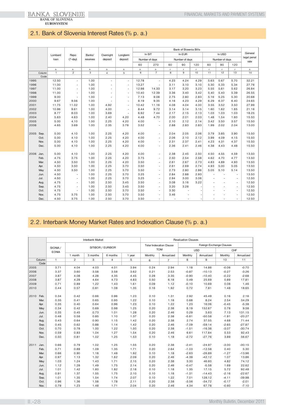**EUROSYSTEM**

### 2.1. Bank of Slovenia Interest Rates (% p. a.)

|              |                |                          |                         |                |                          | Bank of Slovenia Bills |                          |                |                |              |              |                |              |                     |
|--------------|----------------|--------------------------|-------------------------|----------------|--------------------------|------------------------|--------------------------|----------------|----------------|--------------|--------------|----------------|--------------|---------------------|
|              | Lombard        | Repo                     | Banks'                  | Ovemight       | Longterm                 |                        | In SIT                   |                | In EUR         |              |              | In USD         |              | General             |
|              | loan           | $(7-day)$                | reserves                | deposit        | deposit                  | Number of days         |                          |                | Number of days |              |              | Number of days |              | legal penal<br>rate |
|              |                |                          |                         |                |                          | 60                     | 270                      | 60             | 90             | 120          | 60           | 90             | 120          |                     |
|              | n              | n                        | n                       | n              | n                        | n.                     | n                        | $\mathbf r$    | $\mathbf{r}$   | $\mathbf{r}$ | $\mathbf{r}$ | $\mathbf{r}$   | $\mathsf{r}$ | n                   |
| Column       | $\overline{1}$ | $\overline{2}$           | $\overline{\mathbf{3}}$ | $\overline{4}$ | $\overline{5}$           | $\overline{6}$         | $\overline{7}$           | $\overline{8}$ | $\overline{9}$ | 10           | 11           | 12             | 13           | 14                  |
| Code         |                |                          |                         |                |                          |                        |                          |                |                |              |              |                |              |                     |
| 1995         | 12.50          | ٠                        | 1.00                    | ٠              | ÷.                       | 12.78                  | ×                        | 4.23           | 4.24           | 4.29         | 5.63         | 5.67           | 5.70         | 32.21               |
| 1996         | 11.00          | ×.                       | 1.00                    | ×.             | $\sim$                   | 13.27                  | ÷,                       | 3.11           | 3.10           | 3.10         | 5.30         | 5.33           | 5.34         | 27.76               |
| 1997         | 11.00          | $\overline{\phantom{a}}$ | 1.00                    | ٠              | $\overline{\phantom{a}}$ | 12.98                  | 14.33                    | 3.17           | 3.20           | 3.23         | 5.55         | 5.61           | 5.62         | 26.84               |
| 1998         | 11.00          | ٠                        | 1.00                    | ×.             | $\overline{\phantom{a}}$ | 10.40                  | 12.39                    | 3.36           | 3.40           | 3.42         | 5.40         | 5.40           | 5.39         | 26.55               |
| 1999         | 9.00           | ÷,                       | 1.00                    | ä,             | $\overline{\phantom{a}}$ | 7.13                   | 9.08                     | 2.75           | 2.80           | 2.83         | 5.16         | 5.25           | 5.30         | 20.68               |
| 2000         | 9.67           | 9.56                     | 1.00                    | ÷,             | $\overline{\phantom{a}}$ | 8.19                   | 9.35                     | 4.16           | 4.23           | 4.29         | 6.29         | 6.37           | 6.40         | 24.65               |
| 2001         | 11.75          | 11.02                    | 1.00                    | 4.92           | $\overline{\phantom{a}}$ | 10.42                  | 11.16                    | 4.08           | 4.04           | 4.00         | 3.55         | 3.52           | 3.50         | 27.99               |
| 2002         | 10.96          | 9.61                     | 1.00                    | 4.00           | ٠                        | 8.44                   | 9.72                     | 3.14           | 3.14           | 3.15         | 1.60         | 1.62           | 1.65         | 21.16               |
| 2003         | 8.77           | 8.03                     | 1.00                    | 3.69           | $\sim$                   | 6.92                   | 7.44                     | 2.17           | 2.15           | 2.13         | 1.03         | 1.03           | 1.03         | 18.25               |
| 2004         | 5.63           | 4.63                     | 1.00                    | 2.40           | 4.20                     | 4.48                   | 4.70                     | 2.00           | 2.01           | 2.03         | 1.48         | 1.54           | 1.60         | 15.50               |
| 2005         | 5.00           | 4.10                     | 1.00                    | 2.25           | 4.20                     | 4.00                   | $\overline{\phantom{a}}$ | 2.10           | 2.12           | 2.14         | 3.42         | 3.50           | 3.57         | 15.50               |
| 2006         | 4.65           | 3.69                     | 1.00                    | 2.35           | 3.78                     | 3.52                   | $\overline{\phantom{a}}$ | 2.88           | 2.83           | 2.83         | 1.99         | 2.02           | 2.04         | 13.00               |
|              |                |                          |                         |                |                          |                        |                          |                |                |              |              |                |              |                     |
| Sep.<br>2005 | 5.00           | 4.10                     | 1.00                    | 2.25           | 4.20                     | 4.00                   | $\overline{\phantom{a}}$ | 2.04           | 2.05           | 2.06         | 3.79         | 3.85           | 3.90         | 15.50               |
| Oct.         | 5.00           | 4.10                     | 1.00                    | 2.25           | 4.20                     | 4.00                   | $\overline{\phantom{a}}$ | 2.06           | 2.10           | 2.12         | 3.99         | 4.09           | 4.15         | 15.50               |
| Nov.         | 5.00           | 4.10                     | 1.00                    | 2.25           | 4.20                     | 4.00                   | ä,                       | 2.31           | 2.37           | 2.41         | 4.23         | 4.31           | 4.37         | 15.50               |
| Dec.         | 5.00           | 4.10                     | 1.00                    | 2.25           | 4.20                     | 4.00                   | $\overline{\phantom{a}}$ | 2.36           | 2.41           | 2.46         | 4.38         | 4.43           | 4.48         | 15.50               |
|              |                |                          |                         |                |                          |                        |                          |                |                |              |              |                |              |                     |
| 2006<br>Jan. | 5.00           | 4.10                     | 1.00                    | 2.25           | 4.20                     | 4.00                   | $\overline{\phantom{a}}$ | 2.38           | 2.45           | 2.50         | 4.50         | 4.55           | 4.59         | 13.50               |
| Feb.         | 4.75           | 3.75                     | 1.00                    | 2.25           | 4.20                     | 3.75                   | $\overline{\phantom{a}}$ | 2.50           | 2.54           | 2.58         | 4.62         | 4.70           | 4.77         | 13.50               |
| Mar.         | 4.50           | 3.50                     | 1.00                    | 2.25           | 4.20                     | 3.50                   | $\overline{\phantom{a}}$ | 2.61           | 2.67           | 2.73         | 4.83         | 4.89           | 4.93         | 13.50               |
| Apr.         | 4.50           | 3.50                     | 1.00                    | 2.25           | 3.70                     | 3.50                   | $\overline{\phantom{a}}$ | 2.61           | 2.69           | 2.74         | 4.93         | 5.00           | 5.05         | 13.50               |
| May          | 4.50           | 3.50                     | 1.00                    | 2.25           | 3.70                     | 3.50                   | $\overline{\phantom{a}}$ | 2.73           | 2.80           | 2.86         | 5.05         | 5.10           | 5.14         | 13.50               |
| Jun.         | 4.50           | ÷                        | 1.00                    | 2.25           | 3.70                     | 3.25                   | $\overline{\phantom{a}}$ | 2.84           | 2.88           | 2.93         | ÷.           |                | ÷            | 13.50               |
| Jul.         | 4.50           | ٠                        | 1.00                    | 2.25           | 3.70                     | 3.25                   | $\overline{\phantom{a}}$ | 2.94           | 3.00           | 3.06         | ÷.           |                | ٠            | 12.50               |
| Aug.         | 4.75           | ٠                        | 1.00                    | 2.50           | 3.45                     | 3.50                   | $\overline{\phantom{a}}$ | 3.08           | 3.16           | 3.22         | ÷.           | ÷              | $\sim$       | 12.50               |
| Sep.         | 4.75           | ÷,                       | 1.00                    | 2.50           | 3.45                     | 3.50                   | $\overline{\phantom{a}}$ | 3.20           | 3.28           |              |              | ×.             | ×.           | 12.50               |
| Oct.         | 4.75           | ä,                       | 1.00                    | 2.50           | 3.70                     | 3.50                   | $\overline{\phantom{a}}$ | 3.30           |                |              |              | ×.             | $\sim$       | 12.50               |
| Nov.         | 4.75           | 3.75                     | 1.00                    | 2.50           | 3.70                     | 3.50                   | $\overline{\phantom{a}}$ | 3.46           | ä,             |              |              |                | $\sim$       | 12.50               |
| Dec.         | 4.50           | 3.75                     | 1.00                    | 2.50           | 3.70                     | 3.50                   |                          |                |                |              | ÷.           |                | ٠            | 12.50               |

### 2.2. Interbank Money Market Rates and Indexation Clause (% p. a.)

|      |              | <b>Interbank Market</b> |                   |          |                |        | <b>Revaluation Clauses</b>                   |                |                          |            |         |            |
|------|--------------|-------------------------|-------------------|----------|----------------|--------|----------------------------------------------|----------------|--------------------------|------------|---------|------------|
|      |              |                         | SITIBOR / EURIBOR |          |                |        | <b>Tolar Indexation Clause</b><br><b>TOM</b> |                | Foreign Exchange Clauses |            |         |            |
|      |              | SIONIA/<br><b>EONIA</b> |                   |          |                |        |                                              |                | <b>USD</b>               |            | CHF     |            |
|      |              |                         | 1 month           | 3 months | 6 months       | 1 year | Monthly                                      | Annualized     | Monthly                  | Annualized | Monthly | Annualized |
|      | Column       | $\mathbf{1}$            | $\overline{c}$    | 3        | $\overline{4}$ | 5      | 6                                            | $\overline{7}$ | 8                        | 9          | 10      | 11         |
|      | Code         |                         |                   |          |                |        |                                              |                |                          |            |         |            |
| 2005 |              | 3.71                    | 4.04              | 4.03     | 4.01           | 3.94   | 0.24                                         | 2.94           | 1.18                     | 14.86      | $-0.06$ | $-0.70$    |
| 2006 |              | 3.37                    | 3.60              | 3.58     | 3.58           | 3.62   | 0.21                                         | 2.53           | $-0.87$                  | $-10.13$   | $-0.27$ | $-3.26$    |
| 2007 |              | 3.87                    | 4.08              | 4.28     | 4.35           | 4.45   | 0.28                                         | 3.35           | $-0.90$                  | $-10.40$   | $-0.22$ | $-2.68$    |
| 2008 |              | 3.87                    | 4.28              | 4.64     | 4.73           | 4.83   | 0.50                                         | 6.18           | 0.49                     | 25.69      | 0.89    | 17.81      |
| 2009 |              | 0.71                    | 0.89              | 1.22     | 1.43           | 1.61   | 0.09                                         | 1.12           | $-0.10$                  | 10.69      | 0.08    | 1.46       |
| 2010 |              | 0.44                    | 0.57              | 0.81     | 1.08           | 1.35   | 0.16                                         | 1.92           | 0.72                     | 7.81       | 1.48    | 18.65      |
| 2010 | Feb.         | 0.34                    | 0.42              | 0.66     | 0.96           | 1.23   | 0.10                                         | 1.31           | 2.92                     | 45.49      | 0.16    | 2.16       |
|      | Mar.         | 0.35                    | 0.41              | 0.65     | 0.95           | 1.22   | 0.10                                         | 1.18           | 0.68                     | 8.24       | 2.54    | 34.29      |
|      | Apr.         | 0.35                    | 0.40              | 0.64     | 0.96           | 1.23   | 0.10                                         | 1.22           | 1.23                     | 16.06      | $-0.45$ | $-5.38$    |
|      | May          | 0.34                    | 0.42              | 0.69     | 0.98           | 1.25   | 0.20                                         | 2.38           | 8.19                     | 152.67     | 0.78    | 9.58       |
|      | Jun.         | 0.35                    | 0.45              | 0.73     | 1.01           | 1.28   | 0.20                                         | 2.46           | 0.29                     | 3.63       | 7.13    | 131.15     |
|      | Jul.         | 0.48                    | 0.58              | 0.85     | 1.10           | 1.37   | 0.20                                         | 2.38           | $-5.81$                  | $-50.58$   | $-1.91$ | $-20.27$   |
|      | Aug.         | 0.43                    | 0.64              | 0.90     | 1.15           | 1.42   | 0.20                                         | 2.38           | 2.74                     | 37.55      | 4.68    | 71.44      |
|      |              | 0.45                    | 0.62              | 0.88     | 1.14           | 1.42   | 0.20                                         | 2.46           | $-7.09$                  | $-59.14$   | $-2.65$ | $-27.87$   |
|      | Sep.<br>Oct. | 0.70                    | 0.78              | 1.00     | 1.22           | 1.50   | 0.20                                         | 2.38           | $-1.51$                  | $-16.38$   | $-3.07$ | $-30.74$   |
|      |              | 0.59                    | 0.83              | 1.04     | 1.27           | 1.54   | 0.20                                         | 2.46           | 6.61                     | 117.84     | 5.53    | 92.43      |
|      | Nov.         |                         |                   |          |                |        |                                              |                |                          |            |         |            |
|      | Dec.         | 0.50                    | 0.81              | 1.02     | 1.25           | 1.53   | 0.10                                         | 1.18           | $-2.72$                  | $-27.76$   | 3.89    | 56.67      |
| 2011 | Jan.         | 0.66                    | 0.79              | 1.02     | 1.25           | 1.55   | 0.20                                         | 2.38           | $-2.41$                  | $-24.97$   | $-3.00$ | $-30.15$   |
|      | Feb.         | 0.71                    | 0.89              | 1.09     | 1.35           | 1.71   | 0.20                                         | 2.64           | $-1.03$                  | $-12.58$   | 0.40    | 5.30       |
|      | Mar.         | 0.66                    | 0.90              | 1.18     | 1.48           | 1.92   | 0.10                                         | 1.18           | $-2.63$                  | $-26.89$   | $-1.27$ | $-13.96$   |
|      | Apr.         | 0.97                    | 1.13              | 1.32     | 1.62           | 2.09   | 0.20                                         | 2.46           | $-4.39$                  | $-42.12$   | 1.07    | 13.86      |
|      | May          | 1.03                    | 1.24              | 1.43     | 1.71           | 2.15   | 0.20                                         | 2.38           | 3.30                     | 46.60      | 4.82    | 74.12      |
|      | Jun.         | 1.12                    | 1.28              | 1.49     | 1.75           | 2.14   | 0.20                                         | 2.46           | $-0.47$                  | $-5.58$    | 1.69    | 22.62      |
|      | Jul.         | 1.01                    | 1.42              | 1.60     | 1.82           | 2.18   | 0.10                                         | 1.18           | 1.35                     | 17.15      | 5.72    | 92.48      |
|      | Aug.         | 0.91                    | 1.37              | 1.55     | 1.75           | 2.10   | 0.10                                         | 1.18           | $-1.31$                  | $-14.43$   | $-2.16$ | $-22.67$   |
|      | Sep.         | 1.01                    | 1.35              | 1.54     | 1.74           | 2.07   | 0.10                                         | 1.22           | 7.01                     | 128.12     | $-4.11$ | $-39.98$   |
|      | Oct.         | 0.96                    | 1.36              | 1.58     | 1.78           | 2.11   | 0.20                                         | 2.38           | $-3.56$                  | $-34.72$   | $-0.17$ | $-2.01$    |
|      | Nov.         | 0.79                    | 1.23              | 1.48     | 1.71           | 2.04   | 0.20                                         | 2.46           | 4.34                     | 67.78      | $-0.60$ | $-7.10$    |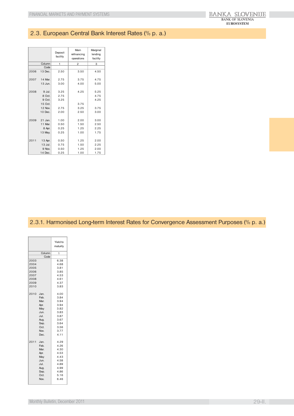## 2.3. European Central Bank Interest Rates (% p. a.)

|      |          | Deposit<br>facility | Main<br>refinancing<br>operations | Marginal<br>lending<br>facility |
|------|----------|---------------------|-----------------------------------|---------------------------------|
|      | Column   | 1                   | $\overline{c}$                    | 3                               |
|      | Code     |                     |                                   |                                 |
| 2006 | 13 Dec.  | 2.50                | 3.50                              | 4.50                            |
| 2007 | 14 Mar.  | 2.75                | 3.75                              | 4.75                            |
|      | 13 Jun.  | 3.00                | 4.00                              | 5.00                            |
| 2008 | $9$ Jul. | 3.25                | 4.25                              | 5.25                            |
|      | 8 Oct.   | 2.75                |                                   | 4.75                            |
|      | 9 Oct.   | 3.25                |                                   | 4.25                            |
|      | 15 Oct.  |                     | 3.75                              |                                 |
|      | 12 Nov.  | 2.75                | 3.25                              | 3.75                            |
|      | 10 Dec.  | 2.00                | 2.50                              | 3.00                            |
| 2009 | 21 Jan.  | 1.00                | 2.00                              | 3.00                            |
|      | 11 Mar.  | 0.50                | 1.50                              | 2.50                            |
|      | 8 Apr.   | 0.25                | 1.25                              | 2.25                            |
|      |          |                     |                                   | 1.75                            |
|      | 13 May.  | 0.25                | 1.00                              |                                 |
| 2011 | 13 Apr.  | 0.50                | 1.25                              | 2.00                            |
|      | 13 Jul.  | 0.75                | 1.50                              | 2.25                            |
|      | 9 Nov.   | 0.50                | 1.25                              | 2.00                            |
|      | 14 Dec.  | 0.25                | 1.00                              | 1.75                            |

## 2.3.1. Harmonised Long-term Interest Rates for Convergence Assessment Purposes (% p. a.)

|      |        | Yield to<br>maturity |
|------|--------|----------------------|
|      | Column | 1                    |
|      | Code   |                      |
| 2003 |        | 6.38                 |
| 2004 |        | 4.68                 |
| 2005 |        | 3.81                 |
| 2006 |        | 3.85                 |
|      |        |                      |
| 2007 |        | 4.53                 |
| 2008 |        | 4.61                 |
| 2009 |        | 4.37                 |
| 2010 |        | 3.83                 |
| 2010 | Jan.   | 4.00                 |
|      | Feb.   | 3.84                 |
|      | Mar.   | 3.94                 |
|      | Apr.   | 3.94                 |
|      | May    | 3.82                 |
|      | Jun.   | 3.83                 |
|      | Jul.   | 3.87                 |
|      | Aug.   | 3.67                 |
|      |        |                      |
|      | Sep.   | 3.64                 |
|      | Oct.   | 3.56                 |
|      | Nov.   | 3.77                 |
|      | Dec.   | 4.11                 |
| 2011 | Jan.   | 4.29                 |
|      | Feb.   | 4.26                 |
|      | Mar.   | 4.30                 |
|      | Apr.   | 4.53                 |
|      | May    | 4.43                 |
|      | Jun.   | 4.58                 |
|      | Jul.   | 4.89                 |
|      | Aug.   | 4.99                 |
|      | Sep.   | 4.86                 |
|      | Oct.   | 5.16                 |
|      | Nov.   | 6.46                 |
|      |        |                      |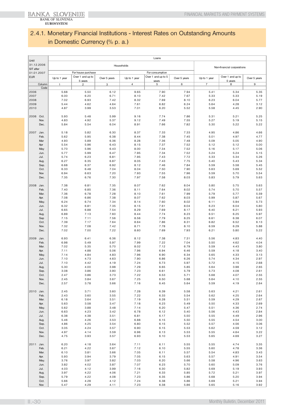# 2.4.1. Monetary Financial Institutions - Interest Rates on Outstanding Amounts in Domestic Currency (% p. a.)

|                     |              |                    |              |                | Loans              |              |                |                            |              |  |
|---------------------|--------------|--------------------|--------------|----------------|--------------------|--------------|----------------|----------------------------|--------------|--|
| Until<br>31.12.2006 |              |                    |              |                |                    |              |                |                            |              |  |
| SIT after           |              |                    |              | Households     |                    |              |                | Non-financial corporations |              |  |
| 01.01.2007          |              | For house purchase |              |                | For consumption    |              |                |                            |              |  |
| <b>EUR</b>          | Up to 1 year | Over 1 and up to   | Over 5 years | Up to 1 year   | Over 1 and up to 5 | Over 5 years | Up to 1 year   | Over 1 and up to           | Over 5 years |  |
|                     |              | 5 years            |              |                | years              |              |                | 5 years                    |              |  |
| Column              | $\mathbf{1}$ | 2                  | 3            | $\overline{4}$ | 5                  | 6            | $\overline{7}$ | 8                          | 9            |  |
| Code                |              |                    |              |                |                    |              |                |                            |              |  |
| 2006                | 5.68         | 5.50               | 6.12         | 9.65           | 7.90               | 7.94         | 5.41           | 5.34                       | 5.35         |  |
| 2007<br>2008        | 6.00<br>7.02 | 6.20               | 6.71         | 8.10           | 7.42<br>7.69       | 7.67         | 5.33           | 5.33                       | 5.19         |  |
| 2009                | 5.44         | 6.93<br>4.62       | 7.42<br>4.64 | 8.32<br>7.61   | 6.82               | 8.10<br>6.24 | 6.23<br>5.64   | 6.04<br>4.28               | 5.77<br>3.12 |  |
| 2010                | 4.87         | 3.99               | 3.53         | 7.01           | 6.20               | 5.52         | 5.58           | 4.45                       | 2.90         |  |
|                     |              |                    |              |                |                    |              |                |                            |              |  |
| 2006<br>Oct.        | 5.93         | 5.48               | 5.99         | 9.16           | 7.74               | 7.86         | 5.31           | 5.21                       | 5.25         |  |
| Nov.                | 4.83         | 4.92               | 5.37         | 9.12           | 7.49               | 7.55         | 5.27           | 5.19                       | 5.15         |  |
| Dec.                | 5.84         | 5.54               | 6.04         | 8.91           | 7.66               | 7.82         | 5.30           | 5.22                       | 5.22         |  |
|                     |              |                    |              |                |                    |              |                |                            |              |  |
| 2007<br>Jan.        | 5.18         | 5.82               | 6.30         | 8.37           | 7.33               | 7.33         | 4.95           | 4.86                       | 4.66         |  |
| Feb.                | 5.62         | 5.95               | 6.38         | 8.44           | 7.38               | 7.45         | 5.01           | 4.97                       | 4.77         |  |
| Mar                 | 4.93         | 5.89               | 6.36         | 8.28           | 7.36               | 7.48         | 5.09           | 5.05                       | 4.90         |  |
| Apr                 | 5.54         | 5.96               | 6.43         | 8.15           | 7.37               | 7.52         | 5.12           | 5.12                       | 5.00         |  |
| May                 | 5.70         | 5.96               | 6.43         | 8.00           | 7.34               | 7.52         | 5.16           | 5.17                       | 5.06         |  |
| Jun.                | 5.77         | 5.99               | 6.47         | 7.95           | 7.34               | 7.52         | 5.24           | 5.24                       | 5.15         |  |
| Jul.                | 5.74         | 6.23               | 6.81         | 7.95           | 7.43               | 7.72         | 5.33           | 5.34                       | 5.26         |  |
| Aug.                | 6.27         | 6.35               | 6.87         | 8.05           | 7.43               | 7.75         | 5.40           | 5.43                       | 5.34         |  |
| Sep.<br>Oct.        | 6.68<br>6.33 | 6.37<br>6.48       | 6.92<br>7.04 | 8.12<br>8.04   | 7.46<br>7.50       | 7.84<br>7.90 | 5.59<br>5.63   | 5.58<br>5.69               | 5.45<br>5.52 |  |
| Nov                 | 6.94         | 6.63               | 7.20         | 7.93           | 7.55               | 7.96         | 5.59           | 5.70                       | 5.54         |  |
| Dec.                | 7.35         | 6.76               | 7.30         | 7.97           | 7.58               | 8.03         | 5.83           | 5.79                       | 5.63         |  |
|                     |              |                    |              |                |                    |              |                |                            |              |  |
| 2008<br>Jan.        | 7.38         | 6.81               | 7.35         | 8.07           | 7.62               | 8.04         | 5.80           | 5.75                       | 5.63         |  |
| Feb.                | 7.40         | 6.85               | 7.36         | 8.11           | 7.64               | 8.02         | 5.74           | 5.70                       | 5.57         |  |
| Mar.                | 7.36         | 6.78               | 7.28         | 8.10           | 7.61               | 7.99         | 5.79           | 5.77                       | 5.59         |  |
| Apr.                | 7.08         | 6.86               | 7.38         | 8.07           | 7.62               | 8.03         | 5.99           | 5.87                       | 5.67         |  |
| May.                | 6.24         | 6.74               | 7.34         | 8.14           | 7.60               | 8.02         | 6.11           | 5.94                       | 5.73         |  |
| Jun.                | 6.32         | 6.81               | 7.35         | 8.15           | 7.61               | 8.04         | 6.23           | 6.04                       | 5.80         |  |
| Jul.                | 6.65         | 6.88               | 7.54         | 8.29           | 7.69               | 8.17         | 6.40           | 6.21                       | 5.93         |  |
| Aug.                | 6.89         | 7.13               | 7.60         | 8.44           | 7.74               | 8.23         | 6.51           | 6.25                       | 5.97         |  |
| Sep                 | 7.15         | 7.11               | 7.56         | 8.56           | 7.79               | 8.25         | 6.61           | 6.38                       | 6.07         |  |
| Oct.                | 7.39         | 7.17               | 7.64         | 8.64           | 7.86               | 8.31         | 6.82           | 6.52                       | 6.13         |  |
| Nov.                | 7.32         | 7.08               | 7.42         | 8.71           | 7.78               | 8.10         | 6.59           | 6.29                       | 5.88         |  |
| Dec.                | 7.02         | 7.00               | 7.22         | 8.60           | 7.69               | 7.93         | 6.21           | 5.80                       | 5.22         |  |
| 2009<br>Jan.        | 6.93         | 6.41               | 6.36         | 8.12           | 7.38               | 7.31         | 5.56           | 4.83                       | 4.40         |  |
| Feb.                | 6.98         | 5.49               | 5.97         | 7.99           | 7.22               | 7.04         | 5.50           | 4.62                       | 4.04         |  |
| Mar.                | 7.02         | 5.35               | 5.70         | 8.02           | 7.12               | 6.79         | 5.59           | 4.43                       | 3.80         |  |
| Apr.                | 7.11         | 4.88               | 5.06         | 7.96           | 6.94               | 6.46         | 5.59           | 4.18                       | 3.40         |  |
| May.                | 7.14         | 4.84               | 4.83         | 7.96           | 6.90               | 6.34         | 5.65           | 4.33                       | 3.13         |  |
| Jun.                | 7.10         | 4.73               | 4.63         | 7.90           | 6.86               | 6.26         | 5.74           | 4.34                       | 2.97         |  |
| Jul.                | 7.10         | 4.42               | 4.19         | 7.24           | 6.73               | 5.97         | 5.72           | 4.15                       | 2.68         |  |
| Aug.                | 5.30         | 4.00               | 3.98         | 7.29           | 6.65               | 5.85         | 5.64           | 3.98                       | 2.65         |  |
| Sep.                | 3.08         | 3.86               | 3.90         | 7.23           | 6.61               | 5.79         | 5.73           | 4.08                       | 2.61         |  |
| Oct.                | 2.47         | 3.86               | 3.73         | 7.22           | 6.53               | 5.71         | 5.68           | 4.07                       | 2.55         |  |
| Nov.                | 2.45         | 3.84               | 3.67         | 7.25           | 6.50               | 5.68         | 5.64           | 4.10                       | 2.55         |  |
| Dec.                | 2.57         | 3.78               | 3.66         | 7.16           | 6.45               | 5.64         | 5.59           | 4.19                       | 2.64         |  |
|                     |              |                    |              |                |                    |              |                |                            | 2.61         |  |
| 2010 Jan.<br>Feb.   | 2.45<br>2.43 | 3.71<br>3.60       | 3.60<br>3.55 | 7.28<br>7.22   | 6.39<br>6.33       | 5.58<br>5.54 | 5.63<br>5.62   | 4.21<br>4.25               | 2.64         |  |
| Mar.                | 6.18         | 3.64               | 3.51         | 7.19           | 6.28               | 5.51         | 5.59           | 4.29                       | 2.67         |  |
| Apr.                | 5.63         | 3.58               | 3.47         | 7.18           | 6.23               | 5.49         | 5.50           | 4.33                       | 2.69         |  |
| May.                | 5.62         | 3.88               | 3.48         | 7.14           | 6.20               | 5.47         | 5.51           | 4.36                       | 2.74         |  |
| Jun.                | 6.63         | 4.23               | 3.42         | 6.78           | 6.12               | 5.40         | 5.56           | 4.43                       | 2.84         |  |
| Jul.                | 6.38         | 4.38               | 3.51         | 6.81           | 6.17               | 5.50         | 5.55           | 4.49                       | 2.96         |  |
| Aug.                | 5.46         | 4.26               | 3.53         | 6.88           | 6.15               | 5.50         | 5.55           | 4.54                       | 3.00         |  |
| Sep.                | 4.86         | 4.25               | 3.54         | 6.80           | 6.15               | 5.52         | 5.57           | 4.56                       | 3.06         |  |
| Oct.                | 3.05         | 4.24               | 3.57         | 6.90           | 6.15               | 5.53         | 5.62           | 4.59                       | 3.12         |  |
| Nov.                | 4.97         | 4.14               | 3.59         | 6.96           | 6.13               | 5.53         | 5.55           | 4.64                       | 3.22         |  |
| Dec.                | 4.75         | 3.93               | 3.57         | 6.93           | 6.10               | 5.53         | 5.65           | 4.69                       | 3.27         |  |
|                     |              |                    |              |                |                    |              |                |                            |              |  |
| 2011 Jan.           | 6.20         | 4.18               | 3.64         | 7.11           | 6.11               | 5.55         | 5.55           | 4.74                       | 3.35         |  |
| Feb.                | 6.21         | 4.22               | 3.67         | 7.12           | 6.10               | 5.55         | 5.60           | 4.78                       | 3.36         |  |
| Mar.                | 6.10         | 3.81               | 3.66         | 7.05           | 6.11               | 5.57         | 5.54           | 4.83                       | 3.43         |  |
| Apr.                | 5.93         | 3.94               | 3.79         | 7.05           | 6.15               | 5.63         | 5.57<br>5.58   | 4.91                       | 3.54<br>3.63 |  |
| May.<br>Jun.        | 3.76<br>3.82 | 3.97<br>4.02       | 3.82<br>3.87 | 7.03<br>7.07   | 6.20<br>6.23       | 5.66<br>5.70 | 5.60           | 4.96<br>5.09               | 3.76         |  |
| Jul.                | 4.03         | 4.12               | 3.99         | 7.16           | 6.30               | 5.82         | 5.69           | 5.19                       | 3.93         |  |
| Aug.                | 3.97         | 4.22               | 4.06         | 7.21           | 6.33               | 5.85         | 5.72           | 5.21                       | 3.97         |  |
| Sep.                | 5.79         | 4.22               | 4.08         | 7.23           | 6.35               | 5.86         | 5.68           | 5.20                       | 3.94         |  |
| Oct.                | 5.66         | 4.28               | 4.12         | 7.24           | 6.38               | 5.86         | 5.69           | 5.21                       | 3.94         |  |
| Nov                 | 5.47         | 4.29               | 4.11         | 7.23           | 6.38               | 5.86         | 5.65           | 5.16                       | 3.92         |  |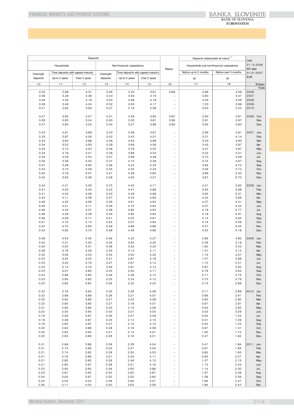#### BANKA SLOVENIJE BANK OF SLOVENIA **EUROSYSTEM**

|                      |               | Deposits                           |                      |                            |                                    |                                                      | Deposits redeemable at notice |                                           | Until                   |
|----------------------|---------------|------------------------------------|----------------------|----------------------------|------------------------------------|------------------------------------------------------|-------------------------------|-------------------------------------------|-------------------------|
|                      | Households    |                                    |                      | Non-financial corporations |                                    |                                                      |                               | Households and non-financial corporations | 31.12.2006              |
|                      |               | Time deposits with agreed maturity |                      |                            | Time deposits with agreed maturity | Repos                                                | Notice up to 3 months         | Notice over 3 months                      | SIT after<br>01.01.2007 |
| Ovemight<br>deposits | Up to 2 years | Over 2 years                       | Ovemight<br>deposits | Up to 2 years              | Over 2 years                       |                                                      | IR                            | IR                                        | <b>EUR</b>              |
| 10                   | 11            | 12                                 | 13                   | 14                         | 15                                 | 16                                                   | 17                            | 18                                        | Stolpec                 |
|                      |               |                                    |                      |                            |                                    |                                                      |                               |                                           | Koda                    |
| 0.32                 | 2.99          | 4.31                               | 0.56                 | 3.33                       | 3.91                               | 3.89                                                 | 2.99                          | 4.09                                      | 2006                    |
| 0.36                 | 3.29          | 4.38                               | 0.43                 | 3.93                       | 4.19                               | ÷,                                                   | 3.60                          | 4.47                                      | 2007                    |
| 0.46                 | 4.35          | 5.19                               | 0.50                 | 4.69                       | 4.78                               | ÷,                                                   | 4.05                          | 5.56                                      | 2008                    |
| 0.28<br>0.21         | 3.48<br>2.62  | 4.04<br>3.93                       | 0.32<br>0.27         | 2.93<br>2.16               | 4.17<br>4.08                       | ÷,<br>$\overline{a}$                                 | 1.23<br>0.63                  | 2.98<br>2.22                              | 2009<br>2010            |
|                      |               |                                    |                      |                            |                                    |                                                      |                               |                                           |                         |
| 0.27                 | 2.82          | 4.07                               | 0.51                 | 3.29                       | 3.82                               | 3.87                                                 | 2.93                          | 3.91                                      | 2006<br>Oct.            |
| 0.28                 | 2.83          | 3.24                               | 0.50                 | 3.30                       | 3.81                               | 3.95                                                 | 2.91                          | 2.97                                      | Nov.                    |
| 0.27                 | 2.84          | 4.05                               | 0.44                 | 3.27                       | 3.96                               | 3.95                                                 | 2.92                          | 3.83                                      | Dec.                    |
| 0.33                 | 2.81          | 3.89                               | 0.43                 | 3.36                       | 3.87                               | ÷,                                                   | 2.99                          | 3.91                                      | 2007<br>Jan.            |
| 0.33                 | 2.87          | 4.06                               | 0.42                 | 3.43                       | 4.01                               | ٠                                                    | 3.21                          | 4.14                                      | Feb.                    |
| 0.33                 | 2.94          | 3.88                               | 0.39                 | 3.55                       | 3.99                               | $\blacksquare$                                       | 3.33                          | 3.93                                      | Mar                     |
| 0.34                 | 3.02          | 3.93                               | 0.39                 | 3.66                       | 4.06                               | ä,                                                   | 3.45                          | 3.97                                      | Apr                     |
| 0.34                 | 3.10          | 4.02                               | 0.46                 | 3.76                       | 4.02                               | ÷                                                    | 3.47                          | 3.97                                      | May                     |
| 0.34<br>0.35         | 3.19<br>3.29  | 4.01<br>4.54                       | 0.39<br>0.47         | 3.88<br>3.99               | 4.03<br>4.28                       | $\sim$<br>÷,                                         | 3.52<br>3.70                  | 4.01<br>4.58                              | Jun.<br>Jul.            |
| 0.35                 | 3.36          | 4.55                               | 0.37                 | 4.10                       | 4.29                               | ÷,                                                   | 3.74                          | 4.67                                      | Aug.                    |
| 0.37                 | 3.48          | 4.60                               | 0.46                 | 4.24                       | 4.33                               | ÷,                                                   | 3.94                          | 4.72                                      | Sep.                    |
| 0.42                 | 3.70          | 4.59                               | 0.45                 | 4.32                       | 4.24                               | $\overline{a}$                                       | 4.06                          | 4.72                                      | Oct.                    |
| 0.40                 | 3.78          | 5.07                               | 0.41                 | 4.38                       | 4.60                               | $\frac{1}{2}$                                        | 3.89                          | 5.32                                      | Nov                     |
| 0.40                 | 3.92          | 5.38                               | 0.39                 | 4.50                       | 4.57                               | ä,                                                   | 3.87                          | 5.70                                      | Dec.                    |
| 0.44                 | 4.01          | 5.35                               | 0.75                 | 4.43                       | 4.71                               | $\frac{1}{2}$                                        | 4.21                          | 5.63                                      | 2008<br>Jan.            |
| 0.41                 | 4.00          | 5.45                               | 0.42                 | 4.41                       | 4.68                               | $\overline{a}$                                       | 3.93                          | 5.68                                      | Feb.                    |
| 0.41                 | 4.02          | 5.28                               | 0.43                 | 4.49                       | 4.68                               | ä,                                                   | 3.92                          | 5.31                                      | Mar.                    |
| 0.43                 | 4.11          | 5.36                               | 0.47                 | 4.54                       | 4.80                               | ä,                                                   | 4.04                          | 5.69                                      | Apr.                    |
| 0.46<br>0.46         | 4.22<br>4.31  | 5.06<br>5.11                       | 0.49<br>0.46         | 4.61<br>4.72               | 4.64<br>4.63                       | $\overline{a}$<br>$\frac{1}{2}$                      | 4.07<br>4.07                  | 5.41<br>5.44                              | May.<br>Jun.            |
| 0.48                 | 4.42          | 5.37                               | 0.48                 | 4.80                       | 4.94                               | ä,                                                   | 4.19                          | 5.77                                      | Jul.                    |
| 0.48                 | 4.49          | 5.38                               | 0.46                 | 4.85                       | 4.94                               | ä,                                                   | 4.18                          | 5.91                                      | Aug.                    |
| 0.48                 | 4.58          | 5.17                               | 0.51                 | 5.02                       | 4.91                               | ÷,                                                   | 4.15                          | 5.63                                      | Sep                     |
| 0.51                 | 4.70          | 5.13                               | 0.54                 | 5.07                       | 4.94                               | ÷,                                                   | 4.19                          | 5.59                                      | Oct.                    |
| 0.52                 | 4.70          | 4.94                               | 0.49                 | 4.89                       | 4.86                               | ä,<br>÷,                                             | 4.27                          | 5.45                                      | Nov.<br>Dec.            |
| 0.43                 | 4.65          | 4.70                               | 0.48                 | 4.46                       | 4.66                               |                                                      | 3.40                          | 5.18                                      |                         |
| 0.48                 | 4.54          | 4.45                               | 0.46                 | 4.20                       | 4.27                               | $\frac{1}{2}$                                        | 2.66                          | 4.90                                      | 2009<br>Jan.            |
| 0.40                 | 4.31          | 4.40                               | 0.44                 | 3.84                       | 4.30                               | ä,                                                   | 2.09                          | 3.19                                      | Feb.                    |
| 0.34<br>0.28         | 4.02<br>3.78  | 4.31<br>4.29                       | 0.38<br>0.33         | 3.52<br>3.13               | 4.22<br>4.11                       | ÷,<br>٠                                              | 1.60<br>1.31                  | 3.22<br>3.12                              | Mar.                    |
| 0.25                 | 3.56          | 4.03                               | 0.34                 | 3.00                       | 4.20                               | ä,                                                   | 1.15                          | 2.57                                      | Apr.<br>May.            |
| 0.23                 | 3.34          | 4.05                               | 0.31                 | 2.81                       | 4.19                               | ×,                                                   | 1.07                          | 2.68                                      | Jun.                    |
| 0.23                 | 3.20          | 3.79                               | 0.27                 | 2.67                       | 4.12                               | ä,                                                   | 1.10                          | 2.51                                      | Jul.                    |
| 0.23                 | 3.14          | 3.75                               | 0.26                 | 2.61                       | 4.13                               | ×,                                                   | 0.87                          | 2.50                                      | Aug.                    |
| 0.23                 | 3.07          | 3.80                               | 0.25                 | 2.50                       | 4.11                               | ÷<br>ä,                                              | 0.79                          | 2.65                                      | Sep.                    |
| 0.23<br>0.23         | 2.98<br>2.93  | 3.83<br>3.82                       | 0.26<br>0.25         | 2.38<br>2.24               | 4.12<br>4.12                       |                                                      | 0.71<br>0.70                  | 2.75<br>2.79                              | Oct.<br>Nov.            |
| 0.23                 | 2.85          | 3.92                               | 0.26                 | 2.22                       | 4.20                               | $\overline{\phantom{a}}$                             | 0.73                          | 2.89                                      | Dec.                    |
|                      |               |                                    |                      |                            |                                    |                                                      |                               |                                           |                         |
| 0.22                 | 2.76          | 3.92                               | 0.25                 | 2.26                       | 4.08                               | $\overline{\phantom{m}}$                             | 0.71                          | 2.89                                      | 2010<br>Jan.            |
| 0.22<br>0.22         | 2.68<br>2.64  | 3.89<br>3.89                       | 0.26<br>0.27         | 2.21<br>2.22               | 4.07<br>4.08                       | $\blacksquare$                                       | 0.66<br>0.65                  | 2.91<br>2.90                              | Feb.<br>Mar.            |
| 0.22                 | 2.60          | 3.90                               | 0.27                 | 2.19                       | 4.07                               | $\overline{\phantom{a}}$<br>$\blacksquare$           | 0.67                          | 2.91                                      | Apr.                    |
| 0.21                 | 2.60          | 3.96                               | 0.25                 | 2.15                       | 4.08                               | $\blacksquare$                                       | 0.64                          | 2.93                                      | May.                    |
| 0.22                 | 2.55          | 3.94                               | 0.30                 | 2.07                       | 4.05                               | ÷,                                                   | 0.53                          | 3.29                                      | Jun.                    |
| 0.19                 | 2.56          | 3.97                               | 0.26                 | 2.07                       | 4.09                               | ÷,                                                   | 0.54                          | 1.43                                      | Jul.                    |
| 0.19                 | 2.58          | 3.97                               | 0.25                 | 2.12                       | 4.15                               | $\frac{1}{2}$                                        | 0.51                          | 1.29                                      | Aug.                    |
| 0.19<br>0.20         | 2.60<br>2.62  | 3.97<br>3.98                       | 0.27<br>0.28         | 2.14<br>2.16               | 4.10<br>4.09                       | $\overline{a}$<br>÷,                                 | 0.54<br>0.67                  | 1.25<br>1.31                              | Sep.<br>Oct.            |
| 0.20                 | 2.63          | 3.94                               | 0.31                 | 2.13                       | 4.07                               | $\overline{\phantom{a}}$                             | 1.00                          | 1.72                                      | Nov.                    |
| 0.20                 | 2.65          | 3.89                               | 0.28                 | 2.19                       | 4.01                               | $\blacksquare$                                       | 0.47                          | 1.82                                      | Dec.                    |
|                      |               |                                    |                      |                            |                                    |                                                      |                               |                                           |                         |
| 0.21<br>0.21         | 2.69<br>2.70  | 3.98<br>3.96                       | 0.29<br>0.32         | 2.29<br>2.27               | 4.04<br>4.04                       | $\overline{\phantom{a}}$<br>$\overline{\phantom{a}}$ | 0.47<br>0.67                  | 1.84<br>1.83                              | 2011<br>Jan.<br>Feb.    |
| 0.21                 | 2.74          | 3.92                               | 0.29                 | 2.30                       | 4.03                               | $\blacksquare$                                       | 0.85                          | 1.95                                      | Mar.                    |
| 0.21                 | 2.78          | 3.96                               | 0.31                 | 2.34                       | 4.11                               | $\blacksquare$                                       | 0.83                          | 2.07                                      | Apr.                    |
| 0.21                 | 2.85          | 3.95                               | 0.29                 | 2.46                       | 4.12                               | $\overline{\phantom{a}}$                             | 1.27                          | 2.15                                      | May.                    |
| 0.21                 | 2.90          | 3.97                               | 0.28                 | 2.51                       | 4.16                               | $\blacksquare$                                       | 1.13                          | 2.34                                      | Jun.                    |
| 0.23<br>0.23         | 2.93<br>2.97  | 3.95<br>3.95                       | 0.29<br>0.30         | 2.60<br>2.62               | 3.86<br>3.87                       | $\overline{\phantom{a}}$<br>÷,                       | 1.14<br>1.37                  | 2.30<br>2.39                              | Jul.<br>Aug.            |
| 0.24                 | 3.00          | 3.97                               | 0.30                 | 2.55                       | 3.85                               | $\overline{\phantom{a}}$                             | 1.38                          | 2.39                                      | Sep.                    |
| 0.24                 | 3.04          | 4.03                               | 0.28                 | 2.60                       | 3.57                               | $\overline{\phantom{a}}$                             | 1.66                          | 2.47                                      | Oct.                    |
| 0.26                 | 3.11          | 4.05                               | 0.30                 | 2.63                       | 3.58                               |                                                      | 1.86                          | 2.42                                      | Nov                     |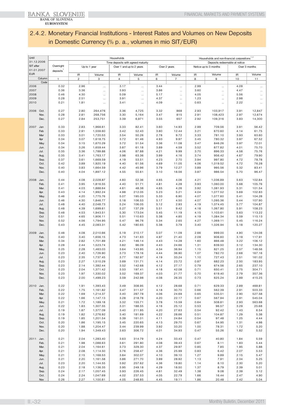BANKA SLOVENIJE BANK OF SLOVENIA **EUROSYSTEM**

# 2.4.2. Monetary Financial Institutions - Interest Rates and Volumes on New Deposits in Domestic Currency (% p. a., volumes in mio SIT/EUR)

| Until                   |              | Households           |              |                                    |             |         |                          | Households and non-financial corporations <sup>1,2</sup> |                               |          |               |
|-------------------------|--------------|----------------------|--------------|------------------------------------|-------------|---------|--------------------------|----------------------------------------------------------|-------------------------------|----------|---------------|
| 31.12.2006              |              |                      |              | Time deposits with agreed maturity |             |         |                          |                                                          | Deposits redeemable at notice |          |               |
| SIT after<br>01.01.2007 | Ovemight     |                      | Up to 1 year | Over 1 and up to 2 years           |             |         | Over 2 years             |                                                          | Notice up to 3 months         |          | Over 3 months |
| <b>EUR</b>              | deposits     |                      |              |                                    |             |         |                          |                                                          | Volume                        |          | Volume        |
| Column                  | $\mathbf{1}$ | IR<br>$\overline{c}$ | Volume<br>3  | IR<br>$\overline{4}$               | Volume<br>5 | IR<br>6 | Volume<br>$\overline{7}$ | IR<br>8                                                  | 9                             | IR<br>10 | 11            |
| Code                    |              |                      |              |                                    |             |         |                          |                                                          |                               |          |               |
| 2006                    | 0.32         | 2.96                 |              | 3.17                               | $\cdots$    | 3.44    |                          | 2.99                                                     |                               | 4.09     | $\cdots$      |
| 2007                    | 0.36         | 3.36                 |              | 3.93                               | $\cdots$    | 3.86    |                          | 3.60                                                     | $\cdots$                      | 4.47     | $\cdots$      |
| 2008                    | 0.46         | 4.30                 | $\ldots$     | 5.09                               | $\cdots$    | 5.17    | $\cdots$                 | 4.05                                                     | $\ddotsc$                     | 5.56     | $\cdots$      |
| 2009                    | 0.28         | 2.51                 |              | 3.91                               | $\cdots$    | 4.37    |                          | 1.23                                                     | $\cdots$                      | 2.98     | $\cdots$      |
| 2010                    | 0.21         | 1.81                 | $\ldots$     | 3.41                               | $\cdots$    | 4.09    |                          | 0.63                                                     | $\ddotsc$                     | 2.22     | $\cdots$      |
|                         |              |                      |              |                                    |             |         |                          |                                                          |                               |          |               |
| Oct.<br>2006            | 0.27         | 2.80                 | 264,476      | 3.36                               | 4,725       | 3.32    | 868                      | 2.93                                                     | 103,917                       | 3.91     | 12,847        |
| Nov.                    | 0.28         | 2.81                 | 268,756      | 3.30                               | 5,164       | 3.47    | 815                      | 2.91                                                     | 108,423                       | 2.97     | 12,674        |
| Dec.                    | 0.27         | 2.84                 | 253,751      | 3.39                               | 6,971       | 3.55    | 657                      | 2.92                                                     | 109,316                       | 3.83     | 14,300        |
|                         |              |                      |              |                                    |             |         |                          |                                                          |                               |          |               |
| 2007<br>Jan             | 0.33         | 2.83                 | 1,968.61     | 3.33                               | 82.41       | 3.60    | 14.93                    | 2.99                                                     | 709.56                        | 3.91     | 56.42         |
| Feb                     | 0.33         | 2.91                 | 1,559.60     | 3.42                               | 52.43       | 3.80    | 12.44                    | 3.21                                                     | 670.60                        | 4.14     | 61.75         |
| Mar                     | 0.33         | 3.01                 | 1,720.53     | 3.54                               | 50.26       | 2.78    | 9.72                     | 3.33                                                     | 781.10                        | 3.93     | 63.60         |
| Apr                     | 0.34         | 3.07                 | 1,618.75     | 3.72                               | 61.46       | 4.93    | 9.97                     | 3.45                                                     | 780.32                        | 3.97     | 67.52         |
| May                     | 0.34         | 3.15                 | 1,670.29     | 3.72                               | 51.54       | 3.36    | 11.08                    | 3.47                                                     | 846.26                        | 3.97     | 72.01         |
| Jun.                    | 0.34         | 3.26                 | 1,659.44     | 3.87                               | 61.18       | 3.89    | 4.59                     | 3.52                                                     | 877.82                        | 4.01     | 75.70         |
| Jul.                    | 0.35         | 3.36                 | 1,789.88     | 4.06                               | 87.88       | 4.21    | 9.99                     | 3.70                                                     | 896.33                        | 4.58     | 75.76         |
| Aug.                    | 0.35         | 3.41                 | 1,763.17     | 3.98                               | 63.36       | 3.99    | 4.16                     | 3.74                                                     | 956.42                        | 4.67     | 79.90         |
| Sep.                    | 0.37         | 3.61                 | 1,669.59     | 4.19                               | 53.51       | 4.23    | 2.70                     | 3.94                                                     | 997.80                        | 4.72     | 78.78         |
| Oct.                    | 0.42         | 3.89                 | 1,920.19     | 4.40                               | 61.56       | 4.69    | 11.05                    | 4.06                                                     | 1,019.52                      | 4.72     | 76.28         |
| Nov.                    | 0.40         | 3.83                 | 1,664.59     | 4.42                               | 45.96       | 3.79    | 12.27                    | 3.89                                                     | 995.56                        | 5.32     | 83.41         |
| Dec.                    | 0.40         | 4.04                 | 1,897.12     | 4.55                               | 55.61       | 3.10    | 18.56                    | 3.87                                                     | 986.54                        | 5.70     | 96.47         |
|                         |              |                      |              |                                    |             |         |                          |                                                          |                               |          |               |
| 2008<br>Jan.            | 0.44         | 4.08                 | 2,028.87     | 4.60                               | 52.36       | 4.65    | 4.06                     | 4.21                                                     | 1,036.89                      | 5.63     | 102.84        |
| Feb.                    | 0.41         | 3.95                 | 1,816.55     | 4.40                               | 51.71       | 4.81    | 4.28                     | 3.93                                                     | 1,060.00                      | 5.68     | 105.76        |
| Mar.                    | 0.41         | 4.03                 | 1,888.64     | 4.61                               | 48.38       | 4.65    | 4.26                     | 3.92                                                     | 1,081.93                      | 5.31     | 101.54        |
| Apr.                    | 0.43         | 4.14                 | 1,992.24     | 4.98                               | 212.05      | 5.23    | 5.21                     | 4.04                                                     | 1,077.52                      | 5.69     | 102.83        |
| May.                    | 0.46         | 4.20                 | 1,775.76     | 5.07                               | 195.03      | 5.33    | 6.90                     | 4.07                                                     | 1,077.60                      | 5.41     | 104.28        |
| Jun.                    | 0.46         | 4.30                 | 1,846.77     | 5.18                               | 106.53      | 5.17    | 4.50                     | 4.07                                                     | 1,095.36                      | 5.44     | 107.90        |
| Jul.                    | 0.48         | 4.40                 | 2,048.73     | 5.24                               | 106.05      | 5.12    | 2.93                     | 4.19                                                     | 1,074.45                      | 5.77     | 104.87        |
| Aug.                    | 0.48         | 4.39                 | 1,699.61     | 5.27                               | 137.29      | 5.51    | 9.42                     | 4.18                                                     | 1,067.80                      | 5.91     | 108.23        |
| Sep.                    | 0.48         | 4.53                 | 1,943.51     | 5.30                               | 173.04      | 5.45    | 11.19                    | 4.15                                                     | 1,103.61                      | 5.63     | 113.22        |
| Oct                     | 0.51         | 4.65                 | 1,906.11     | 5.51                               | 110.63      | 5.38    | 4.85                     | 4.19                                                     | 1,084.34                      | 5.59     | 115.13        |
| Nov.                    | 0.52         | 4.56                 | 1,794.95     | 5.47                               | 96.76       | 5.34    | 2.65                     | 4.27                                                     | 1,069.11                      | 5.45     | 116.24        |
| Dec.                    | 0.43         | 4.45                 | 2,083.31     | 5.42                               | 180.65      | 5.38    | 3.79                     | 3.40                                                     | 1,026.94                      | 5.18     | 120.27        |
|                         |              |                      |              |                                    |             |         |                          |                                                          |                               |          |               |
| 2009<br>Jan.            | 0.48         | 4.08                 | 2,010.66     | 5.19                               | 210.17      | 5.07    | 11.09                    | 2.66                                                     | 999.00                        | 4.90     | 124.08        |
| Feb.                    | 0.40         | 3.40                 | 1,656.15     | 4.73                               | 141.63      | 4.97    | 21.40                    | 2.09                                                     | 906.60                        | 3.19     | 117.91        |
| Mar.                    | 0.34         | 2.82                 | 1,701.89     | 4.21                               | 146.14      | 4.43    | 14.28                    | 1.60                                                     | 866.48                        | 3.22     | 106.12        |
| Apr.                    | 0.28         | 2.44                 | 1,523.74     | 3.82                               | 96.09       | 4.43    | 24.66                    | 1.31                                                     | 839.50                        | 3.12     | 134.30        |
| May.                    | 0.25         | 2.28                 | 1,463.03     | 3.64                               | 143.95      | 4.34    | 36.94                    | 1.15                                                     | 821.25                        | 2.57     | 148.56        |
| Jun.                    | 0.23         | 2.40                 | 1,726.90     | 3.73                               | 179.16      | 4.44    | 36.90                    | 1.07                                                     | 782.70                        | 2.68     | 167.16        |
| Jul.                    | 0.23         | 2.35                 | 1,737.45     | 3.77                               | 192.97      | 4.19    | 33.24                    | 1.10                                                     | 727.43                        | 2.51     | 161.02        |
| Aug.                    | 0.23         | 2.27                 | 1,510.29     | 3.69                               | 131.71      | 4.14    | 23.72                    | 0.87                                                     | 682.23                        | 2.50     | 183.95        |
| Sep.                    | 0.23         | 2.14                 | 1,392.44     | 3.52                               | 142.68      | 4.12    | 27.17                    | 0.79                                                     | 674.56                        | 2.65     | 237.10        |
| Oct.                    | 0.23         | 2.04                 | 1,371.42     | 3.53                               | 197.41      | 4.18    | 42.08                    | 0.71                                                     | 650.41                        | 2.75     | 304.71        |
| Nov.                    | 0.23         | 1.97                 | 1,330.02     | 3.52                               | 169.37      | 4.03    | 21.77                    | 0.70                                                     | 619.40                        | 2.79     | 357.36        |
| Dec.                    | 0.23         | 2.00                 | 1,499.23     | 3.59                               | 242.98      | 4.08    | 26.35                    | 0.73                                                     | 625.24                        | 2.89     | 415.25        |
|                         |              |                      |              |                                    |             |         |                          |                                                          |                               |          |               |
| 2010 Jan.               | 0.22         | 1.91                 | 1,393.43     | 3.49                               | 308.95      | 4.12    | 28.68                    | 0.71                                                     | 629.33                        | 2.89     | 469.81        |
| Feb.                    | 0.22         | 1.75                 | 1,161.82     | 3.47                               | 311.57      | 4.18    | 30.70                    | 0.66                                                     | 562.39                        | 2.91     | 503.33        |
| Mar.                    | 0.22         | 1.69                 | 1,214.37     | 3.40                               | 287.78      | 4.06    | 24.69                    | 0.65                                                     | 535.51                        | 2.90     | 527.58        |
| Apr.                    | 0.22         | 1.66                 | 1,147.13     | 3.28                               | 218.78      | 4.20    | 22.17                    | 0.67                                                     | 567.94                        | 2.91     | 545.04        |
| May.                    | 0.21         | 1.72                 | 1,189.18     | 3.32                               | 155.71      | 3.78    | 15.59                    | 0.64                                                     | 508.81                        | 2.93     | 563.68        |
| Jun.                    | 0.22         | 1.83                 | 1,307.55     | 3.31                               | 188.55      | 4.16    | 25.12                    | 0.53                                                     | 96.57                         | 3.29     | 25.68         |
| Jul.                    | 0.19         | 1.87                 | 1,377.09     | 3.40                               | 211.95      | 4.20    | 27.63                    | 0.54                                                     | 92.42                         | 1.43     | 6.54          |
| Aug.                    | 0.19         | 1.82                 | 1,276.92     | 3.40                               | 181.69      | 4.22    | 28.66                    | 0.51                                                     | 104.87                        | 1.29     | 5.38          |
| Sep.                    | 0.19         | 1.85                 | 1,201.54     | 3.39                               | 161.01      | 4.11    | 24.84                    | 0.54                                                     | 97.48                         | 1.25     | 4.44          |
| Oct.                    | 0.20         | 1.86                 | 1,195.15     | 3.45                               | 220.65      | 4.13    | 29.70                    | 0.67                                                     | 54.95                         | 1.31     | 4.98          |
| Nov.                    | 0.20         | 1.88                 | 1,204.47     | 3.44                               | 239.99      | 3.92    | 33.20                    | 1.00                                                     | 78.31                         | 1.72     | 5.20          |
| Dec.                    | 0.20         | 1.94                 | 1,349.43     | 3.63                               | 306.72      | 4.01    | 34.93                    | 0.47                                                     | 55.26                         | 1.82     | 5.52          |
|                         |              |                      |              |                                    |             |         |                          |                                                          |                               |          |               |
| 2011<br>Jan.            | 0.21         | 2.04                 | 1,283.40     | 3.63                               | 314.79      | 4.24    | 33.43                    | 0.47                                                     | 40.80                         | 1.84     | 5.59          |
| Feb.                    | 0.21         | 1.98                 | 1,088.63     | 3.61                               | 291.80      | 4.08    | 39.43                    | 0.67                                                     | 8.11                          | 1.83     | 5.44          |
| Mar.                    | 0.21         | 2.04                 | 1,164.61     | 3.73                               | 329.30      | 4.37    | 29.97                    | 0.85                                                     | 7.85                          | 1.95     | 5.88          |
| Apr.                    | 0.21         | 2.08                 | 1,114.50     | 3.76                               | 258.47      | 4.36    | 25.99                    | 0.83                                                     | 6.42                          | 2.07     | 5.53          |
| May.                    | 0.21         | 2.15                 | 1,168.53     | 3.84                               | 302.07      | 4.10    | 39.10                    | 1.27                                                     | 9.89                          | 2.15     | 5.47          |
| Jun.                    | 0.21         | 2.20                 | 1,161.58     | 3.86                               | 271.70      | 3.99    | 28.92                    | 1.13                                                     | 7.91                          | 2.34     | 5.25          |
| Jul.                    | 0.23         | 2.20                 | 1,144.55     | 3.92                               | 257.62      | 4.36    | 19.80                    | 1.14                                                     | 8.10                          | 2.30     | 5.20          |
| Aug.                    | 0.23         | 2.18                 | 1,136.35     | 3.95                               | 249.18      | 4.29    | 18.50                    | 1.37                                                     | 8.79                          | 2.39     | 5.01          |
| Sep.                    | 0.24         | 2.17                 | 1,057.45     | 3.93                               | 226.45      | 4.81    | 32.49                    | 1.38                                                     | 9.08                          | 2.39     | 5.12          |
| Oct.                    | 0.24         | 2.24                 | 1,047.69     | 4.02                               | 237.53      | 4.05    | 22.79                    | 1.66                                                     | 16.44                         | 2.47     | 4.90          |
| Nov                     | 0.26         | 2.27                 | 1,100.81     | 4.05                               | 248.85      | 4.45    | 19.11                    | 1.86                                                     | 20.48                         | 2.42     | 5.04          |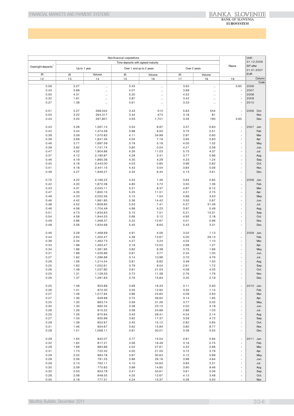|                   |      |              | Non-financial corporations         |          |      |              |                          | Until                   |
|-------------------|------|--------------|------------------------------------|----------|------|--------------|--------------------------|-------------------------|
|                   |      |              | Time deposits with agreed maturity |          |      |              |                          | 31.12.2006              |
| Ovemight deposits |      | Up to 1 year | Over 1 and up to 2 years           |          |      | Over 2 years | Repos                    | SIT after<br>01.01.2007 |
| IR                | IR.  | Volume       | IR                                 | Volume   | IR   | Volume       |                          | <b>EUR</b>              |
| 12                | 13   | 14           | 15                                 | 16       | 17   | 18           | 19                       | Column                  |
|                   |      |              |                                    |          |      |              |                          | Code                    |
| 0.56              | 3.27 | $\cdots$     | 3.45                               |          | 3.62 |              | 3.95                     | 2006                    |
| 0.43              | 3.89 | $\cdots$     | 4.07                               |          | 3.99 |              |                          | 2007                    |
| 0.50              | 4.31 |              | 5.20                               |          | 4.52 | $\cdots$     | ÷,                       | 2008                    |
| 0.32              | 1.91 |              | 3.87                               |          | 3.42 |              |                          | 2009                    |
| 0.27              | 1.38 | $\cdots$     | 3.61                               | $\cdots$ | 3.33 | $\cdots$     |                          | 2010                    |
|                   |      |              |                                    |          |      |              |                          |                         |
| 0.51              | 3.27 | 268,042      | 3.43                               | 510      | 5.83 | 544          |                          | 2006 Oct.               |
| 0.50              | 3.22 | 264,317      | 3.44                               | 473      | 3.18 | 81           |                          | Nov.                    |
|                   | 3.20 |              |                                    | 1,701    | 3.26 | 190          |                          |                         |
| 0.44              |      | 267,801      | 3.55                               |          |      |              | 3.95                     | Dec.                    |
|                   |      |              |                                    |          |      |              |                          |                         |
| 0.43              | 3.28 | 1,567.12     | 3.54                               | 8.97     | 3.37 | 0.83         |                          | 2007<br>Jan             |
| 0.42              | 3.44 | 1,374.58     | 3.98                               | 8.50     | 3.75 | 2.51         | ä,                       | Feb                     |
| 0.39              | 3.59 | 1,570.82     | 4.11                               | 34.99    | 2.97 | 0.60         | ä,                       | Mar                     |
| 0.39              | 3.69 | 1,841.26     | 4.04                               | 7.19     | 3.95 | 0.83         | ä,                       | Apr                     |
| 0.46              | 3.77 | 1,697.59     | 3.79                               | 5.18     | 4.00 | 1.32         | $\overline{a}$           | May                     |
| 0.39              | 3.92 | 1,741.74     | 3.80                               | 0.54     | 4.21 | 2.58         | ä,                       | Jun.                    |
| 0.47              | 4.02 | 1,904.86     | 4.26                               | 11.03    | 5.75 | 4.37         | ä,                       | Jul.                    |
| 0.37              | 4.12 | 2,190.87     | 4.29                               | 2.41     | 3.77 | 0.96         | Ĩ.                       | Aug.                    |
| 0.46              | 4.19 | 1,860.36     | 4.30                               | 4.29     | 4.23 | 1.24         | ä,                       | Sep.                    |
| 0.45              | 4.18 | 2,443.00     | 4.03                               | 0.85     | 3.96 | 0.82         | Ĩ.                       | Oct.                    |
| 0.41              | 4.18 | 2,441.15     | 4.43                               | 3.54     | 3.84 | 0.56         | ä,                       | Nov.                    |
| 0.39              | 4.27 | 1,949.27     | 4.34                               | 6.45     | 4.13 | 2.61         | ä,                       | Dec.                    |
|                   |      |              |                                    |          |      |              |                          |                         |
| 0.75              | 4.22 | 2,166.22     | 4.54                               | 1.46     | 3.84 | 0.85         |                          | 2008<br>Jan.            |
| 0.42              | 4.20 | 1,872.38     | 4.85                               | 3.72     | 3.50 | 1.36         | $\overline{a}$           | Feb.                    |
|                   |      | 2,045.11     |                                    |          |      |              | Ĩ.                       |                         |
| 0.43              | 4.31 |              | 5.21                               | 6.37     | 4.87 | 6.12         |                          | Mar.                    |
| 0.47              | 4.35 | 1,850.15     | 5.25                               | 11.51    | 4.51 | 2.75         | ä,                       | Apr.                    |
| 0.49              | 4.33 | 2,052.56     | 5.15                               | 7.54     | 4.98 | 3.53         | ä,                       | May.                    |
| 0.46              | 4.42 | 1,991.85     | 5.36                               | 14.42    | 3.55 | 0.87         | ÷.                       | Jun.                    |
| 0.48              | 4.52 | 1,859.85     | 5.53                               | 7.41     | 5.37 | 31.46        | $\sim$                   | Jul.                    |
| 0.46              | 4.58 | 1,704.49     | 4.99                               | 4.23     | 3.97 | 0.49         | ä,                       | Aug.                    |
| 0.51              | 4.73 | 1,934.63     | 5.15                               | 7.51     | 5.21 | 15.31        | ä,                       | Sep.                    |
| 0.54              | 4.58 | 1,944.53     | 5.68                               | 5.12     | 4.95 | 2.18         | ä,                       | Oct                     |
| 0.49              | 3.96 | 1,568.37     | 5.22                               | 12.67    | 4.01 | 0.96         | Ĩ.                       | Nov.                    |
| 0.48              | 3.56 | 1,934.69     | 5.45                               | 8.65     | 5.43 | 3.31         | $\overline{a}$           | Dec.                    |
|                   |      |              |                                    |          |      |              |                          |                         |
| 0.46              | 3.29 | 1,468.69     | 4.91                               | 4.56     | 3.02 | 1.13         | ×.                       | 2009<br>Jan.            |
| 0.44              | 2.64 | 1,300.47     | 4.39                               | 13.67    | 5.00 | 29.13        | Ĩ.                       | Feb.                    |
| 0.38              | 2.34 | 1,462.73     | 4.27                               | 3.24     | 4.02 | 1.10         | ä,                       | Mar.                    |
| 0.33              | 1.98 | 1,463.47     | 3.18                               | 10.02    | 2.68 | 1.27         | Ĩ.                       | Apr.                    |
| 0.34              | 1.86 | 1,361.95     | 3.82                               | 6.38     | 3.75 | 1.66         | ä,                       | May.                    |
| 0.31              | 1.89 |              | 3.81                               | 3.77     | 2.34 | 1.00         | ä,                       |                         |
|                   |      | 1,526.86     |                                    |          |      |              | ÷.                       | Jun.                    |
| 0.27              | 1.62 | 1,296.89     | 3.14                               | 10.96    | 3.70 | 4.76         |                          | Jul.                    |
| 0.26              | 1.56 | 1,214.54     | 3.81                               | 6.82     | 3.49 | 1.50         | ä,                       | Aug.                    |
| 0.25              | 1.62 | 1,052.61     | 3.79                               | 8.04     | 2.91 | 1.72         |                          | Sep.                    |
| 0.26              | 1.48 | 1,037.80     | 3.81                               | 21.03    | 4.08 | 4.05         |                          | Oct.                    |
| 0.25              | 1.31 | 1,129.55     | 3.72                               | 11.38    | 2.76 | 1.76         | ÷,                       | Nov.                    |
| 0.26              | 1.37 | 1,281.83     | 3.76                               | 15.84    | 3.30 | 2.19         |                          | Dec.                    |
|                   |      |              |                                    |          |      |              |                          |                         |
| 0.25              | 1.48 | 953.89       | 3.69                               | 16.33    | 3.11 | 0.93         | $\overline{\phantom{a}}$ | 2010 Jan.               |
| 0.26              | 1.41 | 872.30       | 3.55                               | 12.92    | 3.35 | 1.15         | $\overline{a}$           | Feb.                    |
| 0.27              | 1.46 | 1,017.94     | 3.86                               | 24.60    | 4.09 | 2.93         | $\overline{a}$           | Mar.                    |
| 0.27              | 1.36 | 948.98       | 3.75                               | 36.62    | 3.14 | 1.85         | ÷,                       | Apr.                    |
| 0.25              | 1.30 | 863.74       | 3.59                               | 31.26    | 3.77 | 5.05         | ÷,                       | May.                    |
| 0.30              | 1.30 | 892.34       | 3.39                               | 23.10    | 2.00 | 4.18         | $\overline{a}$           | Jun.                    |
| 0.26              | 1.26 | 915.22       | 3.59                               | 24.88    | 2.86 | 1.03         | $\overline{\phantom{a}}$ | Jul.                    |
| 0.25              | 1.26 | 870.94       | 3.43                               | 28.41    | 4.04 | 2.14         | ÷,                       | Aug.                    |
| 0.27              | 1.33 | 930.99       | 3.62                               | 17.37    | 3.59 | 4.72         | ä,                       | Sep.                    |
|                   |      |              |                                    |          |      |              | $\overline{\phantom{m}}$ |                         |
| 0.28              | 1.39 | 852.67       | 3.45                               | 15.12    | 2.82 | 0.65         |                          | Oct.                    |
| 0.31              | 1.46 | 954.67       | 3.62                               | 15.94    | 3.80 | 8.77         | $\overline{a}$           | Nov.                    |
| 0.28              | 1.51 | 1,068.11     | 3.81                               | 30.01    | 3.36 | 5.55         | $\overline{a}$           | Dec.                    |
|                   |      |              |                                    |          |      |              |                          |                         |
| 0.29              | 1.64 | 842.07       | 3.77                               | 15.04    | 2.81 | 0.94         | $\sim$                   | 2011 Jan.               |
| 0.32              | 1.62 | 817.21       | 3.56                               | 16.49    | 3.16 | 0.75         | ä,                       | Feb.                    |
| 0.29              | 1.69 | 884.88       | 4.02                               | 27.61    | 4.22 | 2.66         | ٠                        | Mar.                    |
| 0.31              | 1.73 | 722.32       | 4.00                               | 21.55    | 3.72 | 3.79         |                          | Apr.                    |
| 0.29              | 2.02 | 883.78       | 3.67                               | 30.63    | 4.12 | 5.99         | $\overline{\phantom{m}}$ | May.                    |
| 0.28              | 2.06 | 791.25       | 3.98                               | 26.18    | 3.98 | 4.84         | $\overline{a}$           | Jun.                    |
| 0.29              | 2.13 | 762.11       | 4.10                               | 34.63    | 3.95 | 2.31         | ä,                       | Jul.                    |
| 0.30              | 2.09 | 770.82       | 3.99                               | 14.80    | 3.90 | 9.46         | ÷,                       | Aug.                    |
| 0.30              | 2.03 | 853.79       | 3.41                               | 33.61    | 3.61 | 2.06         | $\overline{\phantom{m}}$ | Sep.                    |
| 0.28              | 2.08 | 848.55       | 4.25                               | 12.67    | 4.12 | 3.48         |                          | Oct.                    |
| 0.30              | 2.18 | 777.31       | 4.24                               | 15.37    | 4.26 | 5.50         |                          | Nov                     |
|                   |      |              |                                    |          |      |              |                          |                         |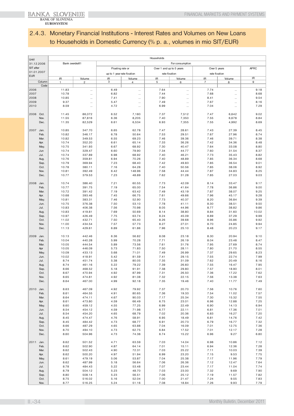# 2.4.3. Monetary Financial Institutions - Interest Rates and Volumes on New Loans to Households in Domestic Currency (% p. a., volumes in mio SIT/EUR)

| Until        |                            |                          |                            |                          | Households               |                 |                       |                |              |
|--------------|----------------------------|--------------------------|----------------------------|--------------------------|--------------------------|-----------------|-----------------------|----------------|--------------|
| 31.12.2006   | Bank overdraft1            |                          |                            |                          |                          | For consumption |                       |                |              |
| SIT after    |                            |                          | Floating rate or           |                          | Over 1 and up to 5 years |                 | Over 5 years          |                | <b>APRC</b>  |
| 01.01.2007   |                            |                          |                            |                          |                          |                 |                       |                |              |
| <b>EUR</b>   |                            |                          | up to 1 year rate fixation |                          | rate fixation            |                 | rate fixation         |                |              |
| Column       | ${\sf IR}$<br>$\mathbf{1}$ | Volume<br>$\overline{c}$ | <b>IR</b><br>3             | Volume<br>$\overline{4}$ | <b>IR</b><br>5           | Volume<br>6     | IR.<br>$\overline{7}$ | Volume<br>8    | ΙR<br>9      |
| Code         |                            |                          |                            |                          |                          |                 |                       |                |              |
| 2006         | 11.83                      |                          | 6.49                       | $\cdots$                 | 7.64                     |                 | 7.74                  |                | 9.18         |
| 2007         | 10.78                      |                          | 6.82                       |                          | 7.44                     |                 | 7.68                  |                | 8.68         |
| 2008         | 10.85                      |                          | 7.41                       | $\cdots$                 | 7.90                     |                 | 8.41                  | $\cdots$       | 9.54         |
| 2009         | 9.37                       |                          | 5.47                       | $\cdots$                 | 7.49                     |                 | 7.67                  |                | 8.16         |
| 2010         | 8.59                       |                          | 4.72                       | $\cdots$                 | 6.99                     | $\ddotsc$       | 7.04                  | $\cdots$       | 7.29         |
|              |                            |                          |                            |                          |                          |                 |                       |                |              |
| 2006<br>Oct. | 11.45                      | 86,072                   | 6.52                       | 7,180                    | 7.37                     | 7,512           | 7.47                  | 6,642          | 9.02         |
| Nov.<br>Dec. | 11.55<br>11.35             | 87,816                   | 6.36<br>6.61               | 8,205<br>6,534           | 7.40<br>6.93             | 7,350<br>7,355  | 7.55<br>7.55          | 6,678<br>4,992 | 8.84<br>8.69 |
|              |                            | 82,529                   |                            |                          |                          |                 |                       |                |              |
| 2007<br>Jan. | 10.85                      | 347.70                   | 6.65                       | 62.78                    | 7.47                     | 28.61           | 7.43                  | 27.39          | 8.45         |
| Feb.         | 10.82                      | 346.17                   | 6.78                       | 50.64                    | 7.53                     | 29.51           | 7.67                  | 27.96          | 8.74         |
| Mar.         | 10.82                      | 349.53                   | 6.55                       | 69.23                    | 7.46                     | 39.36           | 7.46                  | 39.71          | 8.38         |
| Apr.         | 10.74                      | 352.20                   | 6.61                       | 65.14                    | 7.33                     | 36.26           | 7.42                  | 34.36          | 8.48         |
| May.         | 10.75                      | 341.93                   | 6.67                       | 68.92                    | 7.30                     | 40.47           | 7.64                  | 33.08          | 8.80         |
| Jun          | 10.74                      | 329.47                   | 6.60                       | 79.90                    | 7.34                     | 44.77           | 7.60                  | 31.54          | 8.37         |
| Jul.         | 10.74                      | 337.89                   | 6.98                       | 68.92                    | 7.40                     | 46.21           | 7.73                  | 35.43          | 8.82         |
| Aug.         | 10.76                      | 359.81                   | 6.94                       | 70.26                    | 7.40                     | 48.89           | 7.85                  | 36.34          | 8.68         |
| Sep.         | 10.79                      | 369.94                   | 7.23                       | 68.40                    | 7.42                     | 49.83           | 7.85                  | 36.54          | 9.01         |
| Oct.         | 10.78                      | 380.11                   | 7.16                       | 64.28                    | 7.40                     | 50.56           | 7.85                  | 38.06          | 8.92         |
| Nov.<br>Dec. | 10.81<br>10.77             | 392.49<br>379.53         | 6.42<br>7.23               | 148.96<br>48.89          | 7.58<br>7.62             | 44.44<br>31.28  | 7.87<br>7.85          | 34.83<br>27.03 | 8.25<br>9.03 |
|              |                            |                          |                            |                          |                          |                 |                       |                |              |
| 2008<br>Jan. | 10.74                      | 386.40                   | 7.21                       | 60.55                    | 7.73                     | 42.09           | 8.14                  | 33.47          | 9.17         |
| Feb.         | 10.77                      | 391.75                   | 7.19                       | 65.00                    | 7.54                     | 41.64           | 7.78                  | 36.86          | 9.00         |
| Mar.         | 10.72                      | 391.42                   | 7.19                       | 63.42                    | 7.49                     | 43.19           | 7.87                  | 38.07          | 9.25         |
| Apr.         | 10.68                      | 393.46                   | 7.45                       | 66.75                    | 7.61                     | 49.66           | 7.96                  | 45.17          | 9.28         |
| May.         | 10.81                      | 383.31                   | 7.46                       | 52.90                    | 7.73                     | 40.37           | 8.20                  | 36.84          | 9.39         |
| Jun.         | 10.75                      | 376.38                   | 7.50                       | 53.10                    | 7.78                     | 41.11           | 8.30                  | 38.51          | 9.50         |
| Jul.         | 10.83                      | 406.38                   | 7.56                       | 70.98                    | 8.05                     | 44.96           | 8.77                  | 38.82          | 9.86         |
| Aug.         | 10.83                      | 419.81                   | 7.69                       | 50.69                    | 8.14                     | 38.80           | 8.84                  | 31.60          | 10.02        |
| Sep.         | 10.97                      | 426.49                   | 7.75                       | 63.74                    | 8.24                     | 45.09           | 8.89                  | 37.29          | 9.99         |
| Oct.         | 11.02                      | 432.71                   | 7.50                       | 65.40                    | 8.26                     | 39.68           | 8.96                  | 35.86          | 9.92         |
| Nov.<br>Dec. | 11.00<br>11.13             | 434.54<br>429.61         | 7.57<br>6.89               | 57.73<br>61.86           | 8.27<br>7.96             | 27.01<br>25.10  | 8.70<br>8.48          | 24.85<br>20.23 | 9.94<br>9.17 |
|              |                            |                          |                            |                          |                          |                 |                       |                |              |
| 2009<br>Jan. | 10.13                      | 442.46                   | 6.36                       | 56.82                    | 8.08                     | 23.18           | 8.30                  | 20.94          | 9.10         |
| Feb.         | 10.04                      | 440.28                   | 5.99                       | 70.28                    | 7.71                     | 26.19           | 8.04                  | 23.48          | 8.47         |
| Mar.         | 10.05                      | 444.54                   | 5.89                       | 73.56                    | 7.61                     | 31.76           | 7.95                  | 27.69          | 8.74         |
| Apr          | 10.05                      | 446.09                   | 5.73                       | 71.83                    | 7.50                     | 28.11           | 7.80                  | 21.70          | 8.55         |
| May.         | 10.09                      | 433.13                   | 5.68                       | 71.01                    | 7.49                     | 26.99           | 7.37                  | 29.65          | 8.23         |
| Jun.         | 10.02                      | 418.91                   | 5.42                       | 81.59                    | 7.41                     | 29.15           | 7.55                  | 22.74          | 7.99         |
| Jul.         | 8.74                       | 451.74                   | 5.38                       | 80.05                    | 7.35                     | 31.09           | 7.62                  | 20.49          | 8.16         |
| Aug.         | 8.74                       | 461.16                   | 5.22                       | 79.22                    | 7.39                     | 26.60           | 7.55                  | 16.47          | 7.95         |
| Sep.         | 8.66                       | 468.52                   | 5.18                       | 91.91                    | 7.38                     | 29.80           | 7.57                  | 18.90          | 8.01         |
| Oct.         | 8.67                       | 470.94                   | 4.92                       | 87.99                    | 7.31                     | 26.50           | 7.36                  | 17.22          | 7.62         |
| Nov.<br>Dec. | 8.65<br>8.64               | 474.81<br>467.00         | 4.92<br>4.99               | 81.08<br>92.18           | 7.32<br>7.35             | 22.15<br>19.46  | 7.56<br>7.40          | 13.38<br>11.77 | 7.63<br>7.49 |
|              |                            |                          |                            |                          |                          |                 |                       |                |              |
| 2010 Jan.    | 8.63                       | 467.09                   | 4.92                       | 79.92                    | 7.37                     | 20.70           | 7.56                  | 10.76          | 7.60         |
| Feb.         | 8.61                       | 464.55                   | 4.91                       | 80.65                    | 7.36                     | 19.33           | 7.54                  | 11.02          | 7.57         |
| Mar.         | 8.64                       | 474.11                   | 4.67                       | 90.03                    | 7.17                     | 25.34           | 7.30                  | 15.32          | 7.55         |
| Apr.         | 8.61                       | 473.80                   | 4.59                       | 66.49                    | 6.75                     | 23.01           | 6.96                  | 12.88          | 7.25         |
| May.         | 8.60                       | 459.12                   | 4.55                       | 77.25                    | 6.99                     | 22.49           | 6.90                  | 14.13          | 6.94         |
| Jun.         | 8.54                       | 454.12                   | 4.59                       | 71.98                    | 6.77                     | 22.11           | 6.81                  | 17.36          | 7.01         |
| Jul.         | 8.54                       | 454.20                   | 4.65                       | 68.79                    | 7.02                     | 20.36           | 6.83                  | 16.27          | 7.20         |
| Aug.         | 8.45                       | 474.47                   | 4.76                       | 58.91                    | 6.95                     | 18.49           | 6.81                  | 14.76          | 7.42         |
| Sep.<br>Oct. | 8.45<br>8.66               | 484.42<br>487.29         | 4.73<br>4.65               | 68.77<br>63.88           | 6.91<br>7.04             | 20.73<br>16.09  | 6.79<br>7.01          | 16.77<br>12.75 | 7.32<br>7.36 |
| Nov.         | 8.70                       | 494.10                   | 4.73                       | 62.75                    | 6.84                     | 17.52           | 7.01                  | 12.17          | 7.28         |
| Dec.         | 8.60                       | 504.96                   | 4.73                       | 74.38                    | 6.74                     | 15.22           | 6.96                  | 9.27           | 6.80         |
|              |                            |                          |                            |                          |                          |                 |                       |                |              |
| 2011<br>Jan. | 8.62                       | 501.52                   | 4.71                       | 63.59                    | 7.03                     | 14.04           | 6.98                  | 10.86          | 7.12         |
| Feb.         | 8.62                       | 502.90                   | 4.87                       | 64.14                    | 7.01                     | 15.11           | 6.94                  | 12.36          | 7.28         |
| Mar.         | 8.62                       | 502.43                   | 4.90                       | 72.31                    | 7.03                     | 25.22           | 7.11                  | 10.03          | 7.39         |
| Apr.         | 8.62                       | 500.20                   | 4.97                       | 51.94                    | 6.99                     | 23.20           | 7.15                  | 9.53           | 7.75         |
| May.         | 8.61                       | 479.19                   | 5.06                       | 53.87                    | 7.04                     | 25.38           | 7.17                  | 11.96          | 7.79         |
| Jun.         | 8.62                       | 487.99                   | 5.18                       | 56.64                    | 7.06                     | 26.36           | 7.12                  | 12.47          | 7.64         |
| Jul.         | 8.78                       | 484.43                   | 5.22                       | 53.48                    | 7.07                     | 23.44           | 7.17                  | 11.04          | 7.74         |
| Aug.         | 8.79                       | 504.12                   | 5.23                       | 48.70                    | 7.03                     | 23.00           | 7.32                  | 9.69           | 7.90         |
| Sep.<br>Oct. | 8.80                       | 508.14                   | 5.23<br>5.16               | 56.51                    | 7.06<br>7.00             | 25.12           | 7.19<br>7.24          | 11.57          | 7.82<br>7.83 |
| Nov.         | 8.75<br>8.77               | 516.02<br>516.25         | 5.24                       | 52.04<br>51.16           | 7.08                     | 21.47<br>18.84  | 7.26                  | 9.55<br>9.93   | 7.79         |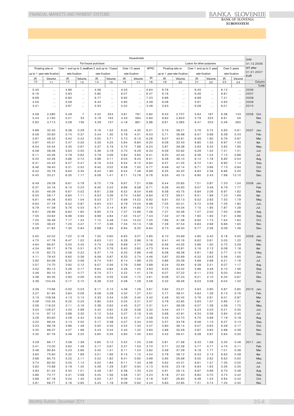|              |                            |              |                  |                                               |              |              | Households    |              |              |                            |                          |               |              |               | Until      |              |
|--------------|----------------------------|--------------|------------------|-----------------------------------------------|--------------|--------------|---------------|--------------|--------------|----------------------------|--------------------------|---------------|--------------|---------------|------------|--------------|
|              |                            |              |                  | For house purchase                            |              |              |               |              |              |                            | Loans for other purposes |               |              |               | 31.12.2006 |              |
|              | Floating rate or           |              |                  | Over 1 and up to 5 yea@ver 5 and up to 10year |              |              | Over 10 years | <b>APRC</b>  |              | Floating rate or           | Over 1 and up to 5 year  |               |              | Over 5 years  | SIT after  |              |
|              | up to 1 year rate fixation |              | rate fixation    | rate fixation                                 |              |              | rate fixation |              |              | up to 1 year rate fixation |                          | rate fixation |              | rate fixation | 01.01.2007 |              |
|              |                            | IR           |                  |                                               |              | IR           |               | IR.          | IR           |                            |                          |               |              |               | <b>EUR</b> |              |
| ΙR<br>10     | Volume<br>11               | 12           | Volume<br>13     | ΙR<br>14                                      | Volume<br>15 | 16           | Volume<br>17  | 18           | 19           | Volume<br>20               | IR<br>21                 | Volume<br>22  | ΙR<br>23     | Volume<br>24  |            | Column       |
|              |                            |              |                  |                                               |              |              |               |              |              |                            |                          |               |              |               |            | Code         |
| 5.40         |                            | 4.96         |                  | 4.56                                          | $\cdots$     | 4.03         | $\cdots$      | 5.64         | 6.76         | $\cdots$                   | 6.45                     | $\cdots$      | 6.12         | $\cdots$      | 2006       |              |
| 6.16         |                            | 5.93         | $\cdots$         | 5.80                                          | $\cdots$     | 6.07         | $\ddotsc$     | 6.47         | 6.16         | $\cdots$                   | 6.46                     | $\ddotsc$     | 6.81         |               | 2007       |              |
| 6.69         |                            | 6.80         |                  | 6.77                                          | $\cdots$     | 6.92         | $\cdots$      | 7.03         | 6.96         |                            | 6.89                     |               | 7.21         | $\cdots$      | 2008       |              |
| 4.05         | $\cdots$                   | 5.58         | $\cdots$         | 6.43                                          | $\cdots$     | 5.95         | $\cdots$      | 4.39         | 6.08         | $\cdots$                   | 5.91                     | $\ddotsc$     | 5.93         | $\cdots$      | 2009       |              |
| 3.21         |                            | 3.97         |                  | 5.53                                          | $\cdots$     | 5.02         |               | 3.48         | 5.63         |                            | 6.08                     |               | 6.01         | $\cdots$      | 2010       |              |
|              |                            |              |                  |                                               |              |              |               |              |              |                            |                          |               |              |               |            |              |
| 5.58         | 2,280                      | 5.49         | $\boldsymbol{7}$ | 4.42                                          | 254          | 3.81         | 781           | 5.84         | 6.53         | 2,707                      | 5.64                     | 187           | 6.38         | 143           | 2006       | Oct.         |
| 5.43         | 2,160                      | 5.01         | 33               | 5.19                                          | 163          | 4.33         | 584           | 5.83         | 6.62         | 2,943                      | 5.79                     | 323           | 6.61         | 55            |            | Nov.         |
| 5.92         | 3,713                      | 5.09         | 136              | 4.29                                          | 157          | 4.18         | 881           | 5.98         | 6.61         | 3,385                      | 6.47                     | 203           | 5.49         | 260           |            | Dec.         |
|              |                            |              |                  |                                               |              |              |               |              |              |                            |                          |               |              |               |            |              |
| 5.89         | 32.40                      | 6.38         | 0.29             | 5.16                                          | 1.52         | 6.05         | 4.30          | 6.21         | 5.75         | 38.21                      | 5.76                     | 0.75          | 5.93         | 0.61          | 2007       | Jan.         |
| 6.06         | 30.60                      | 5.74         | 0.37             | 5.44                                          | 1.30         | 5.78         | 4.01          | 6.43         | 5.71         | 36.98                      | 6.57                     | 0.68          | 6.39         | 0.43          |            | Feb.         |
| 5.97         | 48.33                      | 5.40         | 0.42             | 5.50                                          | 2.71         | 5.73         | 6.10          | 6.26         | 6.07         | 40.61                      | 6.49                     | 1.90          | 6.76         | 0.97          |            | Mar.         |
| 5.97         | 45.31                      | 5.47         | 0.55             | 5.35                                          | 4.25         | 5.64         | 6.84          | 6.20         | 6.09         | 32.43                      | 6.80                     | 1.55          | 6.97         | 1.43          |            | Apr.         |
| 6.04         | 55.44                      | 5.35         | 0.67             | 5.37                                          | 5.19         | 5.75         | 7.99          | 6.24         | 5.97         | 39.38                      | 5.93                     | 5.33          | 5.92         | 1.95          |            | May.         |
| 6.08         | 48.28                      | 5.63         | 0.50             | 5.36                                          | 3.18         | 5.70         | 6.29          | 6.33         | 6.09         | 50.92                      | 6.29                     | 1.52          | 7.21         | 1.31          |            | Jun          |
| 6.11         | 45.26                      | 5.79         | 0.62             | 5.79                                          | 3.06         | 5.84         | 5.65          | 6.41         | 6.20         | 40.44                      | 6.36                     | 1.24          | 7.12         | 0.88          |            | Jul.         |
| 6.20         | 42.46                      | 5.86         | 0.72             | 5.98                                          | 3.11         | 6.03         | 8.44          | 6.51         | 6.28         | 36.10                      | 6.12                     | 1.78          | 6.80         | 0.54          |            | Aug.         |
| 6.31         | 44.43                      | 6.27         | 0.47             | 6.16                                          | 3.23         | 6.54         | 6.12          | 6.64         | 6.37         | 41.05                      | 6.72                     | 1.61          | 6.90         | 1.14          |            | Sep.         |
| 6.46         | 39.40                      | 6.31         | 0.52             | 6.45                                          | 3.02         | 6.58         | 7.50          | 6.77         | 6.49         | 42.14                      | 6.71                     | 3.66          | 7.13         | 0.94          |            | Oct.         |
| 6.42<br>6.45 | 35.79<br>33.21             | 6.64<br>6.30 | 0.35             | 6.44<br>6.58                                  | 1.90<br>1.41 | 6.54<br>6.71 | 7.48<br>12.76 | 6.69<br>6.76 | 6.35<br>6.55 | 45.20                      | 6.84<br>6.90             | 2.38<br>2.43  | 6.86<br>7.68 | 2.20<br>13.10 |            | Nov.<br>Dec. |
|              |                            |              | 1.17             |                                               |              |              |               |              |              | 45.15                      |                          |               |              |               |            |              |
| 6.49         | 29.29                      | 6.61         | 0.79             | 6.75                                          | 1.79         | 6.67         | 7.21          | 6.86         | 6.44         | 25.85                      | 7.51                     | 0.87          | 7.33         | 1.04          | 2008       | Jan.         |
| 6.37         | 34.16                      | 6.10         | 0.23             | 6.40                                          | 2.52         | 6.66         | 8.08          | 6.71         | 6.36         | 40.93                      | 6.07                     | 3.48          | 6.79         | 1.77          |            | Feb.         |
| 6.30         | 46.09                      | 6.67         | 0.52             | 6.61                                          | 2.58         | 6.52         | 8.54          | 6.66         | 6.58         | 40.75                      | 6.84                     | 2.06          | 6.97         | 1.82          |            | Mar.         |
| 6.50         | 58.17                      | 6.84         | 1.11             | 6.53                                          | 3.36         | 6.70         | 14.82         | 6.84         | 6.72         | 59.21                      | 6.51                     | 1.99          | 7.23         | 1.69          |            | Apr.         |
| 6.61         | 46.36                      | 6.60         | 1.04             | 6.53                                          | 2.77         | 6.69         | 14.52         | 6.92         | 6.91         | 50.13                      | 6.52                     | 2.83          | 7.55         | 1.79          |            | May.         |
| 6.63         | 47.79                      | 6.52         | 0.87             | 6.63                                          | 3.51         | 6.79         | 15.04         | 6.98         | 7.05         | 50.41                      | 6.72                     | 3.59          | 7.35         | 1.80          |            | Jun.         |
| 6.79         | 41.09                      | 6.76         | 0.53             | 6.71                                          | 3.14         | 6.91         | 14.85         | 7.13         | 7.15         | 44.34                      | 7.15                     | 1.95          | 7.87         | 1.28          |            | Jul.         |
| 6.91         | 28.96                      | 6.82         | 1.60             | 6.95                                          | 2.74         | 7.07         | 12.96         | 7.28         | 7.27         | 30.38                      | 7.27                     | 2.00          | 7.50         | 0.86          |            | Aug.         |
| 7.05         | 33.62                      | 6.98         | 0.94             | 6.99                                          | 4.84         | 7.32         | 15.47         | 7.43         | 7.32         | 47.78                      | 7.60                     | 1.93          | 7.61         | 2.98          |            | Sep.         |
| 7.25         | 36.49                      | 7.17         | 1.24             | 7.10                                          | 5.48         | 7.44         | 14.24         | 7.55         | 7.66         | 41.38                      | 6.92                     | 1.73          | 7.64         | 1.84          |            | Oct.         |
| 7.05         | 38.22                      | 7.25         | 0.47             | 7.17                                          | 3.36         | 7.34         | 10.13         | 7.38         | 7.29         | 37.54                      | 6.83                     | 2.68          | 6.66         | 1.65          |            | Nov.         |
| 6.28         | 41.82                      | 7.30         | 0.94             | 6.88                                          | 1.94         | 6.94         | 6.20          | 6.64         | 6.73         | 46.50                      | 6.77                     | 2.56          | 6.09         | 1.46          |            | Dec.         |
|              |                            |              |                  |                                               |              |              |               |              |              |                            |                          |               |              |               |            |              |
| 5.50         | 42.02                      | 7.02         | 0.18             | 7.05                                          | 0.60         | 6.65         | 3.07          | 5.85         | 6.10         | 33.69                      | 4.95                     | 0.40          | 6.18         | 0.55          | 2009       | Jan.         |
| 4.75         | 47.76                      | 6.47         | 1.02             | 6.63                                          | 1.01         | 6.28         | 2.98          | 5.16         | 6.41         | 40.16                      | 6.62                     | 0.61          | 5.05         | 1.20          |            | Feb.         |
| 4.64         | 66.67                      | 5.00         | 0.45             | 5.75                                          | 2.09         | 6.69         | 4.71          | 5.06         | 6.46         | 44.05                      | 5.86                     | 1.50          | 5.72         | 3.29          |            | Mar.         |
| 4.34         | 66.17                      | 6.76         | 0.51             | 6.75                                          | 0.76         | 6.40         | 2.60          | 4.73         | 6.44         | 43.81                      | 5.16                     | 2.13          | 6.08         | 1.18          |            | Apr          |
| 4.10         | 82.75                      | 5.56         | 0.22             | 6.37                                          | 1.15         | 6.20         | 2.96          | 4.46         | 6.08         | 48.38                      | 5.61                     | 1.82          | 5.77         | 2.16          |            | May.         |
| 4.11         | 78.43                      | 6.60         | 0.36             | 6.59                                          | 0.87         | 6.33         | 2.74          | 4.46         | 5.87         | 50.69                      | 6.32                     | 2.63          | 5.56         | 1.65          |            | Jun.         |
| 3.92         | 84.08                      | 6.32         | 0.06             | 6.74                                          | 0.91         | 6.14         | 1.99          | 4.25         | 5.86         | 35.09                      | 5.68                     | 2.68          | 6.21         | 1.18          |            | Jul.         |
| 3.57         | 74.70                      | 3.92         | 0.12             | 6.57                                          | 0.56         | 5.78         | 0.99          | 3.89         | 6.24         | 32.84                      | 6.39                     | 2.21          | 6.07         | 1.17          |            | Aug.         |
| 3.52         | 90.12                      | 5.28         | 0.17             | 6.64                                          | 0.84         | 5.49         | 1.55          | 3.83         | 6.05         | 43.32                      | 5.96                     | 3.49          | 6.10         | 1.56          |            | Sep.         |
| 3.46         | 90.10                      | 5.91         | 0.77             | 6.74                                          | 0.71         | 5.22         | 1.41          | 3.76         | 6.07         | 37.22                      | 6.11                     | 2.53          | 6.00         | 0.84          |            | Oct.         |
| 3.38         | 90.35                      | 2.95         | 0.06             | 5.00                                          | 0.35         | 5.09         | 1.72          | 3.61         | 6.08         | 37.23                      | 6.21                     | 2.10          | 6.34         | 0.87          |            | Nov.         |
| 3.36         | 104.45                     | 5.17         | 0.10             | 6.28                                          | 0.33         | 5.08         | 1.28          | 3.56         | 5.32         | 48.56                      | 6.03                     | 3.58          | 6.04         | 1.32          |            | Dec.         |
|              |                            |              |                  |                                               |              |              |               |              |              |                            |                          |               |              |               |            |              |
| 3.39         | 73.66                      | 0.00         | 0.03             | 6.11                                          | 0.12         | 4.38         | 1.29          | 3.61         | 5.92         | 23.21                      | 5.63                     | 0.90          | 5.87         | 0.85          | 2010       | Jan.         |
| 3.27         | 81.94                      | 3.84         | 0.06             | 6.08                                          | 0.28         | 4.32         | 1.27          | 3.51         | 5.77         | 38.41                      | 5.84                     | 1.28          | 6.13         | 0.76          |            | Feb.         |
| 3.15         | 109.59                     | 4.13         | 0.13             | 5.33                                          | 0.34         | 4.39         | 2.45          | 3.42         | 5.46         | 50.45                      | 5.76                     | 2.81          | 6.01         | 0.97          |            | Mar.         |
| 3.08         | 105.45                     | 6.25         | 0.25             | 5.80                                          | 0.54         | 5.04         | 2.21          | 3.37         | 5.79         | 42.85                      | 5.63                     | 1.07          | 5.95         | 1.51          |            | Apr.         |
| 3.06         | 116.02                     | 3.11         | 0.16             | 5.38                                          | 0.62         | 4.45         | 3.27          | 3.31         | 5.41         | 38.09                      | 6.07                     | 1.39          | 4.58         | 1.75          |            | May.         |
| 3.04         | 126.27                     | 4.20         | 2.99             | 5.42                                          | 0.62         | 5.29         | 3.06          | 3.32         | 5.44         | 43.71                      | 6.23                     | 2.03          | 6.21         | 0.35          |            | Jun.         |
| 3.14         | 97.12                      | 3.98         | 3.35             | 5.12                                          | 0.54         | 5.27         | 2.16          | 3.45         | 5.68         | 42.91                      | 6.34                     | 0.56          | 5.84         | 0.45          |            | Jul.         |
| 3.26         | 83.60                      | 4.29         | 2.42             | 5.33                                          | 0.56         | 5.42         | 1.41          | 3.58         | 5.45         | 32.70                      | 6.70                     | 0.69          | 7.19         | 0.19          |            | Aug.         |
| 3.22         | 99.34                      | 4.13         | 2.50             | 5.17                                          | 0.38         | 5.07         | 2.34          | 3.50         | 5.57         | 33.78                      | 6.56                     | 1.15          | 6.27         | 0.13          |            | Sep.         |
| 3.23         | 98.78                      | 3.96         | 1.49             | 5.50                                          | 0.35         | 5.52         | 1.33          | 3.47         | 5.80         | 36.14                      | 6.07                     | 0.63          | 6.49         | 0.17          |            | Oct.         |
| 3.35         | 89.37                      | 4.27         | 1.98             | 5.43                                          | 0.34         | 5.45         | 1.32          | 3.60         | 5.88         | 30.59                      | 5.87                     | 0.83          | 5.98         | 0.39          |            | Nov.         |
| 3.35         | 97.76                      | 5.46         | 2.20             | 5.65                                          | 0.35         | 5.60         | 1.45          | 3.63         | 5.42         | 59.41                      | 6.28                     | 0.97          | 5.64         | 0.30          |            | Dec.         |
|              |                            |              |                  |                                               |              |              |               |              |              |                            |                          |               |              |               |            |              |
| 3.29         | 66.17                      | 3.58         | 1.39             | 5.85                                          | 0.12         | 5.52         | 1.25          | 3.56         | 5.81         | 21.58                      | 6.33                     | 1.56          | 5.35         | 0.48          | 2011       | Jan.         |
| 3.41         | 72.00                      | 3.62         | 1.49             | 5.17                                          | 0.67         | 5.27         | 1.53          | 3.70         | 5.71         | 22.28                      | 5.77                     | 0.71          | 4.74         | 0.11          |            | Feb.         |
| 3.48         | 90.84                      | 5.23         | 2.66             | 5.45                                          | 1.41         | 6.11         | 1.24          | 3.82         | 5.59         | 37.29                      | 6.18                     | 1.77          | 7.01         | 0.38          |            | Mar.         |
| 3.60         | 75.60                      | 5.32         | 1.69             | 5.51                                          | 1.66         | 6.15         | 1.12          | 4.04         | 5.79         | 39.12                      | 6.33                     | 2.13          | 6.62         | 0.48          |            | Apr.         |
| 3.68         | 85.75                      | 5.25         | 2.11             | 5.42                                          | 1.82         | 6.41         | 0.90          | 3.99         | 5.95         | 26.99                      | 6.00                     | 2.62          | 6.62         | 0.50          |            | May.         |
| 3.74         | 85.50                      | 5.45         | 1.13             | 5.52                                          | 1.94         | 6.11         | 1.43          | 4.06         | 5.62         | 42.31                      | 6.61                     | 1.57          | 7.35         | 0.55          |            | Jun.         |
| 3.82         | 70.68                      | 5.19         | 1.40             | 5.39                                          | 1.29         | 5.87         | 0.94          | 4.13         | 6.05         | 23.19                      | 6.64                     | 1.63<br>0.99  | 5.26         | 0.35          |            | Jul.         |
| 3.83         | 61.34                      | 5.40         | 1.01             | 5.49                                          | 1.97         | 6.38         | 1.33          | 4.24         | 5.91         | 26.14                      | 6.87                     |               | 6.70         | 0.48          |            | Aug.         |
| 3.86         | 70.77                      | 5.31         | 0.68             | 5.45                                          | 1.56         | 5.68         | 1.37          | 4.23         | 6.18         | 27.53                      | 6.60                     | 0.70          | 3.74         | 0.42          |            | Sep.         |
| 3.88<br>3.91 | 67.18<br>66.77             | 5.24<br>5.16 | 1.45<br>0.95     | 5.50<br>5.43                                  | 1.27<br>1.18 | 6.06<br>6.09 | 1.04<br>0.92  | 4.19<br>4.24 | 5.87<br>5.83 | 26.60<br>22.85             | 6.48<br>7.31             | 1.23<br>0.74  | 5.94<br>7.25 | 0.42<br>0.30  |            | Oct.<br>Nov. |
|              |                            |              |                  |                                               |              |              |               |              |              |                            |                          |               |              |               |            |              |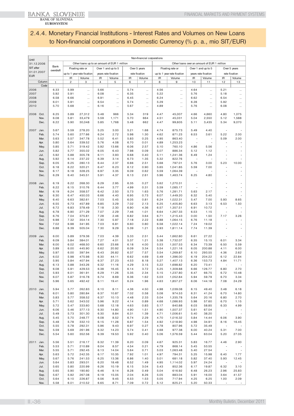BANKA SLOVENIJE BANK OF SLOVENIA **EUROSYSTEM**

# 2.4.4. Monetary Financial Institutions - Interest Rates and Volumes on New Loans to Non-financial corporations in Domestic Currency (% p. a., mio SIT/EUR)

| Until      |              |              |                               |                            |              |                                              |              | Non-financial corporations |              |                            |                |                                             |                          |                          |
|------------|--------------|--------------|-------------------------------|----------------------------|--------------|----------------------------------------------|--------------|----------------------------|--------------|----------------------------|----------------|---------------------------------------------|--------------------------|--------------------------|
| 31.12.2006 |              |              |                               |                            |              | Other loans up to an amount of EUR 1 million |              |                            |              |                            |                | Other loans over an amount of EUR 1 million |                          |                          |
| SIT after  |              | Bank         |                               | Floating rate or           |              | Over 1 and up to 5                           |              | Over 5 years               |              | Floating rate or           |                | Over 1 and up to 5                          |                          | Over 5 years             |
| 01.01.2007 |              | overdraft    |                               | up to 1 year rate fixation |              | years rate fixation                          |              | rate fixation              |              | up to 1 year rate fixation |                | years rate fixation                         |                          | rate fixation            |
| <b>EUR</b> |              |              |                               |                            | ΙR           |                                              | ΙR           |                            |              |                            | ΙR             |                                             | IR                       |                          |
|            | Column       | $\mathbf{1}$ | IR<br>$\overline{\mathbf{c}}$ | Volume<br>3                | 4            | Volume<br>5                                  | 6            | Volume<br>$\boldsymbol{7}$ | ΙR<br>8      | Volume<br>9                | 10             | Volume<br>11                                | 12                       | Volume<br>13             |
|            | Code         |              |                               |                            |              |                                              |              |                            |              |                            |                |                                             |                          |                          |
| 2006       |              | 6.33         | 5.99                          |                            | 5.66         | $\cdots$                                     | 5.74         |                            | 4.56         |                            | 4.64           |                                             | 5.21                     |                          |
| 2007       |              | 5.92         | 5.91                          | $\ddotsc$                  | 6.08         | $\cdots$                                     | 6.35         | $\cdots$                   | 5.22         | $\cdots$                   | 5.76           | $\cdots$                                    | 5.18                     | $\cdots$                 |
| 2008       |              | 6.58         | 6.66                          |                            | 6.91         | $\cdots$                                     | 6.45         | $\cdots$                   | 6.24         |                            | 6.62           | $\cdots$                                    | 6.54                     |                          |
| 2009       |              | 6.01         | 5.91                          | $\ddotsc$                  | 6.54         | $\cdots$                                     | 5.74         | $\ddotsc$                  | 5.29         |                            | 6.28           | $\cdots$                                    | 5.92                     | $\cdots$                 |
| 2010       |              | 5.70         | 5.68                          |                            | 6.16         | $\ldots$                                     | 5.67         |                            | 4.89         |                            | 5.76           | $\cdots$                                    | 6.08                     | $\cdots$                 |
|            |              |              |                               |                            |              |                                              |              |                            |              |                            |                |                                             |                          |                          |
| 2006 Oct.  |              | 6.25         | 5.89                          | 27,312                     | 5.48         | 966                                          | 5.34         | 319                        | 4.47         | 45,007                     | 4.66           | 4,660                                       | 4.80                     | 1,075                    |
|            | Nov.         | 6.08         | 5.81                          | 33,479                     | 5.59         | 1,171                                        | 5.70         | 664                        | 4.51         | 45,031                     | 5.04           | 2,550                                       | 5.12                     | 1,588                    |
|            | Dec.         | 6.22         | 5.90                          | 30,048                     | 5.85         | 1,768                                        | 5.48         | 662                        | 4.47         | 99,605                     | 5.11           | 3,435                                       | 5.34                     | 9,070                    |
|            |              |              |                               |                            |              |                                              |              |                            |              |                            | 5.49           |                                             |                          |                          |
| 2007 Jan.  | Feb.         | 5.67<br>5.74 | 5.59<br>5.60                  | 278.20<br>277.66           | 5.25<br>6.24 | 3.00<br>2.72                                 | 5.21<br>5.98 | 1.68<br>1.30               | 4.74<br>4.62 | 875.73<br>871.23           | 6.53           | 4.40<br>3.61                                | 5.22                     | 2.00                     |
|            | Mar.         | 5.63         | 5.57                          | 347.78                     | 5.52         | 6.41                                         | 5.83         | 0.25                       | 4.95         | 863.40                     |                | $\sim$                                      | 5.09                     | 2.00                     |
|            | Apr.         | 5.80         | 5.64                          | 339.52                     | 5.76         | 4.08                                         | 6.70         | 0.01                       | 4.89         | 1,253.23                   | $\overline{a}$ | $\sim$                                      |                          |                          |
|            | May.         | 5.85         | 5.71                          | 319.42                     | 5.92         | 13.66                                        | 6.06         | 2.57                       | 5.10         | 760.10                     | 4.86           | 5.56                                        |                          |                          |
|            | Jun.         | 5.82         | 5.77                          | 355.02                     | 6.05         | 6.43                                         | 7.98         | 0.09                       | 5.07         | 886.34                     | 5.12           | 1.12                                        |                          |                          |
|            | Jul.         | 5.92         | 5.88                          | 305.78                     | 6.11         | 3.93                                         | 6.68         | 0.40                       | 5.11         | 1,241.36                   | 6.49           | 1.24                                        |                          |                          |
|            | Aug.         | 5.92         | 6.14                          | 237.22                     | 6.39         | 3.14                                         | 6.73         | 1.35                       | 5.32         | 822.76                     |                |                                             |                          |                          |
|            | Sep.         | 6.05         | 6.25                          | 280.13                     | 6.44         | 2.37                                         | 6.66         | 2.51                       | 5.68         | 797.01                     | 5.76           | 3.00                                        | 5.23                     | 10.00                    |
|            | Oct.         | 6.18         | 6.22                          | 320.21                     | 6.47         | 6.23                                         | 6.12         | 0.90                       | 5.65         | 1,041.85                   | 5.59           | 7.00                                        |                          |                          |
|            | Nov.         | 6.17         | 6.18                          | 328.25                     | 6.97         | 3.35                                         | 6.09         | 0.62                       | 5.59         | 1,064.39                   |                |                                             |                          |                          |
|            | Dec.         | 6.29         | 6.40                          | 345.51                     | 5.91         | 4.37                                         | 6.13         | 2.61                       | 5.96         | 1,463.74                   | 6.25           | 4.80                                        |                          |                          |
| 2008       | Jan.         | 6.19         | 6.22                          | 268.30                     | 6.29         | 2.95                                         | 6.35         | 0.27                       | 5.62         | 1,270.31                   | ٠              | ٠                                           |                          |                          |
|            | Feb.         | 6.22         | 6.15                          | 310.76                     | 6.44         | 3.77                                         | 4.99         | 0.31                       | 5.59         | 1,085.17                   |                | ÷                                           |                          |                          |
|            | Mar.         | 6.19         | 6.24                          | 358.57                     | 6.42         | 2.50                                         | 5.73         | 1.63                       | 5.76         | 1,281.71                   | 5.63           | 2.17                                        |                          |                          |
|            | Apr.         | 6.30         | 6.47                          | 450.03                     | 6.66         | 4.40                                         | 6.95         | 0.73                       | 6.07         | 1,449.20                   | 6.32           | 5.40                                        |                          |                          |
|            | May.         | 6.40         | 6.63                          | 382.61                     | 7.03         | 5.45                                         | 6.05         | 0.81                       | 6.24         | 1,022.31                   | 5.47           | 7.00                                        | 5.93                     | 8.65                     |
|            | Jun.         | 6.55         | 6.73                          | 457.89                     | 6.85         | 3.29                                         | 7.02         | 2.13                       | 6.25         | 1,405.80                   | 6.63           | 3.13                                        | 6.53                     | 1.50                     |
|            | Jul.         | 6.72         | 6.83                          | 378.49                     | 7.18         | 2.30                                         | 6.90         | 4.36                       | 6.57         | 1,357.51                   | 6.91           | 10.72                                       |                          |                          |
|            | Aug.         | 6.78         | 6.90                          | 271.29                     | 7.07         | 2.29                                         | 7.46         | 1.01                       | 6.64         | 1,267.33                   | 6.53           | 1.15                                        |                          |                          |
|            | Sep.         | 6.76         | 7.04                          | 375.81                     | 7.28         | 2.46                                         | 6.82         | 3.64                       | 6.71         | 1,215.43                   | 0.00           | 1.50                                        | 7.17                     | 3.26                     |
|            | Oct.<br>Nov  | 6.98<br>7.02 | 7.32<br>6.98                  | 354.14<br>341.95           | 7.30<br>7.03 | 5.97<br>6.81                                 | 7.18<br>6.60 | 2.22<br>0.80               | 6.88<br>6.58 | 1,064.15<br>1,022.14       | 6.76<br>7.24   | 11.18<br>19.02                              |                          |                          |
|            | Dec.         | 6.88         | 6.39                          | 505.04                     | 7.30         | 9.29                                         | 5.39         | 1.21                       | 5.93         | 1,811.14                   | 7.74           | 11.39                                       |                          |                          |
|            |              |              |                               |                            |              |                                              |              |                            |              |                            |                |                                             |                          |                          |
| 2009       | Jan.         | 6.00         | 5.89                          | 379.36                     | 7.03         | 4.39                                         | 5.33         | 2.51                       | 5.44         | 1,662.80                   | 6.61           | 27.22                                       |                          |                          |
|            | Feb.         | 6.09         | 5.84                          | 384.01                     | 7.27         | 4.01                                         | 5.37         | 1.21                       | 5.38         | 1,732.07                   | 6.35           | 15.15                                       | 6.01                     | 3.34                     |
|            | Mar.         | 6.00         | 6.02                          | 468.50                     | 6.60         | 23.66                                        | 6.18         | 4.00                       | 5.53         | 1,507.53                   | 6.34           | 73.39                                       | 6.50                     | 5.59                     |
|            | Apr.         | 5.89         | 6.00                          | 445.90                     | 6.62         | 20.92                                        | 6.09         | 3.34                       | 5.54         | 1,221.16                   | 6.05           | 200.88                                      | 4.11                     | 6.00                     |
|            | May.         | 5.97<br>6.02 | 6.00<br>5.98                  | 397.94<br>475.98           | 6.43<br>6.30 | 26.82                                        | 6.37<br>6.62 | 7.57<br>4.69               | 5.54<br>5.49 | 1,269.87<br>1,396.00       | 6.10<br>6.19   | 293.55<br>204.22                            | 4.36<br>6.12             | 2.62<br>22.84            |
|            | Jun.<br>Jul. | 5.95         | 5.84                          | 407.94                     | 6.37         | 44.11<br>27.23                               | 4.53         | 8.18                       | 5.27         | 1,407.13                   | 6.36           | 153.73                                      | 4.84                     | 11.71                    |
|            | Aug.         | 6.13         | 5.88                          | 343.26                     | 6.32         | 11.16                                        | 4.29         | 3.15                       | 5.22         | 1,698.82                   | 6.20           | 73.41                                       |                          |                          |
|            | Sep.         | 6.08         | 5.91                          | 429.53                     | 6.38         | 16.45                                        | 6.14         | 3.72                       | 5.25         | 1,309.88                   | 6.66           | 126.77                                      | 6.80                     | 2.70                     |
|            | Oct.         | 5.93         | 6.01                          | 361.91                     | 6.29         | 11.26                                        | 5.35         | 2.34                       | 5.15         | 1,237.80                   | 6.47           | 66.75                                       | 6.72                     | 10.48                    |
|            | Nov.         | 6.07         | 5.87                          | 316.78                     | 6.74         | 8.69                                         | 6.36         | 1.62                       | 5.03         | 1,052.84                   | 5.94           | 59.79                                       | 6.70                     | 3.34                     |
|            | Dec          | 5.96         | 5.65                          | 492.42                     | 6.11         | 19.41                                        | 6.24         | 1.96                       | 4.63         | 1,857.27                   | 6.06           | 144.18                                      | 7.08                     | 24.29                    |
| 2010 Jan.  |              | 5.94         | 5.77                          | 262.83                     | 6.10         | 8.11                                         | 4.36         | 4.50                       | 4.98         | 1,039.08                   | 6.15           | 49.40                                       | 3.48                     | 6.18                     |
|            | Feb.         | 6.01         | 5.80                          | 280.84                     | 6.37         | 10.87                                        | 7.02         | 0.58                       | 5.08         | 974.53                     | 6.31           | 41.24                                       | 6.70                     | 14.80                    |
|            | Mar.         | 5.83         | 5.77                          | 358.52                     | 6.37         | 10.13                                        | 4.48         | 2.33                       | 5.04         | 1,335.78                   | 5.64           | 20.16                                       | 6.80                     | 2.70                     |
|            | Apr.         | 5.71         | 5.62                          | 343.02                     | 5.96         | 9.22                                         | 4.14         | 0.89                       | 4.68         | 1,086.93                   | 5.98           | 57.60                                       | 6.70                     | 1.15                     |
|            | May.         | 5.72         | 5.47                          | 333.60                     | 5.68         | 12.18                                        | 4.63         | 0.83                       | 5.17         | 840.88                     | 6.03           | 58.85                                       | 6.33                     | 4.99                     |
|            | Jun.         | 6.06         | 5.46                          | 377.13                     | 6.30         | 14.80                                        | 4.90         | 1.51                       | 4.90         | 1,507.37                   | 5.61           | 67.04                                       | $\overline{\phantom{a}}$ | $\overline{\phantom{a}}$ |
|            | Jul.         | 5.49         | 5.73                          | 301.30                     | 6.30         | 8.84                                         | 6.31         | 1.39                       | 4.71         | 1,006.61                   | 5.40           | 38.20                                       | $\overline{\phantom{a}}$ | $\sim$                   |
|            | Aug.         | 5.45         | 5.70                          | 248.77                     | 6.08         | 8.52                                         | 6.74         | 2.29                       | 4.70         | 1,016.32                   | 5.84           | 14.44                                       | 6.06                     | 3.90                     |
|            | Sep.         | 5.48         | 5.78                          | 332.10                     | 6.15         | 11.28                                        | 6.87         | 1.54                       | 4.92         | 1,018.90                   | 4.98           | 34.91                                       | 8.16                     | 16.45                    |
|            | Oct.         | 5.55         | 5.78                          | 292.31                     | 5.96         | 9.43                                         | 6.97         | 0.27                       | 4.78         | 807.96                     | 5.72           | 35.49                                       | $\overline{\phantom{a}}$ |                          |
|            | Nov.         | 5.59         | 5.69                          | 261.96                     | 6.32         | 14.23                                        | 5.74         | 0.41                       | 4.68         | 977.38                     | 6.00           | 40.24                                       | 5.31                     | 7.00                     |
|            | Dec.         | 5.54         | 5.60                          | 352.56                     | 6.39         | 19.53                                        | 5.92         | 0.40                       | 5.06         | 1,576.59                   | 5.44           | 63.04                                       | 5.20                     | 27.05                    |
| 2011 Jan.  |              | 5.56         | 5.51                          | 216.17                     | 6.32         | 11.39                                        | 6.20         | 0.09                       | 4.67         | 925.31                     | 5.83           | 16.77                                       | 4.46                     | 2.90                     |
|            | Feb.         | 5.53         | 5.71                          | 210.89                     | 6.04         | 8.57                                         | 4.54         | 0.21                       | 4.79         | 868.14                     | 5.45           | 53.55                                       | $\overline{a}$           | $\overline{\phantom{a}}$ |
|            | Mar.         | 5.55         | 5.71                          | 292.45                     | 6.13         | 14.04                                        | 5.64         | 0.71                       | 5.03         | 1,063.48                   | 5.40           | 27.54                                       | $\sim$                   | $\overline{\phantom{a}}$ |
|            | Apr.         | 5.63         | 5.72                          | 242.35                     | 6.17         | 10.35                                        | 7.92         | 1.01                       | 4.97         | 794.31                     | 5.25           | 15.98                                       | 6.40                     | 1.77                     |
|            | May.         | 5.67         | 5.76                          | 241.53                     | 6.25         | 13.36                                        | 6.86         | 1.40                       | 5.01         | 681.18                     | 5.82           | 37.40                                       | 5.93                     | 12.45                    |
|            | Jun.         | 5.64         | 5.83                          | 293.01                     | 6.20         | 18.48                                        | 6.52         | 1.49                       | 4.95         | 1,114.02                   | 5.97           | 24.24                                       | $\overline{\phantom{a}}$ | $\overline{\phantom{a}}$ |
|            | Jul.<br>Aug. | 5.65<br>5.65 | 5.80<br>5.90                  | 220.99<br>190.60           | 6.26<br>6.46 | 10.19<br>9.14                                | 6.15<br>8.28 | 3.04<br>0.49               | 5.43<br>5.04 | 852.36<br>616.92           | 6.17<br>6.48   | 19.87<br>26.23                              | 6.32<br>2.96             | 3.10<br>25.83            |
|            | Sep.         | 5.67         | 5.92                          | 267.08                     | 6.19         | 15.05                                        | 2.04         | 8.26                       | 5.05         | 883.04                     | 5.91           | 16.00                                       | 3.64                     | 41.57                    |
|            | Oct.         | 5.64         | 6.10                          | 226.87                     | 6.56         | 9.45                                         | 6.53         | 1.53                       | 5.05         | 717.94                     | 4.25           | 6.25                                        | 1.00                     | 2.09                     |
|            | Nov.         | 5.58         | 6.01                          | 210.52                     | 6.65         | 8.71                                         | 7.09         | 0.72                       | 5.12         | 825.21                     | 5.20           | 50.33                                       |                          |                          |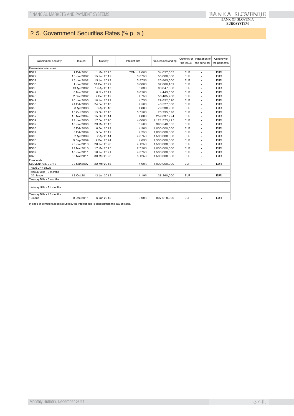# 2.5. Government Securities Rates (% p. a.)

| Government security        | Issued      | Maturity    | Interest rate | Amount outstanding | Currency of | Indexation of            | Currency of  |
|----------------------------|-------------|-------------|---------------|--------------------|-------------|--------------------------|--------------|
|                            |             |             |               |                    | the issue   | the principal            | the payments |
| Government securities      |             |             |               |                    |             |                          |              |
| <b>RS21</b>                | 1 Feb 2001  | 1 Mar 2015  | $TOM + 1,00%$ | 34,057,005         | <b>EUR</b>  | ٠                        | <b>EUR</b>   |
| <b>RS29</b>                | 15 Jan 2002 | 15 Jan 2012 | 5.375%        | 55,000,000         | <b>EUR</b>  |                          | <b>EUR</b>   |
| <b>RS32</b>                | 15 Jan 2002 | 15 Jan 2012 | 5.375%        | 23,865,500         | <b>EUR</b>  |                          | <b>EUR</b>   |
| <b>RS33</b>                | 1 Jan 2002  | 31 Dec 2022 | 8.000%        | 82.880.109         | <b>EUR</b>  |                          | <b>EUR</b>   |
| <b>RS38</b>                | 19 Apr 2002 | 19 Apr 2017 | 5.63%         | 68,847,000         | <b>EUR</b>  | ä,                       | <b>EUR</b>   |
| <b>RS44</b>                | 8 Nov 2002  | 8 Nov 2012  | 6.650%        | 4,443,536          | <b>EUR</b>  |                          | <b>EUR</b>   |
| <b>RS48</b>                | 2 Dec 2002  | 2 Dec 2012  | 4.75%         | 56,465,200         | <b>EUR</b>  |                          | <b>EUR</b>   |
| <b>RS49</b>                | 10 Jan 2003 | 10 Jan 2022 | 4.75%         | 29,632,020         | <b>EUR</b>  |                          | <b>EUR</b>   |
| <b>RS50</b>                | 24 Feb 2003 | 24 Feb 2013 | 4.50%         | 48,527,000         | <b>EUR</b>  |                          | <b>EUR</b>   |
| <b>RS53</b>                | 8 Apr 2003  | 8 Apr 2018  | 4.88%         | 79,290,900         | <b>EUR</b>  |                          | <b>EUR</b>   |
| <b>RS54</b>                | 15 Oct 2003 | 15 Oct 2013 | 5.750%        | 76,295,376         | <b>EUR</b>  | ÷.                       | <b>EUR</b>   |
| <b>RS57</b>                | 15 Mar 2004 | 15 Oct 2014 | 4.88%         | 259,697,224        | <b>EUR</b>  |                          | <b>EUR</b>   |
| <b>RS59</b>                | 17 Jan 2005 | 17 Feb 2016 | 4.000%        | 1,121,325,495      | <b>EUR</b>  |                          | <b>EUR</b>   |
| <b>RS62</b>                | 18 Jan 2006 | 23 Mar 2017 | 3.50%         | 390,540,053        | <b>EUR</b>  |                          | <b>EUR</b>   |
| <b>RS63</b>                | 6 Feb 2008  | 6 Feb 2019  | 4.38%         | 1,000,000,000      | <b>EUR</b>  | ä,                       | <b>EUR</b>   |
| <b>RS64</b>                | 5 Feb 2009  | 5 Feb 2012  | 4.25%         | 1,000,000,000      | <b>EUR</b>  | ä,                       | <b>EUR</b>   |
| <b>RS65</b>                | 2 Apr 2009  | 2 Apr 2014  | 4.375%        | 1,500,000,000      | <b>EUR</b>  |                          | <b>EUR</b>   |
| <b>RS66</b>                | 9 Sep 2009  | 9 Sep 2024  | 4.63%         | 1,500,000,000      | <b>EUR</b>  |                          | <b>EUR</b>   |
| <b>RS67</b>                | 26 Jan 2010 | 26 Jan 2020 | 4.125%        | 1,500,000,000      | <b>EUR</b>  |                          | <b>EUR</b>   |
| <b>RS68</b>                | 17 Mar 2010 | 17 Mar 2015 | 2.750%        | 1,000,000,000      | <b>EUR</b>  |                          | <b>EUR</b>   |
| <b>RS69</b>                | 18 Jan 2011 | 18 Jan 2021 | 4.375%        | 1,500,000,000      | <b>EUR</b>  |                          | <b>EUR</b>   |
| <b>RS70</b>                | 30 Mar 2011 | 30 Mar 2026 | 5.125%        | 1,500,000,000      | <b>EUR</b>  | $\overline{\phantom{a}}$ | <b>EUR</b>   |
| Eurobonds                  |             |             |               |                    |             |                          |              |
| SLOVEN4 03/22/18           | 22 Mar 2007 | 22 Mar 2018 | 4.00%         | 1,000,000,000      | <b>EUR</b>  | ٠                        | <b>EUR</b>   |
| <b>TREASURY BILLS</b>      |             |             |               |                    |             |                          |              |
| Treasury Bills - 3 months  |             |             |               |                    |             |                          |              |
| 133, issue                 | 13 Oct 2011 | 12 Jan 2012 | 1.19%         | 28,260,000         | <b>EUR</b>  | ٠                        | <b>EUR</b>   |
| Treasury Bills - 6 months  |             |             |               |                    |             |                          |              |
|                            |             |             |               |                    |             |                          |              |
| Treasury Bills - 12 months |             |             |               |                    |             |                          |              |
| Treasury Bills - 18 months |             |             |               |                    |             |                          |              |
| 1. issue                   | 8 Dec 2011  | 6 Jun 2013  | 3.99%         | 907,018,000        | <b>EUR</b>  | ٠                        | <b>EUR</b>   |
|                            |             |             |               |                    |             |                          |              |

In case of dematerialised securities, the interest rate is applied from the day of issue.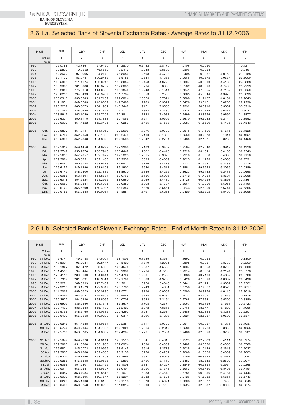**EUROSYSTEM**

## 2.6.1.a. Selected Bank of Slovenia Exchange Rates - Average Rates to 31.12.2006

|      | in SIT | <b>EUR</b>   | GBP            | CHF      | <b>USD</b>     | JPY    | <b>CZK</b> | <b>HUF</b>     | <b>PLN</b> | <b>SKK</b> | <b>HRK</b> |
|------|--------|--------------|----------------|----------|----------------|--------|------------|----------------|------------|------------|------------|
|      | Column | $\mathbf{1}$ | $\overline{c}$ | 3        | $\overline{4}$ | 5      | 6          | $\overline{7}$ | 8          | 9          | 10         |
|      | Code   |              |                |          |                |        |            |                |            |            |            |
| 1992 |        | 105.0788     | 142.7461       | 57.9490  | 81.2870        | 0.6422 | 2.8170     | 1.0106         | 0.0060     | ٠          | 0.4271     |
| 1993 |        | 132.2802     | 170.0252       | 76.6669  | 113.2419       | 1.0248 | 3.8509     | 1.2306         | 0.0063     | ٠          | 0.0491     |
| 1994 |        | 152.3622     | 197,0006       | 94.2149  | 128,8086       | 1.2598 | 4.4723     | 1.2408         | 0.0057     | 4.0159     | 21.2188    |
| 1995 |        | 153.1177     | 186.9737       | 100.2418 | 118.5185       | 1.2644 | 4.4366     | 0.9665         | 49.0672    | 3.9584     | 22.5009    |
| 1996 |        | 169.5098     | 211.4174       | 109.6247 | 135.3654       | 1.2453 | 4.9776     | 0.9097         | 50.3619    | 4.4139     | 24.8883    |
| 1997 |        | 180.3985     | 261.5308       | 110.0789 | 159.6893       | 1.3224 | 5.0803     | 0.8582         | 48.8393    | 4.7465     | 25.9223    |
| 1998 |        | 186.2659     | 275.2013       | 114.6526 | 166.1346       | 1.2743 | 5.1514     | 0.7841         | 47.8055    | 4.7157     | 26.0659    |
| 1999 |        | 193.6253     | 294.0493       | 120.9907 | 181.7704       | 1.6053 | 5.2556     | 0.7665         | 45.8644    | 4.3976     | 25.6099    |
| 2000 |        | 205.0316     | 336.5545       | 131.7159 | 222.6824       | 2.0673 | 5.7624     | 0.7888         | 51.2137    | 4.8181     | 26.9045    |
| 2001 |        | 217.1851     | 349.3743       | 143.8502 | 242.7488       | 1.9989 | 6.3822     | 0.8476         | 59.3171    | 5.0203     | 29.1298    |
| 2002 |        | 226.2237     | 360.0079       | 154.1931 | 240.2447       | 1.9171 | 7.3500     | 0.9332         | 58.8916    | 5.3062     | 30.5910    |
| 2003 |        | 233.7045     | 338.0625       | 153.7727 | 207.1137       | 1.7863 | 7.3480     | 0.9238         | 53.2745    | 5.6371     | 30.9031    |
| 2004 |        | 238.8615     | 352.1029       | 154.7207 | 192.3811       | 1.7783 | 7.4931     | 0.9499         | 52.8366    | 5.9692     | 31.8877    |
| 2005 |        | 239.6371     | 350.3115       | 154.7818 | 192.7055       | 1.7511 | 8.0509     | 0.9670         | 59.6242    | 6.2144     | 32.3952    |
| 2006 |        | 239,6009     | 351.4322       | 152.3405 | 191.0283       | 1.6425 | 8.4588     | 0.9087         | 61.5690    | 6.4436     | 32.7343    |
|      |        |              |                |          |                |        |            |                |            |            |            |
| 2005 | Oct.   | 239.5807     | 351.3147       | 154.6052 | 199.2506       | 1.7376 | 8.0799     | 0.9515         | 61.1596    | 6.1615     | 32.4528    |
|      | Nov.   | 239.5792     | 352.7656       | 155.1060 | 203.2470       | 1.7166 | 8.1855     | 0.9550         | 60.2878    | 6.1914     | 32.4951    |
|      | Dec.   | 239.5806     | 352.7348       | 154.8072 | 202.1508       | 1.7042 | 8.2754     | 0.9485         | 62.1571    | 6.3288     | 32.4458    |
|      |        |              |                |          |                |        |            |                |            |            |            |
| 2006 | Jan.   | 239.5819     | 349.1456       | 154.6279 | 197.9386       | 1.7139 | 8.3432     | 0.9564         | 62.7640    | 6.3919     | 32.4928    |
|      | Feb.   | 239.5747     | 350.7676       | 153.7948 | 200.4449       | 1.7002 | 8.4410     | 0.9529         | 63.1841    | 6.4103     | 32.7543    |
|      | Mar.   | 239.5850     | 347.9357       | 152.7422 | 199,5020       | 1.7015 | 8.3693     | 0.9219         | 61.8858    | 6.4003     | 32.7118    |
|      | Apr.   | 239.5864     | 345.0651       | 152.1430 | 195.9356       | 1.6695 | 8.4039     | 0.9025         | 61.1223    | 6.4088     | 32.7791    |
|      | May    | 239,6060     | 350.6148       | 153.9118 | 187.6411       | 1.6796 | 8.4773     | 0.9133         | 61.5581    | 6.3788     | 32.9716    |
|      | Jun.   | 239.6155     | 349.1390       | 153.6103 | 189.1902       | 1.6520 | 8.4511     | 0.8851         | 59.6528    | 6.3065     | 33.0389    |
|      | Jul.   | 239.6143     | 348.2300       | 152.7889 | 188.8930       | 1.6335 | 8.4266     | 0.8623         | 59.9182    | 6.2473     | 33.0698    |
|      | Aug.   | 239,6088     | 353.7894       | 151.8884 | 187.0762       | 1.6156 | 8.5006     | 0.8742         | 61.4034    | 6.3607     | 32.9058    |
|      | Sep.   | 239,6018     | 354.9524       | 151.2966 | 188.0560       | 1.6069 | 8.4480     | 0.8726         | 60.4599    | 6.3898     | 32.4361    |
|      | Oct.   | 239.6052     | 355.9334       | 150.6935 | 190.0380       | 1.6008 | 8.4737     | 0.8964         | 61.3990    | 6.5055     | 32.4196    |
|      | Nov.   | 239.6129     | 355.5299       | 150.4937 | 186.2352       | 1.5870 | 8.5461     | 0.9243         | 62.5999    | 6.6741     | 32.6365    |
|      | Dec.   | 239.6188     | 356.0833       | 150.0954 | 181.3881       | 1.5491 | 8.6251     | 0.9429         | 62.8802    | 6.8490     | 32.5958    |

# 2.6.1.b. Selected Bank of Slovenia Exchange Rates - End of Month Rates to 31.12.2006

|      | in SIT    | <b>EUR</b> | GBP            | CHF      | <b>USD</b>     | <b>JPY</b> | <b>CZK</b> | <b>HUF</b>     | <b>PLN</b> | <b>SKK</b> | <b>HRK</b> |
|------|-----------|------------|----------------|----------|----------------|------------|------------|----------------|------------|------------|------------|
|      | Column    | 1          | $\overline{c}$ | 3        | $\overline{4}$ | 5          | 6          | $\overline{7}$ | 8          | 9          | 10         |
|      | Code      |            |                |          |                |            |            |                |            |            |            |
| 1992 | 31.Dec.   | 119,4741   | 149.2738       | 67.5004  | 98.7005        | 0.7925     | 3.3584     | 1.1692         | 0.0063     |            | 0.1300     |
| 1993 | 31.Dec.   | 147.8001   | 195.2084       | 89.8447  | 131.8420       | 1.1819     | 4.2931     | 1.2808         | 0.0061     | 3.8730     | 0.0200     |
| 1994 | 31.Dec.   | 155.1327   | 197.6472       | 96.5088  | 126.4576       | 1.2687     | 4.5533     | 1.1607         | 0.0053     | 4.0795     | 22.0000    |
| 1995 | 31.Dec.   | 161.4538   | 194.5444       | 109.4581 | 125.9902       | 1.2224     | 4.7260     | 0.9314         | 50.0004    | 4.2194     | 23.6770    |
| 1996 | 31.Dec.   | 175.4113   | 239.0169       | 104.6444 | 141.4792       | 1.2201     | 5.2536     | 0.8988         | 49.7196    | 4.4357     | 25.5786    |
| 1997 | 31.Dec.   | 186.7334   | 281.5091       | 116.3514 | 169.1792       | 1.3063     | 4.9700     | 0.8426         | 47.3093    | 4.8667     | 26.8496    |
| 1998 | 31.Dec.   | 188.9271   | 269.5999       | 117.7452 | 161.2011       | 1.3976     | 5.4048     | 0.7441         | 47.1241    | 4.3637     | 25.7502    |
| 1999 | 31.Dec.   | 197.3215   | 318.1579       | 122.9647 | 196.7705       | 1.9249     | 5.4681     | 0.7758         | 47.4582    | 4.6526     | 25.7617    |
| 2000 | 31.Dec.   | 211.5062   | 339.3329       | 138.9295 | 227.3771       | 1.9798     | 6.0387     | 0.7980         | 54.9224    | 4.8113     | 27.9818    |
| 2001 | 31.Dec.   | 221.4095   | 363.5027       | 149.5606 | 250.9458       | 1.9138     | 6.9234     | 0.9033         | 63.3051    | 5.1816     | 30.1816    |
| 2002 | 31.Dec.   | 230.2673   | 354.0940       | 158.5099 | 221.0708       | 1.8542     | 7.3194     | 0.9768         | 57.6331    | 5.5300     | 30.8380    |
| 2003 | 31.Dec.   | 236,6903   | 336.2556       | 151.7343 | 189.3674       | 1.7708     | 7.2774     | 0.9067         | 50.5759    | 5.7561     | 30.9723    |
| 2004 | 31.Dec.   | 239.7430   | 338.3333       | 155.1132 | 176.2427       | 1.6972     | 7.8816     | 0.9765         | 58.8471    | 6.1892     | 31.4055    |
| 2005 | 31.Dec.   | 239,5756   | 348.6765       | 154.0382 | 202.4297       | 1.7221     | 8.2584     | 0.9486         | 62.0823    | 6.3288     | 32.5201    |
| 2006 | 31.Dec.   | 239.6400   | 356.9258       | 149.0299 | 181.9314       | 1.5296     | 8.7208     | 0.9524         | 62.5937    | 6.9602     | 32.6374    |
|      |           |            |                |          |                |            |            |                |            |            |            |
| 2005 | 31.Oct.   | 239.6246   | 351.4588       | 154.9664 | 197.2381       | 1.7117     | 8.0722     | 0.9541         | 60.0367    | 6.1375     | 32.4937    |
|      | 30.Nov.   | 239.5742   | 349.7944       | 154.7937 | 202.7026       | 1.7014     | 8.2817     | 0.9539         | 61.4766    | 6.3358     | 32.4055    |
|      | 31.Dec.   | 239.5756   | 348.6765       | 154.0382 | 202.4297       | 1.7221     | 8.2584     | 0.9486         | 62.0823    | 6.3288     | 32.5201    |
|      |           |            |                |          |                |            |            |                |            |            |            |
| 2006 | 31.Jan.   | 239.5844   | 349.9626       | 154.0141 | 198.1510       | 1.6841     | 8.4316     | 0.9520         | 62.7809    | 6.4111     | 32.5974    |
|      | 28.Feb.   | 239,5663   | 351.5280       | 153.1950 | 202.0974       | 1.7394     | 8.4569     | 0.9489         | 63.5320    | 6.4303     | 32.7769    |
|      | 31.Mar.   | 239.5871   | 345.0772       | 152.0995 | 198.5145       | 1.6915     | 8.3778     | 0.9025         | 61.0149    | 6.3618     | 32.7037    |
|      | 30 Apr.   | 239.5803   | 345.1668       | 152.4630 | 190.9158       | 1.6728     | 8.4261     | 0.9068         | 61.8033    | 6.4059     | 32.9003    |
|      | 31.May    | 239,6203   | 349.7596       | 153.7703 | 186.1996       | 1.6637     | 8.5023     | 0.9159         | 60.8328    | 6.3577     | 33.0051    |
|      | 30.Jun.   | 239.6285   | 346.6848       | 153.0586 | 191.2896       | 1.6426     | 8.4110     | 0.8489         | 58.7642    | 6.2599     | 33.0974    |
|      | $31$ Jul. | 239,6096   | 351.2307       | 152.3459 | 189,1008       | 1.6347     | 8.4227     | 0.8849         | 60.9864    | 6.2964     | 33.0268    |
|      | 31.Aug    | 239.6011   | 355.3331       | 151.9637 | 186.9401       | 1.5966     | 8.4845     | 0.8669         | 60.5436    | 6.3496     | 32.7154    |
|      | 30.Sep.   | 239.5987   | 353.7034       | 150.8618 | 189.1071       | 1.6033     | 8.4649     | 0.8785         | 60.3356    | 6.4184     | 32.4444    |
|      | 31.Oct.   | 239,6000   | 358.0395       | 150.7677 | 188.3204       | 1.6032     | 8.4625     | 0.9126         | 61.6382    | 6.5851     | 32.5743    |
|      | 30.Nov    | 239.6220   | 355.1008       | 150.8100 | 182.1113       | 1.5670     | 8.5671     | 0.9308         | 62.6872    | 6.7455     | 32.5843    |
|      | 31.Dec.   | 239.6400   | 356.9258       | 149.0299 | 181.9314       | 1.5296     | 8.7208     | 0.9524         | 62.5937    | 6.9602     | 32.6374    |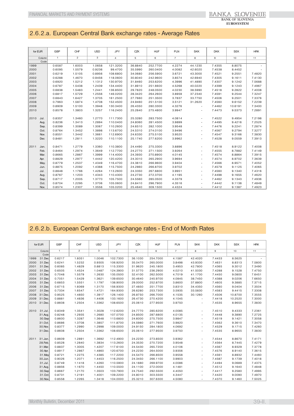## 2.6.2.a. European Central Bank exchange rates - Average Rates

| for EUR      | GBP          | CHF            | <b>USD</b> | <b>JPY</b>     | CZK     | <b>HUF</b> | <b>PLN</b>     | <b>SKK</b> | <b>DKK</b> | <b>SEK</b> | <b>HRK</b> |
|--------------|--------------|----------------|------------|----------------|---------|------------|----------------|------------|------------|------------|------------|
|              |              |                |            |                |         |            |                |            |            |            |            |
| Column       | $\mathbf{1}$ | $\overline{c}$ | 3          | $\overline{4}$ | 5       | 6          | $\overline{7}$ | 8          | 9          | 10         | 11         |
| Code         |              |                |            |                |         |            |                |            |            |            |            |
| 1999         | 0.6587       | 1.6003         | 1.0658     | 121.3200       | 36.8840 | 252.7700   | 4.2274         | 44.1230    | 7.4355     | 8.8075     |            |
| 2000         | 0.6095       | 1.5579         | 0.9236     | 99.4700        | 35.5990 | 260.0400   | 4.0082         | 42.6020    | 7.4538     | 8.4452     |            |
| 2001         | 0.6219       | 1.5105         | 0.8956     | 108.6800       | 34.0680 | 256.5900   | 3.6721         | 43.3000    | 7.4521     | 9.2551     | 7.4820     |
| 2002         | 0.6288       | 1.4670         | 0.9456     | 118.0600       | 30.8040 | 242.9600   | 3.8574         | 42.6940    | 7.4305     | 9.1611     | 7.4130     |
| 2003         | 0.6920       | 1.5212         | 1.1312     | 130.9700       | 31.8460 | 253.6200   | 4.3996         | 41.4890    | 7.4307     | 9.1242     | 7.5688     |
| 2004         | 0.6787       | 1.5438         | 1.2439     | 134.4400       | 31.8910 | 251.6600   | 4.5268         | 40.0220    | 7.4399     | 9.1243     | 7.4967     |
| 2005         | 0.6838       | 1.5483         | 1.2441     | 136.8500       | 29.7820 | 248.0500   | 4.0230         | 38.5990    | 7.4518     | 9.2822     | 7.4008     |
| 2006         | 0.6817       | 1.5729         | 1.2556     | 146.0200       | 28.3420 | 264.2600   | 3.8959         | 37.2340    | 7.4591     | 9.2544     | 7.3247     |
| 2007         | 0.6843       | 1.6427         | 1.3705     | 161.2500       | 27.7660 | 251.3500   | 3.7837         | 33.7750    | 7.4506     | 9.2501     | 7.3376     |
| 2008         | 0.7963       | 1.5874         | 1.4708     | 152.4500       | 24.9460 | 251.5100   | 3.5121         | 31.2620    | 7.4560     | 9.6152     | 7.2239     |
| 2009         | 0.8909       | 1.5100         | 1.3948     | 130.3400       | 26.4350 | 280.3300   | 4.3276         |            | 7.4462     | 10.6191    | 7.3400     |
| 2010         | 0.8578       | 1.3803         | 1.3257     | 116.2400       | 25.2840 | 275.4800   | 3.9947         |            | 7.4473     | 9.5373     | 7.2891     |
|              |              |                |            |                |         |            |                |            |            |            |            |
| 2010<br>Jul. | 0.8357       | 1.3460         | 1.2770     | 111.7300       | 25.3280 | 283.7500   | 4.0814         |            | 7.4522     | 9.4954     | 7.2198     |
| Aug.         | 0.8236       | 1.3413         | 1.2894     | 110,0400       | 24.8060 | 281.4500   | 3.9899         | ٠          | 7.4495     | 9.4216     | 7.2525     |
| Sep.         | 0.8399       | 1.3089         | 1.3067     | 110.2600       | 24.6510 | 282.1000   | 3.9548         | ٠          | 7.4476     | 9.2241     | 7.2874     |
| Oct.         | 0.8764       | 1.3452         | 1.3898     | 113.6700       | 24.5310 | 274.0100   | 3.9496         | ٠          | 7.4567     | 9.2794     | 7.3277     |
| Nov.         | 0.8551       | 1.3442         | 1.3661     | 112.6900       | 24.6330 | 275.5100   | 3.9520         | ٠          | 7.4547     | 9.3166     | 7.3830     |
| Dec          | 0.8481       | 1.2811         | 1.3220     | 110.1100       | 25.1740 | 277.6200   | 3.9962         |            | 7.4528     | 9.0559     | 7.3913     |
|              |              |                |            |                |         |            |                |            |            |            |            |
| 2011<br>Jan. | 0.8471       | 1.2779         | 1.3360     | 110.3800       | 24.4490 | 275.3300   | 3.8896         |            | 7.4518     | 8.9122     | 7.4008     |
| Feb.         | 0.8464       | 1.2974         | 1.3649     | 112,7700       | 24.2770 | 271.1500   | 3.9264         |            | 7.4555     | 8.7882     | 7.4149     |
| Mar.         | 0.8665       | 1.2867         | 1.3999     | 114.4000       | 24.3930 | 270.8900   | 4.0145         | ٠          | 7.4574     | 8.8864     | 7.3915     |
| Apr.         | 0.8829       | 1.2977         | 1.4442     | 120.4200       | 24.3010 | 265.2900   | 3.9694         |            | 7.4574     | 8.9702     | 7.3639     |
| May.         | 0.8779       | 1.2537         | 1.4349     | 116.4700       | 24.3810 | 266.9600   | 3.9404         | ٠          | 7.4566     | 8.9571     | 7.4052     |
| Jun.         | 0.8875       | 1.2092         | 1.4388     | 115.7500       | 24.2860 | 266.8700   | 3.9702         |            | 7.4579     | 9.1125     | 7.4065     |
| Jul.         | 0.8848       | 1.1766         | 1.4264     | 113.2600       | 24.3350 | 267.6800   | 3.9951         | ٠          | 7.4560     | 9.1340     | 7.4316     |
| Aug.         | 0.8767       | 1.1203         | 1.4343     | 110.4300       | 24.2730 | 272.3700   | 4.1195         |            | 7.4498     | 9.1655     | 7.4620     |
| Sep.         | 0.8717       | 1.2005         | 1.3770     | 105.7500       | 24.5560 | 285.0500   | 4.3379         | ٠          | 7.4462     | 9.1343     | 7.4936     |
| Oct.         | 0.8704       | 1.2295         | 1.3706     | 105.0600       | 24.8410 | 296.7900   | 4.3516         |            | 7.4442     | 9.1138     | 7.4849     |
| Nov.         | 0.8574       | 1.2307         | 1.3556     | 105.0200       | 25.4640 | 309.1500   | 4.4324         |            | 7.4412     | 9.1387     | 7.4923     |

## 2.6.2.b. European Central Bank exchange rates - End of Month Rates

|      | for EUR | GBP          | CHF            | <b>USD</b> | <b>JPY</b>     | CZK     | <b>HUF</b> | PLN            | <b>SKK</b>               | <b>DKK</b> | <b>SEK</b> | <b>HRK</b> |
|------|---------|--------------|----------------|------------|----------------|---------|------------|----------------|--------------------------|------------|------------|------------|
|      | Column  | $\mathbf{1}$ | $\overline{c}$ | 3          | $\overline{4}$ | 5       | 6          | $\overline{7}$ | 8                        | 9          | 10         | 11         |
|      | Code    |              |                |            |                |         |            |                |                          |            |            |            |
| 1999 | 31.Dec  | 0.6217       | 1.6051         | 1.0046     | 102.7300       | 36.1030 | 254,7000   | 4.1587         | 42.4020                  | 7.4433     | 8.5625     |            |
| 2000 | 31.Dec  | 0.6241       | 1.5232         | 0.9305     | 106.9200       | 35.0470 | 265,0000   | 3.8498         | 43.9330                  | 7.4631     | 8.8313     | 7.5800     |
| 2001 | 31.Dec  | 0.6085       | 1.4829         | 0.8813     | 115.3300       | 31.9620 | 245.1800   | 3.4953         | 42.7800                  | 7.4365     | 9.3012     | 7.3490     |
| 2002 | 31.Dec  | 0.6505       | 1.4524         | 1.0487     | 124.3900       | 31.5770 | 236.2900   | 4.0210         | 41.5030                  | 7.4288     | 9.1528     | 7.4750     |
| 2003 | 31.Dec  | 0.7048       | 1.5579         | 1.2630     | 135.0500       | 32.4100 | 262.5000   | 4.7019         | 41.1700                  | 7.4450     | 9.0800     | 7.6451     |
| 2004 | 31.Dec  | 0.7051       | 1.5429         | 1.3621     | 139.6500       | 30.4640 | 245.9700   | 4.0845         | 38.7450                  | 7.4388     | 9.0206     | 7.6650     |
| 2005 | 31.Dec  | 0.6853       | 1.5551         | 1.1797     | 138.9000       | 29.0000 | 252.8700   | 3.8600         | 37.8800                  | 7.4605     | 9.3885     | 7.3715     |
| 2006 | 31.Dec  | 0.6715       | 1.6069         | 1.3170     | 156.9300       | 27.4850 | 251.7700   | 3.8310         | 34.4350                  | 7.4560     | 9.0404     | 7.3504     |
| 2007 | 31.Dec  | 0.7334       | 1.6547         | 1.4721     | 164.9300       | 26.6280 | 253.7300   | 3.5935         | 33.5830                  | 7.4583     | 9.4415     | 7.3308     |
| 2008 | 31.Dec. | 0.9525       | 1.4850         | 1.3917     | 126.1400       | 26.8750 | 266.7000   | 4.1535         | 30.1260                  | 7.4506     | 10.8700    | 7.3555     |
| 2009 | 31.Dec. | 0.8881       | 1.4836         | 1.4406     | 133.1600       | 26.4730 | 270.4200   | 4.1045         |                          | 7.4418     | 10.2520    | 7.3000     |
| 2010 | 31.Dec. | 0.8608       | 1.2504         | 1.3362     | 108.6500       | 25.0610 | 277.9500   | 3.9750         |                          | 7.4535     | 8.9655     | 7.3830     |
|      |         |              |                |            |                |         |            |                |                          |            |            |            |
| 2010 | 31.Jul. | 0.8349       | 1.3541         | 1.3028     | 112.6200       | 24.7770 | 285.6200   | 4.0085         |                          | 7.4510     | 9.4333     | 7.2361     |
|      | 31.Aug. | 0.8248       | 1.2935         | 1.2680     | 107.0700       | 24.8500 | 287.6800   | 4.0135         | ٠                        | 7.4448     | 9.3890     | 7.2725     |
|      | 30.Sep  | 0.8600       | 1.3287         | 1.3648     | 113.6800       | 24.6000 | 275.7500   | 3.9847         | $\overline{\phantom{a}}$ | 7.4519     | 9.1421     | 7.3058     |
|      | 31.Oct. | 0.8686       | 1.3708         | 1.3857     | 111.8700       | 24.5980 | 271.7600   | 3.9820         | ٠                        | 7.4562     | 9.3610     | 7.3470     |
|      | 30.Nov. | 0.8377       | 1.2990         | 1.2998     | 109.0000       | 24.9150 | 284.1800   | 4.0692         |                          | 7.4529     | 9.1715     | 7.4260     |
|      | 31.Dec. | 0.8608       | 1.2504         | 1.3362     | 108.6500       | 25.0610 | 277.9500   | 3.9750         |                          | 7.4535     | 8.9655     | 7.3830     |
|      |         |              |                |            |                |         |            |                |                          |            |            |            |
| 2011 | 31.Jan. | 0.8609       | 1.2891         | 1.3692     | 112.4900       | 24.2230 | 273.8500   | 3.9362         | ٠                        | 7.4544     | 8.8670     | 7.4171     |
|      | 28.Feb. | 0.8528       | 1.2840         | 1.3834     | 113.2600       | 24.3530 | 270.7200   | 3.9548         | ٠                        | 7.4564     | 8.7445     | 7.4279     |
|      | 31.Mar. | 0.8837       | 1.3005         | 1.4207     | 117.6100       | 24.5430 | 265.7200   | 4.0106         |                          | 7.4567     | 8.9329     | 7.3778     |
|      | 30.Apr. | 0.8917       | 1.2867         | 1.4860     | 120.6700       | 24.2230 | 264.5000   | 3.9356         |                          | 7.4576     | 8.9140     | 7.3615     |
|      | 31.May  | 0.8721       | 1.2275         | 1.4385     | 117.2200       | 24.5470 | 266.8500   | 3.9558         | ٠                        | 7.4561     | 8.8932     | 7.4460     |
|      | 30.Jun. | 0.9026       | 1.2071         | 1.4453     | 116,2500       | 24.3450 | 266.1100   | 3.9903         | ٠                        | 7.4587     | 9.1739     | 7.4018     |
|      | 31.Jul. | 0.8749       | 1.1418         | 1.4260     | 110.5900       | 24.1880 | 269,9700   | 4.0086         | ٠                        | 7.4494     | 9.0689     | 7.4375     |
|      | 31.Aug. | 0.8856       | 1.1670         | 1.4450     | 110.5500       | 24.1100 | 272.0000   | 4.1481         | ٠                        | 7.4512     | 9.1640     | 7.4848     |
|      | 30.Sep  | 0.8667       | 1.2170         | 1.3503     | 103.7900       | 24.7540 | 292.5500   | 4.4050         |                          | 7.4417     | 9.2580     | 7.4995     |
|      | 31.Oct. | 0.8731       | 1.2191         | 1.4001     | 109.2200       | 24.8010 | 303.5500   | 4.3447         |                          | 7.4420     | 9.0090     | 7.4970     |
|      | 30.Nov. | 0.8558       | 1.2265         | 1.3418     | 104.0000       | 25.3210 | 307.6300   | 4.5080         |                          | 7.4370     | 9.1460     | 7.5025     |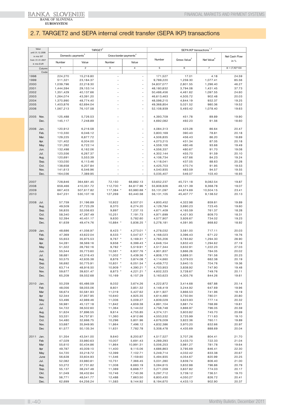**EUROSYSTEM**

## 2.7. TARGET2 and SEPA internal credit transfer (SEPA IKP) transactions

|           | Value                                       |                        | TARGET <sup>2</sup>    |                                  |                |                        |                          | SEPAIKP transactions <sup>1,2</sup> |                       |
|-----------|---------------------------------------------|------------------------|------------------------|----------------------------------|----------------|------------------------|--------------------------|-------------------------------------|-----------------------|
|           | until 31.12.2006                            | Domestic payments $^3$ |                        | $\text{Cross-border payments}^4$ |                |                        |                          |                                     |                       |
|           | in mio SIT<br>from 01.01.2007<br>in mio EUR | Number                 | Value                  | Number                           | Value          | Number                 | Gross Value <sup>5</sup> | Net Value <sup>6</sup>              | Net Cash Flow<br>in % |
|           | Column                                      | $\mathbf{1}$           | $\overline{2}$         | $\overline{3}$                   | $\overline{4}$ | 5                      | 6                        | $\overline{7}$                      | $8 = (7/6)^*100$      |
|           | Code                                        |                        |                        |                                  |                |                        |                          |                                     |                       |
| 1998      |                                             | 224,270                | 15,216.80              |                                  |                | 171,527                | 17.01                    | 4.18                                | 24.59                 |
| 1999      |                                             | 511,321                | 23,184.37              |                                  | ä,             | 9,789,220              | 1,259.30                 | 1,077.41                            | 85.56                 |
| 2000      |                                             | 1,039,796              | 22,218.30              |                                  | ÷,             | 34,837,077             | 2,801.55                 | 1,296.40                            | 46.27                 |
| 2001      |                                             | 1,444,594              | 29,153.14              |                                  | ٠              | 48,180,832             | 3,794.08                 | 1,431.45                            | 37.73                 |
| 2002      |                                             | 1,351,429              | 40,137.66              |                                  | ÷,             | 50,486,456             | 4,461.62                 | 1,097.55                            | 24.60                 |
| 2003      |                                             | 1,264,074              | 43,391.20              |                                  | ä,             | 46,613,463             | 4,505.72                 | 902.48                              | 20.03                 |
| 2004      |                                             | 1,370,990              | 48,774.40              |                                  | i.             | 48,598,215             | 4,844.19                 | 932.37                              | 19.25                 |
| 2005      |                                             | 1,403,876              | 62,694.04              |                                  | ٠              | 49,368,854             | 5,021.52                 | 980.36                              | 19.52                 |
| 2006      |                                             | 1,567,213              | 76,107.58              |                                  |                | 52,108,939             | 5,493.42                 | 1,078.40                            | 19.63                 |
|           |                                             |                        |                        |                                  |                |                        |                          |                                     |                       |
| 2005 Nov. |                                             | 125,488                | 5,726.53               |                                  | ÷,             | 4,393,709              | 451.78                   | 89.89                               | 19.90                 |
|           | Dec.                                        | 145,117                | 7,248.89               |                                  | ä,             | 4,692,082              | 492.23                   | 91.56                               | 18.60                 |
| 2006 Jan. |                                             |                        |                        |                                  | ä,             |                        |                          |                                     |                       |
|           | Feb.                                        | 120,912<br>110,330     | 6,216.58<br>6,046.12   |                                  | i,             | 4,084,313<br>3,800,169 | 423.28<br>390.43         | 86.64<br>78.81                      | 20.47<br>20.18        |
|           | Mar.                                        | 129,225                | 6,877.72               |                                  | ä,             | 4,506,835              | 456.43                   | 86.20                               | 18.89                 |
|           | Apr.                                        | 121,402                | 6,004.00               |                                  |                | 4,073,215              | 431.34                   | 87.05                               | 20.18                 |
|           | May                                         | 131,262                | 6,722.14               |                                  | ä,             | 4,559,106              | 480.46                   | 93.66                               | 19.49                 |
|           | Jun.                                        | 132,498                | 6,162.06               |                                  |                | 4,556,337              | 480.67                   | 91.70                               | 19.08                 |
|           | Jul.                                        | 123,556                | 6,267.37               |                                  | ä,             | 4,302,144              | 455.70                   | 91.59                               | 20.10                 |
|           | Aug.                                        | 120,691                | 5,553.39               |                                  |                | 4,106,734              | 437.66                   | 84.23                               | 19.24                 |
|           | Sep.                                        | 133,030                |                        |                                  | ä,             |                        | 437.05                   | 88.63                               | 20.28                 |
|           |                                             | 138,658                | 6,113.46               |                                  |                | 4,118,041              |                          |                                     |                       |
|           | Oct.                                        |                        | 6,207.84<br>6,546.96   |                                  | ä,             | 4,425,703              | 470.74                   | 91.95                               | 19.53                 |
|           | Nov.                                        | 141,613                |                        |                                  |                | 4,540,935              | 483.59                   | 94.57<br>103.40                     | 19.55                 |
|           | Dec.                                        | 164,036                | 7,389.95               |                                  |                | 5,035,407              | 546.07                   |                                     | 18.93                 |
| 2007      |                                             | 728,846                | 364,681.45             | 72,150                           | 68,882.13      | 53,652,237             | 45,721.18                | 9,082.54                            | 19.87                 |
| 2008      |                                             | 659,466                | 410,351.72             | 112,700 *                        | 84,617.96 *    | 55,908,926             | 49,121.39                | 9,368.78                            | 19.07                 |
| 2009      |                                             | 667,403                | 507,617.82             | 117,384 *                        | 63,980.68 *    | 55,131,097             | 44,874.69                | 10,504.15                           | 23.41                 |
| 2010      |                                             | 647,231                | 530,107.18             | 127,269                          | 63,440.58      | 56,131,105             | 45,407.77                | 9,138.52                            | 20.13                 |
|           |                                             |                        |                        |                                  |                |                        |                          |                                     |                       |
| 2008 Jul. |                                             | 57,759                 | 31,196.89              | 10,922                           | 8,507.01       | 4,800,452              | 4,322.98                 | 859.81                              | 19.89                 |
|           | Aug.                                        | 49,509                 | 27,723.29              | 8,370                            | 6,274.20       | 4,129,784              | 3,690.23                 | 723.45                              | 19.60                 |
|           | Sep.                                        | 56,835                 | 32,056.63              | 9,897                            | 7,237.15       | 4,671,409              | 4,165.59                 | 761.37                              | 18.28                 |
|           | Oct.                                        | 58,340                 | 47,267.49              | 10,251                           | 7,191.73       | 4,971,699              | 4,421.93                 | 809.70                              | 18.31                 |
|           | Nov.                                        | 52,394                 | 40,451.17              | 9,630                            | 5,782.60       | 4,577,907              | 3,926.67                 | 734.02                              | 19.23                 |
|           | Dec.                                        | 61,639                 | 49,474.76              | $10,884$ *                       | 5,836.25 *     | 5,278,181              | 4,591.95                 | 868.82                              | 18.92                 |
|           |                                             |                        |                        |                                  |                |                        |                          |                                     |                       |
| 2009      | Jan.                                        | 48,686                 | 41,056.97              | $8,423$ *                        | 4,273.01 *     | 4,278,032              | 3,581.00                 | 717.11                              | 20.03                 |
|           | Feb.                                        | 47,369                 | 43,622.04              | $8,533$ *                        | 5,547.57 *     | 4,168,023              | 3,396.43                 | 671.22                              | 19.76                 |
|           | Mar.                                        | 55,653                 | 35,975.53              | $9,767$ *                        | 5,169.31 *     | 4,765,206              | 3,783.82                 | 1,294.30                            | 28.90                 |
|           | Apr.                                        | 54,281                 | 38,569.16              | $9,658$ *                        | 6,399.43 *     | 4,648,154              | 3,832.43                 | 1,294.62                            | 27.19                 |
|           | May                                         | 51,322                 | 28,792.16              | $9,782$ *                        | 5,519.91 *     | 4,517,344              | 3,632.91                 | 1,222.23                            | 27.03                 |
|           | Jun.                                        | 55,544                 | 35,773.60              | $10,561$ *                       | 6,937.76 *     | 4,901,837              | 3,866.26                 | 784.05                              | 20.02                 |
|           | Jul.                                        | 58,681                 | 42,316.43              | $11,002$ *                       | 5,439.36 *     | 4,808,170              | 3,889.31                 | 791.56                              | 20.23                 |
|           | Aug.                                        | 50,575                 | 42,635.38              | 8,876 *                          | 3,874.08 *     | 4,114,660              | 3,379.03                 | 682.38                              | 20.19                 |
|           | Sep.                                        | 56,692                 | 50,775.91              | $10,831$ *                       | $6,051.54$ *   | 4,459,772              | 3,640.15                 | 704.76                              | 19.36                 |
|           | Oct.                                        | 63,714                 | 48,916.50              | $10,909$ *                       | 4,390.21 *     | 4,703,953              | 3,838.92                 | 747.90                              | 19.48                 |
|           | Nov.                                        | 59,677                 | 39,631.47              | 8,873 *                          | 4,221.21 *     | 4,602,323              | 3,728.67                 | 749.76                              | 20.11                 |
|           | Dec.                                        | 65,209                 | 59,552.68              | 10,169                           | 6,157.29       | 5,163,623              | 4,305.76                 | 844.26                              | 19.61                 |
|           |                                             |                        |                        |                                  |                |                        |                          |                                     |                       |
| 2010 Jan. |                                             | 50,259                 | 65,486.59              | 8,032                            | 3,674.26       | 4,222,872              | 3,414.68                 | 687.88                              | 20.14                 |
|           | Feb                                         | 48,056                 | 58,055.06              | 8,601                            | 3,851.32       | 4,148,419              | 3,244.92                 | 647.69                              | 19.96                 |
|           | Mar                                         | 56,674                 | 50,581.93              | 11,019                           | 5,427.62       | 4,911,927              | 3,866.53                 | 741.96                              | 19.19                 |
|           | Apr                                         | 52,344                 | 37,957.95              | 10,640                           | 4,925.35       | 4,614,480              | 3,750.94                 | 780.01                              | 20.80                 |
|           | May                                         | 53,496                 | 42,989.46              | 11,006                           | 5,009.27       | 4,839,029              | 3,823.93                 | 777.14                              | 20.32                 |
|           | Jun.                                        | 56,981                 | 45,127.18              | 11,842                           | 4,659.38       | 4,891,104              | 3,881.74                 | 768.99                              | 19.81                 |
|           | Jul.                                        | 54,722                 | 38,502.60              | 11,364                           | 5,144.02       | 4,758,748              | 3,866.97                 | 796.05                              | 20.59                 |
|           | Aug.                                        | 51,624                 | 37,896.55              | 9,614                            | 4,755.85       | 4,374,121              | 3,603.82                 | 745.70                              | 20.69                 |
|           | Sep.                                        | 53,331                 | 34,757.81              | 11,360                           | 4,912.66       | 4,553,532              | 3,725.99                 | 711.63                              | 19.10                 |
|           | Oct.                                        | 54,480                 | 32,666.75              | 10,296                           | 5,801.96       | 4,676,009              | 3,822.36                 | 760.11                              | 19.89                 |
|           | Nov.                                        | 53,687                 | 35,949.95              | 11,864                           | 7,496.12       | 4,832,386              | 3,970.20                 | 832.66                              | 20.97                 |
|           | Dec                                         | 61,577                 | 50,135.34              | 11,631                           | 7,782.78       | 5,308,478              | 4,435.69                 | 888.69                              | 20.04                 |
| 2011      | Jan.                                        | 51,354                 | 43,541.00              | 9,640                            | 8,200.87       | 4,517,527              | 3,707.26                 | 804.41                              | 21.70                 |
|           | Feb                                         | 47,029                 | 33,980.63              | 10,007                           | 5,691.43       | 4,289,293              | 3,433.70                 | 722.33                              | 21.04                 |
|           | Mar                                         |                        |                        |                                  |                |                        |                          |                                     | 19.64                 |
|           |                                             | 55,610                 | 50,434.86              | 11,864                           | 10,991.31      | 5,006,253              | 3,981.27                 | 781.78                              |                       |
|           | Apr                                         | 49,787                 | 45,009.10              | 11,400                           | 9,115.06       | 4,686,863              | 3,795.69                 | 846.41                              | 22.30                 |
|           | May                                         | 54,720                 | 33,218.72              | 12,399                           | 7,102.71       | 5,249,714              | 4,032.42                 | 833.38                              | 20.67                 |
|           | June                                        | 56,628                 | 33,604.93              | 11,546                           | 7,159.60       | 5,494,935              | 4,054.67                 | 820.99                              | 20.25                 |
|           | Jul.                                        | 52,082                 | 33,980.81              | 10,751                           | 7,366.45       | 5,031,280              | 3,839.74                 | 806.40                              | 21.00                 |
|           | Aug.                                        | 53,272                 | 37,731.82              | 11,008                           | 6,683.19       | 5,084,615              | 3,832.88                 | 796.86                              | 20.79                 |
|           | Sep.                                        | 55,137                 | 38,247.48              | 11,389                           | 6,668.77       | 5,271,059              | 3,837.82                 | 774.03                              | 20.17                 |
|           | Okt.                                        | 51,049                 | 38,432.84              | 10,746                           | 7,740.36       | 5,297,712              | 3,739.12                 | 736.51                              | 19.70                 |
|           | Nov.<br>Dec.                                | 56,771<br>62,699       | 48,541.77<br>64,256.24 | 12,488                           | 7,663.50       | 6,800,430              | 4,050.27<br>4,433.13     | 826.72<br>902.90                    | 20.41<br>20.37        |
|           |                                             |                        |                        | 11,583                           | 9,144.92       | 8,194,670              |                          |                                     |                       |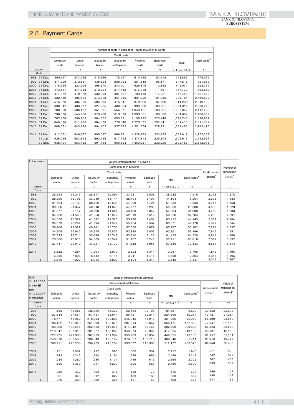## 2.8. Payment Cards

|      |              | Number of cards in circulation - cards issued in Slovenia |                |              |                           |           |                 |                         |                          |  |  |  |
|------|--------------|-----------------------------------------------------------|----------------|--------------|---------------------------|-----------|-----------------|-------------------------|--------------------------|--|--|--|
|      |              |                                                           |                |              | Credit cards <sup>1</sup> |           |                 |                         |                          |  |  |  |
|      |              | Domestic                                                  | Under          | Issued by    | Issued by                 | Personal  | <b>Business</b> | Total                   | Debit cards <sup>2</sup> |  |  |  |
|      |              | cards                                                     | licence        | <b>banks</b> | enterprises               | cards     | cards           |                         |                          |  |  |  |
|      | Column       | 1                                                         | $\mathfrak{p}$ | 3            | $\overline{4}$            | 5.        | 6               | $7 = 1 + 2.3 + 4.5 + 6$ | 8                        |  |  |  |
|      | Code         |                                                           |                |              |                           |           |                 |                         |                          |  |  |  |
|      | 1998 31.Dec. | 350.567                                                   | 243.296        | 415,666      | 178.197                   | 510,145   | 83,718          | 593,863                 | 775,032                  |  |  |  |
| 1999 | 31.Dec.      | 374.929                                                   | 272.887        | 438.823      | 208.993                   | 551.645   | 96.171          | 647.816                 | 961.982                  |  |  |  |
| 2000 | 31.Dec.      | 418.565                                                   | 323.506        | 498.670      | 243.401                   | 629.879   | 112.192         | 742.071                 | 1,392,379                |  |  |  |
| 2001 | 31.Dec.      | 443.541                                                   | 344.238        | 512.994      | 274.785                   | 676,018   | 111.761         | 787.779                 | 1,495,660                |  |  |  |
| 2002 | 31.Dec.      | 477.072                                                   | 370.378        | 539.853      | 307.597                   | 733.119   | 114.331         | 847.450                 | 1.707.668                |  |  |  |
| 2003 | 31.Dec.      | 522.759                                                   | 405.425        | 573.818      | 354.366                   | 804.099   | 124.085         | 928.184                 | 2,466,579                |  |  |  |
|      | 2004 31.Dec. | 575.976                                                   | 435.260        | 595.595      | 415.641                   | 873,506   | 137.730         | 1.011.236               | 2.310.190                |  |  |  |
| 2005 | 31.Dec.      | 630.342                                                   | 463.977        | 627.935      | 466,384                   | 933.588   | 160.731         | 1,094,319               | 2,330,220                |  |  |  |
| 2006 | 31.Dec.      | 700.950                                                   | 506.102        | 651.681      | 555.371                   | 1.043.121 | 163.931         | 1.207.052               | 2.412.485                |  |  |  |
| 2007 | 31.Dec.      | 738.876                                                   | 545.988        | 670.988      | 613.876                   | 1.098.501 | 186.363         | 1.284.864               | 2.486.652                |  |  |  |
| 2008 | 31.Dec.      | 787.838                                                   | 590.905        | 684.852      | 693.891                   | 1.158.295 | 220.448         | 1.378.743               | 2.626.982                |  |  |  |
| 2009 | 31.Dec.      | 849.696                                                   | 611.720        | 684.876      | 776.540                   | 1.223.575 | 237.841         | 1.461.416               | 2.611.307                |  |  |  |
| 2010 | 31.Dec.      | 888.081                                                   | 643.384        | 694.102      | 837.363                   | 1.301.574 | 229.891         | 1.531.465               | 2.742.470                |  |  |  |
|      |              |                                                           |                |              |                           |           |                 |                         |                          |  |  |  |
| 2011 | 31.Mar.      | 912.061                                                   | 649.957        | 695.037      | 866.981                   | 1.328.263 | 233.755         | 1.562.018               | 2.772.353                |  |  |  |
|      | 31.Jun.      | 926.069                                                   | 683.848        | 692.125      | 917.792                   | 1,374,813 | 235,104         | 1,609,917               | 2,552,967                |  |  |  |
|      | 30.Sep.      | 938.724                                                   | 653.762        | 691.793      | 900.693                   | 1.360.257 | 232.229         | 1.592.486               | 2.542.975                |  |  |  |

| In thousands | Volume of transactions in Slovenia |                |           |                           |                          |                 |                 |                          |                     |                     |  |
|--------------|------------------------------------|----------------|-----------|---------------------------|--------------------------|-----------------|-----------------|--------------------------|---------------------|---------------------|--|
|              |                                    |                |           |                           | Cards issued in Slovenia |                 |                 |                          |                     | Number of           |  |
|              |                                    |                |           | Credit cards <sup>1</sup> |                          |                 |                 |                          | Cards issued        | transaction         |  |
|              | Domestic                           | Under          | Issued by | Issued by                 | Personal                 | <b>Business</b> |                 | Debit cards <sup>2</sup> | abroad <sup>3</sup> | abroad <sup>4</sup> |  |
|              | cards                              | licence        | banks     | enterprises               | cards                    | cards           | Total           |                          |                     |                     |  |
| Column       | 1                                  | $\overline{c}$ | 3         | 4                         | 5                        | 6               | $7=1+2.3+4.5+6$ | 8                        | 9                   | 10                  |  |
| Code         |                                    |                |           |                           |                          |                 |                 |                          |                     |                     |  |
| 1998         | 25,993                             | 12,245         | 28.147    | 10,091                    | 33,231                   | 5,006           | 38,238          | 1,216                    | 2,278               | 1,278               |  |
| 1999         | 28,396                             | 15,798         | 33,050    | 11,144                    | 38,704                   | 5,490           | 44,194          | 5,264                    | 2,925               | 1,433               |  |
| 2000         | 31.794                             | 20.139         | 38.426    | 13.506                    | 44.209                   | 7.724           | 51.933          | 13.933                   | 3.745               | 1,558               |  |
| 2001         | 33.366                             | 21,697         | 40.218    | 14.846                    | 47.777                   | 7.286           | 55,063          | 26.388                   | 4,585               | 1,623               |  |
| 2002         | 31.877                             | 23,117         | 40.599    | 14.394                    | 49.138                   | 5,856           | 54.994          | 31.988                   | 4,752               | 1,788               |  |
| 2003         | 34,930                             | 24,598         | 41,556    | 17.972                    | 52,010                   | 7,519           | 59,528          | 37,784                   | 5,253               | 2,097               |  |
| 2004         | 34,338                             | 26,377         | 41.342    | 19.373                    | 53,228                   | 7,486           | 60,715          | 44,145                   | 5,011               | 2,764               |  |
| 2005         | 35.079                             | 28,292         | 41.794    | 21.577                    | 55.784                   | 7.587           | 63.371          | 49.178                   | 5,897               | 3,044               |  |
| 2006         | 36.408                             | 29,579         | 40.281    | 25.706                    | 57,308                   | 8,679           | 65,987          | 55,182                   | 7,221               | 3,597               |  |
| 2007         | 34.909                             | 27,942         | 35.975    | 26.876                    | 53,848                   | 9,003           | 62,851          | 59,496                   | 7,642               | 4,551               |  |
| 2008         | 32.725                             | 28,711         | 35.688    | 25.748                    | 53.310                   | 8,125           | 61,435          | 64.520                   | 8,911               | 4,560               |  |
| 2009         | 28,800                             | 28,611         | 34,069    | 23,342                    | 51,162                   | 6,248           | 57,411          | 68,016                   | 7,814               | 5,537               |  |
| 2010         | 27.747                             | 29.910         | 33.927    | 23.730                    | 51.688                   | 5,968           | 57.656          | 72.833                   | 8,561               | 6,543               |  |
|              |                                    |                |           |                           |                          |                 |                 |                          |                     |                     |  |
| $2011$       | 6,682                              | 7,284          | 7,994     | 5,973                     | 12,623                   | 1,344           | 13,967          | 17.705                   | 1,843               | 1,496               |  |
| Ш            | 6.850                              | 7.808          | 8.542     | 6.115                     | 13.241                   | 1.416           | 14.658          | 19.804                   | 2.316               | 1.805               |  |
| Ш            | 6,616                              | 7,229          | 8.045     | 5,800                     | 12,504                   | 1,341           | 13,845          | 19,347                   | 3,019               | 2,267               |  |

| Until              |              |                |           |                           | Value of transactions in Slovenia |                 |                 |                          |                     |                     |
|--------------------|--------------|----------------|-----------|---------------------------|-----------------------------------|-----------------|-----------------|--------------------------|---------------------|---------------------|
| 31.12.2006         |              |                |           |                           | Cards issued in Slovenia          |                 |                 |                          |                     | Value of            |
| in mio SIT<br>from |              |                |           | Credit cards <sup>1</sup> |                                   |                 |                 |                          | Cards issued        | transaction         |
| 01.01.2007         | Domestic     | Under          | Issued by | Issued by                 | Personal                          | <b>Business</b> |                 | Debit cards <sup>2</sup> | abroad <sup>3</sup> | abroad <sup>4</sup> |
| in mio EUR         | cards        | licence        | banks     | enterprises               | cards                             | cards           | Total           |                          |                     |                     |
| Column             | $\mathbf{1}$ | $\overline{c}$ | 3         | 4                         | 5                                 | 6               | $7=1+2,3+4,5+6$ | 8                        | 9                   | 10                  |
| Code               |              |                |           |                           |                                   |                 |                 |                          |                     |                     |
| 1998               | 111.565      | 73.086         | 138.320   | 46,332                    | 152.454                           | 32,198          | 184,651         | 6.890                    | 33,552              | 22.638              |
| 1999               | 127.134      | 97.561         | 167.751   | 56.944                    | 185.451                           | 39.244          | 224.695         | 30.034                   | 42.727              | 27.284              |
| 2000               | 178.771      | 143.089        | 218.963   | 102.897                   | 245.942                           | 75.918          | 321.860         | 92.982                   | 58.499              | 28,552              |
| 2001               | 186.422      | 170.049        | 251.098   | 105.373                   | 287.814                           | 68.657          | 356.471         | 162.896                  | 77.047              | 32.158              |
| 2002               | 193.263      | 189.545        | 266.733   | 116,076                   | 314.342                           | 68.466          | 382.809         | 209.688                  | 86.323              | 35.523              |
| 2003               | 210.647      | 207,019        | 281.677   | 135.989                   | 340.674                           | 76,992          | 417.665         | 249,105                  | 90,031              | 40,168              |
| 2004               | 227.975      | 221.060        | 287.729   | 161.307                   | 355.983                           | 93.052          | 449.035         | 313.100                  | 81.157              | 51.101              |
| 2005               | 248.978      | 237.568        | 296.349   | 190.197                   | 378.827                           | 107.718         | 486.546         | 357.411                  | 91,612              | 59,788              |
| 2006               | 266,911      | 245,265        | 296,973   | 215,204                   | 393,877                           | 118,300         | 512,177         | 403.573                  | 104.853             | 70,435              |
|                    |              |                |           |                           |                                   |                 |                 |                          |                     |                     |
| 2007               | 1,131        | 1.082          | 1,217     | 995                       | 1.680                             | 532             | 2,212           | 1,945                    | 571                 | 330                 |
| 2008               | 1.243        | 1.243          | 1.294     | 1.191                     | 1.796                             | 690             | 2.486           | 2.248                    | 742                 | 372                 |
| 2009               | 1.084        | 1.280          | 1,230     | 1.134                     | 1.749                             | 616             | 2.365           | 2.326                    | 582                 | 438                 |
| 2010               | 1,126        | 1.360          | 1.247     | 1,239                     | 1.805                             | 682             | 2.486           | 2.509                    | 639                 | 504                 |
|                    |              |                |           |                           |                                   |                 |                 |                          |                     |                     |
| 2011               | 280          | 330            | 292       | 318                       | 438                               | 172             | 610             | 607                      | 159                 | 127                 |
| $\mathsf{II}$      | 291          | 348            | 312       | 327                       | 459                               | 180             | 639             | 687                      | 198                 | 149                 |
| Ш                  | 275          | 323            | 290       | 308                       | 431                               | 168             | 598             | 666                      | 244                 | 166                 |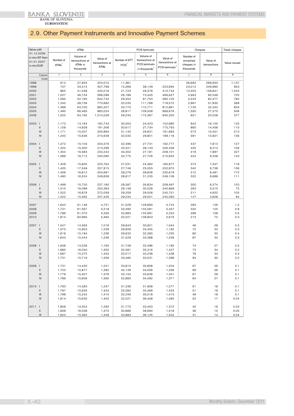**EUROSYSTEM**

## 2.9. Other Payment Instruments and Innovative Payment Schemes

| Value until                        |              | ATMs            |                 |                  | POS terminals             |                            | Cheques        |              | Travel cheques |
|------------------------------------|--------------|-----------------|-----------------|------------------|---------------------------|----------------------------|----------------|--------------|----------------|
| 31.12.2006                         |              |                 |                 |                  |                           |                            |                |              |                |
| in mio SIT from                    |              | Volume of       | Value of        |                  | Volume of                 | Value of                   | Number of      |              |                |
| 01.01.2007                         | Number of    | transactions at | transactions at | Number of EFT    | transactions at           | transactions at            | encashed       | Value of     | Value issued   |
| in mio EUR                         | <b>ATMs</b>  | ATMs in         | <b>ATMs</b>     | POS <sup>1</sup> | POS terminals             | POS terminals <sup>2</sup> | cheques in     | transactions |                |
|                                    |              | thousands       |                 |                  | in thousands <sup>2</sup> |                            | thousands      |              |                |
| Column                             | $\mathbf{1}$ | $\overline{c}$  | 3               | $\overline{4}$   | 5                         | 6                          | $\overline{7}$ | 8            | 9              |
| Code                               |              |                 |                 |                  |                           |                            |                |              |                |
| 1998                               | 612          | 27,934          | 224,010         | 11,361           | $\cdots$                  | .                          | 26,692         | 266,650      | 1,137          |
| 1999                               | 757          | 34,515          | 307,768         | 15,269           | 38,149                    | 223,694                    | 23,012         | 249,995      | 953            |
| 2000                               | 865          | 41,048          | 425,016         | 21,723           | 49,376                    | 313,744                    | 13,205         | 158,841      | 1,043          |
| 2001                               | 1,027        | 46,734          | 566,099         | 26,186           | 73,445                    | 466,627                    | 5,663          | 90,049       | 720            |
| 2002                               | 1,095        | 52,160          | 642,742         | 29,452           | 91,750                    | 585,103                    | 4,532          | 82,477       | 782            |
| 2003                               | 1,240        | 58,736          | 770,682         | 32,035           | 111,788                   | 719,572                    | 2,967          | 51,935       | 589            |
| 2004                               | 1,389        | 63,700          | 892,207         | 34,770           | 110,771                   | 812,861                    | 1,735          | 32,342       | 603            |
| 2005                               | 1,490        | 66,485          | 983,024         | 28,817           | 109,508                   | 868,676                    | 1,350          | 27,275       | 506            |
| 2006                               | 1,522        | 64,160          | 1,010,028       | 29,234           | 115,367                   | 945,200                    | 921            | 20,028       | 377            |
|                                    |              |                 |                 |                  |                           |                            |                |              |                |
| 2003                               | 1,173        | 13,164          | 162,743         | 30,053           | 24,423                    | 152,980                    | 942            | 16,105       | 125            |
| Ш                                  | 1,158        | 14,928          | 191,306         | 30,617           | 27,734                    | 175,793                    | 860            | 14,458       | 115            |
| $\mathbf{III}$<br>IV               | 1,171        | 15,007          | 200,994         | 31,145           | 29,831                    | 191,683                    | 573            | 10,451       | 213            |
|                                    | 1,240        | 15,636          | 215,639         | 32,035           | 29,801                    | 199,116                    | 591            | 10,921       | 136            |
| 2004                               | 1,272        | 15,105          | 204,576         | 32,496           | 27,731                    | 182,777                    | 437            | 7,813        | 127            |
| $\label{eq:1} \mathsf{II}$         | 1,322        | 15,300          | 213,299         | 33,321           | 28,133                    | 206,328                    | 455            | 8,314        | 106            |
| $\mathbf{III}$                     | 1,354        | 16,583          | 234,242         | 34,302           | 27,181                    | 208,101                    | 419            | 7,887        | 227            |
| IV                                 | 1,389        | 16,712          | 240,090         | 34,770           | 27,726                    | 215,654                    | 424            | 8,328        | 143            |
|                                    |              |                 |                 |                  |                           |                            |                |              |                |
| 2005<br>- 1                        | 1,409        | 15,600          | 220,762         | 27,031           | 24,382                    | 185,977                    | 373            | 7,347        | 118            |
| Ш                                  | 1,435        | 17,549          | 257,915         | 27,746           | 25,055                    | 202,970                    | 342            | 6,758        | 106            |
| $\mathbf{III}$                     | 1,456        | 16,812          | 254,691         | 28,276           | 28,836                    | 230,619                    | 312            | 6,481        | 172            |
| IV                                 | 1,490        | 16,524          | 249,656         | 28,817           | 31,235                    | 249,109                    | 322            | 6,689        | 111            |
|                                    |              |                 |                 |                  |                           |                            |                |              |                |
| 2006<br>$\blacksquare$             | 1,499        | 15,720          | 237,180         | 28,587           | 26,834                    | 208,497                    | 300            | 6,274        | 103            |
| Ш                                  | 1,510        | 16,099          | 253,363         | 29,148           | 30,026                    | 245,869                    | 263            | 5,515        | 75             |
| $\mathbf{III}$                     | 1,522        | 16,876          | 272,059         | 29,259           | 29,506                    | 245,751                    | 211            | 4,632        | 105            |
| IV                                 | 1,522        | 15,465          | 247,426         | 29,234           | 29,001                    | 245,083                    | 147            | 3,608        | 94             |
|                                    |              |                 |                 |                  |                           |                            |                |              |                |
| 2007                               | 1,643        | 61,146          | 4,731           | 31,529           | 129,895                   | 4,724                      | 285            | 126          | 1.2            |
| 2008                               | 1,731        | 61,567          | 5,218           | 33,490           | 134,581                   | 5,457                      | 320            | 125          | 0.9            |
| 2009                               | 1,786        | 61,370          | 5,356           | 32,883           | 132,991                   | 5,253                      | 268            | 108          | 0.5            |
| 2010                               | 1,814        | 60,990          | 5,484           | 32,021           | 138,853                   | 5,616                      | 213            | 72           | 0.3            |
|                                    |              |                 |                 |                  |                           |                            |                |              |                |
| 2007                               | 1,547        | 14,565          | 1,019           | 29,843           | 30,821                    | 1,044                      | 46             | 28           | 0.3            |
| $\label{eq:1} \mathsf{II}$         | 1,575        | 15,953          | 1,229           | 29,926           | 33,405                    | 1,192                      | 72             | 34           | 0.3            |
| $\mathbf{III}$<br>IV               | 1,619        | 15,184          | 1,236           | 29,632           | 32,280                    | 1,230                      | 80<br>87       | 30<br>34     | 0.4<br>0.3     |
|                                    | 1,643        | 15,444          | 1,246           | 31,529           | 33,388                    | 1,258                      |                |              |                |
| 2008                               | 1,648        | 14,536          | 1,164           | 31,748           | 32,496                    | 1,195                      | 74             | 27           | 0.2            |
| Ш                                  | 1,685        | 16,040          | 1,353           | 32,581           | 35,316                    | 1,427                      | 73             | 34           | 0.2            |
| $\mathbf{III}$                     | 1,697        | 15,275          | 1,342           | 33,017           | 33,238                    | 1,438                      | 79             | 34           | 0.3            |
| IV                                 | 1,731        | 15,716          | 1,359           | 33,490           | 33,531                    | 1,398                      | 94             | 30           | 0.2            |
|                                    |              |                 |                 |                  |                           |                            |                |              |                |
| 2009                               | 1,731        | 14,430          | 1,221           | 33,815           | 30,808                    | 1,204                      | 67             | 26           | 0.1            |
| Ш                                  | 1,753        | 15,877          | 1,392           | 34,139           | 34,056                    | 1,336                      | 69             | 26           | 0.1            |
| Ш                                  | 1,779        | 15,457          | 1,378           | 33,155           | 33,636                    | 1,341                      | 67             | 29           | 0.1            |
| IV                                 | 1,786        | 15,606          | 1,365           | 32,883           | 34,492                    | 1,371                      | 64             | 27           | 0.1            |
|                                    |              |                 |                 |                  |                           |                            |                |              |                |
| 2010                               | 1,793        | 14,283          | 1,247           | 31,236           | 31,908                    | 1,277                      | 61             | 18           | 0.1            |
| Ш                                  | 1,797        | 15,835          | 1,424           | 32,092           | 35,469                    | 1,433                      | 51             | 19           | 0.1            |
| $\mathop{\mathsf{III}}\nolimits$   | 1,798        | 15,242          | 1,410           | 32,249           | 35,018                    | 1,415                      | 49             | 18           | 0.1            |
| IV                                 | 1,814        | 15,630          | 1,403           | 32,021           | 36,458                    | 1,490                      | 52             | 17           | 0.04           |
|                                    |              |                 |                 |                  |                           |                            |                |              |                |
| 2011                               | 1,809        | 14,552          | 1,292           | 31,775           | 33,453                    | 1,372                      | 45             | 16           | 0.03           |
| $\rm{II}$                          | 1,839        | 16,038          | 1,470           | 30,886           | 36,694                    | 1,518                      | 36             | 15           | 0.05           |
| $\ensuremath{\mathsf{III}}\xspace$ | 1,823        | 15,362          | 1,449           | 33,883           | 36,125                    | 1,502                      | 31             | 14           | 0.04           |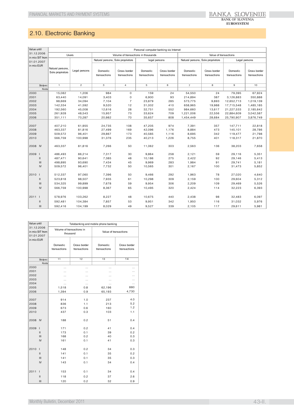

# 2.10. Electronic Banking

| Value until                   |               | Personal computer banking via Internet |                  |                                   |                              |                                     |                              |                                   |                              |                          |                              |  |
|-------------------------------|---------------|----------------------------------------|------------------|-----------------------------------|------------------------------|-------------------------------------|------------------------------|-----------------------------------|------------------------------|--------------------------|------------------------------|--|
| 31.12.2006                    |               |                                        | Users            |                                   |                              | Volume of transactions in thousands |                              |                                   | Value of transactions        |                          |                              |  |
| in mio SIT from<br>01.01.2007 |               |                                        |                  | Natural persons, Sole proprietors |                              | legal persons                       |                              | Natural persons, Sole proprietors |                              | Legal persons            |                              |  |
| in mio EUR                    |               |                                        |                  |                                   |                              |                                     |                              |                                   |                              |                          |                              |  |
|                               |               | Natural persons,                       |                  |                                   |                              |                                     |                              |                                   |                              |                          |                              |  |
|                               |               | Sole proprietors                       | Legal persons    | Domestic<br>transactions          | Cross border<br>transactions | Domestic<br>transactions            | Cross border<br>transactions | Domestic<br>transactions          | Cross border<br>transactions | Domestic<br>transactions | Cross border<br>transactions |  |
|                               |               |                                        |                  |                                   |                              |                                     |                              |                                   |                              |                          |                              |  |
|                               |               |                                        |                  |                                   |                              |                                     |                              |                                   |                              |                          |                              |  |
|                               | Stolpec       | $\mathbf{1}$                           | $\overline{2}$   | $\overline{\mathbf{3}}$           | $\overline{4}$               | $\overline{5}$                      | 6                            | $\overline{7}$                    | $\overline{8}$               | $\overline{9}$           | 10                           |  |
|                               | Koda          |                                        |                  |                                   |                              |                                     |                              |                                   |                              |                          |                              |  |
| 2000                          |               | 15,082                                 | 1,206            | 984                               | 0                            | 159                                 | 24                           | 54,550                            | 24                           | 79,395                   | 67,924                       |  |
| 2001                          |               | 63,440                                 | 14,091           | 3,403                             | $\circ$                      | 6,900                               | 93                           | 214,894                           | 387                          | 3,126,883                | 350,888                      |  |
| 2002                          |               | 98,669                                 | 34,094           | 7,104                             | $\overline{7}$               | 23,879                              | 285                          | 573,775                           | 9,893                        | 12,652,713               | 1,019,139                    |  |
| 2003<br>2004                  |               | 142,334<br>192,560                     | 41,592<br>45,008 | 9,520<br>12,616                   | 12<br>28                     | 31,002<br>32,751                    | 410<br>552                   | 658,965<br>984,660                | 19,988<br>13,617             | 17,715,548<br>21,227,533 | 1,485,185                    |  |
| 2005                          |               | 261,928                                | 48,543           | 15,957                            | 73                           | 33,624                              | 709                          | 1,221,006                         | 22,556                       | 22,884,609               | 2,185,642<br>3,042,587       |  |
| 2006                          |               | 351,111                                | 70,287           | 20,982                            | 70                           | 35,657                              | 808                          | 1,454,449                         | 28,684                       | 25,790,907               | 3,876,749                    |  |
|                               |               |                                        |                  |                                   |                              |                                     |                              |                                   |                              |                          |                              |  |
| 2007                          |               | 407,210                                | 61,955           | 24,735                            | 108                          | 47,205                              | 974                          | 7,391                             | 357                          | 147,711                  | 22,818                       |  |
| 2008                          |               | 463,337                                | 81,816           | 27,499                            | 169                          | 42,096                              | 1,176                        | 8,884                             | 473                          | 145,101                  | 28,786                       |  |
| 2009                          |               | 509.572                                | 96,401           | 29,867                            | 173                          | 40,585                              | 1.116                        | 8,695                             | 342                          | 119.477                  | 21,798                       |  |
| 2010                          |               | 566,759                                | 100,998          | 31,376                            | 235                          | 40,213                              | 1,226                        | 8,755                             | 401                          | 118,317                  | 21,870                       |  |
|                               |               |                                        |                  |                                   |                              |                                     |                              |                                   |                              |                          |                              |  |
| 2008 IV                       |               | 463,337                                | 81,816           | 7,266                             | 50                           | 11,062                              | 303                          | 2,563                             | 136                          | 38,203                   | 7,658                        |  |
|                               |               |                                        |                  |                                   |                              |                                     |                              |                                   |                              |                          |                              |  |
| 2009                          |               | 486,493                                | 86,214           | 7,317                             | 30                           | 9,864                               | 258                          | 2,121                             | 59                           | 29,116                   | 5,351                        |  |
|                               | Ш             | 487.471                                | 90.641           | 7.385                             | 48                           | 10.186                              | 275                          | 2,422                             | 92                           | 29,146                   | 5,413                        |  |
|                               | Ш             | 498.895                                | 93.690           | 7.434                             | 45                           | 9.969                               | 283                          | 1,984                             | 91                           | 29,741                   | 5,181                        |  |
|                               | IV            | 509,572                                | 96,401           | 7,732                             | 50                           | 10,565                              | 301                          | 2,167                             | 100                          | 31,473                   | 5,852                        |  |
|                               |               |                                        |                  |                                   |                              |                                     |                              |                                   |                              |                          |                              |  |
| 2010                          |               | 512,337                                | 97,060           | 7,396                             | 50                           | 9,466                               | 292                          | 1,963                             | 78                           | 27,020                   | 4,640                        |  |
|                               | $\mathbf{H}$  | 523,818                                | 98,507           | 7.935                             | 61                           | 10.298                              | 309                          | 2,159                             | 100                          | 29,604                   | 5,312                        |  |
|                               | III           | 534,325                                | 99,899           | 7,678                             | 59                           | 9,954                               | 306                          | 2,209                             | 109                          | 29,469                   | 5,526                        |  |
|                               | IV            | 566,759                                | 100,998          | 8.367                             | 65                           | 10.495                              | 320                          | 2,424                             | 114                          | 32,223                   | 6,393                        |  |
|                               |               |                                        |                  |                                   |                              |                                     |                              |                                   |                              |                          |                              |  |
| 2011                          |               | 578,976                                | 103,262          | 8,227                             | 48                           | 10,675                              | 440                          | 2,438                             | 98                           | 32,483                   | 6,097                        |  |
|                               | $\mathbf{II}$ | 592,481                                | 104,384          | 7.857                             | 53                           | 9,951                               | 342                          | 1,950                             | 116                          | 31,032                   | 5,976                        |  |
|                               | III           | 592.416                                | 104,199          | 8.029                             | 49                           | 9,527                               | 339                          | 2.105                             | 117                          | 29,611                   | 5,981                        |  |

| Value until              |                 |                           | Telebanking and mobile phone banking |                       |                 |  |  |  |  |  |  |
|--------------------------|-----------------|---------------------------|--------------------------------------|-----------------------|-----------------|--|--|--|--|--|--|
| 31.12.2006               |                 | Volume of transactions in |                                      |                       |                 |  |  |  |  |  |  |
|                          | in mio SIT from | thousand                  |                                      | Value of transactions |                 |  |  |  |  |  |  |
| 01.01.2007<br>in mio EUR |                 |                           |                                      |                       |                 |  |  |  |  |  |  |
|                          |                 |                           |                                      |                       |                 |  |  |  |  |  |  |
|                          |                 | Domestic                  | Cross border                         | Domestic              | Cross border    |  |  |  |  |  |  |
|                          |                 | transactions              | transactions                         | transactions          | transactions    |  |  |  |  |  |  |
|                          |                 |                           |                                      |                       |                 |  |  |  |  |  |  |
|                          | Stolpec         | $\overline{11}$           | 12                                   | 13                    | $\overline{14}$ |  |  |  |  |  |  |
|                          | Koda            |                           |                                      |                       |                 |  |  |  |  |  |  |
| 2000                     |                 |                           | .                                    |                       |                 |  |  |  |  |  |  |
| 2001                     |                 | $\cdots$                  |                                      | .                     | .               |  |  |  |  |  |  |
| 2002                     |                 | .                         |                                      |                       | .               |  |  |  |  |  |  |
| 2003                     |                 |                           |                                      |                       | .               |  |  |  |  |  |  |
| 2004                     |                 |                           |                                      |                       | .               |  |  |  |  |  |  |
| 2005                     |                 | 1,518                     | 0.8                                  | 62,196                | 880             |  |  |  |  |  |  |
| 2006                     |                 | 1,394                     | 0.9                                  | 65,193                | 4,730           |  |  |  |  |  |  |
|                          |                 |                           |                                      |                       | 4.0             |  |  |  |  |  |  |
| 2007                     |                 | 914                       | 1.0                                  | 237                   | 5.2             |  |  |  |  |  |  |
| 2008<br>2009             |                 | 836<br>673                | 1.1<br>0.6                           | 213<br>160            | 1.2             |  |  |  |  |  |  |
| 2010                     |                 | 437                       | 0.3                                  | 103                   | 1.1             |  |  |  |  |  |  |
|                          |                 |                           |                                      |                       |                 |  |  |  |  |  |  |
| 2008                     | IV              | 188                       | 0.2                                  | 51                    | 0.4             |  |  |  |  |  |  |
|                          |                 |                           |                                      |                       |                 |  |  |  |  |  |  |
| 2009                     | L               | 171                       | 0.2                                  | 41                    | 0.4             |  |  |  |  |  |  |
|                          | $\mathbf{I}$    | 173                       | 0.1                                  | 39                    | 0.2             |  |  |  |  |  |  |
|                          | Ш               | 168                       | 0.2                                  | 40                    | 0.3             |  |  |  |  |  |  |
|                          | IV              | 161                       | 0.1                                  | 41                    | 0.3             |  |  |  |  |  |  |
|                          |                 |                           |                                      |                       |                 |  |  |  |  |  |  |
| 2010                     | т               | 148                       | 0.2                                  | 34                    | 0.3             |  |  |  |  |  |  |
|                          | Ш               | 141                       | 0.1                                  | 35                    | 0.2             |  |  |  |  |  |  |
|                          | Ш               | 141                       | 0.1                                  | 35                    | 0.3             |  |  |  |  |  |  |
|                          | IV              | 143                       | 0.1                                  | 34                    | 0.4             |  |  |  |  |  |  |
|                          |                 |                           |                                      |                       |                 |  |  |  |  |  |  |
| 2011                     | т               | 153                       | 0.1                                  | 34                    | 0.4             |  |  |  |  |  |  |
|                          | Ш               | 118                       | 0.2                                  | 37                    | 2.6             |  |  |  |  |  |  |
|                          | Ш               | 120                       | 0.2                                  | 32                    | 0.9             |  |  |  |  |  |  |
|                          |                 |                           |                                      |                       |                 |  |  |  |  |  |  |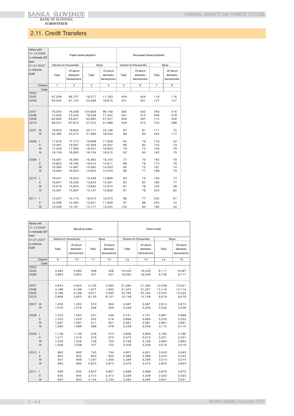BANK OF SLOVENIA **EUROSYSTEM**

## 2.11. Credit Transfers

| Value until<br>31.12.2006<br>in milliards SIT<br>from |                                      |                                      | Paper based payment                   |                                      | Non-paper based payment  |                                      |                          |                                      |  |
|-------------------------------------------------------|--------------------------------------|--------------------------------------|---------------------------------------|--------------------------------------|--------------------------|--------------------------------------|--------------------------|--------------------------------------|--|
| 01.01.2007                                            |                                      | Volume (in thousands)                | Value                                 |                                      |                          | Volume (in thousands)                |                          | Value                                |  |
| in millions<br><b>EUR</b>                             | Total                                | Of which<br>domestic<br>transactions | Total                                 | Of which<br>domestic<br>transactions | Total                    | Of which<br>domestic<br>transactions | Total                    | Of which<br>domestic<br>transactions |  |
| Column                                                | 1                                    | $\overline{c}$                       | 3                                     | $\overline{4}$                       | 5                        | 6                                    | $\overline{7}$           | 8                                    |  |
| Code                                                  |                                      |                                      |                                       |                                      |                          |                                      |                          |                                      |  |
| 2004<br>2005<br>2006                                  | 87,508<br>92,004                     | 86,757<br>91,124                     | 16,277<br>23,496                      | $\cdots$<br>11,783<br>18,675         | $\cdots$<br>404<br>451   | $\cdots$<br>404<br>451               | $\ddotsc$<br>116<br>127  | $\cdots$<br>116<br>127               |  |
| 2007<br>2008<br>2009<br>2010                          | 76,550<br>72,935<br>65,982<br>68,051 | 76,098<br>72,533<br>65,647<br>67,673 | 104,959<br>79,538<br>62,860<br>57,072 | 96,149<br>71,544<br>57,501<br>51,988 | 365<br>341<br>329<br>349 | 342<br>315<br>297<br>315             | 764<br>559<br>712<br>704 | 416<br>279<br>308<br>288             |  |
| 2007<br>Ш<br>IV                                       | 18,925<br>20,380                     | 18,834<br>20,275                     | 25,171<br>21,386                      | 23,188<br>19,040                     | 87<br>99                 | 81<br>93                             | 171<br>204               | 75<br>117                            |  |
| 2008<br>$\blacksquare$<br>$\mathbf{H}$<br>Ш<br>IV     | 17,876<br>19,497<br>17,403<br>18,159 | 17,774<br>19,391<br>17,306<br>18,062 | 19.668<br>22,309<br>18,457<br>19,104  | 17,829<br>20,297<br>16,603<br>16,815 | 84<br>86<br>79<br>92     | 79<br>80<br>72<br>84                 | 116<br>134<br>146<br>162 | 52<br>73<br>79<br>75                 |  |
| т<br>2009<br>Ш<br>Ш<br>IV                             | 16,481<br>16,852<br>16,065<br>16,584 | 16,393<br>16,766<br>15,987<br>16,500 | 16,362<br>16,014<br>15,582<br>14,902  | 15,104<br>14,611<br>14,353<br>13,433 | 77<br>86<br>80<br>86     | 70<br>78<br>72<br>77                 | 160<br>172<br>191<br>188 | 79<br>76<br>74<br>79                 |  |
| 2010<br>$\perp$<br>$\mathsf{II}$<br>Ш<br>IV           | 19,401<br>16,641<br>15,918<br>16,091 | 19,303<br>16,538<br>15,834<br>15,997 | 15,439<br>13,503<br>13.992<br>14,137  | 13,869<br>12,281<br>12,910<br>12,928 | 83<br>92<br>87<br>87     | 75<br>84<br>78<br>78                 | 156<br>180<br>165<br>203 | 73<br>77<br>58<br>80                 |  |
| 2011<br>т<br>$\mathsf{II}$<br>III                     | 15,257<br>15,556<br>15,259           | 15,173<br>15,484<br>15,191           | 16,070<br>12,841<br>14,171            | 15,073<br>11,859<br>13,234           | 86<br>97<br>103          | 77<br>88<br>93                       | 202<br>233<br>180        | 67<br>72<br>44                       |  |

| Value until<br>31.12.2006<br>in milliards SIT<br>from |        |                                  | Standing orders                      |                                  |                                      | Direct credit                        |                                      |                                     |                                      |  |
|-------------------------------------------------------|--------|----------------------------------|--------------------------------------|----------------------------------|--------------------------------------|--------------------------------------|--------------------------------------|-------------------------------------|--------------------------------------|--|
| 01.01.2007                                            |        |                                  | Volume (in thousands)                |                                  | Value                                | Volume (in thousands)                |                                      | Value                               |                                      |  |
| in millions<br><b>EUR</b>                             |        | Total                            | Of which<br>domestic<br>transactions | Total                            | Of which<br>domestic<br>transactions | Total                                | Of which<br>domestic<br>transactions | Total                               | Of which<br>domestic<br>transactions |  |
|                                                       | Column | 9                                | 10                                   | 11                               | 12                                   | 13                                   | 14                                   | 15                                  | 16                                   |  |
|                                                       | Code   |                                  |                                      |                                  |                                      |                                      |                                      |                                     |                                      |  |
| 2004<br>2005<br>2006                                  |        | $\sim$<br>4,484<br>3,963         | $\cdots$<br>4,484<br>3,963           | $\cdots$<br>408<br>427           | $\cdots$<br>408<br>427               | $\cdots$<br>16,434<br>18,050         | 16,429<br>18,049                     | $\cdots$<br>6,111<br>6,736          | $\sim$<br>6,087<br>6,717             |  |
| 2007<br>2008<br>2009<br>2010                          |        | 4,624<br>4,199<br>4,188<br>2,856 | 4,624<br>4,199<br>4,188<br>2,855     | 2,105<br>1,977<br>2,611<br>8,135 | 2,060<br>1,932<br>2.595<br>8,131     | 21,284<br>21,037<br>20.784<br>15,748 | 21,284<br>21,037<br>20.784<br>15,748 | 12,249<br>12,116<br>12.024<br>9,079 | 12,241<br>12,114<br>12.024<br>9,079  |  |
| 2007<br>III<br>IV                                     |        | 1,200<br>1.076                   | 1,200<br>1.076                       | 573<br>546                       | 564<br>529                           | 5,587<br>5,349                       | 5,587<br>5,349                       | 2,914<br>3,530                      | 2,913<br>3,528                       |  |
| 2008<br>$\mathbf{I}$<br>$\mathbf{H}$<br>Ш<br>IV       |        | 1,020<br>1,023<br>1,067<br>1,090 | 1,020<br>1.023<br>1,067<br>1,089     | 447<br>532<br>511<br>488         | 436<br>519<br>501<br>476             | 4,741<br>5,666<br>5,381<br>5,249     | 4,741<br>5,666<br>5,381<br>5,249     | 2,891<br>3,253<br>2,861<br>3,110    | 2,889<br>3,253<br>2,861<br>3,110     |  |
| 2009<br>$\mathbf{I}$<br>$\mathbf{I}$<br>Ш<br>IV       |        | 1,138<br>1,017<br>1,026<br>1,008 | 1,138<br>1,016<br>1,026<br>1,008     | 578<br>579<br>728<br>727         | 573<br>575<br>724<br>723             | 4,836<br>5,572<br>5,168<br>5,209     | 4,836<br>5,572<br>5,168<br>5,209     | 2,790<br>3,321<br>2,894<br>3,019    | 2,790<br>3,321<br>2,894<br>3,019     |  |
| 2010<br>$\mathbf{I}$<br>Ш<br>Ш<br>IV                  |        | 962<br>954<br>937<br>965         | 962<br>954<br>936<br>965             | 745<br>903<br>1,357<br>5,875     | 744<br>902<br>1,356<br>5,873         | 4,931<br>5,386<br>5,289<br>5,074     | 4,931<br>5,386<br>5,289<br>5,074     | 3,043<br>3,243<br>3,014<br>2,823    | 3,043<br>3,243<br>3,014<br>2,823     |  |
| 2011<br>$\mathbf{I}$<br>Ш<br>Ш                        |        | 936<br>945<br>932                | 935<br>945<br>932                    | 4,870<br>2,413<br>2,134          | 4,867<br>2,412<br>2,133              | 4,698<br>5,239<br>5,284              | 4,698<br>5,239<br>5,284              | 2,875<br>2,033<br>3,051             | 2,875<br>2,033<br>3,051              |  |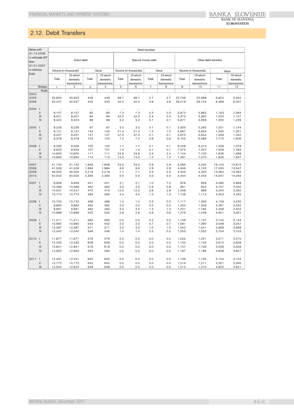## 2.12. Debit Transfers

| Value until             |                  |                       |            |              |                |                       | Debit transfers     |              |                |                       |                |                |
|-------------------------|------------------|-----------------------|------------|--------------|----------------|-----------------------|---------------------|--------------|----------------|-----------------------|----------------|----------------|
| 31.12.2006              |                  |                       |            |              |                |                       |                     |              |                |                       |                |                |
| in milliards SIT        |                  | Direct debit          |            |              |                |                       | Special money order |              |                | Other debit transfers |                |                |
| from<br>01.01.2007      |                  |                       |            |              |                |                       |                     |              |                |                       |                |                |
| in millions             |                  | Volume (in thousands) |            | Value        |                | Volume (in thousands) |                     | Value        |                | Volume (in thousands) |                | Value          |
| <b>EUR</b>              |                  | Of which              |            | Of which     |                | Of which              |                     | Of which     |                | Of which              |                | Of which       |
|                         | Total            | domestic              | Total      | domestic     | Total          | domestic              | Total               | domestic     | Total          | domestic              | Total          | domestic       |
|                         |                  | transactions          |            | transactions |                | transaction           |                     | transactions |                | transactions          |                | transactions   |
| Stolpec                 | $\mathbf{1}$     | $\overline{c}$        | 3          | 4            | $\overline{5}$ | 6                     | $\overline{7}$      | 8            | $\overline{9}$ | 10                    | 11             | 12             |
| Koda                    |                  |                       |            |              |                |                       |                     |              |                |                       |                |                |
| 2004                    |                  |                       | $\cdots$   | $\cdots$     | $\cdots$       | $\cdots$              | $\cdots$            | $\cdots$     |                |                       |                |                |
| 2005<br>2006            | 35,934           | 35,933<br>40,237      | 449<br>430 | 449<br>430   | 68.7<br>40.4   | 68.7<br>40.4          | 2.7<br>3.8          | 2.7<br>3.8   | 22,746         | 22,688                | 5,820          | 5,340          |
|                         | 40,237           |                       |            |              |                |                       |                     |              | 28,219         | 28,144                | 6,499          | 6,007          |
| 2004                    |                  |                       | $\ldots$   | $\cdots$     | $\cdots$       | $\cdots$              | $\cdots$            | $\cdots$     | $\cdots$       | $\cdots$              | $\cdots$       | $\cdots$       |
| $\mathsf{II}$           | 8,107            | 8,107                 | 85         | 85           | 7.3            | 7.3                   | 0.3                 | 0.3          | 5,973          | 5,962                 | 1,163          | 1,084          |
| Ш                       | 9,001            | 9,001                 | 94         | 94           | 42.0           | 42.0                  | 2.4                 | 2.4          | 5,372          | 5,360                 | 1,224          | 1,127          |
| IV                      | 9,424            | 9,424                 | 98         | 98           | 3.2            | 3.2                   | 0.1                 | 0.1          | 5,671          | 5,658                 | 1,330          | 1,226          |
|                         |                  |                       |            |              |                |                       |                     |              |                |                       |                |                |
| 2005                    | 8,228            | 8,228                 | 87         | 87           | 3.2            | 3.2                   | 0.1                 | 0.1          | 5,305          | 5,292                 | 1,251          | 1,144          |
| $\mathbf{II}$           | 9,121            | 9,121                 | 132        | 132          | 21.3           | 21.3                  | 1.5                 | 1.5          | 5,667          | 5,653                 | 1,340          | 1,251          |
| $\mathbf{III}$          | 9,207            | 9,207                 | 127        | 127          | 37.0           | 37.0                  | 0.1                 | 0.1          | 5,670          | 5,654                 | 1,459          | 1,340          |
| IV                      | 9,378            | 9,378                 | 103        | 103          | 7.2            | 7.2                   | 0.9                 | 0.9          | 6,105          | 6,089                 | 1,770          | 1,606          |
|                         |                  |                       |            |              |                |                       |                     |              |                |                       |                |                |
| 2006  <br>$\mathsf{II}$ | 9,306<br>9,633   | 9,306<br>9,633        | 100<br>107 | 100<br>107   | 1.1<br>1.4     | 1.1<br>1.4            | 0.1<br>0.1          | 0.1<br>0.1   | 6,228          | 6,213<br>7,357        | 1,508<br>1,509 | 1,378<br>1,493 |
| Ш                       | 10,605           | 10,605                | 111        | 111          | 24.6           | 24.6                  | 2.4                 | 2.4          | 7,375<br>7,124 | 7,105                 | 1,636          | 1,489          |
| IV                      | 10,694           | 10,694                | 112        | 112          | 13.2           | 13.2                  | 1.2                 | 1.2          | 7,491          | 7,470                 | 1,846          | 1,647          |
|                         |                  |                       |            |              |                |                       |                     |              |                |                       |                |                |
| 2007                    | 41,733           | 41,733                | 1,848      | 1,848        | 24.0           | 24.0                  | 5.9                 | 5.9          | 4,085          | 4,000                 | 16,124         | 12,815         |
| 2008                    | 41,506           | 41,506                | 1,984      | 1,984        | 9.6            | 9.6                   | 2.9                 | 2.9          | 4,848          | 4,743                 | 17,530         | 13,547         |
| 2009                    | 46,304           | 46,304                | 2,219      | 2,219        | 7.1            | 7.1                   | 2.5                 | 2.5          | 4,324          | 4,320                 | 13,564         | 13,562         |
| 2010                    | 50,002           | 50,002                | 2,393      | 2,393        | 0.0            | 0.0                   | 0.0                 | 0.0          | 4,450          | 4,445                 | 14,047         | 14,045         |
|                         |                  |                       |            |              |                |                       |                     |              |                |                       |                |                |
| 2007                    | 9,959            | 9,959                 | 421        | 421          | 3.1            | 3.1                   | 1.0                 | 1.0          | 978            | 959                   | 3,580          | 2,869          |
| $\mathsf{II}$           | 10,469           | 10,469                | 462        | 462          | 4.5            | 4.5                   | 0.9                 | 0.9          | 961            | 942                   | 3,757          | 3,050          |
| Ш<br>IV                 | 10,531<br>10,774 | 10,531<br>10,774      | 470<br>495 | 470<br>495   | 12.0<br>4.4    | 12.0<br>4.4           | 2.8<br>1.3          | 2.8<br>1.3   | 1,008<br>1,138 | 986<br>1,113          | 4,244<br>4,543 | 3,350<br>3,545 |
|                         |                  |                       |            |              |                |                       |                     |              |                |                       |                |                |
| 2008<br>$\mathbf{I}$    | 10,733           | 10,733                | 496        | 496          | 1.4            | 1.4                   | 0.3                 | 0.3          | 1,117          | 1,093                 | 4,129          | 3,230          |
| II                      | 9,883            | 9,883                 | 482        | 482          | 2.0            | 2.0                   | 0.5                 | 0.5          | 1,234          | 1,208                 | 4,391          | 3,352          |
| Ш                       | 9,991            | 9,991                 | 482        | 482          | 3.4            | 3.4                   | 1.3                 | 1.3          | 1,221          | 1,195                 | 4,358          | 3,404          |
| IV                      | 10,898           | 10,898                | 525        | 525          | 2.8            | 2.8                   | 0.8                 | 0.8          | 1,276          | 1,248                 | 4,651          | 3,561          |
|                         |                  |                       |            |              |                |                       |                     |              |                |                       |                |                |
| 2009<br>$\blacksquare$  | 11,211           | 11,211                | 560        | 560          | 0.5            | 0.5                   | 0.2                 | 0.2          | 1,139          | 1,137                 | 3,144          | 3,144          |
| $\mathsf{II}$           | 10,965           | 10,965                | 542        | 542          | 2.0            | 2.0                   | 0.7                 | 0.7          | 1,091          | 1,090                 | 3,048          | 3,047          |
| Ш                       | 12,087           | 12,087                | 571        | 571          | 3.2            | 3.2                   | 1.0                 | 1.0          | 1,042          | 1,041                 | 3,668          | 3,668          |
| IV                      | 12,042           | 12,042                | 546        | 546          | 1.4            | 1.4                   | 0.5                 | 0.5          | 1,053          | 1,052                 | 3,704          | 3,703          |
| 2010                    |                  |                       |            |              | 0.0            |                       | 0.0                 | 0.0          |                |                       |                |                |
|                         | 11,877           | 11,877                | 576        | 576          |                | 0.0                   |                     |              | 1,022          | 1,021                 | 3,271          | 3,270          |
| $\mathsf{II}$           | 12,335           | 12,335                | 609        | 609          | 0.0            | 0.0                   | 0.0                 | 0.0          | 1,134          | 1,133                 | 3,610          | 3,609          |
| $\mathbf{III}$          | 12,841           | 12,841                | 616        | 616          | 0.0            | 0.0                   | 0.0                 | 0.0          | 1,107          | 1,106                 | 3,559          | 3,559          |
| IV                      | 12,950           | 12,950                | 593        | 593          | 0.0            | 0.0                   | 0.0                 | 0.0          | 1,187          | 1,186                 | 3,608          | 3,607          |
|                         |                  |                       |            |              |                |                       |                     |              |                |                       |                |                |
| 2011                    | 12,331           | 12,331                | 625        | 625          | 0.0            | 0.0                   | 0.0                 | 0.0          | 1,136          | 1,135                 | 3,134          | 3,134          |
| $\mathbf{II}$           | 12,772           | 12,772                | 642        | 642          | 0.0            | 0.0                   | 0.0                 | 0.0          | 1,215          | 1,211                 | 3,301          | 3,300          |
| III                     | 12,924           | 12,924                | 648        | 648          | 0.0            | 0.0                   | 0.0                 | 0.0          | 1,212          | 1,210                 | 4,922          | 4,921          |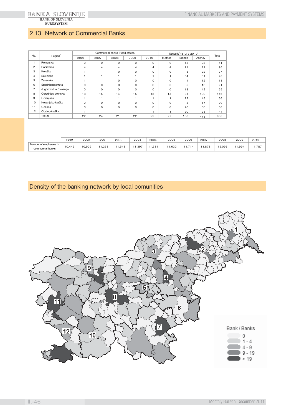**EUROSYSTEM**

## 2.13. Network of Commercial Banks

| No.            |                       |                |          | Commercial banks (Head offices) |          |                         |          | Network <sup>2</sup> (31.12.2010) |        | Total |
|----------------|-----------------------|----------------|----------|---------------------------------|----------|-------------------------|----------|-----------------------------------|--------|-------|
|                | Region <sup>1</sup>   | 2006           | 2007     | 2008                            | 2009     | 2010                    | H.office | <b>Branch</b>                     | Agency |       |
| 1              | Pomurska              | $\Omega$       | $\Omega$ | 0                               | $\Omega$ | $\Omega$                | $\Omega$ | 13                                | 28     | 41    |
| 2              | Podravska             | $\overline{4}$ | 4        | 4                               | 4        | $\overline{\mathbf{4}}$ | 4        | 21                                | 71     | 96    |
| 3              | Koroška               |                |          | $\Omega$                        | $\cap$   | $\Omega$                | $\Omega$ | 5                                 | 22     | 27    |
| $\overline{4}$ | Savinjska             |                |          |                                 |          |                         |          | 34                                | 61     | 96    |
| 5              | Zasavska              |                |          | O                               | $\cap$   | $\Omega$                | $\Omega$ |                                   | 12     | 13    |
| 6              | Spodnjeposavska       | $\Omega$       | O        | $\Omega$                        | $\Omega$ | $\Omega$                | $\Omega$ | 5                                 | 16     | 21    |
| $\overline{7}$ | Jugovzhodna Slovenija | $\Omega$       | $\Omega$ | 0                               | $\cap$   | $\Omega$                | $\Omega$ | 13                                | 42     | 55    |
| 8              | Osrednjeslovenska     | 13             | 15       | 14                              | 15       | 15                      | 15       | 31                                | 100    | 146   |
| 9              | Gorenjska             |                |          |                                 |          |                         |          | 22                                | 43     | 66    |
| 10             | Notranjsko-kraška     | $\Omega$       | $\Omega$ | $\Omega$                        | $\cap$   | $\Omega$                | $\Omega$ | 3                                 | 17     | 20    |
| 11             | Goriška               | $\Omega$       | $\Omega$ | 0                               | $\Omega$ | $\Omega$                | $\Omega$ | 20                                | 38     | 58    |
| 12             | Obalno-kraška         |                |          |                                 |          |                         |          | 20                                | 23     | 44    |
|                | <b>TOTAL</b>          | 22             | 24       | 21                              | 22       | 22                      | 22       | 188                               | 473    | 683   |

|                                            | 1999   | 2000  | 2001 | 2002  | 2003 | 2004 | 2005  | 2006           | 2007 | 2008   | 2009  | 2010  |
|--------------------------------------------|--------|-------|------|-------|------|------|-------|----------------|------|--------|-------|-------|
| Number of employees in<br>commercial banks | 10.445 | 0.929 | .258 | 1.543 | .397 | .534 | 1.632 | $\overline{z}$ | .878 | 12.096 | 1.994 | .,787 |

Density of the banking network by local comunities

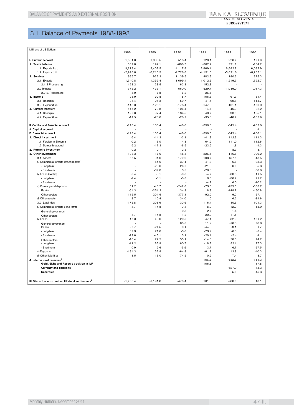#### BANKA SLOVENIJE BANK OF SLOVENIA **EUROSYSTEM**

# 3.1. Balance of Payments 1988-1993

| Millions of US Dollars                                           | 1988       | 1989        | 1990       | 1991        | 1992       | 1993                     |
|------------------------------------------------------------------|------------|-------------|------------|-------------|------------|--------------------------|
| I. Current account                                               | 1,351.8    | 1,088.5     | 518.4      | 129.1       | 926.2      | 191.9                    |
| 1. Trade balance                                                 | 364.8      | 192.1       | $-608.7$   | $-262.2$    | 791.1      | $-154.2$                 |
| 1.1. Exports f.o.b.                                              | 3,278.4    | 3,408.5     | 4,117.8    | 3,869.1     | 6,682.9    | 6,082.9                  |
| 1.2. Imports c.i.f.                                              | $-2,913.6$ | $-3,216.3$  | $-4,726.6$ | $-4, 131.3$ | $-5,891.8$ | $-6,237.1$               |
| 2. Services                                                      | 965.7      | 922.3       | 1,139.5    | 482.9       | 180.3      | 375.3                    |
| 2.1. Exports                                                     | 1,340.8    | 1,355.4     | 1,699.4    | 1,012.6     | 1,219.3    | 1,392.7                  |
| 2.1.2 Processing                                                 | 123.2      | 128.5       | 162.3      | 152.8       |            |                          |
| 2.2 Imports                                                      | $-375.2$   | $-433.1$    | $-560.0$   | $-529.7$    | $-1,039.0$ | $-1,017.3$               |
| 2.2.2. Processing                                                | $-4.9$     | $-7.8$      | $-6.2$     | $-25.6$     |            |                          |
| 3. Income                                                        | $-93.9$    | $-99.8$     | $-118.7$   | $-106.3$    | $-91.3$    | $-51.4$                  |
| 3.1. Receipts                                                    | 24.4       | 25.3        | 59.7       | 41.5        | 69.8       | 114.7                    |
| 3.2. Expenditure                                                 | $-118.3$   | $-125.1$    | $-178.4$   | $-147.8$    | $-161.1$   | $-166.0$                 |
| 4. Current transfers                                             | 115.2      | 73.8        | 106.4      | 14.7        | 46.0       | 22.2                     |
| 4.1. Receipts                                                    | 129.8      | 97.4        | 134.5      | 49.7        | 93.0       | 155.1                    |
|                                                                  | $-14.5$    | $-23.6$     | $-28.2$    | $-35.0$     | $-46.9$    | $-132.9$                 |
| 4.2. Expenditure                                                 |            |             |            |             |            |                          |
| II. Capital and financial account                                | $-113.4$   | 103.4       | $-48.0$    | $-290.6$    | $-645.4$   | $-202.0$                 |
| A. Capital account                                               |            |             |            |             |            | 4.1                      |
| <b>B.</b> Financial account                                      | $-113.4$   | 103.4       | $-48.0$    | $-290.6$    | $-645.4$   | $-206.1$                 |
| 1. Direct investment                                             | $-5.4$     | $-14.3$     | $-2.1$     | $-41.3$     | 112.9      | 111.3                    |
| 1.1. Foreign in Slovenia                                         | $-0.2$     | 3.0         | 4.3        | 64.9        | 111.0      | 112.6                    |
| 1.2. Domestic abroad                                             | $-5.2$     | $-17.3$     | $-6.5$     | $-23.5$     | 1.8        | $-1.3$                   |
| 2. Portfolio investment                                          | 0.2        | 0.1         | 2.5        |             | $-8.9$     | 3.1                      |
| 3. Other investment                                              | $-108.3$   | 117.6       | $-48.4$    | $-225.1$    | $-116.8$   | $-209.2$                 |
| 3.1. Assets                                                      | 67.5       | $-91.0$     | $-179.0$   | $-108.7$    | $-157.5$   | $-313.5$                 |
| a) Commercial credits (other sectors)                            |            | $-54.6$     | 30.1       | $-41.8$     | 6.6        | 93.3                     |
| - Long-term                                                      |            | $-20.6$     | 26.6       | $-21.3$     | 6.6        | 5.3                      |
| - Short-term                                                     |            | $-34.0$     | 3.5        | $-20.5$     |            | 88.0                     |
| b) Loans (banks)                                                 | $-2.4$     | $-0.1$      | $-0.3$     | $-4.7$      | $-30.8$    | 11.5                     |
| - Long-term                                                      | $-2.4$     | $-0.1$      | $-0.3$     | 0.0         | $-36.7$    | 21.7                     |
| - Short-term                                                     |            |             |            | $-4.7$      | 6.0        | $-10.2$                  |
| c) Currency and deposits                                         | 61.2       | $-46.7$     | $-242.8$   | $-73.3$     | $-139.5$   | $-383.7$                 |
| Banks                                                            | $-54.3$    | $-251.2$    | 134.3      | 18.8        | $-148.7$   | $-450.8$                 |
| Other sectors                                                    | 115.5      | 204.5       | $-377.1$   | $-92.0$     | 9.2        | 67.1                     |
| d) Other assets                                                  | 8.7        | 10.4        | 34.0       | 11.0        | 6.2        | $-34.6$                  |
| 3.2. Liabilities                                                 | $-175.8$   | 208.6       | 130.6      | $-116.4$    | 40.6       | 104.3                    |
|                                                                  | 4.7        | 14.8        | 0.4        | $-18.2$     | $-12.9$    | $-13.0$                  |
| a) Commercial credits (long-term)                                |            |             | $-0.8$     | 2.7         | $-1.4$     | $\overline{\phantom{a}}$ |
| General government                                               |            |             |            | $-20.9$     |            |                          |
| Other sectors                                                    | 4.7        | 14.8        | 1.2        |             | $-11.5$    |                          |
| b) Loans                                                         | 17.3       | 48.0        | 120.5      | $-47.4$     | 32.9       | 161.2                    |
| General government                                               |            |             | 65.3       | 11.2        | $-16.8$    | 78.6                     |
| Banks                                                            | 27.7       | $-24.5$     | 0.1        | $-44.0$     | $-9.1$     | 1.7                      |
| - Long-term                                                      | 57.3       | 21.6        | $-3.0$     | $-23.9$     | $-6.8$     | $-2.4$                   |
| - Short-term                                                     | $-29.6$    | $-46.1$     | 3.1        | $-20.1$     | $-2.4$     | 4.1                      |
| Other sectors                                                    | $-10.4$    | 72.5        | 55.1       | $-14.6$     | 58.8       | 94.7                     |
| - Long-term                                                      | $-11.2$    | 66.9        | 60.7       | $-18.3$     | 52.1       | 27.3                     |
| - Short-term                                                     | 0.9        | 5.6         | $-5.6$     | 3.7         | 6.7        | 67.5                     |
| c) Deposits                                                      | $-194.3$   | 132.8       | $-64.8$    | $-61.7$     | 13.8       | $-40.3$                  |
| d) Other liabilities                                             | $-3.5$     | 13.0        | 74.5       | 10.9        | 7.4        | $-3.7$                   |
| 4. International reserves <sup>3</sup>                           |            |             |            | $-106.8$    | $-632.6$   | $-111.3$                 |
| Gold, SDRs and Reserve position in IMF                           |            |             |            | $-106.8$    |            | $-17.8$                  |
| Currency and deposits                                            |            |             |            |             | $-627.0$   | $-48.3$                  |
| <b>Securities</b>                                                |            |             |            |             | $-5.6$     | $-45.3$                  |
| III. Statistical error and multilateral settlements <sup>2</sup> | $-1,238.4$ | $-1, 191.8$ | $-470.4$   | 161.5       | $-288.6$   | 10.1                     |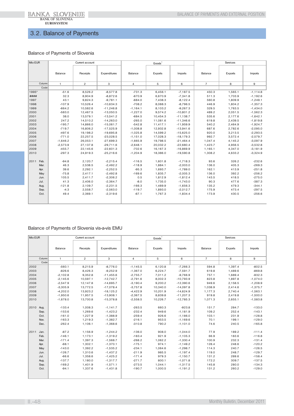BANK OF SLOVENIA **EUROSYSTEM**

## 3.2. Balance of Payments

## Balance of Payments of Slovenia

| Mio EUR      |              | Current account |              |                | Goods <sup>1</sup> |              | Services       |         |             |  |
|--------------|--------------|-----------------|--------------|----------------|--------------------|--------------|----------------|---------|-------------|--|
|              | Balance      | Receipts        | Expenditures | Balance        | Exports            | Imports      | Balance        | Exports | Imports     |  |
| Column       | $\mathbf{1}$ | $\overline{2}$  | 3            | $\overline{4}$ | 5                  | 6            | $\overline{7}$ | 8       | 9           |  |
| Code         |              |                 |              |                |                    |              |                |         |             |  |
| 1995*        | $-51.6$      | 8,526.2         | $-8,577.8$   | $-731.3$       | 6,456.1            | $-7.187.5$   | 450.3          | 1,565.1 | $-1.114.8$  |  |
| ####         | 32.3         | 8,904.9         | $-8,872.6$   | $-670.9$       | 6,670.9            | $-7,341.8$   | 511.3          | 1,703.9 | $-1, 192.6$ |  |
| 1997         | 43.1         | 9,824.3         | $-9.781.1$   | $-684.0$       | 7,438.3            | $-8,122.4$   | 560.8          | 1,809.9 | $-1,249.1$  |  |
| 1998         | $-107.9$     | 10,526.4        | $-10,634.3$  | $-708.2$       | 8.088.3            | $-8.796.5$   | 446.9          | 1,804.2 | $-1,357.3$  |  |
| 1999         | $-664.2$     | 10.582.6        | $-11,246.8$  | $-1,164.1$     | 8.103.2            | $-9.267.3$   | 329.5          | 1.763.5 | $-1,434.0$  |  |
| 2000         | $-583.0$     | 12.467.5        | $-13,050.5$  | $-1.227.0$     | 9.574.2            | $-10.801.2$  | 489.2          | 2.051.5 | $-1,562.3$  |  |
| 2001         | 38.0         | 13.579.1        | $-13.541.2$  | $-684.5$       | 10.454.3           | $-11.138.7$  | 535.6          | 2.177.6 | $-1,642.1$  |  |
| 2002         | 247.2        | 14,510.2        | $-14,263.0$  | $-265.0$       | 11.081.6           | $-11.346.6$  | 619.8          | 2,439.5 | $-1,819.8$  |  |
| 2003         | $-195.7$     | 14,866.0        | $-15,061.7$  | $-542.8$       | 11,417.1           | $-11,959.9$  | 540.2          | 2,464.9 | $-1,924.7$  |  |
| 2004         | $-719.7$     | 16,806.2        | $-17,525.9$  | $-1,008.8$     | 12,932.8           | $-13,941.6$  | 687.6          | 2,782.6 | $-2,095.0$  |  |
| 2005         | $-497.6$     | 19,198.2        | $-19,695.8$  | $-1,025.8$     | 14,599.2           | $-15,625.0$  | 920.0          | 3,213.5 | $-2,293.5$  |  |
| 2006         | $-771.0$     | 22,257.5        | $-23,028.5$  | $-1, 151.0$    | 17,028.3           | $-18, 179.3$ | 992.7          | 3,572.4 | $-2,579.7$  |  |
| 2007         | $-1,646.2$   | 26,053.1        | $-27,699.3$  | $-1,665.9$     | 19,798.5           | $-21,464.4$  | 1,047.4        | 4,145.2 | $-3,097.9$  |  |
| 2008         | $-2,573.9$   | 27,137.8        | $-29,711.6$  | $-2,648.1$     | 20,032.2           | $-22,680.4$  | 1,423.7        | 4,956.5 | $-3,532.8$  |  |
| 2009         | $-455.7$     | 22,145.6        | $-22,601.3$  | $-702.6$       | 16,167.3           | $-16,869.9$  | 1,165.1        | 4,347.0 | $-3,181.9$  |  |
| 2010         | $-297.3$     | 24,919.3        | $-25,216.6$  | $-1,204.9$     | 18,386.0           | $-19,590.8$  | 1,308.2        | 4,633.2 | $-3,324.9$  |  |
| 2011<br>Feb. | $-94.8$      | 2,120.7         | $-2, 215.4$  | $-116.5$       | 1,601.8            | $-1,718.3$   | 93.6           | 326.2   | $-232.6$    |  |
| Mar.         | 46.3         | 2,538.5         | $-2,492.2$   | $-118.9$       | 1,884.1            | $-2,003.0$   | 136.0          | 405.3   | $-269.3$    |  |
| Apr.         | 39.6         | 2,292.1         | $-2,252.5$   | $-95.3$        | 1,693.7            | $-1,789.0$   | 162.1          | 413.9   | $-251.8$    |  |
| May          | $-75.8$      | 2,417.1         | $-2,492.8$   | $-169.6$       | 1,835.7            | $-2,005.3$   | 136.0          | 392.2   | $-256.2$    |  |
| Jun.         | 105.5        | 2,411.7         | $-2,306.2$   | 0.5            | 1,812.9            | $-1,812.4$   | 143.5          | 418.5   | $-275.0$    |  |
| Jul.         | 41.3         | 2,406.0         | $-2,364.7$   | $-8.0$         | 1,735.0            | $-1,743.0$   | 90.3           | 477.6   | $-387.3$    |  |
| Aug.         | $-121.8$     | 2,109.7         | $-2,231.5$   | $-166.3$       | 1,489.9            | $-1,656.3$   | 135.2          | 479.3   | $-344.1$    |  |
| Sep.         | $-4.3$       | 2,558.7         | $-2,563.0$   | $-119.7$       | 1,893.0            | $-2,012.7$   | 175.9          | 473.4   | $-297.5$    |  |
| Oct.         | 49.4         | 2,369.1         | $-2,319.6$   | $-67.1$        | 1,767.3            | $-1,834.4$   | 173.9          | 430.5   | $-256.6$    |  |
|              |              |                 |              |                |                    |              |                |         |             |  |

| Mio EUR |        |              | Current account |              |                | Goods <sup>1</sup> |             |                | Services |            |
|---------|--------|--------------|-----------------|--------------|----------------|--------------------|-------------|----------------|----------|------------|
|         |        | Balance      | Receipts        | Expenditures | Balance        | Exports            | Imports     | Balance        | Exports  | Imports    |
|         | Column | $\mathbf{1}$ | $\overline{2}$  | 3            | $\overline{4}$ | 5                  | 6           | $\overline{7}$ | 8        | 9          |
|         | Code   |              |                 |              |                |                    |             |                |          |            |
| 2002    |        | $-560.1$     | 8,215.9         | $-8,776.0$   | $-1, 145.5$    | 6,120.8            | $-7,266.3$  | 594.8          | 1,397.4  | $-802.5$   |
| 2003    |        | $-826.6$     | 8,426.3         | $-9,252.9$   | $-1,367.0$     | 6,224.7            | $-7,591.7$  | 619.8          | 1,489.6  | $-869.8$   |
| 2004    |        | $-2,102.8$   | 9,352.8         | $-11,455.6$  | $-2,755.7$     | 7,011.2            | $-9,766.9$  | 757.1          | 1,689.4  | $-932.3$   |
| 2005    |        | $-2.145.6$   | 10,597.1        | $-12,742.7$  | $-2.791.6$     | 8.002.3            | $-10,793.9$ | 823.8          | 1,897.8  | $-1,074.0$ |
| 2006    |        | $-2,547.9$   | 12,147.8        | $-14,695.7$  | $-3,190.4$     | 9,200.2            | $-12,390.6$ | 949.6          | 2,158.5  | $-1,208.9$ |
| 2007    |        | $-3.305.9$   | 13,772.5        | $-17,078.4$  | $-3,757.8$     | 10.340.0           | $-14,097.8$ | 1,038.9        | 2,414.6  | $-1,375.7$ |
| 2008    |        | $-4.202.0$   | 13,923.2        | $-18, 125.2$ | $-4,422.9$     | 10,201.9           | $-14,624.9$ | 1,177.3        | 2,740.4  | $-1,563.1$ |
| 2009    |        | $-1.950.6$   | 11.957.5        | $-13,908.1$  | $-2,367.5$     | 8,839.8            | $-11,207.3$ | 919.8          | 2.419.8  | $-1,500.0$ |
| 2010    |        | $-1.678.0$   | 13.700.8        | $-15.378.8$  | $-2.558.5$     | 10.226.7           | $-12.785.3$ | 1.071.3        | 2.655.1  | $-1,583.8$ |
| 2010    | Aug.   | $-133.4$     | 1,008.3         | $-1, 141.7$  | $-263.5$       | 660.3              | $-923.8$    | 151.7          | 284.7    | $-133.0$   |
|         | Sep.   | $-153.6$     | 1,269.6         | $-1,423.2$   | $-232.4$       | 949.6              | $-1,181.9$  | 109.2          | 252.4    | $-143.1$   |
|         | Oct.   | $-161.0$     | 1,227.9         | $-1,388.9$   | $-259.4$       | 926.6              | $-1.186.0$  | 103.1          | 231.9    | $-128.8$   |
|         | Nov.   | $-163.3$     | 1,219.3         | $-1,382.7$   | $-216.1$       | 953.5              | $-1.169.6$  | 70.1           | 199.1    | $-129.0$   |
|         | Dec.   | $-262.4$     | 1,106.1         | $-1,368.6$   | $-310.8$       | 790.2              | $-1,101.0$  | 74.6           | 240.5    | $-165.8$   |
|         |        |              |                 |              |                |                    |             |                |          |            |
| 2011    | Jan.   | $-87.2$      | 1,156.9         | $-1,244.2$   | $-136.0$       | 908.0              | $-1.044.0$  | 77.9           | 189.2    | $-111.4$   |
|         | Feb.   | $-146.1$     | 1,173.1         | $-1,319.2$   | $-183.4$       | 921.9              | $-1, 105.3$ | 66.9           | 183.6    | $-116.8$   |
|         | Mar.   | $-171.4$     | 1,397.3         | $-1,568.7$   | $-268.2$       | 1,062.2            | $-1.330.4$  | 100.9          | 232.3    | $-131.4$   |
|         | Apr.   | $-68.1$      | 1,302.1         | $-1,370.1$   | $-175.1$       | 974.1              | $-1, 149.2$ | 128.4          | 248.6    | $-120.2$   |
|         | May    | $-143.0$     | 1,392.2         | $-1,535.2$   | $-234.1$       | 1,064.6            | $-1,298.7$  | 114.3          | 240.7    | $-126.5$   |
|         | Jun.   | $-126.7$     | 1,310.6         | $-1,437.2$   | $-211.9$       | 985.5              | $-1, 197.4$ | 119.0          | 248.7    | $-129.7$   |
|         | Jul.   | $-66.6$      | 1,358.6         | $-1,425.2$   | $-171.4$       | 979.3              | $-1, 150.7$ | 131.2          | 289.6    | $-158.4$   |
|         | Aug.   | $-137.7$     | 1,180.0         | $-1,317.7$   | $-271.7$       | 800.1              | $-1.071.8$  | 172.2          | 309.7    | $-137.5$   |
|         | Sep.   | $-169.2$     | 1,401.9         | $-1,571.1$   | $-273.5$       | 1,044.1            | $-1,317.5$  | 145.8          | 280.0    | $-134.3$   |
|         | Oct.   | $-94.1$      | 1,337.6         | $-1,431.8$   | $-190.7$       | 1,000.5            | $-1, 191.2$ | 131.2          | 260.2    | $-129.0$   |
|         |        |              |                 |              |                |                    |             |                |          |            |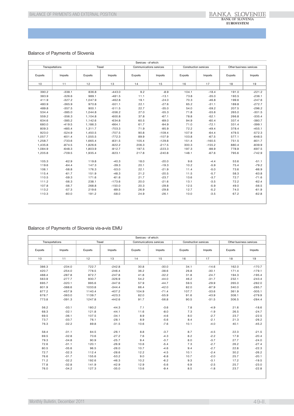## Balance of Payments of Slovenia

|         | Services - of which: |         |          |         |                         |         |                       |         |                         |  |  |
|---------|----------------------|---------|----------|---------|-------------------------|---------|-----------------------|---------|-------------------------|--|--|
|         | Transportations      | Travel  |          |         | Communications services |         | Construction services |         | Other business services |  |  |
| Exports | Imports              | Exports | Imports  | Exports | Imports                 | Exports | Imports               | Exports | Imports                 |  |  |
| 10      | 11                   | 12      | 13       | 14      | 15                      | 16      | 17                    | 18      | 19                      |  |  |
|         |                      |         |          |         |                         |         |                       |         |                         |  |  |
| 390.2   | $-338.1$             | 836.8   | $-443.0$ | 9.2     | $-8.9$                  | 104.1   | $-18.4$               | 191.0   | $-221.2$                |  |  |
| 383.9   | $-326.6$             | 989.1   | $-481.5$ | 11.1    | $-13.1$                 | 73.8    | $-35.0$               | 193.5   | $-236.1$                |  |  |
| 411.9   | $-327.2$             | 1,047.9 | $-462.8$ | 19.1    | $-24.0$                 | 70.3    | $-46.8$               | 199.6   | $-247.6$                |  |  |
| 480.9   | $-365.9$             | 970.8   | $-501.1$ | 22.1    | $-27.6$                 | 65.2    | $-31.1$               | 189.8   | $-272.7$                |  |  |
| 489.8   | $-357.5$             | 900.1   | $-511.5$ | 22.7    | $-35.0$                 | 54.0    | $-59.2$               | 207.5   | $-296.2$                |  |  |
| 534.4   | $-385.0$             | 1,044.8 | $-556.2$ | 27.0    | $-55.3$                 | 71.8    | $-55.6$               | 265.0   | $-301.5$                |  |  |
| 559.2   | $-356.3$             | 1,104.8 | $-600.8$ | 37.8    | $-67.1$                 | 78.8    | $-52.1$               | 266.8   | $-335.4$                |  |  |
| 634.6   | $-385.2$             | 1,142.6 | $-634.8$ | 60.5    | $-89.0$                 | 94.9    | $-60.4$               | 337.4   | $-380.7$                |  |  |
| 680.0   | $-419.5$             | 1,186.3 | $-664.1$ | 61.7    | $-94.9$                 | 71.0    | $-72.1$               | 331.4   | $-399.1$                |  |  |
| 809.3   | $-485.4$             | 1,311.7 | $-703.3$ | 71.9    | $-95.9$                 | 72.2    | $-49.4$               | 378.4   | $-455.1$                |  |  |
| 923.0   | $-524.9$             | 1,450.5 | $-707.5$ | 90.8    | $-109.4$                | 107.9   | $-64.4$               | 479.5   | $-572.3$                |  |  |
| 1,057.7 | $-601.4$             | 1,555.5 | $-772.3$ | 89.9    | $-107.9$                | 103.8   | $-67.5$               | 577.1   | $-648.5$                |  |  |
| 1,258.7 | $-733.6$             | 1,665.4 | $-831.5$ | 105.4   | $-129.8$                | 151.4   | $-160.5$              | 751.5   | $-801.7$                |  |  |
| 1,435.8 | $-874.5$             | 1,826.6 | $-922.2$ | 206.3   | $-217.5$                | 300.3   | $-155.2$              | 880.4   | $-839.9$                |  |  |
| 1,084.9 | $-648.3$             | 1,803.9 | $-912.7$ | 197.5   | $-223.3$                | 197.3   | $-98.9$               | 778.9   | $-697.5$                |  |  |
| 1,205.8 | $-709.5$             | 1.935.4 | $-923.1$ | 217.8   | $-240.8$                | 148.1   | $-67.6$               | 795.6   | $-742.9$                |  |  |
| 105.3   | $-62.9$              | 119.8   | $-40.3$  | 18.0    | $-20.0$                 | 9.6     | $-4.4$                | 53.6    | $-51.1$                 |  |  |
| 119.6   | $-64.4$              | 147.3   | $-39.3$  | 20.1    | $-19.3$                 | 10.2    | $-5.9$                | 75.4    | $-79.2$                 |  |  |
| 106.1   | $-58.8$              | 176.3   | $-53.0$  | 22.1    | $-21.9$                 | 11.4    | $-5.0$                | 73.6    | $-66.9$                 |  |  |
| 115.4   | $-61.7$              | 151.9   | $-48.3$  | 21.2    | $-20.5$                 | 11.5    | $-5.7$                | 58.3    | $-63.8$                 |  |  |
| 110.5   | $-59.3$              | 171.6   | $-61.6$  | 21.7    | $-23.7$                 | 13.6    | $-3.7$                | 72.7    | $-71.6$                 |  |  |
| 111.2   | $-56.3$              | 238.1   | $-173.6$ | 20.0    | $-21.6$                 | 13.1    | $-3.5$                | 72.2    | $-62.4$                 |  |  |
| 107.8   | $-56.7$              | 268.8   | $-150.0$ | 20.3    | $-29.8$                 | 12.5    | $-5.9$                | 49.0    | $-56.5$                 |  |  |
| 113.2   | $-57.3$              | 219.6   | $-89.5$  | 26.9    | $-29.8$                 | 12.7    | $-5.2$                | 74.0    | $-61.9$                 |  |  |
| 110.3   | $-60.0$              | 191.2   | $-58.0$  | 24.9    | $-26.1$                 | 10.0    | $-3.5$                | 67.2    | $-62.8$                 |  |  |
|         |                      |         |          |         |                         |         |                       |         |                         |  |  |

|         | Services - of which: |         |          |         |                         |         |                       |         |                         |  |  |
|---------|----------------------|---------|----------|---------|-------------------------|---------|-----------------------|---------|-------------------------|--|--|
|         | Transportations      | Travel  |          |         | Communications services |         | Construction services |         | Other business services |  |  |
| Exports | Imports              | Exports | Imports  | Exports | Imports                 | Exports | Imports               | Exports | Imports                 |  |  |
| 10      | 11                   | 12      | 13       | 14      | 15                      | 16      | 17                    | 18      | 19                      |  |  |
|         |                      |         |          |         |                         |         |                       |         |                         |  |  |
| 386.3   | $-234.0$             | 722.7   | $-242.8$ | 30.8    | $-30.0$                 | 34.1    | $-14.6$               | 162.0   | $-170.7$                |  |  |
| 420.7   | $-254.0$             | 778.5   | $-246.4$ | 36.2    | $-38.6$                 | 26.8    | $-30.1$               | 171.4   | $-179.1$                |  |  |
| 488.4   | $-287.8$             | 872.7   | $-247.8$ | 41.8    | $-32.2$                 | 31.8    | $-24.7$               | 194.3   | $-195.4$                |  |  |
| 563.9   | $-277.7$             | 930.7   | $-326.9$ | 54.2    | $-44.0$                 | 46.2    | $-31.7$               | 232.1   | $-243.4$                |  |  |
| 695.7   | $-320.1$             | 995.6   | $-347.6$ | 57.9    | $-44.7$                 | 59.5    | $-29.9$               | 265.0   | $-282.0$                |  |  |
| 801.9   | $-388.6$             | 1033.8  | $-344.4$ | 66.4    | $-42.0$                 | 82.0    | $-97.9$               | 340.0   | $-285.7$                |  |  |
| 877.2   | $-457.9$             | 1140.4  | $-407.2$ | 104.9   | $-71.4$                 | 107.7   | $-33.6$               | 361.9   | $-305.1$                |  |  |
| 678.7   | $-363.0$             | 1139.7  | $-423.3$ | 82.0    | $-55.9$                 | 91.6    | $-43.9$               | 308.1   | $-279.9$                |  |  |
| 773.8   | $-391.3$             | 1247.8  | $-442.6$ | 91.7    | $-56.8$                 | 90.5    | $-31.5$               | 306.5   | $-284.4$                |  |  |
|         |                      |         |          |         |                         |         |                       |         |                         |  |  |
| 56.2    | $-33.1$              | 180.2   | $-44.3$  | 7.1     | $-3.6$                  | 7.8     | $-4.9$                | 21.6    | $-18.6$                 |  |  |
| 68.3    | $-32.1$              | 121.8   | $-44.1$  | 11.6    | $-8.0$                  | 7.3     | $-1.9$                | 26.5    | $-24.7$                 |  |  |
| 69.5    | $-36.1$              | 107.5   | $-34.1$  | 8.9     | $-4.6$                  | 8.0     | $-2.7$                | 23.7    | $-22.5$                 |  |  |
| 73.7    | $-33.7$              | 76.1    | $-28.1$  | 8.9     | $-5.6$                  | 8.4     | $-2.1$                | 21.3    | $-26.2$                 |  |  |
| 76.3    | $-32.2$              | 89.8    | $-31.5$  | 10.6    | $-7.6$                  | 10.1    | $-4.0$                | 40.1    | $-45.2$                 |  |  |
|         |                      |         |          |         |                         |         |                       |         |                         |  |  |
| 58.4    | $-31.1$              | 84.5    | $-26.1$  | 8.8     | $-3.7$                  | 8.7     | $-4.5$                | 22.3    | $-21.5$                 |  |  |
| 69.5    | $-32.8$              | 70.6    | $-27.2$  | 7.6     | $-4.3$                  | 8.2     | $-2.2$                | 17.9    | $-20.4$                 |  |  |
| 79.3    | $-34.8$              | 90.9    | $-25.7$  | 9.4     | $-3.7$                  | 8.0     | $-3.7$                | 27.7    | $-24.0$                 |  |  |
| 72.6    | $-31.1$              | 120.1   | $-26.9$  | 10.6    | $-5.4$                  | 7.3     | $-2.7$                | 26.2    | $-27.4$                 |  |  |
| 80.5    | $-35.6$              | 96.5    | $-26.0$  | 10.7    | $-4.6$                  | 9.4     | $-2.7$                | 22.8    | $-22.3$                 |  |  |
| 72.7    | $-32.3$              | 112.4   | $-28.6$  | 12.2    | $-4.5$                  | 10.1    | $-2.4$                | 30.2    | $-26.2$                 |  |  |
| 76.6    | $-31.7$              | 155.6   | $-53.2$  | 9.0     | $-6.8$                  | 10.7    | $-2.0$                | 25.7    | $-20.1$                 |  |  |
| 71.2    | $-32.2$              | 192.6   | $-46.3$  | 10.2    | $-6.2$                  | 9.3     | $-3.1$                | 17.2    | $-19.5$                 |  |  |
| 77.8    | $-32.8$              | 141.9   | $-42.9$  | 12.9    | $-5.6$                  | 6.9     | $-2.5$                | 25.7    | $-23.0$                 |  |  |
| 76.0    | $-34.2$              | 127.3   | $-35.0$  | 13.6    | $-9.4$                  | 8.5     | $-1.8$                | 23.7    | $-22.8$                 |  |  |
|         |                      |         |          |         |                         |         |                       |         |                         |  |  |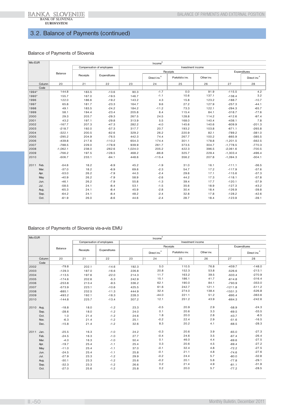**EUROSYSTEM**

# 3.2. Balance of Payments (continued)

## Balance of Payments of Slovenia

| Mio EUR      |            |          |                           | $hcome8$ |                 |                   |            |            |                 |
|--------------|------------|----------|---------------------------|----------|-----------------|-------------------|------------|------------|-----------------|
|              |            |          | Compensation of employees |          |                 | Investment income |            |            |                 |
|              | Balance    |          |                           |          |                 | Receipts          |            |            | Expenditures    |
|              |            | Receipts | Expenditures              |          | Direct inv. $8$ | Portofolio inv.   | Other inv. |            | Direct inv. $8$ |
| Column       | 20         | 21       | 22                        | 23       | 24              | 25                | 26         | 27         | 28              |
| Code         |            |          |                           |          |                 |                   |            |            |                 |
| 1994*        | 144.8      | 183.5    | $-13.6$                   | 90.3     | $-1.7$          | 0.0               | 91.9       | $-115.5$   | 4.2             |
| 1995*        | 155.7      | 167.0    | $-19.5$                   | 146.7    | $-1.1$          | 10.6              | 137.1      | $-138.4$   | 3.2             |
| 1996         | 122.0      | 186.6    | $-19.2$                   | 143.2    | 4.3             | 15.8              | 123.2      | $-188.7$   | $-10.7$         |
| 1997         | 65.8       | 181.7    | $-23.3$                   | 164.7    | 9.6             | 27.2              | 127.9      | $-257.3$   | $-44.1$         |
| 1998         | 49.1       | 183.5    | $-24.2$                   | 184.2    | $-11.2$         | 73.3              | 122.1      | $-294.3$   | $-65.7$         |
| 1999         | 58.1       | 194.4    | $-23.4$                   | 205.8    | 6.4             | 115.4             | 84.1       | $-318.7$   | $-77.6$         |
| 2000         | 29.3       | 203.7    | $-29.3$                   | 267.5    | 24.5            | 128.8             | 114.2      | $-412.6$   | $-97.4$         |
| 2001         | 43.2       | 197.1    | $-29.8$                   | 313.9    | 5.5             | 168.0             | 140.4      | $-438.1$   | 7.8             |
| 2002         | $-167.7$   | 207.3    | $-47.3$                   | 282.2    | $-4.0$          | 145.6             | 140.6      | $-609.9$   | $-201.3$        |
| 2003         | $-218.7$   | 192.0    | $-57.3$                   | 317.7    | 20.7            | 193.2             | 103.8      | $-671.1$   | $-265.8$        |
| 2004         | $-322.1$   | 200.5    | $-62.6$                   | 329.2    | 26.2            | 220.9             | 82.1       | $-789.2$   | $-381.0$        |
| 2005         | $-295.2$   | 204.9    | $-76.5$                   | 442.3    | 74.4            | 267.7             | 100.2      | $-865.9$   | $-385.5$        |
| 2006         | $-439.8$   | 217.6    | $-110.2$                  | 654.3    | 174.4           | 301.1             | 178.8      | $-1,201.5$ | $-562.5$        |
| 2007         | $-788.5$   | 229.0    | $-178.9$                  | 939.9    | 261.7           | 373.5             | 304.7      | $-1,778.5$ | $-770.3$        |
| 2008         | $-1,062.1$ | 238.0    | $-262.6$                  | 1,024.0  | 205.2           | 422.3             | 396.5      | $-2,061.6$ | $-700.5$        |
| 2009         | $-766.2$   | 197.5    | $-128.5$                  | 468.2    | $-86.8$         | 325.7             | 229.4      | $-1.303.4$ | $-496.4$        |
| 2010         | $-506.7$   | 233.1    | $-94.1$                   | 448.6    | $-115.4$        | 356.2             | 207.8      | $-1.094.3$ | $-304.1$        |
| 2011<br>Feb. | $-54.6$    | 18.2     | $-6.9$                    | 45.2     | $-1.9$          | 31.0              | 16.1       | $-111.1$   | $-36.5$         |
| Mar.         | $-37.0$    | 18.2     | $-6.9$                    | 69.6     | $-2.3$          | 54.7              | 17.2       | $-117.9$   | $-37.6$         |
| Apr.         | $-53.0$    | 26.2     | $-7.9$                    | 44.3     | $-2.4$          | 29.6              | 17.1       | $-115.6$   | $-37.3$         |
| May          | $-40.9$    | 26.2     | $-7.9$                    | 58.9     | $-2.6$          | 44.2              | 17.3       | $-118.1$   | $-37.8$         |
| Jun.         | $-46.1$    | 26.2     | $-7.9$                    | 55.8     | $-1.3$          | 39.4              | 17.7       | $-120.1$   | $-37.9$         |
| Jul.         | $-58.5$    | 24.1     | $-8.4$                    | 53.1     | $-1.5$          | 35.6              | 18.9       | $-127.3$   | $-43.2$         |
| Aug.         | $-65.3$    | 24.1     | $-8.4$                    | 45.9     | $-2.8$          | 30.4              | 18.4       | $-126.9$   | $-39.8$         |
| Sep.         | $-64.2$    | 24.1     | $-8.4$                    | 48.2     | $-2.4$          | 32.8              | 17.8       | $-128.2$   | $-42.6$         |
| Oct.         | $-61.9$    | 26.0     | $-8.6$                    | 44.6     | $-2.4$          | 28.7              | 18.4       | $-123.9$   | $-39.1$         |

| Mio EUR |        | Income <sup>8</sup> |          |                           |       |                 |                   |            |           |                 |  |  |
|---------|--------|---------------------|----------|---------------------------|-------|-----------------|-------------------|------------|-----------|-----------------|--|--|
|         |        |                     |          | Compensation of employees |       |                 | Investment income |            |           |                 |  |  |
|         |        | Balance             |          |                           |       |                 | Receipts          |            |           | Expenditures    |  |  |
|         |        |                     | Receipts | Expenditures              |       | Direct inv. $8$ | Portofolio inv.   | Other inv. |           | Direct inv. $8$ |  |  |
|         | Column | 20                  | 21       | 22                        | 23    | 24              | 25                | 26         | 27        | 28              |  |  |
|         | Code   |                     |          |                           |       |                 |                   |            |           |                 |  |  |
| 2002    |        | $-79.8$             | 202.1    | $-14.6$                   | 192.3 | 5.0             | 110.5             | 76.8       | $-459.7$  | $-148.0$        |  |  |
| 2003    |        | $-129.3$            | 187.0    | $-16.6$                   | 226.8 | 20.8            | 152.3             | 53.8       | $-526.6$  | $-213.1$        |  |  |
| 2004    |        | $-113.5$            | 197.6    | $-22.0$                   | 214.3 | 11.7            | 163.2             | 39.5       | $-503.4$  | $-270.9$        |  |  |
| 2005    |        | $-174.6$            | 202.6    | $-5.3$                    | 242.9 | 15.1            | 186.1             | 41.7       | $-614.8$  | $-316.4$        |  |  |
| 2006    |        | $-253.8$            | 213.4    | $-9.5$                    | 336.2 | 62.1            | 190.0             | 84.1       | $-793.9$  | $-353.0$        |  |  |
| 2007    |        | $-573.9$            | 223.1    | $-10.6$                   | 425.5 | 61.6            | 242.7             | 121.1      | $-1211.8$ | $-511.2$        |  |  |
| 2008    |        | $-885.1$            | 232.5    | $-11.3$                   | 444.9 | 32.4            | 274.0             | 138.4      | $-1551.3$ | $-526.8$        |  |  |
| 2009    |        | $-493.2$            | 192.1    | $-18.3$                   | 228.3 | $-44.0$         | 221.1             | 51.2       | $-895.4$  | $-363.6$        |  |  |
| 2010    |        | $-144.8$            | 225.7    | $-13.4$                   | 307.2 | 12.1            | 251.2             | 43.9       | $-664.3$  | $-242.6$        |  |  |
|         |        |                     |          |                           |       |                 |                   |            |           |                 |  |  |
| 2010    | Aug.   | $-18.8$             | 18.0     | $-1.2$                    | 23.3  | $-0.5$          | 20.9              | 2.9        | $-58.9$   | $-24.3$         |  |  |
|         | Sep.   | $-28.6$             | 18.0     | $-1.2$                    | 24.0  | 0.1             | 20.6              | 3.3        | $-69.5$   | $-33.5$         |  |  |
|         | Oct.   | 1.0                 | 21.4     | $-1.2$                    | 24.6  | 1.8             | 20.0              | 2.8        | $-43.7$   | $-8.5$          |  |  |
|         | Nov.   | $-6.3$              | 21.4     | $-1.2$                    | 25.1  | $-0.2$          | 22.4              | 2.9        | $-51.6$   | $-16.5$         |  |  |
|         | Dec.   | $-15.8$             | 21.4     | $-1.2$                    | 32.6  | 8.3             | 20.2              | 4.1        | $-68.5$   | $-28.3$         |  |  |
|         |        |                     |          |                           |       |                 |                   |            |           |                 |  |  |
| 2011    | Jan.   | $-25.5$             | 16.3     | $-1.0$                    | 24.2  | $-0.3$          | 20.6              | 3.9        | $-65.0$   | $-27.3$         |  |  |
|         | Feb.   | $-24.5$             | 16.3     | $-1.0$                    | 27.7  | $-0.4$          | 24.6              | 3.5        | $-67.4$   | $-26.4$         |  |  |
|         | Mar.   | $-4.0$              | 16.3     | $-1.0$                    | 50.4  | 0.1             | 46.0              | 4.4        | $-69.6$   | $-27.5$         |  |  |
|         | Apr.   | $-19.7$             | 25.4     | $-1.1$                    | 25.4  | 0.3             | 20.6              | 4.5        | $-69.4$   | $-27.2$         |  |  |
|         | May    | $-11.0$             | 25.4     | $-1.1$                    | 37.0  | $-0.1$          | 32.4              | 4.8        | $-72.2$   | $-27.5$         |  |  |
|         | Jun.   | $-24.5$             | 25.4     | $-1.1$                    | 25.8  | $-0.1$          | 21.1              | 4.8        | $-74.6$   | $-27.6$         |  |  |
|         | Jul.   | $-27.9$             | 23.3     | $-1.2$                    | 29.9  | $-0.2$          | 24.4              | 5.7        | $-80.0$   | $-32.8$         |  |  |
|         | Aug.   | $-30.1$             | 23.3     | $-1.2$                    | 25.6  | $-0.2$          | 20.1              | 5.8        | $-77.8$   | $-29.1$         |  |  |
|         | Sep.   | $-32.3$             | 23.3     | $-1.2$                    | 26.6  | 0.2             | 21.4              | 4.9        | $-81.1$   | $-31.9$         |  |  |
|         | Oct.   | $-27.0$             | 25.6     | $-1.2$                    | 25.8  | 0.2             | 20.0              | 5.7        | $-77.2$   | $-28.5$         |  |  |
|         |        |                     |          |                           |       |                 |                   |            |           |                 |  |  |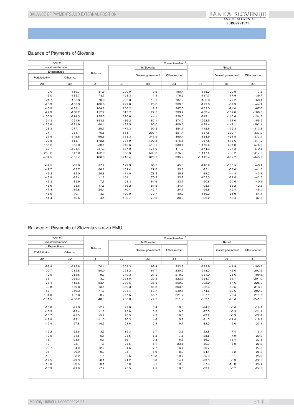## Balance of Payments of Slovenia

| Income            |            | Current transfers $10$ |         |                    |               |             |                    |               |  |
|-------------------|------------|------------------------|---------|--------------------|---------------|-------------|--------------------|---------------|--|
| Investment income |            |                        |         | In Slovenia        |               |             | Abroad             |               |  |
| Expenditures      |            |                        |         |                    |               |             |                    |               |  |
| Portofolio inv.   |            | Balance                |         | General government | Other sectors |             | General government | Other sectors |  |
|                   | Other inv. |                        |         |                    |               |             |                    |               |  |
| 29                | 30         | 31                     | 32      | 33                 | 34            | 35          | 36                 | 37            |  |
|                   |            |                        |         |                    |               |             |                    |               |  |
| 0.0               | $-119.7$   | 81.9                   | 200.0   | 9.6                | 190.4         | $-118.2$    | $-100.9$           | $-17.3$       |  |
| $-6.0$            | $-135.7$   | 73.7                   | 191.3   | 14.4               | 176.9         | $-117.7$    | $-77.9$            | $-39.7$       |  |
| $-21.7$           | $-156.3$   | 70.0                   | 200.3   | 13.1               | 187.2         | $-130.3$    | $-77.2$            | $-53.1$       |  |
| $-26.9$           | $-186.3$   | 100.6                  | 229.6   | 26.0               | 203.6         | $-129.0$    | $-84.9$            | $-44.1$       |  |
| $-45.5$           | $-183.1$   | 104.2                  | 266.2   | 19.2               | 247.0         | $-162.0$    | $-94.4$            | $-67.6$       |  |
| $-72.9$           | $-168.2$   | 112.2                  | 315.7   | 22.5               | 293.2         | $-203.4$    | $-102.8$           | $-100.6$      |  |
| $-100.9$          | $-214.3$   | 125.5                  | 370.6   | 44.1               | 326.5         | $-245.1$    | $-110.6$           | $-134.5$      |  |
| $-154.3$          | $-291.6$   | 143.6                  | 436.2   | 62.1               | 374.0         | $-292.5$    | $-137.0$           | $-155.5$      |  |
| $-126.8$          | $-281.9$   | 60.1                   | 499.5   | 90.0               | 409.5         | $-439.4$    | $-147.1$           | $-292.4$      |  |
| $-128.3$          | $-277.1$   | 25.7                   | 474.3   | 90.2               | 384.1         | $-448.6$    | $-135.3$           | $-313.3$      |  |
| $-124.1$          | $-284.1$   | $-76.5$                | 561.1   | 209.7              | 351.4         | $-637.5$    | $-299.7$           | $-337.9$      |  |
| $-131.5$          | $-348.8$   | $-96.6$                | 738.3   | 347.9              | 390.4         | $-834.9$    | $-461.5$           | $-373.4$      |  |
| $-120.9$          | $-518.1$   | $-172.8$               | 784.9   | 409.8              | 375.1         | $-957.8$    | $-516.6$           | $-441.2$      |  |
| $-155.2$          | $-853.0$   | $-239.1$               | 940.6   | 410.1              | 530.4         | $-1, 179.6$ | $-604.0$           | $-575.6$      |  |
| $-169.7$          | $-1,191.4$ | $-287.3$               | 887.0   | 475.9              | 411.2         | $-1, 174.3$ | $-704.2$           | $-470.1$      |  |
| $-259.2$          | $-547.9$   | $-152.0$               | 965.6   | 590.3              | 375.2         | $-1, 117.5$ | $-700.2$           | $-417.3$      |  |
| $-434.5$          | $-355.7$   | 106.0                  | 1.218.4 | 823.2              | 395.2         | $-1, 112.4$ | $-667.2$           | $-445.2$      |  |
|                   |            |                        |         |                    |               |             |                    |               |  |
| $-44.5$           | $-30.0$    | $-17.2$                | 129.3   | 83.5               | 45.8          | $-146.6$    | $-106.5$           | $-40.1$       |  |
| $-47.7$           | $-32.7$    | 66.2                   | 161.4   | 127.6              | 33.8          | $-95.1$     | $-53.6$            | $-41.5$       |  |
| $-46.2$           | $-32.0$    | 25.8                   | 114.0   | 78.2               | 35.8          | $-88.2$     | $-44.3$            | $-43.8$       |  |
| $-46.9$           | $-33.4$    | $-1.2$                 | 104.1   | 70.2               | 33.9          | $-105.3$    | $-62.8$            | $-42.5$       |  |
| $-46.3$           | $-35.9$    | 7.6                    | 98.3    | 64.6               | 33.7          | $-90.8$     | $-50.6$            | $-40.1$       |  |
| $-45.6$           | $-38.5$    | 17.6                   | 116.2   | 81.8               | 34.4          | $-98.6$     | $-56.2$            | $-42.5$       |  |
| $-47.4$           | $-39.8$    | $-25.4$                | 70.4    | 45.7               | 24.7          | $-95.8$     | $-49.4$            | $-46.4$       |  |
| $-45.5$           | $-40.1$    | 3.7                    | 120.0   | 79.7               | 40.3          | $-116.3$    | $-61.9$            | $-54.4$       |  |
| $-44.4$           | $-40.5$    | 4.5                    | 100.7   | 70.6               | 30.0          | $-96.2$     | $-58.4$            | $-37.8$       |  |
|                   |            |                        |         |                    |               |             |                    |               |  |

| Income            |            | Current transfers <sup>10</sup> |       |                    |               |          |                    |               |
|-------------------|------------|---------------------------------|-------|--------------------|---------------|----------|--------------------|---------------|
| Investment income |            |                                 |       | In Slovenia        |               |          | Abroad             |               |
| Expenditures      |            |                                 |       |                    |               |          |                    |               |
|                   |            | Balance                         |       | General government | Other sectors |          | General government | Other sectors |
| Portofolio inv.   | Other inv. |                                 |       |                    |               |          |                    |               |
| 29                | 30         | 31                              | 32    | 33                 | 34            | 35       | 36                 | 37            |
|                   |            |                                 |       |                    |               |          |                    |               |
| $-98.9$           | $-212.8$   | 70.4                            | 303.3 | 69.4               | 233.9         | $-232.9$ | $-41.9$            | $-190.9$      |
| $-100.7$          | $-212.8$   | 50.0                            | 298.2 | 67.7               | 230.5         | $-248.2$ | $-46.0$            | $-202.2$      |
| $-19.0$           | $-213.6$   | 9.3                             | 240.3 | 21.2               | 219.0         | $-231.0$ | $-31.6$            | $-199.3$      |
| $-33.1$           | $-265.3$   | $-3.2$                          | 251.5 | 29.2               | 222.3         | $-254.7$ | $-53.7$            | $-201.0$      |
| $-28.4$           | $-412.5$   | $-53.4$                         | 239.5 | 38.6               | 200.9         | $-292.9$ | $-64.6$            | $-228.2$      |
| $-33.8$           | $-666.8$   | $-13.1$                         | 369.3 | 65.8               | 303.5         | $-382.4$ | $-68.5$            | $-313.9$      |
| $-58.1$           | $-966.3$   | $-71.2$                         | 303.4 | 53.7               | 249.7         | $-374.6$ | $-82.6$            | $-292.0$      |
| $-104.0$          | $-427.8$   | $-9.7$                          | 277.5 | 55.7               | 221.7         | $-287.1$ | $-75.4$            | $-211.7$      |
| $-161.5$          | $-260.2$   | $-46.0$                         | 286.0 | 74.2               | 211.9         | $-332.1$ | $-90.4$            | $-241.6$      |
|                   |            |                                 |       |                    |               |          |                    |               |
| $-13.6$           | $-21.0$    | $-2.7$                          | 22.0  | 5.4                | 16.6          | $-24.7$  | $-5.4$             | $-19.4$       |
| $-13.5$           | $-22.4$    | $-1.8$                          | 25.6  | 6.3                | 19.3          | $-27.5$  | $-6.3$             | $-21.1$       |
| $-13.7$           | $-21.5$    | $-5.7$                          | 23.5  | 4.9                | 18.6          | $-29.2$  | $-6.9$             | $-22.4$       |
| $-12.9$           | $-22.1$    | $-11.0$                         | 20.3  | 4.6                | 15.7          | $-31.3$  | $-11.4$            | $-19.9$       |
| $-12.4$           | $-27.8$    | $-10.5$                         | 21.5  | 5.8                | 15.7          | $-32.0$  | $-9.0$             | $-23.1$       |
|                   |            |                                 |       |                    |               |          |                    |               |
| $-15.2$           | $-22.5$    | $-3.5$                          | 19.3  | 5.7                | 13.6          | $-22.8$  | $-7.4$             | $-15.4$       |
| $-19.6$           | $-21.5$    | $-5.1$                          | 23.6  | 6.2                | 17.5          | $-28.8$  | $-7.9$             | $-20.9$       |
| $-18.7$           | $-23.5$    | $-0.1$                          | 36.1  | 19.8               | 16.3          | $-36.2$  | $-13.4$            | $-22.8$       |
| $-19.1$           | $-23.1$    | $-1.7$                          | 28.6  | 5.1                | 23.5          | $-30.3$  | $-8.0$             | $-22.3$       |
| $-20.7$           | $-24.0$    | $-12.2$                         | 24.5  | 7.7                | 16.7          | $-36.7$  | $-9.1$             | $-27.5$       |
| $-21.1$           | $-26.0$    | $-9.3$                          | 25.1  | 6.9                | 18.2          | $-34.4$  | $-8.2$             | $-26.2$       |
| $-19.1$           | $-28.2$    | 1.5                             | 36.5  | 16.8               | 19.7          | $-35.0$  | $-6.1$             | $-28.9$       |
| $-19.5$           | $-29.3$    | $-8.1$                          | 21.2  | 6.8                | 14.4          | $-29.3$  | $-6.9$             | $-22.5$       |
| $-19.6$           | $-29.5$    | $-9.1$                          | 27.9  | 8.1                | 19.8          | $-37.0$  | $-10.9$            | $-26.1$       |
| $-18.9$           | $-29.8$    | $-7.7$                          | 25.5  | 9.5                | 16.0          | $-33.2$  | $-8.7$             | $-24.5$       |
|                   |            |                                 |       |                    |               |          |                    |               |
|                   |            |                                 |       |                    |               |          |                    |               |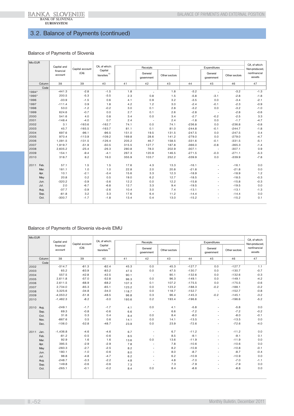**EUROSYSTEM**

## Balance of Payments of Slovenia

| Mio EUR      |                      |                 |                                   |       |                          |               |          |                       |               | CA, of which:          |
|--------------|----------------------|-----------------|-----------------------------------|-------|--------------------------|---------------|----------|-----------------------|---------------|------------------------|
|              | Capital and          | Capital account | CA, of which:                     |       | Receipts                 |               |          | Expenditures          |               | Non-produced,          |
|              | financial<br>account | (CA)            | Capital<br>${\sf transfers}^{10}$ |       | General<br>government    | Other sectors |          | General<br>government | Other sectors | nonfinancial<br>assets |
| Column       | 38                   | 39              | 40                                | 41    | 42                       | 43            | 44       | 45                    | 46            | 47                     |
| Code         |                      |                 |                                   |       |                          |               |          |                       |               |                        |
| 1994*        | $-441.3$             | $-2.8$          | $-1.5$                            | 1.8   | $\overline{\phantom{a}}$ | 1.8           | $-3.2$   | ÷.                    | $-3.2$        | $-1.3$                 |
| 1995*        | 200.5                | $-5.3$          | $-3.5$                            | 2.3   | 0.8                      | 1.5           | $-5.8$   | $-3.1$                | $-2.8$        | $-1.8$                 |
| 1996         | $-33.9$              | $-1.5$          | 0.6                               | 4.1   | 0.9                      | 3.2           | $-3.5$   | 0.0                   | $-3.4$        | $-2.1$                 |
| 1997         | $-111.4$             | 0.9             | 1.8                               | 4.2   | 1.2                      | 3.0           | $-2.4$   | $-0.1$                | $-2.3$        | $-0.9$                 |
| 1998         | 53.0                 | $-1.2$          | $-0.2$                            | 3.0   | 0.1                      | 2.8           | $-3.2$   | 0.0                   | $-3.2$        | $-1.0$                 |
| 1999         | 624.6                | $-0.7$          | 0.0                               | 2.7   | 0.1                      | 2.6           | $-2.8$   | $\sim$                | $-2.8$        | $-0.6$                 |
| 2000         | 541.6                | 4.0             | 0.8                               | 3.4   | 0.0                      | 3.4           | $-2.7$   | $-0.2$                | $-2.5$        | 3.3                    |
| 2001         | $-148.4$             | $-4.0$          | 0.7                               | 2.4   | ÷,                       | 2.4           | $-1.8$   | 0.0                   | $-1.7$        | $-4.7$                 |
| 2002         | 3.1                  | $-163.6$        | $-162.7$                          | 74.1  | 0.0                      | 74.1          | $-236.8$ | 0.0                   | $-236.8$      | $-0.8$                 |
| 2003         | 45.7                 | $-165.5$        | $-163.7$                          | 81.1  | 0.1                      | 81.0          | $-244.8$ | $-0.1$                | $-244.7$      | $-1.8$                 |
| 2004         | 697.6                | $-96.1$         | $-96.5$                           | 151.0 | 19.5                     | 131.5         | $-247.5$ | 0.0                   | $-247.5$      | 0.4                    |
| 2005         | 970.4                | $-113.9$        | $-109.2$                          | 169.8 | 28.6                     | 141.2         | $-279.0$ | 0.0                   | $-279.0$      | $-4.7$                 |
| 2006         | 1,091.5              | $-131.5$        | $-126.4$                          | 205.2 | 46.7                     | 158.5         | $-331.6$ | $-0.1$                | $-331.5$      | $-5.1$                 |
| 2007         | 1,919.7              | $-51.9$         | $-50.5$                           | 315.5 | 127.7                    | 187.8         | $-366.0$ | $-0.8$                | $-365.3$      | $-1.4$                 |
| 2008         | 2,605.2              | $-25.4$         | $-26.3$                           | 280.8 | 78.0                     | 202.9         | $-307.1$ | $\sim$                | $-307.1$      | 0.9                    |
| 2009         | 154.1                | $-9.4$          | $-4.1$                            | 267.3 | 120.9                    | 146.5         | $-271.5$ | $-0.3$                | $-271.1$      | $-5.3$                 |
| 2010         | 318.7                | 8.2             | 16.0                              | 355.9 | 103.7                    | 252.2         | $-339.9$ | 0.0                   | $-339.9$      | $-7.8$                 |
| Feb.<br>2011 | 57.1                 | 1.5             | 1.5                               | 17.6  | 4.3                      | 13.3          | $-16.1$  |                       | $-16.1$       | 0.0                    |
| Mar.         | 181.1                | 1.0             | 1.0                               | 22.8  | 2.0                      | 20.8          | $-21.8$  | ٠                     | $-21.8$       | 0.0                    |
| Apr.         | 10.1                 | $-2.1$          | $-3.4$                            | 15.6  | 3.3                      | 12.3          | $-18.9$  |                       | $-18.9$       | 1.2                    |
| May          | 20.8                 | 0.2             | 0.5                               | 19.0  | 6.2                      | 12.7          | $-18.5$  | ٠                     | $-18.5$       | $-0.3$                 |
| Jun.         | $-320.2$             | $-3.9$          | $-3.6$                            | 12.2  | 0.0                      | 12.2          | $-15.8$  | ÷.                    | $-15.8$       | $-0.3$                 |
| Jul.         | 2.0                  | $-6.7$          | $-6.8$                            | 12.7  | 3.3                      | 9.4           | $-19.5$  | ×                     | $-19.5$       | 0.0                    |
| Aug.         | $-37.7$              | $-3.9$          | $-2.6$                            | 10.4  | 3.0                      | 7.4           | $-13.1$  | ×                     | $-13.1$       | $-1.3$                 |
| Sep.         | $-81.8$              | 3.2             | 3.3                               | 17.6  | 6.4                      | 11.2          | $-14.4$  |                       | $-14.4$       | 0.0                    |
| Oct.         | $-300.7$             | $-1.7$          | $-1.8$                            | 13.4  | 0.4                      | 13.0          | $-15.2$  |                       | $-15.2$       | 0.1                    |

| Mio EUR |        |                      |                 |                                    |       |                          |               |          |                          |               | CA, of which:          |
|---------|--------|----------------------|-----------------|------------------------------------|-------|--------------------------|---------------|----------|--------------------------|---------------|------------------------|
|         |        | Capital and          | Capital account | CA, of which:                      |       | Receipts                 |               |          | Expenditures             |               | Non-produced,          |
|         |        | financial<br>account | (CA)            | Capital<br>transfers <sup>10</sup> |       | General<br>government    | Other sectors |          | General<br>government    | Other sectors | nonfinancial<br>assets |
|         | Column | 38                   | 39              | 40                                 | 41    | 42                       | 43            | 44       | 45                       | 46            | 47                     |
|         | Code   |                      |                 |                                    |       |                          |               |          |                          |               |                        |
| 2002    |        | $-314.7$             | $-81.3$         | $-82.4$                            | 45.3  | 0.0                      | 45.3          | $-127.7$ | 0.0                      | $-127.7$      | 1.1                    |
| 2003    |        | 65.2                 | $-83.9$         | $-83.2$                            | 47.5  | 0.0                      | 47.5          | $-130.7$ | 0.0                      | $-130.7$      | $-0.7$                 |
| 2004    |        | 557.5                | $-42.8$         | $-42.5$                            | 90.1  | $\overline{\phantom{a}}$ | 90.1          | $-132.6$ | 0.0                      | $-132.6$      | $-0.3$                 |
| 2005    |        | 2,611.8              | $-57.0$         | $-52.8$                            | 96.3  | 0.0                      | 96.3          | $-149.1$ | 0.0                      | $-149.1$      | $-4.2$                 |
| 2006    |        | 2,611.5              | $-68.9$         | $-68.2$                            | 107.3 | 0.1                      | 107.2         | $-175.5$ | 0.0                      | $-175.5$      | $-0.6$                 |
| 2007    |        | 2,734.0              | $-65.3$         | $-65.1$                            | 123.2 | 0.0                      | 123.2         | $-188.3$ | $-0.2$                   | $-188.1$      | $-0.2$                 |
| 2008    |        | 3,325.6              | $-34.8$         | $-34.0$                            | 118.7 | 0.0                      | 118.7         | $-152.7$ | $\overline{a}$           | $-152.7$      | $-0.8$                 |
| 2009    |        | $-4,053.2$           | $-51.8$         | $-48.5$                            | 96.8  | 0.3                      | 96.4          | $-145.3$ | $-0.2$                   | $-145.1$      | $-3.2$                 |
| 2010    |        | $-1,482.3$           | $-8.2$          | $-3.0$                             | 193.6 | 0.2                      | 193.4         | $-196.6$ | $\overline{\phantom{a}}$ | $-196.6$      | $-5.2$                 |
|         |        |                      |                 |                                    |       |                          |               |          |                          |               |                        |
| 2010    | Aug.   | $-249.1$             | $-1.7$          | $-1.7$                             | 4.1   | 0.0                      | 4.1           | $-5.8$   |                          | $-5.8$        | 0.0                    |
|         | Sep.   | 69.3                 | $-0.8$          | $-0.6$                             | 6.6   | $\sim$                   | 6.6           | $-7.2$   | ٠                        | $-7.2$        | $-0.2$                 |
|         | Oct.   | 31.6                 | 0.3             | 0.4                                | 8.4   | 0.0                      | 8.4           | $-8.0$   | ÷.                       | $-8.0$        | $-0.1$                 |
|         | Nov.   | $-867.6$             | 0.5             | 0.6                                | 14.1  | 0.0                      | 14.1          | $-13.5$  | ×                        | $-13.5$       | 0.0                    |
|         | Dec.   | $-106.0$             | $-52.8$         | $-48.7$                            | 23.9  | $0.0$                    | 23.9          | $-72.6$  | ٠                        | $-72.6$       | $-4.0$                 |
|         |        |                      |                 |                                    |       |                          |               |          |                          |               |                        |
| 2011    | Jan.   | $-1,436.8$           | $-4.6$          | $-4.6$                             | 6.7   | ٠                        | 6.7           | $-11.2$  |                          | $-11.2$       | 0.0                    |
|         | Feb.   | $-81.2$              | $-0.5$          | $-0.6$                             | 8.5   | ÷,                       | 8.5           | $-9.1$   |                          | $-9.1$        | 0.1                    |
|         | Mar.   | 92.9                 | 1.6             | 1.6                                | 13.6  | 0.0                      | 13.6          | $-11.9$  | ×                        | $-11.9$       | 0.0                    |
|         | Apr.   | 395.5                | $-2.9$          | $-2.9$                             | 7.8   | $\overline{a}$           | 7.8           | $-10.6$  | ×                        | $-10.6$       | 0.0                    |
|         | May    | $-283.3$             | $-2.7$          | $-2.5$                             | 8.2   | $\overline{\phantom{a}}$ | 8.2           | $-10.8$  | ٠                        | $-10.8$       | $-0.1$                 |
|         | Jun.   | 180.1                | $-1.0$          | $-0.6$                             | 8.0   | $\overline{\phantom{a}}$ | 8.0           | $-8.7$   | ٠                        | $-8.7$        | $-0.4$                 |
|         | Jul.   | 98.8                 | $-4.8$          | $-4.7$                             | 6.2   | ٠                        | 6.2           | $-10.9$  | ٠                        | $-10.9$       | 0.0                    |
|         | Aug.   | $-248.7$             | $-3.3$          | $-2.2$                             | 4.8   | ٠                        | 4.8           | $-7.0$   | ٠                        | $-7.0$        | $-1.1$                 |
|         | Sep.   | 149.8                | $-0.6$          | $-0.6$                             | 7.3   |                          | 7.3           | $-7.9$   |                          | $-7.9$        | 0.0                    |
|         | Oct.   | $-265.1$             | $-0.1$          | $-0.2$                             | 8.4   | 0.0                      | 8.4           | $-8.6$   |                          | $-8.6$        | 0.0                    |
|         |        |                      |                 |                                    |       |                          |               |          |                          |               |                        |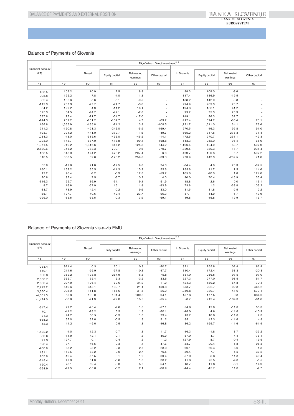## Balance of Payments of Slovenia

|                   |          |            |                |                       | FA, of which: Direct investment <sup>8, 9</sup> |             |                |                       |               |
|-------------------|----------|------------|----------------|-----------------------|-------------------------------------------------|-------------|----------------|-----------------------|---------------|
| Financial account |          |            |                |                       |                                                 |             |                |                       |               |
| (FA)<br>48        |          | Abroad     | Equity capital | Reinvested<br>eamings | Other capital                                   | In Slovenia | Equity capital | Reinvested<br>eamings | Other capital |
|                   | 49       | 50         | 51             | 52                    | 53                                              | 54          | 55             | 56                    | 57            |
|                   |          |            |                |                       |                                                 |             |                |                       |               |
| $-438.5$          | 109.2    | 10.9       | 2.5            | 8.3                   |                                                 | 98.3        | 108.0          | $-9.6$                |               |
| 205.8             | 125.2    | 7.8        | $-4.0$         | 11.8                  |                                                 | 117.4       | 136.9          | $-19.5$               | ÷.            |
| $-32.4$           | 132.6    | $-5.6$     | $-5.1$         | $-0.5$                |                                                 | 138.2       | 142.0          | $-3.8$                |               |
| $-112.3$          | 267.3    | $-27.7$    | $-24.7$        | $-3.0$                |                                                 | 294.9       | 269.3          | 25.7                  |               |
| 54.2              | 199.2    | 4.9        | $-11.2$        | 16.1                  |                                                 | 194.3       | 153.1          | 41.2                  |               |
| 625.3             | 54.5     | $-44.7$    | $-42.1$        | $-2.6$                |                                                 | 99.2        | 75.3           | 23.9                  |               |
| 537.6             | 77.4     | $-71.7$    | $-54.7$        | $-17.0$               |                                                 | 149.1       | 96.3           | 52.7                  |               |
| $-144.3$          | 251.2    | $-161.2$   | $-102.7$       | 4.7                   | $-63.2$                                         | 412.4       | 394.7          | $-60.4$               | 78.1          |
| 166.6             | 1,555.9  | $-165.8$   | $-71.2$        | 13.9                  | $-108.5$                                        | 1,721.7     | 1,511.0        | 134.1                 | 76.6          |
| 211.2             | $-150.8$ | $-421.3$   | $-246.0$       | $-5.9$                | $-169.4$                                        | 270.5       | $-16.3$        | 195.8                 | 91.0          |
| 793.7             | 224.2    | $-441.0$   | $-379.7$       | $-11.6$               | $-49.7$                                         | 665.2       | 317.5          | 276.3                 | 71.4          |
| 1,084.3           | $-43.0$  | $-515.6$   | $-456.0$       | $-45.5$               | $-14.1$                                         | 472.5       | 270.7          | 251.1                 | $-49.3$       |
| 1,223.0           | $-173.7$ | $-687.0$   | $-418.8$       | $-99.4$               | $-168.8$                                        | 513.3       | 252.0          | 196.4                 | 65.0          |
| 1,971.5           | $-210.2$ | $-1,316.6$ | $-647.2$       | $-125.3$              | $-544.2$                                        | 1,106.4     | 424.9          | 83.7                  | 597.9         |
| 2,630.6           | 346.2    | $-983.3$   | $-702.1$       | $-10.6$               | $-270.7$                                        | 1,329.5     | 380.3          | 17.7                  | 931.4         |
| 163.5             | $-643.9$ | $-174.2$   | $-478.2$       | 297.4                 | 6.6                                             | $-469.7$    | 120.8          | 6.7                   | $-597.2$      |
| 310.5             | 333.5    | 59.6       | $-170.2$       | 259.6                 | $-29.8$                                         | 273.9       | 442.3          | $-239.5$              | 71.0          |
| 55.6              | $-12.6$  | 21.8       | $-12.5$        | 9.6                   | 24.6                                            | $-34.4$     | 4.8            | 23.3                  | $-62.5$       |
| 180.1             | 169.2    | 35.5       | $-14.3$        | 15.9                  | 33.8                                            | 133.8       | 11.7           | 7.5                   | 114.6         |
| 12.2              | 98.4     | $-7.2$     | $-0.3$         | 12.3                  | $-19.2$                                         | 105.6       | $-20.0$        | 1.6                   | 124.0         |
| 20.6              | 97.4     | 7.5        | $-6.7$         | 10.2                  | 4.0                                             | 90.0        | 70.4           | $-15.9$               | 35.4          |
| $-316.3$          | 55.7     | 36.9       | $-34.1$        | 19.1                  | 51.9                                            | 18.8        | 2.6            | 0.0                   | 16.1          |
| 8.7               | 16.6     | $-57.0$    | 15.1           | 11.8                  | $-83.9$                                         | 73.6        | 1.2            | $-33.8$               | 106.2         |
| $-33.7$           | 73.9     | 42.4       | $-0.2$         | 9.6                   | 33.0                                            | 31.5        | 31.8           | $-2.5$                | 2.2           |
| $-85.1$           | 127.7    | 70.6       | $-49.4$        | 23.7                  | 96.3                                            | 57.1        | 14.9           | $-1.7$                | 43.9          |
| $-299.0$          | $-35.6$  | $-55.5$    | $-0.3$         | 13.9                  | $-69.1$                                         | 19.8        | $-15.8$        | 19.9                  | 15.7          |

|                   |         |          |                |                       | FA, of which: Direct investment <sup>8, 9</sup> |             |                |                       |               |
|-------------------|---------|----------|----------------|-----------------------|-------------------------------------------------|-------------|----------------|-----------------------|---------------|
| Financial account |         |          |                |                       |                                                 |             |                |                       |               |
| (FA)              |         | Abroad   | Equity capital | Reinvested<br>eamings | Other capital                                   | In Slovenia | Equity capital | Reinvested<br>eamings | Other capital |
| 48                | 49      | 50       | 51             | 52                    | 53                                              | 54          | 55             | 56                    | 57            |
|                   |         |          |                |                       |                                                 |             |                |                       |               |
| $-233.4$          | 921.4   | 0.3      | 20.1           | 0.9                   | $-20.7$                                         | 921.1       | 755.8          | 102.4                 | 62.9          |
| 149.1             | 214.6   | $-95.9$  | $-37.8$        | $-10.3$               | $-47.7$                                         | 310.4       | 172.4          | 158.3                 | $-20.3$       |
| 600.3             | 352.2   | $-198.8$ | $-267.9$       | $-6.8$                | 75.8                                            | 551.0       | 256.5          | 197.5                 | 97.0          |
| 2,668.7           | 562.7   | 35.4     | 5.3            | $-3.5$                | 33.6                                            | 527.3       | 277.0          | 198.5                 | 51.7          |
| 2,680.4           | 297.9   | $-126.4$ | $-79.6$        | $-34.9$               | $-11.9$                                         | 424.3       | 189.2          | 164.8                 | 70.4          |
| 2,799.2           | 540.6   | $-313.1$ | $-132.7$       | $-21.1$               | $-159.3$                                        | 853.7       | 292.7          | 92.8                  | 468.2         |
| 3.360.4           | 908.0   | $-151.8$ | $-156.6$       | 31.6                  | $-26.9$                                         | 1,059.8     | 339.7          | 41.0                  | 679.1         |
| $-4.001.5$        | $-55.8$ | 102.0    | $-101.4$       | 109.3                 | 94.1                                            | $-157.8$    | 177.5          | $-0.8$                | $-334.6$      |
| $-1,474.0$        | $-30.6$ | $-21.9$  | $-22.0$        | 15.5                  | $-15.4$                                         | $-8.7$      | 212.4          | $-139.3$              | $-81.8$       |
|                   |         |          |                |                       |                                                 |             |                |                       |               |
| $-247.4$          | 29.2    | $-25.4$  | $-9.6$         | 1.3                   | $-17.1$                                         | 54.6        | 12.9           | $-11.6$               | 53.3          |
| 70.1              | $-41.2$ | $-23.2$  | 5.5            | 1.3                   | $-30.1$                                         | $-18.0$     | 4.6            | $-11.6$               | $-10.9$       |
| 31.3              | 44.2    | 30.5     | $-0.3$         | 1.3                   | 29.4                                            | 13.7        | 18.0           | $-11.6$               | 7.3           |
| $-868.2$          | 67.0    | 32.0     | $-0.5$         | 1.3                   | 31.2                                            | 35.1        | 42.3           | $-11.6$               | 4.3           |
| $-53.3$           | 41.2    | $-45.0$  | 0.5            | 1.3                   | $-46.8$                                         | 86.2        | 159.7          | $-11.6$               | $-61.9$       |
|                   |         |          |                |                       |                                                 |             |                |                       |               |
| $-1,432.2$        | $-4.0$  | 12.3     | $-0.7$         | 1.3                   | 11.7                                            | $-16.3$     | $-1.8$         | 18.7                  | $-33.2$       |
| $-80.6$           | $-14.9$ | 42.1     | $-0.1$         | 1.3                   | 40.9                                            | $-57.0$     | 4.7            | 14.4                  | $-76.1$       |
| 91.3              | 127.7   | $-0.1$   | $-0.4$         | 1.5                   | $-1.2$                                          | 127.9       | 8.7            | $-0.4$                | 119.5         |
| 398.4             | 37.1    | $-46.5$  | $-0.3$         | 1.4                   | $-47.6$                                         | 83.7        | $-20.4$        | 5.8                   | 98.3          |
| $-280.6$          | 88.2    | 28.2     | $-2.3$         | 2.5                   | 28.0                                            | 60.1        | 69.4           | $-8.0$                | $-1.3$        |
| 181.1             | 112.5   | 73.2     | 0.0            | 2.7                   | 70.5                                            | 39.4        | 7.7            | $-5.5$                | 37.2          |
| 103.6             | $-10.4$ | $-67.5$  | 0.1            | 1.9                   | $-69.4$                                         | 57.0        | 5.3            | 11.3                  | 40.4          |
| $-245.4$          | 42.0    | 31.0     | $-0.6$         | 1.3                   | 30.2                                            | 11.0        | 25.5           | $-9.0$                | $-5.5$        |
| 150.4             | 78.1    | 59.4     | $-0.3$         | 5.6                   | 54.1                                            | 18.7        | 11.8           | $-8.1$                | 14.9          |
| $-264.9$          | $-49.5$ | $-35.0$  | $-0.2$         | 2.1                   | $-36.9$                                         | $-14.4$     | $-15.7$        | 11.0                  | $-9.7$        |
|                   |         |          |                |                       |                                                 |             |                |                       |               |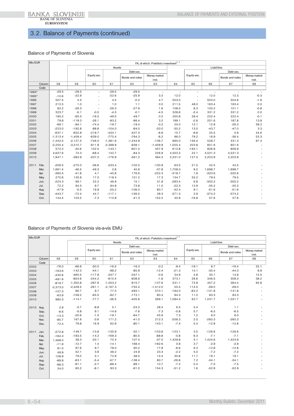**EUROSYSTEM**

# 3.2. Balance of Payments (continued)

## Balance of Payments of Slovenia

| Mio EUR      |        |            |            |                |            |                 | FA, of which: Portofolio investment <sup>2, 3</sup> |                          |             |                          |                 |                       |
|--------------|--------|------------|------------|----------------|------------|-----------------|-----------------------------------------------------|--------------------------|-------------|--------------------------|-----------------|-----------------------|
|              |        |            |            |                | Assets     |                 |                                                     |                          |             | Liabilities              |                 |                       |
|              |        |            |            |                |            | Debt sec.       |                                                     |                          |             |                          | Debt sec.       |                       |
|              |        |            |            | Equity sec.    |            | Bonds and notes | Money market<br>inst.                               |                          | Equity sec. |                          | Bonds and notes | Money market<br>inst. |
|              | Column | 58         | 59         | 60             | 61         | 62              | 63                                                  | 64                       | 65          | 66                       | 67              | 68                    |
|              | Code   |            |            |                |            |                 |                                                     |                          |             |                          |                 |                       |
| 1994*        |        | $-29.5$    | $-29.5$    | a.             | $-29.5$    | $-29.5$         | $\overline{\phantom{a}}$                            | $\overline{\phantom{a}}$ | ä,          | $\overline{\phantom{a}}$ |                 |                       |
| 1995*        |        | $-10.6$    | $-22.6$    | $\overline{a}$ | $-22.6$    | $-25.9$         | 3.3                                                 | 12.0                     | ÷.          | 12.0                     | 12.3            | $-0.3$                |
| 1996         |        | 507.5      | 4.5        |                | 4.5        | $-0.2$          | 4.7                                                 | 503.0                    | ÷.          | 503.0                    | 504.6           | $-1.6$                |
| 1997         |        | 212.5      | 1.0        |                | 1.0        | 1.1             | 0.0                                                 | 211.5                    | 48.0        | 163.4                    | 163.4           | 0.0                   |
| 1998         |        | 82.2       | $-26.3$    |                | $-26.3$    | $-27.9$         | 1.6                                                 | 108.5                    | 8.3         | 100.2                    | 101.1           | $-0.8$                |
| 1999         |        | 323.7      | $-5.1$     | $-0.5$         | $-4.5$     | $-0.1$          | $-4.5$                                              | 328.8                    | $-2.4$      | 331.2                    | 331.2           | 0.0                   |
| 2000         |        | 185.2      | $-65.5$    | $-16.0$        | $-49.5$    | $-49.7$         | 0.2                                                 | 250.8                    | 28.4        | 222.4                    | 222.4           | $-0.1$                |
| 2001         |        | 79.8       | $-119.3$   | $-26.1$        | $-93.2$    | $-96.4$         | 3.2                                                 | 199.1                    | $-2.6$      | 201.6                    | 187.8           | 13.9                  |
| 2002         |        | $-69.1$    | $-94.1$    | $-74.4$        | $-19.7$    | $-19.4$         | $-0.2$                                              | 25.0                     | 12.1        | 12.9                     | $-26.3$         | 39.2                  |
| 2003         |        | $-223.0$   | $-192.8$   | $-88.8$        | $-104.0$   | $-84.0$         | $-20.0$                                             | $-30.2$                  | 13.5        | $-43.7$                  | $-47.0$         | 3.3                   |
| 2004         |        | $-637.1$   | $-652.8$   | $-218.7$       | $-434.1$   | $-427.3$        | $-6.8$                                              | 15.7                     | $-9.8$      | 25.5                     | 0.9             | 24.6                  |
| 2005         |        | $-1,313.4$ | $-1,409.4$ | $-639.0$       | $-770.4$   | $-764.3$        | $-6.2$                                              | 96.0                     | 79.2        | 16.9                     | $-36.4$         | 53.3                  |
| 2006         |        | $-1,442.5$ | $-2,127.5$ | $-746.0$       | $-1,381.6$ | $-1,244.9$      | $-136.7$                                            | 685.0                    | 156.4       | 528.7                    | 431.3           | 97.4                  |
| 2007         |        | $-2,255.4$ | $-3,310.7$ | $-911.8$       | $-2,398.9$ | $-939.1$        | $-1,459.9$                                          | 1,055.4                  | 203.8       | 851.6                    | 851.6           |                       |
| 2008         |        | 572.2      | $-40.6$    | 102.5          | $-143.1$   | $-601.0$        | 457.9                                               | 612.8                    | $-194.1$    | 806.9                    | 806.9           |                       |
| 2009         |        | 4,627.6    | 74.3       | $-68.4$        | 142.7      | $-84.3$         | 226.9                                               | 4,553.3                  | 22.1        | 4,531.3                  | 4,531.3         |                       |
| 2010         |        | 1.947.1    | $-383.9$   | $-207.0$       | $-176.9$   | $-561.2$        | 384.3                                               | 2,331.0                  | 127.0       | 2,203.9                  | 2,203.9         |                       |
| 2011<br>Feb. |        | $-206.5$   | $-270.0$   | $-36.6$        | $-233.4$   | $-102.5$        | $-130.9$                                            | 63.5                     | 21.0        | 42.5                     | 42.5            |                       |
| Mar.         |        | 1,661.4    | $-46.5$    | $-49.3$        | 2.8        | 40.6            | $-37.8$                                             | 1,708.0                  | 9.2         | 1,698.7                  | 1,698.7         |                       |
| Apr.         |        | $-360.5$   | $-41.8$    | 4.1            | $-45.8$    | 176.6           | $-222.4$                                            | $-318.7$                 | 1.9         | $-320.6$                 | $-320.6$        |                       |
| May          |        | 270.6      | 135.9      | 17.5           | 118.4      | 101.2           | 17.3                                                | 134.7                    | 55.2        | 79.5                     | 79.5            |                       |
| Jun.         |        | $-224.3$   | 69.1       | 22.2           | 46.9       | 15.1            | 31.8                                                | $-293.4$                 | 6.8         | $-300.2$                 | $-300.2$        |                       |
| Jul.         |        | 72.2       | 94.5       | 9.7            | 84.8       | 73.8            | 11.0                                                | $-22.3$                  | 12.9        | $-35.2$                  | $-35.2$         |                       |
| Aug.         |        | $-47.9$    | $-5.5$     | 19.8           | $-25.2$    | $-106.0$        | 80.7                                                | $-42.4$                  | 9.1         | $-51.6$                  | $-51.6$         |                       |
|              | Sep.   | $-443.7$   | $-72.4$    | 44.7           | $-117.1$   | $-156.5$        | 39.3                                                | $-371.3$                 | 2.9         | $-374.2$                 | $-374.2$        |                       |
| Oct.         |        | 144.4      | 103.5      | $-7.3$         | 110.8      | $-41.3$         | 152.2                                               | 40.9                     | $-16.8$     | 57.6                     | 57.6            |                       |

| Mio EUR |        |            |            |             |            |                 | FA, of which: Portofolio investment <sup>2, 3</sup> |          |             |             |                 |                       |
|---------|--------|------------|------------|-------------|------------|-----------------|-----------------------------------------------------|----------|-------------|-------------|-----------------|-----------------------|
|         |        |            |            |             | Assets     |                 |                                                     |          |             | Liabilities |                 |                       |
|         |        |            |            |             |            | Debt sec.       |                                                     |          |             |             | Debt sec.       |                       |
|         |        |            |            | Equity sec. |            | Bonds and notes | Money market<br>inst.                               |          | Equity sec. |             | Bonds and notes | Money market<br>inst. |
|         | Column | 58         | 59         | 60          | 61         | 62              | 63                                                  | 64       | 65          | 66          | 67              | 68                    |
|         | Code   |            |            |             |            |                 |                                                     |          |             |             |                 |                       |
| 2002    |        | $-76.0$    | $-66.6$    | $-50.0$     | $-16.5$    | $-16.3$         | $-0.2$                                              | $-9.4$   | $-18.1$     | 8.7         | $-16.4$         | 25.1                  |
| 2003    |        | $-163.6$   | $-142.3$   | $-44.1$     | $-98.2$    | $-85.9$         | $-12.4$                                             | $-21.3$  | 14.1        | $-35.4$     | $-44.3$         | 8.9                   |
| 2004    |        | $-430.6$   | $-465.5$   | $-117.8$    | $-347.7$   | $-347.1$        | $-0.6$                                              | 34.9     | 4.8         | 30.1        | 14.6            | 15.5                  |
| 2005    |        | $-481.6$   | $-854.6$   | $-244.2$    | $-610.4$   | $-608.6$        | $-1.8$                                              | 373.1    | 26.6        | 346.5       | 308.3           | 38.2                  |
| 2006    |        | $-819.7$   | $-1,350.8$ | $-297.6$    | $-1,053.2$ | $-915.7$        | $-137.6$                                            | 531.1    | 73.9        | 457.2       | 364.4           | 92.8                  |
| 2007    |        | $-2,373.0$ | $-2,428.5$ | $-261.1$    | $-2,167.3$ | $-755.4$        | $-1,412.0$                                          | 55.5     | 114.5       | $-59.0$     | $-59.0$         |                       |
| 2008    |        | $-107.3$   | 86.7       | 9.7         | 77.0       | $-493.1$        | 570.1                                               | $-194.0$ | $-62.2$     | $-131.8$    | $-131.8$        |                       |
| 2009    |        | $-63.9$    | $-158.2$   | $-65.5$     | $-92.7$    | $-173.1$        | 80.4                                                | 94.3     | 11.0        | 83.3        | 83.3            |                       |
| 2010    |        | 980.3      | $-114.1$   | $-77.7$     | $-36.5$    | $-405.6$        | 369.1                                               | 1,094.4  | 62.7        | 1,031.7     | 1,031.7         |                       |
|         |        |            |            |             |            |                 |                                                     |          |             |             |                 |                       |
| 2010    | Aug.   | 2.9        | $-3.7$     | $-8.8$      | 5.1        | $-23.2$         | 28.4                                                | 6.5      | 5.4         | 1.1         | 1.1             |                       |
|         | Sep.   | $-6.6$     | $-5.8$     | 9.1         | $-14.9$    | $-7.6$          | $-7.3$                                              | $-0.8$   | 5.7         | $-6.5$      | $-6.5$          |                       |
|         | Oct.   | $-13.3$    | $-20.6$    | $-1.5$      | $-19.1$    | $-64.7$         | 45.6                                                | 7.3      | 1.2         | 6.0         | 6.0             |                       |
|         | Nov.   | $-90.7$    | 167.6      | $-3.6$      | 171.2      | $-41.0$         | 212.3                                               | $-258.3$ | 2.0         | $-260.3$    | $-260.3$        |                       |
|         | Dec.   | 72.4       | 79.8       | 16.9        | 62.9       | $-80.1$         | 143.1                                               | $-7.4$   | 5.4         | $-12.8$     | $-12.8$         |                       |
|         |        |            |            |             |            |                 |                                                     |          |             |             |                 |                       |
| 2011    | Jan.   | $-272.8$   | $-149.7$   | $-13.8$     | $-135.9$   | $-32.1$         | $-103.8$                                            | $-123.1$ | 3.5         | $-126.6$    | $-126.6$        |                       |
|         | Feb.   | $-184.3$   | $-183.5$   | $-14.2$     | $-169.3$   | $-80.5$         | $-88.8$                                             | $-0.8$   | 6.3         | $-7.1$      | $-7.1$          |                       |
|         | Mar.   | 1,468.0    | 38.3       | $-32.1$     | 70.4       | 107.4           | $-37.0$                                             | 1,429.8  | 5.1         | 1,424.6     | 1,424.6         |                       |
|         | Apr.   | $-11.9$    | $-12.7$    | 1.4         | $-14.1$    | 168.4           | $-182.6$                                            | 0.8      | 3.7         | $-2.9$      | $-2.9$          |                       |
|         | May    | 81.0       | 87.6       | 9.7         | 78.0       | 60.2            | 17.8                                                | $-6.6$   | 6.3         | $-12.8$     | $-12.8$         |                       |
|         | Jun.   | 49.9       | 52.1       | 3.9         | 48.2       | 24.9            | 23.3                                                | $-2.2$   | 5.0         | $-7.2$      | $-7.2$          |                       |
|         | Jul.   | 108.9      | 78.0       | 5.1         | 72.9       | 58.5            | 14.4                                                | 30.8     | 11.7        | 19.1        | 19.1            |                       |
|         | Aug.   | $-89.9$    | $-63.1$    | $-5.4$      | $-57.7$    | $-138.4$        | 80.7                                                | $-26.8$  | 7.2         | $-34.1$     | $-34.1$         |                       |
|         | Sep.   | $-98.3$    | $-91.1$    | $-2.7$      | $-88.4$    | $-99.1$         | 10.7                                                | $-7.2$   | 0.4         | $-7.5$      | $-7.5$          |                       |
|         | Oct.   | 34.0       | 85.2       | $-8.1$      | 93.3       | $-61.0$         | 154.3                                               | $-51.2$  | 1.6         | $-52.9$     | $-52.9$         |                       |
|         |        |            |            |             |            |                 |                                                     |          |             |             |                 |                       |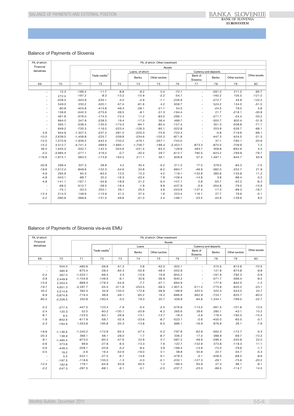## Balance of Payments of Slovenia

| FA, of which:            |            |            |                            |            |                  | FA, of which: Other investment |            |                |                       |               |              |
|--------------------------|------------|------------|----------------------------|------------|------------------|--------------------------------|------------|----------------|-----------------------|---------------|--------------|
| Financial                |            |            |                            |            |                  | Assets                         |            |                |                       |               |              |
| derivatives              |            |            |                            |            | Loans, of which: |                                |            |                | Currency and deposits |               |              |
|                          |            |            | Trade credits <sup>4</sup> |            | Banks            | Other sectors                  |            | Bank of        | Banks                 | Other sectors | Other assets |
|                          |            |            |                            |            |                  |                                |            | Slovenia       |                       |               |              |
| 69                       | 70         | 71         | 72                         | 73         | 74               | 75                             | 76         | 77             | 78                    | 79            | 80           |
|                          |            |            |                            |            |                  |                                |            |                |                       |               |              |
| ÷                        | 12.3       | $-186.4$   | $-11.7$                    | $-8.8$     | $-9.2$           | 0.4                            | $-70.1$    | ÷.             | $-281.0$              | 211.0         | $-95.7$      |
|                          | 272.0      | $-197.2$   | $-8.3$                     | $-13.2$    | $-10.9$          | $-2.2$                         | $-54.7$    | ÷.             | $-160.2$              | 105.5         | $-121.0$     |
|                          | $-209.5$   | $-343.9$   | $-235.1$                   | $-4.0$     | $-2.9$           | $-1.1$                         | $-226.9$   | $\sim$         | $-272.7$              | 45.8          | 122.2        |
|                          | 549.0      | 230.2      | $-320.1$                   | $-57.4$    | $-61.6$          | 4.2                            | 658.7      | ٠              | 524.2                 | 134.5         | $-51.0$      |
| ٠                        | $-80.9$    | $-404.8$   | $-415.8$                   | $-49.3$    | $-28.1$          | $-21.1$                        | 54.5       | ٠              | $-24.5$               | 79.0          | 5.8          |
| ٠                        | 158.6      | $-540.3$   | $-275.6$                   | $-39.5$    | $-8.1$           | $-31.3$                        | $-194.4$   | ٠              | 21.7                  | $-216.1$      | $-30.8$      |
| $\overline{\phantom{a}}$ | 461.8      | $-576.0$   | $-174.3$                   | $-72.4$    | 11.2             | $-83.5$                        | $-296.1$   | ٠              | $-271.7$              | $-24.4$       | $-33.2$      |
| $\overline{\phantom{a}}$ | 964.0      | 247.9      | $-239.3$                   | 19.4       | $-17.0$          | 36.4                           | 499.7      | ٠              | $-300.7$              | 800.4         | $-31.9$      |
| $\overline{a}$           | 565.1      | $-538.4$   | $-135.5$                   | $-174.5$   | $-94.1$          | $-80.4$                        | $-157.4$   | $\overline{a}$ | 351.3                 | $-508.8$      | $-71.1$      |
|                          | 849.2      | $-730.3$   | $-116.0$                   | $-223.4$   | $-128.3$         | $-95.1$                        | $-322.8$   | ٠              | 203.9                 | $-526.7$      | $-68.1$      |
| 5.8                      | 944.9      | $-1,307.5$ | $-237.2$                   | $-281.0$   | $-205.3$         | $-75.6$                        | $-720.4$   |                | $-0.8$                | $-719.6$      | $-69.1$      |
| $-10.0$                  | 2.639.5    | $-1,458.8$ | $-225.7$                   | $-339.8$   | $-234.6$         | $-105.2$                       | $-871.8$   |                | $-447.3$              | $-424.5$      | $-21.5$      |
| $-12.5$                  | 1.570.9    | $-1.939.2$ | $-442.4$                   | $-733.2$   | $-476.1$         | $-257.1$                       | $-743.0$   |                | 37.1                  | $-780.1$      | $-20.6$      |
| $-15.2$                  | 4,312.7    | $-4,741.2$ | $-399.6$                   | $-1,895.1$ | $-1,706.7$       | $-188.4$                       | $-2,453.7$ | $-873.3$       | $-870.5$              | $-709.9$      | 7.2          |
| 46.0                     | 1,645.2    | $-332.7$   | $-142.3$                   | $-324.6$   | $-231.4$         | $-93.2$                        | 129.9      | 483.7          | 308.8                 | $-662.6$      | 4.3          |
| $-2.0$                   | $-3.985.4$ | $-277.1$   | 416.0                      | $-0.7$     | $-30.4$          | 29.7                           | $-612.7$   | 780.5          | $-623.2$              | $-769.9$      | $-79.7$      |
| $-116.8$                 | $-1.872.1$ | 683.0      | $-173.9$                   | 164.2      | 211.1            | 56.1                           | 608.9      | 57.5           | 1,497.1               | $-945.7$      | 83.9         |
|                          |            |            |                            |            |                  |                                |            |                |                       |               |              |
| $-30.8$                  | 288.4      | 337.3      | 28.9                       | 4.2        | 30.4             | $-5.2$                         | 311.2      | 17.0           | 378.5                 | $-84.3$       | $-7.0$       |
| $-19.6$                  | $-1,612.4$ | $-849.6$   | $-132.3$                   | $-54.6$    | 24.8             | $-8.2$                         | $-684.7$   | $-49.9$        | $-382.0$              | $-252.7$      | 21.9         |
| $-4.9$                   | 265.9      | 60.3       | $-83.5$                    | 13.5       | 10.3             | 4.0                            | 119.1      | $-132.8$       | 385.8                 | $-133.8$      | 11.2         |
| $-4.9$                   | $-343.1$   | $-98.7$    | 30.2                       | $-16.3$    | $-23.4$          | 7.8                            | $-109.4$   | $-14.8$        | 3.8                   | $-98.4$       | $-3.2$       |
| $-4.8$                   | $-141.1$   | $-167.1$   | $-34.8$                    | $-18.9$    | 21.2             | $-5.4$                         | $-107.1$   | 0.8            | $-55.7$               | $-52.2$       | $-6.3$       |
| $\overline{a}$           | $-68.2$    | $-510.7$   | $-39.5$                    | $-19.4$    | $-1.9$           | 9.9                            | $-437.9$   | $-3.6$         | $-354.8$              | $-79.5$       | $-13.9$      |
|                          | $-75.1$    | $-33.3$    | 200.1                      | 29.1       | 25.5             | 4.6                            | $-243.9$   | $-127.4$       | $-17.3$               | $-99.3$       | $-18.7$      |
| $-12.4$                  | 214.3      | 148.6      | $-115.9$                   | 41.2       | 37.4             | 1.6                            | 223.4      | 116.1          | 27.7                  | 79.6          | $-0.1$       |
| $-2.2$                   | $-390.6$   | $-369.6$   | $-131.0$                   | $-49.6$    | $-51.0$          | 2.4                            | $-198.1$   | $-23.5$        | $-44.9$               | $-129.6$      | 9.0          |
|                          |            |            |                            |            |                  |                                |            |                |                       |               |              |

|            |            |                            |                 |          | FA, of which: Other investment |            |                     |          |                                         |                                        |
|------------|------------|----------------------------|-----------------|----------|--------------------------------|------------|---------------------|----------|-----------------------------------------|----------------------------------------|
|            |            |                            |                 |          |                                |            |                     |          |                                         |                                        |
|            |            |                            |                 | Loans    |                                |            |                     |          |                                         |                                        |
|            |            | Trade credits <sup>4</sup> |                 | Banks    | Other sectors                  |            | Bank of<br>Slovenia | Banks    | Other sectors                           | Other assets                           |
| 70         | 71         | 72                         | 73              | 74       | 75                             | 76         | 77                  | 78       | 79                                      | 80                                     |
|            |            |                            |                 |          |                                |            |                     |          |                                         |                                        |
| 504.0      | $-480.6$   | $-56.8$                    | $-51.2$         |          | $-52.0$                        | $-302.1$   | ÷.                  |          |                                         | $-70.5$                                |
| 480.9      | $-675.4$   | $-28.4$                    | $-84.3$         | $-35.9$  | $-48.4$                        | $-552.9$   | ÷,                  | 121.9    | $-674.8$                                | $-9.8$                                 |
| 367.0      | $-1,022.1$ | $-66.4$                    | 4.3             | $-15.6$  | 19.9                           | $-954.2$   | ٠                   | $-161.9$ | $-792.3$                                | $-5.9$                                 |
| 2,449.6    | $-1,104.9$ | $-149.5$                   | $-6.1$          | 30.8     | $-36.9$                        | $-940.2$   | ٠                   | $-371.7$ | $-568.4$                                | $-9.2$                                 |
| 2,353.5    | $-899.3$   | $-178.3$                   | $-54.9$         | $-7.7$   | $-47.1$                        | $-664.9$   | ٠                   | 177.6    | $-842.5$                                | $-1.2$                                 |
| 4.651.3    | $-2,297.7$ | $-55.5$                    | $-311.8$        | $-253.5$ | $-58.3$                        | $-1,907.4$ | $-511.2$            | $-775.9$ | $-620.2$                                | $-23.1$                                |
| 2,514.6    | 392.4      | 34.9                       | 133.0           | 172.8    | $-39.9$                        | 199.9      | 420.5               | 322.3    | $-543.0$                                | 24.7                                   |
| $-3,874.9$ | $-716.4$   | 99.6                       | $-49.1$         | $-65.2$  | 16.2                           | $-686.8$   | 662.9               | $-724.1$ | $-625.7$                                | $-80.0$                                |
| $-2,328.5$ | 250.8      | $-183.4$                   | $-3.0$          | 79.3     | 20.7                           | 459.9      | $-84.8$             | 1,344.1  | $-799.5$                                | $-22.7$                                |
|            |            |                            |                 |          |                                |            |                     |          |                                         |                                        |
| $-277.4$   | $-447.5$   | 123.4                      | $-7.9$          | $-5.4$   | $-2.5$                         | $-576.6$   | $-113.5$            | $-361.5$ | $-101.6$                                | 13.5                                   |
| 120.3      | 52.5       |                            | $-130.1$        | $-20.9$  | $-6.2$                         | 265.6      | 28.6                | 280.1    |                                         | 10.2                                   |
| 6.5        | $-123.5$   | $-63.1$                    | $-26.9$         | $-13.1$  | $-13.7$                        | $-18.3$    | $-2.8$              | 176.4    | $-192.0$                                | $-15.2$                                |
| $-842.6$   | $-617.9$   | $-58.7$                    | $-32.4$         | $-23.6$  | $-8.7$                         | $-523.1$   | $-2.6$              | $-455.0$ | $-65.5$                                 | $-3.7$                                 |
| $-164.6$   | 1,053.8    | 195.8                      | $-20.3$         |          | $-6.5$                         |            | $-16.9$             | 876.9    |                                         | $-7.9$                                 |
|            |            |                            |                 |          |                                |            |                     |          |                                         |                                        |
| $-1,136.6$ | $-1,040.2$ | $-172.8$                   | $-65.4$         | $-27.4$  | $-5.2$                         | $-797.8$   | $-62.8$             | $-562.3$ | $-172.7$                                | $-4.3$                                 |
| 138.9      | 366.1      |                            | $-28.0$         | 1.7      | $-8.7$                         | 336.2      | 17.0                |          |                                         | $-10.2$                                |
| $-1,495.4$ | $-673.0$   | $-60.2$                    | $-47.6$         | 22.9     | 0.7                            | $-587.2$   | $-49.9$             | $-296.4$ | $-240.8$                                | 22.0                                   |
| 373.8      | 99.6       | $-27.8$                    | $-6.5$          | $-13.3$  | 7.6                            | 122.7      | $-132.8$            | 373.8    | $-118.3$                                | 11.1                                   |
| $-449.3$   | $-209.1$   | $-33.8$                    | $-5.2$          | $-8.4$   | 3.9                            | $-168.4$   | $-14.8$             | $-74.0$  | $-79.6$                                 | $-1.7$                                 |
| 19.2       | $-2.6$     | 16.4                       | $-52.6$         | $-18.0$  | 0.1                            | 38.8       | 50.8                | 22.7     | $-34.7$                                 | $-5.3$                                 |
| 5.2        | $-522.1$   | $-27.5$                    | $-6.7$          | 14.6     | 6.1                            | $-479.3$   | $-3.1$              | $-408.0$ | $-68.2$                                 | $-8.6$                                 |
| $-197.5$   | $-118.6$   | 135.0                      | $-1.3$          | $-0.3$   | $-0.1$                         | $-232.1$   | $-127.3$            | $-29.1$  | $-75.6$                                 | $-20.2$                                |
| 182.9      | 179.1      | $-64.9$                    | 63.9            | 60.5     | 1.2                            | 189.3      | 65.9                | 27.3     | 96.1                                    | $-9.1$                                 |
| $-247.3$   | $-297.5$   | $-68.1$                    | $-6.1$          | $-3.1$   | $-2.0$                         | $-237.7$   | $-23.5$             | $-99.5$  | $-114.7$                                | 14.5                                   |
|            |            |                            |                 |          |                                |            |                     |          |                                         |                                        |
|            |            |                            | $-93.2$<br>68.1 |          | 0.8<br>$-13.8$                 |            | Assets<br>886.1     |          | Currency and deposits<br>310.5<br>388.9 | $-612.6$<br>$-43.1$<br>26.1<br>$-69.7$ |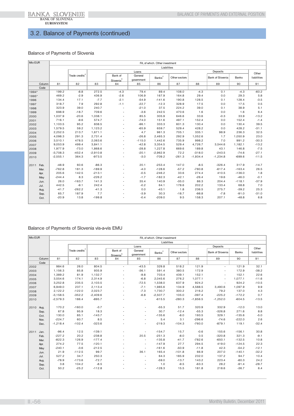**EUROSYSTEM**

# 3.2. Balance of Payments (continued)

## Balance of Payments of Slovenia

| Mio EUR      |            |                            |            |                       |            | FA, of which. Other investment |               |            |                  |          |             |
|--------------|------------|----------------------------|------------|-----------------------|------------|--------------------------------|---------------|------------|------------------|----------|-------------|
|              |            |                            |            |                       |            | Liabilities                    |               |            |                  |          |             |
|              |            |                            |            |                       | Loans      |                                |               |            | Deposits         |          | Other       |
|              |            | Trade credits <sup>4</sup> |            | Bank of               | General    | Banks <sup>2</sup>             | Other sectors |            | Bank of Slovenia | Banks    | liabilities |
|              |            |                            |            | Slovenia <sup>6</sup> | government |                                |               |            |                  |          |             |
| Column       | 81         | 82                         | 83         | 84                    | 85         | 86                             | 87            | 88         | 89               | 90       | 91          |
| Code         | 199.2      | $-8.8$                     | 272.5      | $-4.3$                | 79.4       | 89.4                           | 108.0         | $-4.3$     | 0.1              | $-4.3$   | $-60.2$     |
| 1994*        | 469.2      | $-2.9$                     | 436.9      | $-2.6$                | 106.9      | 167.9                          | 164.8         | 29.4       | 0.0              | 29.3     | 5.8         |
| 1995*        |            |                            | $-7.7$     |                       |            |                                |               |            | 0.1              |          | $-3.5$      |
| 1996         | 134.4      | 17.1                       |            | $-2.1$                | $-54.9$    | $-141.6$                       | 190.8         | 128.5      |                  | 128.4    |             |
| 1997         | 318.7      | 7.9                        | 292.8      | $-1.1$                | $-22.7$    | $-12.3$                        | 328.9         | 17.5       | 0.0              | 17.5     | 0.5         |
| 1998         | 323.9      | 39.0                       | 240.7      |                       | $-21.0$    | 37.5                           | 224.2         | 39.0       | 0.1              | 38.9     | 5.1         |
| 1999         | 698.9      | $-18.7$                    | 709.6      |                       | $-3.6$     | 242.5                          | 470.6         | 1.6        | 0.0              | 1.6      | 6.4         |
| 2000         | 1,037.9    | $-20.6$                    | 1,038.1    |                       | 85.5       | 305.9                          | 646.6         | 33.6       | $-0.3$           | 33.9     | $-13.2$     |
| 2001         | 716.1      | $-9.6$                     | 574.7      |                       | $-74.0$    | 151.6                          | 497.1         | 152.4      | 0.0              | 152.4    | $-1.4$      |
| 2002         | 1,103.5    | 95.2                       | 838.5      |                       | $-96.1$    | 333.3                          | 601.3         | 130.4      | 0.0              | 130.4    | 39.5        |
| 2003         | 1,579.5    | 59.2                       | 1,123.2    |                       | $-65.9$    | 659.7                          | 529.4         | 428.2      | 0.0              | 428.2    | $-31.1$     |
| 2004         | 2,252.5    | 213.7                      | 1,671.1    |                       | 4.7        | 961.3                          | 705.1         | 335.1      | 98.9             | 236.3    | 32.5        |
| 2005         | 4.098.3    | 291.3                      | 2.731.4    |                       | $-26.8$    | 2,465.3                        | 292.9         | 1,052.6    | 1.7              | 1,050.9  | 23.0        |
| 2006         | 3.510.1    | 478.5                      | 2.063.6    |                       | $-115.0$   | 1,442.6                        | 735.9         | 998.2      | 7.0              | 991.2    | $-30.3$     |
| 2007         | 9,053.9    | 499.4                      | 3,841.1    |                       | $-42.8$    | 3,354.5                        | 529.4         | 4,726.7    | 3,544.6          | 1,182.1  | $-13.2$     |
| 2008         | 1,977.9    | $-73.0$                    | 1,868.6    |                       | $-28.8$    | 1,227.8                        | 669.6         | 189.8      | 43.1             | 146.8    | $-7.5$      |
| 2009         | $-3,708.3$ | $-452.4$                   | $-2,910.8$ |                       | $-20.1$    | $-2,962.9$                     | 72.2          | $-318.0$   | $-243.5$         | $-74.6$  | $-27.1$     |
| 2010         | $-2,555.1$ | 364.3                      | $-973.5$   |                       | $-3.0$     | $-709.2$                       | $-261.3$      | $-1,934.4$ | $-1,234.8$       | $-699.6$ | $-11.5$     |
| Feb.<br>2011 | $-48.9$    | 60.6                       | $-86.3$    |                       | 20.1       | $-253.4$                       | 147.0         | $-8.5$     | $-326.4$         | 317.9    | $-14.7$     |
| Mar.         | $-762.8$   | 181.3                      | $-189.9$   |                       | $-4.0$     | $-128.6$                       | $-57.2$       | $-780.8$   | $-617.4$         | $-163.4$ | 26.5        |
| Apr.         | 205.6      | 142.5                      | $-213.1$   |                       | $-0.5$     | $-246.2$                       | 33.6          | 274.4      | 410.5            | $-136.0$ | 1.8         |
| May          | $-244.4$   | 8.3                        | $-226.2$   |                       | $-1.7$     | $-182.3$                       | $-42.1$       | $-26.4$    | 19.6             | $-46.0$  | $-0.1$      |
| Jun.         | 26.0       | $-163.7$                   | 141.3      |                       | 35.4       | 140.9                          | $-35.0$       | 86.3       | 204.4            | $-118.1$ | $-37.9$     |
| Jul.         | 442.5      | $-9.1$                     | 242.4      |                       | $-0.2$     | 64.1                           | 178.6         | 202.2      | 133.4            | 68.8     | 7.0         |
| Aug.         | $-41.7$    | $-262.2$                   | $-41.3$    |                       | 0.0        | $-43.1$                        | 1.8           | 236.5      | 275.7            | $-39.2$  | 25.3        |
| Sep.         | 65.7       | 187.9                      | 7.7        |                       | $-3.9$     | 30.3                           | $-18.7$       | $-98.8$    | $-7.8$           | $-91.0$  | $-31.0$     |
| Oct.         | $-20.9$    | 13.8                       | $-199.8$   |                       | $-0.4$     | $-209.0$                       | 9.5           | 158.3      | 207.1            | $-48.8$  | 6.8         |

| Mio EUR      |        |                                                                                                             |          |            |                             |            | FA, of which. Other investment |          |            |            |          |             |
|--------------|--------|-------------------------------------------------------------------------------------------------------------|----------|------------|-----------------------------|------------|--------------------------------|----------|------------|------------|----------|-------------|
|              |        | Liabilities<br>Loans<br>Deposits                                                                            |          |            |                             |            |                                |          |            |            |          |             |
|              |        | Trade credits <sup>4</sup><br>Bank of<br>General<br>Banks <sup>2</sup><br>Other sectors<br>Bank of Slovenia |          |            |                             |            |                                |          |            | Other      |          |             |
|              |        |                                                                                                             |          |            |                             | government |                                |          |            |            | Banks    | liabilities |
|              | Column | 81                                                                                                          | 82       | 83         | Slovenia <sup>6</sup><br>84 | 85         | 86                             | 87       | 88         | 89         | 90       | 91          |
|              | Code   |                                                                                                             |          |            |                             |            |                                |          |            |            |          |             |
| 2002         |        | 984.6                                                                                                       | 26.0     | 804.5      | ×.                          | $-43.5$    | 329.8                          | 518.2    | 121.9      | ٠          | 121.9    | 32.1        |
| 2003         |        | 1,156.3                                                                                                     | 85.8     | 935.9      |                             | $-36.1$    | 591.4                          | 380.5    | 172.9      |            | 172.9    | $-38.2$     |
| 2004         |        | 1,389.2                                                                                                     | 81.9     | 1,132.7    |                             | $-9.8$     | 703.4                          | 439.1    | 152.1      |            | 152.1    | 22.6        |
| 2005         |        | 3,554.6                                                                                                     | 174.1    | 2,314.9    |                             | $-6.8$     | 2,045.6                        | 276.2    | 1,077.1    |            | 1,077.1  | $-11.6$     |
| 2006         |        | 3,252.8                                                                                                     | 235.5    | 2,103.5    | ٠                           | $-72.5$    | 1,538.0                        | 637.9    | 924.2      |            | 924.2    | $-10.5$     |
| 2007         |        | 6,949.0                                                                                                     | 237.1    | 2,113.4    |                             | $-7.1$     | 1,985.6                        | 134.9    | 4,588.5    | 3,490.6    | 1,097.9  | 9.9         |
| 2008         |        | 2,122.2                                                                                                     | $-122.0$ | 2,023.7    |                             | $-7.3$     | 1,730.7                        | 300.2    | 216.2      | 79.2       | 137.0    | 4.3         |
| 2009         |        | $-3,158.5$                                                                                                  | $-352.2$ | $-2,409.6$ |                             | $-6.8$     | $-2,507.7$                     | 105.0    | $-397.4$   | $-225.2$   | $-172.2$ | 0.7         |
| 2010         |        | $-2,579.3$                                                                                                  | 186.4    | $-895.7$   |                             | ٠          | $-615.5$                       | $-280.3$ | $-1,856.5$ | $-1,252.0$ | $-604.5$ | $-13.5$     |
|              |        |                                                                                                             |          |            |                             |            |                                |          |            |            |          |             |
| 2010<br>Aug. |        | 170.2                                                                                                       | $-160.0$ | $-3.7$     |                             |            | $-55.3$                        | 51.7     | 320.9      | 332.9      | $-12.0$  | 13.0        |
|              | Sep.   | 67.8                                                                                                        | 95.9     | 18.3       |                             |            | 30.7                           | $-12.4$  | $-55.3$    | $-326.8$   | 271.6    | 8.8         |
|              | Oct.   | 130.0                                                                                                       | 85.1     | $-143.7$   |                             |            | $-135.6$                       | $-8.0$   | 193.5      | 329.1      | $-135.6$ | $-5.0$      |
|              | Nov.   | $-224.7$                                                                                                    | 60.7     | 8.5        |                             |            | 5.4                            | 3.1      | $-296.6$   | $-74.6$    | $-222.0$ | 2.6         |
|              | Dec.   | $-1,218.4$                                                                                                  | $-102.4$ | $-323.6$   |                             |            | $-219.3$                       | $-104.3$ | $-760.0$   | $-879.1$   | 119.1    | $-32.4$     |
| 2011<br>Jan. |        | $-96.4$                                                                                                     | 12.5     | $-139.1$   |                             |            | $-154.7$                       | 15.7     | $-0.6$     | 155.6      | $-156.1$ | 30.8        |
|              | Feb.   | $-227.2$                                                                                                    | 20.2     | $-238.8$   |                             | 20.5       | $-251.3$                       | $-8.0$   | 0.5        | $-320.8$   | 321.3    | $-9.1$      |
|              | Mar.   | $-822.3$                                                                                                    | 126.9    | $-177.4$   |                             |            | $-135.8$                       | $-41.7$  | $-782.6$   | $-650.1$   | $-132.5$ | 10.8        |
| Apr.         |        | 274.2                                                                                                       | 77.5     | $-120.1$   |                             |            | $-147.9$                       | 27.7     | 294.5      | 419.0      | $-124.5$ | 22.3        |
| May          |        | $-240.1$                                                                                                    | $-3.6$   | $-212.5$   |                             |            | $-161.6$                       | $-50.9$  | $-11.8$    | 42.3       | $-54.2$  | $-12.1$     |
|              | Jun.   | 21.9                                                                                                        | $-112.5$ | 99.7       |                             | 36.1       | 165.4                          | $-101.8$ | 66.9       | 207.0      | $-140.1$ | $-32.2$     |
| Jul.         |        | 527.2                                                                                                       | 34.7     | 250.3      |                             |            | 64.3                           | 185.9    | 232.0      | 137.2      | 94.7     | 10.4        |
| Aug.         |        | $-78.9$                                                                                                     | $-173.6$ | $-72.7$    |                             |            | $-59.0$                        | $-13.7$  | 143.2      | 223.4      | $-80.3$  | 24.2        |
|              | Sep.   | 3.8                                                                                                         | 104.2    | $-8.5$     |                             |            | 1.0                            | $-9.5$   | $-63.3$    | 28.2       | $-91.4$  | $-28.7$     |
|              | Oct.   | 50.2                                                                                                        | $-25.2$  | $-112.8$   |                             |            | $-128.3$                       | 15.5     | 181.8      | 218.6      | $-36.7$  | 6.4         |
|              |        |                                                                                                             |          |            |                             |            |                                |          |            |            |          |             |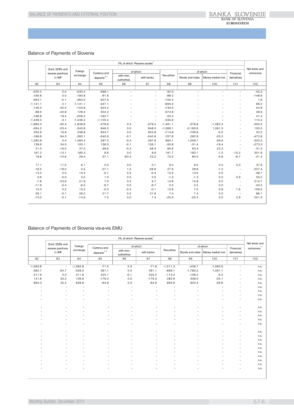## Balance of Payments of Slovenia

|             |                   |             |                   |                          | FA, of which: Reserve assets <sup>7</sup> |            |                          |                    |             |                |
|-------------|-------------------|-------------|-------------------|--------------------------|-------------------------------------------|------------|--------------------------|--------------------|-------------|----------------|
|             | Gold, SDRs and    |             |                   |                          |                                           |            |                          |                    |             | Net errors and |
|             | reserve positions | Foreign     | Currency and      |                          | of which:                                 |            |                          | of which:          | Financial   | omissions      |
|             | in IMF            | exchange    | deposits $^{2,5}$ | with mon.<br>authorities | with banks                                | Securities | Bonds and notes          | Money market inst. | derivatives |                |
| 92          | 93                | 94          | 95                | 96                       | 97                                        | 98         | 99                       | 100                | 101         | 102            |
|             |                   |             |                   |                          |                                           |            |                          |                    |             |                |
| $-530.4$    | 0.0               | $-530.4$    | $-498.1$          | $\overline{\phantom{a}}$ | $\sim$                                    | $-32.3$    | $\overline{\phantom{a}}$ | ٠                  | ٠           | $-45.2$        |
| $-180.8$    | 0.0               | $-180.8$    | $-91.6$           | ٠                        | ٠                                         | $-89.2$    |                          |                    | ٠           | $-148.9$       |
| $-463.1$    | $-0.1$            | $-463.0$    | $-307.6$          |                          | ٠                                         | $-155.4$   |                          |                    | ٠           | 1.6            |
| $-1, 141.1$ | 0.1               | $-1, 141.1$ | $-447.1$          |                          | ٠                                         | $-694.0$   |                          |                    | ٠           | 68.2           |
| $-146.3$    | $-40.5$           | $-105.8$    | 624.2             |                          | ٠                                         | $-730.0$   |                          |                    | ٠           | 54.9           |
| 88.5        | $-40.9$           | 129.4       | 502.2             |                          | ٠                                         | $-372.8$   |                          |                    |             | 39.6           |
| $-186.8$    | 19.4              | $-206.2$    | $-182.7$          | ٠                        |                                           | $-23.4$    |                          |                    |             | 41.4           |
| $-1,439.3$  | $-3.1$            | $-1,436.2$  | $-1,100.4$        | ٠                        |                                           | $-335.8$   |                          |                    |             | 110.4          |
| $-1,885.3$  | $-45.4$           | $-1,839.9$  | $-378.8$          | 0.3                      | $-379.2$                                  | $-1,461.1$ | $-378.8$                 | $-1,082.3$         | ٠           | $-250.3$       |
| $-264.2$    | $-23.4$           | $-240.8$    | 848.3             | 0.0                      | 848.3                                     | $-1,089.1$ | $-2,180.6$               | 1,091.5            | ٠           | 150.0          |
| 255.9       | 16.9              | 238.9       | 953.7             | 0.0                      | 953.8                                     | $-714.8$   | $-709.8$                 | $-5.0$             |             | 22.2           |
| $-188.8$    | 94.3              | $-283.1$    | $-540.9$          | $-0.1$                   | $-540.9$                                  | 257.8      | 282.9                    | $-25.2$            |             | $-472.8$       |
| 1,280.8     | 0.4               | 1,280.4     | 297.3             | $-0.2$                   | 297.6                                     | 983.1      | 1,009.7                  | $-26.6$            | ٠           | $-320.5$       |
| 139.6       | 34.5              | 105.1       | 156.0             | $-0.1$                   | 156.1                                     | $-50.8$    | $-31.4$                  | $-19.4$            | ٠           | $-273.5$       |
| 21.0        | $-16.0$           | 37.0        | $-48.6$           | $-0.2$                   | $-48.4$                                   | 85.6       | 63.4                     | 22.2               |             | $-31.3$        |
| 167.2       | $-13.1$           | 180.3       | 8.8               | 0.0                      | 8.9                                       | 181.7      | 183.1                    | $-1.5$             | $-10.2$     | 301.6          |
| 18.8        | $-10.6$           | 29.4        | $-37.1$           | $-60.3$                  | 23.2                                      | 75.2       | 80.0                     | $-4.8$             | $-8.7$      | $-21.4$        |
| 17.1        | 11.0              | 6.1         | 0.0               | 0.0                      | 0.1                                       | 6.0        | 6.0                      | 0.0                | 0.0         | 37.6           |
| $-18.5$     | $-19.0$           | 0.5         | $-27.1$           | 1.5                      | $-28.6$                                   | 27.6       | 28.9                     | $-1.2$             | ٠           | $-227.4$       |
| 13.3        | 0.0               | 13.4        | $-0.1$            | 0.3                      | $-0.4$                                    | 13.5       | 13.5                     | 0.0                |             | $-49.7$        |
| 0.6         | $-5.0$            | 5.5         | 1.0               | 0.5                      | 0.5                                       | $-1.3$     | $-1.3$                   | 0.0                | 5.9         | 55.0           |
| $-1.8$      | $-23.6$           | 21.8        | 7.0               | 0.2                      | 6.7                                       | 14.8       | 14.8                     | 0.0                | ÷           | 214.7          |
| $-11.9$     | $-5.4$            | $-6.5$      | $-6.7$            | 0.0                      | $-6.7$                                    | 0.2        | 0.2                      | 0.0                |             | $-43.3$        |
| 15.3        | 0.2               | 15.2        | $-0.3$            | $-0.3$                   | $-0.1$                                    | 13.9       | 7.0                      | 6.9                | 1.6         | 159.5          |
| 29.1        | $-0.1$            | 29.2        | 21.7              | 0.2                      | 21.6                                      | 7.4        | 7.4                      | 0.0                | ٠           | 86.1           |
| $-15.0$     | $-0.1$            | $-14.9$     | 7.5               | 0.0                      | 7.4                                       | $-25.3$    | $-25.3$                  | 0.0                | 2.9         | 251.3          |
|             |                   |             |                   |                          |                                           |            |                          |                    |             |                |

|            |                   |                                   |                           |                          | FA, of which: Reserve assets <sup>7</sup> |            |            |                                      |             |                         |
|------------|-------------------|-----------------------------------|---------------------------|--------------------------|-------------------------------------------|------------|------------|--------------------------------------|-------------|-------------------------|
|            | Gold, SDRs and    | Foreign<br>of which:<br>of which: |                           |                          |                                           |            |            | Net errors and                       |             |                         |
|            | reserve positions |                                   | Currency and              |                          |                                           |            |            |                                      | Financial   | omissions <sup>11</sup> |
|            | in IMF            | exchange                          | $\mathsf{deposits}^{2,5}$ | with mon.<br>authorities | with banks                                | Securities |            | Bonds and notes   Money market inst. | derivatives |                         |
| 92         | 93                | 94                                | 95                        | 96                       | 97                                        | 98         | 99         | 100                                  | 101         | 102                     |
|            |                   |                                   |                           |                          |                                           |            |            |                                      |             |                         |
| $-1,582.8$ | $\sim$            | $-1,582.8$                        | $-71.5$                   | 0.3                      | $-71.9$                                   | $-1,511.3$ | $-428.7$   | $-1,082.6$                           | ٠           | n.s.                    |
| $-382.7$   | $-54.7$           | $-328.0$                          | 361.1                     | 0.0                      | 361.1                                     | $-689.1$   | $-1,780.2$ | 1,091.1                              | ٠           | n.s.                    |
| 311.9      | 0.0               | 311.9                             | 425.1                     | $-0.1$                   | 425.2                                     | $-113.2$   | $-108.2$   | $-5.0$                               | ٠           | n.s.                    |
| 141.8      | 35.2              | 106.6                             | $-176.3$                  | 0.0                      | $-176.3$                                  | 282.9      | 308.0      | $-25.1$                              |             | n.s.                    |
| 864.3      | 35.4              | 828.9                             | $-64.9$                   | 0.0                      | $-64.9$                                   | 893.8      | 920.4      | $-26.6$                              |             | n.s.                    |
|            | ×.                | ä,                                | ٠                         | ٠                        |                                           |            |            |                                      |             | n.s.                    |
|            |                   |                                   |                           |                          |                                           |            |            |                                      | ٠           | n.s.                    |
|            |                   | ٠                                 |                           |                          |                                           |            |            |                                      | ٠           | n.s.                    |
|            |                   | ٠                                 | ٠                         |                          |                                           |            |            |                                      | ٠           | n.s.                    |
|            |                   |                                   |                           |                          |                                           |            |            |                                      |             |                         |
|            |                   |                                   |                           |                          |                                           |            |            |                                      |             | n.s.                    |
|            |                   |                                   |                           |                          |                                           |            |            |                                      | ٠           | n.s.                    |
|            |                   |                                   |                           |                          |                                           |            |            |                                      |             | n.s.                    |
|            |                   |                                   |                           |                          |                                           |            |            |                                      |             | n.s.                    |
|            |                   |                                   |                           |                          |                                           |            |            |                                      |             | n.s.                    |
|            |                   |                                   |                           |                          |                                           |            |            |                                      |             |                         |
|            |                   | ٠                                 |                           |                          |                                           |            |            |                                      | ٠           | n.s.                    |
|            |                   |                                   |                           |                          |                                           |            |            |                                      |             | n.s.                    |
|            |                   |                                   |                           |                          |                                           |            |            |                                      |             | n.s.                    |
|            |                   |                                   |                           |                          |                                           |            |            |                                      |             | n.s.                    |
|            |                   |                                   |                           |                          |                                           |            |            |                                      |             | n.s.                    |
|            |                   |                                   |                           |                          |                                           |            |            |                                      |             | n.s.                    |
|            |                   |                                   |                           |                          |                                           |            |            |                                      | ٠           | n.s.                    |
|            |                   |                                   |                           |                          |                                           |            |            |                                      | ٠           | n.s.                    |
|            |                   |                                   |                           |                          |                                           |            |            |                                      | ٠           | n.s.                    |
|            |                   |                                   |                           |                          |                                           |            |            |                                      |             | n.s.                    |
|            |                   |                                   |                           |                          |                                           |            |            |                                      |             |                         |
|            |                   |                                   |                           |                          |                                           |            |            |                                      |             |                         |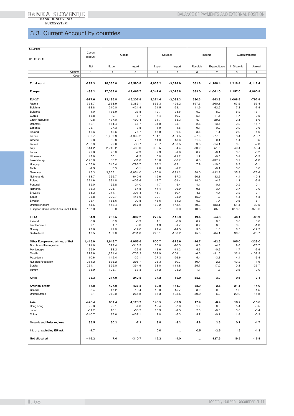**EUROSYSTEM**

## 3.3. Current Account by countries

| Mio EUR                                 | Current         |                | Goods               |                | Services           |                | Income           |             | <b>Current transfers</b> |
|-----------------------------------------|-----------------|----------------|---------------------|----------------|--------------------|----------------|------------------|-------------|--------------------------|
| 31.12.2010                              | account         |                |                     |                |                    |                |                  |             |                          |
|                                         | Net             | Export         | Import              | Export         | Import             | Receipts       | Expenditures     | In Slovenia | Abroad                   |
| Column<br>Code                          | $\mathbf{1}$    | $\overline{c}$ | 3                   | $\overline{4}$ | $\overline{5}$     | 6              | $\overline{7}$   | 8           | $\mathbf 9$              |
| <b>Total world</b>                      | $-297.3$        | 18,386.0       | $-19,590.8$         | 4,633.2        | $-3,324.9$         | 681.8          | $-1,188.4$       | 1,218.4     | $-1, 112.4$              |
| Europe                                  | 493.2           | 17,069.0       | $-17,465.7$         | 4,347.6        | $-3,075.8$         | 583.0          | $-1,061.0$       | 1,157.0     | $-1,060.9$               |
| EU-27                                   | $-977.6$        | 13,186.8       | $-15,207.9$         | 3,274.4        | $-2,083.3$         | 580.3          | $-943.8$         | 1,008.9     | $-792.9$                 |
| Austria                                 | $-758.7$        | 1,533.9        | $-2,385.1$          | 666.3          | $-425.2$           | 197.5          | $-260.1$         | 67.5        | $-153.4$                 |
| Belgium                                 | $-83.8$         | 210.0          | $-421.4$            | 121.5          | $-58.1$            | 11.9           | 52.5             | 7.3         | $-7.4$                   |
| Bulgaria                                | $-1.0$          | 136.9          | $-123.8$            | 19.7           | $-23.5$            | $-5.2$         | $-8.0$           | 15.9        | $-13.1$                  |
| Cyprus<br>Czech Republic                | 16.8<br>0.8     | 9.1<br>437.0   | $-6.7$<br>$-492.4$  | 7.4<br>71.7    | $-10.7$<br>$-53.3$ | 5.1<br>5.1     | 11.5<br>29.5     | 1.7<br>12.1 | $-0.5$<br>$-8.9$         |
| Denmark                                 | 72.1            | 164.4          | $-66.7$             | 31.9           | $-35.1$            | 2.8            | $-13.6$          | 0.2         | $-11.7$                  |
| Estionia                                | 23.1            | 27.3           | $-3.8$              | 1.9            | $-1.5$             | 0.1            | $-0.2$           | 0.0         | $-0.6$                   |
| Finland                                 | $-16.6$         | 43.6           | $-75.7$             | 15.8           | $-6.4$             | 3.6            | 1.1              | 2.9         | $-1.6$                   |
| France                                  | 366.7           | 1,489.3        | $-1,099.2$          | 134.1          | $-131.5$           | 57.0           | $-77.5$          | 8.4         | $-13.7$                  |
| Greece                                  | $-0.8$          | 62.8           | $-78.7$             | 11.0           | $-18.6$            | 21.8           | $-0.1$           | 1.4         | $-0.5$                   |
| Ireland                                 | $-150.9$        | 22.6           | $-86.7$             | 25.7           | $-106.5$           | 9.8            | $-14.1$          | 0.3         | $-2.0$                   |
| Italy                                   | $-544.2$        | 2,240.2        | $-3,469.0$          | 999.5          | $-334.4$           | 80.2           | $-51.6$          | 49.4        | $-58.4$                  |
| Latvia                                  | 22.6            | 25.0           | $-2.9$              | 2.3            | $-1.9$             | 0.2            | $-0.1$           | 0.3         | $-0.2$                   |
| Lithuania                               | 47.8            | 60.1           | $-7.3$              | 5.0            | $-11.2$            | 1.7            | $-0.6$           | 0.4         | $-0.3$                   |
| Luxembourg                              | $-193.0$        | 36.2           | $-81.6$             | 15.8           | $-30.7$            | 6.0            | $-137.9$         | 0.2         | $-1.0$                   |
| Hungary                                 | $-155.6$        | 545.4          | $-793.7$            | 183.2          | $-82.1$            | 7.9            | $-19.0$          | 8.7         | $-6.1$                   |
| Malta                                   | $-1.3$          | 3.5            | $-6.1$              | 2.6            | $-1.2$             | $\ddotsc$      | $-0.1$           | 0.0         | 0.0                      |
| Germany                                 | 115.3           | 3,655.1        | $-3,654.0$          | 460.8          | $-331.2$           | 58.0           | $-132.2$         | 135.3       | $-76.6$                  |
| Netherlands                             | $-183.7$        | 366.7          | $-640.9$            | 115.6          | $-37.3$            | 50.8           | $-32.6$          | 4.4         | $-10.3$                  |
| Poland<br>Portugal                      | 224.6<br>32.0   | 631.8<br>52.8  | $-406.6$<br>$-24.0$ | 42.7<br>4.7    | $-54.4$<br>$-5.4$  | 18.0<br>4.1    | $-4.2$<br>$-0.1$ | 1.1<br>0.2  | $-3.8$<br>$-0.1$         |
| Romania                                 | 136.3           | 295.1          | $-164.8$            | 44.4           | $-26.9$            | $-9.5$         | $-3.7$           | 3.7         | $-2.0$                   |
| Slovakia                                | $-53.2$         | 271.1          | $-307.3$            | 43.7           | $-60.4$            | 3.5            | $-4.7$           | 2.9         | $-2.1$                   |
| Spain                                   | $-198.8$        | 229.7          | $-446.9$            | 30.7           | $-25.9$            | 15.0           | $-1.3$           | 4.1         | $-4.3$                   |
| Sweden                                  | 96.4            | 183.6          | $-102.8$            | 43.6           | $-31.2$            | 5.3            | $-7.7$           | 10.6        | $-5.1$                   |
| <b>United Kingdom</b>                   | 44.5            | 453.4          | $-257.8$            | 172.2          | $-178.4$           | 19.3           | $-183.1$         | 51.4        | $-32.5$                  |
| European Union Institutions (incl. ECB) | 167.0           | 0.0            |                     | 0.7            | 0.0                | 10.3           | $-85.8$          | 618.5       | $-376.6$                 |
| <b>EFTA</b>                             | 54.9            | 232.5          | $-302.2$            | 272.5          | $-116.9$           | 19.4           | $-54.6$          | 43.1        | $-38.9$                  |
| Iceland                                 | 0.6             | 0.9            | $-0.9$              | 1.1            | $-0.6$             | 0.2            | 0.0              | 0.0         | 0.0                      |
| Liechtenstein                           | 9.1             | 1.7            | $-0.6$              | 1.9            | $-1.7$             | 0.2            | 8.6              | 0.0         | $-1.0$                   |
| Norway                                  | 27.6            | 41.0           | $-19.0$             | 21.4           | $-14.5$            | 3.5            | 1.0              | 6.5         | $-12.2$                  |
| Switzerland                             | 17.5            | 189.0          | $-281.6$            | 248.1          | $-100.2$           | 15.5           | $-64.1$          | 36.5        | $-25.7$                  |
| Other European countries, of that       | 1,415.9         | 3,649.7        | $-1,955.6$          | 800.7          | $-875.6$           | $-16.7$        | $-62.6$          | 105.0       | $-229.0$                 |
| Bosnia and Herzegovina                  | 124.8           | 529.4          | $-316.5$            | 65.8           | $-90.3$            | 8.3            | $-4.8$           | 9.6         | $-76.7$                  |
| Montenegro                              | 69.9            | 83.2           | $-23.5$<br>$-733.2$ | 18.6           | $-11.2$            | 5.6            | $-0.6$           | 1.7         | $-3.9$                   |
| Croatia<br>Macedonia                    | 273.6           | 1,231.4        |                     | 387.9          | $-504.1$           | $-6.5$         | $-31.5$          | 32.4        | $-102.9$                 |
| Russian Federation                      | 110.6<br>281.2  | 142.4<br>536.2 | $-32.1$<br>$-298.7$ | 27.3<br>96.3   | $-26.6$<br>$-80.7$ | 5.4<br>$-10.4$ | $-3.8$<br>$-2.6$ | 4.4<br>43.2 | $-6.4$<br>$-1.9$         |
| Serbia                                  | 264.1           | 659.0          | $-354.9$            | 138.0          | $-111.8$           | $-25.7$        | $-17.0$          | 10.3        | $-33.7$                  |
| Turkey                                  | 35.9            | 193.7          | $-167.3$            | 34.2           | $-25.2$            | 1.1            | $-1.3$           | 2.6         | -2.0                     |
| Africa                                  | 33.3            | 217.9          | $-242.8$            | 34.2           | $-12.9$            | 35.6           | 3.9              | 0.6         | $-3.1$                   |
| America, of that                        | $-17.8$         | 427.0          | -436.3              | 89.8           | $-141.7$           | 38.9           | $-2.6$           | 21.1        | $-14.0$                  |
| Canada                                  | 33.4            | 47.2           | $-10.4$             | 10.0           | $-15.7$            | $3.0\,$        | $-0.3$           | 1.0         | $-1.5$                   |
| <b>United States</b>                    | 2.1             | 273.0          | $-265.8$            | 66.3           | $-103.5$           | 30.0           | $-6.0$           | 20.0        | $-11.8$                  |
|                                         |                 |                |                     |                |                    |                |                  |             |                          |
| Asia                                    | $-420.4$        | 634.4          | $-1,128.2$          | 140.5          | $-87.3$            | 17.9           | $-0.9$           | 18.7        | $-15.6$                  |
| Hong Kong                               | 25.8<br>$-31.2$ | 22.1           | $-4.6$<br>$-50.2$   | 12.4<br>10.3   | $-7.9$<br>$-9.5$   | 1.9<br>2.3     | 0.0<br>$-0.6$    | 5.4         | $-3.5$<br>$-0.4$         |
| Japan<br>China                          | $-340.7$        | 16.1<br>87.6   | $-437.1$            | 7.0            | $-5.3$             | 5.7            | $-0.1$           | 0.8<br>1.8  | $-0.3$                   |
| Oceania and Polar regions               | 35.5            | 30.2           | $-7.1$              | 8.8            | $-3.2$             | 5.8            | 2.5              | 0.1         | $-1.7$                   |
| Int. org. excluding EU Inst.            | $-1.7$          | $\ddotsc$      |                     | 0.0            | $\cdots$           | 0.5            | -2.5             | 1.5         | $-1.3$                   |
| Not allocated                           | $-419.2$        | 7.4            | $-310.7$            | 12.2           | $-4.0$             | $\cdots$       | $-127.9$         | 19.5        | $-15.8$                  |
|                                         |                 |                |                     |                |                    |                |                  |             |                          |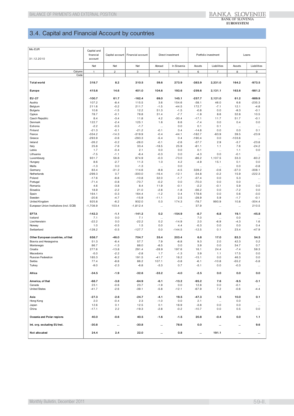# BANKA SLOVENIJE

BANK OF SLOVENIA **EUROSYSTEM**

# 3.4. Capital and Financial Account by countries

| Mio EUR<br>31.12.2010                   | Capital and<br>financial<br>account |                  | Capital account   Financial account |                    | Direct investment |                    | Portfolio investment |                 | Loans           |
|-----------------------------------------|-------------------------------------|------------------|-------------------------------------|--------------------|-------------------|--------------------|----------------------|-----------------|-----------------|
|                                         | Net                                 | Net              | Net                                 | Abroad             | In Slovenia       | Assets             | Liabilities          | Assets          | Liabilities     |
| Column                                  | $\mathbf{1}$                        | $\overline{c}$   | 3                                   | $\overline{4}$     | 5                 | 6                  | $\overline{7}$       | 8               | 9               |
| Code<br><b>Total world</b>              | 318.7                               | 8.2              | 310.5                               | 59.6               | 273.9             | -383.9             | 2,331.0              | 164.2           | $-973.5$        |
| Europe                                  | 415.6                               | 14.6             | 401.0                               | 104.6              | 193.6             | $-259.6$           | 2,131.1              | 163.6           | $-981.2$        |
| EU-27                                   | $-100.7$                            | 61.7             | $-162.4$                            | 69.0               | 145.1             | $-257.7$           | 2,121.0              | 61.2            | -989.9          |
| Austria                                 | 107.2                               | $-8.4$           | 115.5                               | 3.6                | 154.6             | $-38.1$            | 46.0                 | 6.6             | $-235.3$        |
| Belgium                                 | 211.6                               | $-0.2$           | 211.7                               | $-1.5$             | $-44.5$           | 172.7              | $-7.1$               | 12.1            | $-4.8$          |
| Bulgaria                                | 10.6                                | $-1.5$           | 12.2                                | 51.3               | $-1.5$            | $-0.8$             | 0.0                  | $-9.3$          | $-0.1$          |
| Cyprus                                  | 78.7                                | $-0.1$           | 78.8                                | 31.4               | $-7.7$            | $-1.9$             | 8.6                  | 32.8            | 10.5            |
| Czech Republic                          | 8.4                                 | $-3.4$           | 11.8                                | 4.2                | $-30.4$           | $-17.1$            | 11.7                 | 51.7            | $-0.1$          |
| Denmark<br>Estionia                     | 122.7<br>$-2.2$                     | $-2.4$<br>$-0.5$ | 125.1<br>$-1.7$                     | 1.6                | 6.6<br>0.0        | $-7.4$<br>0.1      | 0.0<br>0.1           | 0.4             | 0.0             |
| Finland                                 | $-21.3$                             | $-0.1$           | $-21.2$                             | $\cdots$<br>$-0.1$ | 0.4               | $-14.8$            | 0.0                  | $\cdots$<br>0.0 | $\cdots$<br>0.1 |
| France                                  | $-334.2$                            | $-14.3$          | $-319.9$                            | $-0.4$             | $-44.1$           | $-182.7$           | $-63.9$              | 39.5            | $-23.9$         |
| Greece                                  | $-293.9$                            | $-0.6$           | $-293.3$                            | $-5.4$             | 0.4               | $-190.4$           | 0.0                  | $-103.6$        | $\cdots$        |
| Ireland                                 | $-26.2$                             | $-0.2$           | $-26.0$                             | $-0.1$             | $-2.6$            | $-37.7$            | 2.9                  | $-3.7$          | $-23.8$         |
| Italy                                   | 25.8                                | $-7.6$           | 33.4                                | $-18.5$            | 25.9              | $-81.1$            | 1.1                  | 7.6             | $-24.2$         |
| Latvia                                  | 1.7                                 | $-0.4$           | 2.1                                 | 0.0                | 0.0               | 0.1                | $\cdots$             | 1.1             | 0.0             |
| Lithuania                               | $-7.5$                              | $-1.1$           | $-6.4$                              | $-0.3$             | 0.0               | $-4.3$             | $0.0$                | $-0.1$          |                 |
| Luxembourg                              | 931.7                               | 56.8             | 874.9                               | $-0.3$             | $-73.0$           | $-86.2$            | 1,107.5              | 33.3            | $-60.2$         |
| Hungary                                 | 8.6                                 | $-2.7$           | 11.3                                | 1.0                | 4.2               | $-4.9$             | 15.1                 | 0.1             | 0.0             |
| Malta                                   | $-1.3$                              | 0.0              | $-1.3$                              | $\ddotsc$          | 0.0               |                    | $\cdots$             | 0.0             | $-0.8$          |
| Gemany                                  | 83.4                                | $-31.2$          | 114.6                               | $-9.8$             | $-4.5$            | 328.2              | -0.6                 | $-37.0$         | $-308.1$        |
| Netherlands                             | $-299.3$                            | 0.7              | -300.0                              | $-16.4$            | $-12.1$           | $-34.8$            | $-0.2$               | 15.9            | $-222.3$        |
| Poland                                  | $-17.6$                             | $-6.8$           | $-10.8$                             | 32.0               | $-1.7$<br>0.0     | $-37.4$<br>$-70.0$ | 0.0                  | 5.3<br>0.0      |                 |
| Portugal<br>Romania                     | $-71.4$<br>4.6                      | $-0.8$<br>$-3.8$ | $-70.7$<br>8.4                      | $-0.2$<br>11.9     | $-0.1$            | $-2.2$             | 0.0<br>-0.1          | 5.9             | <br>0.0         |
| Slovakia                                | 18.9                                | $-2.2$           | 21.0                                | $-2.8$             | $-1.8$            | $-56.2$            | 0.0                  | $-7.2$          | 0.0             |
| Spain                                   | 164.1                               | $-0.3$           | 164.4                               | $-1.2$             | 0.4               | 178.6              | 0.0                  | 0.6             | $-3.0$          |
| Sweden                                  | $-20.6$                             | $-4.7$           | $-15.9$                             | $-11.1$            | 2.5               | $-28.9$            | 5.9                  | $-1.7$          | $-0.1$          |
| United Kingdom                          | 925.8                               | $-6.2$           | 932.0                               | 0.3                | 174.3             | $-78.7$            | 993.9                | 10.8            | $-304.4$        |
| European Union Institutions (incl. ECB) | $-1,708.9$                          | 103.4            | $-1,812.4$                          | $\cdots$           | $\cdots$          | 37.9               |                      |                 | 210.5           |
| <b>EFTA</b>                             | $-142.3$                            | $-1.1$           | $-141.2$                            | 0.2                | $-154.9$          | -8.7               | -6.8                 | 19.1            | $-45.8$         |
| Iceland                                 | 7.1                                 | 0.0              | 7.1                                 | $\ddotsc$          | $\cdots$          | 7.0                | $\cdots$             | 0.0             |                 |
| Liechtenstein                           | $-22.2$                             | 0.0              | $-22.2$                             | 0.2                | $-14.9$           | 2.0                | $-6.9$               | $-4.3$          | 1.6             |
| Norway                                  | 1.0                                 | $-0.5$           | 1.5                                 | 0.0                | 4.4               | $-5.3$             | 0.0                  | 0.0             | 0.4             |
| Switzerland                             | $-128.2$                            | $-0.5$           | $-127.7$                            | 0.0                | $-144.5$          | $-12.5$            | 0.1                  | 23.4            | $-47.9$         |
| Other European countries, of that       | 658.7                               | $-46.0$          | 704.7                               | 35.4               | 203.4             | 6.8                | 17.0                 | 83.3            | 54.5            |
| Bosnia and Herzegovina                  | 51.3                                | $-6.4$           | 57.7                                | 7.9                | $-8.8$            | 9.3                | 2.0                  | 42.3            | 0.2             |
| Montenegro                              | 86.7                                | $-1.3$           | 88.0                                | $-8.5$             | 0.0               | 3.9                | 0.0                  | 34.7            | 0.7             |
| Croatia                                 | 277.6                               | $-13.8$          | 291.4                               | $-28.9$            | 197.6             | 16.1               | 24.4                 | $-7.4$          | 59.3            |
| Macedonia                               | $-5.0$                              | $-2.2$           | $-2.8$                              | 1.7                | $-1.3$            | 3.9                | 1.1                  | 17.5            | 0.0             |
| Russian Federation<br>Serbia            | 185.3<br>77.4                       | $-6.2$<br>$-8.8$ | 191.5<br>86.2                       | $-41.7$<br>107.1   | 18.2<br>$-3.8$    | $-15.1$<br>$-6.1$  | 0.0<br>$-10.8$       | 46.3<br>$-55.2$ | 0.0<br>$-5.8$   |
| Turkey                                  | $-9.0$                              | $-2.3$           | $-6.8$                              | $-3.3$             | 0.7               | $-3.1$             | 0.0                  | $-0.3$          | $\cdots$        |
| Africa                                  | $-34.5$                             | $-1.9$           | $-32.6$                             | $-33.2$            | $-4.0$            | $-2.5$             | 0.0                  | 0.0             | 0.0             |
|                                         |                                     |                  |                                     |                    |                   |                    |                      |                 |                 |
| America, of that                        | $-68.7$                             | $-3.8$           | $-64.9$                             | $-6.1$             | $-13.2$           | $-95.2$            | 7.6                  | $-9.5$          | $-3.1$          |
| Canada<br><b>United States</b>          | 23.1<br>$-41.7$                     | $-0.6$           | 23.7<br>$-39.1$                     | $-1.9$<br>$-5.8$   | $0.0\,$           | 12.8               | 0.0                  | $-0.1$          | $\cdots$        |
|                                         |                                     | $-2.6$           |                                     |                    | $-12.1$           | $-67.9$            | 7.2                  | $-0.6$          | $-4.4$          |
| Asia                                    | $-27.3$                             | $-2.6$           | $-24.7$                             | $-4.1$             | 19.5              | $-47.3$            | 1.5                  | 10.0            | 0.1             |
| Hong Kong                               | 2.0                                 | $-0.4$           | 2.3                                 | $-1.0$             | 0.0               | 2.1                | $\ldots$             | 0.0             | $\cdots$        |
| Japan                                   | 12.6                                | 0.1              | 12.5                                | 0.1                | 18.9              | $-3.8$             | 0.0                  | 0.0             | $\ldots$        |
| China                                   | $-17.1$                             | 2.2              | $-19.3$                             | $-2.8$             | $-0.2$            | $-10.7$            | 0.0                  | 0.5             | 0.0             |
| Oceania and Polar regions               | 40.0                                | $-0.6$           | 40.5                                | $-1.6$             | $-1.5$            | 20.8               | $-0.4$               | 0.0             | 1.1             |
| Int. org. excluding EU Inst.            | $-30.8$                             |                  | $-30.8$                             | $\ddotsc$          | 78.6              | 0.0                | $\cdots$             | $\cdots$        | 9.6             |
| Not allocated                           | 24.4                                | 2.4              | 22.0                                |                    | 0.8               | $\cdots$           | 191.1                |                 | $\cdots$        |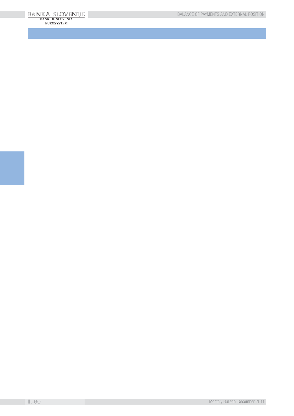BANKA SLOVENIJE BANK OF SLOVENIA **EUROSYSTEM**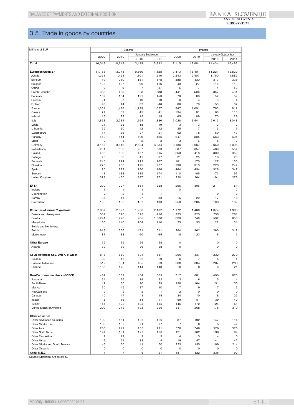# 3.5. Trade in goods by countries

| Millions of EUR                              | Exports         |                 |                   |                 | Imports         |                 |                     |                 |  |  |
|----------------------------------------------|-----------------|-----------------|-------------------|-----------------|-----------------|-----------------|---------------------|-----------------|--|--|
|                                              | 2009            | 2010            | January-September |                 | 2009            | 2010            | January-September   |                 |  |  |
|                                              |                 |                 | 2010              | 2011            |                 |                 | 2010                | 2011            |  |  |
| Total                                        | 16,018          | 18,243          | 13,439            | 15,332          | 17,115          | 19,881          | 14,434              | 16,493          |  |  |
|                                              |                 |                 |                   |                 |                 |                 |                     |                 |  |  |
| European Union 27<br>Austria                 | 11,183<br>1,251 | 13,073<br>1,494 | 9,660<br>1,101    | 11,128<br>1,240 | 13,473<br>2,243 | 15,401<br>2,407 | 11,221<br>1,750     | 12,822<br>1,889 |  |  |
| Belgium                                      | 179             | 210             | 151               | 178             | 388             | 430             | 317                 | 335             |  |  |
| Bulgaria                                     | 123             | 137             | 96                | 116             | 49              | 127             | 116                 | 113             |  |  |
| Cyprus                                       | 9               | 9               | $\overline{7}$    | 47              | 5               | $\overline{7}$  | $\overline{4}$      | 53              |  |  |
| Czech Republic                               | 388             | 435             | 323               | 388             | 441             | 506             | 367                 | 431             |  |  |
| Denmark                                      | 132             | 164             | 121               | 153             | 76              | 68              | 52                  | 52              |  |  |
| Estonia                                      | 21              | 27              | 19                | 19              | 6               | $\overline{4}$  | 3                   | 4               |  |  |
| Finland                                      | 48              | 44              | 32                | 46              | 66              | 78              | 53                  | 67              |  |  |
| France                                       | 1,361           | 1,478           | 1,129             | 1,057           | 947             | 1,091           | 783                 | 812             |  |  |
| Greece                                       | 74              | 62              | 45                | 41              | 134             | 81              | 68                  | 118             |  |  |
| Ireland                                      | 16              | 22              | 15                | 15              | 65              | 89              | 70                  | 28              |  |  |
| Italy                                        | 1,863           | 2,234           | 1,664             | 1,886           | 3,028           | 3,541           | 2,613               | 3,048           |  |  |
| Latvia                                       | 21              | 25              | 18                | 19              | 3               | 3               | $\overline{c}$      | $\overline{c}$  |  |  |
| Lithuania                                    | 59              | 60              | 42                | 42              | 35              | $\overline{7}$  | 5                   | $\overline{7}$  |  |  |
| Luxembourg                                   | 17              | 36              | 27                | 21              | 62              | 78              | 60                  | 43              |  |  |
| Hungary                                      | 459             | 544             | 409               | 466             | 647             | 805             | 563                 | 694             |  |  |
| Malta                                        | $\overline{c}$  | 3               | $\overline{c}$    | $\overline{c}$  | 3               | 6               | 5                   | $\overline{c}$  |  |  |
| Germany                                      | 3,166           | 3,616           | 2,634             | 3,284           | 3,136           | 3,667           | 2,650               | 3,095           |  |  |
| Netherlands                                  | 254             | 366             | 267               | 333             | 567             | 657             | 480                 | 554             |  |  |
| Poland                                       | 468             | 630             | 467               | 515             | 359             | 418             | 300                 | 352             |  |  |
| Portugal<br>Romania                          | 46<br>240       | 53<br>294       | 41<br>212         | 37<br>267       | 21<br>161       | 25<br>170       | 18<br>127           | 20<br>150       |  |  |
| Slovakia                                     | 275             | 266             | 195               | 227             | 238             | 313             | 223                 | 242             |  |  |
| Spain                                        | 190             | 229             | 170               | 186             | 464             | 454             | 326                 | 347             |  |  |
| Sweden                                       | 143             | 183             | 135               | 174             | 110             | 105             | 73                  | 93              |  |  |
| United Kingdom                               | 378             | 450             | 337               | 371             | 220             | 264             | 191                 | 273             |  |  |
|                                              |                 |                 |                   |                 |                 |                 |                     |                 |  |  |
| <b>EFTA</b>                                  | 200             | 227             | 161               | 228             | 265             | 306             | 211                 | 181             |  |  |
| Iceland                                      | $\overline{1}$  | 1               | 1                 | 1               | 0               | 1               | $\mathbf{1}$        | $\overline{c}$  |  |  |
| Liechenstein                                 | $\overline{c}$  | $\overline{c}$  | 1                 | $\mathbf{1}$    | 1               | 1               | $\mathsf O$         | $\mathsf O$     |  |  |
| Norway                                       | 37              | 41              | 27                | 33              | 15              | 20              | 17                  | 18              |  |  |
| Switzerland                                  | 160             | 183             | 132               | 193             | 250             | 285             | 193                 | 162             |  |  |
|                                              |                 |                 |                   |                 |                 |                 |                     |                 |  |  |
| Countries of former Yugoslavia               | 2,607           | 2,627           | 1,933             | 2,132           | 1,172           | 1,489           | 1,074               | 1,303           |  |  |
| Bosnia and Herzegovina                       | 501             | 528             | 393               | 416             | 235             | 325             | 238                 | 281             |  |  |
| Croatia                                      | 1,241           | 1,220           | 905               | 1,030           | 630             | 746             | 532                 | 658             |  |  |
| Macedonia                                    | 160             | 140             | 104               | 110             | 25              | 33              | 22                  | 31              |  |  |
| Serbia and Montenegro                        |                 |                 |                   |                 |                 |                 |                     | $\cdots$        |  |  |
| Serbia                                       | 618             | 656             | 471               | 511             | 264             | 362             | 265                 | 317             |  |  |
| Montenegro                                   | 87              | 83              | 60                | 65              | 18              | 23              | 16                  | 15              |  |  |
| Other Europe                                 | 39              | 39              | 29                | 28              | 0               | 1               | $\mathsf O$         | 0               |  |  |
| Albania                                      | 39              | 39              | 29                | 28              | 0               | 1               | $\mathsf{O}\xspace$ | 0               |  |  |
|                                              |                 |                 |                   |                 |                 |                 |                     |                 |  |  |
| Coun. of former Sov. Union, of which         | 818             | 860             | 621               | 657             | 266             | 337             | 232                 | 270             |  |  |
| Belarus                                      | 32              | 46              | 32                | 29              | 6               | 7               | 5                   | 4               |  |  |
| Russian federation                           | 519             | 534             | 405               | 389             | 208             | 304             | 207                 | 238             |  |  |
| Ukraine                                      | 166             | 170             | 114               | 148             | 10              | 8               | 6                   | 21              |  |  |
|                                              |                 |                 |                   |                 |                 |                 |                     |                 |  |  |
| Non-European members of OECD                 | 487             | 632             | 464               | 535             | 717             | 681             | 490                 | 670             |  |  |
| Australia                                    | 21              | 26              | 18                | 22              | 3               | 6               | 5                   | $\overline{4}$  |  |  |
| South Korea                                  | 17              | 30              | 20                | 29              | 138             | 164             | 131                 | 133             |  |  |
| Mexico                                       | 30              | 45              | 37                | 40              | $\overline{7}$  | 9               | $\overline{7}$      | $\overline{7}$  |  |  |
| New Zealand                                  | $\overline{c}$  | $\overline{c}$  | $\overline{c}$    | $\mathbf{1}$    | $\overline{c}$  | $\circ$         | $\circ$             | $\circ$         |  |  |
| Canada                                       | 40              | 47              | 41                | 45              | 34              | 10              | 8                   | 23              |  |  |
| Japan                                        | 16              | 16              | 11                | 17              | 59              | 51              | 39                  | 40              |  |  |
| Turkey                                       | 151             | 193             | 138               | 155             | 145             | 172             | 124                 | 151             |  |  |
| United States of America                     | 209             | 273             | 198               | 226             | 331             | 268             | 176                 | 310             |  |  |
|                                              |                 |                 |                   |                 |                 |                 |                     |                 |  |  |
| Other countries<br>Other developed countries | 109             | 151             | 106               | 126             | 87              | 192             | 147                 | 114             |  |  |
| Other Middle East                            | 100             | 132             | 91                | 97              | $\overline{7}$  | 6               | 5                   | 44              |  |  |
| Other Asia                                   | 203             | 242             | 183               | 191             | 578             | 748             | 529                 | 575             |  |  |
| Other North Africa                           | 194             | 161             | 122               | 126             | 121             | 182             | 136                 | 64              |  |  |
| Other East Africa                            | $\mathsf g$     | 12              | $\mathsf g$       | 9               | $\overline{4}$  | 5               | $\overline{4}$      | 0               |  |  |
| Other Africa                                 | 16              | 21              | 13                | $\overline{4}$  | 19              | 57              | 41                  | 43              |  |  |
| Other Middle and South America               | 46              | 60              | 41                | 50              | 223             | 155             | 109                 | 214             |  |  |
| Other Oceania                                | $\mathsf O$     | 0               | 0                 | $\mathsf O$     | 0               | $\mathsf O$     | $\mathsf O$         | 0               |  |  |
| Other N.E.C.                                 | $\overline{7}$  | $\overline{7}$  | 6                 | 21              | 181             | 322             | 236                 | 192             |  |  |

Source: Statistical Office of RS.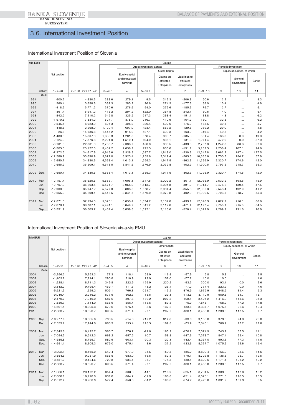**EUROSYSTEM**

## 3.6. International Investment Position

## International Investment Position of Slovenia

| Mio EUR   |        |              |                  |             |                                             |                          | Claims                                 |                                             |              |         |                             |       |
|-----------|--------|--------------|------------------|-------------|---------------------------------------------|--------------------------|----------------------------------------|---------------------------------------------|--------------|---------|-----------------------------|-------|
|           |        |              |                  |             |                                             | Direct investment abroad |                                        |                                             |              |         | Portfolio investment        |       |
|           |        |              |                  |             |                                             |                          | Ostali kapital                         |                                             |              |         | Equity securities, of which |       |
|           |        | Net position |                  |             | Equity capital<br>and reinvested<br>eamings |                          | Claims on<br>affiliated<br>Enterprises | Liabilities to<br>affiliated<br>enterprises |              |         | General<br>government       | Banks |
|           | Column | $1 = 2 - 50$ | $2=3+8+22+27+42$ | $3 = 4 + 5$ | $\overline{4}$                              | $5 = 6 + 7$              | 6                                      | $\overline{7}$                              | $8 = 9 + 13$ | 9       | 10                          | 11    |
|           | Code   |              |                  |             |                                             |                          |                                        |                                             |              |         |                             |       |
| 1994      |        | 600.2        | 4,830.3          | 288.6       | 279.1                                       | 9.5                      | 216.3                                  | $-206.8$                                    | 50.6         | 12.2    | $\cdots$                    | 3.3   |
| 1995      |        | 360.4        | 5,338.8          | 382.3       | 285.7                                       | 96.6                     | 274.3                                  | $-177.8$                                    | 83.0         | 13.4    | $\cdots$                    | 4.8   |
| 1996      |        | $-418.9$     | 5,771.2          | 370.6       | 276.6                                       | 94.0                     | 279.6                                  | $-185.6$                                    | 75.7         | 12.7    | $\cdots$                    | 5.1   |
| 1997      |        | $-361.4$     | 6,947.2          | 416.2       | 294.2                                       | 122.0                    | 364.8                                  | $-242.7$                                    | 50.6         | 14.0    | $\cdots$                    | 5.4   |
| 1998      |        | $-842.2$     | 7,210.2          | 542.8       | 325.5                                       | 217.3                    | 368.4                                  | $-151.1$                                    | 33.8         | 14.3    | $\cdots$                    | 6.2   |
| 1999      |        | $-1,970.5$   | 7,834.2          | 624.7       | 378.0                                       | 246.7                    | 410.9                                  | $-164.2$                                    | 130.1        | 32.3    | $\cdots$                    | 6.2   |
| 2000      |        | $-2.545.5$   | 8,923.0          | 825.3       | 498.9                                       | 326.4                    | 502.6                                  | $-176.2$                                    | 188.5        | 39.5    | $\cdots$                    | 5.7   |
| 2001      |        | $-448.8$     | 12,268.0         | 1,120.4     | 697.0                                       | 423.4                    | 553.2                                  | $-129.8$                                    | 289.2        | 29.0    | $\cdots$                    | 4.8   |
| 2002      |        | 26.8         | 14,636.8         | 1,445.2     | 918.0                                       | 527.1                    | 690.3                                  | $-163.2$                                    | 316.4        | 40.3    | $\cdots$                    | 4.2   |
| 2003      |        | $-1,480.6$   | 15,867.6         | 1,880.3     | 1,201.8                                     | 678.4                    | 863.7                                  | $-185.3$                                    | 551.4        | 188.0   | 0.0                         | 19.0  |
| 2004      |        | $-2.124.9$   | 17,876.8         | 2.224.0     | 1,519.1                                     | 704.9                    | 836.1                                  | $-131.3$                                    | 1,271.4      | 472.0   | 0.0                         | 37.0  |
| 2005      |        | $-3,161.0$   | 22,361.6         | 2,788.7     | 2,338.7                                     | 450.0                    | 883.5                                  | $-433.5$                                    | 2,757.9      | 1,242.3 | 86.8                        | 52.9  |
| 2006      |        | $-5,305.5$   | 25,122.5         | 3,452.2     | 2,656.7                                     | 795.5                    | 986.6                                  | $-191.1$                                    | 5,132.5      | 2,258.4 | 107.1                       | 94.6  |
| 2007      |        | $-7,372.5$   | 34,617.9         | 4,916.6     | 3,328.9                                     | 1,587.7                  | 1,818.0                                | $-230.3$                                    | 12,547.8     | 3,662.2 | 197.4                       | 127.5 |
| 2008      |        | $-12,586.9$  | 33,890.9         | 5.677.0     | 3.923.4                                     | 1.753.6                  | 2,019.4                                | $-265.8$                                    | 10.635.6     | 1.750.7 | 134.7                       | 57.8  |
| 2009      |        | $-12.650.7$  | 34.830.6         | 5,568.4     | 4.013.1                                     | 1.555.3                  | 1,917.5                                | $-362.3$                                    | 11.296.9     | 2,320.7 | 174.6                       | 42.0  |
| 2010      |        | $-12,655.9$  | 35,209.1         | 5,518.5     | 3,841.6                                     | 1,676.9                  | 2,079.8                                | $-402.9$                                    | 11,900.5     | 2,793.5 | 218.7                       | 55.3  |
| 2009 Dec. |        | $-12.650.7$  | 34,830.6         | 5,568.4     | 4,013.1                                     | 1,555.3                  | 1,917.5                                | $-362.3$                                    | 11,296.9     | 2,320.7 | 174.6                       | 42.0  |
| 2010      | Mar.   | $-12, 157.4$ | 35,620.6         | 5,653.7     | 4,006.1                                     | 1,647.5                  | 2,009.2                                | $-361.7$                                    | 12,036.9     | 2,532.2 | 193.5                       | 45.9  |
|           | Jun.   | $-12,707.0$  | 36,263.5         | 5,571.7     | 3,958.0                                     | 1,613.7                  | 2,004.8                                | $-391.2$                                    | 11,914.7     | 2,478.2 | 189.5                       | 47.5  |
|           | Sep.   | $-12,909.0$  | 35,947.2         | 5,577.0     | 3,898.3                                     | 1,678.7                  | 2,034.4                                | $-355.8$                                    | 12,032.8     | 2,543.4 | 192.9                       | 41.2  |
|           | Dec.   | $-12,655.9$  | 35,209.1         | 5,518.5     | 3,841.6                                     | 1,676.9                  | 2,079.8                                | $-402.9$                                    | 11,900.5     | 2,793.5 | 218.7                       | 55.3  |
| 2011      | Mar.   | $-12,671.5$  | 37,194.6         | 5,525.1     | 3,850.4                                     | 1,674.7                  | 2,107.8                                | $-433.1$                                    | 12,348.3     | 2,877.2 | 216.1                       | 36.6  |
|           | Jun.   | $-12,870.4$  | 36,707.1         | 5,491.1     | 3,849.9                                     | 1,641.2                  | 2,112.6                                | $-471.4$                                    | 12,127.4     | 2,755.1 | 215.5                       | 34.5  |
|           | Sep.   | $-13,331.9$  | 36,503.7         | 5,431.4     | 3,839.3                                     | 1,592.1                  | 2,118.6                                | $-526.4$                                    | 11,672.9     | 2.269.9 | 191.6                       | 18.8  |

#### International Investment Position of Slovenia vis-a-vis EMU

| Mio EUR   |        |              | Claims           |             |                                             |                          |                                        |                                             |                      |         |                             |       |
|-----------|--------|--------------|------------------|-------------|---------------------------------------------|--------------------------|----------------------------------------|---------------------------------------------|----------------------|---------|-----------------------------|-------|
|           |        |              |                  |             |                                             | Direct investment abroad |                                        |                                             | Portfolio investment |         |                             |       |
|           |        |              |                  |             |                                             |                          | Other capital                          |                                             |                      |         | Equity securities, of which |       |
|           |        | Net position |                  |             | Equity capital<br>and reinvested<br>eamings |                          | Claims on<br>affiliated<br>Enterprises | Liabilities to<br>affiliated<br>enterprises |                      |         | General<br>aovemment        | Banks |
|           | Column | $1 = 2 - 50$ | $2=3+8+22+27+42$ | $3 = 4 + 5$ | $\overline{4}$                              | $5 = 6 + 7$              | 6                                      | $\overline{7}$                              | $8 = 9 + 13$         | 9       | 10                          | 11    |
|           | Code   |              |                  |             |                                             |                          |                                        |                                             |                      |         |                             |       |
| 2001      |        | $-2.256.2$   | 5.353.2          | 177.3       | 118.4                                       | 58.9                     | 116.8                                  | $-57.9$                                     | 5.8                  | 5.8     | $\cdots$                    | 2.5   |
| 2002      |        | $-1,403.7$   | 7,714.1          | 290.8       | 210.9                                       | 79.9                     | 157.0                                  | $-77.2$                                     | 10.0                 | 10.0    | $\cdots$                    | 1.6   |
| 2003      |        | $-1.928.1$   | 8.711.3          | 349.8       | 222.9                                       | 126.9                    | 220.2                                  | $-93.3$                                     | 300.0                | 93.1    | 0.0                         | 2.6   |
| 2004      |        | $-2,842.2$   | 9,795.4          | 459.7       | 411.5                                       | 48.2                     | 125.4                                  | $-77.2$                                     | 777.4                | 223.2   | 0.0                         | 7.6   |
| 2005      |        | $-5,921.5$   | 11,629.2         | 505.1       | 766.8                                       | $-261.7$                 | 115.2                                  | $-376.9$                                    | 1,672.9              | 548.9   | 34.4                        | 9.3   |
| 2006      |        | $-9,049.4$   | 12,916.2         | 577.9       | 562.3                                       | 15.5                     | 129.1                                  | $-113.6$                                    | 3,110.9              | 959.5   | 54.7                        | 16.1  |
| 2007      |        | $-12.179.7$  | 17,949.0         | 587.0       | 397.8                                       | 189.2                    | 297.3                                  | $-108.1$                                    | 8,425.2              | 1,416.0 | 115.6                       | 35.3  |
| 2008      |        | $-17,539.7$  | 17,144.0         | 668.9       | 555.4                                       | 113.5                    | 189.3                                  | $-75.9$                                     | 7,846.1              | 768.9   | 77.2                        | 17.8  |
| 2009      |        | $-14.691.1$  | 18,305.3         | 679.0       | 675.4                                       | 3.6                      | 137.2                                  | $-133.6$                                    | 8.337.7              | 1,075.6 | 92.6                        | 12.4  |
| 2010      |        | $-12.583.7$  | 18,520.7         | 698.5       | 671.4                                       | 27.1                     | 207.2                                  | $-180.1$                                    | 8,455.8              | 1,233.5 | 117.5                       | 7.7   |
| 2008 Sep. |        | $-16,277.6$  | 18,685.8         | 733.5       | 514.3                                       | 219.2                    | 312.8                                  | $-93.6$                                     | 9.155.0              | 973.5   | 94.0                        | 25.0  |
|           | Dec.   | $-17.539.7$  | 17,144.0         | 668.9       | 555.4                                       | 113.5                    | 189.3                                  | $-75.9$                                     | 7,846.1              | 768.9   | 77.2                        | 17.8  |
| 2009      | Mar.   | $-17,343.6$  | 16,425.7         | 565.7       | 576.7                                       | $-11.0$                  | 165.2                                  | $-176.2$                                    | 7.374.9              | 743.9   | 67.5                        | 11.1  |
|           | Jun.   | $-17,094.5$  | 16,542.3         | 668.2       | 657.5                                       | 10.7                     | 158.3                                  | $-147.6$                                    | 7,378.7              | 847.4   | 69.4                        | 10.8  |
|           | Sep.   | $-14.585.8$  | 18,759.7         | 582.9       | 603.1                                       | $-20.3$                  | 122.1                                  | $-142.4$                                    | 8,357.0              | 993.3   | 77.3                        | 11.5  |
|           | Dec.   | $-14,691.1$  | 18,305.3         | 679.0       | 675.4                                       | 3.6                      | 137.2                                  | $-133.6$                                    | 8,337.7              | 1,075.6 | 92.6                        | 12.4  |
| 2010      | Mar.   | $-13,902.1$  | 18,565.9         | 642.4       | 677.9                                       | $-35.5$                  | 150.8                                  | $-186.2$                                    | 8,809.4              | 1,166.9 | 98.6                        | 14.5  |
|           | Jun.   | $-13,554.6$  | 19,281.9         | 666.5       | 683.0                                       | $-16.5$                  | 162.5                                  | $-179.1$                                    | 8,723.8              | 1,135.8 | 95.7                        | 12.5  |
|           | Sep.   | $-13,551.9$  | 19,134.6         | 720.8       | 684.1                                       | 36.7                     | 174.8                                  | $-138.1$                                    | 8,692.6              | 1,171.1 | 101.2                       | 10.2  |
|           | Dec.   | $-12,583.7$  | 18,520.7         | 698.5       | 671.4                                       | 27.1                     | 207.2                                  | $-180.1$                                    | 8,455.8              | 1,233.5 | 117.5                       | 7.7   |
| 2011      | Mar.   | $-11,386.1$  | 20,172.2         | 654.4       | 668.6                                       | $-14.1$                  | 210.9                                  | $-225.1$                                    | 8,704.5              | 1,303.8 | 117.6                       | 10.2  |
|           | Jun.   | $-12.608.1$  | 19,728.0         | 601.8       | 664.7                                       | $-62.9$                  | 188.6                                  | $-251.4$                                    | 8.528.1              | 1,271.5 | 118.5                       | 13.5  |
|           | Sep.   | $-12,512.2$  | 19,986.3         | 572.4       | 656.6                                       | $-84.2$                  | 190.0                                  | $-274.2$                                    | 8,426.8              | 1,091.9 | 109.3                       | 5.5   |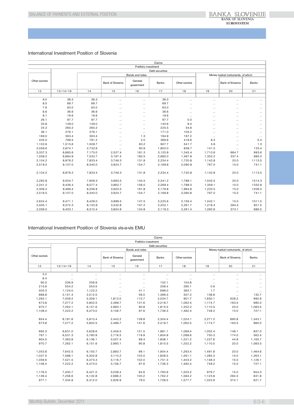#### International Investment Position of Slovenia

|               |                |         |                  |                       | Claims          |               |           |                                    |          |
|---------------|----------------|---------|------------------|-----------------------|-----------------|---------------|-----------|------------------------------------|----------|
|               |                |         |                  | Portfolio investment  |                 |               |           |                                    |          |
|               |                |         |                  |                       | Debt securities |               |           |                                    |          |
|               |                |         |                  | Bonds and notes       |                 |               |           | Money market instruments, of which |          |
| Other sectors |                |         | Bank of Slovenia | General<br>government | Banks           | Other sectors |           | Bank of Slovenia                   | Banks    |
| 12            | $13 = 14 + 19$ | 14      | 15               | 16                    | 17              | 18            | 19        | 20                                 | 21       |
|               |                |         |                  |                       |                 |               |           |                                    |          |
| 9.0           | 38.3           | 38.3    | $\cdots$         | $\cdots$              | 38.3            | $\cdots$      | $\cdots$  |                                    | $\cdots$ |
| 8.5           | 69.7           | 69.7    | $\cdots$         | $\cdots$              | 69.7            | $\cdots$      | $\cdots$  | $\cdots$                           | $\cdots$ |
| 7.6           | 63.0           | 63.0    | $\cdots$         | $\cdots$              | 63.0            | $\cdots$      | $\ddotsc$ |                                    | $\cdots$ |
| 8.6           | 36.6           | 36.6    |                  | $\cdots$              | 36.6            | $\cdots$      | $\ddotsc$ | $\cdots$                           | $\cdots$ |
| 8.1           | 19.6           | 19.6    |                  | $\cdots$              | 19.6            | $\cdots$      | $\ddotsc$ |                                    | $\cdots$ |
| 26.1          | 97.7           | 97.7    |                  | $\cdots$              | 97.7            | 0.0           |           |                                    | $\cdots$ |
| 33.8          | 149.0          | 149.0   |                  | $\cdots$              | 140.6           | 8.4           |           |                                    | $\cdots$ |
| 24.2          | 260.2          | 260.2   | $\cdots$         | $\cdots$              | 225.5           | 34.8          |           | $\cdots$                           | $\cdots$ |
| 36.1          | 276.1          | 276.1   | $\cdots$         | $\cdots$              | 171.0           | 105.2         | $\cdots$  | $\cdots$                           | $\cdots$ |
| 169.0         | 363.4          | 363.4   | $\cdots$         | 1.3                   | 194.9           | 167.2         | $\cdots$  |                                    | $\cdots$ |
| 435.0         | 799.5          | 791.2   |                  | 2.0                   | 369.6           | 419.6         | 8.3       |                                    | 5.4      |
| 1,102.6       | 1.515.6        | 1,509.7 | $\cdots$         | 60.2                  | 907.7           | 541.7         | 5.9       |                                    | 1.3      |
| 2,056.6       | 2,874.1        | 2,732.6 | $\cdots$         | 90.9                  | 1,802.0         | 839.7         | 141.5     | $\cdots$                           | 133.4    |
| 3,337.3       | 8,885.6        | 7,175.0 | 2,527.4          | 181.3                 | 3,120.9         | 1,345.4       | 1,710.6   | 684.7                              | 993.6    |
| 1,558.2       | 8,884.9        | 7,532.7 | 3,197.4          | 182.5                 | 2,685.0         | 1,467.8       | 1,352.2   | 337.4                              | 985.0    |
| 2,104.2       | 8,976.2        | 7,833.4 | 3,746.3          | 131.8                 | 2,234.4         | 1,720.8       | 1,142.8   | 20.0                               | 1113.5   |
| 2,519.5       | 9,107.0        | 8,340.0 | 3,924.7          | 154.7                 | 2,169.8         | 2,090.8       | 767.0     | 15.0                               | 741.1    |
| 2,104.2       | 8,976.2        | 7,833.4 | 3,746.3          | 131.8                 | 2,234.4         | 1,720.8       | 1,142.8   | 20.0                               | 1113.5   |
| 2,292.8       | 9,504.7        | 7,959.3 | 3,683.5          | 145.5                 | 2,341.2         | 1,789.1       | 1,545.5   | 20.0                               | 1514.3   |
| 2,241.2       | 9,436.4        | 8,077.4 | 3,862.7          | 156.0                 | 2,269.4         | 1,789.3       | 1,359.1   | 15.0                               | 1332.8   |
| 2,309.2       | 9,489.4        | 8,256.9 | 3,920.5          | 161.8                 | 2,179.8         | 1,994.8       | 1,232.5   | 15.0                               | 1206.0   |
| 2,519.5       | 9,107.0        | 8,340.0 | 3,924.7          | 154.7                 | 2,169.8         | 2,090.8       | 767.0     | 15.0                               | 741.1    |
| 2,624.4       | 9,471.1        | 8,429.0 | 3,899.5          | 147.5                 | 2,225.6         | 2,156.4       | 1,042.1   | 15.0                               | 1011.0   |
| 2,505.1       | 9,372.3        | 8,153.9 | 3,532.8          | 157.2                 | 2,202.1         | 2,261.7       | 1,218.4   | 284.5                              | 921.5    |
| 2,059.5       | 9,403.1        | 8,310.4 | 3,804.9          | 124.8                 | 2,119.3         | 2,261.4       | 1,092.6   | 374.1                              | 686.5    |

#### International Investment Position of Slovenia vis-a-vis EMU

|               |                |          |                  |                      | Claims          |               |          |                                    |          |
|---------------|----------------|----------|------------------|----------------------|-----------------|---------------|----------|------------------------------------|----------|
|               |                |          |                  | Portfolio investment |                 |               |          |                                    |          |
|               |                |          |                  |                      | Debt securities |               |          |                                    |          |
|               |                |          |                  | Bonds and notes      |                 |               |          | Money market instruments, of which |          |
| Other sectors |                |          | Bank of Slovenia | General<br>govemment | Banks           | Other sectors |          | Bank of Slovenia                   | Banks    |
| 12            | $13 = 14 + 19$ | 14       | 15               | 16                   | 17              | 18            | 19       | 20                                 | 21       |
|               |                |          |                  |                      |                 |               |          |                                    |          |
| 3.2           | $\cdots$       | $\cdots$ | $\cdots$         | $\cdots$             | $\cdots$        | $\cdots$      | $\cdots$ | $\cdots$                           | $\cdots$ |
| 8.4           | $\cdots$       | $\cdots$ | $\cdots$         | $\cdots$             | $\cdots$        | $\cdots$      | $\cdots$ | $\cdots$                           | $\cdots$ |
| 90.5          | 206.9          | 206.9    | $\cdots$         | $\cdots$             | 102.1           | 104.8         | $\cdots$ |                                    | $\cdots$ |
| 215.6         | 554.2          | 553.5    | $\cdots$         | $\cdots$             | 258.4           | 295.1         | 0.6      |                                    | $\cdots$ |
| 505.3         | 1.124.0        | 1,122.2  | $\cdots$         | 41.1                 | 698.0           | 383.1         | 1.7      | $\cdots$                           | $\cdots$ |
| 888.8         | 2,151.4        | 2,012.5  | $\cdots$         | 56.0                 | 1,399.3         | 557.2         | 138.8    | $\cdots$                           | 132.7    |
| 1,265.1       | 7.009.2        | 5.359.1  | 1,812.0          | 110.7                | 2.534.7         | 901.7         | 1,650.1  | 628.2                              | 992.9    |
| 673.8         | 7,077.2        | 5,902.5  | 2,489.7          | 131.6                | 2,218.7         | 1,062.5       | 1.174.7  | 163.5                              | 985.0    |
| 970.7         | 7.262.1        | 6.151.6  | 2.993.1          | 90.8                 | 1.815.5         | 1.252.2       | 1.110.5  | 20.0                               | 1,083.5  |
| 1,108.4       | 7,222.2        | 6,473.0  | 3,156.7          | 97.6                 | 1.736.3         | 1,482.4       | 749.2    | 15.0                               | 727.1    |
|               |                |          |                  |                      |                 |               |          |                                    |          |
| 854.4         | 8,181.6        | 5,910.4  | 2,442.2          | 139.8                | 2,304.4         | 1,024.1       | 2,271.2  | 895.8                              | 1,343.1  |
| 673.8         | 7,077.2        | 5,902.5  | 2,489.7          | 131.6                | 2,218.7         | 1,062.5       | 1,174.7  | 163.5                              | 985.0    |
|               |                |          |                  |                      |                 |               |          |                                    |          |
| 665.3         | 6,631.0        | 5,628.6  | 2,456.5          | 121.5                | 1,981.1         | 1,069.4       | 1,002.4  | 148.1                              | 837.0    |
| 767.1         | 6,531.3        | 5,780.9  | 2,716.5          | 119.9                | 1,854.9         | 1,089.6       | 750.3    | 174.0                              | 562.4    |
| 904.5         | 7,363.8        | 6,136.1  | 3,007.4          | 99.4                 | 1,808.1         | 1,221.2       | 1,227.6  | 44.9                               | 1,165.7  |
| 970.7         | 7,262.1        | 6,151.6  | 2,993.1          | 90.8                 | 1,815.5         | 1,252.2       | 1,110.5  | 20.0                               | 1,083.5  |
|               |                |          |                  |                      |                 |               |          |                                    |          |
| 1,053.8       | 7,642.5        | 6,150.7  | 2,883.7          | 99.1                 | 1,904.4         | 1,263.4       | 1,491.8  | 20.0                               | 1,464.6  |
| 1,027.5       | 7,588.1        | 6,302.8  | 3,110.2          | 103.0                | 1,828.5         | 1,261.1       | 1,285.3  | 15.0                               | 1,263.1  |
| 1,059.6       | 7,521.5        | 6,373.3  | 3,116.7          | 102.0                | 1,751.3         | 1,403.2       | 1,148.3  | 15.0                               | 1,126.1  |
| 1,108.4       | 7,222.2        | 6,473.0  | 3,156.7          | 97.6                 | 1,736.3         | 1,482.4       | 749.2    | 15.0                               | 727.1    |
|               |                |          |                  |                      |                 |               |          |                                    |          |
| 1,176.0       | 7,400.7        | 6,421.0  | 3,039.4          | 94.6                 | 1,783.9         | 1,503.2       | 979.7    | 15.0                               | 954.3    |
| 1.139.4       | 7.256.6        | 6.132.8  | 2.686.2          | 100.2                | 1.762.2         | 1.584.2       | 1,123.8  | 284.5                              | 831.8    |
| 977.1         | 7,334.9        | 6,312.0  | 2,926.9          | 79.0                 | 1,728.5         | 1,577.7       | 1,022.9  | 374.1                              | 621.7    |
|               |                |          |                  |                      |                 |               |          |                                    |          |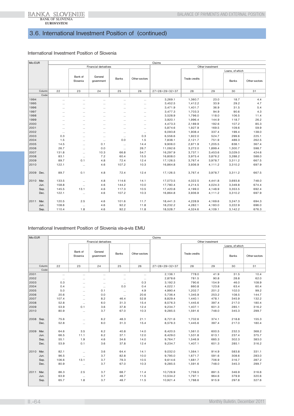**EUROSYSTEM**

# 3.6. International Investment Position of (continued)

#### International Investment Position of Slovenia

| Mio EUR |        |          |                     |                       |          |               | Claims                   |               |                  |                 |               |
|---------|--------|----------|---------------------|-----------------------|----------|---------------|--------------------------|---------------|------------------|-----------------|---------------|
|         |        |          |                     | Financial derivatives |          |               |                          |               | Other investment |                 |               |
|         |        |          |                     |                       |          |               |                          |               |                  | Loans, of which |               |
|         |        |          | Bank of<br>Slovenia | General<br>government | Banks    | Other sectors |                          | Trade credits |                  | Banks           | Other sectors |
|         | Column | 22       | 23                  | 24                    | 25       | 26            | $27 = 28 + 29 + 32 + 37$ | 28            | 29               | 30              | 31            |
|         | Code   |          |                     |                       |          |               |                          |               |                  |                 |               |
| 1994    |        | $\cdots$ | $\cdots$            | $\cdots$              | $\cdots$ | $\cdots$      | 3,269.1                  | 1,360.7       | 23.0             | 18.7            | 4.4           |
| 1995    |        | $\cdots$ | $\cdots$            |                       |          | $\cdots$      | 3,452.5                  | 1,412.2       | 33.9             | 29.2            | 4.7           |
| 1996    |        | $\cdots$ |                     |                       |          | $\ddotsc$     | 3,471.9                  | 1,401.7       | 36.9             | 31.5            | 5.4           |
| 1997    |        | $\cdots$ | $\cdots$            | $\cdots$              |          | $\ddotsc$     | 3,477.3                  | 1,703.3       | 94.9             | 90.6            | 4.3           |
| 1998    |        | $\cdots$ | $\cdots$            | $\cdots$              |          | $\cdots$      | 3,528.9                  | 1,796.0       | 118.0            | 106.5           | 11.4          |
| 1999    |        | $\cdots$ | $\cdots$            | $\cdots$              |          | $\cdots$      | 3,920.1                  | 1,996.4       | 144.9            | 118.7           | 26.2          |
| 2000    |        | $\cdots$ | $\cdots$            | $\cdots$              | $\cdots$ | $\ddotsc$     | 4,473.3                  | 2,189.9       | 192.6            | 107.2           | 85.3          |
| 2001    |        | $\cdots$ | $\cdots$            | $\cdots$              | $\cdots$ | $\ddotsc$     | 5,874.6                  | 1,927.9       | 169.5            | 109.6           | 59.9          |
| 2002    |        | $\cdots$ | $\cdots$            | $\ldots$              | $\cdots$ | $\cdots$      | 6,093.8                  | 1,908.4       | 337.4            | 199.4           | 138.0         |
| 2003    |        | 0.3      | $\cdots$            | $\cdots$              | $\cdots$ | 0.3           | 6,556.6                  | 1,922.0       | 524.7            | 299.6           | 225.1         |
| 2004    |        | 1.5      | $\cdots$            | $\cdots$              | 0.0      | 1.5           | 7,838.1                  | 2,121.7       | 751.9            | 489.3           | 262.5         |
| 2005    |        | 14.5     | $\cdots$            | 0.1                   | $\cdots$ | 14.4          | 9,906.0                  | 2,871.9       | 1,205.5          | 838.1           | 367.4         |
| 2006    |        | 26.7     | $\cdots$            | 0.0                   | $\cdots$ | 26.7          | 11,092.6                 | 3,272.0       | 1,899.4          | 1,300.7         | 598.7         |
| 2007    |        | 131.8    | $\cdots$            | 10.3                  | 66.8     | 54.7          | 16,297.9                 | 3,737.1       | 3,453.6          | 3,029.0         | 424.6         |
| 2008    |        | 83.1     | $\cdots$            | 7.2                   | 60.4     | 15.5          | 16,808.0                 | 3.975.4       | 3.876.2          | 3,288.2         | 588.0         |
| 2009    |        | 89.7     | 0.1                 | 4.8                   | 72.4     | 12.4          | 17,126.5                 | 3,767.4       | 3,978.7          | 3,311.2         | 667.5         |
| 2010    |        | 122.1    | $\cdots$            | 4.6                   | 107.2    | 10.3          | 16,864.8                 | 3,936.9       | 4,111.2          | 3,310.2         | 697.9         |
| 2009    | Dec.   | 89.7     | 0.1                 | 4.8                   | 72.4     | 12.4          | 17,126.5                 | 3,767.4       | 3,978.7          | 3,311.2         | 667.5         |
| 2010    | Mar.   | 133.5    | $\cdots$            | 4.8                   | 114.6    | 14.1          | 17.073.5                 | 4.022.5       | 4,441.8          | 3,693.8         | 748.0         |
|         | Jun.   | 158.8    | $\cdots$            | 4.6                   | 144.2    | 10.0          | 17,780.4                 | 4,214.5       | 4,024.3          | 3,349.8         | 674.4         |
|         | Sep.   | 145.5    | 13.1                | 4.6                   | 117.3    | 10.5          | 17,420.8                 | 4,199.0       | 4,148.9          | 3,353.5         | 692.4         |
|         | Dec.   | 122.1    | $\ldots$            | 4.6                   | 107.2    | 10.3          | 16,864.8                 | 3,936.9       | 4,111.2          | 3,310.2         | 697.9         |
| 2011    | Mar.   | 120.5    | 2.5                 | 4.6                   | 101.6    | 11.7          | 18,441.3                 | 4,228.9       | 4,169.6          | 3,247.3         | 694.3         |
|         | Jun.   | 108.6    | $\cdots$            | 4.6                   | 92.2     | 11.8          | 18,232.2                 | 4,282.1       | 4,183.0          | 3,222.9         | 696.0         |
|         | Sep.   | 110.4    | 1.8                 | 4.6                   | 92.2     | 11.8          | 18,528.7                 | 4,324.6       | 4,109.1          | 3,142.2         | 676.3         |

#### International Investment Position of Slovenia vis-a-vis EMU

| Mio EUR |        |          |                     |                       |          |               | Claims                   |               |       |                 |               |  |  |
|---------|--------|----------|---------------------|-----------------------|----------|---------------|--------------------------|---------------|-------|-----------------|---------------|--|--|
|         |        |          |                     | Financial derivatives |          |               | Other investment         |               |       |                 |               |  |  |
|         |        |          |                     |                       |          |               |                          |               |       | Loans, of which |               |  |  |
|         |        |          | Bank of<br>Slovenia | General<br>government | Banks    | Other sectors |                          | Trade credits |       | Banks           | Other sectors |  |  |
|         | Column | 22       | 23                  | 24                    | 25       | 26            | $27 = 28 + 29 + 32 + 37$ | 28            | 29    | 30              | 31            |  |  |
|         | Code   |          |                     |                       |          |               |                          |               |       |                 |               |  |  |
| 2001    |        | $\cdots$ | $\cdots$            | $\cdots$              |          | $\cdots$      | 2,136.1                  | 778.0         | 41.9  | 31.5            | 10.4          |  |  |
| 2002    |        | $\cdots$ | $\cdots$            | $\cdots$              |          | $\cdots$      | 2,878.6                  | 781.5         | 90.8  | 28.8            | 62.0          |  |  |
| 2003    |        | 0.3      | $\cdots$            | $\cdots$              | $\cdots$ | 0.3           | 3,192.3                  | 790.6         | 154.9 | 46.0            | 108.9         |  |  |
| 2004    |        | 0.4      | $\cdots$            | $\cdots$              | 0.0      | 0.4           | 4,022.1                  | 860.8         | 123.8 | 63.4            | 60.4          |  |  |
| 2005    |        | 5.0      | $\cdots$            | 0.1                   | $\cdots$ | 4.9           | 4,990.4                  | 1,202.7       | 201.2 | 102.0           | 99.2          |  |  |
| 2006    |        | 20.6     | $\cdots$            | 0.0                   | $\ldots$ | 20.6          | 5,736.4                  | 1,345.9       | 253.2 | 108.5           | 144.7         |  |  |
| 2007    |        | 107.4    | $\cdots$            | 8.2                   | 46.4     | 52.8          | 8,829.4                  | 1,440.1       | 478.1 | 345.9           | 132.2         |  |  |
| 2008    |        | 52.8     | $\cdots$            | 6.0                   | 31.3     | 15.4          | 8,576.3                  | 1,445.6       | 397.4 | 217.0           | 180.4         |  |  |
| 2009    |        | 53.9     | 0.1                 | 3.6                   | 37.8     | 12.4          | 9,234.7                  | 1,407.1       | 601.3 | 285.1           | 316.2         |  |  |
| 2010    |        | 80.9     | $\cdots$            | 3.7                   | 67.0     | 10.3          | 9.285.5                  | 1,591.6       | 748.0 | 345.3           | 299.7         |  |  |
| 2008    | Sep.   | 75.6     | $\cdots$            | 6.2                   | 48.3     | 21.1          | 8,721.6                  | 1,702.6       | 374.1 | 218.8           | 155.3         |  |  |
|         | Dec.   | 52.8     | $\cdots$            | 6.0                   | 31.3     | 15.4          | 8,576.3                  | 1,445.6       | 397.4 | 217.0           | 180.4         |  |  |
| 2009    | Mar.   | 64.6     | 3.5                 | 6.2                   | 40.8     | 14.0          | 8,420.5                  | 1,561.0       | 600.5 | 232.3           | 368.2         |  |  |
|         | Jun.   | 66.5     | 11.1                | 6.2                   | 37.1     | 12.0          | 8,429.0                  | 1,531.8       | 613.1 | 237.4           | 375.7         |  |  |
|         | Sep.   | 55.1     | 1.9                 | 4.6                   | 34.6     | 14.0          | 9,764.7                  | 1,546.9       | 685.3 | 302.3           | 383.0         |  |  |
|         | Dec.   | 53.9     | 0.1                 | 3.6                   | 37.8     | 12.4          | 9,234.7                  | 1,407.1       | 601.3 | 285.1           | 316.2         |  |  |
| 2010    | Mar.   | 82.1     | $\cdots$            | 3.6                   | 64.4     | 14.1          | 9,032.0                  | 1,564.1       | 914.9 | 583.8           | 331.1         |  |  |
|         | Jun.   | 96.5     | $\cdots$            | 3.7                   | 82.8     | 10.0          | 9,795.0                  | 1,671.7       | 591.6 | 308.6           | 283.0         |  |  |
|         | Sep.   | 106.6    | 13.1                | 3.7                   | 79.3     | 10.5          | 9,614.6                  | 1,681.7       | 706.9 | 316.7           | 287.2         |  |  |
|         | Dec.   | 80.9     | $\cdots$            | 3.7                   | 67.0     | 10.3          | 9,285.5                  | 1,591.6       | 748.0 | 345.3           | 299.7         |  |  |
| 2011    | Mar.   | 86.3     | 2.5                 | 3.7                   | 68.7     | 11.4          | 10,726.9                 | 1,759.5       | 891.5 | 346.9           | 316.6         |  |  |
|         | Jun.   | 63.9     | $\cdots$            | 3.7                   | 48.7     | 11.5          | 10,534.2                 | 1,797.1       | 964.6 | 379.9           | 320.6         |  |  |
|         | Sep.   | 65.7     | 1.8                 | 3.7                   | 48.7     | 11.5          | 10,921.4                 | 1,788.6       | 915.9 | 297.8           | 327.6         |  |  |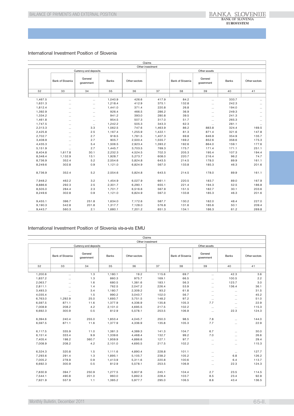#### International Investment Position of Slovenia

|         |                  |                       |         |               | Claims           |                  |                       |       |               |
|---------|------------------|-----------------------|---------|---------------|------------------|------------------|-----------------------|-------|---------------|
|         |                  |                       |         |               | Other investment |                  |                       |       |               |
|         |                  | Currency and deposits |         |               |                  |                  | Other assets          |       |               |
|         | Bank of Slovenia | General<br>govemment  | Banks   | Other sectors |                  | Bank of Slovenia | General<br>government | Banks | Other sectors |
| 32      | 33               | 34                    | 35      | 36            | 37               | 38               | 39                    | 40    | 41            |
|         |                  |                       |         |               |                  |                  |                       |       |               |
| 1,467.5 | $\cdots$         | $\cdots$              | 1,040.9 | 426.6         | 417.9            | 84.2             | $\cdots$              | 333.7 |               |
| 1,631.3 | $\cdots$         | $\cdots$              | 1,218.4 | 412.9         | 375.1            | 132.8            | $\cdots$              | 242.3 | $\cdots$      |
| 1,812.4 | $\cdots$         | $\cdots$              | 1,441.0 | 371.4         | 220.8            | 26.8             | $\cdots$              | 194.0 | $\cdots$      |
| 1,392.9 | $\cdots$         | $\cdots$              | 926.4   | 466.5         | 286.2            | 36.9             |                       | 249.3 | $\cdots$      |
| 1,334.2 | $\cdots$         | $\cdots$              | 941.2   | 393.0         | 280.8            | 39.5             | $\cdots$              | 241.3 | $\cdots$      |
| 1,461.8 | $\cdots$         | $\cdots$              | 954.5   | 507.3         | 317.0            | 51.7             | $\cdots$              | 265.3 | $\cdots$      |
| 1,747.5 | $\cdots$         | $\cdots$              | 1,242.2 | 505.3         | 343.3            | 62.3             | $\cdots$              | 281.1 | $\cdots$      |
| 2,313.3 | $\cdots$         | 3.3                   | 1,562.5 | 747.6         | 1,463.9          | 86.2             | 883.8                 | 324.4 | 169.5         |
| 2,425.8 | $\cdots$         | 2.5                   | 1,167.4 | 1,255.9       | 1,422.1          | 81.3             | 871.4                 | 321.6 | 147.8         |
| 2,702.7 | $\cdots$         | 2.7                   | 918.5   | 1,781.5       | 1,407.3          | 69.8             | 846.9                 | 354.9 | 135.7         |
| 3,408.9 | $\cdots$         | 2.7                   | 905.7   | 2,500.4       | 1,555.7          | 169.2            | 852.6                 | 358.6 | 175.3         |
| 4,435.3 | $\cdots$         | 5.4                   | 1,506.5 | 2,923.4       | 1,393.2          | 192.6            | 864.0                 | 159.1 | 177.6         |
| 5,151.9 | $\cdots$         | 2.7                   | 1,445.7 | 3,703.5       | 769.3            | 175.7            | 171.4                 | 171.1 | 251.1         |
| 8,404.8 | 1,617.8          | 30.1                  | 2,232.3 | 4,524.5       | 702.3            | 205.3            | 195.4                 | 107.3 | 194.4         |
| 8,348.4 | 1,132.9          | 13.1                  | 1,928.7 | 5,273.7       | 608.0            | 220.7            | 216.4                 | 96.2  | 74.7          |
| 8,736.9 | 352.4            | 5.2                   | 2,554.6 | 5,824.8       | 643.5            | 214.5            | 178.0                 | 89.9  | 161.1         |
| 8,249.6 | 302.8            | 0.9                   | 1,121.0 | 6,824.9       | 567.0            | 133.8            | 185.3                 | 46.3  | 201.6         |
| 8,736.9 | 352.4            | 5.2                   | 2,554.6 | 5,824.8       | 643.5            | 214.5            | 178.0                 | 89.9  | 161.1         |
| 7,948.2 | 462.2            | 3.2                   | 1,454.9 | 6,027.9       | 661.1            | 220.5            | 183.7                 | 89.0  | 167.9         |
| 8,886.6 | 292.3            | 2.5                   | 2,301.7 | 6,290.1       | 655.1            | 221.4            | 194.3                 | 52.5  | 186.8         |
| 8,505.0 | 284.4            | 2.3                   | 1,701.7 | 6,516.6       | 567.9            | 151.5            | 182.7                 | 30.1  | 203.6         |
| 8,249.6 | 302.8            | 0.9                   | 1,121.0 | 6,824.9       | 567.0            | 133.8            | 185.3                 | 46.3  | 201.6         |
| 9,455.1 | 396.7            | 251.8                 | 1,634.0 | 7,172.6       | 587.7            | 130.2            | 182.0                 | 48.4  | 227.0         |
| 9,190.3 | 542.8            | 201.8                 | 1,317.7 | 7,128.0       | 576.8            | 131.6            | 185.6                 | 50.1  | 209.4         |
| 9.443.7 | 560.3            | 2.1                   | 1,680.1 | 7,201.2       | 651.3            | 134.1            | 186.3                 | 61.2  | 269.8         |

|         |                  |                       |         |               | Claims           |                  |                       |           |               |
|---------|------------------|-----------------------|---------|---------------|------------------|------------------|-----------------------|-----------|---------------|
|         |                  |                       |         |               | Other investment |                  |                       |           |               |
|         |                  | Currency and deposits |         |               |                  |                  | Other assets          |           |               |
|         | Bank of Slovenia | General<br>government | Banks   | Other sectors |                  | Bank of Slovenia | General<br>government | Banks     | Other sectors |
| 32      | 33               | 34                    | 35      | 36            | 37               | 38               | 39                    | 40        | 41            |
|         |                  |                       |         |               |                  |                  |                       |           |               |
| 1,200.6 | $\cdots$         | 1.3                   | 1,180.1 | 19.2          | 115.6            | 69.7             | $\cdots$              | 42.3      | 3.6           |
| 1,837.2 | $\cdots$         | 1.3                   | 860.3   | 975.7         | 169.1            | 66.5             | $\cdots$              | 100.5     | 2.2           |
| 2.063.7 | $\cdots$         | 1.6                   | 680.5   | 1.381.6       | 183.1            | 56.3             | $\cdots$              | 123.7     | 3.0           |
| 2,811.1 | $\cdots$         | 1.4                   | 762.5   | 2,047.2       | 226.4            | 53.9             | $\cdots$              | 136.4     | 36.1          |
| 3,493.3 | $\cdots$         | 3.4                   | 1,180.7 | 2,309.2       | 93.2             | 61.8             | $\cdots$              | $\cdots$  | 31.5          |
| 4,035.4 | $\cdots$         | 1.5                   | 990.2   | 3,043.7       | 102.0            | 56.7             | $\cdots$              | $\cdots$  | 45.2          |
| 6,763.0 | 1,292.9          | 25.0                  | 1,693.7 | 3,751.5       | 148.2            | 97.2             | $\cdots$              | $\cdots$  | 51.0          |
| 6,597.5 | 871.1            | 11.6                  | 1,377.9 | 4,336.9       | 135.8            | 105.3            | 7.7                   | $\cdots$  | 22.9          |
| 7,008.9 | 208.2            | 4.2                   | 2,101.0 | 4,695.5       | 217.5            | 102.2            | $\cdots$              | $\cdots$  | 115.3         |
| 6,692.3 | 300.9            | 0.5                   | 812.9   | 5,578.1       | 253.5            | 106.9            | $\cdots$              | 22.3      | 124.3         |
|         |                  |                       |         |               |                  |                  |                       |           |               |
| 6,394.6 | 240.4            | 255.0                 | 1,853.4 | 4,045.7       | 250.3            | 98.5             | 7.8                   | $\cdots$  | 144.0         |
| 6,597.5 | 871.1            | 11.6                  | 1,377.9 | 4,336.9       | 135.8            | 105.3            | 7.7                   | $\cdots$  | 22.9          |
|         |                  |                       |         |               |                  |                  |                       |           |               |
| 6,117.5 | 335.9            | 11.0                  | 1,381.3 | 4,389.3       | 141.3            | 104.7            | 6.7                   | $\cdots$  | 30.0          |
| 6,151.4 | 333.4            | 9.9                   | 1,339.6 | 4,468.4       | 132.7            | 99.2             | 7.0                   | $\cdots$  | 26.6          |
| 7,405.4 | 198.2            | 360.7                 | 1,959.9 | 4,886.6       | 127.1            | 97.7             | $\cdots$              | $\cdots$  | 29.4          |
| 7,008.9 | 208.2            | 4.2                   | 2,101.0 | 4,695.5       | 217.5            | 102.2            | $\cdots$              | $\ddotsc$ | 115.3         |
|         |                  |                       |         |               |                  |                  |                       |           |               |
| 6,324.3 | 320.8            | 1.5                   | 1.111.6 | 4,890.4       | 228.8            | 101.1            | $\cdots$              | $\cdots$  | 127.7         |
| 7,293.6 | 291.4            | 1.3                   | 1,895.1 | 5,105.7       | 238.2            | 105.2            | $\cdots$              | 6.8       | 126.2         |
| 7,005.2 | 278.9            | 0.9                   | 1,413.9 | 5.311.6       | 220.8            | 100.6            | $\ddotsc$             | 6.4       | 113.7         |
| 6,692.3 | 300.9            | 0.5                   | 812.9   | 5,578.1       | 253.5            | 106.9            | $\cdots$              | 22.3      | 124.3         |
|         |                  |                       |         |               |                  |                  |                       |           |               |
| 7,830.9 | 394.7            | 250.9                 | 1,277.5 | 5,907.8       | 245.1            | 104.4            | 2.7                   | 23.5      | 114.5         |
| 7,544.1 | 490.8            | 201.0                 | 960.0   | 5,892.3       | 228.4            | 103.7            | 8.5                   | 23.4      | 92.8          |
| 7,921.9 | 557.9            | 1.1                   | 1,385.2 | 5,977.7       | 295.0            | 106.5            | 8.6                   | 43.4      | 136.5         |
|         |                  |                       |         |               |                  |                  |                       |           |               |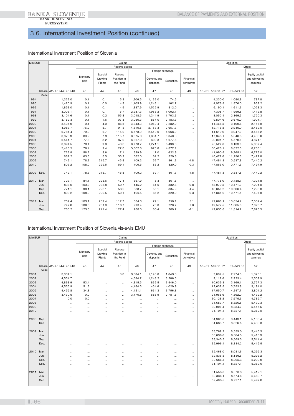**EUROSYSTEM**

# 3.6. International Investment Position (continued)

#### International Investment Position of Slovenia

| Mio EUR |      |                                 |                  |                              | Claims                             |         |                          |            |                          |                          | Liabilities    |                                             |
|---------|------|---------------------------------|------------------|------------------------------|------------------------------------|---------|--------------------------|------------|--------------------------|--------------------------|----------------|---------------------------------------------|
|         |      |                                 |                  |                              | Reserve assets                     |         |                          |            |                          |                          |                | Direct                                      |
|         |      |                                 |                  |                              |                                    |         | Foreign exchange         |            |                          |                          |                |                                             |
|         |      |                                 | Monetary<br>gold | Special<br>Drawing<br>Rights | Reserve<br>Position in<br>the Fund |         | Currency and<br>deposits | Securities | Financial<br>derivatives |                          |                | Equity capital<br>and reinvested<br>eamings |
|         |      | Column $42 = 43 + 44 + 45 + 46$ | 43               | 44                           | 45                                 | 46      | 47                       | 48         | 49                       | $50 = 51 + 56 + 66 + 71$ | $51 = 52 + 53$ | 52                                          |
|         | Code |                                 |                  |                              |                                    |         |                          |            |                          |                          |                |                                             |
| 1994    |      | 1,222.0                         | 0.1              | 0.1                          | 15.3                               | 1,206.5 | 1,132.0                  | 74.5       | $\cdots$                 | 4,230.0                  | 1,080.8        | 787.8                                       |
| 1995    |      | 1,420.9                         | 0.1              | 0.0                          | 14.9                               | 1,405.9 | 1,243.1                  | 162.7      | $\cdots$                 | 4,978.3                  | 1,376.0        | 939.2                                       |
| 1996    |      | 1.853.0                         | 0.1              | 0.1                          | 14.9                               | 1.837.9 | 1.525.9                  | 312.0      | $\cdots$                 | 6.190.1                  | 1,611.6        | 1,028.3                                     |
| 1997    |      | 3,003.1                         | 0.1              | 0.1                          | 15.7                               | 2,987.3 | 1,985.2                  | 1,002.1    | $\cdots$                 | 7,308.7                  | 1,999.8        | 1,412.8                                     |
| 1998    |      | 3,104.6                         | 0.1              | 0.2                          | 55.8                               | 3,048.5 | 1,344.9                  | 1,703.6    | $\cdots$                 | 8,052.4                  | 2,369.5        | 1,720.3                                     |
| 1999    |      | 3,159.3                         | 0.1              | 1.6                          | 107.3                              | 3,050.3 | 867.0                    | 2,183.3    | $\cdots$                 | 9,804.6                  | 2,675.0        | 1,904.7                                     |
| 2000    |      | 3,435.9                         | 0.1              | 4.0                          | 88.5                               | 3,343.3 | 1,060.4                  | 2,282.9    | $\cdots$                 | 11,468.5                 | 3,109.8        | 2,116.9                                     |
| 2001    |      | 4,983.7                         | 76.2             | 5.7                          | 91.3                               | 4,810.5 | 2.153.3                  | 2,657.3    | $\cdots$                 | 12.716.8                 | 2.940.0        | 2,489.0                                     |
| 2002    |      | 6,781.4                         | 79.9             | 6.7                          | 115.9                              | 6,578.9 | 2,510.0                  | 4,068.9    | $\cdots$                 | 14,610.0                 | 3,947.9        | 3,466.2                                     |
| 2003    |      | 6,878.9                         | 80.9             | 7.3                          | 115.7                              | 6,675.0 | 1,634.7                  | 5,040.3    | $\cdots$                 | 17,348.1                 | 5,046.8        | 4,438.6                                     |
| 2004    |      | 6,541.7                         | 77.8             | 8.2                          | 87.9                               | 6,367.9 | 690.3                    | 5,677.6    | $\cdots$                 | 20,001.7                 | 5,579.6        | 4,874.1                                     |
| 2005    |      | 6,894.5                         | 70.4             | 9.8                          | 43.6                               | 6,770.7 | 1,271.1                  | 5,499.6    | $\cdots$                 | 25,522.6                 | 6,133.6        | 5,607.4                                     |
| 2006    |      | 5,418.5                         | 78.4             | 9.4                          | 27.8                               | 5,302.8 | 925.8                    | 4,377.1    | $\cdots$                 | 30,428.1                 | 6,822.3        | 6,283.1                                     |
| 2007    |      | 723.8                           | 58.2             | 8.6                          | 17.1                               | 639.9   | 17.0                     | 622.9      | $\cdots$                 | 41,990.5                 | 9,765.1        | 6,776.0                                     |
| 2008    |      | 687.2                           | 63.6             | 8.5                          | 33.2                               | 582.0   | 61.2                     | 520.8      | $\cdots$                 | 46,477.8                 | 11,236.3       | 7,472.8                                     |
| 2009    |      | 749.1                           | 78.3             | 215.7                        | 45.8                               | 409.2   | 52.7                     | 361.3      | $-4.8$                   | 47,481.3                 | 10,537.8       | 7,440.2                                     |
| 2010    |      | 803.2                           | 108.0            | 229.5                        | 59.1                               | 406.5   | 86.2                     | 320.0      | 0.3                      | 47,865.0                 | 10,771.5       | 7,497.9                                     |
| 2009    | Dec. | 749.1                           | 78.3             | 215.7                        | 45.8                               | 409.2   | 52.7                     | 361.3      | $-4.8$                   | 47.481.3                 | 10,537.8       | 7.440.2                                     |
| 2010    | Mar. | 723.1                           | 84.1             | 223.6                        | 47.4                               | 367.9   | 6.3                      | 361.6      | $\cdots$                 | 47,778.0                 | 10,438.7       | 7,321.8                                     |
|         | Jun. | 838.0                           | 103.3            | 238.8                        | 50.7                               | 445.2   | 61.6                     | 382.8      | 0.8                      | 48,970.5                 | 10,471.9       | 7,294.0                                     |
|         | Sep. | 771.1                           | 98.1             | 226.1                        | 58.2                               | 388.7   | 55.1                     | 334.9      | $-1.4$                   | 48,856.2                 | 10.606.4       | 7,298.8                                     |
|         | Dec. | 803.2                           | 108.0            | 229.5                        | 59.1                               | 406.5   | 86.2                     | 320.0      | 0.3                      | 47.865.0                 | 10,771.5       | 7,497.9                                     |
| 2011    | Mar. | 759.4                           | 103.1            | 209.4                        | 112.7                              | 334.3   | 79.1                     | 250.1      | 5.1                      | 49,866.1                 | 10,854.7       | 7,582.4                                     |
|         | Jun. | 747.8                           | 106.8            | 231.0                        | 116.7                              | 293.4   | 70.0                     | 220.7      | 2.6                      | 49,577.5                 | 11,085.0       | 7,620.7                                     |
|         | Sep. | 760.2                           | 123.5            | 241.4                        | 127.4                              | 268.0   | 60.4                     | 209.7      | $-2.1$                   | 49.835.6                 | 11.314.2       | 7.626.5                                     |

| Mio EUR |        |                          |          |           | Claims         |           |                  |            |             |                          | Liabilities    |                |
|---------|--------|--------------------------|----------|-----------|----------------|-----------|------------------|------------|-------------|--------------------------|----------------|----------------|
|         |        |                          |          |           | Reserve assets |           |                  |            |             |                          |                | Direct         |
|         |        |                          |          |           |                |           | Foreign exchange |            |             |                          |                |                |
|         |        |                          | Monetary | Special   | Reserve        |           |                  |            |             |                          |                | Equity capital |
|         |        |                          | gold     | Drawing   | Position in    |           | Currency and     | Securities | Financial   |                          |                | and reinvested |
|         |        |                          |          | Rights    | the Fund       |           | deposits         |            | derivatives |                          |                | eamings        |
|         |        |                          |          |           |                |           |                  |            |             |                          |                |                |
|         | Column | $42 = 43 + 44 + 45 + 46$ | 43       | 44        | 45             | 46        | 47               | 48         | 49          | $50 = 51 + 56 + 66 + 71$ | $51 = 52 + 53$ | 52             |
|         | Code   |                          |          |           |                |           |                  |            |             |                          |                |                |
| 2001    |        | 3,034.1                  | $\cdots$ | $\cdots$  | 0.0            | 3,034.1   | 1,190.8          | 1,843.3    | $\cdots$    | 7,609.5                  | 2,274.3        | 1,873.1        |
| 2002    |        | 4,534.7                  | $\cdots$ | $\cdots$  | $\cdots$       | 4,534.7   | 1,248.2          | 3,286.5    | $\cdots$    | 9,117.8                  | 2,923.4        | 2,509.9        |
| 2003    |        | 4,868.9                  | 53.4     | $\cdots$  | $\cdots$       | 4,815.5   | 869.5            | 3,946.0    | $\cdots$    | 10,639.3                 | 3,169.1        | 2,727.3        |
| 2004    |        | 4,535.9                  | 51.3     | $\cdots$  | $\cdots$       | 4,484.5   | 454.6            | 4,029.9    | $\cdots$    | 12,637.5                 | 3,753.8        | 3,191.0        |
| 2005    |        | 4,455.8                  | 34.8     | $\cdots$  | $\cdots$       | 4,421.1   | 664.3            | 3,756.8    | $\cdots$    | 17,550.7                 | 4,247.7        | 3,804.2        |
| 2006    |        | 3,470.5                  | 0.0      | $\cdots$  | $\cdots$       | 3,470.5   | 688.9            | 2,781.6    | $\cdots$    | 21,965.6                 | 4,892.0        | 4,439.2        |
| 2007    |        | 0.0                      | 0.0      | $\cdots$  | $\cdots$       | $\cdots$  | $\cdots$         | $\cdots$   | $\cdots$    | 30,128.8                 | 7,675.6        | 4,789.7        |
| 2008    |        | $\cdots$                 | $\cdots$ | $\cdots$  | $\cdots$       | $\ddotsc$ | $\ddotsc$        | $\cdots$   | $\cdots$    | 34,683.7                 | 8,826.5        | 5,430.3        |
| 2009    |        |                          |          |           | $\cdots$       |           | $\cdots$         | $\cdots$   | $\cdots$    | 32,996.4                 | 8,334.2        | 5,415.5        |
| 2010    |        | $\cdots$                 | $\cdots$ | $\cdots$  | $\cdots$       | $\cdots$  | $\cdots$         | $\cdots$   | $\cdots$    | 31,104.4                 | 8,327.1        | 5,369.0        |
|         |        |                          |          |           |                |           |                  |            |             |                          |                |                |
| 2008    | Sep.   | $\cdots$                 |          |           |                |           |                  |            | $\cdots$    | 34,963.3                 | 8,443.1        | 5,106.4        |
|         | Dec.   |                          |          |           |                |           |                  |            | $\cdots$    | 34,683.7                 | 8,826.5        | 5,430.3        |
|         |        |                          |          |           |                |           |                  |            |             |                          |                |                |
| 2009    | Mar.   | $\cdots$                 |          |           |                |           |                  |            |             | 33,769.2                 | 8,539.0        | 5,445.3        |
|         | Jun.   | $\cdots$                 |          |           |                | $\cdots$  |                  |            | $\cdots$    | 33,636.8                 | 8,584.5        | 5,410.9        |
|         | Sep.   | $\cdots$                 | $\cdots$ | $\cdots$  |                | $\cdots$  | $\cdots$         | $\cdots$   | $\cdots$    | 33,345.5                 | 8,569.3        | 5,514.4        |
|         | Dec.   |                          |          |           |                |           | $\cdots$         |            | $\cdots$    | 32,996.4                 | 8,334.2        | 5,415.5        |
|         |        |                          |          |           |                |           |                  |            |             |                          |                |                |
| 2010    | Mar.   |                          |          | $\cdots$  |                |           |                  | $\cdots$   | $\cdots$    | 32,468.0                 | 8,081.6        | 5,299.3        |
|         | Jun.   | $\cdots$                 |          |           |                |           |                  |            | $\cdots$    | 32,836.5                 | 8,139.6        | 5,293.2        |
|         | Sep.   | $\cdots$                 |          | $\cdots$  |                | $\cdots$  |                  |            | $\cdots$    | 32.686.5                 | 8,295.3        | 5,290.9        |
|         | Dec.   | $\cdots$                 |          | $\cdots$  | $\cdots$       | $\cdots$  | $\cdots$         |            | $\cdots$    | 31,104.4                 | 8,327.1        | 5,369.0        |
|         |        |                          |          |           |                |           |                  |            |             |                          |                |                |
| 2011    | Mar.   | $\cdots$                 |          |           |                | $\cdots$  |                  | $\cdots$   | $\cdots$    | 31,558.3                 | 8,373.3        | 5,412.1        |
|         | Jun.   | $\cdots$                 | $\cdots$ | $\ddotsc$ | $\ddotsc$      | $\ddotsc$ | $\ddotsc$        | $\cdots$   | $\cdots$    | 32,336.1                 | 8.574.6        | 5,460.7        |
|         | Sep.   | $\cdots$                 | $\cdots$ | $\ddotsc$ | $\ddotsc$      | $\cdots$  | $\ddotsc$        | $\cdots$   | $\cdots$    | 32,498.5                 | 8,727.1        | 5,497.0        |
|         |        |                          |          |           |                |           |                  |            |             |                          |                |                |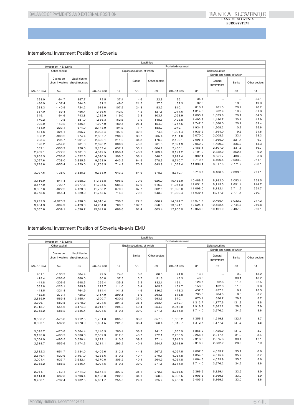#### International Investment Position of Slovenia

|                |                               |                                    |                                                                        |         |       | Liabilities   |                |          |                           |          |               |
|----------------|-------------------------------|------------------------------------|------------------------------------------------------------------------|---------|-------|---------------|----------------|----------|---------------------------|----------|---------------|
|                | investment in Slovenia        |                                    | Portfolio investment<br>Equity securities, of which<br>Debt securities |         |       |               |                |          |                           |          |               |
|                | Other capital                 |                                    |                                                                        |         |       |               |                |          |                           |          |               |
|                |                               |                                    |                                                                        |         |       |               |                |          | Bonds and notes, of which |          |               |
|                | Claims on<br>direct investors | Liabilities to<br>direct investors |                                                                        |         | Banks | Other sectors |                |          | General<br>government     | Banks    | Other sectors |
| $53 - 55 + 54$ | 54                            | 55                                 | $56 = 57 + 60$                                                         | 57      | 58    | 59            | $60 = 61 + 65$ | 61       | 62                        | 63       | 64            |
|                |                               |                                    |                                                                        |         |       |               |                |          |                           |          |               |
| 293.0          | $-94.7$                       | 387.7                              | 72.5                                                                   | 37.4    | 14.6  | 22.8          | 35.1           | 35.1     | $\cdots$                  | $\cdots$ | 35.1          |
| 436.9          | $-107.4$                      | 544.3                              | 81.2                                                                   | 49.0    | 21.5  | 27.5          | 32.3           | 32.3     | $\cdots$                  | 13.3     | 19.0          |
| 583.3          | $-140.9$                      | 724.2                              | 918.0                                                                  | 107.9   | 24.3  | 83.5          | 810.1          | 810.1    | 761.5                     | 20.4     | 28.2          |
| 587.0          | $-169.4$                      | 756.4                              | 1,156.6                                                                | 142.0   | 14.2  | 127.8         | 1,014.6        | 1,014.6  | 962.9                     | 19.9     | 31.8          |
| 649.1          | $-94.6$                       | 743.8                              | 1,212.9                                                                | 119.0   | 15.3  | 103.7         | 1,093.9        | 1,093.9  | 1,039.6                   | 20.1     | 34.3          |
| 770.2          | $-110.8$                      | 881.0                              | 1,656.3                                                                | 162.6   | 13.9  | 148.6         | 1,493.8        | 1,493.8  | 1,430.7                   | 20.1     | 42.9          |
| 992.9          | $-143.2$                      | 1,136.1                            | 1,927.9                                                                | 180.4   | 26.4  | 154.0         | 1,747.5        | 1,747.5  | 1,688.0                   | 20.1     | 39.4          |
| 451.0          | $-223.1$                      | 674.0                              | 2,143.9                                                                | 194.9   | 11.7  | 183.2         | 1,949.1        | 1,934.2  | 1,908.2                   | 0.3      | 25.6          |
| 481.6          | $-324.1$                      | 805.7                              | 2,098.4                                                                | 107.0   | 32.2  | 74.8          | 1,991.4        | 1,935.2  | 1,894.0                   | 19.6     | 21.6          |
| 608.2          | $-366.2$                      | 974.4                              | 2,337.7                                                                | 236.2   | 30.7  | 205.4         | 2,101.6        | 2,070.0  | 2,008.3                   | 33.4     | 28.3          |
| 705.4          | $-295.7$                      | 1,001.2                            | 2,320.1                                                                | 211.0   | 34.8  | 176.2         | 2,109.1        | 2,096.1  | 1,865.0                   | 221.4    | 9.7           |
| 526.2          | $-454.8$                      | 981.0                              | 2,398.2                                                                | 306.9   | 45.6  | 261.3         | 2,091.3        | 2,069.9  | 1,720.3                   | 336.3    | 13.3          |
| 539.1          | $-388.9$                      | 928.0                              | 3,137.4                                                                | 657.2   | 53.1  | 604.1         | 2,480.1        | 2,456.4  | 2,107.9                   | 331.8    | 16.7          |
| 2,989.1        | $-772.5$                      | 3,761.6                            | 4,549.5                                                                | 1,358.4 | 148.9 | 1.209.4       | 3,191.2        | 3,191.2  | 2,832.2                   | 352.7    | 6.2           |
| 3,763.5        | $-788.8$                      | 4,552.3                            | 4,590.9                                                                | 598.5   | 58.1  | 540.5         | 3,992.4        | 3,992.4  | 3,551.7                   | 436.9    | 3.8           |
| 3,097.6        | $-738.0$                      | 3,835.6                            | 9,353.9                                                                | 643.2   | 64.9  | 578.3         | 8,710.7        | 8,710.7  | 6,406.5                   | 2,033.0  | 271.1         |
| 3,273.6        | $-955.4$                      | 4,229.0                            | 11.753.5                                                               | 714.2   | 70.2  | 643.9         | 11,039.4       | 11,039.4 | 8,017.5                   | 2,771.7  | 250.1         |
| 3,097.6        | $-738.0$                      | 3,835.6                            | 9,353.9                                                                | 643.2   | 64.9  | 578.3         | 8,710.7        | 8,710.7  | 6,406.5                   | 2,033.0  | 271.1         |
| 3,116.9        | $-841.4$                      | 3,958.2                            | 11,185.8                                                               | 696.9   | 70.9  | 626.0         | 10,488.9       | 10,488.9 | 8,182.0                   | 2,053.4  | 253.5         |
| 3,177.9        | $-799.7$                      | 3,977.6                            | 11,735.5                                                               | 684.2   | 67.9  | 616.2         | 11,051.3       | 11,051.3 | 8,115.3                   | 2,691.4  | 244.7         |
| 3,307.6        | $-822.2$                      | 4,129.8                            | 11,768.2                                                               | 670.2   | 67.7  | 602.5         | 11,098.0       | 11,098.0 | 8,132.1                   | 2,711.2  | 254.7         |
| 3,273.6        | $-955.4$                      | 4,229.0                            | 11,753.5                                                               | 714.2   | 70.2  | 643.9         | 11,039.4       | 11,039.4 | 8,017.5                   | 2,771.7  | 250.1         |
| 3,272.3        | $-1,025.9$                    | 4,298.3                            | 14,813.4                                                               | 738.7   | 72.5  | 666.2         | 14,074.7       | 14,074.7 | 10,795.4                  | 3,032.2  | 247.2         |
| 3,464.3        | $-964.9$                      | 4,429.3                            | 14,284.8                                                               | 760.7   | 102.7 | 658.0         | 13,524.1       | 13,524.1 | 10,522.4                  | 2,744.8  | 256.8         |
| 3,687.6        | $-909.1$                      | 4.596.7                            | 13.642.8                                                               | 686.8   | 81.4  | 605.4         | 12.956.0       | 12,956.0 | 10.191.9                  | 2.497.9  | 266.1         |

|                |                               |                                    |                |       |                             | Liabilities   |                      |         |                           |       |               |
|----------------|-------------------------------|------------------------------------|----------------|-------|-----------------------------|---------------|----------------------|---------|---------------------------|-------|---------------|
|                | investment in Slovenia        |                                    |                |       |                             |               | Portfolio investment |         |                           |       |               |
|                | Other capital                 |                                    |                |       | Equity securities, of which |               |                      |         | Debt securities           |       |               |
|                |                               |                                    |                |       |                             |               |                      |         | Bonds and notes, of which |       |               |
|                | Claims on<br>direct investors | Liabilities to<br>direct investors |                |       | Banks                       | Other sectors |                      |         | General<br>government     | Banks | Other sectors |
| $53 = 55 + 54$ | 54                            | 55                                 | $56 = 57 + 60$ | 57    | 58                          | 59            | $60 = 61 + 65$       | 61      | 62                        | 63    | 64            |
|                |                               |                                    |                |       |                             |               |                      |         |                           |       |               |
| 401.1          | $-183.2$                      | 584.4                              | 99.5           | 74.6  | 8.3                         | 66.3          | 24.8                 | 13.3    | $\cdots$                  | 0.2   | 13.2          |
| 413.4          | $-266.6$                      | 680.0                              | 80.8           | 37.5  | 5.7                         | 31.8          | 43.3                 | 43.3    | $\cdots$                  | 30.1  | 13.2          |
| 441.8          | $-206.5$                      | 648.3                              | 269.4          | 135.3 | 3.2                         | 132.1         | 134.1                | 126.7   | 92.8                      | 11.5  | 22.5          |
| 562.8          | $-223.1$                      | 785.9                              | 272.7          | 111.0 | 5.4                         | 105.6         | 161.7                | 153.8   | 132.3                     | 11.8  | 9.6           |
| 443.5          | $-321.4$                      | 764.9                              | 614.4          | 141.1 | 4.6                         | 136.5         | 473.3                | 457.3   | 437.1                     | 6.9   | 13.3          |
| 452.8          | $-273.1$                      | 725.9                              | 1.117.9        | 299.1 | 5.6                         | 293.5         | 818.8                | 795.0   | 784.5                     | 6.8   | 3.7           |
| 2,885.9        | $-569.4$                      | 3,455.4                            | 1,300.7        | 630.6 | 37.0                        | 593.6         | 670.1                | 670.1   | 636.7                     | 29.7  | 3.7           |
| 3,396.1        | $-582.8$                      | 3,978.9                            | 1,604.5        | 291.8 | 38.4                        | 253.4         | 1,312.7              | 1,312.7 | 1,177.6                   | 131.3 | 3.8           |
|                | $-555.6$                      |                                    |                |       |                             |               |                      | 2,918.9 | 2,882.2                   | 28.8  | 7.9           |
| 2,918.7        |                               | 3,474.3                            | 3,214.1        | 295.2 | 40.4                        | 254.7         | 2,918.9              | 3,714.0 | 3,676.2                   | 34.2  | 3.6           |
| 2,958.2        | $-688.2$                      | 3,646.4                            | 4,024.5        | 310.5 | 39.0                        | 271.5         | 3,714.0              |         |                           |       |               |
| 3,336.7        | $-575.8$                      | 3,912.5                            | 1,751.6        | 395.3 | 38.3                        | 357.0         | 1,356.2              | 1,356.2 | 1,219.8                   | 132.7 | 3.7           |
| 3,396.1        | $-582.8$                      | 3.978.9                            | 1.604.5        | 291.8 | 38.4                        | 253.4         | 1,312.7              | 1,312.7 | 1,177.6                   | 131.3 | 3.8           |
|                |                               |                                    |                |       |                             |               |                      |         |                           |       |               |
| 3,093.7        | $-470.8$                      | 3,564.4                            | 2,146.3        | 280.4 | 38.9                        | 241.5         | 1,865.9              | 1,865.9 | 1,725.9                   | 131.2 | 8.7           |
| 3,173.6        | $-463.2$                      | 3,636.8                            | 2,569.3        | 312.8 | 40.7                        | 272.1         | 2,256.5              | 2,256.5 | 2,217.1                   | 31.0  | 8.4           |
| 3,054.9        | $-495.5$                      | 3,550.4                            | 3,229.1        | 310.8 | 39.3                        | 271.4         | 2,918.3              | 2,918.3 | 2,875.8                   | 30.4  | 12.1          |
| 2,918.7        | $-555.6$                      | 3,474.3                            | 3,214.1        | 295.2 | 40.4                        | 254.7         | 2,918.9              | 2,918.9 | 2,882.2                   | 28.8  | 7.9           |
|                |                               |                                    |                |       |                             |               |                      |         |                           |       |               |
| 2,782.3        | $-651.7$                      | 3,434.0                            | 4,409.6        | 312.1 | 44.8                        | 267.3         | 4,097.5              | 4,097.5 | 4,053.7                   | 35.1  | 8.6           |
| 2,846.4        | $-620.6$                      | 3,467.0                            | 4,365.6        | 310.8 | 40.7                        | 270.1         | 4,054.8              | 4,054.8 | 4,015.9                   | 35.2  | 3.7           |
| 3,004.4        | $-627.7$                      | 3,632.1                            | 4,370.0        | 305.2 | 40.4                        | 264.9         | 4,064.8              | 4,064.8 | 4,025.9                   | 35.3  | 3.6           |
| 2.958.2        | $-688.2$                      | 3,646.4                            | 4,024.5        | 310.5 | 39.0                        | 271.5         | 3.714.0              | 3,714.0 | 3,676.2                   | 34.2  | 3.6           |
|                |                               |                                    |                |       |                             |               |                      |         |                           |       |               |
| 2,961.1        | $-753.1$                      | 3,714.2                            | 5,674.4        | 307.9 | 35.1                        | 272.8         | 5,366.5              | 5,366.5 | 5,329.1                   | 33.5  | 3.9           |
| 3,114.0        | $-682.5$                      | 3,796.4                            | 6,198.8        | 292.3 | 34.1                        | 258.3         | 5,906.5              | 5,906.5 | 5,869.6                   | 33.0  | 3.9           |
| 3,230.1        | $-702.4$                      | 3,932.5                            | 5,661.7        | 255.8 | 29.9                        | 225.9         | 5.405.9              | 5,405.9 | 5.369.3                   | 33.0  | 3.6           |
|                |                               |                                    |                |       |                             |               |                      |         |                           |       |               |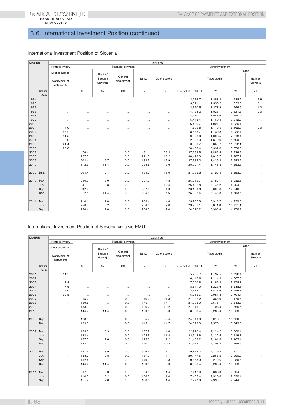**EUROSYSTEM**

# 3.6. International Investment Position (continued)

#### International Investment Position of Slovenia

| Mio EUR |        |                   |          |           |                     |          | Liabilities   |                          |                  |          |          |
|---------|--------|-------------------|----------|-----------|---------------------|----------|---------------|--------------------------|------------------|----------|----------|
|         |        | Portfolio invest. |          |           | Financial derivates |          |               |                          | Other investment |          |          |
|         |        | Debt securities   |          |           |                     |          |               |                          |                  |          | Loans    |
|         |        |                   |          | Bank of   | General             |          |               |                          |                  |          |          |
|         |        | Money market      |          | Slovenia  | government          | Banks    | Other sectors |                          | Trade credits    |          | Bank of  |
|         |        | instruments       |          | Slovenije |                     |          |               |                          |                  |          | Slovenia |
|         |        |                   |          |           |                     |          |               |                          |                  |          |          |
|         | Column | 65                | 66       | 67        | 68                  | 69       | 70            | $71 = 72 + 73 + 78 + 81$ | 72               | 73       | 74       |
|         | Code   |                   |          |           |                     |          |               |                          |                  |          |          |
| 1994    |        | $\cdots$          | $\cdots$ | $\cdots$  | $\cdots$            |          | $\cdots$      | 3,076.7                  | 1,258.4          | 1,538.5  | 5.9      |
| 1995    |        |                   |          |           | $\cdots$            |          | $\ddotsc$     | 3,521.1                  | 1,356.2          | 1,859.3  | 3.1      |
| 1996    |        |                   |          |           | $\cdots$            |          | $\cdots$      | 3,660.5                  | 1,278.9          | 1,969.5  | 1.0      |
| 1997    |        |                   |          |           | $\cdots$            |          | $\cdots$      | 4,152.2                  | 1,523.7          | 2,221.6  | 0.0      |
| 1998    |        |                   | $\cdots$ | $\cdots$  | $\cdots$            | $\cdots$ | $\cdots$      | 4,470.1                  | 1,548.6          | 2,490.0  | $\cdots$ |
| 1999    |        | $\cdots$          | $\cdots$ | $\cdots$  | $\cdots$            | $\cdots$ | $\cdots$      | 5,473.4                  | 1,760.4          | 3,212.9  | $\cdots$ |
| 2000    |        | $\cdots$          | $\cdots$ |           | $\cdots$            | $\cdots$ | $\cdots$      | 6,430.7                  | 1,921.1          | 4,030.1  | $\cdots$ |
| 2001    |        | 14.9              | $\cdots$ |           | $\cdots$            | $\cdots$ | $\cdots$      | 7,632.8                  | 1,749.5          | 5,162.3  | 0.0      |
| 2002    |        | 56.2              | $\cdots$ |           | $\cdots$            | $\cdots$ | $\cdots$      | 8,563.7                  | 1,730.3          | 5,932.4  | $\cdots$ |
| 2003    |        | 31.5              | $\cdots$ | $\cdots$  | $\cdots$            | $\cdots$ | $\cdots$      | 9,963.6                  | 1,693.5          | 7,013.4  | $\cdots$ |
| 2004    |        | 13.0              | $\cdots$ |           | $\cdots$            | $\cdots$ | $\cdots$      | 12,102.0                 | 1,879.0          | 8,699.9  | $\cdots$ |
| 2005    |        | 21.4              | $\cdots$ | $\cdots$  | $\cdots$            | $\cdots$ | $\cdots$      | 16,990.7                 | 2,855.2          | 11,612.1 | $\cdots$ |
| 2006    |        | 23.8              | $\cdots$ | $\cdots$  | $\cdots$            | $\cdots$ | $\cdots$      | 20,468.4                 | 3,337.0          | 13,576.8 | $\cdots$ |
| 2007    |        | $\cdots$          | 76.4     | $\cdots$  | 0.0                 | 51.1     | 25.3          | 27,599.5                 | 3,855.5          | 15,636.2 |          |
| 2008    |        | $\cdots$          | 227.5    | $\cdots$  | 0.0                 | 211.3    | 16.2          | 30,423.0                 | 4,018.7          | 17,987.2 | $\cdots$ |
| 2009    |        | $\cdots$          | 204.4    | 2.7       | 0.0                 | 184.9    | 16.9          | 27,385.2                 | 3,429.4          | 15,583.2 | $\cdots$ |
| 2010    |        | $\cdots$          | 312.5    | 11.4      | 0.0                 | 295.6    | 5.6           | 25,027.4                 | 3,748.3          | 14,653.6 | $\cdots$ |
| 2009    | Dec.   |                   | 204.4    | 2.7       | 0.0                 | 184.9    | 16.9          | 27,385.2                 | 3,429.4          | 15,583.2 | $\cdots$ |
| 2010    | Mar.   | $\cdots$          | 240.9    | 8.9       | 0.0                 | 227.2    | 4.8           | 25,912.7                 | 3,482.1          | 15,032.6 |          |
|         | Jun.   | $\cdots$          | 341.3    | 9.8       | 0.0                 | 321.1    | 10.4          | 26,421.8                 | 3,746.2          | 14,904.3 | $\cdots$ |
|         | Sep.   | $\cdots$          | 292.2    | $\cdots$  | 0.0                 | 287.6    | 4.6           | 26,189.3                 | 3,696.8          | 14,940.6 | $\cdots$ |
|         | Dec.   |                   | 312.5    | 11.4      | 0.0                 | 295.6    | 5.6           | 25,027.4                 | 3,748.3          | 14,653.6 |          |
| 2011    | Mar.   |                   | 210.1    | 2.0       | 0.0                 | 203.4    | 4.6           | 23,987.8                 | 3,910.7          | 14,229.3 | $\cdots$ |
|         | Jun.   |                   | 256.6    | 0.2       | 0.0                 | 254.3    | 2.0           | 23,951.1                 | 3,871.8          | 13,911.1 | $\cdots$ |
|         | Sep.   |                   | 258.4    | 2.0       | 0.0                 | 254.3    | 2.0           | 24,620.2                 | 3,906.4          | 14,176.7 |          |

| Mio EUR   |        |                             |           |                                  |                       |           | Liabilities   |                          |                  |          |                     |
|-----------|--------|-----------------------------|-----------|----------------------------------|-----------------------|-----------|---------------|--------------------------|------------------|----------|---------------------|
|           |        | Portfolio invest.           |           |                                  | Financial derivates   |           |               |                          | Other investment |          |                     |
|           |        | Debt securities             |           |                                  |                       |           |               |                          |                  |          | Loans               |
|           |        | Money market<br>instruments |           | Bank of<br>Slovenia<br>Slovenije | General<br>government | Banks     | Other sectors |                          | Trade credits    |          | Bank of<br>Slovenia |
|           | Column | 65                          | 66        | 67                               | 68                    | 69        | 70            | $71 = 72 + 73 + 78 + 81$ | 72               | 73       | 74                  |
|           | Code   |                             |           |                                  |                       |           |               |                          |                  |          |                     |
| 2001      |        | 11.5                        | $\cdots$  | $\cdots$                         | $\cdots$              | $\cdots$  | $\cdots$      | 5,235.7                  | 1,137.5          | 3,798.4  | $\cdots$            |
| 2002      |        | $\ldots$                    | $\ddotsc$ |                                  | $\ddotsc$             | $\ddotsc$ | $\cdots$      | 6,113.6                  | 1,114.9          | 4,567.8  | $\cdots$            |
| 2003      |        | 7.4                         | $\cdots$  | $\cdots$                         | $\cdots$              | $\cdots$  | $\cdots$      | 7,200.8                  | 1,155.4          | 5,478.7  | $\cdots$            |
| 2004      |        | 7.9                         | $\cdots$  |                                  | $\cdots$              | $\cdots$  | $\cdots$      | 8,611.0                  | 1,225.6          | 6,638.3  | $\cdots$            |
| 2005      |        | 16.0                        | $\cdots$  |                                  | $\cdots$              | $\cdots$  | $\cdots$      | 12,688.7                 | 1,817.6          | 8,756.8  | $\cdots$            |
| 2006      |        | 23.8                        | $\cdots$  |                                  | $\cdots$              | $\cdots$  | $\ldots$      | 15,955.6                 | 2,081.8          | 10,794.7 | $\cdots$            |
| 2007      |        |                             | 65.2      | $\cdots$                         | 0.0                   | 40.9      | 24.3          | 21,087.2                 | 2,366.9          | 11,179.5 | $\cdots$            |
| 2008      |        | $\cdots$                    | 159.8     | $\cdots$                         | 0.0                   | 145.1     | 14.7          | 24,093.0                 | 2,575.1          | 13,643.8 | $\cdots$            |
| 2009      |        | $\cdots$                    | 133.0     | 2.7                              | 0.0                   | 120.2     | 10.2          | 21,315.1                 | 2,108.4          | 11,665.5 | $\cdots$            |
| 2010      |        | $\cdots$                    | 144.4     | 11.4                             | 0.0                   | 129.5     | 3.6           | 18,608.4                 | 2,235.4          | 10,568.0 | $\cdots$            |
| 2008 Sep. |        | $\cdots$                    | 118.8     | $\ddotsc$                        | 0.0                   | 65.4      | 53.4          | 24,649.8                 | 2,913.1          | 13,766.9 | $\cdots$            |
|           | Dec.   | $\cdots$                    | 159.8     | $\cdots$                         | 0.0                   | 145.1     | 14.7          | 24,093.0                 | 2,575.1          | 13,643.8 | $\cdots$            |
| 2009      | Mar.   |                             | 163.6     | 0.9                              | 0.0                   | 157.9     | 4.8           | 22,920.4                 | 2,224.2          | 13,660.4 |                     |
|           | Jun.   | $\cdots$                    | 134.4     | $\cdots$                         | 0.0                   | 122.6     | 11.8          | 22,348.6                 | 2,132.5          | 12,419.7 | $\cdots$            |
|           | Sep.   | $\cdots$                    | 137.8     | 2.8                              | 0.0                   | 125.8     | 9.2           | 21,409.2                 | 2,161.3          | 12,465.4 | $\cdots$            |
|           | Dec.   | $\cdots$                    | 133.0     | 2.7                              | 0.0                   | 120.2     | 10.2          | 21,315.1                 | 2,108.4          | 11,665.5 | $\cdots$            |
| 2010      | Mar.   |                             | 157.6     | 8.9                              | 0.0                   | 146.9     | 1.7           | 19,819.3                 | 2,139.3          | 11,171.4 | $\cdots$            |
|           | Jun.   | $\cdots$                    | 183.9     | 9.8                              | 0.0                   | 167.0     | 7.1           | 20,147.5                 | 2,256.2          | 10,960.9 | $\cdots$            |
|           | Sep.   |                             | 152.4     | $\cdots$                         | 0.0                   | 149.0     | 3.3           | 19,868.9                 | 2,212.6          | 10,959.6 |                     |
|           | Dec.   | $\cdots$                    | 144.4     | 11.4                             | 0.0                   | 129.5     | 3.6           | 18,608.4                 | 2,235.4          | 10,568.0 | $\cdots$            |
| 2011      | Mar.   | $\cdots$                    | 97.8      | 2.0                              | 0.0                   | 94.3      | 1.4           | 17,412.9                 | 2,383.9          | 9,994.3  | $\cdots$            |
|           | Jun.   |                             | 110.3     | 0.2                              | 0.0                   | 108.6     | 1.4           | 17,452.4                 | 2,328.6          | 9,730.4  |                     |
|           | Sep.   | $\cdots$                    | 111.9     | 2.0                              | 0.0                   | 108.5     | 1.4           | 17,997.8                 | 2,338.1          | 9,944.8  | $\cdots$            |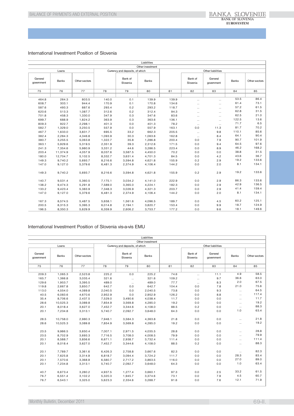#### International Investment Position of Slovenia

|                       |          |               |         |                                 | Liabilities      |       |                     |                       |       |               |
|-----------------------|----------|---------------|---------|---------------------------------|------------------|-------|---------------------|-----------------------|-------|---------------|
|                       |          |               |         |                                 | Other investment |       |                     |                       |       |               |
|                       | Loans    |               |         | Currency and deposits, of which |                  |       |                     | Other liabilities     |       |               |
| General<br>government | Banks    | Other sectors |         | Bank of<br>Slovenia             | Banks            |       | Bank of<br>Slovenia | General<br>government | Banks | Other sectors |
| 75                    | 76       | 77            | 78      | 79                              | 80               | 81    | 82                  | 83                    | 84    | 85            |
|                       |          |               |         |                                 |                  |       |                     |                       |       |               |
| 464.8                 | 264.3    | 803.5         | 140.0   | 0.1                             | 139.9            | 139.9 | $\cdots$            | $\ddotsc$             | 53.5  | 86.4          |
| 608.7                 | 303.1    | 944.4         | 170.9   | 0.1                             | 170.8            | 134.6 | $\cdots$            | $\cdots$              | 61.4  | 73.1          |
| 587.6                 | 493.3    | 887.6         | 293.4   | 0.2                             | 293.2            | 118.7 | $\cdots$            | $\cdots$              | 57.2  | 61.5          |
| 620.6                 | 513.3    | 1,087.7       | 312.6   | 0.2                             | 312.4            | 94.3  | $\cdots$            | $\cdots$              | 62.8  | 31.5          |
| 701.8                 | 458.3    | 1,330.0       | 347.9   | 0.3                             | 347.6            | 83.6  | $\cdots$            | $\cdots$              | 62.5  | 21.0          |
| 699.7                 | 688.9    | 1,824.2       | 363.9   | 0.3                             | 363.6            | 136.1 | $\cdots$            | $\cdots$              | 122.5 | 13.6          |
| 809.3                 | 922.7    | 2,298.1       | 401.3   | 0.0                             | 401.3            | 78.2  | $\cdots$            | $\ddotsc$             | 71.7  | 6.5           |
| 582.7                 | 1,329.0  | 3,250.5       | 557.9   | 0.0                             | 557.9            | 163.1 | 0.0                 | 11.3                  | 81.7  | 70.2          |
| 467.7                 | 1,633.0  | 3,831.7       | 695.5   | 33.2                            | 662.3            | 205.5 | $\cdots$            | 9.8                   | 110.1 | 85.6          |
| 382.4                 | 2,284.3  | 4,346.8       | 1,093.9 | 30.3                            | 1,063.6          | 162.8 | $\cdots$            | 8.4                   | 64.1  | 90.4          |
| 380.7                 | 3,255.5  | 5.063.8       | 1.322.7 | 35.8                            | 1,286.8          | 200.4 | 0.0                 | 7.9                   | 90.7  | 101.9         |
| 363.1                 | 5,929.6  | 5,319.5       | 2,351.9 | 39.3                            | 2,312.6          | 171.5 | 0.0                 | 9.4                   | 64.5  | 97.6          |
| 241.3                 | 7,354.6  | 5,980.9       | 3,331.2 | 44.6                            | 3,286.5          | 223.4 | 0.0                 | 8.9                   | 46.2  | 168.2         |
| 203.4                 | 11,374.9 | 4,057.9       | 8,037.6 | 3,587.5                         | 4,450.0          | 70.2  | 0.0                 | 0.0                   | 38.8  | 31.5          |
| 180.0                 | 12.704.7 | 5,102.5       | 8,332.7 | 3,631.4                         | 4,701.3          | 84.5  | 0.0                 | 4.2                   | 43.6  | 36.7          |
| 149.3                 | 9.740.2  | 5,693.7       | 8,216.6 | 3,594.8                         | 4,621.8          | 155.9 | 0.2                 | 2.9                   | 19.2  | 133.6         |
| 147.0                 | 9,127.0  | 5,379.6       | 6,481.3 | 2,374.9                         | 4,106.4          | 144.2 | 0.0                 | 2.0                   | 8.1   | 134.1         |
| 149.3                 | 9,740.2  | 5,693.7       | 8,216.6 | 3,594.8                         | 4,621.8          | 155.9 | 0.2                 | 2.9                   | 19.2  | 133.6         |
| 140.7                 | 9,531.4  | 5,360.5       | 7,175.1 | 3,034.2                         | 4,141.0          | 222.9 | 0.0                 | 2.9                   | 86.3  | 133.6         |
| 138.2                 | 9.474.3  | 5,291.8       | 7.589.0 | 3,365.0                         | 4.224.1          | 182.3 | 0.0                 | 2.9                   | 42.9  | 136.5         |
| 133.2                 | 9,423.4  | 5.383.9       | 7,348.3 | 3,026.9                         | 4,321.3          | 203.7 | 0.0                 | 2.9                   | 41.4  | 159.4         |
| 147.0                 | 9,127.0  | 5,379.6       | 6,481.3 | 2,374.9                         | 4,106.4          | 144.2 | 0.0                 | 2.0                   | 8.1   | 134.1         |
| 167.3                 | 8,574.5  | 5,487.5       | 5,658.1 | 1,561.6                         | 4,096.5          | 189.7 | 0.0                 | 4.5                   | 60.2  | 125.1         |
| 200.5                 | 8,315.3  | 5,395.3       | 6,014.8 | 2,194.1                         | 3,820.7          | 153.4 | 0.0                 | 9.9                   | 18.7  | 124.9         |
| 196.5                 | 8,350.3  | 5,629.9       | 6,359.9 | 2,606.2                         | 3,753.7          | 177.2 | 0.0                 | 9.6                   | 18.1  | 149.6         |

|                       |          |               |         |                                 | Liabilities      |       |                     |                       |          |               |
|-----------------------|----------|---------------|---------|---------------------------------|------------------|-------|---------------------|-----------------------|----------|---------------|
|                       |          |               |         |                                 | Other investment |       |                     |                       |          |               |
|                       | Loans    |               |         | Currency and deposits, of which |                  |       |                     | Other liabilities     |          |               |
| General<br>government | Banks    | Other sectors |         | Bank of<br>Slovenia             | Banks            |       | Bank of<br>Slovenia | General<br>government | Banks    | Other sectors |
| 75                    | 76       | 77            | 78      | 79                              | 80               | 81    | 82                  | 83                    | 84       | 85            |
|                       |          |               |         |                                 |                  |       |                     |                       |          |               |
| 209.3                 | 1,065.3  | 2,523.8       | 225.2   | 0.0                             | 225.2            | 74.6  | $\cdots$            | 11.1                  | 4.9      | 58.5          |
| 165.7                 | 1.366.8  | 3.035.4       | 321.6   | $\cdots$                        | 321.6            | 109.2 | $\cdots$            | 9.7                   | 36.6     | 63.0          |
| 129.6                 | 1,953.7  | 3,395.5       | 489.0   | $\cdots$                        | 489.0            | 77.7  | $\cdots$            | 8.3                   | 2.0      | 67.5          |
| 119.8                 | 2.667.8  | 3.850.7       | 642.7   | 0.0                             | 642.7            | 104.4 | 0.0                 | 7.8                   | 21.0     | 75.6          |
| 113.0                 | 4,554.0  | 4,089.8       | 2,040.5 | 0.0                             | 2,040.5          | 73.8  | 0.0                 | 9.3                   | $\cdots$ | 64.5          |
| 40.5                  | 6.083.6  | 4.670.6       | 2,952.9 | 0.0                             | 2,952.9          | 126.2 | 0.0                 | 8.8                   | $\cdots$ | 117.4         |
| 35.4                  | 8,706.6  | 2,437.5       | 7,529.0 | 3,490.6                         | 4,038.4          | 11.7  | 0.0                 | 0.0                   | $\cdots$ | 11.7          |
| 28.6                  | 10,525.3 | 3,089.8       | 7,854.9 | 3,569.8                         | 4,285.0          | 19.2  | 0.0                 | 0.0                   | $\cdots$ | 19.2          |
| 20.1                  | 8,018.4  | 3,627.0       | 7,452.7 | 3,344.6                         | 4,108.0          | 88.5  | 0.2                 | 0.0                   | $\cdots$ | 88.3          |
| 20.1                  | 7,234.8  | 3,313.1       | 5,740.7 | 2,092.7                         | 3,648.0          | 64.3  | 0.0                 | 0.0                   | 1.0      | 63.4          |
| 28.5                  | 10,758.0 | 2,980.3       | 7,948.1 | 3,584.3                         | 4,363.8          | 21.8  | 0.0                 | 0.0                   | $\cdots$ | 21.8          |
| 28.6                  | 10,525.3 | 3,089.8       | 7,854.9 | 3,569.8                         | 4,285.0          | 19.2  | 0.0                 | 0.0                   | $\cdots$ | 19.2          |
| 23.5                  | 9,986.5  | 3,650.4       | 7,007.1 | 2,971.5                         | 4,035.5          | 28.8  | 0.0                 | 0.0                   |          | 28.8          |
| 23.5                  | 8,702.9  | 3,693.3       | 7,716.5 | 3,708.0                         | 4,008.5          | 79.9  | 0.0                 | 0.0                   | $\cdots$ | 79.9          |
| 20.1                  | 8,588.7  | 3,856.6       | 6,671.1 | 2,938.7                         | 3,732.4          | 111.4 | 0.0                 | 0.0                   | $\cdots$ | 111.4         |
| 20.1                  | 8,018.4  | 3,627.0       | 7,452.7 | 3,344.6                         | 4,108.0          | 88.5  | 0.2                 | 0.0                   | $\cdots$ | 88.3          |
| 20.1                  | 7,789.7  | 3,361.6       | 6,426.3 | 2,758.8                         | 3,667.6          | 82.3  | 0.0                 | 0.0                   | $\cdots$ | 82.3          |
| 20.1                  | 7.625.8  | 3.314.9       | 6.818.7 | 3.094.4                         | 3.724.2          | 111.7 | 0.0                 | 0.0                   | 28.3     | 83.4          |
| 20.1                  | 7.570.6  | 3.368.9       | 6,580.7 | 2,717.2                         | 3,863.5          | 116.0 | 0.0                 | 0.0                   | 27.0     | 89.0          |
| 20.1                  | 7,234.8  | 3.313.1       | 5,740.7 | 2,092.7                         | 3,648.0          | 64.3  | 0.0                 | 0.0                   | 1.0      | 63.4          |
| 40.7                  | 6,673.4  | 3,280.2       | 4,937.5 | 1,277.4                         | 3,660.1          | 97.3  | 0.0                 | 2.5                   | 33.2     | 61.5          |
| 76.7                  | 6,551.4  | 3,102.2       | 5,320.3 | 1,945.7                         | 3,374.6          | 73.1  | 0.0                 | 7.9                   | 4.5      | 60.7          |
| 76.7                  | 6,543.1  | 3,325.0       | 5,623.3 | 2,334.6                         | 3,288.7          | 91.6  | 0.0                 | 7.6                   | 12.1     | 71.9          |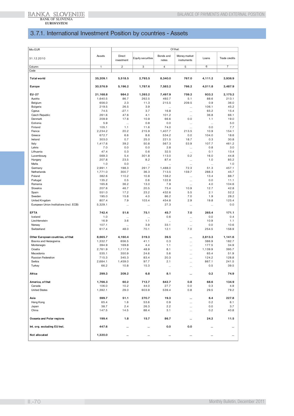**EUROSYSTEM**

## 3.7.1. International Investment Position by countries - Assets

| Mio EUR                                 |          |                      |                   |                    | Of that:                    |           |                |
|-----------------------------------------|----------|----------------------|-------------------|--------------------|-----------------------------|-----------|----------------|
| 31.12.2010                              | Assets   | Direct<br>investment | Equity securities | Bonds and<br>notes | Money market<br>instruments | Loans     | Trade credits  |
| Column                                  | 1        | $\overline{c}$       | 3                 | $\overline{4}$     | 5                           | 6         | $\overline{7}$ |
| Code                                    |          |                      |                   |                    |                             |           |                |
| <b>Total world</b>                      | 35,209.1 | 5,518.5              | 2,793.5           | 8,340.0            | 767.0                       | 4,111.2   | 3,936.9        |
| Europe                                  | 30,576.9 | 5,196.2              | 1,787.6           | 7,583.2            | 766.2                       | 4,011.8   | 3,487.9        |
| EU-27                                   | 21,168.8 | 984.2                | 1,393.2           | 7,497.9            | 759.2                       | 933.2     | 2,175.2        |
| Austria                                 | 1,640.5  | 86.7                 | 262.5             | 492.7              | 5.1                         | 88.6      | 213.1          |
| Belgium                                 | 656.0    | 2.3                  | 11.3              | 215.5              | 209.5                       | 0.9       | 36.0           |
| Bulgaria                                | 219.5    | 26.5                 | 3.9               | $\ddotsc$          |                             | 106.1     | 45.2           |
| Cyprus                                  | 74.5     | $-27.1$              | 3.7               | 16.8               | $\ddotsc$                   | 65.2      | 15.4           |
| Czech Republic                          | 261.6    | 47.6                 | 4.1               | 101.2              | $\cdots$                    | 36.8      | 66.1           |
| Denmark                                 | 209.9    | 17.6                 | 10.9              | 66.6               | 0.0                         | 1.1       | 19.0           |
| Estionia                                | 5.9      | $\ddotsc$            | 0.8               | 0.0                | $\ddotsc$                   | $\ddotsc$ | 5.0            |
| Finland                                 | 105.1    | 1.1                  | 11.6              | 74.0               | $\cdots$                    | 0.0       | 7.7            |
| France                                  | 2,234.2  | 20.2                 | 215.9             | 1,407.7            | 213.5                       | 10.9      | 154.1          |
| Greece                                  | 672.7    | 6.6                  | 8.6               | 534.2              | 0.0                         | 104.0     | 18.6           |
| Ireland                                 | 303.0    | 0.7                  | 25.0              | 221.5              | 18.7                        | 0.3       | 30.8           |
| Italy                                   | 1,417.6  | 39.2                 | 50.8              | 567.3              | 53.9                        | 107.7     | 461.2          |
| Latvia                                  | 7.0      | 0.0                  | 0.0               | 2.8                |                             | 0.8       | 3.0            |
| Lithuania                               | 47.4     | 0.3                  | 0.6               | 32.5               | $\cdots$                    | 0.1       | 13.4           |
| Luxembourg                              | 569.3    | 5.4                  | 301.8             | 113.0              | 0.2                         | 16.0      | 44.8           |
| Hungary                                 | 207.8    | 23.5                 | 8.2               | 87.4               | $\ddotsc$                   | 1.0       | 85.2           |
| Malta                                   | 1.0      | 0.0                  |                   | $\ddotsc$          | $\ddotsc$                   |           | 1.0            |
| Germany                                 | 2,991.1  | 198.3                | 261.7             | 1,488.0            | 72.3                        | 51.3      | 457.1          |
| Netherlands                             | 1,771.0  | 300.7                | 36.3              | 713.5              | 159.7                       | 288.3     | 45.7           |
| Poland                                  | 382.6    | 110.2                | 10.8              | 158.2              | $\ddotsc$                   | 13.4      | 88.7           |
| Portugal                                | 135.2    | 0.5                  | 0.6               | 122.8              | $\cdots$                    | 0.0       | 11.1           |
| Romania                                 | 165.8    | 36.2                 | 13.0              | 7.9                | $\cdots$                    | 4.0       | 104.6          |
| Slovakia                                | 207.6    | 46.7                 | 20.5              | 73.4               | 10.9                        | 12.7      | 42.8           |
| Spain                                   | 551.0    | 17.2                 | 23.2              | 432.6              | 5.5                         | 2.1       | 52.2           |
| Sweden                                  | 195.0    | 15.8                 | 4.0               | 86.2               | 7.0                         | 1.9       | 28.2           |
| United Kingdom                          | 807.4    | 7.9                  | 103.4             | 454.8              | 2.9                         | 19.8      | 125.4          |
| European Union Institutions (incl. ECB) | 5,329.1  | $\ddotsc$            | $\ddotsc$         | 27.3               |                             | $\ddotsc$ | 0.0            |
| <b>EFTA</b>                             | 742.4    | 51.6                 | 75.1              | 45.7               | 7.0                         | 265.4     | 171.1          |
| Iceland                                 | 1.0      | $\ddotsc$            |                   | 0.6                | $\ddotsc$                   | 0.0       | 0.4            |
| Liechtenstein                           | 16.9     | 3.6                  | 1.1               | $\ddotsc$          | $\ddotsc$                   | 10.9      | 1.1            |
| Norway                                  | 107.1    |                      | 3.9               | 33.1               | $\cdots$                    | 0.0       | 10.6           |
| Switzerland                             | 617.4    | 48.0                 | 70.1              | 12.1               | 7.0                         | 254.5     | 158.9          |
| Other European countries, of that       | 8,665.7  | 4,160.4              | 319.3             | 39.5               |                             | 2,813.3   | 1,141.6        |
| Bosnia and Herzegovina                  | 1,332.7  | 656.5                | 41.1              | 0.3                | $\cdots$                    | 386.9     | 182.7          |
| Montenegro                              | 394.9    | 169.8                | 4.4               | 1.1                | $\cdots$                    | 177.5     | 34.9           |
| Croatia                                 | 2,761.9  | 1,117.9              | 48.9              | 8.1                | $\cdots$                    | 1,139.9   | 395.7          |
| Macedonia                               | 535.1    | 350.9                | 24.6              | 5.6                | $\ddotsc$                   | 65.4      | 51.9           |
| Russian Federation                      | 715.3    | 345.3                | 83.4              | 20.3               | $\cdots$                    | 124.2     | 128.8          |
| Serbia                                  | 2,684.1  | 1,459.0              | 97.7              | 2.1                |                             | 867.1     | 241.5          |
| Turkey                                  | 66.2     | 10.8                 | 15.3              | $\cdots$           | $\cdots$                    | 0.5       | 39.5           |
| Africa                                  | 299.3    | 209.2                | 6.8               | 8.1                |                             | 0.2       | 74.9           |
| America, of that                        | 1,766.3  | 60.2                 | 712.7             | 642.7              | 0.8                         | 68.6      | 134.9          |
| Canada                                  | 106.0    | 10.2                 | 44.0              | 27.7               | 0.0                         | 0.3       | 4.9            |
| <b>United States</b>                    | 1,392.1  | 29.0                 | 603.9             | 539.4              | 0.8                         | 29.5      | 79.2           |
| Asia                                    | 599.7    | 51.1                 | 270.7             | 19.3               | ă.                          | 6.4       | 227.8          |
| Hong Kong                               | 65.4     | 1.6                  | 53.6              | 0.9                | $\ddotsc$                   | 0.2       | 6.1            |
| Japan                                   | 38.7     | 2.4                  | 26.3              | 2.2                | $\cdots$                    | 0.0       | 3.7            |
| China                                   | 147.5    | 14.5                 | 88.4              | 3.1                |                             | 0.2       | 40.8           |
| Oceania and Polar regions               | 199.4    | 1.8                  | 15.7              | 86.7               | $\ddotsc$                   | 24.2      | 11.5           |
| Int. org. excluding EU Inst.            | 447.6    | $\cdots$             |                   | 0.0                | 0.0                         | $\cdots$  |                |
| Not allocated                           | 1,320.0  |                      |                   |                    | $\cdots$                    | $\cdots$  | $\sim$         |
|                                         |          |                      |                   |                    |                             |           |                |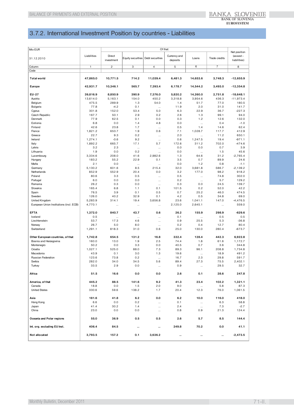## 3.7.2. International Investment Position by countries - Liabilities

| Mio EUR                                 |                |                      |                                     |                | Of that:                 |                    |                      |                                          |
|-----------------------------------------|----------------|----------------------|-------------------------------------|----------------|--------------------------|--------------------|----------------------|------------------------------------------|
| 31.12.2010                              | Liabilities    | Direct<br>investment | Equity securities   Debt securities |                | Currency and<br>deposits | Loans              | <b>Trade credits</b> | Net position<br>(assest-<br>liabilities) |
|                                         |                |                      |                                     |                |                          |                    |                      |                                          |
| Column                                  | $\mathbf{1}$   | $\overline{c}$       | 3                                   | $\overline{4}$ | 5                        | $\overline{6}$     | $\overline{7}$       | 8                                        |
| Code                                    |                |                      |                                     |                |                          |                    |                      |                                          |
| <b>Total world</b>                      | 47.865.0       | 10,771.5             | 714.2                               | 11,039.4       | 6,481.3                  | 14,653.6           | 3,748.3              | $-12,655.9$                              |
| Europe                                  | 42,931.7       | 10,346.1             | 565.7                               | 7,393.4        | 6,178.7                  | 14,544.2           | 3,493.0              | $-12,354.8$                              |
| EU-27                                   | 39,816.9       | 8,850.9              | 390.9                               | 7,376.0        | 5,820.2                  | 14,260.0           | 2,751.8              | $-18,648.1$                              |
| Austria                                 | 13,614.0       | 5,163.1              | 154.0                               | 450.2          | 3,318.8                  | 3,954.6            | 436.3                | $-11,973.4$                              |
| Belgium                                 | 475.5          | 289.9                | 1.3                                 | 54.0           | 1.4                      | 51.7               | 77.0                 | 180.5                                    |
| Bulgaria                                | 77.8           | $-4.2$               | 0.1                                 |                | 11.9                     | 2.0                | 31.0                 | 141.7                                    |
| Cyprus                                  | 301.8          | 152.0                | 53.4                                | 5.0            | 6.3                      | 22.9               | 36.7                 | $-227.3$                                 |
| Czech Republic                          | 167.7          | 50.1                 | 2.9                                 | 0.2            | 2.6                      | 1.3                | 99.1                 | 94.0                                     |
| Denmark                                 | 77.9           | 62.5                 | 0.1                                 | 0.0            | 0.3                      | 1.2                | 12.6                 | 132.0                                    |
| Estionia                                | 6.8            | 0.0                  | 1.4                                 | 4.8            | 0.0                      |                    | 0.4                  | $-1.0$                                   |
| Finland                                 | 42.6           | 23.8                 | 1.7                                 | $\ddotsc$      | 0.5                      | 1.4                | 14.6                 | 62.4                                     |
| France                                  | 1,821.2        | 653.7                | 1.9                                 | 0.6            | 7.1                      | 1,028.7            | 117.7                | 412.9                                    |
| Greece                                  | 22.7           | 9.3                  | 0.2                                 | $\ddotsc$      | 2.0                      | $\ddotsc$          | 11.2                 | 650.1                                    |
| Ireland                                 | 1,274.1        | $-3.6$               | 9.2                                 | $\ddotsc$      | 0.6                      | 1,247.5            | 19.4                 | $-971.1$                                 |
| Italy                                   | 1,892.2        | 665.7                | 17.1                                | 5.7            | 172.6                    | 311.2              | 702.0                | $-474.6$                                 |
| Latvia                                  | 3.2            | 2.3                  | $\cdots$                            |                | 0.0                      | 0.0                | 0.7                  | 3.9                                      |
| Lithuania                               | 1.9            | 0.0                  | 0.2                                 | $\ddotsc$      | 0.0                      | $\ddotsc$          | 1.5                  | 45.6                                     |
| Luxembourg                              | 3,334.6        | 208.0                | 41.6                                | 2,982.6        | 1.3                      | 64.6               | 31.2                 | $-2,765.4$                               |
| Hungary                                 | 183.2          | 55.2                 | 22.9                                | 0.1            | 3.5                      | 0.7                | 89.9                 | 24.6                                     |
| Malta                                   | 2.1            | 0.0                  |                                     |                | 0.0                      | 1.2                | 0.8                  | $-1.1$                                   |
| Germany                                 | 5,130.2        | 601.6                | 8.5                                 | 215.4          | 32.0                     | 3,681.8            | 586.7                | $-2,139.2$                               |
| Netherlands                             | 852.9          | 552.9                | 20.4                                | 0.0            | 3.2                      | 177.0              | 98.2                 | 918.2                                    |
| Poland                                  | 80.6           | 3.3                  | 0.5                                 |                | 0.5                      | $\cdots$           | 74.8                 | 302.0                                    |
| Portugal                                | 6.0            | 0.0                  | 0.0                                 |                | 0.2                      | $\cdots$           | 5.7                  | 129.2                                    |
| Romania                                 | 26.2           | 0.3                  | 0.0                                 | $\cdots$       | 0.3                      | 0.0                | 24.5                 | 139.7                                    |
| Slovakia                                | 165.4          | 6.8                  | 1.1                                 | 0.1            | 101.5                    | 0.2                | 52.0                 | 42.2                                     |
| Spain                                   | 76.5           | 3.9                  | 0.1                                 | 0.5            | 0.7                      | 25.2               | 46.0                 | 474.5                                    |
| Sweden                                  | 126.0          | 40.2                 | 32.9                                | 0.1            | 4.2                      | 0.5                | 34.8                 | 69.0                                     |
| United Kingdom                          | 5,283.9        | 314.1                | 19.4                                | 3,656.8        | 23.6                     | 1,041.1            | 147.0                | $-4,476.5$                               |
| European Union Institutions (incl. ECB) | 4,770.1        | $\cdots$             | $\cdots$                            |                | 2,125.0                  | 2,645.1            | $\cdots$             | 559.0                                    |
| <b>EFTA</b><br>Iceland                  | 1,372.0<br>0.5 | 840.7<br>$\cdots$    | 43.7<br>$\ddotsc$                   | 0.6<br>        | 26.2<br>0.1              | 155.9<br>$\ddotsc$ | 298.9<br>0.5         | $-629.6$<br>0.5                          |
| Liechtenstein                           | 53.7           | 17.3                 | 4.6                                 |                | 0.9                      | 25.5               | 5.3                  | $-36.8$                                  |
| Norway                                  | 26.7           | 5.0                  | 8.0                                 | <br>           | 0.2                      | 0.4                | 12.7                 | 80.4                                     |
| Switzerland                             | 1,291.1        | 818.3                | 31.0                                | 0.6            | 25.0                     | 130.0              | 280.4                | $-673.7$                                 |
| Other European countries, of that       | 1,742.8        | 654.5                | 131.2                               | 16.8           | 332.4                    | 128.4              | 442.3                | 6,922.8                                  |
| Bosnia and Herzegovina                  | 160.0          | 13.0                 | 1.9                                 | 2.5            | 74.4                     | 1.8                | 61.6                 | 1,172.7                                  |
| Montenegro                              | 50.2           | 0.0                  | 3.3                                 | 0.0            | 40.5                     | 0.7                | 3.6                  | 344.8                                    |
| Croatia                                 | 1,027.1        | 525.0                | 88.0                                | 7.3            | 89.3                     | 96.1               | 208.8                | 1,734.8                                  |
| Macedonia                               | 43.9           | 0.1                  | 3.0                                 | 1.3            | 19.6                     |                    | 18.9                 | 491.2                                    |
| Russian Federation                      | 123.6          | 73.8                 | 0.2                                 | $\cdots$       | 16.7                     | 2.3                | 29.8                 | 591.7                                    |
| Serbia                                  | 282.0          | 34.0                 | 34.5                                | 5.6            | 89.4                     | 27.3               | 75.5                 | 2,402.1                                  |
| Turkey                                  | 33.5           | 2.9                  | 0.0                                 | $\cdots$       | 0.9                      | $\cdots$           | 29.5                 | 32.7                                     |
| Africa                                  | 51.5           | 16.6                 | 0.0                                 | 0.0            | 2.6                      | 0.1                | 28.6                 | 247.8                                    |
| America, of that                        | 445.2          | 88.5                 | 141.6                               | 9.2            | 41.3                     | 23.4               | 102.2                | 1,321.1                                  |
| Canada                                  | 18.8           | 0.0                  | 1.5                                 | 2.0            | 9.0                      | $\cdots$           | 5.8                  | 87.3                                     |
| <b>United States</b>                    | 330.6          | 59.6                 | 138.2                               | 1.7            | 20.4                     | 12.3               | 76.0                 | 1,061.5                                  |
| Asia                                    | 181.6          | 41.8                 | 6.2                                 | 0.0            | 6.2                      | 10.0               | 116.0                | 418.0                                    |
| Hong Kong                               | 6.6            | 0.0                  | 0.2                                 | $\cdots$       | 0.1                      | $\cdots$           | 6.3                  | 58.8                                     |
| Japan                                   | 41.4           | 30.2                 | 1.4                                 | $\cdots$       | 2.4                      | $\ldots$           | 7.3                  | $-2.7$                                   |
| China                                   | 23.0           | 0.0                  | 0.0                                 | $\cdots$       | 0.8                      | 0.9                | 21.3                 | 124.4                                    |
| Oceania and Polar regions               | 55.0           | 36.9                 | 0.5                                 | 0.5            | 2.6                      | 5.7                | 8.5                  | 144.4                                    |
| Int. org. excluding EU Inst.            | 406.4          | 84.5                 | $\cdots$                            | $\sim$         | 249.8                    | 70.2               | 0.0                  | 41.1                                     |
| Not allocated                           | 3,793.5        | 157.2                | 0.1                                 | 3,636.2        |                          | $\sim$             | $\cdots$             | $-2,473.5$                               |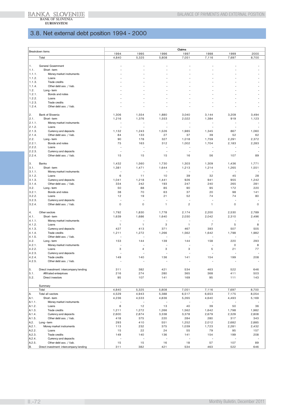**EUROSYSTEM**

## 3.8. Net external debt position 1994 - 2000

|        | Breakdown items                         |              |              |              | Claims         |                |       |             |
|--------|-----------------------------------------|--------------|--------------|--------------|----------------|----------------|-------|-------------|
|        |                                         | 1994         | 1995         | 1996         | 1997           | 1998           | 1999  | 2000        |
|        | Total                                   | 4,840        | 5,325        | 5,808        | 7,051          | 7,116          | 7,697 | 8,700       |
|        |                                         |              |              |              |                |                |       |             |
|        |                                         |              |              |              |                |                |       |             |
| 1.     | <b>General Government</b>               |              |              |              |                |                |       |             |
| 1.1.   | Short - term                            |              |              |              |                |                |       |             |
| 1.1.1. | Money market instruments                |              |              |              |                |                |       |             |
| 1.1.2. | Loans                                   |              |              |              |                |                |       |             |
| 1.1.3. | Trade credits                           |              |              |              |                |                |       |             |
| 1.1.4. | Other debt ass. / liab.                 |              |              |              |                |                |       |             |
|        |                                         |              |              |              |                |                |       |             |
| 1.2.   | Long - term                             |              |              |              |                |                |       |             |
| 1.2.1. | Bonds and notes                         |              |              |              |                |                |       |             |
| 1.2.2. | Loans                                   |              |              |              |                |                |       |             |
| 1.2.3. | Trade credits                           |              |              |              |                |                |       |             |
| 1.2.4. | Other debt ass. / liab.                 |              |              |              |                |                |       |             |
|        |                                         |              |              |              |                |                |       |             |
| 2.     | Bank of Slovenia                        | 1,306        | 1,554        | 1,880        | 3,040          | 3,144          | 3,209 | 3,494       |
| 2.1.   | Short - term                            | 1,216        | 1,376        | 1,553        | 2,022          | 1,384          | 919   | 1,123       |
|        |                                         |              |              |              |                |                |       |             |
| 2.1.1. | Money market instruments                |              |              |              |                |                |       |             |
| 2.1.2. | Loans                                   |              |              |              |                |                | ٠     |             |
| 2.1.3. | Currency and deposits                   | 1,132        | 1,243        | 1,526        | 1,985          | 1,345          | 867   | 1,060       |
| 2.1.4. | Other debt ass. / liab.                 | 84           | 133          | 27           | 37             | 39             | 52    | 62          |
| 2.2.   | Long - term                             | 90           | 178          | 327          | 1,018          | 1,759          | 2,291 | 2,372       |
| 2.2.1. | Bonds and notes                         | 75           | 163          | 312          | 1,002          | 1,704          | 2,183 | 2,283       |
| 2.2.2. | Loans                                   |              |              |              |                |                |       |             |
|        |                                         |              |              |              |                |                |       |             |
| 2.2.3. | Currency and deposits                   | ä,           |              |              | ×              | ÷              | ٠     |             |
| 2.2.4. | Other debt ass. / liab.                 | 15           | 15           | 15           | 16             | 56             | 107   | 89          |
|        |                                         |              |              |              |                |                |       |             |
| 3.     | Banks                                   | 1,432        | 1,560        | 1,730        | 1,303          | 1,309          | 1,436 | 1,771       |
| 3.1.   | Short - term                            | 1,381        | 1,471        | 1,644        | 1,213          | 1,214          | 1,265 | 1,551       |
| 3.1.1. | Money market instruments                |              |              |              |                |                |       |             |
| 3.1.2. | Loans                                   | 6            |              | 10           | 39             | 32             | 45    | 28          |
|        |                                         |              | 11           |              |                |                |       |             |
| 3.1.3. | Currency and deposits                   | 1,041        | 1,218        | 1,441        | 926            | 941            | 955   | 1,242       |
| 3.1.4. | Other debt ass. / liab.                 | 334          | 242          | 193          | 247            | 240            | 265   | 281         |
| 3.2.   | Long - term                             | 50           | 88           | 85           | 90             | 95             | 172   | 220         |
| 3.2.1. | Bonds and notes                         | 38           | 70           | 63           | 37             | 20             | 98    | 141         |
| 3.2.2. | Loans                                   | 12           | 19           | 21           | 52             | 74             | 74    | 80          |
| 3.2.3. | Currency and deposits                   |              |              |              | ٠              |                |       |             |
| 3.2.4. | Other debt ass. / liab.                 | $\circ$      | $\mathsf O$  | $\mathbf{1}$ | $\overline{c}$ | 1              | 0     | $\mathsf O$ |
|        |                                         |              |              |              |                |                |       |             |
|        |                                         |              |              |              |                |                |       |             |
| 4.     | Other sectors                           | 1,792        | 1,830        | 1,778        | 2,174          | 2,200          | 2,530 | 2,789       |
| 4.1.   | Short - term                            | 1,639        | 1,686        | 1,640        | 2,030          | 2,042          | 2,310 | 2,496       |
| 4.1.1. | Money market instruments                |              |              |              |                | J.             |       |             |
| 4.1.2. | Loans                                   | $\mathbf{1}$ | $\mathbf{1}$ | 3            | 1              | $\overline{7}$ | 5     | 8           |
| 4.1.3. | Currency and deposits                   | 427          | 413          | 371          | 467            | 393            | 507   | 505         |
| 4.1.4. | Trade credits                           | 1,211        | 1,272        | 1,266        | 1,562          | 1,642          | 1,798 | 1,982       |
| 4.1.5. | Other debt ass. / liab.                 |              |              |              |                | ×.             |       |             |
|        |                                         |              |              |              |                |                |       |             |
| 4.2.   | Long - term                             | 153          | 144          | 139          | 144            | 158            | 220   | 293         |
| 4.2.1. | Money market instruments                |              |              |              |                | ÷,             | 0     | 8           |
| 4.2.2. | Loans                                   | 3            | 4            | 3            | 3              | 5              | 21    | 77          |
| 4.2.3. | Currency and deposits                   |              |              |              |                | ä,             |       |             |
| 4.2.4. | Trade credits                           | 149          | 140          | 136          | 141            | 154            | 199   | 208         |
| 4.2.5. | Other debt ass. / liab.                 |              |              |              |                |                |       |             |
|        |                                         |              |              |              |                |                |       |             |
| 5.     |                                         | 311          | 382          | 421          | 534            | 463            | 522   | 646         |
|        | Direct investment: intercompany lending |              |              |              |                |                |       |             |
| 5.1.   | Affiliated enterprises                  | 216          | 274          | 280          | 365            | 368            | 411   | 503         |
| 5.2.   | Direct investors                        | 95           | 107          | 141          | 169            | 95             | 111   | 143         |
|        |                                         |              |              |              |                |                |       |             |
|        | Summary                                 |              |              |              |                |                |       |             |
|        | Total                                   | 4,840        | 5,325        | 5,808        | 7,051          | 7,116          | 7,697 | 8,700       |
| A.     | Total all sectors                       | 4,529        | 4,943        | 5,388        | 6,517          | 6,653          | 7,175 | 8,054       |
| A.1.   | Short - term                            | 4,236        | 4,533        | 4,836        | 5,265          | 4,640          | 4,493 | 5,169       |
| A.1.1. |                                         |              |              |              |                | ÷,             | ÷,    |             |
|        | Money market instruments                |              |              |              |                |                |       |             |
| A.1.2. | Loans                                   | 8            | 12           | 13           | 40             | 39             | 50    | 36          |
| A.1.3. | Trade credits                           | 1,211        | 1,272        | 1,266        | 1,562          | 1,642          | 1,798 | 1,982       |
| A.1.4. | Currency and deposits                   | 2,600        | 2,874        | 3,338        | 3,378          | 2,679          | 2,329 | 2,808       |
| A.1.5. | Other debt ass. / liab.                 | 418          | 375          | 220          | 284            | 280            | 317   | 343         |
| A.2.   | Long - term                             | 293          | 410          | 551          | 1,252          | 2,012          | 2,682 | 2,885       |
| A.2.1. | Money market instruments                | 113          | 232          | 375          | 1,039          | 1,723          | 2,281 | 2,432       |
|        |                                         |              |              |              |                |                |       |             |
| A.2.2. | Loans                                   | 15           | 22           | 24           | 55             | 79             | 95    | 157         |
| A.2.3. | Trade credits                           | 149          | 140          | 136          | 141            | 154            | 199   | 208         |
| A.2.4. | Currency and deposits                   |              |              |              |                | ٠              |       |             |
| A.2.5. | Other debt ass. / liab.                 | 15           | 15           | 16           | 18             | 57             | 107   | 89          |
| ΙB.    | Direct investment: intercompany lending | 311          | 382          | 421          | 534            | 463            | 522   | 646         |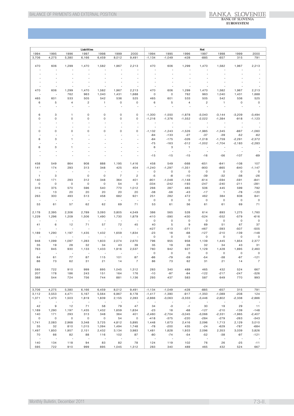#### BANKA SLOVENIJE BANK OF SLOVENIA **EUROSYSTEM**

|                          |                          |                          | Liabilities              |                          |                          |                          |                          |                               |                          | Net                      |                          |                          |                          |
|--------------------------|--------------------------|--------------------------|--------------------------|--------------------------|--------------------------|--------------------------|--------------------------|-------------------------------|--------------------------|--------------------------|--------------------------|--------------------------|--------------------------|
| 1994                     | 1995                     | 1996                     | 1997                     | 1998                     | 1999                     | 2000                     | 1994                     | 1995                          | 1996                     | 1997                     | 1998                     | 1999                     | 2000                     |
| 3,706                    | 4,275                    | 5,380                    | 6,166                    | 6,459                    | 8,012                    | 9,491                    | $-1, 134$                | $-1,049$                      | $-428$                   | $-885$                   | $-657$                   | 315                      | 791                      |
|                          |                          |                          |                          |                          |                          |                          |                          |                               |                          |                          |                          |                          |                          |
| 470                      | 606                      | 1,299                    | 1,470                    | 1,582                    | 1,967                    | 2,213                    | 470                      | 606                           | 1,299                    | 1,470                    | 1,582                    | 1,967                    | 2,213                    |
|                          |                          |                          |                          |                          |                          |                          |                          |                               |                          |                          |                          |                          |                          |
| ÷                        |                          | ٠                        |                          |                          |                          | $\overline{a}$           | ä,                       | J.                            |                          |                          |                          |                          |                          |
|                          |                          |                          |                          |                          |                          | ٠                        |                          |                               |                          |                          |                          |                          |                          |
| ÷                        |                          | ä,                       |                          |                          |                          | ÷                        | ÷,                       |                               |                          |                          |                          |                          |                          |
|                          |                          |                          |                          |                          |                          |                          |                          |                               |                          |                          |                          |                          |                          |
| 470                      | 606                      | 1,299                    | 1,470                    | 1,582                    | 1,967                    | 2,213                    | 470                      | 606                           | 1,299                    | 1,470                    | 1,582                    | 1,967                    | 2,213                    |
| $\overline{\phantom{a}}$ | $\overline{a}$           | 762                      | 963                      | 1,040                    | 1,431                    | 1,688                    | $\circ$                  | 0                             | 762                      | 963                      | 1,040                    | 1,431                    | 1,688                    |
| 465                      | 601                      | 533                      | 505                      | 542                      | 536                      | 525                      | 465                      | 601                           | 533                      | 505                      | 542                      | 536                      | 525                      |
| 6                        | 5                        | 4                        |                          | 1                        | 0                        | 0                        | 6                        |                               |                          | $\sqrt{2}$               | $\mathbf{1}$             | 0                        | $\mathsf O$              |
| ٠                        | $\overline{a}$           | ÷,                       | 2<br>$\overline{a}$      |                          | $\overline{a}$           | $\overline{a}$           | $\overline{\phantom{a}}$ | 5<br>$\overline{\phantom{a}}$ | 4                        | ÷,                       |                          | ÷,                       | $\sim$                   |
|                          |                          |                          |                          | ÷                        |                          |                          |                          |                               |                          |                          |                          |                          |                          |
|                          |                          |                          |                          |                          |                          |                          |                          |                               |                          |                          |                          |                          |                          |
| 6                        | 3                        | 1                        | $\mathsf{O}\xspace$      | 0                        | 0                        | 0                        | $-1,300$                 | $-1,550$                      | $-1,878$                 | $-3,040$                 | $-3,144$                 | $-3,209$                 | $-3,494$                 |
| 0                        | $\mathsf O$              | $\mathsf O$              | $\mathsf O$              | 0                        | 0                        | 0                        | $-1,216$                 | $-1,376$                      | $-1,552$                 | $-2,022$                 | $-1,384$                 | $-918$                   | $-1, 123$                |
| ÷                        | ٠                        | ä,                       | ×.                       |                          |                          | ÷,                       | ٠.                       | $\overline{\phantom{a}}$      | $\overline{\phantom{a}}$ | $\overline{\phantom{a}}$ |                          | ÷,                       | $\overline{\phantom{a}}$ |
|                          | $\overline{a}$           | ä,                       | ٠                        |                          | ÷,                       | $\overline{\phantom{a}}$ | ÷.                       | $\overline{\phantom{a}}$      | $\overline{\phantom{a}}$ | $\overline{\phantom{a}}$ | $\overline{\phantom{a}}$ | $\overline{\phantom{a}}$ | $\sim$                   |
| 0                        | $\mathsf O$              | 0                        | $\mathsf O$              | 0                        | 0                        | 0                        | $-1,132$                 | $-1,243$                      | $-1,526$                 | $-1,985$                 | $-1,345$                 | $-867$                   | $-1,060$                 |
|                          | ٠                        | ×,                       |                          |                          |                          |                          | $-84$                    | $-133$                        | $-27$                    | $-37$                    | $-39$                    | $-52$                    | $-62$                    |
| 6                        | 3                        | 1                        | ×.                       |                          | ÷,                       | ٠                        | $-84$                    | $-175$                        | $-326$                   | $-1,018$                 | $-1,759$                 | $-2,291$                 | $-2,372$                 |
|                          | ÷,                       |                          |                          |                          |                          | ٠                        | $-75$                    | $-163$                        | $-312$                   | $-1,002$                 | $-1,704$                 | $-2,183$                 | $-2,283$                 |
| 6                        | 3                        | 1                        |                          |                          |                          | ٠                        | 6                        | 3                             | $\mathbf{1}$             | $\overline{\phantom{a}}$ |                          | $\overline{\phantom{a}}$ | $\overline{\phantom{a}}$ |
|                          |                          |                          |                          |                          |                          | ä,                       | ÷,                       | $\sim$                        |                          |                          | $\overline{\phantom{a}}$ | ÷,                       |                          |
| ×                        |                          | ÷,                       |                          |                          |                          | ×                        | $-15$                    | $-15$                         | $-15$                    | $-16$                    | $-56$                    | $-107$                   | $-89$                    |
|                          |                          |                          |                          |                          |                          |                          |                          |                               |                          |                          |                          |                          |                          |
| 458                      | 549                      | 864                      | 908                      | 888                      | 1,195                    | 1,416                    | 458                      | 549                           | $-568$                   | $-651$                   | $-841$                   | $-108$                   | 107                      |
| 141                      | 174                      | 293                      | 313                      | 348                      | 425                      | 404                      | $-1,240$                 | $-1,297$                      | $-1,351$                 | $-900$                   | $-865$                   | $-840$                   | $-1, 147$                |
| $\overline{\phantom{a}}$ | $\overline{\phantom{a}}$ | $\overline{\phantom{a}}$ | $\overline{\phantom{a}}$ | $\overline{\phantom{a}}$ | $\sim$                   | $\overline{\phantom{a}}$ | $\circ$                  | $\mathsf O$                   | $\circ$                  | $\circ$                  | $\circ$                  | $\circ$                  | $\circ$                  |
| $\overline{1}$           | 3                        |                          | $\mathsf O$              | $\mathsf O$              | $\overline{7}$           | $\overline{c}$           | $-5$                     | $-8$                          | $-10$                    | $-39$                    | $-32$                    | $-38$                    | $-26$                    |
| 140                      | 171                      | 293                      | 312                      | 348                      | 364                      | 401                      | -901                     | $-1,048$                      | $-1, 148$                | $-614$                   | $-594$                   | $-591$                   | $-841$                   |
| 0                        | $\circ$                  | $\circ$                  | $\mathsf{O}\xspace$      | 0                        | 54                       | $\mathsf{O}\xspace$      | $-334$                   | $-242$                        | $-193$                   | $-247$                   | $-240$                   | $-211$                   | $-281$                   |
| 316                      | 375                      | 570                      | 596                      | 540                      | 770                      | 1,012                    | 266                      | 287                           | 485                      | 506                      | 445                      | 599                      | 792                      |
| $\overline{\phantom{a}}$ | 13                       | 20                       | 20                       | 20                       | 20                       | 20                       | $-38$                    | $-56$                         | $-43$                    | $-17$                    | $\overline{1}$           | $-78$                    | $-120$                   |
| 263                      | 300                      | 493                      | 513                      | 458                      | 682                      | 921                      | 251                      | 282                           | 472                      | 462                      | 384                      | 608                      | 841                      |
| $\sim$                   | $\overline{\phantom{a}}$ | $\sim$                   | ÷,                       | $\overline{\phantom{a}}$ | $\sim$                   | $\sim$                   | $\circ$                  | $\mathsf{O}$                  | $\circ$                  | $\circ$                  | $\circ$                  | $\circ$                  | $\circ$                  |
| 53                       | 61                       | 57                       | 62                       | 62                       | 69                       | 71                       | 53                       | 61                            | 56                       | 61                       | 61                       | 69                       | 71                       |
|                          |                          |                          |                          |                          |                          |                          |                          |                               |                          |                          |                          |                          |                          |
| 2,178                    | 2,395                    | 2,306                    | 2,789                    | 3,093                    | 3,805                    | 4,549                    | 386                      | 565                           | 528                      | 614                      | 893                      | 1,275                    | 1,760                    |
| 1,229                    | 1,296                    | 1,209                    | 1,506                    | 1,490                    | 1,730                    | 1,879                    | $-410$                   | $-390$                        | $-430$                   | $-524$                   | $-552$                   | $-579$                   | $-616$                   |
| $\blacksquare$           | ٠                        | $\overline{\phantom{a}}$ | $\overline{\phantom{a}}$ | $\overline{\phantom{a}}$ | $\sim$                   | $\overline{\phantom{a}}$ | $\mathsf{O}\xspace$      | $\mathsf O$                   | $\circ$                  | $\circ$                  | $\circ$                  | $\circ$                  | $\circ$                  |
| 41                       | 6                        | 12                       | 71                       | 57                       | 72                       | 45                       | 40                       | 5                             | 9                        | 69                       | 51                       | 67                       | 37                       |
|                          |                          | ۰.                       |                          |                          | $\overline{\phantom{a}}$ | $\sim$                   | $-427$                   | $-413$                        | $-371$                   | $-467$                   | $-393$                   | $-507$                   | $-505$                   |
| 1,189                    | 1,290                    | 1,197                    | 1,435                    | 1,432                    | 1,659                    | 1,834                    | $-23$                    | 18                            | $-68$                    | $-127$                   | $-210$                   | $-139$                   | $-148$                   |
| $\overline{\phantom{a}}$ | ٠                        | $\overline{\phantom{a}}$ |                          | $\overline{\phantom{a}}$ |                          | $\overline{\phantom{a}}$ | $\circ$                  | $\mathsf O$                   | $\circ$                  | $\mathsf O$              | $\circ$                  | $\mathsf O$              | $\mathsf O$              |
| 948                      | 1,099                    | 1,097                    | 1,283                    | 1,603                    | 2,074                    | 2,670                    | 796                      | 955                           | 958                      | 1,139                    | 1,445                    | 1,854                    | 2,377                    |
| 35                       | 19                       | 28                       | 32                       | 34                       | 43                       | 39                       | 35                       | 19                            | 28                       | 32                       | 34                       | 43                       | 31                       |
| 763                      | 945                      | 930                      | 1,133                    | 1,433                    | 1,916                    | 2,537                    | 760                      | 942                           | 927                      | 1,129                    | 1,428                    | 1,895                    | 2,460                    |
| $\overline{\phantom{a}}$ | $\overline{\phantom{a}}$ | $\overline{\phantom{a}}$ | $\overline{\phantom{a}}$ | $\overline{\phantom{a}}$ | ÷                        | $\sim$                   | $\mathsf O$              | $\mathsf O$                   | $\circ$                  | $\mathsf O$              | $\circ$                  | $\mathsf O$              | $\mathsf O$              |
| 64                       | 61                       | 77                       | 87                       | 115                      | 101                      | 87                       | $-86$                    | $-79$                         | $-59$                    | $-54$                    | $-38$                    | $-97$                    | $-121$                   |
| 86                       | 73                       | 62                       | 31                       | 21                       | 14                       | $\overline{7}$           | 86                       | 73                            | 62                       | 31                       | 21                       | 14                       | $\overline{7}$           |
|                          |                          |                          |                          |                          |                          |                          |                          |                               |                          |                          |                          |                          |                          |
| 595                      | 722                      | 910                      | 999                      | 895                      | 1,045                    | 1,312                    | 283                      | 340                           | 489                      | 465                      | 432                      | 524                      | 667                      |
| 207                      | 178                      | 186                      | 243                      | 151                      | 164                      | 176                      | $-10$                    | $-97$                         | $-94$                    | $-122$                   | $-217$                   | $-247$                   | $-326$                   |
| 388                      | 544                      | 724                      | 756                      | 744                      | 881                      | 1,136                    | 293                      | 437                           | 583                      | 587                      | 649                      | 770                      | 993                      |
|                          |                          |                          |                          |                          |                          |                          |                          |                               |                          |                          |                          |                          |                          |
|                          |                          |                          |                          |                          |                          |                          |                          |                               |                          |                          |                          |                          |                          |
| 3,706                    | 4,275                    | 5,380                    | 6,166                    | 6,459                    | 8,012                    | 9,491                    | $-1,134$                 | $-1,049$                      | $-428$                   | $-885$                   | $-657$                   | 315                      | 791                      |
| 3,112                    | 3,553                    | 4,471                    | 5,167                    | 5,564                    | 6,967                    | 8,178                    | $-1,417$                 | $-1,390$                      | $-917$                   | $-1,350$                 | $-1,089$                 | $-208$                   | 124                      |
| 1,371                    | 1,470                    | 1,503                    | 1,819                    | 1,839                    | 2,155                    | 2,283                    | $-2,866$                 | $-3,063$                      | $-3,333$                 | $-3,446$                 | $-2,802$                 | $-2,338$                 | $-2,886$                 |
| $\overline{\phantom{a}}$ | $\overline{\phantom{a}}$ | $\overline{\phantom{a}}$ | $\overline{\phantom{a}}$ | $\overline{\phantom{a}}$ | $\sim$                   | $\overline{\phantom{a}}$ | $\overline{\phantom{a}}$ | $\overline{\phantom{a}}$      | $\overline{\phantom{a}}$ | $\sim$                   | $\overline{\phantom{a}}$ | $\overline{\phantom{a}}$ | $\sim$                   |
| 42                       | $\mathsf g$              | 12                       | 71                       | 58                       | 79                       | 47                       | 34                       | $-3$                          | $-1$                     | 30                       | 19                       | 29                       | 11                       |
| 1,189                    | 1,290                    | 1,197                    | 1,435                    | 1,432                    | 1,659                    | 1,834                    | $-23$                    | 18                            | $-68$                    | $-127$                   | $-210$                   | $-139$                   | $-148$                   |
| 140                      | 171                      | 293                      | 313                      | 348                      | 364                      | 401                      | $-2,460$                 | $-2,704$                      | $-3,045$                 | $-3,066$                 | $-2,331$                 | $-1,965$                 | $-2,407$                 |
|                          | $\mathsf{O}\xspace$      |                          | $\mathsf{O}\xspace$      | $\circ$                  |                          | $\mathsf{O}\xspace$      |                          |                               |                          |                          |                          |                          |                          |
| $\mathsf{O}$             |                          | $\circ$                  |                          |                          | 54                       |                          | $-418$                   | $-375$                        | $-220$                   | $-284$                   | $-279$                   | $-263$                   | $-343$                   |
| 1,741                    | 2,083                    | 2,968                    | 3,348                    | 3,725                    | 4,812                    | 5,895                    | 1,448                    | 1,673                         | 2,416                    | 2,096                    | 1,713                    | 2,129                    | 3,010                    |
| 35                       | 32                       | 810                      | 1,015                    | 1,094                    | 1,494                    | 1,748                    | $-78$                    | $-200$                        | 435                      | $-24$                    | $-629$                   | $-787$                   | $-684$                   |
| 1,497                    | 1,850                    | 1,957                    | 2,151                    | 2,432                    | 3,134                    | 3,983                    | 1,481                    | 1,828                         | 1,933                    | 2,096                    | 2,353                    | 3,039                    | 3,826                    |
| 70                       | 66                       | 82                       | 88                       | 116                      | 102                      | 87                       | $-80$                    | $-74$                         | $-54$                    | $-52$                    | $-38$                    | $-97$                    | $-121$                   |
| $\overline{\phantom{a}}$ | $\overline{\phantom{a}}$ | $\overline{\phantom{a}}$ | $\overline{\phantom{a}}$ | $\overline{\phantom{a}}$ | $\overline{\phantom{a}}$ | $\overline{\phantom{a}}$ | $\overline{\phantom{a}}$ | $\overline{\phantom{a}}$      | $\overline{\phantom{a}}$ | $\overline{\phantom{a}}$ | $\overline{\phantom{a}}$ | $\overline{\phantom{a}}$ | $\overline{\phantom{a}}$ |
| 140                      | 134                      | 118                      | 94                       | 83                       | 82                       | 78                       | 124                      | 119                           | 102                      | 76                       | 26                       | $-25$                    | $-11$                    |
| 595                      | 722                      | 910                      | 999                      | 895                      | 1,045                    | 1,312                    | 283                      | 340                           | 489                      | 465                      | 432                      | 524                      | 667                      |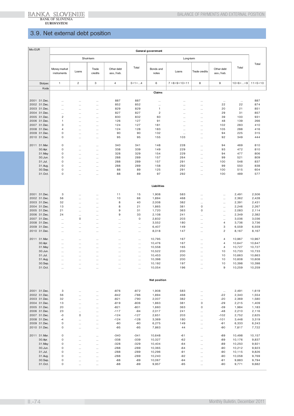**EUROSYSTEM**

### 3.9. Net external debt position

| Mio EUR                      |                                     |                  |                           |                          |                      | General government             |                       |                                    |                          |                  |                  |
|------------------------------|-------------------------------------|------------------|---------------------------|--------------------------|----------------------|--------------------------------|-----------------------|------------------------------------|--------------------------|------------------|------------------|
|                              |                                     |                  | Short-term                |                          |                      |                                | Long-term             |                                    |                          |                  |                  |
|                              | Money market<br>instruments         | Loans            | Trade<br>credits          | Other debt<br>ass./liab. | Total                | Bonds and<br>notes             | Loans                 | Trade credits                      | Other debt<br>ass./liab. | Total            | Total            |
| Stolpec                      | $\mathbf{1}$                        | $\boldsymbol{2}$ | $\ensuremath{\mathsf{3}}$ | $\overline{4}$           | $5 = 1 +  4$         | $\,6$                          | $7 = 8 + 9 + 10 + 11$ | 8                                  | 9                        | $10=6++9$        | $11 = 5 + 10$    |
| Koda                         |                                     |                  |                           |                          |                      |                                |                       |                                    |                          |                  |                  |
|                              |                                     |                  |                           |                          |                      | Claims                         |                       |                                    |                          |                  |                  |
| 2001 31.Dec.                 |                                     |                  |                           | 887                      | 887                  | $\ddotsc$                      |                       | $\ddotsc$                          | $\ddotsc$                | $\cdots$         | 887              |
| 2002 31.Dec.                 |                                     |                  | $\cdots$                  | 852                      | 852                  | $\ddotsc$                      | $\ddotsc$             | $\cdots$                           | 22                       | 22               | 874              |
| 2003 31.Dec.<br>2004 31.Dec. |                                     |                  | <br>$\cdots$              | 829<br>827               | 829<br>827           | $\mathbf{1}$<br>$\overline{c}$ |                       |                                    | 20<br>29                 | 21<br>31         | 851<br>857       |
| 2005 31.Dec.                 | $\cdots$<br>$\overline{\mathbf{c}}$ | <br>             | $\cdots$                  | 830                      | 832                  | 60                             | $\cdots$<br>          | $\cdots$<br>                       | 39                       | 100              | 931              |
| 2006 31.Dec.                 | 1                                   |                  | $\cdots$                  | 126                      | 127                  | 91                             | $\ddotsc$             | $\cdots$                           | 48                       | 139              | 266              |
| 2007 31.Dec.                 | 3                                   |                  |                           | 124                      | 127                  | 181                            | $\ddotsc$             | $\cdots$                           | 102                      | 283              | 410              |
| 2008 31.Dec.                 | 4                                   |                  | $\cdots$                  | 124                      | 128                  | 183                            | $\cdots$              | $\cdots$                           | 105                      | 288              | 416              |
| 2009 31.Dec.                 | 0<br>0                              |                  |                           | 90                       | 90                   | 132                            | $\ddotsc$             |                                    | 94                       | 225              | 315              |
| 2010 31.Dec.                 |                                     |                  | $\cdots$                  | 95                       | 95                   | 155                            | 103                   | $\cdots$                           | 92                       | 349              | 444              |
| 2011 31.Mar.                 | 0                                   |                  | $\cdots$                  | 340                      | 341                  | 148                            | 228                   | $\cdots$                           | 94                       | 469              | 810              |
| 30.Apr.                      | 0                                   |                  | $\cdots$                  | 338                      | 339                  | 149                            | 229                   |                                    | 93                       | 472              | 810              |
| 31.May                       | 0                                   |                  | $\cdots$                  | 328                      | 329                  | 154                            | 229                   | $\cdots$                           | 94                       | 477              | 806              |
| 30.Jun.                      | $\mathsf O$                         |                  |                           | 288                      | 289                  | 157                            | 264                   |                                    | 99                       | 521              | 809              |
| 31.Jul.<br>31.Aug.           | 0<br>$\mathsf O$                    | <br>             | $\cdots$<br>$\cdots$      | 288<br>288               | 289<br>289           | 157<br>158                     | 291<br>292            | $\cdots$<br>                       | 100<br>99                | 548<br>550       | 837<br>838       |
| 30.Sep.                      | $\mathsf O$                         |                  | $\cdots$                  | 88                       | 89                   | 125                            | 291                   | $\cdots$                           | 100                      | 515              | 604              |
| 31.Oct.                      | $\mathsf O$                         |                  | $\cdots$                  | 88                       | 89                   | 97                             | 292                   |                                    | 100                      | 489              | 577              |
|                              |                                     |                  |                           |                          |                      |                                |                       |                                    |                          |                  |                  |
|                              |                                     |                  |                           |                          |                      | Liabilities                    |                       |                                    |                          |                  |                  |
| 2001 31.Dec.<br>2002 31.Dec. | 3<br>56                             |                  | $\cdots$                  | 11                       | 15<br>66             | 1,908                          | 583<br>468            | $\cdots$                           | $\cdots$                 | 2,491            | 2,506            |
| 2003 31.Dec.                 | 32                                  | <br>             | <br>$\cdots$              | 10<br>8                  | 40                   | 1,894<br>2,008                 | 382                   | <br>$\cdots$                       | <br>$\cdots$             | 2,362<br>2,391   | 2,428<br>2,431   |
| 2004 31.Dec.                 | 13                                  |                  |                           | 8                        | 21                   | 1,865                          | 381                   | $\mathsf O$                        | $\cdots$                 | 2,246            | 2,267            |
| 2005 31.Dec.                 | 21                                  |                  |                           | 9                        | 31                   | 1,720                          | 363                   | $\mathsf{O}\xspace$                | $\cdots$                 | 2,083            | 2,114            |
| 2006 31.Dec.                 | 24                                  |                  | $\cdots$                  | 9                        | 33                   | 2,108                          | 241                   |                                    | $\cdots$                 | 2,349            | 2,382            |
| 2007 31.Dec.                 |                                     | 0                |                           |                          | 0                    | 2,832                          | 203                   |                                    | $\cdots$                 | 3,036            | 3,036            |
| 2008 31.Dec.<br>2009 31.Dec. |                                     |                  |                           |                          | $\cdots$             | 3,552<br>6,407                 | 180<br>149            | $\cdots$                           | 4<br>3                   | 3,736<br>6,559   | 3,736<br>6,559   |
| 2010 31.Dec.                 | $\cdots$<br>                        | <br>             | $\cdots$<br>$\cdots$      | $\cdots$<br>             | $\cdots$<br>$\cdots$ | 8,018                          | 147                   | $\cdots$<br>                       | $\sqrt{2}$               | 8,167            | 8,167            |
| 2011 31.Mar.                 |                                     |                  |                           | $\cdots$                 | $\cdots$             | 10,795                         | 167                   |                                    | 4                        | 10,967           | 10,967           |
| 30.Apr.                      | $\cdots$                            |                  |                           | $\cdots$                 | $\cdots$             | 10,476                         | 167                   | $\cdots$                           | 4                        | 10,647           | 10,647           |
| 31.May                       |                                     |                  | $\cdots$                  | $\cdots$                 | $\ldots$             | 10,558                         | 165                   |                                    | 4                        | 10,727           | 10,727           |
| 30.Jun.                      |                                     |                  |                           |                          | $\cdots$             | 10,522                         | 200                   | $\cdots$                           | 10                       | 10,733           | 10,733           |
| 31.Jul.                      |                                     |                  |                           |                          |                      | 10,453                         | 200                   | $\cdots$                           | 10                       | 10,663           | 10,663           |
| 31.Aug.<br>30.Sep.           | $\cdots$                            |                  | $\cdots$                  | $\cdots$                 | $\cdots$             | 10,398<br>10,192               | 200<br>197            | $\cdots$                           | 10<br>10                 | 10,608<br>10,398 | 10,608<br>10,398 |
| 31.Oct.                      | <br>$\cdots$                        | <br>             | <br>                      | <br>                     | <br>$\cdots$         | 10,054                         | 196                   | <br>$\cdots$                       | 9                        | 10,259           | 10,259           |
|                              |                                     |                  |                           |                          |                      |                                |                       |                                    |                          |                  |                  |
|                              |                                     |                  |                           |                          |                      | Net position                   |                       |                                    |                          |                  |                  |
| 2001 31.Dec.                 | 3                                   |                  | $\cdots$                  | $-876$                   | $-872$               | 1,908                          | 583                   | $\cdots$                           | $\cdots$                 | 2,491            | 1,619            |
| 2002 31.Dec.                 | 56                                  |                  | $\ldots$                  | $-842$                   | $-786$               | 1,894                          | 468                   | $\cdots$                           | $-22$                    | 2,340            | 1,554            |
| 2003 31.Dec.                 | 32                                  |                  | $\cdots$                  | $-821$                   | $-790$               | 2,007                          | 382                   |                                    | $-20$                    | 2,369            | 1,580            |
| 2004 31.Dec.<br>2005 31.Dec. | 13<br>20                            | <br>$\cdots$     | $\cdots$<br>$\cdots$      | $-819$<br>$-821$         | $-806$<br>$-801$     | 1,863<br>1,660                 | 381<br>363            | $\mathsf{O}\xspace$<br>$\mathsf O$ | $-29$<br>$-39$           | 2,215<br>1,984   | 1,409<br>1,183   |
| 2006 31.Dec.                 | 23                                  |                  | $\cdots$                  | $-117$                   | $-94$                | 2,017                          | 241                   | $\cdots$                           | $-48$                    | 2,210            | 2,116            |
| 2007 31.Dec.                 | $-3$                                | 0                | $\cdots$                  | $-124$                   | $-127$               | 2,651                          | 203                   | $\cdots$                           | $-102$                   | 2,752            | 2,625            |
| 2008 31.Dec.                 | $-4$                                |                  | $\cdots$                  | $-124$                   | $-128$               | 3,369                          | 180                   |                                    | $-101$                   | 3,448            | 3,319            |
| 2009 31.Dec.                 | $\mathsf O$                         | $\cdots$         | $\cdots$                  | $-90$                    | $-90$                | 6,275                          | 149                   |                                    | $-91$                    | 6,333            | 6,243            |
| 2010 31.Dec.                 | 0                                   |                  | $\cdots$                  | $-95$                    | $-95$                | 7,863                          | 44                    | $\cdots$                           | $-90$                    | 7,817            | 7,722            |
| 2011 31.Mar.                 | 0                                   |                  | $\cdots$                  | $-340$                   | $-341$               | 10,648                         | $-61$                 |                                    | $-89$                    | 10,498           | 10,157           |
| 30.Apr.<br>31.May            | 0<br>0                              |                  | $\cdots$                  | $-338$<br>$-328$         | $-339$<br>$-329$     | 10,327<br>10,404               | $-62$<br>$-64$        | $\cdots$                           | $-89$<br>$-89$           | 10,176<br>10,250 | 9,837<br>9,921   |
| 30.Jun.                      | 0                                   | <br>             | $\cdots$<br>$\cdots$      | $-288$                   | $-289$               | 10,365                         | $-64$                 | $\cdots$<br>$\cdots$               | $-90$                    | 10,212           | 9,923            |
| 31.Jul.                      | 0                                   |                  | $\cdots$                  | $-288$                   | $-289$               | 10,296                         | $-91$                 | $\cdots$                           | $-90$                    | 10,115           | 9,826            |
| 31.Aug.                      | $\mathsf{O}\xspace$                 |                  | $\cdots$                  | $-288$                   | $-289$               | 10,240                         | $-92$                 |                                    | $-90$                    | 10,058           | 9,769            |
| 30.Sep.                      | 0                                   |                  | $\cdots$                  | $-88$                    | $-89$                | 10,067                         | $-94$                 | $\cdots$                           | $-91$                    | 9,883            | 9,794            |
| 31.Oct.                      | 0                                   |                  | $\cdots$                  | $-88$                    | $-89$                | 9,957                          | $-95$                 | $\cdots$                           | $-90$                    | 9,771            | 9,682            |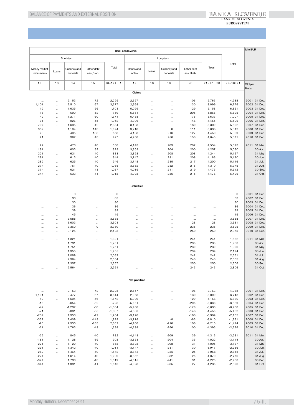**EUROSYSTEM**

|                             |                      |                           |                          |                      | <b>Bank of Slovenia</b> |                      |                          |                          |                      |                      | Mio EUR                      |
|-----------------------------|----------------------|---------------------------|--------------------------|----------------------|-------------------------|----------------------|--------------------------|--------------------------|----------------------|----------------------|------------------------------|
|                             |                      | Short-term                |                          |                      |                         |                      | Long-term                |                          |                      |                      |                              |
| Money market<br>instruments | Loans                | Currency and<br>deposits  | Other debt<br>ass./liab. | Total                | Bonds and<br>notes      | Loans                | Currency and<br>deposits | Other debt<br>ass./liab. | Total                | Total                |                              |
| 12                          | 13                   | 14                        | 15                       | $16 = 12 +  + 15$    | 17                      | 18                   | 19                       | 20                       | $21 = 17 +20$        | $22 = 16 + 21$       | Stolpec                      |
|                             |                      |                           |                          |                      | Claims                  |                      |                          |                          |                      |                      | Koda                         |
|                             |                      |                           |                          |                      |                         |                      |                          |                          |                      |                      |                              |
| <br>1,101                   | $\cdots$             | 2,153<br>2,510            | 72<br>67                 | 2,225<br>3,677       | 2,657<br>2,968          |                      |                          | 106<br>130               | 2,763<br>3,099       | 4,988<br>6,776       | 2001 31.Dec.<br>2002 31.Dec. |
| 12                          | <br>$\cdots$         | 1,635                     | 56                       | 1,703                | 5,029                   | <br>$\cdots$         | $\cdots$<br>             | 129                      | 5,158                | 6,861                | 2003 31.Dec.                 |
| 16                          |                      | 690                       | 52                       | 759                  | 5,661                   |                      |                          | 205                      | 5,866                | 6,625                | 2004 31.Dec.                 |
| 42                          | $\cdots$             | 1,271                     | 60                       | 1,374                | 5,458                   | $\cdots$             | $\cdots$                 | 176                      | 5,633                | 7,007                | 2005 31.Dec.                 |
| 71                          |                      | 926                       | 55                       | 1,052                | 4,306                   |                      | $\cdots$                 | 148                      | 4,455                | 5,506                | 2006 31.Dec.                 |
| 707                         | $\cdots$             | 1,635                     | 42                       | 2,384                | 3,128                   | $\cdots$             | $\cdots$                 | 180                      | 3,309                | 5,692                | 2007 31.Dec.                 |
| 337<br>20                   |                      | 1,194<br>405              | 143<br>133               | 1,674<br>558         | 3,718<br>4,108          | $\cdots$             | 8<br>216                 | 111<br>127               | 3,838<br>4,450       | 5,512<br>5,009       | 2008 31.Dec.<br>2009 31.Dec. |
| 21                          | $\cdots$<br>$\cdots$ | 362                       | 43                       | 427                  | 4,238                   | $\cdots$<br>$\cdots$ | 256                      | 150                      | 4,645                | 5,071                | 2010 31.Dec.                 |
|                             |                      |                           |                          |                      |                         |                      |                          |                          |                      |                      |                              |
| 22                          |                      | 476                       | 40                       | 538                  | 4,143                   | $\cdots$             | 209                      | 202                      | 4,554                | 5,093                | 2011 31.Mar.                 |
| 181                         | $\cdots$             | 603                       | 39                       | 823                  | 3,853                   | $\cdots$             | 204                      | 200                      | 4,257                | 5,080                | 30.Apr.                      |
| 221                         |                      | 621                       | 40                       | 883                  | 3,828                   | $\cdots$             | 208                      | 208                      | 4,244                | 5,127                | 31.May                       |
| 291<br>282                  | $\cdots$             | 613<br>625                | 40<br>40                 | 944<br>946           | 3,747                   | $\cdots$             | 231<br>235               | 208<br>217               | 4,186                | 5,130                | 30.Jun.                      |
| 274                         | <br>$\cdots$         | 751                       | 40                       | 1,065                | 3,748<br>3,862          | <br>$\cdots$         | 232                      | 215                      | 4,200<br>4,310       | 5,146<br>5,375       | 31.Jul.<br>31.Aug.           |
| 374                         |                      | 621                       | 43                       | 1,037                | 4,015                   |                      | 241                      | 219                      | 4,475                | 5,512                | 30.Sep.                      |
| 344                         | $\cdots$             | 633                       | 41                       | 1,018                | 4,028                   | $\cdots$             | 235                      | 215                      | 4,478                | 5,496                | 31.Oct.                      |
|                             |                      |                           |                          |                      |                         |                      |                          |                          |                      |                      |                              |
|                             |                      |                           |                          |                      | Liabilities             |                      |                          |                          |                      |                      |                              |
|                             |                      | $\mathsf{O}\xspace$<br>33 |                          | $\mathsf O$<br>33    | $\cdots$                |                      |                          |                          |                      | $\mathsf O$<br>33    | 2001 31.Dec.<br>2002 31.Dec. |
| <br>                        | $\cdots$<br>$\cdots$ | 30                        | <br>                     | 30                   | <br>                    | <br>$\cdots$         | <br>                     | <br>                     | <br>$\cdots$         | 30                   | 2003 31.Dec.                 |
|                             | $\cdots$             | 36                        |                          | 36                   |                         |                      |                          |                          | $\cdots$             | 36                   | 2004 31.Dec.                 |
|                             |                      | 39                        |                          | 39                   |                         |                      |                          |                          | $\cdots$             | 39                   | 2005 31.Dec.                 |
|                             | $\cdots$             | 45                        | $\cdots$                 | 45                   | $\cdots$                | $\cdots$             |                          | $\cdots$                 | $\cdots$             | 45                   | 2006 31.Dec.                 |
|                             |                      | 3,588                     |                          | 3,588                |                         |                      |                          | $\cdots$                 | $\cdots$             | 3,588                | 2007 31.Dec.                 |
|                             | $\cdots$             | 3,603                     |                          | 3,603                |                         |                      |                          | 28                       | 28                   | 3,631                | 2008 31.Dec.                 |
| $\cdots$<br>                | <br>$\cdots$         | 3,360<br>2,125            | 0<br>$\ddotsc$           | 3,360<br>2,125       | $\cdots$<br>            | $\cdots$<br>         | <br>$\cdots$             | 235<br>250               | 235<br>250           | 3,595<br>2,375       | 2009 31.Dec.<br>2010 31.Dec. |
|                             |                      |                           |                          |                      |                         |                      |                          |                          |                      |                      |                              |
|                             | $\cdots$             | 1,321                     |                          | 1,321                |                         |                      |                          | 241                      | 241                  | 1,562                | 2011 31.Mar.                 |
|                             |                      | 1,731                     |                          | 1,731                | $\cdots$                |                      |                          | 235                      | 235                  | 1,966                | 30.Apr.                      |
|                             | $\cdots$             | 1,751<br>1,955            | $\cdots$                 | 1,751<br>1,955       | $\cdots$                | $\cdots$             | $\cdots$                 | 239<br>239               | 239<br>239           | 1,990<br>2,194       | 31.May<br>30.Jun.            |
|                             | <br>$\cdots$         | 2,089                     | <br>$\cdots$             | 2,089                | <br>                    | <br>                 | $\cdots$<br>             | 242                      | 242                  | 2,331                | 31.Jul.                      |
|                             |                      | 2,364                     |                          | 2,364                |                         |                      |                          | 240                      | 240                  | 2,605                | 31.Aug.                      |
| $\cdots$                    | $\cdots$             | 2,357                     | $\cdots$                 | 2,357                | $\cdots$                |                      | $\cdots$                 | 250                      | 250                  | 2,606                | 30.Sep                       |
| $\cdots$                    | $\cdots$             | 2,564                     |                          | 2,564                | $\cdots$                | $\cdots$             | $\cdots$                 | 243                      | 243                  | 2,806                | 31.Oct.                      |
|                             |                      |                           |                          |                      | <b>Net position</b>     |                      |                          |                          |                      |                      |                              |
|                             |                      |                           |                          |                      |                         |                      |                          |                          |                      |                      |                              |
| $\cdots$<br>$-1,101$        | $\cdots$             | $-2,153$<br>$-2,477$      | $-72$<br>$-67$           | $-2,225$<br>$-3,644$ | $-2,657$<br>$-2,968$    |                      | $\cdots$                 | $-106$<br>$-130$         | $-2,763$<br>$-3,099$ | $-4,988$<br>$-6,743$ | 2001 31.Dec.<br>2002 31.Dec. |
| $-12$                       | <br>$\cdots$         | $-1,604$                  | -56                      | $-1,672$             | $-5,029$                | <br>$\cdots$         | $\cdots$                 | $-129$                   | $-5,158$             | $-6,830$             | 2003 31.Dec.                 |
| $-16$                       |                      | $-654$                    | $-52$                    | $-723$               | $-5,661$                | $\cdots$             | $\cdots$<br>             | $-205$                   | $-5,866$             | $-6,589$             | 2004 31.Dec.                 |
| $-42$                       | $\cdots$             | $-1,232$                  | $-60$                    | $-1,334$             | $-5,458$                | $\cdots$             | $\cdots$                 | $-176$                   | $-5,633$             | $-6,968$             | 2005 31.Dec.                 |
| $-71$                       | $\cdots$             | $-881$                    | $-55$                    | $-1,007$             | $-4,306$                | $\cdots$             | $\cdots$                 | $-148$                   | $-4,455$             | $-5,462$             | 2006 31.Dec.                 |
| $-707$                      | $\cdots$             | 1,953                     | $-42$                    | 1,204                | $-3,128$                | $\cdots$             | $\cdots$                 | $-180$                   | $-3,309$             | $-2,105$             | 2007 31.Dec.                 |
| $-337$                      |                      | 2,409                     | $-143$                   | 1,929                | $-3,718$                | $\cdots$             | -8                       | $-83$                    | $-3,810$             | $-1,881$             | 2008 31.Dec.                 |
| $-20$                       |                      | 2,955                     | $-133$                   | 2,802                | $-4,108$                | $\cdots$             | -216                     | 108                      | $-4,215$             | $-1, 414$            | 2009 31.Dec.                 |
| $-21$                       | $\cdots$             | 1,763                     | $-43$                    | 1,698                | $-4,238$                | $\cdots$             | $-256$                   | 100                      | $-4,395$             | $-2,696$             | 2010 31.Dec.                 |
| $-22$                       |                      | 845                       | $-40$                    | 782                  | $-4, 143$               |                      | $-209$                   | 39                       | $-4,313$             | $-3,531$             | 2011 31.Mar.                 |
| $-181$                      |                      | 1,128                     | $-39$                    | 908                  | $-3,853$                | $\cdots$             | $-204$                   | 35                       | $-4,022$             | $-3,114$             | 30.Apr.                      |
| $-221$<br>$-291$            |                      | 1,129<br>1,342            | $-40$<br>$-40$           | 868<br>1,011         | $-3,828$<br>$-3,747$    |                      | $-208$<br>$-231$         | 31<br>30                 | $-4,005$<br>$-3,947$ | $-3,137$<br>$-2,936$ | 31.May<br>30.Jun.            |
| $-282$                      | $\cdots$<br>         | 1,464                     | $-40$                    | 1,142                | $-3,748$                | $\cdots$<br>         | $-235$                   | 25                       | $-3,958$             | $-2,815$             | 31.Jul.                      |
| $-274$                      |                      | 1,614                     | $-40$                    | 1,299                | $-3,862$                | $\cdots$             | $-232$                   | 25                       | $-4,070$             | $-2,770$             | 31.Aug.                      |
| $-374$                      |                      | 1,736                     | $-43$                    | 1,319                | $-4,015$                |                      | $-241$                   | 31                       | $-4,225$             | $-2,906$             | 30.Sep.                      |
| $-344$                      | $\cdots$             | 1,931                     | $-41$                    | 1,546                | $-4,028$                | $\cdots$             | $-235$                   | 27                       | $-4,235$             | $-2,690$             | 31.Oct.                      |
|                             |                      |                           |                          |                      |                         |                      |                          |                          |                      |                      |                              |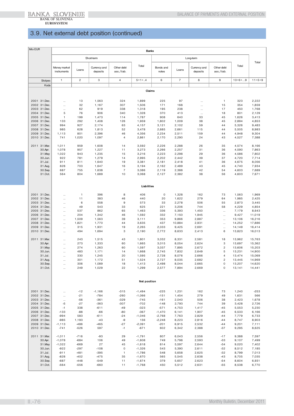**EUROSYSTEM**

## 3.9. Net external debt position (continued)

| Mio EUR                      |                             |                |                          |                          | <b>Banks</b>        |                    |                |                          |                          |               |              |
|------------------------------|-----------------------------|----------------|--------------------------|--------------------------|---------------------|--------------------|----------------|--------------------------|--------------------------|---------------|--------------|
|                              |                             |                | Short-term               |                          |                     |                    |                | Long-term                |                          |               |              |
|                              | Money market<br>instruments | Loans          | Currency and<br>deposits | Other debt<br>ass./liab. | Total               | Bonds and<br>notes | Loans          | Currency and<br>deposits | Other debt<br>ass./liab. | Total         | Total        |
| Stolpec                      | $\mathbf{1}$                | $\overline{c}$ | 3                        | $\overline{4}$           | $5 = 1 + .4$        | 6                  | $\overline{7}$ | 8                        | 9                        | $10 = 6 +  9$ | $11 = 5 + 9$ |
| Koda                         |                             |                |                          |                          |                     |                    |                |                          |                          |               |              |
|                              |                             |                |                          |                          | Claims              |                    |                |                          |                          |               |              |
| 2001 31.Dec.                 | $\cdots$                    | 13             | 1,563                    | 324                      | 1,899               | 225                | 97             | $\cdots$                 | $\overline{1}$           | 323           | 2,222        |
| 2002 31.Dec                  |                             | 32             | 1,167                    | 307                      | 1,506               | 171                | 168            |                          | 15                       | 354           | 1,859        |
| 2003 31.Dec.                 |                             | 62             | 919                      | 338                      | 1,318               | 195                | 238            | $\cdots$                 | 17                       | 450           | 1,768        |
| 2004 31.Dec.                 | 5                           | 76             | 906                      | 340                      | 1,328               | 370                | 413            | $\cdots$                 | 18                       | 801           | 2,129        |
| 2005 31.Dec                  | $\mathbf{1}$                | 199            | 1,473                    | 114                      | 1,787               | 908                | 640            | 33                       | 45                       | 1,626         | 3,413        |
| 2006 31.Dec.                 | 133                         | 292            | 1,408                    | 126                      | 1,959               | 1,802              | 1,009          | 38                       | 45                       | 2,894         | 4,853        |
| 2007 31.Dec.                 | 994                         | 927            | 2,174                    | 63                       | 4,157               | 3,121              | 2,102          | 59                       | 44                       | 5,326         | 9,483        |
| 2008 31.Dec                  | 985                         | 628            | 1,813                    | 52                       | 3,478               | 2,685              | 2,661          | 115                      | 44                       | 5,505         | 8,983        |
| 2009 31.Dec.<br>2010 31.Dec. | 1,113                       | 801            | 2,396                    | 46                       | 4,356               | 2,234              | 2,511          | 159                      | 44<br>43                 | 4,948         | 9,304        |
|                              | 741                         | 1,020          | 1,097                    | 4                        | 2,861               | 2,170              | 2,290          | 24                       |                          | 4,527         | 7,388        |
| 2011 31.Mar.                 | 1,011                       | 959            | 1,608                    | 14                       | 3,592               | 2,226              | 2,288          | 26                       | 35                       | 4,574         | 8,166        |
| 30.Apr.                      | 1,078                       | 957            | 1,227                    | 11                       | 3,273               | 2,266              | 2,257          | 31                       | 36                       | 4,590         | 7,863        |
| 31.May                       | 1,022                       | 943            | 1,235                    | 15                       | 3,216               | 2,223              | 2,298          | 29                       | 36                       | 4,586         | 7,802        |
| 30.Jun.                      | 922                         | 781            | 1,279                    | 14                       | 2,995               | 2,202              | 2,442          | 39                       | 37                       | 4,720         | 7,714        |
| 31.Jul.                      | 911                         | 811            | 1,640                    | 19                       | 3,381               | 2,181              | 2,418          | 41                       | 36                       | 4,675         | 8,056        |
| 31.Aug.                      | 828                         | 703            | 1,647                    | 16                       | 3,194               | 2,162              | 2,489          | 43                       | 45                       | 4,740         | 7,934        |
| 30.Sep                       | 687                         | 755            | 1,638                    | $\overline{7}$           | 3,086               | 2,119              | 2,388          | 42                       | 54                       | 4,603         | 7,689        |
| 31.Oct.                      | 564                         | 804            | 1,689                    | 10                       | 3,068               | 2,127              | 2,382          | 38                       | 56                       | 4,603         | 7,671        |
|                              |                             |                |                          |                          | Liabilities         |                    |                |                          |                          |               |              |
| 2001 31.Dec.                 |                             | $\mathbf{1}$   | 396                      | 8                        | 406                 | $\circ$            | 1,328          | 162                      | 73                       | 1,563         | 1,969        |
| 2002 31.Dec.                 | $\cdots$                    | 11             | 383                      | 46                       | 440                 | 20                 | 1,622          | 279                      | 64                       | 1,985         | 2,425        |
| 2003 31.Dec.                 |                             | 6              | 558                      | 9                        | 573                 | 33                 | 2,278          | 506                      | 55                       | 2,873         | 3,445        |
| 2004 31.Dec.                 |                             | 49             | 543                      | 33                       | 625                 | 221                | 3,206          | 744                      | 58                       | 4,229         | 4,854        |
| 2005 31.Dec.                 |                             | 537            | 862                      | 65                       | 1,463               | 336                | 5,393          | 1,450                    | $\cdots$                 | 7,179         | 8,643        |
| 2006 31.Dec                  |                             | 204            | 1,342                    | 46                       | 1,592               | 332                | 7,150          | 1,945                    | $\cdots$                 | 9,427         | 11,019       |
| 2007 31.Dec.                 |                             | 1,509          | 1,563                    | 39                       | 3,111               | 353                | 9,866          | 2,887                    | $\ddotsc$                | 13,106        | 16,216       |
| 2008 31.Dec.                 | $\cdots$                    | 1,821          | 1,770                    | 44                       | 3,635               | 437                | 10,884         | 2,931                    | $\cdots$                 | 14,252        | 17,886       |
| 2009 31.Dec.                 |                             | 315            | 1,931                    | 19                       | 2,265               | 2,033              | 9,425          | 2,691                    | $\cdots$                 | 14,149        | 16,414       |
| 2010 31.Dec.                 | $\cdots$                    | 494            | 1,694                    | 3                        | 2,190               | 2,772              | 8,633          | 2,413                    | 6                        | 13,823        | 16,013       |
| 2011 31.Mar.                 |                             | 243            | 1,515                    | 43                       | 1,801               | 3,032              | 8,331          | 2,581                    | 18                       | 13,962        | 15,763       |
| 30.Apr.                      | $\cdots$                    | 273            | 1,333                    | 60                       | 1,665               | 3,015              | 8,054          | 2,624                    | 3                        | 13,697        | 15,362       |
| 31.May                       | $\cdots$                    | 274            | 1,263                    | 60                       | 1,597               | 3,037              | 7,895          | 2,672                    | $\overline{c}$           | 13,606        | 15,203       |
| 30.Jun.                      |                             | 483            | 1,171                    | 14                       | 1,668               | 2,745              | 7,832          | 2,649                    | 5                        | 13,231        | 14,900       |
| 31.Jul.                      | $\cdots$                    | 330            | 1,245                    | 20                       | 1,595               | 2,728              | 8,076          | 2,666                    | 4                        | 13,474        | 15,069       |
| 31.Aug.                      |                             | 301            | 1,172                    | 51                       | 1,524               | 2,727              | 8,035          | 2,682                    | $\overline{c}$           | 13,445        | 14,969       |
| 30.Sep                       | $\cdots$                    | 306            | 1,089                    | 18                       | 1,413               | 2,498              | 8,044          | 2,665                    | 0                        | 13,207        | 14,620       |
| 31.Oct.                      |                             | 249            | 1,029                    | 22                       | 1,299               | 2,577              | 7,894          | 2,669                    | 0                        | 13,141        | 14,441       |
|                              |                             |                |                          |                          | <b>Net position</b> |                    |                |                          |                          |               |              |
| 2001 31.Dec.                 |                             | $-12$          | $-1,166$                 | $-315$                   | $-1,494$            | $-225$             | 1,231          | 162                      | 73                       | 1,240         | $-253$       |
| 2002 31.Dec.                 | $\ldots$<br>$\ldots$        | $-21$          | $-784$                   | $-260$                   | $-1,066$            | $-151$             | 1,454          | 279                      | 49                       | 1,631         | 566          |
| 2003 31.Dec.                 | $\ldots$                    | $-56$          | $-361$                   | $-329$                   | $-745$              | $-161$             | 2,040          | 506                      | 38                       | 2,423         | 1,678        |
| 2004 31.Dec.                 | $-5$                        | $-27$          | $-363$                   | $-307$                   | $-702$              | $-148$             | 2,793          | 744                      | 39                       | 3,428         | 2,726        |
| 2005 31.Dec.                 | $-1$                        | 338            | $-611$                   | $-49$                    | $-323$              | $-571$             | 4,753          | 1,417                    | $-45$                    | 5,553         | 5,230        |
| 2006 31.Dec.                 | $-133$                      | $-88$          | $-66$                    | $-80$                    | $-367$              | $-1,470$           | 6,141          | 1,907                    | $-45$                    | 6,533         | 6,166        |
| 2007 31.Dec.                 | $-994$                      | 583            | $-611$                   | $-24$                    | $-1,046$            | $-2,768$           | 7,763          | 2,829                    | $-44$                    | 7,779         | 6,733        |
| 2008 31.Dec.                 | $-985$                      | 1,193          | $-43$                    | -9                       | 156                 | $-2,248$           | 8,223          | 2,816                    | $-44$                    | 8,747         | 8,903        |
| 2009 31.Dec.                 | $-1, 113$                   | $-486$         | $-465$                   | $-27$                    | $-2,091$            | $-201$             | 6,915          | 2,532                    | $-44$                    | 9,201         | 7,111        |
| 2010 31.Dec.                 | $-741$                      | $-526$         | 597                      | $-1$                     | $-671$              | 602                | 6,342          | 2,388                    | $-37$                    | 9,295         | 8,625        |
| 2011 31.Mar.                 | $-1,011$                    | $-716$         | $-93$                    | 29                       | $-1,791$            | 807                | 6,043          | 2,556                    | $-17$                    | 9,388         | 7,597        |
| 30.Apr.                      | $-1,078$                    | $-684$         | 106                      | 49                       | $-1,608$            | 749                | 5,798          | 2,593                    | $-33$                    | 9,107         | 7,499        |
| 31.May                       | $-1,022$                    | $-669$         | 27                       | 45                       | $-1,618$            | 814                | 5,597          | 2,644                    | $-34$                    | 9,020         | 7,402        |
| 30.Jun.                      | $-922$                      | $-297$         | $-108$                   | $\mathsf O$              | $-1,326$            | 543                | 5,390          | 2,611                    | $-32$                    | 8,512         | 7,185        |
| 31.Jul.                      | $-911$                      | $-481$         | $-395$                   | $\mathbf{1}$             | $-1,786$            | 548                | 5,658          | 2,625                    | $-32$                    | 8,799         | 7,013        |
| 31.Aug.                      | $-828$                      | $-402$         | $-475$                   | 35                       | $-1,670$            | 565                | 5,545          | 2,638                    | $-43$                    | 8,705         | 7,035        |
| 30.Sep.                      | $-687$                      | $-448$         | $-549$                   | 11                       | $-1,674$            | 379                | 5,657          | 2,623                    | $-54$                    | 8,604         | 6,931        |
| 31.Oct.                      | $-564$                      | $-556$         | -660                     | 11                       | $-1,768$            | 450                | 5,512          | 2,631                    | $-55$                    | 8,538         | 6,770        |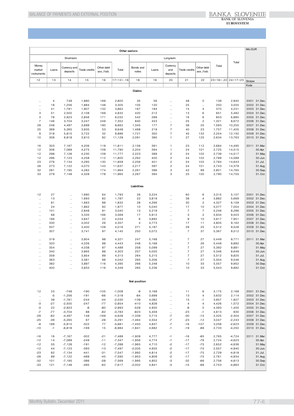|                                |                |                          |                  |                          | Other sectors        |                      |                |                             |                           |                          |                   |                    | Mio EUR                      |
|--------------------------------|----------------|--------------------------|------------------|--------------------------|----------------------|----------------------|----------------|-----------------------------|---------------------------|--------------------------|-------------------|--------------------|------------------------------|
|                                |                | Short-term               |                  |                          |                      |                      |                | Long-term                   |                           |                          |                   |                    |                              |
| Money<br>market<br>instruments | Loans          | Currency and<br>deposits | Trade credits    | Other debt<br>ass./liab. | Total                | Bonds and<br>notes   | Loans          | Currency<br>and<br>deposits | <b>Trade credits</b>      | Other debt<br>ass./liab. | Total             | Total              |                              |
| 12                             | 13             | 14                       | 15               | 16                       | $17 = 12 + .16$      | 18                   | 19             | 20                          | 21                        | 22                       | 23=18+22 24=17+23 |                    | <b>Stolpec</b>               |
|                                |                |                          |                  |                          |                      |                      |                |                             |                           |                          |                   |                    | Koda                         |
|                                |                |                          |                  |                          |                      | Claims               |                |                             |                           |                          |                   |                    |                              |
|                                | $\overline{4}$ | 748                      | 1,880            | 169                      | 2,800                | 35                   | 56             | $\ddotsc$                   | 48                        | $\mathsf O$              | 139               | 2,940              | 2001 31.Dec.                 |
|                                | 18             | 1,256                    | 1,884            | 148                      | 3,305                | 105                  | 120            | $\cdots$                    | 25                        | $\cdots$                 | 250               | 3,555              | 2002 31.Dec.                 |
| $\cdots$                       | 41             | 1,781                    | 1,907            | 132                      | 3,862                | 167                  | 184            | $\cdots$                    | 15                        | 4                        | 370               | 4,231              | 2003 31.Dec.                 |
| З                              | 51             | 2,500                    | 2,108            | 169                      | 4,832                | 420                  | 212            | $\cdots$                    | 13                        | 6                        | 651               | 5,482              | 2004 31.Dec.                 |
| 3                              | 78             | 2,923                    | 2,856            | 171                      | 6,032                | 542                  | 289            | $\cdots$                    | 16                        | 6                        | 853               | 6,885              | 2005 31.Dec.                 |
| $\overline{7}$                 | 146            | 3,704                    | 3,247            | 249                      | 7,352                | 840                  | 453            | $\cdots$                    | 25                        | $\sqrt{2}$               | 1,321             | 8,672              | 2006 31.Dec.                 |
| 29                             | 248            | 4,497                    | 3,699            | 190                      | 8,662                | 1,345                | 177            | $\overline{7}$              | 38                        | 25                       | 1,593             | 10,255             | 2007 31.Dec.                 |
| 25                             | 369            | 5,265                    | 3,935            | 53                       | 9,648                | 1,468                | 219            | $\overline{7}$              | 40                        | 23                       | 1,757             | 11,405             | 2008 31.Dec.                 |
| 9                              | 318            | 5,815                    | 3,722            | 32                       | 9,896                | 1,721                | 350            | $\overline{\mathfrak{c}}$   | 45                        | 132                      | 2,254             | 12,150             | 2009 31.Dec.                 |
| 10                             | 308            | 6,818                    | 3,910            | 82                       | 11,129               | 2,091                | 390            | 1                           | 27                        | 125                      | 2,634             | 13,763             | 2010 31.Dec.                 |
| 16                             | 303            | 7,167                    | 4,206            | 119                      | 11,811               | 2,156                | 391            | 1                           | 23                        | 112                      | 2,684             | 14,495             | 2011 31.Mar.                 |
| 12                             | 306            | 7,089                    | 4,275            | 109                      | 11,790               | 2,204                | 394            | 1                           | 24                        | 101                      | 2,725             | 14,515             | 30.Apr.                      |
| 12                             | 298            | 7,128                    | 4,230            | 109                      | 11,777               | 2,223                | 389            | $\overline{c}$              | 24                        | 102                      | 2,739             | 14,517             | 31.May                       |
| 12                             | 296            | 7,123                    | 4,258            | 112                      | 11,800               | 2,262                | 400            | $\overline{\mathbf{c}}$     | 24                        | 102                      | 2,789             | 14,589             | 30.Jun.                      |
| 23                             | 276            | 7,134                    | 4,295            | 130                      | 11,859               | 2,256                | 401            | $\sqrt{2}$                  | 24<br>24                  | 102                      | 2,784             | 14,643             | 31.Jul.<br>31.Aug.           |
| 28<br>32                       | 273<br>281     | 7,122<br>7,195           | 4,070<br>4,282   | 143<br>174               | 11,637<br>11,964     | 2,217<br>2,261       | 397<br>396     | $\sqrt{2}$<br>3             | 42                        | 101<br>99                | 2,743<br>2,801    | 14,379<br>14,765   | 30.Sep.                      |
| 33                             | 279            | 7,148                    | 4,328            | 178                      | 11,965               | 2,267                | 394            | 3                           | 25                        | 100                      | 2,790             | 14,755             | 31.Oct.                      |
|                                |                |                          |                  |                          |                      |                      |                |                             |                           |                          |                   |                    |                              |
|                                |                |                          |                  |                          |                      | Liabilities          |                |                             |                           |                          |                   |                    |                              |
|                                |                |                          |                  |                          |                      |                      |                |                             |                           |                          |                   |                    |                              |
| 12                             | 27             |                          | 1,690            | 64                       | 1,793                | 26                   | 3,224          | $\cdots$                    | 60                        | 6                        | 3,315             | 5,107              | 2001 31.Dec.                 |
| $\cdots$                       | 13             |                          | 1,693            | 82                       | 1,787                | 22                   | 3,819          | $\cdots$                    | 38                        | 4                        | 3,882             | 5,669              | 2002 31.Dec.                 |
|                                | 81             | $\cdots$                 | 1,663            | 88                       | 1,832                | 28                   | 4,266          | $\cdots$                    | 30                        | $\boldsymbol{2}$         | 4,327             | 6,159              | 2003 31.Dec.                 |
| $\cdots$                       | 24             | $\cdots$                 | 1,862            | 92                       | 1,977                | 10                   | 5,040          | $\cdots$                    | 17<br>$\overline{7}$      | 10<br>$\overline{7}$     | 5,077             | 7,054              | 2004 31.Dec.                 |
|                                | 101<br>68      |                          | 2,848<br>3,335   | 91<br>166                | 3,040<br>3,569       | 13<br>17             | 5,219<br>5,912 | $\cdots$                    | 3                         | $\sqrt{2}$               | 5,246<br>5,934    | 8,286<br>9,503     | 2005 31.Dec.<br>2006 31.Dec. |
|                                | 166            | $\cdots$<br>             | 3,847            | 22                       | 4,034                | 6                    | 3,892          | $\cdots$<br>$\cdots$        | 9                         | 10                       | 3,917             | 7,951              | 2007 31.Dec.                 |
| <br>$\cdots$                   | 330            | $\cdots$                 | 4,002            | 26                       | 4,357                | $\overline{4}$       | 4,773          | $\cdots$                    | 17                        | 11                       | 4,805             | 9,162              | 2008 31.Dec.                 |
|                                | 507            | $\cdots$                 | 3,400            | 109                      | 4,016                | 271                  | 5,187          | $\ldots$                    | 29                        | 25                       | 5,512             | 9,528              | 2009 31.Dec.                 |
|                                | 307            |                          | 3,741            | 97                       | 4,145                | 250                  | 5,072          | $\cdots$                    | $\overline{\mathfrak{c}}$ | 37                       | 5,367             | 9,512              | 2010 31.Dec.                 |
|                                | 319            |                          | 3,904            | 98                       | 4,321                | 247                  | 5,168          | $\cdots$                    | $\overline{7}$            | 27                       | 5,449             | 9,771              | 2011 31.Mar.                 |
| <br>                           | 320            | $\cdots$                 | 4,026            | 98                       | 4,443                | 248                  | 5,168          | $\cdots$                    | $\overline{7}$            | 26                       | 5,449             | 9,892              | 30.Apr.                      |
|                                | 354            | $\cdots$                 | 4,038            | 97                       | 4,489                | 258                  | 5,099          | $\cdots$                    | $\overline{\mathfrak{c}}$ | 27                       | 5,392             | 9,881              | 31.May                       |
|                                | 340            |                          | 3,865            | 98                       | 4,303                | 257                  | 5,055          | $\cdots$                    | $\overline{7}$            | 27                       | 5,346             | 9,649              | 30.Jun.                      |
|                                | 359            | $\cdots$                 | 3,854            | 99                       | 4,313                | 264                  | 5,215          | $\cdots$                    | $\overline{\mathfrak{c}}$ | 27                       | 5,512             | 9,825              | 31.Jul.                      |
|                                | 363            | $\cdots$                 | 3,581            | 98                       | 4,042                | 265                  | 5,206          | $\cdots$                    | $\overline{7}$            | 27                       | 5,504             | 9,546              | 31.Aug.                      |
|                                | 382            |                          | 3,897            | 116                      | 4,395                | 266                  | 5,248          | $\cdots$                    | 10                        | 33                       | 5,557             | 9,952              | 30.Sep.                      |
|                                | 400            |                          | 3,833            | 116                      | 4,349                | 265                  | 5,236          |                             | 10                        | 33                       | 5,543             | 9,892              | 31.Oct.                      |
|                                |                |                          |                  |                          |                      |                      |                |                             |                           |                          |                   |                    |                              |
|                                |                |                          |                  |                          |                      | <b>Net position</b>  |                |                             |                           |                          |                   |                    |                              |
| 12                             | 23             | $-748$                   | $-190$           | $-105$                   | $-1,008$             | -9                   | 3,168          | $\cdots$                    | 11                        | 6                        | 3,175             | 2,168              | 2001 31.Dec.                 |
| $\ldots$                       | $-5$           | $-1,256$                 | $-191$           | -66                      | $-1,518$             | -84                  | 3,699          | $\cdots$                    | 13                        | 4                        | 3,632             | 2,114              | 2002 31.Dec.                 |
| $\cdots$                       | 39             | $-1,781$                 | $-244$           | $-44$                    | $-2,030$             | $-139$               | 4,082          | $\cdots$                    | 15                        | $-1$                     | 3,957             | 1,927              | 2003 31.Dec.                 |
| -3                             | $-27$          | $-2,500$                 | $-247$           | $-77$                    | $-2,854$             | $-410$               | 4,828          | $\cdots$                    | 4                         | 4                        | 4,426             | 1,572              | 2004 31.Dec.                 |
| -3                             | 22             | $-2,923$                 | -8               | -80                      | $-2,993$             | $-528$               | 4,930          | $\cdots$                    | -9                        | 0                        | 4,393             | 1,400              | 2005 31.Dec.                 |
| $-7$                           | $-77$          | $-3,704$                 | 88               | $-82$                    | $-3,783$             | $-823$               | 5,459          | $\ldots$                    | $-23$                     | $-1$                     | 4,613             | 830                | 2006 31.Dec.                 |
| $-29$                          | $-82$          | $-4,497$                 | 148              | $-169$                   | -4,628               | $-1,339$             | 3,715          | $-7$                        | $-30$                     | $-15$                    | 2,325             | $-2,304$           | 2007 31.Dec.                 |
| $-25$                          | $-39$          | $-5,265$                 | 67               | $-28$                    | $-5,291$             | $-1,464$             | 4,554          | $-7$                        | $-23$                     | $-12$                    | 3,047             | $-2,243$           | 2008 31.Dec.                 |
| -9                             | 189            | $-5,815$                 | $-322$           | 77                       | $-5,881$             | $-1,450$             | 4,837          | $-7$                        | $-16$                     | $-107$                   | 3,258             | $-2,623$           | 2009 31.Dec.                 |
| $-10$                          | $-1$           | $-6,818$                 | $-169$           | 15                       | $-6,984$             | -1,841               | 4,682          | $-1$                        | $-19$                     | -88                      | 2,733             | -4,250             | 2010 31.Dec.                 |
| $-16$                          | 16             | $-7,167$                 | $-302$           | $-21$                    | $-7,489$             | $-1,909$             | 4,777          | $-1$                        | $-16$                     | $-85$                    | 2,765             | $-4,724$           | 2011 31.Mar.                 |
| $-12$                          | 14             | $-7,089$                 | $-249$           | $-11$                    | $-7,347$             | $-1,956$             | 4,774          | $-1$                        | $-17$                     | $-76$                    | 2,724             | $-4,623$           | 30.Apr.                      |
| $-12$                          | 55             | $-7,128$                 | $-191$           | $-12$                    | $-7,288$             | $-1,965$             | 4,710          | $-2$                        | $-17$                     | $-75$                    | 2,652             | -4,636             | 31.May                       |
| $-12$                          | 44             | $-7,123$                 | $-393$           | $-13$                    | -7,497               | $-2,005$             | 4,655          | $-2$                        | $-17$                     | $-75$                    | 2,557             | $-4,940$           | 30.Jun.                      |
| $-23$                          | 82             | $-7,134$                 | $-441$           | $-31$                    | $-7,547$             | $-1,992$             | 4,814          | $-2$                        | $-17$                     | $-75$                    | 2,729             | $-4,818$           | 31.Jul.                      |
| $-28$                          | 89             | $-7,122$                 | -489             | -45                      | $-7,595$             | $-1,953$             | 4,809          | $-2$                        | $-17$                     | $-75$                    | 2,761             | $-4,834$           | 31.Aug.                      |
| $-32$<br>$-33$                 | 101<br>121     | $-7,195$<br>$-7,148$     | $-386$<br>$-495$ | -58<br>$-62$             | $-7,569$<br>$-7,617$ | $-1,995$<br>$-2,002$ | 4,852<br>4,841 | $\mathcal{A}$<br>-3         | $-32$<br>$-15$            | $-66$<br>-68             | 2,756<br>2,753    | $-4,813$<br>-4,863 | 30.Sep.<br>31.Oct.           |
|                                |                |                          |                  |                          |                      |                      |                |                             |                           |                          |                   |                    |                              |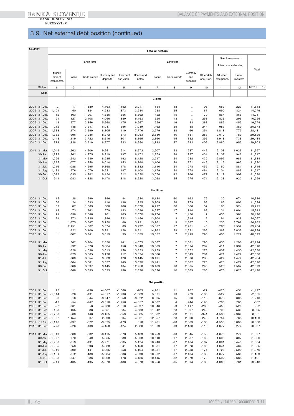**EUROSYSTEM**

## 3.9. Net external debt position (continued)

| Mio EUR |                              |                      |                  |                      |                      |                  |                      | <b>Total all sectors</b> |                                  |                 |                      |                      |                      |                  |
|---------|------------------------------|----------------------|------------------|----------------------|----------------------|------------------|----------------------|--------------------------|----------------------------------|-----------------|----------------------|----------------------|----------------------|------------------|
|         |                              |                      |                  |                      |                      |                  |                      |                          |                                  |                 |                      | Direct investment:   |                      |                  |
|         |                              |                      |                  | Short-term           |                      |                  |                      |                          | Long-term                        |                 |                      |                      | Intercomapny lending |                  |
|         |                              |                      |                  |                      |                      |                  |                      |                          |                                  |                 |                      |                      |                      | Total            |
|         |                              | Money<br>market      | Loans            | <b>Trade credits</b> | Currency and         | Other debt       | Bonds and            | Loans                    | Trade credits                    | Currency<br>and | Other debt           | Affiliated           | Direct               |                  |
|         |                              | instruments          |                  |                      | deposits             | ass./liab.       | notes                |                          |                                  | deposits        | ass./liab.           | enterprises          | investors            |                  |
|         | Stolpec                      | 1                    | $\overline{c}$   | 3                    | $\overline{4}$       | 5                | 6                    | $\overline{7}$           | 8                                | 9               | 10                   | 11                   | 12                   | $13=1++12$       |
|         | Koda                         |                      |                  |                      |                      |                  |                      |                          |                                  |                 |                      |                      |                      |                  |
|         |                              |                      |                  |                      |                      |                  |                      | Claims                   |                                  |                 |                      |                      |                      |                  |
|         | 2001 31.Dec.                 |                      | 17               | 1,880                | 4,463                | 1,452            | 2,917                | 153                      | 48                               | $\ddotsc$       | 106                  | 553                  | 223                  | 11,813           |
|         | 2002 31.Dec.                 | $\ddotsc$<br>1,101   | 50               | 1,884                | 4,933                | 1,373            | 3,244                | 288                      | 25                               | $\cdots$        | 167                  | 690                  | 324                  | 14,079           |
|         | 2003 31.Dec.                 | 12                   | 103              | 1,907                | 4,335                | 1,356            | 5,392                | 422                      | 15                               | $\cdots$        | 170                  | 864                  | 366                  | 14,941           |
|         | 2004 31.Dec.                 | 24                   | 127              | 2,108                | 4,096                | 1,389            | 6,453                | 625                      | 13                               | $\cdots$        | 258                  | 836                  | 296                  | 16,225           |
|         | 2005 31.Dec.<br>2006 31.Dec. | 48<br>212            | 277<br>438       | 2,856<br>3,247       | 5,668<br>6,037       | 1,175<br>556     | 6,967<br>7,039       | 929<br>1,462             | 16<br>25                         | 33<br>38        | 267<br>244           | 883<br>987           | 455<br>389           | 19,574<br>20,673 |
|         | 2007 31.Dec.                 | 1,733                | 1,174            | 3,699                | 8,305                | 419              | 7,776                | 2,279                    | 38                               | 66              | 351                  | 1,818                | 773                  | 28,431           |
|         | 2008 31.Dec.                 | 1,352                | 996              | 3,935                | 8,272                | 373              | 8,053                | 2,880                    | 40                               | 131             | 283                  | 2,019                | 789                  | 29,125           |
|         | 2009 31.Dec.                 | 1,143                | 1,119            | 3,722                | 8,616                | 301              | 8,195                | 2,860                    | 45                               | 382             | 396                  | 1,918                | 738                  | 29,434           |
|         | 2010 31.Dec.                 | 773                  | 1,328            | 3,910                | 8,277                | 223              | 8,654                | 2,783                    | 27                               | 282             | 409                  | 2,080                | 955                  | 29,702           |
|         | 2011 31.Mar.                 | 1,049                | 1,262            | 4,206                | 9,251                | 514              | 8,672                | 2,907                    | 23                               | 237             | 443                  | 2,108                | 1,026                | 31,697           |
|         | 30.Apr.                      | 1,272                | 1,262            | 4,275                | 8,919                | 497              | 8,472                | 2,879                    | 24                               | 237             | 431                  | 2,107                | 942                  | 31,317           |
|         | 31.May                       | 1,256                | 1,242            | 4,230                | 8,985                | 492              | 8,428                | 2,917                    | 24                               | 238             | 439                  | 2,097                | 986                  | 31,334           |
|         | 30.Jun.<br>31.Jul.           | 1,225<br>1,216       | 1,077<br>1,088   | 4,258<br>4,295       | 9,014<br>9,398       | 453<br>478       | 8,368<br>8,342       | 3,106<br>3,110           | 24<br>24                         | 271<br>278      | 446<br>455           | 2,113<br>2,150       | 965<br>881           | 31,320<br>31,715 |
|         | 31.Aug.                      | 1,131                | 976              | 4,070                | 9,521                | 487              | 8,400                | 3,179                    | 24                               | 278             | 461                  | 2,104                | 886                  | 31,517           |
|         | 30.Sep.                      | 1,093                | 1,035            | 4,282                | 9,454                | 312              | 8,520                | 3,074                    | 42                               | 286             | 472                  | 2,119                | 909                  | 31,598           |
|         | 31.Oct.                      | 941                  | 1,083            | 4,328                | 9,470                | 318              | 8,520                | 3,068                    | 25                               | 275             | 471                  | 2,138                | 922                  | 31,559           |
|         |                              |                      |                  |                      |                      |                  |                      | Liabilities              |                                  |                 |                      |                      |                      |                  |
|         | 2001 31.Dec.                 | 15                   | 28               | 1,690                | 396                  | 84               | 1,934                | 5,134                    | 60                               | 162             | 79                   | 130                  | 674                  |                  |
|         | 2002 31.Dec.                 | 56                   | 24               | 1,693                | 416                  | 138              | 1,935                | 5,909                    | 38                               | 279             | 68                   | 163                  | 806                  | 10,386<br>11,524 |
|         | 2003 31.Dec.                 | 32                   | 87               | 1,663                | 588                  | 106              | 2,070                | 6,927                    | 30                               | 506             | 57                   | 185                  | 974                  | 13,225           |
|         | 2004 31.Dec.                 | 13                   | 73               | 1,862                | 579                  | 133              | 2,096                | 8,627                    | 17                               | 744             | 68                   | 131                  | 1,001                | 15,343           |
|         | 2005 31.Dec.                 | 21                   | 638              | 2,848                | 901                  | 165              | 2,070                | 10,974                   | $\overline{7}$                   | 1,450           | $\overline{7}$       | 433                  | 981                  | 20,496           |
|         | 2006 31.Dec.<br>2007 31.Dec. | 24                   | 273<br>1,675     | 3,335<br>3,847       | 1,386<br>5,150       | 222<br>60        | 2,456<br>3,191       | 13,304<br>13,961         | 3<br>9                           | 1,945<br>2,887  | $\overline{c}$<br>10 | 191<br>230           | 928<br>3,762         | 24,067<br>34,783 |
|         | 2008 31.Dec.                 | <br>                 | 2,151            | 4,002                | 5,374                | 69               | 3,992                | 15,837                   | 17                               | 2,931           | 43                   | 266                  | 4,552                | 39,234           |
|         | 2009 31.Dec.                 |                      | 822              | 3,400                | 5,291                | 128              | 8,711                | 14,762                   | 29                               | 2,691           | 263                  | 362                  | 3,836                | 40,294           |
|         | 2010 31.Dec.                 |                      | 802              | 3,741                | 3,819                | 99               | 11,039               | 13,852                   | $\overline{7}$                   | 2,413           | 295                  | 403                  | 4,229                | 40,699           |
|         | 2011 31.Mar.                 |                      | 562              | 3,904                | 2,836                | 141              | 14,075               | 13,667                   | $\overline{7}$                   | 2,581           | 290                  | 433                  | 4,298                | 42,794           |
|         | 30.Apr.                      |                      | 592              | 4,026                | 3,064                | 158              | 13,740               | 13,389                   | 7                                | 2,624           | 269                  | 411                  | 4,339                | 42,618           |
|         | 31.May                       |                      | 628              | 4,038                | 3,013                | 158              | 13,853               | 13,159                   | $\overline{7}$                   | 2,672           | 273                  | 407                  | 4,430                | 42,638           |
|         | 30.Jun.                      |                      | 823              | 3,865                | 3,126                | 112              | 13,524               | 13,088                   | $\overline{7}$                   | 2,649           | 281                  | 471                  | 4,429                | 42,376           |
|         | 31.Jul.<br>31.Aug.           |                      | 689<br>664       | 3,854<br>3,581       | 3,333<br>3,537       | 120<br>149       | 13,445<br>13,390     | 13,491<br>13,441         | $\overline{7}$<br>$\overline{7}$ | 2,666<br>2,682  | 283<br>278           | 424<br>428           | 4,472<br>4,472       | 42,784<br>42,626 |
|         | 30.Sep.                      | <br>                 | 688              | 3,897                | 3,445                | 134              | 12,956               | 13,489                   | 10                               | 2,665           | 293                  | 526                  | 4,597                | 42,699           |
|         | 31.Oct.                      |                      | 648              | 3,833                | 3,593                | 138              | 12,896               | 13,326                   | 10                               | 2,669           | 285                  | 478                  | 4,623                | 42,498           |
|         |                              |                      |                  |                      |                      |                  |                      | Net position             |                                  |                 |                      |                      |                      |                  |
|         | 2001 31.Dec.                 | 15                   | 11               | $-190$               | $-4,067$             | $-1,368$         | $-983$               | 4,981                    | 11                               | 162             | $-27$                | $-423$               | 451                  | $-1,427$         |
|         | 2002 31.Dec.                 | $-1,044$             | $-26$            | $-191$               | $-4,517$             | $-1,236$         | $-1,309$             | 5,621                    | 13                               | 279             | $-100$               | $-527$               | 482                  | $-2,555$         |
|         | 2003 31.Dec.                 | 20                   | $-16$            | $-244$               | $-3,747$             | $-1,250$         | $-3,322$             | 6,505                    | 15                               | 506             | $-113$               | $-678$               | 608                  | $-1,716$         |
|         | 2004 31.Dec.                 | $-12$                | $-54$            | $-247$               | $-3,518$             | $-1,256$         | $-4,357$             | 8,002                    | $\overline{4}$                   | 744             | $-190$               | $-705$               | 705                  | $-882$           |
|         | 2005 31.Dec.                 | $-27$                | 361              | -8                   | $-4,766$             | $-1,010$         | $-4,897$             | 10,046                   | -9                               | 1,417           | $-260$               | $-450$               | 526                  | 922              |
|         | 2006 31.Dec.<br>2007 31.Dec. | $-188$<br>$-1,733$   | $-165$<br>500    | 88<br>148            | $-4,651$             | $-334$<br>$-359$ | $-4,583$             | 11,842<br>11,682         | $-23$<br>$-30$                   | 1,907           | $-242$<br>$-341$     | $-796$               | 539                  | 3,395<br>6,351   |
|         | 2008 31.Dec.                 | $-1,352$             | 1,154            | 67                   | $-3,155$<br>$-2,899$ | $-304$           | $-4,585$<br>$-4,061$ | 12,957                   | $-23$                            | 2,821<br>2,800  | $-240$               | $-1,588$<br>$-1,754$ | 2,989<br>3,763       | 10,109           |
|         | 2009 31.12.                  | $-1, 143$            | $-297$           | $-322$               | $-3,325$             | -173             | 516                  | 11,901                   | $-16$                            | 2,309           | $-133$               | $-1,555$             | 3,098                | 10,860           |
|         | 2010 31.Dec.                 | $-773$               | $-526$           | $-169$               | $-4,458$             | $-124$           | 2,386                | 11,069                   | $-19$                            | 2,130           | $-115$               | $-1,677$             | 3,274                | 10,997           |
|         | 2011 31.Mar.                 | $-1,049$             | $-700$           | $-302$               | $-6,415$             | $-373$           | 5,403                | 10,759                   | $-16$                            | 2,345           | $-153$               | $-1,675$             | 3,272                | 11,097           |
|         | 30.Apr.                      | $-1,272$             | $-670$           | $-249$               | $-5,855$             | $-339$           | 5,268                | 10,510                   | $-17$                            | 2,387           | $-163$               | $-1,696$             | 3,397                | 11,300           |
|         | 31.May<br>30.Jun.            | $-1,256$<br>$-1,225$ | $-613$<br>$-253$ | $-191$<br>$-393$     | $-5,971$<br>$-5,888$ | $-335$<br>$-341$ | 5,424<br>5,156       | 10,243<br>9,981          | $-17$<br>$-17$                   | 2,434<br>2,378  | $-167$<br>$-165$     | $-1,691$<br>$-1,641$ | 3,445<br>3,464       | 11,304<br>11,055 |
|         | 31.Jul.                      | $-1,216$             | $-399$           | $-441$               | $-6,065$             | $-358$           | 5,104                | 10,381                   | $-17$                            | 2,388           | $-171$               | $-1,726$             | 3,590                | 11,070           |
|         | 31.Aug.                      | $-1, 131$            | $-312$           | $-489$               | $-5,984$             | $-338$           | 4,990                | 10,262                   | $-17$                            | 2,404           | $-183$               | $-1,677$             | 3,586                | 11,109           |
|         | 30.09.                       | $-1,093$             | $-347$           | $-386$               | $-6,008$             | $-178$           | 4,436                | 10,415                   | $-32$                            | 2,379           | $-179$               | $-1,592$             | 3,688                | 11,101           |
|         | 31.Oct.                      | $-941$               | $-435$           | $-495$               | $-5,878$             | -180             | 4,376                | 10,258                   | $-15$                            | 2,394           | $-186$               | $-1,660$             | 3,701                | 10,940           |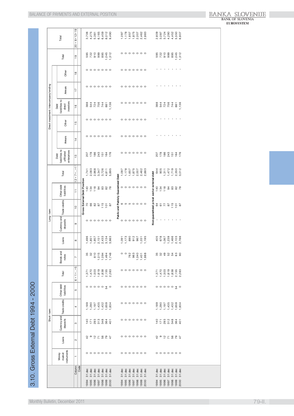|                                         |      | Total                                       | $20 = 6 + 12 + 19$            |      |                                     |                | 3,706<br>4,275                                                                                  | 5,381                       |                |                |                                                    | 6,165<br>6,459<br>6,012<br>9,490 |                                     | 1,097          | 1,178                                 | 1,657<br>1,875 |                | 2,007          |                     | 2,462<br>2,883     |                                            |                | 2,609<br>3,097    | 3,724                                                                | 4,290             | 4,452          | 5,550          | 6,607                                                                                                             |
|-----------------------------------------|------|---------------------------------------------|-------------------------------|------|-------------------------------------|----------------|-------------------------------------------------------------------------------------------------|-----------------------------|----------------|----------------|----------------------------------------------------|----------------------------------|-------------------------------------|----------------|---------------------------------------|----------------|----------------|----------------|---------------------|--------------------|--------------------------------------------|----------------|-------------------|----------------------------------------------------------------------|-------------------|----------------|----------------|-------------------------------------------------------------------------------------------------------------------|
|                                         |      | Total                                       | $\frac{0}{1}$                 |      |                                     | 595            | 722                                                                                             | 910                         | 999            | 895            |                                                    | $1,045$<br>$1,312$               |                                     |                | $\circ\circ\circ\circ\circ\circ\circ$ |                |                |                |                     |                    |                                            | 595            |                   | $722$<br>$999$<br>$995$<br>$895$                                     |                   |                | 1,045          | 1,312                                                                                                             |
|                                         |      | Other                                       | $\frac{8}{1}$                 |      |                                     |                | 00000000                                                                                        |                             |                |                |                                                    |                                  |                                     |                | 00000000                              |                |                |                |                     |                    |                                            |                |                   |                                                                      |                   |                |                |                                                                                                                   |
|                                         |      | Arears                                      | $\overline{1}$                |      |                                     |                | 00000000                                                                                        |                             |                |                |                                                    |                                  |                                     |                | 00000000                              |                |                |                |                     |                    |                                            |                | $\blacksquare$    | $\mathcal{A}$                                                        | $\blacksquare$    | $\,$           | $\mathbf{I}$   |                                                                                                                   |
| Direct investment: Intercompany lending | Debt | liabilities to<br>investors<br>direct       | $\frac{6}{1}$                 |      |                                     | 388            | 544<br>724<br>756                                                                               |                             |                | 744            | 881                                                | 1,136                            |                                     |                | $\circ\circ\circ\circ\circ\circ\circ$ |                |                |                |                     |                    |                                            | 388            |                   | 544<br>724                                                           | 756               | 744            | 881            | 1,136                                                                                                             |
|                                         |      | Other                                       | $\frac{10}{10}$               |      |                                     |                | $\circ\circ\circ\circ\circ\circ\circ$                                                           |                             |                |                |                                                    |                                  |                                     |                | 00000000                              |                |                |                |                     |                    |                                            |                | $\,$              | $\mathbf{u}$                                                         |                   |                |                |                                                                                                                   |
|                                         |      | Arrears                                     | $\frac{4}{3}$                 |      |                                     |                | 00000000                                                                                        |                             |                |                |                                                    |                                  |                                     |                | 00000000                              |                |                |                |                     |                    |                                            |                | $\mathcal{A}$     | $\sim$ 1                                                             | $\sim$            | $\mathcal{A}$  | $\sim$ 1       | $\mathbf{I}$                                                                                                      |
|                                         | Debt | liabilities to<br>enterprises<br>affiliated | $\frac{8}{1}$                 |      |                                     | 207            | 178                                                                                             |                             |                |                |                                                    | 243<br>151<br>176<br>176         |                                     |                | 00000000                              |                |                |                |                     |                    |                                            | 207            |                   | $178$<br>$186$<br>$245$<br>$164$<br>$176$                            |                   |                |                |                                                                                                                   |
|                                         |      | Total                                       | $= 7 +  + 1$<br>$\frac{2}{1}$ |      |                                     | 1,741          | 2,083                                                                                           | 2,968                       | 3,347          | 3,726          | 4,811                                              | 5,895                            |                                     | 1,097          | 1,178                                 | 1,657          | 1,875          | 2,007          | 2,462               | 2,883              |                                            | 644            | 905               | 1,311                                                                |                   |                |                | $1,472$<br>$1,719$<br>$2,350$<br>$2,350$<br>$3,012$                                                               |
|                                         |      | Other debt<br>liabilities                   | $\overline{1}$                |      | <b>Gross External Debt Position</b> | 140            |                                                                                                 | $134$<br>118                | $\overline{9}$ |                | $\begin{array}{c} 30 \\ 30 \\ 30 \\ 5 \end{array}$ |                                  | Public and Publicly Guaranteed Debt |                | $\circ\circ\circ\circ$                |                |                |                | $\circ \circ \circ$ |                    | Non-guaranteed privat sector external debt | 140            | 134               | $118$                                                                |                   |                | 98887          |                                                                                                                   |
|                                         |      | Trade credits                               | $\frac{1}{2}$                 |      |                                     |                | <b>PO</b><br>66                                                                                 | 82<br>87                    |                | 115            | 101                                                | 87                               |                                     |                | 0 0 0 0 0 0 0                         |                |                |                |                     |                    |                                            |                |                   | $\frac{4}{9}$ $\frac{2}{9}$ $\frac{2}{9}$                            |                   |                | $115$<br>$101$ | $\overline{8}$                                                                                                    |
| $Long-term$                             |      | Currency and<br>deposits                    | တ                             |      |                                     |                | $\circ$ $\circ$                                                                                 | $\circ\circ\circ\circ\circ$ |                |                |                                                    |                                  |                                     |                | $\circ\circ\circ\circ\circ\circ\circ$ |                |                |                |                     |                    |                                            |                |                   | $\,$                                                                 | $\,$              | $\,$           |                |                                                                                                                   |
|                                         |      | Loans                                       | ${}^{\circ}$                  |      |                                     | 1,496          | 1,851                                                                                           | 1,957                       | 2,151          |                |                                                    | 2,433<br>3,134<br>3,983          |                                     | 1,091          | 1,173                                 | 890            | 912            | 967            | 1,0.31              | 1,195              |                                            | 405            | 678               | 1,067                                                                | 1,239             | 1,466          | 2,103          | 2,788                                                                                                             |
|                                         |      | Bonds and<br>notes                          | N                             |      |                                     |                |                                                                                                 |                             |                |                |                                                    |                                  |                                     |                |                                       |                |                | 1,040          |                     | $1,431$<br>$1,688$ |                                            |                |                   | 5<br>5 5 5 5 7 5 6 7                                                 |                   |                |                |                                                                                                                   |
|                                         |      | Total                                       | $= 1 +  + 5$<br>$\circ$       |      |                                     |                | $\begin{array}{cccc}\n1.371 \\ 7.470 \\ 1.503 \\ 1.638 \\ 2.450 \\ 1.638 \\ 2.283\n\end{array}$ |                             |                |                |                                                    |                                  |                                     |                | $\circ\circ\circ\circ\circ\circ\circ$ |                |                |                |                     |                    |                                            |                |                   |                                                                      |                   |                |                | $\begin{array}{cccc}\n & 3.71 \\  & 3.70 \\  & 4.503 \\  & 5.835 \\  & 6.763 \\  & 7.683 \\  & 8.35\n\end{array}$ |
| Short-term                              |      | Other debt<br>liabilities                   | LO                            |      |                                     |                | $\circ \circ \circ \circ \circ \circ \underset{\omega}{\circ} \circ$                            |                             |                |                |                                                    |                                  |                                     |                | 00000000                              |                |                |                |                     |                    |                                            |                |                   | $\circ \circ \circ \circ \circ \circ \underset{\omega}{\circ} \circ$ |                   |                |                |                                                                                                                   |
|                                         |      | Trade credits                               | 4                             |      |                                     |                |                                                                                                 |                             |                |                |                                                    |                                  |                                     |                | $\circ\circ\circ\circ\circ\circ\circ$ |                |                |                |                     |                    |                                            |                |                   |                                                                      |                   |                |                |                                                                                                                   |
|                                         |      | Currency and<br>deposits                    | S                             |      |                                     |                | $140$<br>$171$                                                                                  |                             | 0.78804        |                |                                                    |                                  |                                     |                | 00000000                              |                |                |                |                     |                    |                                            |                |                   | 75878870                                                             |                   |                |                |                                                                                                                   |
|                                         |      | Loans                                       | $\sim$                        |      |                                     |                | 4 9 2 7 8 9 7 4                                                                                 |                             |                |                |                                                    |                                  |                                     |                | 00000000                              |                |                |                |                     |                    |                                            |                |                   | 4 9 2 7 8 9 7 4 9 7                                                  |                   |                |                |                                                                                                                   |
|                                         |      | instruments<br>market<br>Money              | ÷                             |      |                                     |                | 00000000                                                                                        |                             |                |                |                                                    |                                  |                                     |                | 00000000                              |                |                |                |                     |                    |                                            |                |                   | 00000000                                                             |                   |                |                |                                                                                                                   |
|                                         |      |                                             | Column                        | Code |                                     | 31.dec<br>1994 | 31.dec<br>1995                                                                                  | 31.dec<br>1996              | 31.dec<br>1997 | 31.dec<br>1998 | 31.dec<br>1999                                     | 31.dec<br>2000                   |                                     | 31.dec<br>1994 | 31.dec<br>31.dec<br>1995              | 1996           | 31.dec<br>1997 | 31.dec<br>1998 | $31$ .dec<br>1999   | 31.dec<br>2000     |                                            | 31.dec<br>1994 | $31$ .dec<br>1995 | $31$ .dec<br>1996                                                    | $31$ .dec<br>1997 | 31.dec<br>1998 | 31.dec<br>1999 | 31.dec<br>2000                                                                                                    |

3.10. Gross External Debt 1994 - 2000

3.10. Gross External Debt 1994 - 2000

#### BANKA SLOVENIJE BANK OF SLOVENIA **EUROSYSTEM**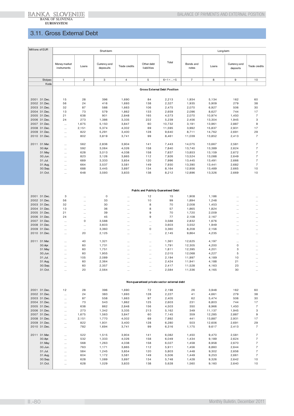**EUROSYSTEM**

### 3.11. Gross External Debt

| Millions of EUR              |                             |                | Short-term                |                |                                     |                                             |                    | Long-term        |                          |                                    |
|------------------------------|-----------------------------|----------------|---------------------------|----------------|-------------------------------------|---------------------------------------------|--------------------|------------------|--------------------------|------------------------------------|
|                              | Money market<br>instruments | Loans          | Currency and<br>deposuits | Trade credits  | Other debt<br>liabilities           | Total                                       | Bonds and<br>notes | Loans            | Currency and<br>deposits | Trade credits                      |
| Stolpec                      | $\mathbf{1}$                | $\overline{c}$ | 3                         | $\overline{4}$ | 5                                   | $6 = 1 +  + 5$                              | $\overline{7}$     | 8                | 9                        | 10                                 |
| Koda                         |                             |                |                           |                |                                     |                                             |                    |                  |                          |                                    |
|                              |                             |                |                           |                | <b>Gross External Debt Position</b> |                                             |                    |                  |                          |                                    |
|                              |                             |                |                           |                |                                     |                                             |                    |                  |                          |                                    |
| 2001 31.Dec.                 | 15                          | 28             | 396                       | 1,690          | 84                                  | 2,213                                       | 1,934              | 5,134            | 162                      | 60                                 |
| 2002 31.Dec.<br>2003 31.Dec. | 56<br>32                    | 24<br>87       | 416<br>588                | 1,693<br>1,663 | 138<br>106                          | 2,327<br>2,475                              | 1,935<br>2,070     | 5,909<br>6,927   | 279<br>506               | 38<br>30                           |
| 2004 31.Dec.                 | 13                          | 73             | 579                       | 1,862          | 133                                 | 2,659                                       | 2,096              | 8,627            | 744                      | 17                                 |
| 2005 31.Dec.                 | 21                          | 638            | 901                       | 2,848          | 165                                 | 4,573                                       | 2,070              | 10,974           | 1,450                    | $\overline{7}$                     |
| 2006 31.Dec.                 | 24                          | 273            | 1,386                     | 3,335          | 222                                 | 5,239                                       | 2,456              | 13,304           | 1,945                    | 3                                  |
| 2007 31.Dec.                 | $\cdots$                    | 1,675          | 5,150                     | 3,847          | 60                                  | 10,732                                      | 3,191              | 13,961           | 2,887                    | 9                                  |
| 2008 31.Dec.                 | $\cdots$                    | 2,151          | 5,374                     | 4,002          | 69                                  | 11,595                                      | 3,992              | 15,837           | 2,931                    | 17                                 |
| 2009 31.Dec.                 | $\ldots$                    | 822            | 5,291                     | 3,400          | 128                                 | 9,640                                       | 8,711              | 14,762           | 2,691                    | 29                                 |
| 2010 31.Dec.                 | $\ldots$                    | 802            | 3,819                     | 3,741          | 99                                  | 8,461                                       | 11,039             | 13,852           | 2,413                    | $\overline{7}$                     |
| 2011 31.Mar.                 | $\cdots$                    | 562            | 2,836                     | 3,904          | 141                                 | 7,443                                       | 14,075             | 13,667           | 2,581                    | $\overline{7}$                     |
| 30.Apr.                      | $\cdots$                    | 592            | 3,064                     | 4,026          | 158                                 | 7,840                                       | 13,740             | 13,389           | 2,624                    | $\overline{\mathfrak{c}}$          |
| 31.May                       | $\cdots$                    | 628            | 3,013                     | 4,038          | 158                                 | 7,837                                       | 13,853             | 13,159           | 2,672                    | $\overline{7}$                     |
| 30.Jun.                      | $\cdots$                    | 823            | 3,126                     | 3,865          | 112                                 | 7,926                                       | 13,524             | 13,088           | 2,649                    | $\overline{\mathfrak{c}}$          |
| 31.Jul.                      | $\cdots$                    | 689            | 3,333                     | 3,854          | 120                                 | 7,996                                       | 13,445             | 13,491           | 2,666                    | $\overline{7}$                     |
| 31.Aug.                      | $\ldots$                    | 664            | 3,537                     | 3,581          | 149                                 | 7,930                                       | 13,390             | 13,441           | 2,682                    | $\boldsymbol{7}$                   |
| 30.Sep.                      | $\cdots$                    | 688            | 3,445                     | 3,897          | 134                                 | 8,164                                       | 12,956             | 13,489           | 2,665                    | 10                                 |
| 31.Oct.                      | $\cdots$                    | 648            | 3,593                     | 3,833          | 138                                 | 8,212                                       | 12,896             | 13,326           | 2,669                    | 10                                 |
|                              |                             |                |                           |                |                                     |                                             |                    |                  |                          |                                    |
|                              |                             |                |                           |                |                                     |                                             |                    |                  |                          |                                    |
|                              |                             |                |                           |                | Public and Publicly Guaranteed Debt |                                             |                    |                  |                          |                                    |
| 2001 31.Dec.                 | 3                           | $\cdots$       | $\mathsf O$               |                | 12                                  | 15                                          | 1,908              | 1,186            |                          |                                    |
| 2002 31.Dec.                 | 56                          | $\cdots$       | 33                        |                | 10                                  | 99                                          | 1,894              | 1,248            |                          |                                    |
| 2003 31.Dec.                 | 32                          | $\cdots$       | 30                        |                | 8                                   | 70                                          | 2,008              | 1,453            |                          |                                    |
| 2004 31.Dec.                 | 13                          | $\cdots$       | 36                        |                | 8                                   | 57                                          | 1,865              | 1,824            |                          |                                    |
| 2005 31.Dec.                 | 21                          | $\cdots$       | 39                        | $\cdots$       | 9                                   | 70                                          | 1,720              | 2,009            |                          |                                    |
| 2006 31.Dec.                 | 24                          | $\cdots$       | 45                        |                | 9                                   | 77                                          | 2,108              | 2,167            |                          |                                    |
| 2007 31.Dec.                 | $\cdots$                    | 0              | 3,588                     |                |                                     | 3,588                                       | 2,832              | 1,676            |                          |                                    |
| 2008 31.Dec.                 | $\cdots$                    | $\ldots$       | 3,603                     |                | $\cdots$                            | 3,603                                       | 3,552              | 1,949            |                          |                                    |
| 2009 31.Dec.<br>2010 31.Dec. | $\cdots$                    | $\cdots$<br>20 | 3,360                     | $\cdots$       | 0                                   | 3,360                                       | 8,208              | 2,156            |                          |                                    |
|                              | $\ldots$                    |                | 2,125                     | $\ddotsc$      | $\cdots$                            | 2,145                                       | 9,864              | 4,235            |                          |                                    |
| 2011 31.Mar.                 | $\cdots$                    | 40             | 1,321                     |                | $\cdots$                            | 1,361                                       | 12,625             | 4,197            |                          |                                    |
| 30.Apr.                      | $\cdots$                    | 60             | 1,731                     |                | $\cdots$                            | 1,791                                       | 12,305             | 4,200            | 0                        |                                    |
| 31.May                       | $\cdots$                    | 60             | 1,751                     |                | $\cdots$                            | 1,811                                       | 12,395             | 4,201            | 3                        |                                    |
| 30.Jun.                      | $\cdots$                    | 60             | 1,955                     | $\cdots$       | $\cdots$                            | 2,015                                       | 12,068             | 4,227            | 5                        |                                    |
| 31.Jul.                      | $\cdots$                    | 105            | 2,089                     |                |                                     | 2,194                                       | 11,997             | 4,189            | 10                       |                                    |
| 31.Aug.<br>30.Sep.           | $\cdots$                    | 60<br>60       | 2,364<br>2,357            |                | $\cdots$                            | 2,424<br>2,417                              | 11,941<br>11,528   | 4,188<br>4,163   | 21<br>23                 |                                    |
| 31.Oct.                      | $\cdots$                    | 20             | 2,564                     |                |                                     | 2,584                                       | 11,336             | 4,165            | 30                       |                                    |
|                              |                             |                |                           |                |                                     |                                             |                    |                  |                          |                                    |
|                              |                             |                |                           |                |                                     | Non-guaranteed private sector external debt |                    |                  |                          |                                    |
|                              |                             |                |                           |                |                                     |                                             |                    |                  |                          |                                    |
| 2001 31.Dec.                 | 12                          | 28             | 396                       | 1,690          | 72                                  | 2,198                                       | 26                 | 3,948            | 162                      | 60                                 |
| 2002 31.Dec.                 | $\cdots$                    | 24             | 383                       | 1,693          | 128                                 | 2,227                                       | 41                 | 4,661            | 279                      | 38                                 |
| 2003 31.Dec.                 | $\cdots$                    | 87             | 558                       | 1,663          | 97                                  | 2,405                                       | 62                 | 5,474            | 506                      | 30                                 |
| 2004 31.Dec.                 | $\cdots$                    | 73             | 543                       | 1,862          | 125                                 | 2,603                                       | 231                | 6,803            | 744                      | 17                                 |
| 2005 31.Dec.                 | $\cdots$                    | 638            | 862                       | 2,848          | 156                                 | 4,503                                       | 350                | 8,966            | 1,450                    | $\overline{7}$                     |
| 2006 31.Dec.<br>2007 31.Dec. | $\ldots$                    | 273<br>1,675   | 1,342<br>1,563            | 3,335<br>3,847 | 213<br>60                           | 5,162<br>7,145                              | 349<br>359         | 11,137<br>12,285 | 1,945<br>2,887           | 3<br>9                             |
| 2008 31.Dec.                 | $\cdots$<br>$\cdots$        | 2,151          | 1,770                     | 4,002          | 69                                  | 7,992                                       | 441                | 13,887           | 2,931                    | 17                                 |
| 2009 31.Dec.                 | $\cdots$                    | 822            | 1,931                     | 3,400          | 128                                 | 6,280                                       | 503                | 12,606           | 2,691                    | 29                                 |
| 2010 31.Dec.                 | $\cdots$                    | 782            | 1,694                     | 3,741          | 99                                  | 6,316                                       | 1,175              | 9,617            | 2,413                    | $\overline{7}$                     |
|                              |                             |                |                           |                |                                     |                                             |                    |                  |                          |                                    |
| 2011 31.Mar.                 | $\cdots$                    | 522            | 1,515                     | 3,904          | 141                                 | 6,082                                       | 1,450              | 9,470            | 2,581                    | $\boldsymbol{7}$                   |
| 30.Apr.<br>31.May            | $\cdots$                    | 532<br>568     | 1,333<br>1,263            | 4,026<br>4,038 | 158<br>158                          | 6,049<br>6,027                              | 1,434<br>1,458     | 9,189<br>8,958   | 2,624<br>2,670           | $\overline{7}$<br>$\boldsymbol{7}$ |
| 30.Jun.                      | $\ldots$<br>$\cdots$        | 763            | 1,171                     | 3,865          | 112                                 | 5,911                                       | 1,456              | 8,860            | 2,644                    | $\overline{\mathcal{I}}$           |
| 31.Jul.                      | $\ldots$                    | 584            | 1,245                     | 3,854          | 120                                 | 5,803                                       | 1,448              | 9,302            | 2,656                    | $\boldsymbol{7}$                   |
| 31.Aug.                      | $\cdots$                    | 604            | 1,172                     | 3,581          | 149                                 | 5,506                                       | 1,449              | 9,253            | 2,661                    | $\overline{7}$                     |
| 30.Sep.                      | $\cdots$                    | 628            | 1,089                     | 3,897          | 134                                 | 5,748                                       | 1,428              | 9,326            | 2,642                    | 10                                 |
| 31.Oct.                      | $\ldots$                    | 628            | 1,029                     | 3,833          | 138                                 | 5,628                                       | 1,560              | 9,160            | 2,640                    | 10                                 |
|                              |                             |                |                           |                |                                     |                                             |                    |                  |                          |                                    |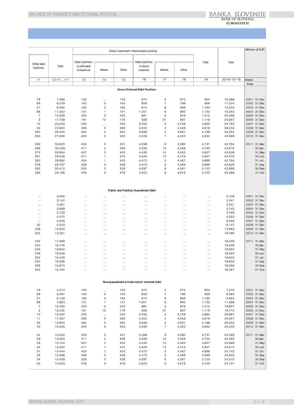|                      |                  |                              |                         |            | Direct investment: Intercompany lending     |                          |                |                |                  | Millions of EUR              |
|----------------------|------------------|------------------------------|-------------------------|------------|---------------------------------------------|--------------------------|----------------|----------------|------------------|------------------------------|
|                      |                  |                              |                         |            |                                             |                          |                |                |                  |                              |
| Other debt           |                  | Debt liabilities             |                         |            | Debt liabilities                            |                          |                | Total          | Total            |                              |
| liabilities          | Total            | to affiliated<br>enterprises | Arrears                 | Other      | to direct<br>investors                      | Arrears                  | Other          |                |                  |                              |
| 11                   | $12=7++11$       | 13                           | 14                      | 15         | 16                                          | 17                       | 18             | 19             | $20=6+12+19$     | Stolpec                      |
|                      |                  |                              |                         |            |                                             |                          |                |                |                  | Koda                         |
|                      |                  |                              |                         |            | <b>Gross External Debt Position</b>         |                          |                |                |                  |                              |
| 79                   | 7,369            | 130                          |                         | 130        | 674                                         | $\sqrt{4}$               | 670            | 804            | 10,386           | 2001 31.Dec.                 |
| 68                   | 8,229            | 163                          | $\mathsf{O}\xspace$     | 163        | 806                                         | $\overline{7}$           | 799            | 969            | 11,524           | 2002 31.Dec.                 |
| 57                   | 9,590            | 185                          | 0                       | 185        | 974                                         | 8                        | 966            | 1,160          | 13,225           | 2003 31.Dec.                 |
| 68<br>$\overline{7}$ | 11,552           | 131                          | 1<br>$\mathsf O$        | 131<br>433 | 1,001<br>981                                | 9<br>5                   | 992<br>976     | 1,132          | 15,343           | 2004 31.Dec.<br>2005 31.Dec. |
| $\overline{c}$       | 14,509<br>17,709 | 433<br>191                   | 12                      | 179        | 928                                         | 31                       | 897            | 1,415<br>1,119 | 20,496<br>24,067 | 2006 31.Dec.                 |
| 10                   | 20,059           | 230                          |                         | 230        | 3,762                                       | $\overline{\mathbf{c}}$  | 3,759          | 3,992          | 34,783           | 2007 31.Dec.                 |
| 43                   | 22,820           | 266                          | <br>0                   | 266        | 4,552                                       | $\overline{4}$           | 4,548          | 4,818          | 39,234           | 2008 31.Dec.                 |
| 263                  | 26,455           | 362                          | 0                       | 362        | 3,836                                       | $\overline{4}$           | 3,831          | 4,198          | 40,294           | 2009 31.Dec.                 |
| 295                  | 27,606           | 403                          | 0                       | 403        | 4,229                                       | $\overline{7}$           | 4,222          | 4,632          | 40,699           | 2010 31.Dec.                 |
| 290                  | 30,620           | 433                          | $\overline{\mathbf{c}}$ | 431        | 4,298                                       | 9                        | 4,290          | 4,731          | 42,794           | 2011 31.Mar.                 |
| 269                  | 30,028           | 411                          | $\overline{\mathbf{c}}$ | 409        | 4,339                                       | 10                       | 4,328          | 4,750          | 42,618           | 30.Apr.                      |
| 273                  | 29,964           | 407                          | $\overline{\mathbf{c}}$ | 405        | 4,430                                       | 10                       | 4,420          | 4,837          | 42,638           | 31.May                       |
| 281                  | 29,549           | 471                          | 1                       | 470        | 4,429                                       | 13                       | 4,416          | 4,901          | 42,376           | 30.Jun.                      |
| 283                  | 29,892           | 424                          | 1                       | 423        | 4,472                                       | 5                        | 4,467          | 4,896          | 42,784           | 31.Jul.                      |
| 278                  | 29,797           | 428                          | 0                       | 428        | 4,472                                       | 3                        | 4,469          | 4,899          | 42,626           | 31.Aug.                      |
| 293                  | 29,412           | 526                          | 0                       | 526        | 4,597                                       | 6                        | 4,591          | 5,123          | 42,699           | 30.Sep                       |
| 285                  | 29,186           | 478                          | 0                       | 478        | 4,623                                       | 6                        | 4,616          | 5,100          | 42,498           | 31.Oct.                      |
|                      |                  |                              |                         |            |                                             |                          |                |                |                  |                              |
|                      |                  |                              |                         |            | Public and Publicly Guaranteed Debt         |                          |                |                |                  |                              |
| $\cdots$             | 3,095            |                              |                         |            | $\ddotsc$                                   |                          |                |                | 3,109            | 2001 31.Dec.                 |
| $\cdots$             | 3,142            |                              |                         |            | $\ddotsc$                                   |                          |                |                | 3,241            | 2002 31.Dec.                 |
| $\cdots$             | 3,461            | $\cdots$                     |                         |            | $\ddotsc$                                   |                          |                |                | 3,531            | 2003 31.Dec.                 |
| $\cdots$             | 3,689            | $\cdots$                     |                         |            |                                             |                          |                |                | 3,745            | 2004 31.Dec.                 |
| $\cdots$             | 3,729            | $\cdots$                     |                         | $\cdots$   | $\ddotsc$                                   |                          |                |                | 3,799            | 2005 31.Dec.                 |
| $\cdots$             | 4,275            | $\cdots$                     |                         | $\ddotsc$  | $\ddotsc$                                   |                          |                |                | 4,352            | 2006 31.Dec                  |
| $\cdots$             | 4,508            |                              |                         |            | $\ddotsc$                                   | $\cdots$                 | $\cdots$       |                | 8,096            | 2007 31.Dec.                 |
| 32                   | 5,533            | $\cdots$                     |                         | $\ddotsc$  | $\ddotsc$                                   |                          |                |                | 9,137            | 2008 31.Dec.                 |
| 238                  | 10,602           | $\cdots$                     | $\cdots$                |            | $\ddotsc$                                   |                          |                |                | 13,962           | 2009 31.Dec                  |
| 252                  | 14,351           |                              |                         |            | $\ddotsc$                                   |                          |                |                | 16,496           | 2010 31.Dec.                 |
| 245                  | 17,068           |                              |                         |            | $\ddotsc$                                   |                          |                |                | 18,428           | 2011 31.Mar.                 |
| 240                  | 16,745           |                              |                         | $\cdots$   | $\ddotsc$                                   |                          | $\ddotsc$      |                | 18,536           | 30.Apr.                      |
| 243                  | 16,842           |                              |                         |            |                                             | $\cdots$                 | $\cdots$       |                | 18,653           | 31.May                       |
| 249                  | 16,549           |                              |                         |            |                                             |                          | $\cdots$       |                | 18,564           | 30.Jun.                      |
| 252<br>250           | 16,449           |                              |                         | $\ddotsc$  | $\ddotsc$                                   | $\cdots$                 | $\cdots$       |                | 18,642           | 31.Jul.                      |
| 259                  | 16,399<br>15,973 |                              |                         |            | $\ddotsc$                                   |                          |                |                | 18,823<br>18,389 | 31.Aug.<br>30.Sep.           |
| 252                  | 15,784           | $\cdots$<br>$\cdots$         | <br>                    | <br>       |                                             | <br>$\cdots$             |                | <br>           | 18,367           | 31.Oct.                      |
|                      |                  |                              |                         |            |                                             |                          |                |                |                  |                              |
|                      |                  |                              |                         |            | Non-guaranteed private sector external debt |                          |                |                |                  |                              |
| 79                   | 4,274            | 130                          | $\cdots$                | 130        | 674                                         | $\overline{\mathbf{4}}$  | 670            | 804            | 7,276            | 2001 31.Dec.                 |
| 68                   | 5,087            | 163                          | 0                       | 163        | 806                                         | $\overline{\mathcal{I}}$ | 799            | 969            | 8,283            | 2002 31.Dec.                 |
| 57                   | 6,129            | 185                          | 0                       | 185        | 974                                         | 8                        | 966            | 1,160          | 9,694            | 2003 31.Dec.                 |
| 68                   | 7,863            | 131                          | 1                       | 131        | 1,001                                       | 9                        | 992            | 1,132          | 11,598           | 2004 31.Dec.                 |
| $\sqrt{7}$           | 10,780           | 433                          | $\mathsf{O}\xspace$     | 433        | 981                                         | 5                        | 976            | 1,415          | 16,697           | 2005 31.Dec.                 |
| $\sqrt{2}$           | 13,435           | 191                          | 12                      | 179        | 928                                         | 31                       | 897            | 1,119          | 19,715           | 2006 31.Dec.                 |
| 10                   | 15,550           | 230                          |                         | 230        | 3,762                                       | $\sqrt{2}$               | 3,759          | 3,992          | 26,687           | 2007 31.Dec.                 |
| 11                   | 17,287           | 266                          | 0                       | 266        | 4,552                                       | $\sqrt{4}$               | 4,548          | 4,818          | 30,097           | 2008 31.Dec.                 |
| 25<br>43             | 15,854<br>13,255 | 362<br>403                   | 0<br>0                  | 362<br>403 | 3,836<br>4,229                              | 4<br>$\overline{7}$      | 3,831<br>4,222 | 4,198<br>4,632 | 26,332<br>24,203 | 2009 31.Dec.<br>2010 31.Dec. |
| 44                   | 13,552           | 433                          | $\overline{\mathbf{c}}$ | 431        | 4,298                                       | 9                        | 4,290          | 4,731          | 24,366           | 2011 31.Mar.                 |
| 29                   | 13,284           | 411                          | $\overline{\mathbf{c}}$ | 409        | 4,339                                       | 10                       | 4,328          | 4,750          | 24,082           | 30.Apr.                      |
| 29                   | 13,122           | 407                          | $\overline{\mathbf{c}}$ | 405        | 4,430                                       | 10                       | 4,420          | 4,837          | 23,986           | 31.May                       |
| 32                   | 13,000           | 471                          | $\mathbf{1}$            | 470        | 4,429                                       | 13                       | 4,416          | 4,901          | 23,812           | 30.Jun.                      |
| 31                   | 13,444           | 424                          | $\mathbf{1}$            | 423        | 4,472                                       | 5                        | 4,467          | 4,896          | 24,142           | 31.Jul.                      |
| 28                   | 13,398           | 428                          | 0                       | 428        | 4,472                                       | 3                        | 4,469          | 4,899          | 23,803           | 31.Aug.                      |
| 34                   | 13,439           | 526                          | 0                       | 526        | 4,597                                       | 6                        | 4,591          | 5,123          | 24,310           | 30.Sep.                      |
| 33                   | 13,403           | 478                          | 0                       | 478        | 4,623                                       | 6                        | 4,616          | 5,100          | 24,131           | 31.Oct.                      |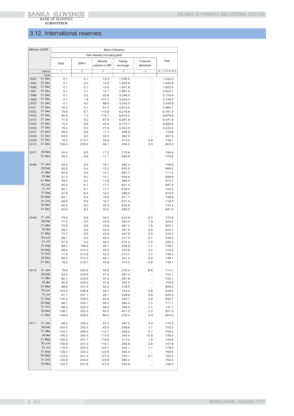BANK OF SLOVENIA **EUROSYSTEM**

### 3.12. International reserves

|              | Millions of EUR  |                |                         |                                 | Bank of Slovenia    |                          |                         |
|--------------|------------------|----------------|-------------------------|---------------------------------|---------------------|--------------------------|-------------------------|
|              |                  |                |                         | Total reserves (including gold) |                     |                          |                         |
|              |                  | Gold           | SDR's                   | Reserve<br>position in IMF      | Foreign<br>exchange | Financial<br>derivatives | Total                   |
|              | Column           | 1              | $\overline{\mathbf{c}}$ | 3                               | 4                   | 5                        | $6 = 1 + 2 + 3 + 4 + 5$ |
|              | Code<br>31.Dec   |                |                         |                                 |                     |                          |                         |
| 1994<br>1995 | 31.Dec           | 0.1<br>0.1     | 0.1<br>0.0              | 15.3<br>14.9                    | 1,206.5             |                          | 1,222.0                 |
| 1996         | 31.Dec           | 0.1            | 0.1                     | 14.9                            | 1,405.9<br>1,837.9  | <br>                     | 1,420.9<br>1,853.0      |
| 1997         | 31.Dec           | 0.1            | 0.1                     | 15.7                            | 2,987.3             |                          | 3,003.1                 |
| 1998         | 31.Dec           | 0.1            | 0.2                     | 55.8                            | 3,048.5             |                          | 3,104.6                 |
| 1999         | 31.Dec           | 0.1            | 1.6                     | 107.3                           | 3,050.3             |                          | 3,159.3                 |
| 2000         | 31.Dec           | 0.1            | 4.0                     | 88.5                            | 3,343.3             |                          | 3,435.9                 |
| 2001         | 31.Dec           | 76.2           | 5.7                     | 91.3                            | 4,810.5             |                          | 4,983.7                 |
| 2002         | 31.Dec           | 79.9           | 6.7                     | 115.9                           | 6,578.9             | $\ddotsc$                | 6,781.4                 |
| 2003         | 31.Dec           | 80.9           | 7.3                     | 115.7                           | 6,675.0             |                          | 6,878.9                 |
| 2004<br>2005 | 31.Dec<br>31.Dec | 77.8<br>70.4   | 8.2                     | 87.9                            | 6,367.9             |                          | 6,541.8                 |
| 2006         | 31.Dec           | 78.4           | 9.8<br>9.3              | 43.6<br>27.8                    | 6,770.7<br>5,304.5  |                          | 6,894.6<br>5,420.0      |
| 2007         | 31.Dec           | 58.2           | 8.6                     | 17.1                            | 639.9               | <br>                     | 723.8                   |
| 2008         | 31.Dec           | 63.6           | 8.5                     | 33.2                            | 582.0               | $\ddotsc$                | 687.2                   |
| 2009         | 31.Dec           | 78.3           | 215.7                   | 45.8                            | 414.0               | $-4.8$                   | 749.1                   |
| 2010         | 31.Dec           | 108.0          | 229.5                   | 59.1                            | 406.2               | 0.3                      | 803.2                   |
|              |                  |                |                         |                                 |                     |                          |                         |
| 2007         | 30.Nov           | 54.4           | 8.5                     | 17.2                            | 715.6               | $\ddotsc$                | 795.6                   |
|              | 31.Dec           | 58.2           | 8.6                     | 17.1                            | 639.9               |                          | 723.8                   |
| 2008         | 31.Jan           | 63.6           | 8.5                     | 16.1                            | 640.3               |                          | 728.5                   |
|              | 29.Feb           | 65.5           | 8.4                     | 15.0                            | 600.5               |                          | 689.3                   |
|              | 31.Mar           | 60.6           | 8.5                     | 14.7                            | 687.7               |                          | 771.5                   |
|              | 30.Apr           | 57.3           | 8.2                     | 14.7                            | 608.6               |                          | 688.8                   |
|              | 31.May           | 58.4           | 8.1                     | 17.9                            | 589.3               |                          | 673.7                   |
|              | 30.Jun           | 60.5           | 8.1                     | 17.7                            | 601.4               |                          | 687.6                   |
|              | 31.Jul           | 60.1           | 8.1                     | 17.7                            | 678.5               |                          | 764.5                   |
|              | 31.Aug           | 57.8           | 8.2                     | 18.2                            | 589.6               |                          | 673.9                   |
|              | 30.Sep<br>31.Oct | 64.1           | 8.4                     | 18.6                            | 617.7               |                          | 708.9                   |
|              | 30.Nov           | 58.6<br>65.4   | 8.9<br>9.0              | 19.7<br>35.3                    | 631.3<br>633.6      |                          | 718.5<br>743.4          |
|              | 31.Dec           | 63.6           | 8.5                     | 33.2                            | 582.0               | <br>                     | 687.2                   |
| 2009         | 31.Jan           | 73.3           | 8.9                     | 35.0                            | 610.9               | $-2.3$                   | 725.9                   |
|              | 28.Feb           | 77.0           | 8.9                     | 34.9                            | 524.2               | $-1.8$                   | 643.2                   |
|              | 31.Mar           | 70.6           | 8.6                     | 33.8                            | 481.4               | 7.8                      | 602.1                   |
|              | 30.Apr           | 68.0           | 8.6                     | 34.0                            | 491.5               | 0.6                      | 602.7                   |
|              | 31.May           | 70.7           | 8.3                     | 45.8                            | 407.8               | 0.5                      | 533.2                   |
|              | 30.Jun           | 68.1           | 8.4                     | 46.3                            | 417.0               | $-0.7$                   | 539.0                   |
|              | $31$ .Jul        | 67.9           | 8.4                     | 46.2                            | 472.4               | $-1.5$                   | 593.4                   |
|              | 31.Aug           | 68.0           | 196.6                   | 46.1                            | 439.6               | $-1.7$                   | 748.7                   |
|              | 30.Sep<br>31.Oct | 69.9           | 214.2                   | 45.5                            | 420.6               | 2.4                      | 752.6                   |
|              | 30.Nov           | 71.8<br>80.0   | 212.8<br>212.4          | 45.2<br>45.1                    | 412.7<br>401.4      | 3.7<br>0.2               | 746.3<br>739.1          |
|              | 31.Dec           | 78.3           | 215.7                   | 45.8                            | 414.0               | $-4.8$                   | 749.1                   |
| 2010         | 31.Jan           | 78.9           | 220.6                   | 46.8                            | 376.4               | $-8.6$                   | 714.1                   |
|              | 28.Feb           | 83.5           | 223.9                   | 47.5                            | 367.2               |                          | 722.1                   |
|              | 31.Mar           | 84.1           | 223.6                   | 47.4                            | 367.9               |                          | 723.1                   |
|              | 30.Apr           | 90.5           | 225.3                   | 47.8                            | 342.0               |                          | 705.6                   |
|              | 31.May           | 99.6           | 237.4                   | 50.4                            | 418.5               | $\ddotsc$                | 806.0                   |
|              | 30.Jun           | 103.3          | 238.8                   | 50.7                            | 444.4               | 0.8                      | 838.0                   |
|              | $31$ .Jul        | 91.7           | 231.1                   | 49.1                            | 439.6               | 8.8                      | 820.4                   |
|              | 31.Aug           | 100.4          | 236.0                   | 60.8                            | 430.7               | 4.8                      | 832.7                   |
|              | 30.Sep           | 98.1           | 226.1                   | 58.2                            | 390.0               | $-1.4$                   | 771.1                   |
|              | 31.Oct<br>30.Nov | 99.3           | 225.0                   | 58.0                            | 366.0               | $-1.1$                   | 747.1                   |
|              | 31.Dec           | 108.7<br>108.0 | 232.5<br>229.5          | 60.0<br>86.0                    | 401.2<br>379.4      | $-1.2$<br>0.3            | 801.3<br>803.2          |
|              |                  |                |                         |                                 |                     |                          |                         |
| 2011         | 31.Jan<br>28.Feb | 99.2<br>104.4  | 226.4<br>225.5          | 97.4<br>83.0                    | 347.2<br>338.6      | 0.3<br>1.7               | 770.5<br>753.2          |
|              | 31.Mar           | 103.1          | 209.4                   | 112.7                           | 329.2               | 5.1                      | 759.4                   |
|              | 30.Apr           | 106.2          | 204.5                   | 110.0                           | 305.0               | 10.6                     | 736.4                   |
|              | 31.May           | 109.3          | 207.7                   | 116.8                           | 314.2               | 1.9                      | 749.9                   |
|              | 30.Jun           | 106.8          | 231.0                   | 116.7                           | 290.8               | 2.6                      | 747.8                   |
|              | 31.Jul           | 116.9          | 234.5                   | 123.7                           | 302.1               | 1.1                      | 778.3                   |
|              | 31.Aug           | 128.4          | 232.3                   | 122.6                           | 283.3               | $\cdots$                 | 766.6                   |
|              | 30.Sep           | 123.5          | 241.4                   | 127.4                           | 270.1               | $-2.1$                   | 760.2                   |
|              | 31.Oct<br>30.Nov | 125.9          | 234.6                   | 123.8                           | 280.2               |                          | 764.4                   |
|              |                  | 133.2          | 241.8                   | 127.6                           | 245.9               |                          | 748.5                   |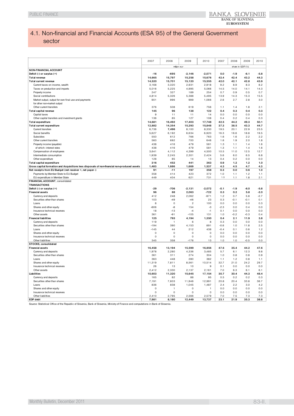### 4.1. Non-financial and Financial Accounts (ESA 95) of the General Government sector

|                                                                                              | 2007      | 2008                | 2009           | 2010         | 2007       | 2008          | 2009             | 2010       |
|----------------------------------------------------------------------------------------------|-----------|---------------------|----------------|--------------|------------|---------------|------------------|------------|
|                                                                                              |           |                     | miljon eur     |              |            |               | share in GDP (%) |            |
| NON-FINANCIAL ACCOUNT                                                                        |           |                     |                |              |            |               |                  |            |
| Deficit (-) or surplus (+)                                                                   | $-16$     | $-695$              | $-2,146$       | $-2,071$     | 0.0        | $-1.9$        | $-6.1$           | $-5.8$     |
| Total revenue                                                                                | 14,665    | 15,797              | 15,258         | 15,676       | 42.4       | 42.4          | 43.2             | 44.3       |
| Total current revenue                                                                        | 14,520    | 15,701              | 15,120         | 15,555       | 42.0       | 42.1          | 42.8             | 43.9       |
| Current taxes on income, wealth                                                              | 3,168     | 3,320               | 2,931          | 2,918        | 9.2        | 8.9           | 8.3              | 8.2        |
| Taxes on production and imports                                                              | 5,016     | 5,225               | 4,995          | 5,066        | 14.5       | 14.0          | 14.1             | 14.3       |
| Property income                                                                              | 247       | 327                 | 189            | 254          | 0.7        | 0.9           | 0.5              | 0.7        |
| Social contributions                                                                         | 4,814     | 5,326               | 5,388          | 5,495        | 13.9       | 14.3          | 15.3             | 15.5       |
| Market output, output for own final use and payments                                         | 901       | 996                 | 999            | 1,066        | 2.6        | 2.7           | 2.8              | 3.0        |
| for other non-market output                                                                  | 376       | 508                 | 619            |              |            |               | 1.8              | 2.1        |
| Other current transfers<br>Total capital revenue                                             | 145       | 96                  | 138            | 756<br>122   | 1.1<br>0.4 | 1.4<br>0.3    | 0.4              | 0.3        |
| Capital taxes                                                                                | 9         | 11                  | 11             | 14           | 0.0        | 0.0           | 0.0              | 0.0        |
| Other capital transfers and investment grants                                                | 136       | 85                  | 127            | 108          | 0.4        | 0.2           | 0.4              | 0.3        |
| <b>Total expenditure</b>                                                                     | 14,681    | 16,492              | 17,403         | 17,748       | 42.5       | 44.2          | 49.3             | 50.1       |
| Total current expenditure                                                                    | 12,882    | 14,354              | 15,293         | 15,848       | 37.3       | 38.5          | 43.3             | 44.7       |
| Current transfers                                                                            | 6,736     | 7,496               | 8,100          | 8,330        | 19.5       | 20.1          | 22.9             | 23.5       |
| Social benefits                                                                              | 5,627     | 6,192               | 6,634          | 6,920        | 16.3       | 16.6          | 18.8             | 19.5       |
| Subsidies                                                                                    | 550       | 612                 | 766            | 763          | 1.6        | 1.6           | 2.2              | 2.2        |
| Other current transfers                                                                      | 560       | 692                 | 700            | 646          | 1.6        | 1.9           | 2.0              | 1.8        |
| Property income (payable)                                                                    | 438       | 416                 | 479            | 581          | 1.3        | 1.1           | 1.4              | 1.6        |
| of which: interest rates                                                                     | 438       | 416                 | 479            | 581          | 1.3        | 1.1           | 1.4              | 1.6        |
| Compensation of employees                                                                    | 3,641     | 4,112               | 4,399          | 4,500        | 10.5       | 11.0          | 12.5             | 12.7       |
| Intermediate consumption                                                                     | 1,939     | 2,245               | 2,301          | 2,424        | 5.6        | 6.0           | 6.5              | 6.8        |
| Other expenditure                                                                            | 128       | 85                  | 14             | 13           | 0.4        | 0.2           | 0.0              | 0.0        |
| Total capital expenditure                                                                    | 316       | 452                 | 441            | 363          | 0.9        | $1.2$         | $1.2$            | 1.0        |
| Gross capital formation and Acquisitions less disposals of non-financial non-produced assets | 1.483     | 1.686               | 1.669          | 1.537        | 4.3        | 4.5           | 4.7              | 4.3        |
| Net receipts from EU Budget (net receiver +, net payer -)                                    | 91        | $-11$               | 197            | 358          | 0.3        | 0.0           | 0.6              | 1.0        |
| Payments by Member State to EU Budget                                                        | 358       | 414                 | 423            | 372          | 1.0        | 1.1           | 1.2              | 1.1        |
| EU expenditure in Member State                                                               | 449       | 404                 | 621            | 731          | 1.3        | 1.1           | 1.8              | 2.1        |
| FINANCIAL ACCOUNT, consolidated                                                              |           |                     |                |              |            |               |                  |            |
| <b>TRANSACTIONS</b>                                                                          |           |                     |                |              |            |               |                  |            |
| Deficit (-) or surplus (+)                                                                   | $-29$     | $-706$              | $-2, 131$      | $-2,072$     | $-0.1$     | $-1.9$        | $-6.0$           | $-5.8$     |
| <b>Financial assets</b>                                                                      | 96        | 88                  | 2,063          | $-722$       | 0.3        | 0.2           | 5.8              | $-2.0$     |
| Currency and deposits                                                                        | 412       | 248                 | 2,062          | $-971$       | 1.2        | 0.7           | 5.8              | $-2.7$     |
| Securities other than shares                                                                 | 103       | $-49$               | $-46$          | 23           | 0.3        | $-0.1$        | $-0.1$           | 0.1        |
| Loans                                                                                        | 8         | $\mathbf 0$         | $\overline{c}$ | 100          | 0.0        | 0.0           | 0.0              | 0.3        |
| Shares and other equity                                                                      | -806      | -8                  | 154            | $-3$         | $-2.3$     | 0.0           | 0.4              | 0.0        |
| Insurance technical reserves<br>Other assets                                                 | 18<br>361 | $-13$<br>$-91$      | $-4$<br>$-105$ | $-1$<br>131  | 0.1<br>1.0 | 0.0<br>$-0.2$ | 0.0<br>$-0.3$    | 0.0<br>0.4 |
| <b>Financial liabilities</b>                                                                 | 125       | 793                 | 4,194          | 1,350        | 0.4        | 2.1           | 11.9             | 3.8        |
| Currency and deposits                                                                        | 119       | $\mathbf{1}$        | 6              | 8            | 0.3        | 0.0           | 0.0              | 0.0        |
| Securities other than shares                                                                 | $-194$    | 390                 | 4,153          | 891          | $-0.6$     | 1.0           | 11.8             | 2.5        |
| Loans                                                                                        | $-145$    | 44                  | 212            | 438          | $-0.4$     | 0.1           | 0.6              | 1.2        |
| Shares and other equity                                                                      | $\circ$   | $\mathsf{O}\xspace$ | $\Omega$       | $\circ$      | 0.0        | 0.0           | 0.0              | 0.0        |
| Insurance technical reserves                                                                 | $\circ$   | 0                   | $\Omega$       | $\mathsf O$  | 0.0        | 0.0           | 0.0              | 0.0        |
| Other liabilities                                                                            | 345       | 358                 | $-176$         | 13           | 1.0        | 1.0           | $-0.5$           | 0.0        |
| STOCKS, consolidated                                                                         |           |                     |                |              |            |               |                  |            |
| <b>Financial assets</b>                                                                      | 16,458    | 13,194              | 15,599         | 16,856       | 47.6       | 35.4          | 44.2             | 47.6       |
| Currency and deposits                                                                        | 1,978     | 2,280               | 4,336          | 3,485        | 5.7        | 6.1           | 12.3             | 9.8        |
| Securities other than shares                                                                 | 361       | 311                 | 274            | 304          | 1.0        | 0.8           | 0.8              | 0.9        |
| Loans                                                                                        | 363       | 448                 | 280            | 382          | 1.1        | 1.2           | 0.8              | 1.1        |
| Shares and other equity                                                                      | 11,319    | 7,811               | 8,561          | 10,514       | 32.7       | 21.0          | 24.2             | 29.7       |
| Insurance technical reserves                                                                 | 26        | 13                  | 10             | 9            | 0.1        | 0.0           | 0 <sub>0</sub>   | 0.0        |
| Other assets                                                                                 | 2,412     | 2,330               | 2,137          | 2,161        | 7.0        | 6.3           | 6.1              | 6.1        |
| Liabilities                                                                                  | 10,603    | 11,320              | 15,645         | 17,154       | 30.7       | 30.4          | 44.3             | 48.4       |
| Currency and deposits                                                                        | 165       | 82                  | 88             | 95           | 0.5        | 0.2           | 0.2              | 0.3        |
| Securities other than shares                                                                 | 7,191     | 7,603               | 11,946         | 12,991       | 20.8       | 20.4          | 33.8             | 36.7       |
| Loans                                                                                        | 836       | 838                 | 1,045          | 1,487        | 2.4        | 2.2           | 3.0              | 4.2        |
| Shares and other equity                                                                      | $\circ$   | 1                   | $\Omega$       | $\mathbf{1}$ | 0.0        | 0.0           | 0.0              | 0.0        |
| Insurance technical reserves                                                                 | $\Omega$  | $\circ$             | $\Omega$       | $\circ$      | 0.0        | 0.0           | 0.0              | 0.0        |
| Other liabilities                                                                            | 2,410     | 2,795               | 2,566          | 2,579        | 7.0        | 7.5           | 7.3              | 7.3        |
| EDP debt                                                                                     | 7,981     | 8.180               | 12.449         | 13.737       | 23.1       | 21.9          | 35.3             | 38.8       |

Source: Statistical Office of the Republic of Slovenia, Bank of Slovenia, Ministry of Finance and computations in Bank of Slovenia.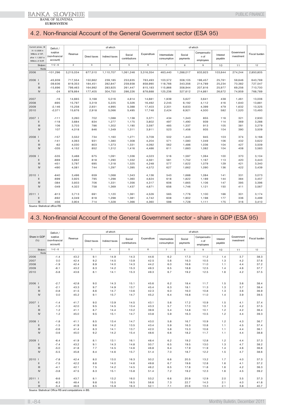**EUROSYSTEM**

### 4.2. Non-financial Account of the General Government sector (ESA 95)

| Current prices, till                                                        | Deficit /                             |                |                         | of which       |                         |             |                             | of which           |                                  |                     |                         |               |
|-----------------------------------------------------------------------------|---------------------------------------|----------------|-------------------------|----------------|-------------------------|-------------|-----------------------------|--------------------|----------------------------------|---------------------|-------------------------|---------------|
| 31, 12, 2006 in<br>Millions of SIT,<br>after 1.1.2007 in<br>Millions of EUR | surplus<br>(non-financial<br>account) | Revenue        | Direct taxes            | Indirect taxes | Social<br>contributions | Expenditure | Intermediate<br>consumption | Social<br>payments | Compensatio<br>n of<br>employees | Interest<br>payable | Govemment<br>investment | Fiscal burden |
| Stolpec                                                                     | $1 = 2 - 6$                           | $\overline{2}$ | $\overline{\mathbf{3}}$ | $\overline{4}$ | $\overline{5}$          | 6           | $\overline{7}$              | 8                  | 9                                | 10                  | 11                      | 12            |
| Koda                                                                        |                                       |                |                         |                |                         |             |                             |                    |                                  |                     |                         |               |
| 2006                                                                        | $-101,296$                            | 3,215,034      | 677,510                 | 1,110,707      | 1,061,246               | 3.316.354   | 463.440                     | 1,288,017          | 833,923                          | 103,644             | 274,244                 | 2,850,805     |
| 2006                                                                        | -45.939                               | 717.554        | 150.662                 | 239.185        | 253.635                 | 763.493     | 103.572                     | 308.105            | 196.457                          | 25.761              | 59.646                  | 643.769       |
| $\mathbf{II}$                                                               | $-39.636$                             | 819.353        | 184.451                 | 282,847        | 259,938                 | 858.990     | 118,766                     | 343,356            | 214,789                          | 25,234              | 70.382                  | 727,547       |
| $\mathbf{III}$                                                              | $-15.696$                             | 799,463        | 164,992                 | 283,925        | 261,447                 | 815,183     | 115,866                     | 308,944            | 207,816                          | 25,977              | 69,256                  | 710,700       |
| IV                                                                          | $-24$                                 | 878,664        | 177,405                 | 304,750        | 286,226                 | 878,688     | 125,236                     | 327,612            | 214,861                          | 26,672              | 74,959                  | 768,789       |
|                                                                             |                                       |                |                         |                |                         |             |                             |                    |                                  |                     |                         |               |
| 2007                                                                        | $-16$                                 | 14,665         | 3,168                   | 5,016          | 4,814                   | 14,681      | 1,939                       | 5,627              | 3,641                            | 438                 | 1,461                   | 13,006        |
| 2008                                                                        | $-695$                                | 15,797         | 3,319                   | 5,225          | 5,326                   | 16,492      | 2,245                       | 6,192              | 4,112                            | 416                 | 1,640                   | 13,881        |
| 2009                                                                        | $-2,146$                              | 15,258         | 2,931                   | 4,995          | 5,388                   | 17,403      | 2,301                       | 6,633              | 4,399                            | 479                 | 1,632                   | 13,325        |
| 2010                                                                        | $-2,071$                              | 15,676         | 2,918                   | 5,066          | 5,495                   | 17,748      | 2,424                       | 6,921              | 4,500                            | 582                 | 1,520                   | 13,493        |
|                                                                             |                                       |                |                         |                |                         |             |                             |                    |                                  |                     |                         |               |
| 2007                                                                        | $-111$                                | 3,260          | 702                     | 1.088          | 1,138                   | 3,371       | 434                         | 1.343              | 855                              | 116                 | 321                     | 2,930         |
| Ш                                                                           | $-118$                                | 3,684          | 834                     | 1,277          | 1,175                   | 3,802       | 497                         | 1,490              | 939                              | 114                 | 369                     | 3,288         |
| $\mathbf{III}$                                                              | 106                                   | 3,703          | 786                     | 1,302          | 1,190                   | 3,597       | 485                         | 1,337              | 913                              | 105                 | 381                     | 3,279         |
| IV                                                                          | 107                                   | 4,018          | 846                     | 1,349          | 1,311                   | 3,911       | 523                         | 1,456              | 935                              | 104                 | 390                     | 3,509         |
|                                                                             |                                       |                |                         |                |                         |             |                             |                    |                                  |                     |                         |               |
| 2008                                                                        | $-157$                                | 3,552          | 734                     | 1,160          | 1,271                   | 3,709       | 502                         | 1,443              | 945                              | 103                 | 374                     | 3,168         |
| Ш                                                                           | $-141$                                | 4,063          | 931                     | 1,380          | 1,308                   | 4,204       | 571                         | 1,580              | 1,049                            | 106                 | 432                     | 3,622         |
| $\ensuremath{\mathsf{III}}\xspace$                                          | $-62$                                 | 4,030          | 803                     | 1,373          | 1,331                   | 4,092       | 562                         | 1,486              | 1,036                            | 104                 | 427                     | 3,509         |
| IV                                                                          | $-335$                                | 4,152          | 852                     | 1,312          | 1,416                   | 4,486       | 611                         | 1,683              | 1,082                            | 104                 | 408                     | 3,583         |
|                                                                             |                                       |                |                         |                |                         |             |                             |                    |                                  |                     |                         |               |
| 2009                                                                        | $-535$                                | 3,488          | 675                     | 1,091          | 1,336                   | 4,023       | 516                         | 1.597              | 1,064                            | 100                 | 370                     | 3.104         |
| Ш                                                                           | $-669$                                | 3,892          | 818                     | 1,290          | 1,332                   | 4,561       | 581                         | 1,752              | 1,167                            | 113                 | 420                     | 3,443         |
| III                                                                         | $-451$                                | 3,797          | 695                     | 1,318          | 1,325                   | 4,248       | 577                         | 1,622              | 1,079                            | 129                 | 421                     | 3,340         |
| IV                                                                          | $-490$                                | 4,081          | 744                     | 1,297          | 1,395                   | 4,572       | 627                         | 1,662              | 1,090                            | 136                 | 422                     | 3,439         |
| 2010                                                                        | $-640$                                | 3,496          | 659                     | 1,068          | 1,343                   | 4,136       | 543                         | 1,688              | 1,084                            | 141                 | 331                     | 3,073         |
| $\mathbf{II}$                                                               | $-699$                                | 3,925          | 795                     | 1,298          | 1,360                   | 4,624       | 618                         | 1,822              | 1,189                            | 144                 | 384                     | 3,457         |
| III                                                                         | $-384$                                | 3,933          | 706                     | 1.331          | 1.356                   | 4.317       | 606                         | 1.665              | 1.106                            | 147                 | 395                     | 3,396         |
| IV                                                                          | $-349$                                | 4,322          | 758                     | 1,369          | 1,437                   | 4,671       | 656                         | 1,746              | 1,121                            | 150                 | 411                     | 3,567         |
|                                                                             |                                       |                |                         |                |                         |             |                             |                    |                                  |                     |                         |               |
| $2011$                                                                      | $-813$                                | 3,713          | 691                     | 1,120          | 1,361                   | 4,526       | 565                         | 1.776              | 1,100                            | 166                 | 301                     | 3.174         |
| $\mathbf{II}$                                                               | $-692$                                | 4,049          | 818                     | 1,298          | 1,381                   | 4,742       | 608                         | 1,902              | 1,198                            | 177                 | 336                     | 3,499         |
| Ш                                                                           | $-456$                                | 3,904          | 714                     | 1,328          | 1,366                   | 4,360       | 598                         | 1,728              | 1,111                            | 175                 | 316                     | 3,410         |

Source: Statistical office RS

### 4.3. Non-financial Account of the General Government sector - share in GDP (ESA 95)

|                                    | Deficit /                             |                |                | of which       |                         |             |                             |                    |                                  |                     |                         |               |
|------------------------------------|---------------------------------------|----------------|----------------|----------------|-------------------------|-------------|-----------------------------|--------------------|----------------------------------|---------------------|-------------------------|---------------|
| Share in GDP<br>(%)                | surplus<br>(non-financial<br>account) | Revenue        | Direct taxes   | Indirect taxes | Social<br>contributions | Expenditure | Intermediate<br>consumption | Social<br>payments | Compensatio<br>n of<br>employees | Interest<br>payable | Govemment<br>investment | Fiscal burden |
| Stolpec                            | $1=2-6$                               | $\overline{2}$ | $\overline{3}$ | $\overline{4}$ | $\overline{5}$          | 6           | $\overline{7}$              | 8                  | $\overline{9}$                   | 10                  | 11                      | 12            |
| Koda                               |                                       |                |                |                |                         |             |                             |                    |                                  |                     |                         |               |
| 2006                               | $-1.4$                                | 43.2           | 9.1            | 14.9           | 14.3                    | 44.6        | 6.2                         | 17.3               | 11.2                             | 1.4                 | 3.7                     | 38.3          |
| 2007                               | 0.0                                   | 42.4           | 9.2            | 14.5           | 13.9                    | 42.5        | 5.6                         | 16.3               | 10.5                             | 1.3                 | 4.2                     | 37.6          |
| 2008                               | $-1.9$                                | 42.4           | 8.9            | 14.0           | 14.3                    | 44.2        | 6.0                         | 16.6               | 11.0                             | 1.1                 | 4.4                     | 37.2          |
| 2009                               | $-6.1$                                | 43.2           | 8.3            | 14.2           | 15.3                    | 49.3        | 6.5                         | 18.8               | 12.5                             | 1.4                 | 4.6                     | 37.7          |
| 2010                               | $-5.8$                                | 43.6           | 8.1            | 14.1           | 15.3                    | 49.3        | 6.7                         | 19.2               | 12.5                             | 1.6                 | 4.2                     | 37.5          |
|                                    |                                       |                |                |                |                         |             |                             |                    |                                  |                     |                         |               |
| 2006                               | $-2.7$                                | 42.8           | 9.0            | 14.3           | 15.1                    | 45.6        | 6.2                         | 18.4               | 11.7                             | 1.5                 | 3.6                     | 38.4          |
| $\mathbf{I}$                       | $-2.1$                                | 43.3           | 9.7            | 14.9           | 13.7                    | 45.4        | 6.3                         | 18.1               | 11.3                             | 1.3                 | 3.7                     | 38.4          |
| $\mathop{\rm III}$                 | $-0.8$                                | 41.5           | 8.6            | 14.7           | 13.6                    | 42.3        | 6.0                         | 16.0               | 10.8                             | 1.3                 | 3.6                     | 36.9          |
| IV                                 | 0.0                                   | 45.2           | 9.1            | 15.7           | 14.7                    | 45.2        | 6.4                         | 16.8               | 11.0                             | 1.4                 | 3.9                     | 39.5          |
|                                    |                                       |                |                |                |                         |             |                             |                    |                                  |                     |                         |               |
| 2007                               | $-1.4$                                | 41.7           | 9.0            | 13.9           | 14.5                    | 43.1        | 5.6                         | 17.2               | 10.9                             | 1.5                 | 4.1                     | 37.4          |
| Ш                                  | $-1.3$                                | 42.0           | 9.5            | 14.5           | 13.4                    | 43.3        | 5.7                         | 17.0               | 10.7                             | 1.3                 | 4.2                     | 37.5          |
| $\mathop{\rm III}\nolimits$        | 1.2                                   | 41.1           | 8.7            | 14.4           | 13.2                    | 39.9        | 5.4                         | 14.8               | 10.1                             | 1.2                 | 4.2                     | 36.4          |
| IV                                 | 1.2                                   | 45.0           | 9.5            | 15.1           | 14.7                    | 43.8        | 5.9                         | 16.3               | 10.5                             | 1.2                 | 4.4                     | 39.3          |
|                                    |                                       |                |                |                |                         |             |                             |                    |                                  |                     |                         |               |
| 2008                               | $-1.8$                                | 41.1           | 8.5            | 13.4           | 14.7                    | 43.0        | 5.8                         | 16.7               | 10.9                             | 1.2                 | 4.3                     | 36.7          |
| Ш                                  | $-1.5$                                | 41.9           | 9.6            | 14.2           | 13.5                    | 43.4        | 5.9                         | 16.3               | 10.8                             | 1.1                 | 4.5                     | 37.4          |
| $\ensuremath{\mathsf{III}}\xspace$ | $-0.6$                                | 41.4           | 8.3            | 14.1           | 13.7                    | 42.0        | 5.8                         | 15.3               | 10.6                             | 1.1                 | 4.4                     | 36.1          |
| IV                                 | $-3.6$                                | 45.0           | 9.2            | 14.2           | 15.4                    | 48.6        | 6.6                         | 18.2               | 11.7                             | 1.1                 | 4.4                     | 38.8          |
|                                    |                                       |                |                |                |                         |             |                             |                    |                                  |                     |                         |               |
| 2009                               | $-6.4$                                | 41.9           | 8.1            | 13.1           | 16.1                    | 48.4        | 6.2                         | 19.2               | 12.8                             | 1.2                 | 4.4                     | 37.3          |
| $\mathbf{H}$                       | $-7.4$                                | 43.2           | 9.1            | 14.3           | 14.8                    | 50.7        | 6.5                         | 19.5               | 13.0                             | 1.3                 | 4.7                     | 38.2          |
| $\mathop{\rm III}\nolimits$        | $-5.0$                                | 41.8           | 7.7            | 14.5           | 14.6                    | 46.8        | 6.4                         | 17.9               | 11.9                             | 1.4                 | 4.6                     | 36.8          |
| IV                                 | $-5.5$                                | 45.8           | 8.4            | 14.6           | 15.7                    | 51.4        | 7.0                         | 18.7               | 12.2                             | 1.5                 | 4.7                     | 38.6          |
|                                    |                                       |                |                |                |                         |             |                             |                    |                                  |                     |                         |               |
| 2010                               | $-7.8$                                | 42.4           | 8.0            | 13.0           | 16.3                    | 50.2        | 6.6                         | 20.5               | 13.2                             | 1.7                 | 4.0                     | 37.3          |
| Ш                                  | $-7.5$                                | 42.2           | 8.6            | 14.0           | 14.6                    | 49.8        | 6.7                         | 19.6               | 12.8                             | 1.6                 | 4.1                     | 37.2          |
| $\mathop{\rm III}\nolimits$        | $-4.1$                                | 42.1           | 7.5            | 14.2           | 14.5                    | 46.2        | 6.5                         | 17.8               | 11.8                             | 1.6                 | 4.2                     | 36.3          |
| IV                                 | $-3.8$                                | 47.5           | 8.3            | 15.1           | 15.8                    | 51.4        | 7.2                         | 19.2               | 12.3                             | 1.6                 | 4.5                     | 39.2          |
|                                    |                                       |                |                |                |                         |             |                             |                    |                                  |                     |                         |               |
| 2011                               | $-9.6$                                | 43.7           | 8.1            | 13.2           | 16.0                    | 53.2        | 6.6                         | 20.9               | 12.9                             | 2.0                 | 3.5                     | 37.3          |
| Ш                                  | $-8.3$                                | 48.4           | 9.8            | 15.5           | 16.5                    | 56.6        | 7.3                         | 22.7               | 14.3                             | 2.1                 | 4.0                     | 41.8          |
| $\mathop{\rm III}\nolimits$        | $-5.4$                                | 46.6           | 8.5            | 15.9           | 16.3                    | 52.1        | 7.1                         | 20.6               | 13.3                             | 2.1                 | 3.8                     | 40.7          |

Source: Statistical Office RS and computations in BS.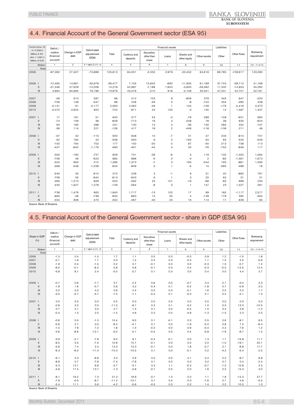### 4.4. Financial Account of the General Government sector (ESA 95)

| Current prices, till                  |         | Deficit /      |                |                          | Financial assets |                |            |                |                |                | Liabilities |             |                    |
|---------------------------------------|---------|----------------|----------------|--------------------------|------------------|----------------|------------|----------------|----------------|----------------|-------------|-------------|--------------------|
| 31.12.2006 in                         |         | surplus        | Change in EDP  | Deficit-debt             |                  |                | Securities |                |                |                |             |             | Borrowing          |
| Millions of SIT.<br>after 1.1.2007 in |         | (financial     | debt           | adjustement              | Total            | Currency and   | other than | Loans          | Shares and     | Other assets   | Other       | Other flows | requirement        |
| Millions of EUR                       |         | account)       |                | (DDA)                    |                  | deposits       | share      |                | other equity   |                |             |             |                    |
|                                       | Stolpec | $\overline{1}$ | $\overline{2}$ | $3 = \frac{1}{2}(1) + 2$ | $\overline{4}$   | $\overline{5}$ | 6          | $\overline{7}$ | 8              | $\mathsf g$    | 10          | 11          | $12 = -1 + 4 - 10$ |
|                                       | Koda    |                |                |                          |                  |                |            |                |                |                |             |             |                    |
| 2006                                  |         | $-97,062$      | 27,407         | $-73,889$                | 125,813          | 84,001         | $-2,332$   | 2,979          | $-23,452$      | 64,616         | 89.785      | $-109.917$  | 133,090            |
|                                       |         |                |                |                          |                  |                |            |                |                |                |             |             |                    |
| 2006                                  |         | $-12,465$      | 14,961         | $-30,978$                | 66,477           | 7,155          | 10,653     | $-690$         | $-11,830$      | 61,189         | 37,743      | $-59.712$   | 41,199             |
| Ш                                     |         | $-31,346$      | 27,629         | $-12,008$                | 14,278           | 52,997         | $-7,189$   | 1,653          | $-3,800$       | $-29,382$      | 11,332      | $-14,953$   | 34,292             |
| Ш                                     |         | 3,664          | 94,892         | 79,196                   | 73,976           | 45,076         | $-210$     | 918            | $-2,108$       | 30,301         | 37,531      | 42,751      | 32,781             |
|                                       |         |                |                |                          |                  |                |            |                |                |                |             |             |                    |
| 2007                                  |         | $-29$          | 613            | 597                      | 96               | 412            | 103        | 8              | $-806$         | 379            | 345         | 847         | $-220$             |
| 2008                                  |         | $-706$         | 148            | $-547$                   | 88               | 248            | $-49$      | $\circ$        | $-8$           | $-103$         | 355         | $-280$      | 438                |
| 2009                                  |         | $-2,131$       | $-31$          | $-2,177$                 | 2,063            | 2,062          | $-46$      | $\mathbf{1}$   | 154            | $-109$         | $-176$      | $-4,416$    | 4,370              |
| 2010                                  |         | $-2,072$       | 2,924          | 853                      | $-722$           | $-971$         | 23         | 100            | $-3$           | 130            | 12          | 1,587       | 1,337              |
|                                       |         |                |                |                          |                  |                |            |                |                |                |             |             |                    |
| 2007                                  |         | 17             | 161            | 51                       | 840              | 577            | 53         | $-2$           | $-76$          | 289            | 158         | $-631$      | 665                |
| Ш                                     |         | $-74$          | 156            | 38                       | $-859$           | $-713$         | 19         | $\overline{4}$ | $-248$         | 78             | 38          | 935         | $-824$             |
| $\ensuremath{\mathsf{III}}\xspace$    |         | 63             | 182            | 288                      | 241              | 130            | 12         | $\overline{4}$ | $-36$          | 130            | 285         | 332         | $-107$             |
| IV.                                   |         | $-36$          | 114            | 221                      | $-126$           | 417            | 19         | $\overline{c}$ | $-446$         | $-118$         | $-136$      | 211         | 46                 |
| 2008                                  |         | $-57$          | 42             | $-115$                   | 930              | 848            | 10         | $-7$           | 31             | 47             | 230         | $-815$      | 757                |
| Ш                                     |         | $-52$          | 184            | 43                       | $-536$           | $-350$         | 6          | $\overline{c}$ | $-160$         | $-34$          | 65          | 644         | $-549$             |
| Ш                                     |         | $-150$         | 764            | 702                      | 177              | 150            | $-20$      | $\circ$        | 87             | $-40$          | 213         | 738         | 113                |
| IV.                                   |         | $-447$         | $-842$         | $-1, 176$                | $-483$           | $-401$         | $-44$      | $\overline{4}$ | 34             | $-76$          | $-152$      | $-846$      | 117                |
|                                       |         |                |                |                          |                  |                |            |                |                |                |             |             |                    |
| 2009                                  |         | $-355$         | $-192$         | $-727$                   | 829              | 751            | $-39$      | $-6$           | 3              | 119            | 100         | $-1.455$    | 1,084              |
| $\mathbf{H}$                          |         | $-706$         | 46             | $-623$                   | 882              | 886            | $-5$       | 3              | $-4$           | $\overline{c}$ | $-85$       | $-1,591$    | 1,673              |
| Ш                                     |         | $-502$         | 663            | 212                      | 1,286            | 1,373          | $-7$       | 3              | 160            | $-244$         | 193         | $-881$      | 1,595              |
| IV.                                   |         | $-568$         | $-548$         | $-1,039$                 | $-934$           | $-949$         | 5          | $\mathbf{1}$   | $-5$           | 14             | $-385$      | $-489$      | 18                 |
|                                       |         |                |                |                          |                  |                |            |                |                |                |             |             |                    |
| 2010                                  |         | $-540$         | 30             | $-610$                   | 270              | 228            | 3          | $-1$           | 9              | 31             | 20          | $-860$      | 791                |
| $\mathbf{H}$                          |         | $-706$         | 55             | $-644$                   | $-613$           | $-643$         | 6          | $\overline{1}$ | 3              | 20             | 62          | 31          | 31                 |
| Ш                                     |         | $-395$         | 1,213          | 829                      | $-253$           | $-292$         | 23         | 101            | $-16$          | $-68$          | $-92$       | 989         | 235                |
| Ш                                     |         | $-430$         | 1,627          | 1,278                    | $-126$           | $-264$         | -9         | $\circ$        | 1              | 147            | 23          | 1,427       | 281                |
| 2011<br>- 1                           |         | $-738$         | 1.476          | 663                      | 1,940            | 1,717          | $-13$      | 120            | 17             | 99             | 160         | $-1.117$    | 2,517              |
| $\mathbf{II}$                         |         | $-665$         | $-46$          | $-738$                   | $-950$           | $-863$         | 13         | 35             | $\overline{4}$ | $-139$         | 179         | 392         | $-464$             |
| Ш                                     |         | $-454$         | 926            | 470                      | $-352$           | $-467$         | $-40$      | 25             | 16             | 114            | 17          | 839         | 85                 |

Source: Bank of Slovenia

### 4.5. Financial Account of the General Government sector - share in GDP (ESA 95)

|                                  | Deficit /                                |                       |                                      | Financial assets |                          |                                   |                |                            |                | Liabilities |             |                          |
|----------------------------------|------------------------------------------|-----------------------|--------------------------------------|------------------|--------------------------|-----------------------------------|----------------|----------------------------|----------------|-------------|-------------|--------------------------|
| Share in GDP<br>(%)              | surplus<br><i>(financial</i><br>account) | Change in EDP<br>debt | Deficit-debt<br>adjustement<br>(DDA) | Total            | Currency and<br>deposits | Securities<br>other than<br>share | Loans          | Shares and<br>other equity | Other assets   | Other       | Other flows | Borrowing<br>requirement |
| Stolpec                          | $\overline{1}$                           | $\overline{2}$        | $3 = \frac{1}{2}(1) + 2$             | $\overline{4}$   | $\overline{5}$           | 6                                 | $\overline{7}$ | 8                          | $\overline{9}$ | 10          | 11          | $12 = -1 + 4 - 10$       |
| Koda                             |                                          |                       |                                      |                  |                          |                                   |                |                            |                |             |             |                          |
| 2006                             | $-1.3$                                   | 0.4                   | $-1.0$                               | 1.7              | 1.1                      | 0.0                               | 0.0            | $-0.3$                     | 0.9            | 1.2         | $-1.5$      | 1.8                      |
| 2007                             | $-0.1$                                   | 1.8                   | 1.7                                  | 0.3              | 1.2                      | 0.3                               | 0.0            | $-2.3$                     | 1.1            | 1.0         | 2.5         | $-0.6$                   |
| 2008                             | $-1.9$                                   | 0.4                   | $-1.5$                               | 0.2              | 0.7                      | $-0.1$                            | 0.0            | 0.0                        | $-0.3$         | 1.0         | $-0.7$      | 1.2                      |
| 2009                             | $-6.0$                                   | $-0.1$                | $-6.2$                               | 5.8              | 5.8                      | $-0.1$                            | 0.0            | 0.4                        | $-0.3$         | $-0.5$      | $-12.5$     | 12.4                     |
| 2010                             | $-5.8$                                   | 8.1                   | 2.4                                  | $-2.0$           | $-2.7$                   | 0.1                               | 0.3            | 0.0                        | 0.4            | 0.0         | 4.4         | 3.7                      |
|                                  |                                          |                       |                                      |                  |                          |                                   |                |                            |                |             |             |                          |
| 2006                             | $-0.7$                                   | 0.8                   | $-1.7$                               | 3.7              | 0.4                      | 0.6                               | 0.0            | $-0.7$                     | 3.4            | 2.1         | $-3.4$      | 2.3                      |
| $\mathbf{H}$                     | $-1.9$                                   | 1.6                   | $-0.7$                               | 0.9              | 3.2                      | $-0.4$                            | 0.1            | $-0.2$                     | $-1.8$         | 0.7         | $-0.9$      | 2.0                      |
| $\mathbf{H}$                     | 0.2                                      | 5.0                   | 4.2                                  | 3.9              | 2.4                      | 0.0                               | 0.0            | $-0.1$                     | 1.6            | 2.0         | 2.3         | 1.7                      |
| IV                               | $-3.0$                                   | $-5.7$                | $-5.7$                               | $-1.5$           | $-1.1$                   | $-0.3$                            | 0.1            | $-0.3$                     | 0.1            | 0.2         | $-4.1$      | 1.3                      |
|                                  |                                          |                       |                                      |                  |                          |                                   |                |                            |                |             |             |                          |
| 2007                             | 0.0                                      | 0.0                   | 0.0                                  | 0.0              | 0.0                      | 0.0                               | 0.0            | 0.0                        | 0.0            | 0.0         | 0.0         | 0.0                      |
| $\mathbf{H}$                     | $-0.9$                                   | 2.0                   | 0.5                                  | $-11.0$          | $-9.1$                   | 0.2                               | 0.1            | $-3.2$                     | 1.0            | 0.5         | 12.0        | $-10.5$                  |
| $\mathbf{III}$                   | 0.7                                      | 2.1                   | 3.3                                  | 2.7              | 1.5                      | 0.1                               | 0.0            | $-0.4$                     | 1.5            | 3.2         | 3.8         | $-1.2$                   |
| $\mathsf{N}$                     | $-0.4$                                   | 1.3                   | 2.5                                  | $-1.4$           | 4.6                      | 0.2                               | 0.0            | $-4.9$                     | $-1.3$         | $-1.5$      | 2.3         | 0.5                      |
|                                  |                                          |                       |                                      |                  |                          |                                   |                |                            |                |             |             |                          |
| 2008                             | $-0.6$                                   | 0.5                   | $-1.3$                               | 10.4             | 9.5                      | 0.1                               | $-0.1$         | 0.3                        | 0.5            | 2.6         | $-9.1$      | 8.5                      |
| $\mathbf{H}$                     | $-0.6$                                   | 2.1                   | 0.5                                  | $-6.2$           | $-4.1$                   | 0.1                               | 0.0            | $-1.8$                     | $-0.4$         | 0.8         | 7.5         | $-6.4$                   |
| $\mathop{\mathrm{III}}\nolimits$ | $-1.5$                                   | 7.9                   | 7.2                                  | 1.8              | 1.5                      | $-0.2$                            | 0.0            | 0.9                        | $-0.4$         | 2.2         | 7.6         | 1.2                      |
| IV                               | $-4.6$                                   | $-8.6$                | $-12.1$                              | $-5.0$           | $-4.1$                   | $-0.5$                            | 0.0            | 0.4                        | $-0.8$         | $-1.6$      | $-8.7$      | 1.2                      |
|                                  |                                          |                       |                                      |                  |                          |                                   |                |                            |                |             |             |                          |
| 2009<br>- 1                      | $-3.9$                                   | $-2.1$                | $-7.9$                               | 9.0              | 8.1                      | $-0.4$                            | $-0.1$         | 0.0                        | 1.3            | 1.1         | $-15.8$     | 11.7                     |
| $\mathbf{H}$                     | $-8.5$                                   | 0.5                   | $-7.5$                               | 10.6             | 10.7                     | $-0.1$                            | 0.0            | 0.0                        | 0.0            | $-1.0$      | $-19.1$     | 20.1                     |
| $\mathbf{III}$                   | $-5.6$                                   | 7.4                   | 2.4                                  | 14.3             | 15.3                     | $-0.1$                            | 0.0            | 1.8                        | $-2.7$         | 2.1         | $-9.8$      | 17.7                     |
| IV                               | $-6.3$                                   | $-6.0$                | $-11.4$                              | $-10.3$          | $-10.5$                  | 0.1                               | 0.0            | $-0.1$                     | 0.2            | $-4.2$      | $-5.4$      | 0.2                      |
|                                  |                                          |                       |                                      |                  |                          |                                   |                |                            |                |             |             |                          |
| 2010<br>- 1                      | $-6.1$                                   | 0.3                   | $-6.9$                               | 3.0              | 2.6                      | 0.0                               | 0.0            | 0.1                        | 0.4            | 0.2         | $-9.7$      | 8.9                      |
| $\mathbf{H}$                     | $-8.6$                                   | 0.7                   | $-7.8$                               | $-7.4$           | $-7.8$                   | 0.1                               | 0.0            | 0.0                        | 0.2            | 0.7         | 0.4         | 0.4                      |
| $\mathbf{III}$                   | $-4.3$                                   | 13.1                  | 8.9                                  | $-2.7$           | $-3.1$                   | 0.3                               | 1.1            | $-0.2$                     | $-0.7$         | $-1.0$      | 10.6        | 2.5                      |
| III                              | $-4.6$                                   | 17.4                  | 13.7                                 | $-1.3$           | $-2.8$                   | $-0.1$                            | 0.0            | 0.0                        | 1.6            | 0.2         | 15.3        | 3.0                      |
|                                  |                                          |                       |                                      |                  |                          |                                   |                |                            |                |             |             |                          |
| 2011<br>- 1                      | $-8.1$                                   | 16.2                  | 7.3                                  | 21.3             | 18.9                     | $-0.1$                            | 1.3            | 0.2                        | 1.1            | 1.8         | $-12.3$     | 27.7                     |
| $\mathbf{H}$                     | $-7.8$                                   | $-0.5$                | $-8.7$                               | $-11.2$          | $-10.1$                  | 0.1                               | 0.4            | 0.0                        | $-1.6$         | 2.1         | 4.6         | $-5.5$                   |
| III                              | $-5.4$                                   | 11.1                  | 5.6                                  | $-4.2$           | $-5.6$                   | $-0.5$                            | 0.3            | 0.2                        | 1.4            | 0.2         | 10.0        | 1.0                      |
|                                  |                                          |                       |                                      |                  |                          |                                   |                |                            |                |             |             |                          |

Source: Bank of Slovenia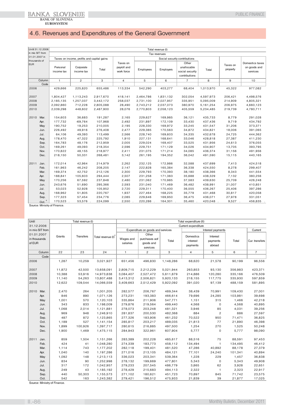PUBLIC FINANCE

#### 4.6. Revenues and Expenditures of the General Government

| Until 31.12.2006                                                                                                                 | Total revenue (I)<br>Tax revenues                                                                         |                                                                                                     |                                                                                                            |                                                                                        |                                                                                                            |                                                                                                            |                                                                                                  |                                                                                                            |                                                                                                 |                                                                                                            |  |  |
|----------------------------------------------------------------------------------------------------------------------------------|-----------------------------------------------------------------------------------------------------------|-----------------------------------------------------------------------------------------------------|------------------------------------------------------------------------------------------------------------|----------------------------------------------------------------------------------------|------------------------------------------------------------------------------------------------------------|------------------------------------------------------------------------------------------------------------|--------------------------------------------------------------------------------------------------|------------------------------------------------------------------------------------------------------------|-------------------------------------------------------------------------------------------------|------------------------------------------------------------------------------------------------------------|--|--|
| in mio SIT from                                                                                                                  |                                                                                                           |                                                                                                     |                                                                                                            |                                                                                        |                                                                                                            |                                                                                                            |                                                                                                  |                                                                                                            |                                                                                                 |                                                                                                            |  |  |
| 01.01.2007 in                                                                                                                    |                                                                                                           | Taxes on income, profits and capital gains                                                          |                                                                                                            |                                                                                        |                                                                                                            |                                                                                                            | Social security contributions                                                                    |                                                                                                            |                                                                                                 |                                                                                                            |  |  |
| thousands of<br>EUR                                                                                                              | Personal<br>income tax                                                                                    | Corporate<br>income tax                                                                             | Total                                                                                                      | Taxes on<br>payroll and<br>work force                                                  | Employees                                                                                                  | Employers                                                                                                  | Other<br>unallocable<br>social security<br>contributions                                         | Total                                                                                                      | Taxes on<br>property                                                                            | Domestics taxes<br>on goods and<br>services                                                                |  |  |
| Column                                                                                                                           | $\mathbf{1}$                                                                                              | $\overline{c}$                                                                                      | 3                                                                                                          | $\overline{4}$                                                                         | $\sqrt{5}$                                                                                                 | 6                                                                                                          | $\overline{7}$                                                                                   | 8                                                                                                          | 9                                                                                               | 10                                                                                                         |  |  |
| Code                                                                                                                             |                                                                                                           |                                                                                                     |                                                                                                            |                                                                                        |                                                                                                            |                                                                                                            |                                                                                                  |                                                                                                            |                                                                                                 |                                                                                                            |  |  |
| 2006                                                                                                                             | 429.666                                                                                                   | 225,820                                                                                             | 655,486                                                                                                    | 113,334                                                                                | 542,290                                                                                                    | 403,277                                                                                                    | 68,404                                                                                           | 1.013.970                                                                                                  | 45,322                                                                                          | 977,082                                                                                                    |  |  |
| 2007<br>2008<br>2009<br>2010                                                                                                     | 1,804,427<br>2,185,135<br>2,092,860<br>2,039,298                                                          | 1,113,243<br>1,257,037<br>712,228<br>448,602                                                        | 2,917,670<br>3,442,172<br>2,805,088<br>2,487,900                                                           | 418,141<br>258,037<br>28,490<br>28,076                                                 | 2,464,786<br>2,731,100<br>2,743,212<br>2,770,803                                                           | 1,831,132<br>2,027,957<br>2,037,073<br>2,058,123                                                           | 302,054<br>335,951<br>380.970<br>405,559                                                         | 4,597,973<br>5,095,009<br>5,161,254<br>5,234,485                                                           | 206,421<br>214,909<br>206,975<br>219,739                                                        | 4,498,576<br>4,805,321<br>4,660,123<br>4,780,711                                                           |  |  |
| 2010<br>Mar.<br>Apr.<br>May<br>Jun.<br>Jul.<br>Aug.<br>Sep.<br>Oct.<br>Nov.<br>Dec.                                              | 154,603<br>177,732<br>190,752<br>226,492<br>64.106<br>178,470<br>164,783<br>169,261<br>170,822<br>218,150 | 36,683<br>$-69,764$<br>19,253<br>49,916<br>49,393<br>47,322<br>48,176<br>49,093<br>48,155<br>50,331 | 191,287<br>107,968<br>210,005<br>276,408<br>113,499<br>225,792<br>212,959<br>218,354<br>218,977<br>268,481 | 2,165<br>2,492<br>2,195<br>2,477<br>2,566<br>1,910<br>2,005<br>2,596<br>2,411<br>3,142 | 229,627<br>231,897<br>228,330<br>229,385<br>228,740<br>227,131<br>229,024<br>229,751<br>231,075<br>261,195 | 169,985<br>172,109<br>169,972<br>170,563<br>169,603<br>168,641<br>169,407<br>171,129<br>171,214<br>194,352 | 36,121<br>33,430<br>33,245<br>34,872<br>34,335<br>33,046<br>33,525<br>34,026<br>34,085<br>36,042 | 435,733<br>437,436<br>431,547<br>434,821<br>432,678<br>428,818<br>431,956<br>434,907<br>436,374<br>491,590 | 8,779<br>9,719<br>31,206<br>18,006<br>24,725<br>27,387<br>24,613<br>13,705<br>31,156<br>15,115  | 291,028<br>434,792<br>373,371<br>391,065<br>444,362<br>411,230<br>376,055<br>393,795<br>491,956<br>440,165 |  |  |
| 2011<br>Jan.<br>Feb.<br>Mar.<br>Apr.<br>May<br>Jun.<br>Jul.<br>Aug.<br>Sep.<br>Oct. <sup>4</sup><br>Source: Ministry of Finance. | 172,014<br>161,963<br>169,374<br>188,841<br>170,256<br>243,676<br>53,023<br>168,962<br>177,323<br>170,523 | 42,964<br>46,242<br>42,752<br>105,603<br>67,592<br>51,690<br>52,928<br>51,805<br>57,454<br>53,576   | 214,979<br>208,205<br>212,126<br>294,444<br>237,848<br>295,366<br>105,952<br>220,767<br>234,776<br>224,099 | 2,262<br>2,147<br>2,300<br>2,507<br>2,480<br>2,593<br>2,720<br>1,937<br>2,085<br>2,550 | 232,125<br>222,828<br>229,793<br>231,258<br>231,062<br>231,040<br>229,311<br>227,464<br>229,646<br>220,286 | 172,986<br>165,384<br>170,393<br>171,383<br>170,985<br>171,469<br>170,400<br>168,225<br>169,950<br>164,301 | 32,588<br>36,338<br>38,180<br>35,688<br>37,583<br>36,482<br>36,555<br>35,779<br>36,475<br>35,460 | 437,699<br>424,550<br>438,366<br>438,329<br>439,630<br>438,991<br>436,267<br>431,468<br>436,071<br>420,048 | 7,413<br>8,278<br>8,343<br>7,132<br>25,709<br>21,007<br>25,406<br>30,817<br>27,978<br>$9,527$ . | 424,518<br>299,407<br>441,554<br>380,256<br>426,248<br>410,851<br>397,286<br>420,058<br>331,051<br>456,835 |  |  |

Column | 22 | 23 | 24 | 1 | 2 | 3 | 4 | 5 | 6 | 7 Code 2006 1,287 10,259 3,021,927 651,456 496,830 1,148,286 68,620 21,578 90,199 96,556 2007 11,872 42,500 13,658,091 2,809,715 2,212,229 5,021,944 263,853 93,130 356,983 423,371 2008 10,388 53,916 14,973,838 3,084,407 2,527,472 5,611,879 214,886 120,280 335,166 476,509 2009 11,140 54,263 13,807,488 3,413,312 2,506,821 5,920,133 218,155 117,775 335,930 597,859 2010 12,622 109,544 14,066,559 3,409,663 2,512,429 5,922,092 391,020 97,139 488,159 581,895 2010 Mar. 2,470 264 1,001,205 282,577 206,767 489,344 38,439 70,991 109,430 27,001 Apr. 846 890 1,071,126 273,231 193,383 466,614 79,696 24,285 103,981 39,698 May 1,001 570 1,120,103 335,864 211,906 547,771 1,151 315 1,466 42,218 Jun. 343 833 1,198,009 279,876 219,564 499,440 4,568 0 4,568 40,895 Jul. 1,068 2,014 1,121,881 278,073 203,248 481,321 3,946 85 4,031 39,256 Aug. 969 948 1,246,910 281,837 200,530 482,368 884 2 886 27,597 Sep. 487 872 1,123,865 277,326 183,906 461,232 70,522 950 71,471 36,825 Oct. 1,189 527 1,141,154 285,817 203,217 489,035 21,813 77 21,890 46,398 Nov. 1,899 100,926 1,397,717 280,615 216,885 497,500 1,254 270 1,525 50,248 Dec. 1,900 1,469 1,475,115 284,943 322,961 607,904 5,777 0 5,777 98,090 2011 Jan. 859 1,504 1,151,266 283,389 202,228 485,617 88,516 75 88,591 97,453 Feb. 424 41 1,048,280 274,339 183,773 458,112 134,494 1 134,495 46,412 Mar. 1,114 743 1,177,202 282,118 199,401 481,520 47,286 40,892 88,178 27,379 Apr. 1,040 140 1,197,286 271,016 213,105 484,121 77,101 24,240 101,341 40,894 May 1,092 148 1,213,113 336,023 203,341 539,364 1,228 229 1,457 36,838 Jun. 834 90 1,252,998 278,132 199,669 477,801 5,343 0 5,343 49,908 Jul. 317 172 1,042,957 279,233 207,545 486,779 3,865 62 3,928 22,651 Aug. 249 43 1,185,192 278,429 215,683 494,113 2,322 1 2,323 22,917 Sep. 440 50,303 1,155,573 271,102 180,621 451,723 70,897 845 71,742 23,575 Oct. 542 163 1,243,382 279,421 196,512 475,933 21,839 39 21,877 17,025 Total Cur. transfers 22 23 Total Interest payments abroad 24 Grants Transfers Total revenue (I)<sup>2</sup> Current **Other** purchases ao goods and services Wages and salaries Domestics interest payments **Until** 31.12.2006 in mio SIT from 01.01.2007 in thousands of EUR Interest payments Current expenditure Expenditure on goods and services Total revenue (I) **Total expenditure (II)** Total expenditure (II)

Source: Ministry of Finance.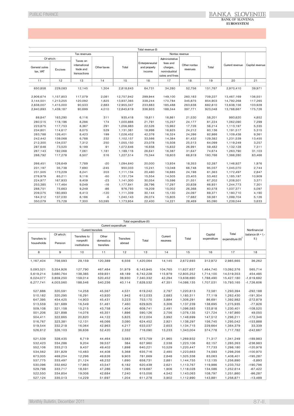|                           |                      |                                                        |             |            | Total revenue (I)                         |                                                                            |                          |         |                 |                 |
|---------------------------|----------------------|--------------------------------------------------------|-------------|------------|-------------------------------------------|----------------------------------------------------------------------------|--------------------------|---------|-----------------|-----------------|
|                           |                      | Tax revenues                                           |             |            |                                           | Nontax revenue                                                             |                          |         |                 |                 |
| General sales<br>tax, VAT | Of which:<br>Excises | Taxes on<br>international<br>trade and<br>transactions | Other taxes | Total      | Enterpreneurial<br>and property<br>income | Administrative<br>fees and<br>charges,<br>nonindustrial<br>sales and fines | Other nontax<br>revenues | Total   | Current revenue | Capital revenue |
| 11                        | 12                   | 13                                                     | 14          | 15         | 16                                        | 17                                                                         | 18                       | 19      | 20              | 21              |
|                           |                      |                                                        |             |            |                                           |                                                                            |                          |         |                 |                 |
| 650,858                   | 229.083              | 12,145                                                 | 1.304       | 2.818.643  | 64.731                                    | 34,280                                                                     | 52.756                   | 151.767 | 2.970.410       | 39.971          |
| 2,906,674                 | 1,157,853            | 117,079                                                | 2,081       | 12,757,942 | 299,944                                   | 149,100                                                                    | 260,183                  | 709,227 | 13,467,169      | 136,551         |
| 3,144,501                 | 1,213,255            | 120,092                                                | 1,825       | 13,937,365 | 338,244                                   | 170.784                                                                    | 345,875                  | 854,903 | 14,792,268      | 117,265         |
| 2,838,007                 | 1,415,000            | 90,533                                                 | 2,883       | 12,955,347 | 233,683                                   | 185,488                                                                    | 263,638                  | 682,810 | 13,638,156      | 103,928         |
| 2,940,893                 | 1,439,187            | 90,699                                                 | 4,010       | 12,845,619 | 336,933                                   | 188,344                                                                    | 397,771                  | 923,048 | 13,768,667      | 175,726         |
| 89,847                    | 163,290              | 6,116                                                  | 311         | 935,418    | 19,811                                    | 16,861                                                                     | 21,530                   | 58,201  | 993,620         | 4,852           |
| 280,515                   | 118,196              | 8,286                                                  | 174         | 1,000,866  | 21,791                                    | 15,257                                                                     | 24,177                   | 61,224  | 1,062,090       | 7,299           |
| 223,875                   | 117,753              | 8,367                                                  | 291         | 1,056,983  | 22,526                                    | 15,962                                                                     | 17,726                   | 56,214  | 1,113,197       | 5,335           |
| 234,801                   | 114.617              | 8,075                                                  | 529         | 1.131.381  | 18,998                                    | 16,925                                                                     | 24,212                   | 60.136  | 1.191.517       | 5,315           |
| 283,788                   | 126,401              | 8,423                                                  | 199         | 1,026,452  | 42,376                                    | 16,324                                                                     | 24,286                   | 82,986  | 1,109,438       | 9,361           |
| 242.442                   | 139,068              | 6.788                                                  | 232         | 1.102.157  | 33,566                                    | 14,384                                                                     | 81,432                   | 129,382 | 1.231.539       | 13,455          |
| 212,300                   | 134,037              | 7,312                                                  | 250         | 1,055,150  | 23,078                                    | 15,508                                                                     | 25,513                   | 64,099  | 1,119,249       | 3,257           |
| 287,648                   | 73,520               | 9,199                                                  | 91          | 1,072,646  | 16,658                                    | 15,832                                                                     | 26,991                   | 59,482  | 1,132,128       | 7,311           |
| 267,143                   | 192,068              | 7,061                                                  | 1,181       | 1,189,116  | 26,641                                    | 16,387                                                                     | 31,647                   | 74,674  | 1,263,790       | 31,103          |
| 288,792                   | 117,278              | 8,507                                                  | 516         | 1,227,514  | 75,344                                    | 18,603                                                                     | 66,819                   | 160,766 | 1,388,280       | 83,466          |
| 266,451                   | 126,649              | 7,789                                                  | $-20$       | 1,094,640  | 20,000                                    | 13,934                                                                     | 18,353                   | 52,287  | 1,146,927       | 1,976           |
| 231,197                   | 35,738               | 7,690                                                  | $-245$      | 950,033    | 15,241                                    | 13,048                                                                     | 66,748                   | 95,037  | 1,045,070       | 2,744           |
| 231,505                   | 173,229              | 8,241                                                  | 203         | 1,111,134  | 20,480                                    | 16,685                                                                     | 24,198                   | 61,363  | 1,172,497       | 2,847           |
| 276,979                   | 65,211               | 9,116                                                  | $-50$       | 1,131,734  | 15,554                                    | 14,505                                                                     | 23,403                   | 53,462  | 1,185,197       | 10,909          |
| 224,977                   | 167,933              | 9,409                                                  | $-23$       | 1,141,300  | 30,054                                    | 15,596                                                                     | 21,551                   | 67,202  | 1,208,501       | 3,371           |
| 253,385                   | 117,464              | 9,049                                                  | $-16$       | 1,177,841  | 28,796                                    | 17,297                                                                     | 20,839                   | 66,931  | 1,244,773       | 7,301           |
| 288,751                   | 75,663               | 9,249                                                  | $-86$       | 976,793    | 19,209                                    | 15,002                                                                     | 26,368                   | 60,578  | 1,037,371       | 5,097           |
| 209,075                   | 180,993              | 6,413                                                  | $-120$      | 1,111,339  | 30,144                                    | 15,130                                                                     | 24,097                   | 69,371  | 1,180,710       | 4,190           |
| 164,312                   | 137,030              | 8,186                                                  | $-5$        | 1,040,143  | 26,074                                    | 15,805                                                                     | 17,682                   | 59,561  | 1,099,704       | 5,126           |
| 350,079                   | 75,728               | 7.300                                                  | 53,595      | 1,173,954  | 22,400                                    | 14,221                                                                     | 28,469                   | 65.090  | 1.239.044       | 3.633           |

| Total expenditure (II)                              |                                                     |                                                |                                                |                                           |                                                     |                                           |                                                               |                                                  |                                                               |                                                                   |
|-----------------------------------------------------|-----------------------------------------------------|------------------------------------------------|------------------------------------------------|-------------------------------------------|-----------------------------------------------------|-------------------------------------------|---------------------------------------------------------------|--------------------------------------------------|---------------------------------------------------------------|-------------------------------------------------------------------|
|                                                     |                                                     |                                                | Current expenditure                            |                                           |                                                     |                                           |                                                               |                                                  |                                                               |                                                                   |
|                                                     |                                                     | Current transfers                              |                                                |                                           |                                                     |                                           |                                                               |                                                  |                                                               | Nonfinancial                                                      |
| Transfers to<br>households                          | Of which:<br>Pension                                | Transfers to<br>nonprofit<br>institutions      | Other<br>domestics<br>transfers                | Transfers<br>abroad                       | Total                                               | Current<br>reserves                       | Total                                                         | Capital<br>expenditure                           | Total<br>expenditure (II) <sup>2</sup>                        | balance $(A = 1 -$<br>II.                                         |
| 8                                                   | 9                                                   | 10                                             | 11                                             | 12                                        | 13                                                  | 14                                        | 15                                                            | 16                                               | 17                                                            | 18                                                                |
|                                                     |                                                     |                                                |                                                |                                           |                                                     |                                           |                                                               |                                                  |                                                               |                                                                   |
| 1,167,404                                           | 756.593                                             | 29,159                                         | 120,389                                        | 6,556                                     | 1.420.064                                           | 14,145                                    | 2,672,693                                                     | 312,972                                          | 2,985,665                                                     | 36,262                                                            |
| 5,093,321                                           | 3,354,926                                           | 127,790                                        | 467.484                                        | 31.979                                    | 6,143,945                                           | 104,765                                   | 11,627,637                                                    | 1,464,740                                        | 13,092,376                                                    | 565.714                                                           |
| 5,619,214                                           | 3,680,764                                           | 138,385                                        | 459,931                                        | 48,189                                    | 6,742,228                                           | 115,979                                   | 12,805,252                                                    | 1,714,100                                        | 14,519,353                                                    | 454,485                                                           |
| 6,024,077                                           | 3,859,250                                           | 159,014                                        | 520,452                                        | 38,930                                    | 7,340,332                                           | 42,294                                    | 13,638,690                                                    | 1,788,490                                        | 15,427,180                                                    | $-1,619,692$                                                      |
| 6,277,741                                           | 4,003,560                                           | 188,546                                        | 540,236                                        | 40,114                                    | 7,628,532                                           | 47,351                                    | 14,086,135                                                    | 1.707.031                                        | 15,793,165                                                    | $-1,726,606$                                                      |
| 527,886<br>510,182<br>647,395<br>513,559<br>509,108 | 320,591<br>320,295<br>454,425<br>321.689<br>321,158 | 14,258<br>16,291<br>14,903<br>16,549<br>15,215 | 45,567<br>43,920<br>45,431<br>51,461<br>43,758 | 4,531<br>1,942<br>3,223<br>7,460<br>1,404 | 619,242<br>612,033<br>753,170<br>629.925<br>608,741 | 2,797<br>2,683<br>3,884<br>3,306<br>2,491 | 1,220,813<br>1,185,311<br>1,306,291<br>1,137,239<br>1,096,583 | 72,581<br>77,119<br>86,691<br>138.695<br>133,818 | 1,293,394<br>1,262,430<br>1,392,982<br>1,275,935<br>1,230,401 | $-292,188$<br>$-191,304$<br>$-272,879$<br>$-77.926$<br>$-108,520$ |
| 501,206                                             | 321,898                                             | 14,076                                         | 45,351                                         | 1,896                                     | 590,126                                             | 2,756                                     | 1,076,135                                                     | 121,724                                          | 1,197,860                                                     | 49,050                                                            |
| 504,411<br>516,767<br>519,544                       | 322,665<br>323,381<br>332,218                       | 20,820<br>12,131<br>16,064                     | 44,122<br>46,066<br>42,963                     | 5,825<br>3,090<br>4,217                   | 612,004<br>624,452<br>633.037                       | 3,992<br>2,921<br>2,653                   | 1,148,699<br>1,138,297<br>1,134,715                           | 147,512<br>156,745<br>229,664                    | 1,296,211<br>1,295,042<br>1,364,379                           | $-172,346$<br>$-153,888$<br>33,339                                |
| 526,612                                             | 326,103                                             | 36,636                                         | 52,420                                         | 2,332                                     | 716,090                                             | 13,233                                    | 1,343,004                                                     | 374,778                                          | 1,717,782                                                     | $-242,667$                                                        |
| 521,539                                             | 328.435                                             | 6.719                                          | 44,464<br>39,537                               | 3,583<br>384                              | 673.759                                             | 21,965<br>2,538                           | 1,269,932                                                     | 71,317                                           | 1,341,249                                                     | $-189,983$                                                        |
| 532,423                                             | 334,286<br>333,213                                  | 9,204                                          | 49,402                                         | 1,898                                     | 627,960                                             | 10,529                                    | 1,223,106                                                     | 62,157<br>77,733                                 | 1,285,263                                                     | $-236,983$<br>$-120,978$                                          |
| 552,106<br>534,562                                  | 331,829                                             | 9,437<br>10,483                                | 44,408                                         | 5,368                                     | 640,221                                             | 2,485                                     | 1,220,447<br>1,223,663                                        | 74,593                                           | 1,298,180<br>1,298,256                                        | $-100,970$                                                        |
|                                                     |                                                     |                                                |                                                |                                           | 635,716                                             |                                           |                                                               |                                                  |                                                               |                                                                   |
| 673,005<br>537,775                                  | 469,254<br>333,497                                  | 12,296<br>21,124                               | 49,626<br>48,232                               | 9,903<br>1,690                            | 781,669<br>658,731                                  | 2,848<br>2,881                            | 1,325,338<br>1,144,755                                        | 83,063<br>112,135                                | 1,408,401<br>1,256,890                                        | $-195,287$<br>$-3,893$                                            |
| 530,096                                             | 332,662                                             | 17,963                                         | 43,547                                         | 6,182                                     | 620,439                                             | 2,621                                     | 1,113,767                                                     | 119,986                                          | 1,233,752                                                     | $-190,796$                                                        |
| 529,798                                             | 333,717                                             | 18,591                                         | 47,286                                         | 1,095                                     | 619,687                                             | 1,906                                     | 1,118,028                                                     | 134,586                                          | 1,252,614                                                     | $-67,422$                                                         |
| 522,550                                             | 334,854                                             | 19,006                                         | 42,684                                         | 7,240                                     | 615,056                                             | 4,542                                     | 1,143,063                                                     | 108,797                                          | 1,251,860                                                     | $-96,287$                                                         |
| 527,124                                             | 335,013                                             | 14,229                                         | 51,697                                         | 1,204                                     | 611,278                                             | 3,902                                     | 1,112,990                                                     | 143,881                                          | 1,256,871                                                     | $-13,489$                                                         |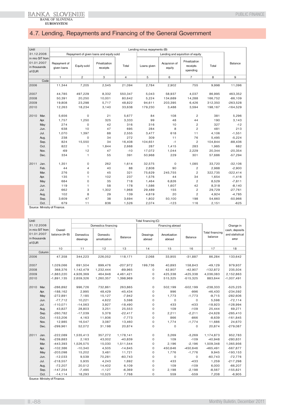**EUROSYSTEM**

## 4.7. Lending, Repayments and Financing of the General Government

| Until                                |                 | Lending minus repayments (B)<br>Repayment of given loans and equity sold<br>Lending and aquisition of equity |                |                           |                |             |                        |                                       |         |            |  |  |
|--------------------------------------|-----------------|--------------------------------------------------------------------------------------------------------------|----------------|---------------------------|----------------|-------------|------------------------|---------------------------------------|---------|------------|--|--|
| 31.12.2006                           |                 |                                                                                                              |                |                           |                |             |                        |                                       |         |            |  |  |
| 01.01.2007<br>in thousands<br>of EUR | in mio SIT from | Repayment of<br>given loans                                                                                  | Equity sold    | Privatization<br>receipts | Total          | Loans given | Acquision of<br>equity | Privatization<br>receipts<br>spending | Total   | Balance    |  |  |
|                                      |                 | $\mathbf{1}$                                                                                                 | $\overline{2}$ | 3                         | $\overline{4}$ | 5           | 6                      | $\overline{7}$                        | 8       | 9          |  |  |
|                                      | Code            |                                                                                                              |                |                           |                |             |                        |                                       |         |            |  |  |
| 2006                                 |                 | 11,344                                                                                                       | 7,205          | 2,545                     | 21,094         | 2.784       | 2,902                  | 755                                   | 9,998   | 11,096     |  |  |
|                                      |                 |                                                                                                              |                |                           |                |             |                        |                                       |         |            |  |  |
| 2007                                 |                 | 44,785                                                                                                       | 497,229        | 8,332                     | 550,347        | 5,043       | 58,937                 | 4,037                                 | 86,995  | 463,352    |  |  |
| 2008                                 |                 | 50,391                                                                                                       | 20,250         | 10,001                    | 80,642         | 5.224       | 134,689                | 14,288                                | 166,752 | $-86,109$  |  |  |
| 2009                                 |                 | 19,808                                                                                                       | 23,298         | 5,717                     | 48,822         | 94,611      | 203,395                | 6,426                                 | 312,350 | $-263,528$ |  |  |
| 2010                                 |                 | 12,263                                                                                                       | 18,234         | 3,140                     | 33,638         | 179,230     | 3,488                  | 3,594                                 | 198,167 | $-164,529$ |  |  |
|                                      |                 |                                                                                                              |                |                           |                |             |                        |                                       |         |            |  |  |
| 2010                                 | Mar.            | 5.656                                                                                                        | $\mathbf 0$    | 21                        | 5,677          | 84          | 108                    | $\overline{c}$                        | 381     | 5,296      |  |  |
|                                      | Apr.            | 1,757                                                                                                        | 1,250          | 325                       | 3,333          | 99          | 48                     | 44                                    | 190     | 3,143      |  |  |
|                                      | May             | 274                                                                                                          | $\mathbf 0$    | 42                        | 316            | 316         | 10                     | $\overline{c}$                        | 327     | $-12$      |  |  |
|                                      | Jun.            | 638                                                                                                          | 10             | 47                        | 695            | 284         | 8                      | $\overline{2}$                        | 481     | 213        |  |  |
|                                      | Jul.            | 1,070                                                                                                        | 1.397          | 88                        | 2,555          | 3,477       | 618                    | 11                                    | 4.106   | $-1,551$   |  |  |
|                                      | Aug.            | 238                                                                                                          | $\mathbf 0$    | 34                        | 272            | 309         | 11                     | 76                                    | 5,495   | $-5,224$   |  |  |
|                                      | Sep.            | 824                                                                                                          | 15,550         | 34                        | 16,408         | 104,651     | $-1$                   | $\overline{c}$                        | 104,844 | $-88,436$  |  |  |
|                                      | Oct.            | 822                                                                                                          | $\mathbf{1}$   | 1,844                     | 2,668          | 287         | 1,415                  | 283                                   | 1,985   | 682        |  |  |
|                                      | Nov.            | $-69$                                                                                                        | 12             | 47                        | $-10$          | 17,072      | 1,044                  | 2,229                                 | 20,344  | $-20,354$  |  |  |
|                                      | Dec.            | 334                                                                                                          | $\mathbf{1}$   | 55                        | 391            | 50,968      | 229                    | 301                                   | 57,686  | $-57,294$  |  |  |
|                                      |                 |                                                                                                              |                |                           |                |             |                        |                                       |         |            |  |  |
| 2011                                 | Jan.            | 1,351                                                                                                        | $\mathbf 0$    | 262                       | 1,614          | 32,575      | $\circ$                | 1,085                                 | 33,720  | $-32,106$  |  |  |
|                                      | Feb.            | 44                                                                                                           | 4              | 40                        | 88             | 2.808       | 90                     | 2                                     | 2,988   | $-2,900$   |  |  |
|                                      | Mar.            | 276                                                                                                          | $\mathbf 0$    | 45                        | 321            | 75,629      | 245.755                | $\overline{c}$                        | 322.735 | $-322,414$ |  |  |
|                                      | Apr.            | 135                                                                                                          | 1              | 102                       | 237            | 1,576       | 44                     | 34                                    | 1,654   | $-1,416$   |  |  |
|                                      | May             | 684                                                                                                          | $\mathbf 0$    | 35                        | 718            | 1,464       | 6,826                  | $\overline{c}$                        | 8,529   | $-7,811$   |  |  |
|                                      | Jun.            | 119                                                                                                          | 1              | 58                        | 178            | 1,586       | 1,607                  | 42                                    | 8,318   | $-8,140$   |  |  |
|                                      | Jul.            | 662                                                                                                          | 3              | 1,302                     | 1,968          | 29,489      | 155                    | $\overline{c}$                        | 29.729  | $-27,761$  |  |  |
|                                      | Aug.            | 102                                                                                                          | 8              | 29                        | 139            | 4,819       | 20                     | $\overline{c}$                        | 4,924   | $-4,785$   |  |  |
|                                      | Sep.            | 3,609                                                                                                        | 47             | 38                        | 3,694          | 1,802       | 50,100                 | 198                                   | 54,660  | $-50,966$  |  |  |
|                                      | Oct.            | 679                                                                                                          | 11             | 836                       | 1,526          | 2,074       | $-123$                 | 116                                   | 2,151   | $-625$     |  |  |

Source: Ministry of Finance.

| Until                                |                 |                          | Total financing (C)   |                          |            |                    |                        |            |                            |                                            |
|--------------------------------------|-----------------|--------------------------|-----------------------|--------------------------|------------|--------------------|------------------------|------------|----------------------------|--------------------------------------------|
| 31.12.2006                           |                 |                          |                       | Domestics financing      |            |                    | Financing abroad       |            |                            | Change in                                  |
| 01.01.2007<br>in thousands<br>of EUR | in mio SIT from | Overall<br>balance (A+B) | Domestics<br>drawings | Domestic<br>amortization | Balance    | Drawings<br>abroad | Amortization<br>abroad | Balance    | Total financing<br>balance | cash, deposits<br>and statistical<br>error |
|                                      |                 | 10                       | 11                    | 12                       | 13         | 14                 | 15                     | 16         | 17                         | 18                                         |
|                                      | Column          |                          |                       |                          |            |                    |                        |            |                            |                                            |
| 2006                                 |                 | 47,358                   | 344,223               | 226,052                  | 118,171    | 2,068              | 33,955                 | $-31,887$  | 86,284                     | 133,642                                    |
|                                      |                 |                          |                       |                          |            |                    |                        |            |                            |                                            |
| 2007                                 |                 | 1,029,066                | 691,504               | 899,476                  | $-207,972$ | 199,736            | 40,893                 | 158,843    | $-49,129$                  | 979,937                                    |
| 2008                                 |                 | 368,376                  | 1,142,479             | 1,232,444                | $-89.965$  | 0                  | 42.907                 | $-42.907$  | $-132,872$                 | 235,504                                    |
| 2009                                 |                 | $-1,883,220$             | 4,926,369             | 464,948                  | 4,461,421  | $\Omega$           | 425,338                | $-425,338$ | 4,036,083                  | 2,152,863                                  |
| 2010                                 |                 | $-1,891,135$             | 2,659,326             | 1,260,357                | 1,398,969  | 0                  | 515,325                | $-515,325$ | 883,644                    | $-1,007,491$                               |
|                                      |                 |                          |                       |                          |            |                    |                        |            |                            |                                            |
| 2010                                 | Mar.            | $-286,892$               | 996.726               | 732,861                  | 263,865    | 0                  | 502.199                | $-502,199$ | $-238,333$                 | $-525,225$                                 |
|                                      | Apr.            | $-188, 162$              | 2,995                 | 48,429                   | $-45,434$  | 0                  | 996                    | $-996$     | $-46,430$                  | $-234,592$                                 |
|                                      | May             | $-272,891$               | 7,185                 | 15,127                   | $-7,942$   | 0                  | 1,773                  | $-1,773$   | $-9,715$                   | $-282,606$                                 |
|                                      | Jun.            | $-77.712$                | 10,221                | 4,622                    | 5,598      | 0                  | $\circ$                | 0          | 5,598                      | $-72,114$                                  |
|                                      | Jul.            | $-110,071$               | $-14,563$             | 3,927                    | $-18,490$  | 0                  | 433                    | $-433$     | $-18,923$                  | $-128,994$                                 |
|                                      | Aug.            | 43,827                   | 28,803                | 3,251                    | 25,553     | 0                  | 109                    | $-109$     | 25,444                     | 69,271                                     |
|                                      | Sep.            | $-260,782$               | $-17,039$             | 5,378                    | $-22,417$  | 0                  | 2,211                  | $-2,211$   | $-24,628$                  | $-285,410$                                 |
|                                      | Oct.            | $-153,206$               | 4,163                 | 11,936                   | $-7,773$   | $\mathbf 0$        | 866                    | $-866$     | $-8,639$                   | $-161,845$                                 |
|                                      | Nov.            | 12,985                   | 16,547                | 3,087                    | 13,460     | 0                  | 1,774                  | $-1,774$   | 11,686                     | 24,670                                     |
|                                      | Dec.            | $-299.961$               | 52,072                | 31,198                   | 20.874     | 0                  | 0                      | 0          | 20,874                     | $-279,087$                                 |
|                                      |                 |                          |                       |                          |            |                    |                        |            |                            |                                            |
| 2011                                 | Jan.            | $-222,089$               | 1,535,413             | 357,272                  | 1,178,141  | 0                  | 3.269                  | $-3,269$   | 1,174,873                  | 952,783                                    |
|                                      | Feb.            | $-239,883$               | 2,163                 | 43,002                   | $-40,839$  | 0                  | 109                    | $-109$     | $-40,948$                  | $-280,831$                                 |
|                                      | Mar.            | $-443,393$               | 1,526,575             | 15,030                   | 1,511,544  | 0                  | 2,196                  | $-2,196$   | 1,509,348                  | 1,065,956                                  |
|                                      | Apr.            | $-102,386$               | $-10,340$             | 4,505                    | $-14,845$  | 0                  | 450,646                | $-450,646$ | $-465, 491$                | $-567,877$                                 |
|                                      | May             | $-203,098$               | 15,202                | 3,481                    | 11,721     | 0                  | 1,776                  | $-1,776$   | 9,945                      | $-193, 153$                                |
|                                      | Jun.            | $-12.033$                | 9,539                 | 70,281                   | $-60.743$  | $\mathbf 0$        | $\circ$                | 0          | $-60.743$                  | $-72,776$                                  |
|                                      | Jul.            | $-218,557$               | 5,935                 | 4,243                    | 1,692      | 0                  | 433                    | $-433$     | 1,259                      | $-217,298$                                 |
|                                      | Aug.            | $-72,207$                | 20,512                | 14,402                   | 6,109      | 0                  | 109                    | $-109$     | 6,000                      | $-66,207$                                  |
|                                      | Sep.            | $-147,254$               | $-7,495$              | $-1,127$                 | $-6,369$   | 0                  | 2,198                  | $-2,198$   | $-8,567$                   | $-155,821$                                 |
|                                      | Oct.            | $-14, 114$               | 18,293                | 10,525                   | 7,768      | $\Omega$           | 559                    | $-559$     | 7,208                      | $-6,905$                                   |

Source: Ministry of Finance.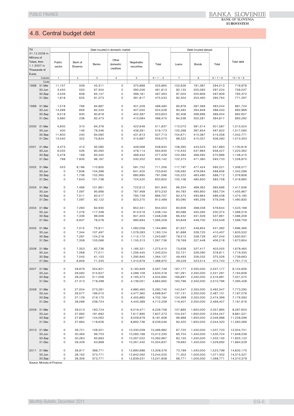# 4.8. Central budget debt

| Till         |                       |              |                |                    | Debt incurred in domestic market |                        |                        |                    | Debt incurred abroad   |                        |                        |
|--------------|-----------------------|--------------|----------------|--------------------|----------------------------------|------------------------|------------------------|--------------------|------------------------|------------------------|------------------------|
|              | 31.12.2006 in         |              |                |                    |                                  |                        |                        |                    |                        |                        |                        |
| Millions of  |                       |              |                |                    |                                  |                        |                        |                    |                        |                        |                        |
| Tolars, from |                       | Public       | Bank of        |                    | Other                            | Negotiable             |                        |                    |                        |                        | Total debt             |
| 1.1.2007 in  |                       | sector       | Slovenia       | Banks              | domestic                         | securities             | Total                  | Loans              | <b>Bonds</b>           | Total                  |                        |
| Thousands of |                       |              |                |                    | creditors                        |                        |                        |                    |                        |                        |                        |
| Euros.       |                       |              |                |                    |                                  |                        |                        |                    |                        |                        |                        |
|              | Column                | $\mathbf{1}$ | $\overline{c}$ | 3                  | $\overline{4}$                   | 5                      | $6 = 1  5$             | $\overline{7}$     | 8                      | $9 = 7 + 8$            | $10 = 6 + 9$           |
|              | Code                  |              |                |                    |                                  |                        |                        |                    |                        |                        |                        |
|              | 1998 31.Mar           | 11,157       | 509            | 43,311             | $\mathsf{O}\xspace$              | 370,988                | 425,965                | 102,626            | 191,387                | 294,013                | 719,978                |
|              | 30.Jun                | 3,450        | 553            | 67,554             | $\mathsf{O}\xspace$              | 390,256                | 461,813                | 92,132             | 205,092                | 297,224                | 759,037                |
|              | 30.Sep                | 3,526        | 609            | 65,147             | $\mathbf 0$                      | 398,181                | 467,463                | 97,003             | 200,906                | 297,909                | 765,372                |
|              | 31.Dec                | 1,818        | 625            | 81,273             | $\mathbf 0$                      | 391,817                | 475,533                | 92,304             | 203,460                | 295,764                | 771,297                |
|              |                       |              |                |                    |                                  |                        |                        |                    |                        |                        |                        |
| 1999         | 31.Mar                | 1,518        | 766            | 94,987             | $\mathbf 0$                      | 401,209                | 498,480                | 95,878             | 287,366                | 383,244                | 881,724                |
|              | 30.Jun                | 14,289       | 856            | 82,333             | 0                                | 407,050                | 504,528                | 93,492             | 294,948                | 388,440                | 892,968                |
|              | 30.Sep                | 9,518        | 930            | 90,818             | $\mathbf 0$                      | 402,387                | 503,653                | 92,308             | 296,696                | 389,004                | 892,657                |
|              | 31.Dec                | 5,680        | 238            | 82,473             | $\mathsf O$                      | 410,084                | 498,475                | 94,536             | 300,281                | 394,817                | 893,292                |
|              |                       |              |                |                    |                                  |                        |                        |                    |                        |                        |                        |
| 2000         | 31.Mar                | 4,600        | 310            | 84,378             | $\mathbf 0$                      | 422,648                | 511,937                | 110,073            | 391,514                | 501,587                | 1,013,524              |
|              | 30.Jun                | 400          | 146            | 79,346             | $\mathbf 0$                      | 439,281                | 519,173                | 100,268            | 397,654                | 497,922                | 1,017,095              |
|              | 30.Sep                | 11,600       | 240            | 84,060             | $\mathbf 0$                      | 431,813                | 527,713                | 104,671            | 410,387                | 515,058                | 1,042,771              |
|              | 31.Dec                | 13,040       | 322            | 75,824             | $\mathsf O$                      | 415,887                | 505,073                | 98,222             | 410,057                | 508,280                | 1,013,353              |
|              |                       |              |                |                    |                                  |                        |                        |                    |                        |                        |                        |
| 2001         | 31.Mar                | 4,373        | 413            | 95,080             | $\mathsf{O}\xspace$              | 449,068                | 548,934                | 108,360            | 443,523                | 551,883                | 1,100,818              |
|              | 30.Jun                | 6,035        | 526            | 80,260             | 0                                | 478,114                | 564,935                | 110,433            | 547,994                | 658,427                | 1,223,362              |
|              | 30.Sep                | 5,478        | 169            | 83,340             | $\mathsf{O}\xspace$              | 488,442                | 577,429                | 102,394            | 468,592                | 570,986                | 1,148,415              |
|              | 31.Dec                | 768          | 7,935          | 96,187             | $\mathsf O$                      | 530,252                | 635,142                | 122,373            | 471,360                | 593,733                | 1,228,875              |
|              |                       |              |                |                    |                                  |                        |                        |                    |                        |                        |                        |
|              | 2002 31.Mar           | 553          | 8,196          | 110,855            | 0                                | 591,752                | 711,356                | 117,797            | 477,424                | 595,221                | 1,306,577              |
|              | 30.Jun                | 0            | 7,836          | 104,398            | $\mathsf{O}\xspace$              | 641,405                | 753,640                | 109,592            | 479,064                | 588,656                | 1,342,296              |
|              | 30.Sep                | 0            | 7,736          | 102,365            | 0                                | 680,995                | 791,096                | 105,222            | 483,490                | 588,712                | 1,379,808              |
|              | 31.Dec                | 0            | 7,643          | 101,738            | $\mathsf{O}\xspace$              | 724,520                | 833,902                | 100,108            | 485,650                | 585,758                | 1,419,660              |
|              |                       |              |                |                    |                                  |                        |                        |                    |                        |                        |                        |
|              | 2003 31.Mar           | 0            | 7,466          | 101,861            | $\mathsf{O}\xspace$              | 722,612                | 831,940                | 96,334             | 489,362                | 585,696                | 1,417,636              |
|              | 30.Jun                | 0            | 7,097          | 95,666             | 0                                | 767,469                | 870,233                | 94,783             | 490,950                | 585,734                | 1,455,967              |
|              | 30.Sep                | 0            | 7,511          | 83,517             | $\mathbf 0$                      | 795,729                | 886,757                | 92,473             | 493,964                | 586,438                | 1,473,195              |
|              | 31.Dec                | 0            | 7,097          | 82,122             | 0                                | 823,270                | 912,489                | 83,090             | 495,256                | 578,346                | 1,490,835              |
|              |                       |              |                |                    |                                  |                        |                        |                    |                        |                        |                        |
| 2004         | 31.Mar                | 0            | 7,283          | 84,930             | $\mathbf 0$                      | 852,341                | 944,553                | 80,606             | 498,038                | 578,644                | 1,523,198              |
|              | 30.Jun                | 0            | 7,276          | 117,348            | $\mathsf{O}\xspace$              | 913,519                | 1,038,144              | 80,089             | 450,285                | 530,374                | 1,568,518              |
|              |                       |              |                |                    | $\mathsf O$                      |                        |                        |                    |                        |                        |                        |
|              | 30.Sep                | 0<br>0       | 7,339          | 99,506             | $\mathsf O$                      | 941,403                | 1,048,248              | 86,452             | 451,509                | 537,961                | 1,586,209              |
|              | 31.Dec                |              | 6,937          | 78,578             |                                  | 980,694                | 1,066,209              | 83,849             | 449,700                | 533,549                | 1,599,759              |
|              | 2005 31.Mar           | 0            | 7,015          | 75,911             | $\mathsf{O}\xspace$              |                        |                        |                    |                        | 531,382                |                        |
|              |                       |              |                |                    |                                  | 1,082,058              | 1,164,985              | 81,527             | 449,854                |                        | 1,696,366              |
|              | 30.Jun                | 0            | 7,344          | 107,497            | $\mathsf O$                      | 1,078,283              | 1,193,124              | 81,688             | 328,720                | 410,407                | 1,603,532              |
|              | 30.Sep                | 0            | 7,297          | 124,218            | $\mathsf O$                      | 1,112,172              | 1,243,687              | 78,515             | 328,729                | 407,244                | 1,650,931              |
|              | 31.Dec                | 0            | 7,358          | 105,066            | $\mathsf O$                      | 1,155,313              | 1,267,736              | 78,769             | 327,449                | 406,218                | 1,673,954              |
|              |                       |              |                |                    |                                  |                        |                        |                    |                        |                        |                        |
|              | 2006 31.Mar           | 0            | 7,353          | 82,736             | $\mathsf O$                      | 1,185,321              | 1,275,410              | 75,638             | 327,417                | 403,055<br>378,811     | 1,678,465              |
|              | 30.Jun<br>30.Sep      | 0            | 7,068          | 77,011             | $\mathsf O$                      | 1,256,445              | 1,340,524              | 52,721             | 326,090                |                        | 1,719,335              |
|              |                       | 0            | 7,045          | 61,153             | 0                                | 1,295,940              | 1,364,137              | 49,493             | 326,032                | 375,526                | 1,739,663              |
|              | 31.Dec                | 0            | 6,956          | 71,335             | 0                                | 1,310,679              | 1,388,970              | 49,229             | 323,514                | 372,743                | 1,761,713              |
|              |                       | 0            |                |                    |                                  |                        |                        |                    |                        |                        |                        |
|              | 2007 31.Mar<br>30.Jun | 0            | 28,979         | 354,821<br>315,627 | 0<br>0                           | 5,183,949<br>4,289,109 | 5,567,749<br>4,633,318 | 187,177<br>181,291 | 2,350,000<br>2,350,000 | 2,537,177<br>2,531,291 | 8,104,926<br>7,164,609 |
|              |                       |              | 28,582         |                    |                                  |                        |                        |                    |                        |                        |                        |
|              | 30.Sep                | 0            | 28,403         | 311,008            | $\mathsf{O}\xspace$              | 4,165,273              | 4,504,684              | 166,891            | 2,350,000              | 2,516,891              | 7,021,575              |
|              | 31.Dec                | 0            | 27,313         | 718,298            | 0                                | 4,139,051              | 4,884,662              | 160,796            | 2,350,000              | 2,510,796              | 7,395,458              |
|              |                       |              |                |                    |                                  |                        |                        |                    |                        |                        |                        |
|              | 2008 31.Mar           | 0            | 27,004         | 273,281            | 0                                | 4,980,460              | 5,280,745              | 142,547            | 2,350,000              | 2,492,547              | 7,773,292              |
|              | 30.Jun                | 0            | 26,577         | 196,010            | 0                                | 4,477,360              | 4,699,947              | 137,131            | 2,350,000              | 2,487,131              | 7,187,078              |
|              | 30.Sep                | 0            | 27,129         | 219,170            | 0                                | 4,455,885              | 4,702,184              | 124,399            | 2,350,000              | 2,474,399              | 7,176,583              |
|              | 31.Dec                | 0            | 28,096         | 238,724            | 0                                | 4,445,389              | 4,712,209              | 119,407            | 2,350,000              | 2,469,407              | 7,181,616              |
|              |                       |              |                |                    |                                  |                        |                        |                    |                        |                        |                        |
| 2009         | 31.Mar                | 0            | 29,513         | 183,724            | 0                                | 6,016,471              | 6,229,708              | 107,895            | 1,950,000              | 2,057,895              | 8,287,603              |
|              | 30.Jun                | 0            | 27,692         | 181,692            | $\mathsf{O}\xspace$              | 7,617,890              | 7,827,273              | 104,247            | 1,950,000              | 2,054,247              | 9,881,521              |
|              | 30.Sep                | 0            | 27,867         | 144,062            | 0                                | 9,009,679              | 9,181,608              | 96,988             | 1,950,000              | 2,046,988              | 11,228,596             |
|              | 31.Dec                | 0            | 27,684         | 118,626            | 0                                | 8,892,736              | 9,039,046              | 94,320             | 1,950,000              | 2,044,320              | 11,083,366             |
|              |                       |              |                |                    |                                  |                        |                        |                    |                        |                        |                        |
|              | 2010 31.Mar           | 0            | 28,721         | 108,201            | 0                                | 10,330,059             | 10,466,982             | 87,720             | 1,450,000              | 1,537,720              | 12,004,701             |
|              | 30.Jun                | 0            | 30,465         | 96,703             | 0                                | 10,285,168             | 10,412,335             | 85,704             | 1,450,000              | 1,535,704              | 11,948,039             |
|              | 30.Sep                | 0            | 30,263         | 95,683             | 0                                | 10,267,022             | 10,392,967             | 82,155             | 1,450,000              | 1,532,155              | 11,925,122             |
|              | 31.Dec                | 0            | 29,429         | 63,968             | 0                                | 10,261,440             | 10,354,837             | 79,692             | 1,450,000              | 1,529,692              | 11,884,529             |
|              |                       |              |                |                    |                                  |                        |                        |                    |                        |                        |                        |
|              | 2011 31.Mar           | 0            | 28,917         | 388,771            | 0                                | 12,890,688             | 13,308,376             | 73,799             | 1,450,000              | 1,523,799              | 14,832,175             |
|              | 30.Jun                | 0            | 28,162         | 373,771            | 0                                | 12,842,092             | 13,244,025             | 71,302             | 1,000,000              | 1,071,302              | 14,315,327             |
|              | 30.Sep                | 0            | 28,306         | 373,771            | 0                                | 12,839,531             | 13,241,608             | 68,771             | 1,000,000              | 1,068,771              | 14,310,379             |

Source: Ministry of Finance.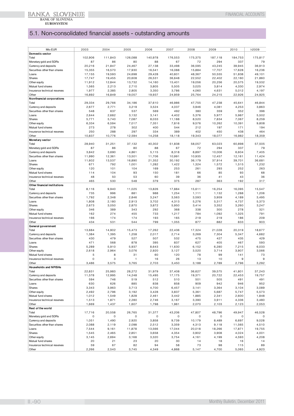**EUROSYSTEM**

## 5.1. Non-consolidated financial assets - outstanding amounts

| Mio EUR                      | 2003    | 2004    | 2005         | 2006    | 2007    | 2008    | 2009    | 2010    | $I-2009$ |
|------------------------------|---------|---------|--------------|---------|---------|---------|---------|---------|----------|
| Domestic sector              |         |         |              |         |         |         |         |         |          |
| Total                        | 102,906 | 111,843 | 126,088      | 140,978 | 176,553 | 175,375 | 187,118 | 184,753 | 175,817  |
| Monetary gold and SDRs       | 87      | 86      | 80           | 88      | 67      | 72      | 294     | 337     | 79       |
| Currency and deposits        | 20,216  | 21,847  | 24,467       | 27,138  | 33,498  | 36,595  | 43,245  | 39,945  | 36,913   |
| Securities other than shares | 15,355  | 16,570  | 17,930       | 16,541  | 16,088  | 15,884  | 17,707  | 17,628  | 16,236   |
|                              |         |         |              |         |         |         |         |         | 49,101   |
| Loans                        | 17,155  | 19,593  | 24,698       | 29,428  | 40,601  | 48,367  | 50,555  | 51,838  |          |
| Shares                       | 17,747  | 19,455  | 20,608       | 26,531  | 36,648  | 22,552  | 22,402  | 22,160  | 21,860   |
| Other equity                 | 11,912  | 12,844  | 13,732       | 14,160  | 15,401  | 19,056  | 20,256  | 20,575  | 19,532   |
| Mutual fund shares           | 1,565   | 2,213   | 2,710        | 3,805   | 5,505   | 3,025   | 3,814   | 4,330   | 2,974    |
| Insurance technical reserves | 1,977   | 2,385   | 2,805        | 3,350   | 3,786   | 4,060   | 4,631   | 5,012   | 4,197    |
| Other                        | 16,892  | 16,849  | 19,057       | 19,937  | 24,959  | 25,764  | 24,215  | 22,926  | 24,925   |
| Non-financial corporations   |         |         |              |         |         |         |         |         |          |
| Total                        | 29,334  | 29,766  | 34,186       | 37,610  | 46,986  | 47,755  | 47,238  | 45,641  | 46,844   |
| Currency and deposits        | 2,677   | 2,771   | 3,219        | 3,524   | 4,037   | 3,946   | 4,081   | 4,253   | 3,863    |
| Securities other than shares | 548     | 637     | 537          | 569     | 492     | 380     | 359     | 352     | 396      |
| Loans                        | 2,644   | 2,682   | 3,132        | 3,141   | 4,402   | 5,376   | 5,977   | 5,987   | 5,502    |
| Shares                       | 5,771   | 5,740   | 7,087        | 8,033   | 11,188  | 8,520   | 7,834   | 7,067   | 8,259    |
| Other equity                 | 6,334   | 6,594   | 7,017        | 7,351   | 7,816   | 9,576   | 10,262  | 10,391  | 9,808    |
| Mutual fund shares           | 273     | 278     | 302          | 400     | 544     | 212     | 197     | 171     | 194      |
| Insurance technical reserves | 250     | 288     | 297          | 334     | 389     | 402     | 450     | 438     | 464      |
| Other                        | 10,837  | 10,776  | 12,594       | 14,258  | 18,118  | 19,343  | 18,077  | 16,982  | 18,359   |
| Monetary sector              |         |         |              |         |         |         |         |         |          |
| Total                        | 28,940  | 31,251  | 37,132       | 40,302  | 51,838  | 58,057  | 63,023  | 60.898  | 57,505   |
| Monetary gold and SDRs       | 87      | 86      | 80           | 88      | 67      | 72      | 294     | 337     | 79       |
| Currency and deposits        | 3,842   | 3,690   | 4,861        | 5,115   | 8,318   | 8,897   | 10,006  | 6,604   | 7,405    |
| Securities other than shares | 11,990  | 12,361  | 13,501       | 11,706  | 10,991  | 10,935  | 12,457  | 12,161  | 11,424   |
| Loans                        | 11,602  | 13,537  | 16,890       | 21,352  | 30,192  | 36,179  | 37,914  | 39,701  | 36,681   |
| Shares                       | 671     | 792     | 1,001        | 1,282   | 1,422   | 1,324   | 1,572   | 1,515   | 1,232    |
| Other equity                 | 120     |         |              |         |         |         |         | 252     | 263      |
|                              |         | 101     | 104          | 169     | 253     | 261     | 293     |         |          |
| Mutual fund shares           | 114     | 104     | 93           | 150     | 181     | 66      | 85      | 93      | 68       |
| Insurance technical reserves | 48      | 50      | 53           | 60      | 39      | 36      | 41      | 43      | 36       |
| Other                        | 465     | 530     | 548          | 379     | 375     | 287     | 363     | 192     | 317      |
| Other financial institutions |         |         |              |         |         |         |         |         |          |
| Total                        | 8,116   | 9,940   | 11,025       | 13,826  | 17,884  | 15,611  | 16,254  | 16,095  | 15,547   |
| Currency and deposits        | 735     | 996     | 881          | 988     | 1,254   | 1,111   | 1,132   | 1,288   | 1,206    |
| Securities other than shares | 1,792   | 2,348   | 2,846        | 3,247   | 3,563   | 3,593   | 3,959   | 4,189   | 3,495    |
| Loans                        | 1,808   | 2,180   | 2,913        | 3,702   | 4,313   | 5,276   | 5,317   | 4,737   | 5,373    |
| Shares                       | 2,673   | 3,050   | 2,870        | 3,872   | 5,950   | 3,414   | 3,352   | 3,260   | 3,247    |
| Other equity                 | 346     | 389     | 343          | 292     | 368     | 338     | 300     | 278     | 321      |
| Mutual fund shares           | 162     | 274     | 455          | 733     | 1,217   | 784     | 1,092   | 1,325   | 791      |
| Insurance technical reserves | 166     | 174     | 174          | 193     | 165     | 219     | 219     | 186     | 209      |
| Other                        | 434     | 531     | 544          | 799     | 1,055   | 877     | 882     | 833     | 903      |
| General government           |         |         |              |         |         |         |         |         |          |
| Total                        | 13,684  | 14,902  | 15,473       | 17,262  | 22,436  | 17,324  | 21,028  | 20,319  | 18,677   |
| Currency and deposits        | 1,384   | 1,395   | 1,258        | 2,017   | 2,714   | 3,269   | 7,304   | 5,347   | 4,682    |
| Securities other than shares | 430     | 479     | 527          | 507     | 532     | 475     | 427     | 435     | 429      |
| Loans                        | 471     | 568     | 878          | 395     | 837     | 627     | 405     | 467     | 593      |
| Shares                       | 5,289   | 5,910   | 5,937        | 8,643   | 11,630  | 6,152   | 6,280   | 7,215   | 6,033    |
| Other equity                 | 2,618   | 2,964   | 3,076        | 2,920   | 3,127   | 3,520   | 3,714   | 3,907   | 3,566    |
| Mutual fund shares           | 5       | 8       | 31           | 60      | 120     | 78      | 99      | 141     | 73       |
| Insurance technical reserves |         |         |              |         |         |         |         |         |          |
|                              | 0       | 3       | $\mathbf{1}$ | 16      | 26      | 13      | 10      | 9       | 9        |
| Other                        | 3,486   | 3,575   | 3,765        | 2,703   | 3,450   | 3,188   | 2,789   | 2,796   | 3,292    |
| <b>Households and NPISHs</b> |         |         |              |         |         |         |         |         |          |
| Total                        | 22,831  | 25,983  | 28,272       | 31,979  | 37,408  | 36,627  | 39,575  | 41,801  | 37,243   |
| Currency and deposits        | 11,578  | 12,995  | 14,248       | 15,495  | 17,175  | 19,371  | 20,722  | 22,453  | 19,757   |
| Securities other than shares | 594     | 746     | 519          | 512     | 510     | 501     | 505     | 491     | 491      |
| Loans                        | 630     | 626     | 885          | 838     | 858     | 909     | 942     | 946     | 952      |
| Shares                       | 3,343   | 3,963   | 3,713        | 4,700   | 6,457   | 3,141   | 3,364   | 3,104   | 3,089    |
| Other equity                 | 2,492   | 2,796   | 3,192        | 3,428   | 3,837   | 5,361   | 5,687   | 5,747   | 5,573    |
| Mutual fund shares           | 1,012   | 1,549   | 1,828        | 2,461   | 3,442   | 1,885   | 2,341   | 2,600   | 1,848    |
| Insurance technical reserves | 1,513   | 1,871   | 2,280        | 2,746   | 3,167   | 3,390   | 3,911   | 4,336   | 3,480    |
| Other                        | 1,669   | 1,437   | 1,607        | 1,798   | 1,961   | 2,070   | 2,103   | 2,123   | 2,053    |
| Rest of the world            |         |         |              |         |         |         |         |         |          |
| Total                        | 17,716  | 20,558  | 26,765       | 31,377  | 43,206  | 47,807  | 48,796  | 49,947  | 46,528   |
| Monetary gold and SDRs       | 0       | 0       | 0            | 0       | 0       | 0       | 0       | 0       | 0        |
| Currency and deposits        | 1,051   | 1,490   | 2,920        | 3,858   | 9,739   | 10,179  | 8,489   | 6,697   | 9,028    |
| Securities other than shares | 2,088   | 2,119   | 2,098        | 2,512   | 3,359   | 4,313   | 9,118   | 11,565  | 4,510    |
| Loans                        | 7,544   | 9,161   | 11,878       | 13,566  | 17,044  | 20,018  | 18,266  | 17,871  | 19,755   |
| Shares                       | 1,545   | 2,465   | 2,851        | 3,658   | 4,354   | 3,902   | 3,908   | 4,024   | 4,001    |
| Other equity                 | 3,145   | 2,694   | 3,168        | 3,320   | 3,754   | 4,161   | 4,199   | 4,593   | 4,208    |
| Mutual fund shares           | 20      | 21      | 23           | 20      | 30      | 14      | 18      | 16      | 14       |
|                              |         |         |              |         |         |         |         |         |          |
| Insurance technical reserves | 59      | 67      | 82           | 94      | 58      | 73      | 98      | 115     | 89       |
| Other                        | 2,266   | 2,543   | 3,745        | 4,349   | 4,868   | 5,147   | 4,700   | 5,065   | 4,923    |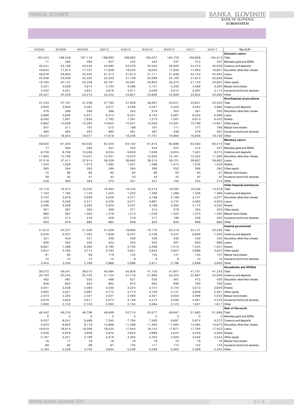| II-2009    | III-2009 | IV-2009    | $I - 2010$ | $II-2010$ | III-2010 | IV-2010 | $I-2011$   | $II - 2011$    | Mio EUR                                   |
|------------|----------|------------|------------|-----------|----------|---------|------------|----------------|-------------------------------------------|
|            |          |            |            |           |          |         |            |                | Domestic sector                           |
| 183,234    | 188,548  | 187,118    | 188,693    | 188,882   | 185,007  | 184,753 | 189,808    | 184,913 Total  |                                           |
| 77         | 284      | 294        | 307        | 342       | 324      | 337     | 312        | 337            | Monetary gold and SDRs                    |
| 40,541     | 43,166   | 43,245     | 43,285     | 43,376    | 40,542   | 39,945  | 44,374     |                | 42,009 Currency and deposits              |
| 16,644     | 17,913   | 17,707     | 17,608     | 18,033    | 18,050   | 17,628  | 17,693     | 16,857         | Securities other than shares              |
| 49,676     | 49,992   | 50,555     | 51,313     | 51,613    | 51,711   | 51,838  | 52,104     | 52,063 Loans   |                                           |
| 23,458     | 23,638   | 22,402     | 22,400     | 21,109    | 20,599   | 22,160  | 21,873     | 20,846 Shares  |                                           |
| 19,760     | 20,147   | 20,256     | 20,761     | 20,591    | 20,805   | 20,575  | 21,133     |                | 20,687 Other equity                       |
| 3,321      | 3,628    | 3,814      | 4,150      | 4,086     | 4,131    | 4,330   | 4,388      |                | 4,305 Mutual fund shares                  |
| 4,430      | 4,551    | 4,631      | 4,818      | 4,911     | 5,009    | 5,012   | 5,097      | 5,114          | Insurance technical reserves              |
| 25,327     | 25,229   | 24,215     | 24,052     | 24,821    | 23,836   | 22,926  | 22,834     | 22,695 Other   |                                           |
|            |          |            |            |           |          |         |            |                | Non-financial corporations                |
| 47,233     | 47,197   | 47,238     | 47,790     | 47,659    | 46,697   | 45,641  | 45,841     | 45,055 Total   |                                           |
| 3,920      | 3,930    | 4,081      | 4,077      | 4,069     | 4,047    | 4,253   | 4,052      |                | 3,982 Currency and deposits               |
| 379        | 396      | 359        | 386        | 342       | 319      | 352     | 361        | 330            | Securities other than shares              |
| 5,668      | 5,636    | 5,977      | 6,413      | 6,201     | 6,153    | 5,987   | 6,254      | 6,099 Loans    |                                           |
| 8,260      | 7,947    | 7,834      | 7,792      | 7,391     | 7,273    | 7,067   | 6,913      | $6,422$ Shares |                                           |
| 9,892      | 10,059   | 10,262     | 10,603     | 10,541    | 10,556   | 10,391  | 10,799     | 10,851         | Other equity                              |
| 207        | 211      | 197        | 215        | 198       | 181      | 171     | 177        |                | 166 Mutual fund shares                    |
| 480        | 464      | 450        | 485        | 481       | 467      | 438     | 478        | 481            | Insurance technical reserves              |
| 18,427     | 18,554   | 18,077     | 17,818     | 18,436    | 17,701   | 16,982  | 16,806     | 16,726 Other   |                                           |
|            |          |            |            |           |          |         |            |                | Monetary sector                           |
| 59,640     | 61,500   | 63,023     | 62,300     | 64,162    | 61,815   | 60,898  | 62,083     | 60,472 Total   |                                           |
| 77         | 284      | 294        | 307        | 342       | 324      | 337     | 312        |                | 337 Monetary gold and SDRs                |
| 8,738      | 8,769    | 10,006     | 9,024      | 9,908     | 7,606    | 6,604   | 7,461      |                | 6,572 Currency and deposits               |
| 11,660     | 12,708   | 12,457     | 12,261     | 12,670    | 12,550   | 12,161  | 12,302     | 11,580         | Securities other than shares              |
| 37,018     | 37,411   | 37,914     | 38,309     | 38,962    | 39,212   | 39,701  | 39,857     | 39,862 Loans   |                                           |
| 1,345      | 1,558    | 1,572      | 1,590      | 1,557     | 1,488    | 1,515   | 1,535      | 1,503 Shares   |                                           |
| 260        | 284      | 293        | 299        | 264       | 266      | 252     | 266        |                | 280 Other equity                          |
| 75         | 86       | 85         | 92         | 85        | 89       | 93      | 85         | 81             | Mutual fund shares                        |
| 39         | 40       | 41         | 42         | 43        | 44       | 43      | 42         | 42             | Insurance technical reserves              |
| 429        | 360      | 363        | 375        | 331       | 237      | 192     | 222        | 214            | Other                                     |
|            |          |            |            |           |          |         |            |                | Other financial institutions              |
| 16,179     | 16,574   | 16,254     | 16,460     | 16,242    | 16,214   | 16,095  | 16,006     | 15,918 Total   |                                           |
| 1,164      | 1,185    | 1,132      | 1,202      | 1,252     | 1,268    | 1,288   | 1,336      | 1,469          | Currency and deposits                     |
| 3,702      | 3,878    | 3,959      | 4,026      | 4,071     | 4,188    | 4,189   | 4,127      |                | 4,077 Securities other than shares        |
| 5,438      | 5,526    | 5,317      | 5,226      | 5,071     | 4,897    | 4,737   | 4,560      | 4,653 Loans    |                                           |
| 3,486      | 3,508    | 3,352      | 3,403      | 3,237     | 3,198    | 3,260   | 3,172      | $3,032$ Shares |                                           |
| 361        | 387      | 300        | 296        | 271       | 314      | 278     | 263        |                | 253 Other equity                          |
| 885        | 997      | 1,092      | 1,216      | 1,213     | 1,229    | 1,325   | 1,375      | 1,350          | Mutual fund shares                        |
| 223<br>920 | 213      | 219<br>882 | 208        | 218       | 217      | 186     | 206<br>966 | 202            | Insurance technical reserves<br>883 Other |
|            | 879      |            | 882        | 908       | 903      | 833     |            |                |                                           |
| 21,612     | 24,237   | 21,028     | 21,659     | 19,893    | 19,176   | 20,319  | 24,127     | 22,235         | General government<br>Total               |
| 6,526      | 9,037    | 7,304      | 7,828      | 6,431     | 5,726    | 5,347   | 8,858      | 7,030          | Currency and deposits                     |
| 421        | 434      | 427        | 436        | 429       | 458      | 435     | 430        | 430            | Securities other than shares              |
| 606        | 464      | 405        | 402        | 404       | 505      | 467     | 650        |                | 689 Loans                                 |
| 6,867      | 7,088    | 6,280      | 6,185      | 5,700     | 5,499    | 7,215   | 7,240      | 7,041          | Shares                                    |
| 3,647      | 3,785    | 3,714      | 3,793      | 3,801     | 3,943    | 3,907   | 3,898      |                | 3,923 Other equity                        |
| 81         | 85       | 99         | 119        | 122       | 125      | 141     | 153        | 157            | Mutual fund shares                        |
| 10         | 10       | 10         | 10         | 9         | 9        | 9       | 10         | 10             | Insurance technical reserves              |
| 3,454      | 3,335    | 2,789      | 2,886      | 2,996     | 2,911    | 2,796   | 2,889      | 2,955 Other    |                                           |
|            |          |            |            |           |          |         |            |                | <b>Households and NPISHs</b>              |
| 38,570     | 39,041   | 39,575     | 40,484     | 40,926    | 41,105   | 41,801  | 41,751     | 41,233 Total   |                                           |
| 20,193     | 20,245   | 20,722     | 21,154     | 21,716    | 21,895   | 22,453  | 22,667     |                | 22,956 Currency and deposits              |
| 482        | 497      | 505        | 499        | 521       | 535      | 491     | 472        |                | 439 Securities other than shares          |
| 946        | 955      | 942        | 962        | 975       | 945      | 946     | 783        |                | 760 Loans                                 |
| 3,501      | 3,538    | 3,364      | 3,430      | 3,224     | 3,141    | 3,104   | 3,013      |                | $2,849$ Shares                            |
| 5,600      | 5,631    | 5,687      | 5,770      | 5,713     | 5,726    | 5,747   | 5,906      | 5,381          | Other equity                              |
| 2,073      | 2,250    | 2,341      | 2,507      | 2,468     | 2,507    | 2,600   | 2,598      |                | 2,552 Mutual fund shares                  |
| 3,678      | 3,824    | 3,911      | 4,072      | 4,159     | 4,272    | 4,336   | 4,361      |                | 4.378 Insurance technical reserves        |
| 2,095      | 2,102    | 2,103      | 2,090      | 2,150     | 2,084    | 2,123   | 1,951      | 1,917 Other    |                                           |
|            |          |            |            |           |          |         |            |                | Rest of the world                         |
| 46,442     | 49,216   | 48,796     | 49,468     | 50,714    | 50,577   | 49,947  | 51,960     | 51,666 Total   |                                           |
| 0          | 0        | 0          | 0          | 0         | 0        | 0       | 0          |                | 0 Monetary gold and SDRs                  |
| 9,037      | 8,047    | 8,489      | 7,345      | 7,784     | 7,480    | 6,697   | 5,674      |                | 6,272 Currency and deposits               |
| 5,503      | 8,903    | 9,118      | 10,868     | 11,499    | 11,565   | 11,565  | 14,394     |                | 13,973 Securities other than shares       |
| 18,919     | 18,914   | 18,266     | 18,020     | 17,844    | 18,143   | 17,871  | 17,785     | 17,403 Loans   |                                           |
| 3,928      | 3,978    | 3,908      | 3,970      | 3,923     | 3,899    | 4,024   | 4,045      |                | 4,009 Shares                              |
| 4,167      | 4,231    | 4,199      | 4,316      | 4,302     | 4,303    | 4,593   | 4,556      |                | 4,544 Other equity                        |
| 16         | 17       | 18         | 18         | 19        | 18       | 16      | 19         |                | 19 Mutual fund shares                     |
| 89         | 89       | 98         | 97         | 105       | 111      | 115     | 122        |                | 123   Insurance technical reserves        |
| 4,784      | 5,038    | 4,700      | 4,834      | 5,239     | 5,059    | 5,065   | 5,366      | 5,322 Other    |                                           |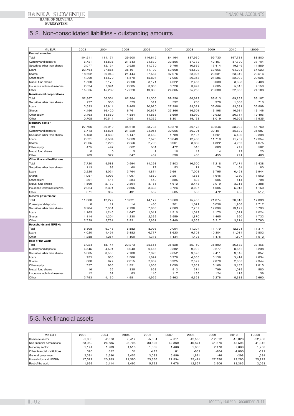BANK OF SLOVENIA **EUROSYSTEM**

### 5.2. Non-consolidated liabilities - outstanding amounts

| Mio EUR                      | 2003    | 2004    | 2005    | 2006           | 2007    | 2008    | 2009    | 2010    | $I-2009$ |
|------------------------------|---------|---------|---------|----------------|---------|---------|---------|---------|----------|
| Domestic sector              |         |         |         |                |         |         |         |         |          |
| Total                        | 104,511 | 114,171 | 129,500 | 146,612        | 184,164 | 187,960 | 199,730 | 197,781 | 188,800  |
| Currency and deposits        | 16,721  | 18,836  | 21,343  | 24,530         | 33,856  | 37,772  | 42,457  | 37,790  | 37,704   |
| Securities other than shares | 12,077  | 12,134  | 12,928  | 11,730         | 9,795   | 10,669  | 17,414  | 19,649  | 11,889   |
| Loans                        | 23,764  | 27,885  | 35,191  | 41,102         | 53,668  | 63,522  | 63,666  | 64,296  | 64,023   |
| Shares                       | 18,692  | 20,943  | 21,444  | 27,587         | 37,076  | 23,925  | 23,631  | 23,319  | 23,516   |
| Other equity                 | 14,299  | 14,572  | 15,570  | 15,827         | 17,055  | 20,358  | 21,286  | 22,032  | 20,925   |
| Mutual fund shares           | 1,569   | 2,179   | 2,398   | 3,171          | 4,622   | 2,465   | 3,033   | 3,328   | 2,408    |
| Insurance technical reserves | 2,024   | 2,391   | 2,805   | 3,333          | 3,726   | 3,997   | 4,605   | 5,015   | 4,150    |
| Other                        | 15,365  | 15,232  | 17,820  | 19,330         | 24,365  | 25,253  | 23,639  | 22,353  | 24,188   |
| Non-financial corporations   |         |         |         |                |         |         |         |         |          |
| Total                        | 52,387  | 56,551  | 62,984  | 71,305         | 89,356  | 88,629  | 88,813  | 89,237  | 88,187   |
| Securities other than shares | 227     | 350     | 523     | 511            | 592     | 705     | 978     | 1,033   | 710      |
| Loans                        | 13,533  | 15,611  | 18,465  | 20,920         | 27,398  | 33,321  | 33,686  | 33,581  | 33,899   |
| Shares                       | 14,456  | 16,420  | 16,761  | 20,657         | 27,366  | 16,501  | 16,198  | 16,984  | 16,146   |
| Other equity                 | 13,463  | 13,659  | 14,584  | 14,886         | 15,699  | 18,970  | 19,932  | 20,714  | 19,496   |
| Other                        | 10,708  | 10,511  | 12,651  | 14,332         | 18,301  | 19,133  | 18,019  | 16,926  | 17,935   |
| Monetary sector              |         |         |         |                |         |         |         |         |          |
| Total                        | 27.796  | 30,012  | 35.619  | 38.737         | 50,370  | 56.178  | 60.846  | 58,232  | 55.769   |
| Currency and deposits        | 16,713  | 18,825  | 21,329  | 24,051         | 32,955  | 36,701  | 39,401  | 35,832  | 35.987   |
| Securities other than shares | 5,453   | 4,639   | 5,147   | 3,482          | 1,788   | 2,127   | 4,261   | 5,430   | 2,308    |
| Loans                        | 2,821   | 3,504   | 5,833   | 7,520          | 10,649  | 12,468  | 11,710  | 11,709  | 12,354   |
| Shares                       | 2,065   | 2,226   | 2,356   | 2,708          | 3,901   | 3,889   | 4,322   | 4,266   | 4,075    |
| Other equity                 | 475     | 497     | 602     | 501            | 472     | 513     | 683     | 742     | 562      |
| Mutual fund shares           | $\circ$ | $\circ$ | 5       | $\overline{7}$ | 10      | 17      | 14      | 12      | 20       |
| Other                        | 269     | 322     |         |                |         |         |         |         | 463      |
| Other financial institutions |         |         | 347     | 469            | 596     | 463     | 455     | 241     |          |
|                              |         |         |         |                |         |         |         |         |          |
| Total                        | 7,720   | 9,588   | 10,994  | 14,298         | 17,803  | 16,500  | 17,218  | 17,174  | 16,438   |
| Securities other than shares | 113     | 93      | 60      | 72             | 53      | 71      | 76      | 64      | 80       |
| Loans                        | 2,225   | 3,034   | 3,764   | 4,874          | 5,691   | 7,008   | 6,795   | 6,421   | 6,944    |
| Shares                       | 1,057   | 1,093   | 1,097   | 1,860          | 2,251   | 1,665   | 1,645   | 1,380   | 1,562    |
| Other equity                 | 361     | 416     | 384     | 440            | 885     | 803     | 605     | 514     | 798      |
| Mutual fund shares           | 1,569   | 2,179   | 2,394   | 3,165          | 4,612   | 2,448   | 3,019   | 3,315   | 2,388    |
| Insurance technical reserves | 2,024   | 2,391   | 2,805   | 3,333          | 3,726   | 3,997   | 4,605   | 5,015   | 4,150    |
| Other                        | 371     | 382     | 491     | 552            | 585     | 508     | 472     | 465     | 517      |
| General government           |         |         |         |                |         |         |         |         |          |
| Total                        | 11,300  | 12,272  | 13,021  | 14,179         | 16,580  | 15,450  | 21,074  | 20,616  | 17,093   |
| Currency and deposits        | 8       | 12      | 14      | 480            | 901     | 1,071   | 3,056   | 1,958   | 1,717    |
| Securities other than shares | 6,284   | 7,051   | 7,198   | 7,665          | 7,363   | 7,767   | 12,099  | 13,122  | 8,790    |
| Loans                        | 1,165   | 1,245   | 1,647   | 1,011          | 1,310   | 1,017   | 1,170   | 1,571   | 1,024    |
| Shares                       | 1,114   | 1,204   | 1,230   | 2,362          | 3,559   | 1,870   | 1,465   | 690     | 1,733    |
| Other                        | 2,729   | 2,761   | 2,931   | 2,661          | 3,449   | 3,653   | 3,217   | 3,214   | 3,760    |
| <b>Households and NPISHs</b> |         |         |         |                |         |         |         |         |          |
| Total                        | 5,308   | 5,748   | 6,882   | 8,093          | 10,054  | 11,204  | 11,779  | 12,521  | 11,314   |
| Loans                        | 4,020   | 4,491   | 5,482   | 6,777          | 8,620   | 9,708   | 10,304  | 11,014  | 9,802    |
| Other                        | 1,288   | 1,257   | 1,400   | 1,316          | 1,434   | 1,496   | 1,475   | 1,507   | 1,512    |
| Rest of the world            |         |         |         |                |         |         |         |         |          |
| Total                        | 16,024  | 18,144  | 23,273  | 25,655         | 35,528  | 35,150  | 35,890  | 36,582  | 33,465   |
| Currency and deposits        | 4,545   | 4,501   | 6,043   | 6,466          | 9,382   | 9,002   | 9,277   | 8,852   | 8,238    |
| Securities other than shares | 5,365   | 6,555   | 7,100   | 7,323          | 9,652   | 9,528   | 9,411   | 9,545   | 8,857    |
| Loans                        | 935     | 868     | 1,386   | 1,892          | 3,976   | 4,863   | 5,156   | 5,414   | 4,834    |
| Shares                       | 600     | 977     | 2,015   | 2,602          | 3,925   | 2,529   | 2,679   | 2,866   | 2,344    |
| Other equity                 | 757     | 966     | 1,331   | 1,653          | 2,099   | 2,859   | 3,169   | 3,137   | 2,815    |
| Mutual fund shares           | 16      | 55      | 335     | 653            | 913     | 574     | 799     | 1,019   | 580      |
| Insurance technical reserves | 12      | 62      | 83      | 110            | 117     | 136     | 124     | 113     | 136      |
| Other                        | 3.793   | 4,160   | 4.981   | 4,955          | 5,462   | 5.658   | 5,276   | 5.638   | 5,660    |
|                              |         |         |         |                |         |         |         |         |          |

### 5.3. Net financial assets

| Mio EUR                      | 2003      | 2004      | 2005      | 2006      | 2007      | 2008      | 2009      | 2010      | $I-2009$  |
|------------------------------|-----------|-----------|-----------|-----------|-----------|-----------|-----------|-----------|-----------|
| Domestic sector              | $-1.606$  | $-2.328$  | $-3.412$  | $-5.634$  | $-7.611$  | $-12.585$ | $-12.612$ | $-13.028$ | $-12.983$ |
| Non-financial corporations   | $-23.052$ | $-26.785$ | $-28.798$ | $-33.696$ | $-42.369$ | $-40.874$ | -41.576   | $-43.596$ | $-41.342$ |
| Monetary sector              | 1.144     | ,239      | .513      | .565      | 1.468     | 880.      | 2.178     | 2.666     | 1.736     |
| Other financial institutions | 396       | 352       | 31        | $-472$    | 81        | $-889$    | $-964$    | $-1.080$  | $-891$    |
| General government           | 2.384     | 2.630     | 2.452     | 3.083     | 5.856     | 874.      | $-46$     | $-298$    | .584      |
| Households and NPISHs        | 17.522    | 20.235    | 21.390    | 23.886    | 27.354    | 25.424    | 27.796    | 29,280    | 25,929    |
| Rest of the world            | 1.693     | 2.414     | 3.492     | 5.722     | 7.678     | 12.657    | 12.906    | 13.365    | 13.063    |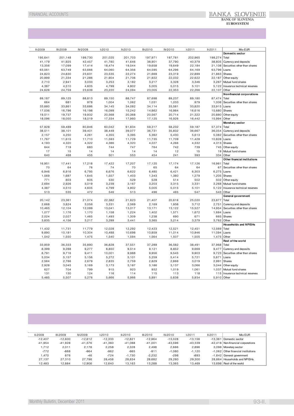**EUROSYSTEM**

| II-2009 | <b>III-2009</b> | IV-2009 | $I-2010$ | $II-2010$ | III-2010 | IV-2010 | $I-2011$ | $II-2011$                   | Mio EUR                              |
|---------|-----------------|---------|----------|-----------|----------|---------|----------|-----------------------------|--------------------------------------|
|         |                 |         |          |           |          |         |          |                             | Domestic sector                      |
| 195,641 | 201,148         | 199,730 | 201,025  | 201,703   | 197,971  | 197,781 | 202,965  | 198,274 Total               |                                      |
| 41,179  | 41,925          | 42,457  | 41,780   | 41,646    | 38,901   | 37,790  | 40,379   |                             | 38,805 Currency and deposits         |
| 13,356  | 17,099          | 17,414  | 18,474   | 19,544    | 19,658   | 19,649  | 22,184   |                             | 21,108 Securities other than shares  |
| 63,561  | 63,749          | 63,666  | 64,060   | 64,356    | 64,595   | 64,296  | 64,169   | 63,796                      | Loans                                |
| 24,823  | 24,830          | 23,631  | 23,535   | 22,274    | 21,669   | 23,319  | 22,899   | 21,863 Shares               |                                      |
| 20,999  | 21,334          | 21,286  | 21,904   | 21,706    | 21,922   | 22,032  | 22,622   | 22,187                      | Other equity                         |
| 2,710   | 2,941           | 3,033   | 3,253    | 3,182     | 3,217    | 3,328   | 3,346    | 3,287                       | Mutual fund shares                   |
| 4,387   | 4,510           | 4,605   | 4,799    | 4,902     | 5,005    | 5,015   | 5,101    | 5,122                       | Insurance technical reserves         |
| 24,626  | 24,759          | 23,639  | 23,220   | 24,094    | 23,005   | 22,353  | 22,266   | 22,107                      | Other                                |
|         |                 |         |          |           |          |         |          |                             | Non-financial corporations           |
| 89,187  | 89,125          | 88,813  | 89,150   | 88,747    | 87,698   | 89,237  | 89,180   | 87,474 Total                |                                      |
| 664     | 681             | 978     | 1,004    | 1,062     | 1,031    | 1,033   | 979      | 1.006                       | Securities other than shares         |
| 33,880  | 33,861          | 33,686  | 34,145   | 34,082    | 34,114   | 33,581  | 33,820   | 33,915 Loans                |                                      |
| 17,036  | 16,796          | 16,198  | 16,099   | 15,242    | 14,862   | 16,984  | 16,616   | 15,680 Shares               |                                      |
| 19,511  | 19,737          | 19,932  | 20,568   | 20,368    | 20,567   | 20,714  | 21,322   | 20,880                      | Other equity                         |
| 18,096  | 18,050          | 18,019  | 17,334   | 17,993    | 17,125   | 16,926  | 16,442   | 15,994 Other                |                                      |
|         |                 |         |          |           |          |         |          |                             | Monetary sector                      |
| 57,928  | 59,489          | 60,846  | 60,042   | 61,834    | 59,317   | 58,232  | 59,187   | 57,374 Total                |                                      |
|         |                 | 39,401  |          | 39,077    |          |         | 36,667   | 36,054                      |                                      |
| 38,511  | 38,101          |         | 38,449   |           | 36,731   | 35,832  |          |                             | Currency and deposits                |
| 2,157   | 4,250           | 4,261   | 4,355    | 5,395     | 5,392    | 5,430   | 5,613    |                             | 5,082 Securities other than shares   |
| 11,767  | 11,615          | 11,710  | 11,593   | 11,729    | 11,735   | 11,709  | 11,428   | 10,828                      | Loans                                |
| 4,193   | 4,320           | 4,322   | 4,386    | 4,320     | 4,227    | 4,266   | 4,332    |                             | $4,313$ Shares                       |
| 644     | 719             | 683     | 744      | 747       | 764      | 742     | 739      |                             | 745 Other equity                     |
| 17      | 15              | 14      | 14       | 14        | 14       | 12      | 15       | 19                          | Mutual fund shares                   |
| 640     | 468             | 455     | 501      | 553       | 454      | 241     | 393      | 334                         | Other                                |
|         |                 |         |          |           |          |         |          |                             | Other financial institutions         |
| 16,951  | 17,441          | 17,218  | 17,422   | 17,207    | 17,125   | 17,174  | 17,126   | 16,981                      | Total                                |
| 70      | 64              | 76      | 74       | 70        | 65       | 64      | 64       | 67                          | Securities other than shares         |
| 6,946   | 6,916           | 6,795   | 6,676    | 6,622     | 6,485    | 6,421   | 6,303    | 6,275                       | Loans                                |
| 1,569   | 1,687           | 1,645   | 1,557    | 1,403     | 1,343    | 1,380   | 1,279    | 1,205                       | Shares                               |
| 771     | 803             | 605     | 530      | 529       | 528      | 514     | 502      |                             | 502 Other equity                     |
| 2,694   | 2,926           | 3,019   | 3,239    | 3,167     | 3,203    | 3,315   | 3,331    | 3,268                       | Mutual fund shares                   |
| 4,387   | 4,510           | 4,605   | 4,799    | 4,902     | 5,005    | 5,015   | 5,101    |                             | 5,122   Insurance technical reserves |
| 513     | 535             | 472     | 546      | 513       | 496      | 465     | 547      |                             | $543$ Other                          |
|         |                 |         |          |           |          |         |          |                             | General government                   |
| 20,142  | 23,361          | 21,074  | 22,382   | 21,623    | 21,407   | 20,616  | 25,020   | 23,877                      | l Total                              |
| 2,668   | 3,824           | 3,056   | 3,331    | 2,569     | 2,169    | 1,958   | 3,712    | 2,751                       | Currency and deposits                |
| 10,465  | 12,104          | 12,099  | 13,041   | 13,017    | 13,171   | 13,122  | 15,527   | 14,954                      | Securities other than shares         |
| 1,077   | 1,176           | 1,170   | 1,158    | 1,224     | 1,402    | 1,571   | 1,672    | 1,684                       | Loans                                |
| 2,024   | 2,027           | 1,465   | 1,493    | 1,309     | 1,238    | 690     | 671      | 665                         | Shares                               |
| 3,835   | 4,156           | 3,217   | 3,299    | 3,441     | 3,365    | 3,214   | 3,379    | 3,762                       | Other                                |
|         |                 |         |          |           |          |         |          |                             | <b>Households and NPISHs</b>         |
| 11,432  | 11,731          | 11,779  | 12,028   | 12,292    | 12,423   | 12,521  | 12,451   | 12,569 Total                |                                      |
|         | 10,181          | 10,304  |          | 10,698    | 10,859   |         | 10,946   |                             |                                      |
| 9,890   |                 |         | 10,488   |           |          | 11,014  |          | 11,094 Loans<br>1,475 Other |                                      |
| 1,542   | 1,550           | 1,475   | 1,540    | 1,594     | 1,564    | 1,507   | 1,505    |                             |                                      |
|         |                 |         |          |           |          |         |          |                             | Rest of the world                    |
| 33,959  | 36,333          | 35,890  | 36,828   | 37,551    | 37,289   | 36,582  | 38,491   | 37,968 Total                |                                      |
| 8,399   | 9,288           | 9,277   | 8,850    | 9,514     | 9,121    | 8,852   | 9,669    | 9,477                       | Currency and deposits                |
| 8,791   | 9,716           | 9,411   | 10,001   | 9,988     | 9,956    | 9,545   | 9,903    |                             | 9,723 Securities other than shares   |
| 5,034   | 5,157           | 5,156   | 5,272    | 5,101     | 5,259    | 5,414   | 5,721    | 5,671                       | Loans                                |
| 2,564   | 2,786           | 2,679   | 2,835    | 2,759     | 2,829    | 2,866   | 3,019    |                             | $2,991$ Shares                       |
| 2,928   | 3,045           | 3,169   | 3,173    | 3,187     | 3,186    | 3,137   | 3,066    | 3,044                       | Other equity                         |
| 627     | 704             | 799     | 915      | 923       | 932      | 1,019   | 1,061    | 1,037                       | Mutual fund shares                   |
| 131     | 130             | 124     | 116      | 114       | 115      | 113     | 118      | 115                         | Insurance technical reserves         |
| 5,485   | 5.507           | 5,276   | 5.666    | 5.966     | 5.891    | 5.638   | 5.934    | 5.910                       | <b>Other</b>                         |

| $II-2009$ | $III-2009$ | IV-2009   | $1-2010$  | $II - 2010$ | $III-2010$ | IV-2010   | $1 - 2011$ | II-2011 | Mio EUR                              |
|-----------|------------|-----------|-----------|-------------|------------|-----------|------------|---------|--------------------------------------|
| $-12.407$ | $-12.600$  | $-12.612$ | $-12.333$ | $-12.821$   | $-12.964$  | $-13.028$ | $-13.156$  |         | -13.361 Domestic sector              |
| $-41.954$ | $-41.928$  | $-41.576$ | $-41.360$ | $-41.088$   | $-41.001$  | $-43.596$ | $-43.339$  |         | -42.418   Non-financial corporations |
| 1.712     | 2.011      | 2.178     | 2.258     | 2.328       | 2.498      | 2.666     | 2.896      |         | 3.098   Monetary sector              |
| $-772$    | $-868$     | $-964$    | $-962$    | $-965$      | $-911$     | $-1.080$  | $-1.120$   |         | -1.062 Other financial institutions  |
| 1.470     | 876        | $-46$     | $-724$    | $-1.730$    | $-2.232$   | $-298$    | $-893$     |         | -1.642 General government            |
| 27.137    | 27,310     | 27.796    | 28.456    | 28.634      | 28.682     | 29,280    | 29,300     |         | 28.664 Households and NPISHs         |
| 12.483    | 12.884     | 12.906    | 12.640    | 13.163      | 13.288     | 13.365    | 13.469     |         | 13.698 Rest of the world             |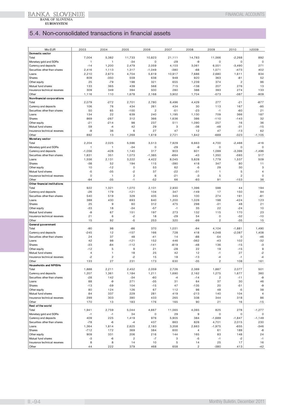### 5.4. Non-consolidated transactions in financial assets

| Mio EUR                      | 2003                | 2004           | 2005                | 2006           | 2007   | 2008           | 2009                    | 2010           | $I-2009$       |
|------------------------------|---------------------|----------------|---------------------|----------------|--------|----------------|-------------------------|----------------|----------------|
| Domestic sector              |                     |                |                     |                |        |                |                         |                |                |
|                              |                     |                |                     |                |        |                |                         |                |                |
| Total                        | 7,004               | 5,382          | 11,733              | 10,823         | 21,111 | 14,783         | 11,566                  | $-2,268$       | 892            |
| Monetary gold and SDRs       | $\overline{1}$      | $\overline{1}$ | $-34$               | $\circ$        | $-29$  | -9             | $\mathbf 0$             | $\mathbf 0$    | $\circ$        |
| Currency and deposits        | $-14$               | 1,200          | 2,479               | 2,059          | 4,103  | 3,061          | 6,551                   | $-3,490$       | 271            |
| Securities other than shares | 2,416               | 1,113          | 1,317               | $-1,049$       | $-380$ | $-68$          | 1,571                   | $-473$         | 402            |
| Loans                        | 2,210               | 2,673          | 4,704               | 5,619          | 10,917 | 7,686          | 2,680                   | 1,611          | 834            |
| Shares                       | 809                 | $-350$         | 559                 | 638            | 948    | 920            | 363                     | $-81$          | 52             |
|                              |                     |                |                     |                |        |                |                         |                | 96             |
| Other equity                 | 25                  | $-79$          | 198                 | 321            | 655    | 1,239          | 374                     | $\overline{c}$ |                |
| Mutual fund shares           | 133                 | 365            | 439                 | 568            | 715    | $-138$         | 207                     | 276            | 13             |
| Insurance technical reserves | 309                 | 349            | 394                 | 500            | 280    | 388            | 393                     | 274            | 133            |
| Other                        | 1,116               | 110            | 1,678               | 2,168          | 3,902  | 1,704          | $-573$                  | $-387$         | $-909$         |
| Non-financial corporations   |                     |                |                     |                |        |                |                         |                |                |
| Total                        | 2,079               | $-272$         | 2,701               | 2,780          | 6,496  | 4,429          | 277                     | $-21$          | $-877$         |
|                              |                     |                |                     |                |        |                |                         |                |                |
| Currency and deposits        | 106                 | 76             | 434                 | 261            | 434    | 30             | 113                     | 167            | $-95$          |
| Securities other than shares | 50                  | 65             | $-100$              | $\overline{c}$ | $-51$  | $-23$          | $-1$                    | $-60$          | 21             |
| Loans                        | 134                 | 22             | 639                 | 240            | 1,195  | 1,130          | 709                     | 366            | 187            |
| Shares                       | 869                 | $-267$         | 312                 | 366            | 1,636  | 386            | $-110$                  | $-143$         | 32             |
| Other equity                 | $-21$               | $-214$         | 98                  | 237            | 511    | 1,090          | 257                     | 16             | 36             |
|                              | 59                  |                | 42                  | 29             | 3      | $-38$          |                         | $-31$          | $-15$          |
| Mutual fund shares           |                     | $-4$           |                     |                |        |                | $-48$                   |                |                |
| Insurance technical reserves | -9                  | 36             | 6                   | 27             | 47     | 12             | 47                      | $-13$          | 62             |
| Other                        | 892                 | 13             | 1,269               | 1,619          | 2,721  | 1,842          | $-689$                  | $-323$         | $-1,105$       |
| Monetary sector              |                     |                |                     |                |        |                |                         |                |                |
| Total                        | 2,204               | 2,025          | 5,596               | 3,513          | 7,929  | 6,663          | 4,700                   | $-2,488$       | $-416$         |
| Monetary gold and SDRs       | $\overline{1}$      | $\overline{1}$ | $-34$               | $\circ$        | $-29$  | -9             | 0                       | 0              | 0              |
|                              |                     |                |                     |                |        |                |                         |                |                |
| Currency and deposits        | $-1.056$            | $-428$         | 1,140               | 317            | 903    | 601            | 1,099                   | $-3,396$       | $-1,496$       |
| Securities other than shares | 1,831               | 351            | 1,073               | $-1,385$       | $-684$ | $-43$          | 1,350                   | $-593$         | 517            |
| Loans                        | 1,556               | 2,131          | 3,222               | 4,422          | 8,045  | 5,828          | 1,779                   | 1,537          | 509            |
| Shares                       | $-38$               | 52             | 194                 | 115            | $-390$ | 418            | 347                     | 80             | 11             |
| Other equity                 | 10                  | $-12$          | $\mathsf{O}\xspace$ | 53             | 62     | $-5$           | 29                      | 30             | 3              |
|                              |                     |                |                     | 37             |        |                | $\mathbf{1}$            |                | $\overline{4}$ |
| Mutual fund shares           | $-5$                | $-35$          | -2                  |                | $-22$  | $-31$          |                         | 5              |                |
| Insurance technical reserves | $\mathsf{O}\xspace$ | $\overline{1}$ | $\overline{c}$      | 6              | $-21$  | $-3$           | 5                       | $\overline{c}$ | $\circ$        |
| Other                        | $-94$               | $-35$          | $-1$                | $-52$          | 66     | $-93$          | 91                      | $-153$         | 36             |
| Other financial institutions |                     |                |                     |                |        |                |                         |                |                |
| Total                        | 922                 | 1,321          | 1,070               | 2,101          | 2,930  | 1,396          | 598                     | 44             | 194            |
| Currency and deposits        | $-26$               | 179            | $-121$              | 104            | 347    | $-149$         | 17                      | 150            | 94             |
|                              |                     |                |                     |                |        |                |                         |                |                |
| Securities other than shares | 540                 | 519            | 329                 | 435            | 345    | 100            | 274                     | 191            | $-81$          |
| Loans                        | 389                 | 430            | 693                 | 840            | 1,200  | 1,026          | 198                     | -424           | 123            |
| Shares                       | 25                  | 9              | 60                  | 312            | 475    | 298            | $-31$                   | 48             | 21             |
| Other equity                 | $-33$               | 18             | $-34$               | $-57$          | $-1$   | 35             | 22                      | $-24$          | 10             |
| Mutual fund shares           | -9                  | 67             | 151                 | 197            | 273    | 132            | 115                     | 170            | 23             |
| Insurance technical reserves | 21                  | 6              |                     |                |        | 54             | 0                       | $-32$          | $-10$          |
|                              |                     |                | $-2$                | 18             | $-29$  |                |                         |                |                |
| Other                        | 15                  | 92             | $-5$                | 253            | 320    | $-99$          | $\overline{c}$          | $-35$          | 15             |
| General government           |                     |                |                     |                |        |                |                         |                |                |
| Total                        | $-90$               | 98             | $-86$               | 370            | 1,031  | $-94$          | 4,104                   | $-1,881$       | 1,490          |
| Currency and deposits        | $-245$              | 12             | $-157$              | 166            | 728    | 418            | 4,048                   | $-2,087$       | 1,408          |
| Securities other than shares | 24                  | 37             | 48                  | $-41$          | 14     | $-88$          | $-54$                   | 0              | $-46$          |
|                              |                     |                |                     |                |        |                |                         |                |                |
| Loans                        | 42                  | 98             | $-121$              | 152            | 446    | $-362$         | $-43$                   | 102            | $-32$          |
| Shares                       | $-33$               | $-84$          | $-112$              | $-141$         | $-819$ | $-48$          | 136                     | $-15$          | $-3$           |
| Other equity                 | $-12$               | 5              | 9                   | 21             | $-28$  | 22             | 19                      | $-15$          | 9              |
| Mutual fund shares           | $\overline{4}$      | $\overline{1}$ | 18                  | 25             | 42     | 12             | $-1$                    | 27             | $-2$           |
| Insurance technical reserves | $-2$                | $\overline{c}$ | $-2$                | 15             | 18     | $-13$          | $-4$                    | $-1$           | $-4$           |
| Other                        | 133                 | 27             | 231                 | 173            | 630    | $-35$          | $\overline{c}$          | 108            | 161            |
| <b>Households and NPISHs</b> |                     |                |                     |                |        |                |                         |                |                |
|                              |                     |                |                     |                |        |                |                         |                |                |
| Total                        | 1,888               | 2,211          | 2,452               | 2,059          | 2,726  | 2,389          | 1,887                   | 2,077          | 501            |
| Currency and deposits        | 1,207               | 1,361          | 1,184               | 1,211          | 1,690  | 2,162          | 1,275                   | 1,677          | 360            |
| Securities other than shares | $-28$               | 142            | $-34$               | $-60$          | $-4$   | $-14$          | $\overline{\mathbf{c}}$ | $-11$          | -9             |
| Loans                        | 88                  | -9             | 271                 | $-35$          | 31     | 64             | 37                      | 30             | 46             |
| Shares                       | $-13$               | $-59$          | 104                 | $-15$          | 47     | $-135$         | 20                      | $-51$          | -9             |
| Other equity                 | 80                  | 124            | 126                 | 67             | 112    | 98             | 48                      | $-5$           | 38             |
|                              |                     |                |                     |                |        |                |                         |                |                |
| Mutual fund shares           | 84                  | 337            | 229                 | 281            | 419    | $-213$         | 140                     | 104            | $\overline{4}$ |
| Insurance technical reserves | 299                 | 303            | 390                 | 433            | 265    | 338            | 344                     | 318            | 86             |
| Other                        | 170                 | 13             | 183                 | 176            | 165    | 90             | 21                      | 16             | $-15$          |
| Rest of the world            |                     |                |                     |                |        |                |                         |                |                |
| Total                        | 1,941               | 2,759          | 5,044               | 4,667          | 11,565 | 4,065          | 825                     | 278            | $-1,277$       |
| Monetary gold and SDRs       | $-1$                | $-1$           | 34                  | 0              | 29     | 9              | 0                       | 0              | $\Omega$       |
|                              |                     |                |                     |                |        |                |                         |                |                |
| Currency and deposits        | 409                 | 225            | 1,419               | 976            | 5,905  | 384            | $-1,689$                | $-1,847$       | $-1,149$       |
| Securities other than shares | $-78$               | $-6$           | $-4$                | 437            | 863    | 828            | 4,701                   | 2,015          | 230            |
| Loans                        | 1,364               | 1,814          | 2,625               | 2,183          | 3,358  | 2,663          | $-1,975$                | $-655$         | $-346$         |
| Shares                       | $-712$              | 172            | 369                 | 384            | 600    | $\overline{4}$ | 61                      | 189            | -8             |
| Other equity                 | 909                 | 331            | 206                 | 216            | 144    | 165            | 83                      | 148            | 24             |
|                              |                     |                | $\sqrt{2}$          |                |        |                |                         |                |                |
| Mutual fund shares           | -3                  | -6             |                     | $-7$           | 3      | $-5$           | $-1$                    | $-2$           | $-1$           |
| Insurance technical reserves | 8                   | 8              | 14                  | 10             | 5      | 14             | 25                      | 17             | 16             |
| Other                        | 44                  | 222            | 379                 | 468            | 658    | $\overline{c}$ | $-380$                  | 413            | $-42$          |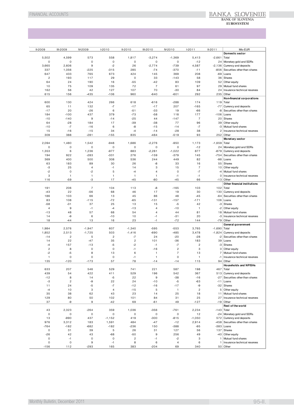**EUROSYSTEM**

| II-2009             | III-2009                      | IV-2009             | $I-2010$            | $II-2010$        | III-2010              | IV-2010                       | $1 - 2011$          | II-2011        | Mio EUR                                     |
|---------------------|-------------------------------|---------------------|---------------------|------------------|-----------------------|-------------------------------|---------------------|----------------|---------------------------------------------|
|                     |                               |                     |                     |                  |                       |                               |                     |                | Domestic sector                             |
| 5,502               | 4,599                         | 573                 | 558                 | 1,817            | $-3,274$              | $-1,369$                      | 5,413               | $-2,661$ Total |                                             |
| 0                   | $\mathsf O$                   | $\circ$             | 0                   | $\mathsf O$      | 0                     | 0                             | $-12$               | 24             | Monetary gold and SDRs                      |
| 3,665               | 2,606                         | $\mathsf g$         | $-2$                | 26               | $-2,774$              | $-739$                        | 4,587               |                | $-2,136$ Currency and deposits              |
| 337                 | 1,056                         | $-225$              | $-315$              | 285              | $-74$                 | $-370$                        | $-11$               | $-856$         | Securities other than shares                |
| 647                 | 433                           | 765                 | 673                 | 424              | 145                   | 369                           | 208                 | $-69$          | Loans                                       |
| $\overline{c}$      | 193                           | 117                 | 29                  | $\mathsf O$      | 33                    | $-143$                        | 58                  |                | 36 Shares                                   |
| 64                  | 24                            | 190                 | 16                  | $-55$            | $-42$                 | 83                            | 109                 |                | 52 Other equity                             |
| 10                  | 75                            | 109                 | 135                 | 72               | $\overline{7}$        | 61                            | 97                  | 29             | Mutual fund shares                          |
| 162<br>615          | 56<br>156                     | 42<br>$-435$        | 127<br>$-106$       | 107<br>960       | 70<br>$-640$          | $-30$<br>$-601$               | 84<br>292           | 24<br>235      | Insurance technical reserves<br>Other       |
|                     |                               |                     |                     |                  |                       |                               |                     |                | Non-financial corporations                  |
| 600                 | 130                           | 424                 | 266                 | 618              | $-616$                | $-288$                        | 174                 |                | $119$ Total                                 |
| 65                  | 11                            | 132                 | $-7$                | $-17$            | $-17$                 | 207                           | $-165$              | $-77$          | Currency and deposits                       |
| $-17$               | 20                            | $-26$               | 6                   | $-51$            | $-33$                 | 19                            | $-66$               | -8             | Securities other than shares                |
| 184                 | $-100$                        | 437                 | 379                 | $-73$            | $-58$                 | 118                           | 177                 | $-106$         | Loans                                       |
| $-10$               | $-140$                        | 9                   | $-14$               | $-25$            | 44                    | $-147$                        | $\overline{7}$      |                | 20 Shares                                   |
| 64                  | $-28$                         | 184                 | 17                  | $-39$            | $-38$                 | 77                            | 96                  | 39             | Other equity                                |
| $-10$               | $-7$                          | $-16$               | 6                   | -8               | $-15$                 | $-14$                         | $-7$                |                | -3 Mutual fund shares                       |
| 15                  | $-16$                         | $-15$               | 34                  | $-4$             | $-14$                 | $-28$                         | 38                  | $\overline{c}$ | Insurance technical reserves                |
| 309                 | 388                           | $-281$              | $-155$              | 835              | $-484$                | $-519$                        | 93                  |                | 252 Other                                   |
|                     |                               |                     |                     |                  |                       |                               |                     |                | Monetary sector                             |
| 2,094               | 1,480                         | 1,542               | $-948$              | 1,686            | $-2,276$              | $-950$                        | 1,173               | $-1,659$ Total |                                             |
| 0                   | 0                             | $\circ$             | $\mathbf 0$         | 0                | $\mathbf 0$           | $\mathsf{O}\xspace$           | $-12$               |                | 24   Monetary gold and SDRs                 |
| 1,353               | 6                             | 1,236               | $-977$              | 883              | $-2,281$              | $-1,022$                      | 877                 | $-879$         | Currency and deposits                       |
| 194                 | 922                           | $-283$              | $-331$              | 276              | $-159$                | $-379$                        | 145                 | $-754$         | Securities other than shares                |
| 369                 | 400                           | 500                 | 308                 | 536              | 244                   | 449                           | 82                  | $-98$          | Loans                                       |
| 63                  | 183                           | 89                  | 30                  | 26               | -8                    | 33                            | 16                  | 55             | Shares                                      |
| $-3$                | 25                            | $\overline{4}$      | $-1$                | 14               | 3                     | 15                            | $\overline{7}$      | 10             | Other equity                                |
| $-2$                | $\mathsf{O}\xspace$           | $-2$                | 5                   | $-4$             | $\overline{4}$        | $\circ$                       | $-7$                | $-4$           | Mutual fund shares                          |
| 3                   | $\mathbf{1}$                  | $\mathbf{1}$        | $\mathbf{1}$        | $\mathbf{1}$     | $\mathbf{1}$          | $-1$                          | $-1$                | $\mathbf 0$    | Insurance technical reserves                |
| 116                 | $-59$                         | $-3$                | 17                  | $-45$            | $-80$                 | $-45$                         | 66                  |                | $-13$ Other                                 |
| 191                 | 206                           | $\overline{7}$      | 104                 | 113              | -8                    | $-165$                        | 103                 |                | Other financial institutions<br>$102$ Total |
| $-43$               | 22                            | $-56$               | 68                  | 46               | 17                    | 19                            | 30                  | 130            | Currency and deposits                       |
| 186                 | 103                           | 66                  | 13                  | 45               | 86                    | 48                            | $-45$               | $-64$          | Securities other than shares                |
| 83                  | 108                           | $-115$              | $-72$               | $-65$            | $-131$                | $-157$                        | $-171$              | 106            | Loans                                       |
| $-58$               | $-31$                         | 37                  | 25                  | 13               | 15                    | $-5$                          | 42                  | -3             | Shares                                      |
| $\overline{4}$      | 9                             | $-1$                | $-4$                | $-13$            | $\overline{4}$        | $-10$                         | $\overline{1}$      | -2             | Other equity                                |
| $-13$               | 48                            | 57                  | 68                  | 54               | $\overline{4}$        | 44                            | 81                  |                | 18 Mutual fund shares                       |
| 14                  | -9                            | 6                   | $-10$               | 10               | $-1$                  | $-31$                         | 20                  | -3             | Insurance technical reserves                |
| 18                  | $-44$                         | 13                  | 16                  | 23               | $-1$                  | $-72$                         | 144                 | $-79$          | Other                                       |
|                     |                               |                     |                     |                  |                       |                               |                     |                | General government                          |
| 1,984               | 2,576                         | $-1,947$            | 607                 | $-1,340$         | $-595$                | $-553$                        | 3,765               | $-1,690$       | Total                                       |
| 1,852               | 2,513                         | $-1,725$            | 503                 | $-1,416$         | $-690$                | $-485$                        | 3,478               | $-1,824$       | Currency and deposits                       |
| $-14$               | $\overline{c}$                | $\sqrt{5}$          | $\boldsymbol{2}$    | $-7$             | 24                    | $-20$                         | $-28$               | -2             | Securities other than shares                |
| 14                  | 22                            | $-47$               | 35                  | $\overline{c}$   | 101                   | -36                           | 183                 |                | 39 Loans                                    |
| $-4$                | 157                           | $-13$               | $-5$                | $-2$             | $-1$                  | $-7$                          | $\overline{c}$      |                | $-3$ Shares                                 |
| $\overline{c}$      | 8                             | $\circ$             | $\circ$             | $-1$             | $-16$                 | $\overline{c}$                | 3                   | 0              | Other equity                                |
| $-2$                | $-5$                          | 8                   | 13                  | 6                | 1                     | $\overline{\mathcal{I}}$      | 13                  | $\overline{7}$ | Mutual fund shares                          |
| 1<br>135            | $\mathsf{O}\xspace$<br>$-120$ | $\circ$<br>$-173$   | $\circ$<br>57       | $-1$<br>78       | $\mathbf{1}$<br>$-14$ | $\mathsf{O}\xspace$<br>$-14$  | $\mathbf{1}$<br>115 | $-1$<br>94     | Insurance technical reserves<br>Other       |
|                     |                               |                     |                     |                  |                       |                               |                     |                | <b>Households and NPISHs</b>                |
| 633                 | 207                           | 546                 | 529                 | 741              | 221                   | 587                           | 198                 |                | 467 Total                                   |
| 439                 | 54                            | 422                 | 411                 | 529              | 196                   | 542                           | 367                 |                | 513 Currency and deposits                   |
| $-12$               | 8                             | 14                  | $-5$                | 22               | $\hbox{9}$            | $-38$                         | $-16$               | $-27$          | Securities other than shares                |
| $-3$                | $\overline{c}$                | -9                  | 22                  | 24               | $-10$                 | $-5$                          | $-63$               | $-11$          | Loans                                       |
| 11                  | 24                            | -5                  | $-7$                | $-12$            | $-16$                 | $-17$                         | -9                  |                | $-32$ Shares                                |
| $-4$                | 10                            | 3                   | $\overline{4}$      | $-15$            | 5                     | $\overline{1}$                | $\sqrt{2}$          |                | 5 Other equity                              |
| 35                  | 38                            | 62                  | 43                  | 23               | 14                    | 25                            | 18                  | 11             | Mutual fund shares                          |
| 129                 | 80                            | 50                  | 102                 | 101              | 84                    | 31                            | 25                  |                | 27 Insurance technical reserves             |
| 37                  | -9                            | $\mathsf g$         | $-42$               | 69               | $-61$                 | 49                            | $-127$              |                | $-19$ Other                                 |
|                     |                               |                     |                     |                  |                       |                               |                     |                | Rest of the world                           |
| 43                  | 2,323                         | $-264$              | 359                 | 1,036            | $-356$                | $-761$                        | 2,234               | $-143$ Total   |                                             |
| 0                   | 0                             | $\mathsf{O}\xspace$ | $\circ$             | 0                | 0                     | $\mathsf{O}\xspace$           | 12                  | $-24$          | Monetary gold and SDRs                      |
| 13                  | $-990$                        | 437                 | $-1, 152$           | 419              | $-300$                | $-815$                        | $-1,050$            |                | 572 Currency and deposits                   |
| 976                 | 3,312                         | 183                 | 1,591               | 484              | $-47$                 | $-12$                         | 2,914               |                | -458 Securities other than shares           |
| $-764$              | $-182$                        | $-682$              | $-182$              | $-236$           | 150                   | $-388$                        | $-95$               |                | $-383$ Loans                                |
| $\mathsf{O}\xspace$ | 31                            | 39                  | 5                   | 26               | 31                    | 127                           | 56                  |                | 137 Shares                                  |
| $-26$               | 42                            | 43                  | $-68$               | $-50$            | 9                     | 256                           | 49                  |                | -40 Other equity                            |
| 0                   | $-1$                          | $\circ$             | $\mathsf{O}\xspace$ | $\boldsymbol{2}$ | $-1$                  | $-2$                          | 3                   |                | 1 Mutual fund shares                        |
| 0<br>$-156$         | $\mathsf{O}\xspace$<br>112    | 9<br>$-293$         | $-1$<br>165         | 8<br>383         | 6<br>$-204$           | $\overline{\mathbf{4}}$<br>69 | 6<br>340            | 1              | Insurance technical reserves<br>50 Other    |
|                     |                               |                     |                     |                  |                       |                               |                     |                |                                             |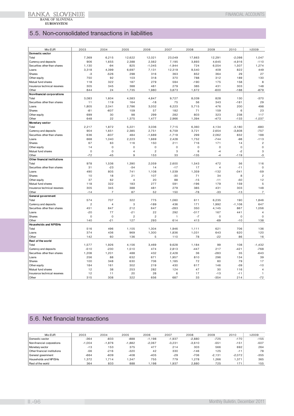### 5.5. Non-consolidated transactions in liabilities

| Mio EUR                      | 2003                | 2004           | 2005           | 2006           | 2007         | 2008        | 2009           | 2010        | $I-2009$       |
|------------------------------|---------------------|----------------|----------------|----------------|--------------|-------------|----------------|-------------|----------------|
| Domestic sector              |                     |                |                |                |              |             |                |             |                |
| Total                        | 7,369               | 6,215          | 12,622         | 12,021         | 23,049       | 17,663      | 12,291         | $-2,098$    | 1,047          |
| Currency and deposits        | 906                 | 1,655          | 2,388          | 2,562          | 7,195        | 3,893       | 4,645          | $-4,916$    | $-110$         |
| Securities other than shares | 1,130               | $-94$          | 825            | $-1,045$       | $-1,944$     | 724         | 6,554          | 1,507       | 1,274          |
| Loans                        | 3,318               | 4,399          | 6,697          | 7,131          | 12,319       | 9,540       | 409            | 822         | 449            |
| Shares                       | $-3$                | $-526$         | 298            | 316            | 363          | 852         | 364            | 29          | 27             |
| Other equity                 | 750                 | 92             | 103            | 318            | 370          | 788         | 312            | 189         | 130            |
| Mutual fund shares           | 118                 | 322            | 187            | 279            | 594          | $-190$      | 175            | 158         | 8              |
| Insurance technical reserves | 305                 | 345            | 388            | 481            | 279          | 385         | 431            | 303         | 148            |
| Other                        | 844                 | 24             | 1,735          | 1,980          | 3,873        | 1,672       | $-600$         | $-188$      | $-879$         |
| Non-financial corporations   |                     |                |                |                |              |             |                |             |                |
| Total                        | 3,083               | 1,604          | 4,583          | 4,847          | 9,727        | 8,039       | 828            | 130         | $-370$         |
| Securities other than shares | 11                  | 119            | 164            | $-18$          | 75           | 56          | 343            | $-181$      | 29             |
| Loans                        | 1,805               | 2,041          | 2,786          | 3,032          | 6,223        | 5,715       | 476            | 200         | 498            |
| Shares                       | $-81$               | $-607$         | 159            | 57             | 182          | 71          | 159            | 6           | 23             |
| Other equity                 | 699                 | 30             | 98             | 299            | 282          | 803         | 323            | 238         | 117            |
| Other                        | 648                 | 22             | 1,375          | 1,477          | 2,966        | 1,394       | $-473$         | $-133$      | $-1,037$       |
| Monetary sector              |                     |                |                |                |              |             |                |             |                |
| Total                        | 2,217               | 1,872          | 5,221          | 3,036          | 7,715        | 6.360       | 4.134          | $-3,180$    | $-680$         |
| Currency and deposits        | 904                 | 1,651          | 2,385          | 2,751          | 6,759        | 3,721       | 2,654          | $-3,808$    | $-757$         |
| Securities other than shares | 636                 | $-837$         | 484            | $-1,689$       | $-1,719$     | 299         | 2,062          | 832         | 188            |
| Loans                        | 668                 | 1,040          | 2,223          | 1,669          | 2,428        | 1,752       | $-744$         | $-98$       | $-113$         |
| Shares                       | 67                  | 63             | 116            | 150            | 211          | 716         | 171            | 14          | $\overline{c}$ |
|                              | 14                  | $\circ$        | 0              | $\circ$        | 0            | $\mathbf 0$ | $\mathbf 0$    | $\mathbf 0$ | $\circ$        |
| Other equity                 |                     |                |                |                |              |             |                |             |                |
| Mutual fund shares           | $\mathsf{O}\xspace$ | $\circ$        | $\overline{4}$ | $\overline{c}$ | 3            | 6           | $-4$           | $-2$        | 3              |
| Other                        | $-72$               | $-45$          | 9              | 153            | 33           | $-135$      | $-4$           | $-119$      | -3             |
| Other financial institutions |                     |                |                |                |              |             |                |             |                |
| Total                        | 978                 | 1,536          | 1,390          | 2,059          | 2,600        | 1,543       | 472            | 56          | 116            |
| Securities other than shares | 31                  | $-23$          | $-34$          | 14             | $-17$        | 17          | $\overline{4}$ | $-11$       | $\circ$        |
| Loans                        | 490                 | 805            | 741            | 1,108          | 1,539        | 1,359       | $-132$         | $-341$      | $-59$          |
| Shares                       | 10                  | 18             | 21             | 107            | $-30$        | 71          | 34             | 8           | $\overline{c}$ |
| Other equity                 | 37                  | 62             | $\overline{4}$ | 20             | 88           | $-15$       | $-11$          | $-50$       | 12             |
| Mutual fund shares           | 118                 | 322            | 183            | 277            | 591          | $-196$      | 179            | 159         | 5              |
| Insurance technical reserves | 305                 | 345            | 388            | 481            | 279          | 385         | 431            | 303         | 148            |
| Other                        | $-14$               | $\overline{7}$ | 87             | 52             | 150          | $-78$       | $-33$          | $-13$       | $\overline{7}$ |
| General government           |                     |                |                |                |              |             |                |             |                |
| Total                        | 574                 | 707            | 322            | 775            | 1,060        | 611         | 6,235          | 190         | 1,846          |
| Currency and deposits        | $\overline{c}$      | $\overline{4}$ | 3              | $-189$         | 436          | 171         | 1,992          | $-1,108$    | 647            |
| Securities other than shares | 451                 | 647            | 212            | 647            | $-283$       | 350         | 4,145          | 867         | 1,056          |
| Loans                        | $-20$               | 77             | $-21$          | 22             | 292          | $-317$      | 167            | 441         | $\overline{4}$ |
| Shares                       | $\circ$             | $\circ$        | $\overline{c}$ | $\overline{2}$ | $\mathbf{1}$ | $-7$        | $\mathbf 0$    | $\mathbf 0$ | $\circ$        |
| Other                        | 140                 | $-21$          | 127            | 293            | 614          | 413         | $-69$          | $-10$       | 138            |
| <b>Households and NPISHs</b> |                     |                |                |                |              |             |                |             |                |
| Total                        | 516                 | 496            | 1,105          | 1,304          | 1,946        | 1,111       | 621            | 706         | 136            |
| Loans                        | 374                 | 436            | 969            | 1,300          | 1,836        | 1,031       | 643            | 620         | 120            |
| Other                        | 142                 | 60             | 136            | 5              | 110          | 78          | $-22$          | 86          | 16             |
| Rest of the world            |                     |                |                |                |              |             |                |             |                |
| Total                        | 1,577               | 1,926          | 4,156          | 3,469          | 9,628        | 1,184       | 99             | 108         | $-1,432$       |
|                              | $-510$              | $-230$         | 1,510          | 474            | 2,813        | $-447$      | 217            | $-421$      | $-768$         |
| Currency and deposits        |                     |                |                |                |              |             |                |             |                |
| Securities other than shares | 1,208               | 1,201          | 488            | 432            | 2,428        | 36          | $-283$         | 35          | $-643$         |
| Loans                        | 256                 | 88             | 632            | 671            | 1,957        | 810         | 296            | 134         | 39             |
| Shares                       | 100                 | 348            | 630            | 706            | 1,185        | 72          | 60             | 79          | 17             |
| Other equity                 | 184                 | 161            | 302            | 219            | 430          | 617         | 146            | $-39$       | $-10$          |
| Mutual fund shares           | 12                  | 38             | 253            | 282            | 124          | 47          | 30             | 116         | $\overline{4}$ |
| Insurance technical reserves | 12                  | 11             | 20             | 28             | 6            | 17          | $-13$          | $-11$       | $\overline{1}$ |
| Other                        | 315                 | 308            | 322            | 656            | 687          | 33          | $-354$         | 214         | $-72$          |

### 5.6. Net financial transactions

| Mio EUR                      | 2003     | 2004     | 2005     | 2006     | 2007     | 2008     | 2009     | 2010     | $I-2009$ |
|------------------------------|----------|----------|----------|----------|----------|----------|----------|----------|----------|
| Domestic sector              | $-364$   | $-833$   | $-888$   | $-1.198$ | $-1.937$ | $-2.880$ | $-725$   | $-170$   | $-155$   |
| Non-financial corporations   | $-1.004$ | $-1.876$ | $-1.882$ | $-2.067$ | $-3.231$ | $-3.610$ | $-551$   | $-151$   | $-507$   |
| <b>Monetary sector</b>       | $-13$    | 153      | 375      | 477      | 214      | 303      | 566      | 692      | 264      |
| Other financial institutions | $-56$    | $-216$   | $-320$   | 42       | 330      | $-146$   | 125      | $-11$    | 78       |
| General government           | $-664$   | $-609$   | $-408$   | $-405$   | $-29$    | $-706$   | $-2.131$ | $-2.072$ | $-355$   |
| Households and NPISHs        | 372      | .714     | .347     | 755      | 779      | .278     | .266     | 1.371    | 365      |
| Rest of the world            | 364      | 833      | 888      | .198     | 1.937    | 2.880    | 725      | 171      | 155      |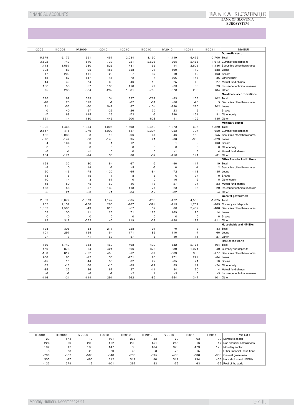**EUROSYSTEM**

| II-2009             | III-2009            | IV-2009             | $I - 2010$                  | $II - 2010$ | III-2010            | IV-2010             | $1 - 2011$     | $II-2011$           | Mio EUR                           |
|---------------------|---------------------|---------------------|-----------------------------|-------------|---------------------|---------------------|----------------|---------------------|-----------------------------------|
|                     |                     |                     |                             |             |                     |                     |                |                     | Domestic sector                   |
| 5,379               | 5,173               | 691                 | 457                         | 2,084       | $-3,190$            | $-1,449$            | 5,476          | $-2,700$ Total      |                                   |
| 3,502               | 743                 | 510                 | $-733$                      | $-221$      | $-2,698$            | $-1,265$            | 2,466          |                     | -1,613 Currency and deposits      |
| 1,443               | 3,557               | 280                 | 826                         | 781         | $-56$               | $-44$               | 2,523          | $-1,136$            | Securities other than shares      |
| $-323$              | 187                 | 95                  | 456                         | 358         | 197                 | $-190$              | $-112$         |                     | -388 Loans                        |
| 17                  | 209                 | 111                 | $-20$                       | $-7$        | 37                  | 19                  | 42             |                     | 163 Shares                        |
| $-48$               | 82                  | 147                 | $-41$                       | $-72$       | $-4$                | 306                 | 146            | 36                  | Other equity                      |
| 44                  | 49                  | 74                  | 69                          | 46          | 18                  | 25                  | 40             | 27                  | Mutual fund shares                |
| 168                 | 58                  | 57                  | 133                         | 118         | 74                  | $-23$               | 85             | 29                  | Insurance technical reserves      |
| 575                 | 288                 | $-584$              | $-232$                      | 1,081       | $-758$              | $-278$              | 285            | 184                 | Other                             |
|                     |                     |                     |                             |             |                     |                     |                |                     | Non-financial corporations        |
| 376                 | 189                 | 633                 | 104                         | 827         | $-767$              | $-33$               | 158            | 102                 | Total                             |
| $-18$               | 20                  | 313                 | $-1$                        | $-62$       | $-61$               | $-58$               | $-95$          | 5                   | Securities other than shares      |
| 81                  | $-53$               | $-50$               | 547                         | 87          | $-104$              | $-330$              | 225            |                     | 202 Loans                         |
| $\mathsf{O}\xspace$ | 40                  | 97                  | $-23$                       | $-26$       | 32                  | 23                  | 6              | $-1$                | Shares                            |
| $-7$                | 68                  | 145                 | 26                          | $-72$       | $-6$                | 290                 | 151            | 31                  | Other equity                      |
| 321                 | 114                 | 130                 | $-446$                      | 900         | $-628$              | 41                  | $-129$         |                     | $-135$ Other                      |
|                     |                     |                     |                             |             |                     |                     |                |                     | Monetary sector                   |
| 1,992               | 1,468               | 1,354               | $-1,095$                    | 1,598       | $-2,410$            | $-1,273$            | 695            | $-1,829$            | <b>Total</b>                      |
| 2,547               | $-415$              | 1,279               | $-1,000$                    | 547         | $-2,304$            | $-1,052$            | 704            | $-650$              | Currency and deposits             |
| $-162$              | 2,033               | 3                   | 16                          | 906         | $-44$               | $-46$               | 153            |                     | -655 Securities other than shares |
| $-578$              | $-142$              | 88                  | $-148$                      | 95          | 21                  | $-66$               | $-308$         |                     | $-629$ Loans                      |
| $\overline{4}$      | 164                 | $\mathsf{O}\xspace$ |                             | 12          | $\mathsf O$         | $\overline{1}$      | $\overline{c}$ |                     | 163 Shares                        |
| $\mathsf{O}\xspace$ | $\mathsf{O}\xspace$ | $\mathsf 0$         | $\mathbf{1}$<br>$\mathsf 0$ | $\circ$     | $\mathsf O$         | $\mathsf{O}\xspace$ | $\circ$        | $\mathsf{O}\xspace$ |                                   |
|                     |                     |                     | $\mathsf 0$                 | $\mathbf 0$ | $\mathsf{O}\xspace$ |                     | 3              | $\overline{4}$      | Other equity                      |
| $-3$                | $-1$                | $-1$                |                             |             |                     | $-1$                |                |                     | Mutual fund shares                |
| 184                 | $-171$              | $-14$               | 35                          | 38          | $-82$               | $-110$              | 141            |                     | $-61$ Other                       |
|                     |                     |                     |                             |             |                     |                     |                |                     | Other financial institutions      |
| 194                 | 132                 | 30                  | 84                          | 67          | $-5$                | $-90$               | 117            | 19                  | <b>Total</b>                      |
| -9                  | $\mathsf{O}\xspace$ | 14                  | $-2$                        | $-5$        | $-3$                | $\circ$             | $-1$           | $\overline{c}$      | Securities other than shares      |
| 20                  | $-16$               | $-78$               | $-120$                      | $-65$       | $-84$               | $-72$               | $-118$         | $-35$               | Loans                             |
| 13                  | 5                   | 15                  | $\overline{1}$              | 8           | 5                   | $-6$                | 34             |                     | 0 Shares                          |
| $-40$               | 14                  | 3                   | $-67$                       | $\circ$     | $\sqrt{2}$          | 16                  | $-5$           | 5                   | Other equity                      |
| 48                  | 50                  | 75                  | 69                          | 46          | 18                  | 27                  | 37             |                     | 23 Mutual fund shares             |
| 168                 | 58                  | 57                  | 133                         | 118         | 74                  | $-23$               | 85             | 29                  | Insurance technical reserves      |
| $-5$                | 21                  | $-56$               | 71                          | $-34$       | $-17$               | $-32$               | 85             | $-4$                | Other                             |
|                     |                     |                     |                             |             |                     |                     |                |                     | General government                |
| 2,689               | 3,079               | $-1,379$            | 1,147                       | $-635$      | $-200$              | $-122$              | 4,503          | $-1,025$ Total      |                                   |
| 955                 | 1,157               | $-768$              | 266                         | $-767$      | $-394$              | $-213$              | 1,762          | $-963$              | Currency and deposits             |
| 1,632               | 1,505               | $-49$               | 813                         | $-57$       | 52                  | 60                  | 2,467          |                     | -488 Securities other than shares |
| 53                  | 100                 | 11                  | 23                          | 71          | 178                 | 169                 | 96             | 14                  | Loans                             |
| $\mathsf O$         | 0                   | $\mathsf{O}\xspace$ | $\mathsf{O}\xspace$         | $\mathsf O$ | $\mathsf O$         | $\mathsf O$         | $\circ$        | $\mathsf O$         | Shares                            |
| 49                  | 317                 | $-572$              | 45                          | 119         | $-37$               | $-138$              | 177            | 411                 | Other                             |
|                     |                     |                     |                             |             |                     |                     |                |                     | <b>Households and NPISHs</b>      |
| 128                 | 305                 | 53                  | 217                         | 228         | 191                 | 70                  | 3              |                     | 33 Total                          |
| 101                 | 297                 | 125                 | 154                         | 171         | 186                 | 110                 | $-7$           |                     | 60 Loans                          |
| 27                  | $\overline{7}$      | $-71$               | 63                          | 57          | 6                   | $-40$               | 11             |                     | $-27$ Other                       |
|                     |                     |                     |                             |             |                     |                     |                |                     | Rest of the world                 |
| 166                 | 1,749               | $-383$              | 460                         | 768         | $-439$              | $-682$              | 2,171          | $-104$              | Total                             |
| 176                 | 873                 | $-64$               | $-421$                      | 666         | $-376$              | $-289$              | 1,071          | 49                  | Currency and deposits             |
| $-130$              | 812                 | $-322$              | 450                         | $-12$       | $-64$               | $-339$              | 380            | $-177$              | Securities other than shares      |
| 206                 | 63                  | $-12$               | 36                          | $-171$      | 98                  | 171                 | 224            | $-64$               | Loans                             |
| $-15$               | 15                  | 44                  | 55                          | 32          | 27                  | $-35$               | 71             | 10                  | Shares                            |
| 85                  | $-16$               | 86                  | $-10$                       | $-33$       | $-29$               | 33                  | 12             | $-24$               | Other equity                      |
| $-35$               | 25                  | 36                  | 67                          | 27          | $-11$               | 34                  | 60             | $\overline{4}$      | Mutual fund shares                |
| $-6$                | $-2$                | $-6$                | $-7$                        | $-2$        | $\overline{1}$      | $-3$                | 5              | -3                  | Insurance technical reserves      |
| $-116$              | $-21$               | $-144$              | 291                         | 262         | $-85$               | $-254$              | 347            | 101                 | Other                             |
|                     |                     |                     |                             |             |                     |                     |                |                     |                                   |

| $II - 2009$ | $II - 2009$ | IV-2009 | $1-2010$ | $II-2010$ | $III-2010$ | IV-2010 | $1 - 2011$ | $II - 2011$ | Mio EUR                         |
|-------------|-------------|---------|----------|-----------|------------|---------|------------|-------------|---------------------------------|
| 123         | $-574$      | $-119$  | 101      | $-267$    | $-83$      | 79      | $-63$      |             | 39   Domestic sector            |
| 224         | $-60$       | $-209$  | 162      | $-209$    | 151        | $-255$  | 16         |             | 17 Non-financial corporations   |
| 102         | 12          | 188     | 147      | 88        | 134        | 323     | 479        |             | 170 Monetary sector             |
| -3          | 73          | $-23$   | 20       | 46        | $-3$       | $-75$   | $-15$      |             | 83 Other financial institutions |
| $-706$      | $-502$      | $-568$  | $-540$   | $-706$    | $-395$     | $-430$  | $-738$     |             | -665 General government         |
| 505         | $-97$       | 493     | 312      | 512       | 30         | 517     | 194        |             | 433 Households and NPISHs       |
| $-123$      | 574         | 119     | $-101$   | 267       | 83         | $-79$   | 63         |             | -39 Rest of the world           |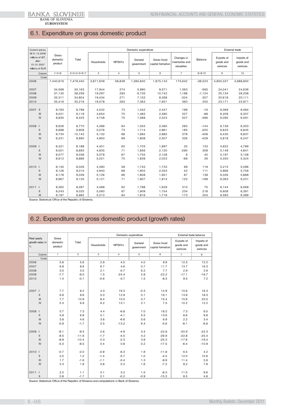## 6.1. Expenditure on gross domestic product

| Current prices,                                                               |                              |               |            | Domestic expenditure |                      |                                  |                                            | External trade |                                     |                                     |
|-------------------------------------------------------------------------------|------------------------------|---------------|------------|----------------------|----------------------|----------------------------------|--------------------------------------------|----------------|-------------------------------------|-------------------------------------|
| till 31.12.2006<br>millions of SIT.<br>after<br>01.01.2007<br>millions of EUR | Gross<br>domestic<br>product | Total         | Households | NPISH's              | General<br>aovemment | Gross fixed<br>capital formation | Changes in<br>inventories and<br>valuables | Balance        | Exports of<br>goods and<br>services | Imports of<br>goods and<br>services |
| Column                                                                        | $1 = 2 + 8$                  | $2=3+4+5+6+7$ | 3          | $\overline{4}$       | 5                    | 6                                | $\overline{7}$                             | $8 = 9 - 10$   | 9                                   | 10 <sup>1</sup>                     |
| Code                                                                          |                              |               |            |                      |                      |                                  |                                            |                |                                     |                                     |
| 2006                                                                          | 7,440,916                    | 7,479,440     | 3.871.639  | 58,839               | 1.395.840            | 1.975.143                        | 175,642                                    | $-38,523$      | 4,950,327                           | 4,988,850                           |
| 2007                                                                          | 34,568                       | 35,163        | 17.944     | 274                  | 5,990                | 9,571                            | 1,363                                      | $-595$         | 24,041                              | 24,636                              |
| 2008                                                                          | 37,135                       | 38,259        | 19,297     | 283                  | 6,735                | 10,742                           | 1,188                                      | $-1, 124$      | 25,134                              | 26,258                              |
| 2009                                                                          | 35,311                       | 34,804        | 19,434     | 271                  | 7,152                | 8,268                            | $-324$                                     | 507            | 20,618                              | 20,111                              |
| 2010                                                                          | 35,416                       | 35,216        | 19.578     | 263                  | 7.363                | 7.651                            | 360                                        | 200            | 23,171                              | 22,971                              |
| 2007 II                                                                       | 8.783                        | 8.798         | 4.532      | 73                   | 1.542                | 2.447                            | 199                                        | $-16$          | 6.069                               | 6.084                               |
| Ш                                                                             | 9.021                        | 9.119         | 4.654      | 70                   | 1.482                | 2,580                            | 327                                        | -98            | 6.209                               | 6,307                               |
| IV                                                                            | 8,930                        | 9,425         | 4,748      | 75                   | 1,568                | 2,523                            | 507                                        | $-496$         | 6,095                               | 6,591                               |
| 2008                                                                          | 8.626                        | 8.770         | 4,386      | 64                   | 1,555                | 2.480                            | 283                                        | $-144$         | 6,159                               | 6,303                               |
| Ш                                                                             | 9,688                        | 9.908         | 5.076      | 73                   | 1,714                | 2,861                            | 183                                        | $-220$         | 6,625                               | 6,845                               |
| Ш                                                                             | 9.734                        | 10.142        | 5.132      | 68                   | 1.682                | 2.882                            | 378                                        | $-408$         | 6.430                               | 6.837                               |
| IV                                                                            | 9,231                        | 9.660         | 4.950      | 69                   | 1.808                | 2,507                            | 326                                        | $-429$         | 5,818                               | 6,247                               |
| 2009                                                                          | 8.321                        | 8.188         | 4.401      | 62                   | 1.703                | 1.997                            | 25                                         | 133            | 4.922                               | 4.789                               |
| Ш                                                                             | 9,001                        | 8.693         | 4.935      | 71                   | 1,856                | 2,120                            | $-290$                                     | 308            | 5.149                               | 4,841                               |
| III                                                                           | 9,077                        | 9,038         | 5.078      | 67                   | 1,755                | 2,128                            | 9                                          | 40             | 5,197                               | 5,158                               |
| IV                                                                            | 8,912                        | 8,886         | 5,021      | 70                   | 1,839                | 2,023                            | $-68$                                      | 26             | 5,350                               | 5,324                               |
| 2010                                                                          | 8,145                        | 8,026         | 4,390      | 59                   | 1,745                | 1,733                            | 99                                         | 119            | 5,215                               | 5,096                               |
| Ш                                                                             | 9.126                        | 9.015         | 4.940      | 68                   | 1.902                | 2.053                            | 52                                         | 111            | 5.866                               | 5,756                               |
| Ш                                                                             | 9.178                        | 9.039         | 5.126      | 66                   | 1.808                | 1.951                            | 87                                         | 139            | 6.026                               | 5,888                               |
| IV                                                                            | 8,967                        | 9,135         | 5,121      | 71                   | 1,907                | 1,914                            | 122                                        | $-168$         | 6,063                               | 6,231                               |
| $2011$                                                                        | 8.362                        | 8,287         | 4,488      | 62                   | 1,798                | 1,629                            | 310                                        | 75             | 6,144                               | 6,068                               |
| Ш                                                                             | 9,243                        | 9,025         | 5,060      | 67                   | 1,909                | 1,754                            | 234                                        | 218            | 6,608                               | 6,391                               |
| Ш                                                                             | 9,187                        | 8,982         | 5,210      | 64                   | 1,816                | 1,719                            | 173                                        | 204            | 6,593                               | 6,389                               |

Source: Statistical Office of the Republic of Slovenia.

### 6.2. Expenditure on gross domestic product (growth rates)

|                              |                 |                              |                |                                                                                              |                | External trade balance |                                  |                                     |                                     |
|------------------------------|-----------------|------------------------------|----------------|----------------------------------------------------------------------------------------------|----------------|------------------------|----------------------------------|-------------------------------------|-------------------------------------|
| Real yearly<br>$\frac{0}{0}$ | growth rates in | Gross<br>domestic<br>product | Total          | Households                                                                                   | NPISH's        | General<br>government  | Gross fixed<br>capital formation | Exports of<br>goods and<br>services | Imports of<br>goods and<br>services |
|                              | Column          | $\overline{1}$               | $\overline{2}$ | $\overline{\mathbf{3}}$                                                                      | $\overline{4}$ | $\overline{5}$         | $\overline{6}$                   | $\overline{7}$                      | $\overline{8}$                      |
|                              | Code            |                              |                |                                                                                              |                |                        |                                  |                                     |                                     |
| 2006                         |                 | 5.8                          | 5.6            | 2.9                                                                                          | 4.5            | 4.0                    | 9.9                              | 12.5                                | 12.2                                |
| 2007                         |                 | 6.8                          | 8.6            | 6.7                                                                                          | 4.6            | 0.7                    | 11.7                             | 13.7                                | 16.3                                |
| 2008                         |                 | 3.5                          | 3.5            | 2.1                                                                                          | $-0.7$         | 6.2                    | 7.7                              | 2.9                                 | 2.9                                 |
| 2009                         |                 | $-7.7$                       | $-9.0$         | 1.5                                                                                          | $-24.4$        | 2.8                    | $-22.2$                          | $-17.1$                             | $-18.7$                             |
| 2010                         |                 | 1.4                          | $-0.1$         | $-0.6$                                                                                       | $-3.7$         | 1.5                    | $-8.3$                           | 9.5                                 | 7.2                                 |
|                              |                 |                              |                |                                                                                              |                |                        |                                  |                                     |                                     |
| 2007                         |                 | 7.7                          | 8.2            | 4.3                                                                                          | 16.3           | $-0.3$                 | 14.9                             | 15.6                                | 16.3                                |
|                              | $\mathbf{H}$    | 6.8                          | 9.6            | 5.0                                                                                          | 12.9           | 0.1                    | 16.1                             | 13.9                                | 18.3                                |
|                              | III             | 7.7                          | 10.9           | 8.4                                                                                          | 10.0           | 0.7                    | 15.4                             | 15.6                                | 20.5                                |
|                              | IV              | 5.3                          | 6.9            | 6.2                                                                                          | 13.1           | 2.1                    | 7.5                              | 10.2                                | 12.2                                |
|                              |                 |                              |                |                                                                                              |                |                        |                                  |                                     |                                     |
| 2008                         |                 | 5.7                          | 7.3            | 4.4                                                                                          | $-6.8$         | 7.0                    | 18.2                             | 7.3                                 | 9.5                                 |
|                              | $\mathbf{H}$    | 5.9                          | 6.8            | 5.1                                                                                          | $-4.1$         | 5.5                    | 13.6                             | 8.6                                 | 9.8                                 |
|                              | III             | 3.8                          | 4.6            | 3.6                                                                                          | $-6.6$         | 5.6                    | 6.9                              | 2.2                                 | 3.4                                 |
|                              | IV              | $-0.9$                       | $-1.7$         | 2.5                                                                                          | $-13.2$        | 6.4                    | $-5.6$                           | $-6.1$                              | $-6.8$                              |
| 2009                         |                 | $-8.1$                       | $-9.3$         | 0.6                                                                                          | $-4.9$         | 3.4                    | $-22.8$                          | $-20.9$                             | $-22.3$                             |
|                              | $\mathbf{H}$    | $-9.5$                       | $-11.6$        | $-1.7$                                                                                       | $-4.5$         | 4.2                    | $-26.9$                          | $-22.8$                             | $-25.4$                             |
|                              | III             | $-8.9$                       | $-10.4$        | 0.3                                                                                          | $-2.3$         | 3.9                    | $-25.3$                          | $-17.6$                             | $-19.4$                             |
|                              | IV              | $-5.3$                       | $-8.5$         | 0.4                                                                                          | 0.8            | 0.2                    | $-17.5$                          | $-6.4$                              | $-10.9$                             |
|                              |                 |                              |                |                                                                                              |                |                        |                                  |                                     |                                     |
| 2010                         |                 | $-0.7$                       | $-2.0$         | $-0.9$                                                                                       | $-6.3$         | 1.9                    | $-11.8$                          | 6.5                                 | 4.2                                 |
|                              | $\mathbf{H}$    | 2.0                          | 1.2            | $-1.4$                                                                                       | $-5.7$         | 1.0                    | $-4.5$                           | 12.0                                | 10.6                                |
|                              | III             | 1.7                          | $-1.6$         | $-1.1$                                                                                       | $-3.4$         | 1.3                    | $-9.9$                           | 11.4                                | 5.9                                 |
|                              | IV.             | 2.3                          | 1.9            | 0.8                                                                                          | 0.2            | 1.6                    | $-7.2$                           | 8.2                                 | 7.8                                 |
|                              |                 |                              |                |                                                                                              |                |                        |                                  |                                     |                                     |
| 2011                         |                 | 2.2                          | 1.1            | 0.1                                                                                          | 3.2            | 1.5                    | $-8.3$                           | 11.0                                | 9.6                                 |
|                              | $\rm{II}$       | 0.8                          | $-1.7$         | 0.1                                                                                          | $-0.2$         | $-0.9$                 | $-15.3$                          | 8.5                                 | 4.8                                 |
|                              |                 |                              |                | Source: Statistical Office of the Republic of Slovenia and computations in Bank of Slovenia. |                |                        |                                  |                                     |                                     |

II.-98 Monthly Bulletin, December 2011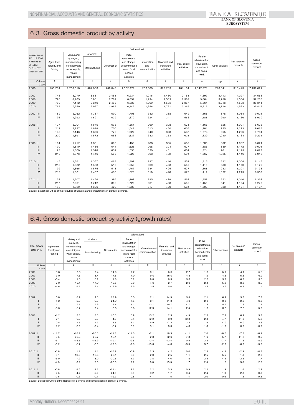### 6.3. Gross domestic product by activity

|                                                                                                    | Value added                             |                                                                                                      |                            |                |                                                                                                 |                                     |                                          |                           |                                                                               |                |                          |                              |
|----------------------------------------------------------------------------------------------------|-----------------------------------------|------------------------------------------------------------------------------------------------------|----------------------------|----------------|-------------------------------------------------------------------------------------------------|-------------------------------------|------------------------------------------|---------------------------|-------------------------------------------------------------------------------|----------------|--------------------------|------------------------------|
| Current prices<br>till 31.12.2006<br>in Millions of<br>SIT, after<br>01.01.2007<br>Millions of EUR | Agriculture.<br>forestry and<br>fishina | Mining and<br>quanying,<br>manufacturing.<br>electricity and<br>water supply,<br>waste<br>management | of which:<br>Manufacturing | Construction   | Trade.<br>transportation<br>and storage,<br>accommodatio<br>n and food<br>service<br>activities | Information<br>and<br>communication | Financial and<br>insurance<br>activities | Real estate<br>activities | Public<br>administration.<br>education.<br>human health<br>and social<br>work | Other services | Net taxes on<br>products | Gross<br>domestic<br>product |
| Column                                                                                             | $\overline{1}$                          | $\overline{2}$                                                                                       | 3                          | $\overline{4}$ | 5                                                                                               | 6                                   | $\overline{7}$                           | $\mathbf{g}$              | 9                                                                             | 10             | 11                       | 12                           |
| Code                                                                                               |                                         |                                                                                                      |                            |                |                                                                                                 |                                     |                                          |                           |                                                                               |                |                          |                              |
| 2006                                                                                               | 150,254                                 | 1,753,518                                                                                            | 1,487,853                  | 469,047        | 1,302,971                                                                                       | 263,580                             | 329,769                                  | 481,101                   | 1,047,371                                                                     | 726,541        | 915,449                  | 7,439,624                    |
| 2007                                                                                               | 743                                     | 8,070                                                                                                | 6,881                      | 2,451          | 6,234                                                                                           | 1,216                               | 1.460                                    | 2,151                     | 4,597                                                                         | 3.413          | 4.227                    | 34,563                       |
| 2008                                                                                               | 798                                     | 8,265                                                                                                | 6.981                      | 2,762          | 6,852                                                                                           | 1,294                               | 1,539                                    | 2,387                     | 5,064                                                                         | 3,756          | 4,564                    | 37,280                       |
| 2009                                                                                               | 750                                     | 7,112                                                                                                | 5.840                      | 2,465          | 6,338                                                                                           | 1,209                               | 1,582                                    | 2,357                     | 5,361                                                                         | 3,616          | 4,523                    | 35,311                       |
| 2010                                                                                               | 767                                     | 7,259                                                                                                | 5,967                      | 1,969          | 6,342                                                                                           | 1,258                               | 1,731                                    | 2,265                     | 5,515                                                                         | 3,716          | 4,593                    | 35,416                       |
| 2007 III                                                                                           | 182                                     | 2,062                                                                                                | 1.787                      | 690            | 1.708                                                                                           | 332                                 | 388                                      | 542                       | 1,156                                                                         | 878            | 1.083                    | 9,021                        |
| IV.                                                                                                | 193                                     | 1.992                                                                                                | 1.691                      | 629            | 1,570                                                                                           | 324                                 | 341                                      | 566                       | 1.188                                                                         | 990            | 1.136                    | 8,930                        |
| 2008<br>- 1                                                                                        | 177                                     | 2,001                                                                                                | 1,675                      | 638            | 1,551                                                                                           | 299                                 | 398                                      | 571                       | 1,166                                                                         | 825            | 1,001                    | 8,626                        |
| $\mathbf{H}$                                                                                       | 219                                     | 2,227                                                                                                | 1,878                      | 700            | 1,742                                                                                           | 313                                 | 450                                      | 608                       | 1,281                                                                         | 925            | 1,223                    | 9,688                        |
| $\mathbf{III}$                                                                                     | 182                                     | 2,146                                                                                                | 1,856                      | 770            | 1,922                                                                                           | 340                                 | 338                                      | 587                       | 1,278                                                                         | 965            | 1,206                    | 9,734                        |
| IV                                                                                                 | 220                                     | 1,891                                                                                                | 1.572                      | 653            | 1,637                                                                                           | 342                                 | 353                                      | 621                       | 1,339                                                                         | 1.040          | 1.134                    | 9,231                        |
| 2009                                                                                               | 164                                     | 1,717                                                                                                | 1,391                      | 605            | 1,458                                                                                           | 288                                 | 385                                      | 585                       | 1,286                                                                         | 802            | 1,032                    | 8,321                        |
| $\mathbf{I}$                                                                                       | 199                                     | 1,819                                                                                                | 1,485                      | 644            | 1,625                                                                                           | 298                                 | 394                                      | 577                       | 1,385                                                                         | 889            | 1,172                    | 9,001                        |
| $\mathbf{H}$                                                                                       | 177                                     | 1,800                                                                                                | 1,518                      | 652            | 1,730                                                                                           | 320                                 | 401                                      | 601                       | 1,324                                                                         | 901            | 1,173                    | 9,077                        |
| IV.                                                                                                | 210                                     | 1,776                                                                                                | 1,446                      | 565            | 1,525                                                                                           | 303                                 | 402                                      | 594                       | 1,367                                                                         | 1,025          | 1,146                    | 8,912                        |
| 2010<br>- 1                                                                                        | 145                                     | 1.661                                                                                                | 1.337                      | 487            | 1.399                                                                                           | 297                                 | 446                                      | 559                       | 1,316                                                                         | 832            | 1.004                    | 8.145                        |
| $\mathbf{H}$                                                                                       | 213                                     | 1,932                                                                                                | 1,598                      | 510            | 1,656                                                                                           | 309                                 | 433                                      | 555                       | 1,419                                                                         | 930            | 1,170                    | 9,126                        |
| $\mathbf{III}$                                                                                     | 192                                     | 1,865                                                                                                | 1.575                      | 518            | 1,767                                                                                           | 334                                 | 425                                      | 577                       | 1,368                                                                         | 933            | 1,201                    | 9,178                        |
| IV.                                                                                                | 217                                     | 1,801                                                                                                | 1,457                      | 455            | 1,520                                                                                           | 319                                 | 428                                      | 575                       | 1,412                                                                         | 1,022          | 1,219                    | 8,967                        |
| $2011$                                                                                             | 152                                     | 1.807                                                                                                | 1.466                      | 395            | 1.469                                                                                           | 295                                 | 428                                      | 562                       | 1,357                                                                         | 852            | 1.046                    | 8.362                        |
| $\mathbf{II}$                                                                                      | 217                                     | 2,061                                                                                                | 1,712                      | 398            | 1,720                                                                                           | 301                                 | 438                                      | 556                       | 1,459                                                                         | 941            | 1,154                    | 9,243                        |
| $\mathbf{H}$                                                                                       | 193                                     | 1,929                                                                                                | 1,626                      | 429            | 1,833                                                                                           | 317                                 | 420                                      | 584                       | 1,398                                                                         | 933            | 1,151                    | 9,187                        |

Source: Statistical Office of the Republic of Slovenia and computations in Bank of Slovenia.

### 6.4. Gross domestic product by activity (growth rates)

|                                    |                                         | Value added                                                               |                         |                          |                                                                     |                                  |                                          |                           |                                                                     |                |                          |                     |  |
|------------------------------------|-----------------------------------------|---------------------------------------------------------------------------|-------------------------|--------------------------|---------------------------------------------------------------------|----------------------------------|------------------------------------------|---------------------------|---------------------------------------------------------------------|----------------|--------------------------|---------------------|--|
|                                    |                                         | Mining and<br>quanying,                                                   | of which:               |                          | Trade,<br>transportation                                            |                                  |                                          |                           | Public                                                              |                |                          | Gross               |  |
| Real growth<br>rates in %          | Agriculture,<br>forestry and<br>fishing | manufacturing,<br>electricity and<br>water supply,<br>waste<br>management | Manufacturing           | Construction             | and storage,<br>accommodatio<br>n and food<br>service<br>activities | Information and<br>communication | Financial and<br>insurance<br>activities | Real estate<br>activities | administration,<br>education,<br>human health<br>and social<br>work | Other services | Net taxes on<br>products | domestic<br>product |  |
| Column                             | $\mathbf{1}$                            | $\overline{2}$                                                            | $\overline{\mathbf{3}}$ | $\overline{4}$           | $\overline{5}$                                                      | 6                                | $\overline{7}$                           | 8                         | $\mathsf g$                                                         | 10             | 11                       | 12                  |  |
| Code                               |                                         |                                                                           |                         |                          |                                                                     |                                  |                                          |                           |                                                                     |                |                          |                     |  |
| 2006                               | $-0.8$                                  | 7.3                                                                       | 7.4                     | 14.6                     | 7.2                                                                 | 9.1                              | 5.6                                      | 2.7                       | 1.8                                                                 | 5.1            | 4.1                      | 5.8                 |  |
| 2007                               | 3.0                                     | 7.5                                                                       | 8.4                     | 17.6                     | 7.0                                                                 | 9.0                              | 15.0                                     | 4.3                       | 1.9                                                                 | 4.6            | 5.6                      | 6.9                 |  |
| 2008                               | $-0.4$                                  | 1.0                                                                       | 0.2                     | 4.8                      | 3.2                                                                 | 9.8                              | 8.3                                      | 5.6                       | 2.0                                                                 | 3.2            | 6.3                      | 3.6                 |  |
| 2009                               | $-7.0$                                  | $-15.4$                                                                   | $-17.0$                 | $-15.5$                  | $-9.6$                                                              | $-4.6$                           | 2.7                                      | $-2.9$                    | 2.4                                                                 | $-5.9$         | $-8.3$                   | $-8.0$              |  |
| 2010                               | $-4.6$                                  | 6.6                                                                       | 7.4                     | $-19.9$                  | 2.5                                                                 | 3.5                              | $5.0\,$                                  | 1.2                       | 2.5                                                                 | 3.7            | $-0.8$                   | 1.4                 |  |
| 2007                               | 6.8                                     | 8.9                                                                       | 9.5                     | 27.9                     | 6.5                                                                 | 2.1                              | 14.9                                     | 5.4                       | 2.1                                                                 | 6.9            | 5.7                      | 7.7                 |  |
| $\mathbf{I}$                       | 4.2                                     | 8.0                                                                       | 9.0                     | 24.0                     | 7.5                                                                 | 8.1                              | 11.3                                     | 4.8                       | 2.3                                                                 | 3.3            | 2.0                      | 6.8                 |  |
| $\mathbf{H}$                       | 2.1                                     | 7.6                                                                       | 7.9                     | 15.8                     | 8.2                                                                 | 13.1                             | 19.7                                     | 4.7                       | 1.5                                                                 | 5.7            | 7.6                      | 7.7                 |  |
| IV                                 | $-0.6$                                  | 5.7                                                                       | 7.4                     | 6.3                      | 5.6                                                                 | 12.9                             | 14.1                                     | 2.4                       | 1.8                                                                 | 3.2            | 7.2                      | 5.3                 |  |
| 2008                               | $-1.2$                                  | 3.8                                                                       | 3.5                     | 16.5                     | 5.9                                                                 | 13.2                             | 2.3                                      | 4.9                       | 2.8                                                                 | 7.2            | 6.9                      | 5.7                 |  |
| $\mathbf{H}$                       | $-2.1$                                  | 6.6                                                                       | 5.5                     | 4.5                      | 3.4                                                                 | 12.2                             | 3.9                                      | 10.3                      | 2.3                                                                 | 4.7            | 11.9                     | 5.9                 |  |
| $\ensuremath{\mathsf{III}}\xspace$ | 0.8                                     | 1.6                                                                       | 1.3                     | 3.8                      | 3.2                                                                 | 5.9                              | 17.2                                     | 3.2                       | 1.8                                                                 | 4.0            | 6.0                      | 3.8                 |  |
| IV                                 | 1.2                                     | $-7.9$                                                                    | $-9.4$                  | $-3.7$                   | 0.5                                                                 | 8.1                              | 9.6                                      | 4.3                       | 1.3                                                                 | $-1.6$         | 0.6                      | $-0.9$              |  |
| 2009<br>-1                         | $-11.7$                                 | $-18.2$                                                                   | $-20.5$                 | $-11.8$                  | $-11.0$                                                             | $-2.1$                           | 18.3                                     | $-1.1$                    | 2.0                                                                 | $-8.0$         | $-7.8$                   | $-8.1$              |  |
| $\mathbf{H}$                       | $-5.5$                                  | $-20.8$                                                                   | $-22.7$                 | $-13.1$                  | $-9.5$                                                              | $-2.8$                           | 12.6                                     | $-7.3$                    | 1.6                                                                 | $-5.7$         | $-11.2$                  | $-9.5$              |  |
| $\ensuremath{\mathsf{III}}\xspace$ | $-5.1$                                  | $-15.6$                                                                   | $-16.9$                 | $-19.1$                  | $-9.8$                                                              | $-2.4$                           | $-12.4$                                  | 0.5                       | 2.2                                                                 | $-7.7$         | $-7.5$                   | $-8.9$              |  |
| IV                                 | $-6.2$                                  | $-5.7$                                                                    | $-6.6$                  | $-17.8$                  | $-7.8$                                                              | $-10.6$                          | $-4.8$                                   | $-3.5$                    | 3.7                                                                 | $-2.6$         | $-6.6$                   | $-5.3$              |  |
| 2010<br>$\mathbf{I}$               | $-5.8$                                  | 1.1                                                                       | 1.1                     | $-18.7$                  | $-0.9$                                                              | 2.3                              | 4.2                                      | 0.0                       | 2.5                                                                 | 4.3            | $-2.9$                   | $-0.7$              |  |
| $\mathbf{H}$                       | $-3.1$                                  | 10.8                                                                      | 12.8                    | $-20.1$                  | 3.6                                                                 | 2.0                              | $-2.5$                                   | 1.1                       | 2.5                                                                 | 5.5            | $-1.8$                   | 2.0                 |  |
| $\mathop{\mathrm{III}}\nolimits$   | $-5.0$                                  | 7.2                                                                       | 8.0                     | $-20.6$                  | 4.7                                                                 | 3.8                              | 4.6                                      | 1.8                       | 2.5                                                                 | 4.3            | $-2.3$                   | 1.7                 |  |
| IV                                 | $-4.9$                                  | 6.9                                                                       | 7.3                     | $-20.3$                  | 2.2                                                                 | 6.0                              | 15.5                                     | 1.7                       | 2.4                                                                 | 1.2            | 3.8                      | 2.3                 |  |
| 2011                               | $-0.8$                                  | 8.6                                                                       | 9.8                     | $-21.4$                  | 2.8                                                                 | 2.2                              | 5.3                                      | 0.9                       | 2.2                                                                 | 1.9            | 1.6                      | 2.2                 |  |
| $\mathbf{H}$                       | $-2.5$                                  | 4.7                                                                       | 5.2                     | $-24.0$                  | 2.0                                                                 | $-0.2$                           | 1.7                                      | 0.4                       | 2.4                                                                 | 1.0            | 2.3                      | 0.8                 |  |
| $\mathbf{III}$                     | $-2.5$<br>$\sim$ $\sim$ $\sim$          | 0.3                                                                       | $-0.1$                  | $-19.7$<br>$\sim$ $\sim$ | 0.8                                                                 | $-4.1$                           | 1.5                                      | 1.4                       | 2.0                                                                 | $-0.6$         | 1.3                      | $-0.5$              |  |

Source: Statistical Office of the Republic of Slovenia and computations in Bank of Slovenia.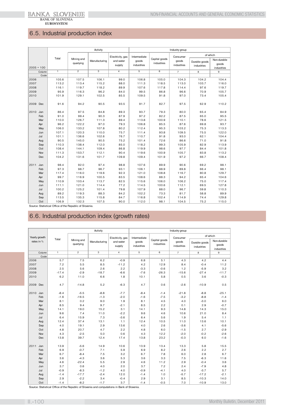### 6.5. Industrial production index

|          |              |              |                         | Activity      |                     | Industry group                      |                             |                     |                             |                                    |  |  |
|----------|--------------|--------------|-------------------------|---------------|---------------------|-------------------------------------|-----------------------------|---------------------|-----------------------------|------------------------------------|--|--|
|          |              |              |                         |               | Electricity, gas    | Intermediate<br>goods<br>industries |                             | Consumer            | of which                    |                                    |  |  |
|          | $2005 = 100$ | Total        | Mining and<br>quarrying | Manufacturing | and water<br>supply |                                     | Capital goods<br>industries | goods<br>industries | Durable goods<br>industries | Non-durable<br>goods<br>industries |  |  |
|          | Column       | $\mathbf{1}$ | $\overline{c}$          | 3             | $\overline{4}$      | 5                                   | 6                           | $\overline{7}$      | 8                           | 9                                  |  |  |
|          | Code         |              |                         |               |                     |                                     |                             |                     |                             |                                    |  |  |
| 2006     |              | 105.6        | 107.5                   | 106.1         | 99.0                | 106.8                               | 105.0                       | 104.3               | 104.2                       | 104.4                              |  |  |
| 2007     |              | 113.2        | 113.4                   | 115.2         | 88.0                | 111.3                               | 118.5                       | 113.0               | 103.7                       | 116.0                              |  |  |
| 2008     |              | 116.1        | 119.7                   | 118.2         | 89.9                | 107.6                               | 117.8                       | 114.4               | 97.6                        | 119.7                              |  |  |
| 2009     |              | 95.9         | 116.3                   | 96.2          | 84.0                | 99.5                                | 86.8                        | 96.6                | 70.9                        | 105.7                              |  |  |
| 2010     |              | 101.9        | 129.1                   | 102.5         | 85.5                | 109.5                               | 91.8                        | 97.0                | 73.4                        | 105.4                              |  |  |
| 2009 Dec |              | 91.6         | 94.2                    | 90.5          | 93.5                | 91.7                                | 82.7                        | 97.5                | 62.9                        | 110.2                              |  |  |
| 2010 Jan |              | 86.4         | 97.5                    | 84.8          | 89.3                | 93.7                                | 79.3                        | 80.0                | 65.4                        | 84.9                               |  |  |
|          | Feb          | 91.0         | 99.4                    | 90.3          | 87.9                | 97.2                                | 82.2                        | 87.5                | 65.0                        | 95.5                               |  |  |
|          | Mar          | 110.0        | 126.7                   | 111.3         | 89.4                | 113.8                               | 100.9                       | 110.1               | 78.6                        | 121.5                              |  |  |
|          | Apr          | 96.2         | 122.2                   | 97.0          | 79.3                | 106.8                               | 85.5                        | 87.6                | 69.8                        | 93.7                               |  |  |
|          | May          | 106.0        | 133.2                   | 107.8         | 80.2                | 112.4                               | 95.3                        | 103.2               | 75.3                        | 113.3                              |  |  |
|          | Jun          | 107.1        | 120.3                   | 110.0         | 75.7                | 111.4                               | 93.8                        | 109.5               | 75.5                        | 122.0                              |  |  |
|          | Jul          | 101.1        | 136.6                   | 102.6         | 76.7                | 110.7                               | 91.8                        | 93.0                | 62.1                        | 104.4                              |  |  |
|          | Aug          | 90.5         | 145.0                   | 90.5          | 75.2                | 101.4                               | 72.6                        | 86.6                | 71.0                        | 91.8                               |  |  |
|          | Sep          | 110.3        | 138.4                   | 112.0         | 85.0                | 118.2                               | 99.3                        | 105.9               | 82.9                        | 113.9                              |  |  |
|          | Oct          | 108.4        | 144.1                   | 109.4         | 86.8                | 119.9                               | 98.6                        | 97.7                | 84.4                        | 101.8                              |  |  |
|          | Nov          | 111.3        | 153.7                   | 112.1         | 90.4                | 119.6                               | 100.9                       | 105.7               | 83.8                        | 113.2                              |  |  |
|          | Dec          | 104.2        | 131.6                   | 101.7         | 109.8               | 109.4                               | 101.9                       | 97.2                | 66.7                        | 108.4                              |  |  |
| 2011     | Jan          | 98.4         | 92.0                    | 97.4          | 98.8                | 107.6                               | 89.9                        | 90.6                | 69.2                        | 98.1                               |  |  |
|          | Feb          | 97.3         | 98.7                    | 96.7          | 93.1                | 106.1                               | 88.9                        | 89.8                | 66.4                        | 98.1                               |  |  |
|          | Mar          | 117.4        | 116.0                   | 119.6         | 92.3                | 121.0                               | 108.8                       | 116.7               | 80.8                        | 129.7                              |  |  |
|          | Apr          | 99.7         | 116.9                   | 100.5         | 83.5                | 108.6                               | 88.3                        | 94.2                | 65.4                        | 104.6                              |  |  |
|          | May          | 110.9        | 103.4                   | 113.7         | 82.5                | 115.6                               | 106.0                       | 106.2               | 75.0                        | 117.4                              |  |  |
|          | Jun          | 111.1        | 121.0                   | 114.4         | 77.2                | 114.5                               | 100.6                       | 112.1               | 69.5                        | 127.8                              |  |  |
|          | Jul          | 100.2        | 125.2                   | 101.4         | 79.8                | 107.9                               | 88.0                        | 96.7                | 59.8                        | 110.3                              |  |  |
|          | Aug          | 89.2         | 119.3                   | 88.3          | 84.2                | 102.2                               | 73.3                        | 81.7                | 58.8                        | 89.9                               |  |  |
|          | Sep          | 113.5        | 135.3                   | 115.8         | 84.7                | 116.8                               | 102.4                       | 114.9               | 74.4                        | 129.8                              |  |  |
|          | Oct          | 106.9        | 132.3                   | 107.5         | 90.0                | 112.0                               | 98.1                        | 104.5               | 75.2                        | 115.0                              |  |  |

Source: Statistical Office of the Republic of Slovenia.

### 6.6. Industrial production index (growth rates)

|            |               |              |                | Activity      |                     | Industry group      |               |                     |                             |                     |  |  |
|------------|---------------|--------------|----------------|---------------|---------------------|---------------------|---------------|---------------------|-----------------------------|---------------------|--|--|
|            | Yearly growth | Total        | Mining and     |               | Electricity, gas    | Intermediate        | Capital goods | Consumer            | of which                    | Non-durable         |  |  |
| rates in % |               |              | quarrying      | Manufacturing | and water<br>supply | goods<br>industries | industries    | goods<br>industries | Durable goods<br>industries | goods<br>industries |  |  |
|            | Column        | $\mathbf{1}$ | $\overline{c}$ | 3             | $\overline{4}$      | 5                   | 6             | $\overline{7}$      | 8                           | 9                   |  |  |
|            | Code          |              |                |               |                     |                     |               |                     |                             |                     |  |  |
| 2006       |               | 5.7          | 7.5            | 6.2           | $-0.9$              | 6.8                 | 5.1           | 4.3                 | 4.2                         | 4.4                 |  |  |
| 2007       |               | 7.2          | 5.5            | 8.5           | $-11.2$             | 4.2                 | 12.9          | 8.4                 | $-0.4$                      | 11.2                |  |  |
| 2008       |               | 2.5          | 5.6            | 2.6           | 2.2                 | $-3.3$              | $-0.6$        | 1.2                 | $-5.9$                      | 3.2                 |  |  |
| 2009       |               | $-17.4$      | $-2.9$         | $-18.7$       | $-6.6$              | $-7.6$              | $-26.3$       | $-15.6$             | $-27.4$                     | $-11.7$             |  |  |
| 2010       |               | 6.2          | 11.0           | 6.6           | 1.8                 | 10.1                | 5.8           | 0.5                 | 3.6                         | $-0.3$              |  |  |
| 2009 Dec   |               | 4.7          | $-14.8$        | 5.2           | $-6.3$              | 4.7                 | 0.6           | $-2.6$              | $-10.9$                     | 0.5                 |  |  |
| 2010 Jan   |               | $-8.4$       | $-5.5$         | $-8.8$        | $-7.7$              | $-8.4$              | $-1.4$        | $-21.8$             | $-8.8$                      | $-25.1$             |  |  |
|            | Feb           | $-1.6$       | $-16.5$        | $-1.3$        | $-2.0$              | $-1.6$              | $-7.5$        | $-3.2$              | $-8.8$                      | $-1.4$              |  |  |
|            | Mar           | 8.1          | 0.2            | 9.0           | 1.9                 | 8.1                 | 4.5           | 4.0                 | $-3.0$                      | 6.0                 |  |  |
|            | Apr           | 8.5          | 9.4            | 9.7           | $-2.1$              | 8.5                 | 2.2           | 0.1                 | 2.9                         | $-0.7$              |  |  |
|            | May           | 14.1         | 19.0           | 15.2          | 3.1                 | 14.1                | 9.3           | 14.8                | 14.3                        | 15.0                |  |  |
|            | Jun           | 9.6          | 7.4            | 11.0          | $-2.2$              | 9.6                 | 4.6           | 10.6                | 21.0                        | 8.4                 |  |  |
|            | Jul           | 6.4          | 15.9           | 7.3           | $-3.6$              | 6.4                 | 5.6           | 1.9                 | 5.4                         | 1.1                 |  |  |
|            | Aug           | 12.4         | 37.4           | 13.1          | 1.1                 | 12.4                | 10.5          | 11.0                | 13.6                        | 10.1                |  |  |
|            | Sep           | 4.0          | 19.1           | 2.9           | 13.6                | 4.0                 | 2.6           | $-3.6$              | 4.1                         | $-5.6$              |  |  |
|            | Oct           | 4.8          | 20.7           | 4.7           | 2.2                 | 4.8                 | 6.0           | $-1.5$              | 2.7                         | $-2.9$              |  |  |
|            | Nov           | 4.3          | $-2.5$         | 5.0           | 0.6                 | 4.3                 | 12.2          | $-2.0$              | $-0.2$                      | $-2.6$              |  |  |
|            | Dec           | 13.8         | 39.7           | 12.4          | 17.4                | 13.8                | 23.2          | $-0.3$              | 6.0                         | $-1.6$              |  |  |
| 2011       | Jan           | 13.9         | $-5.6$         | 14.9          | 10.6                | 13.9                | 13.4          | 13.3                | 5.8                         | 15.5                |  |  |
|            | Feb           | 6.9          | $-0.7$         | 7.1           | 5.9                 | 6.9                 | 8.2           | 2.6                 | 2.2                         | 2.7                 |  |  |
|            | Mar           | 6.7          | $-8.4$         | 7.5           | 3.2                 | 6.7                 | 7.8           | 6.0                 | 2.8                         | 6.7                 |  |  |
|            | Apr           | 3.6          | $-4.3$         | 3.6           | 5.3                 | 3.6                 | 3.3           | 7.5                 | $-6.3$                      | 11.6                |  |  |
|            | May           | 4.6          | $-22.4$        | 5.5           | 2.9                 | 4.6                 | 11.2          | 2.9                 | $-0.4$                      | 3.6                 |  |  |
|            | Jun           | 3.7          | 0.6            | 4.0           | 2.0                 | 3.7                 | 7.2           | 2.4                 | $-7.9$                      | 4.8                 |  |  |
|            | Jul           | $-0.9$       | $-8.3$         | $-1.2$        | 4.0                 | $-0.9$              | $-4.1$        | 4.0                 | $-3.7$                      | 5.7                 |  |  |
|            | Aug           | $-1.4$       | $-17.7$        | $-2.4$        | 12.0                | $-1.4$              | 1.0           | $-5.7$              | $-17.2$                     | $-2.1$              |  |  |
|            | Sep           | 2.9          | $-2.2$         | 3.4           | $-0.4$              | 2.9                 | 3.1           | 8.5                 | $-10.3$                     | 14.0                |  |  |
|            | Oct           | $-1.4$       | $-8.2$         | $-1.7$        | 3.7                 | $-1.4$              | $-0.5$        | 7.0                 | $-10.9$                     | 13.0                |  |  |

Source: Statistical Office of the Republic of Slovenia and computations in Bank of Slovenia.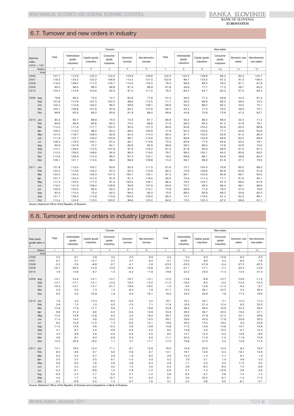#### BANKA SLOVENIJE BANK OF SLOVENIA

**EUROSYSTEM**

## 6.7. Turnover and new orders in industry

|                                   |         |              |                                     |                             | Tumover                         |                     |                         |                |                                     |                             | New orders                      |                        |                            |
|-----------------------------------|---------|--------------|-------------------------------------|-----------------------------|---------------------------------|---------------------|-------------------------|----------------|-------------------------------------|-----------------------------|---------------------------------|------------------------|----------------------------|
| Nominal<br>index,<br>$2005 = 100$ |         | Total        | Intermediate<br>goods<br>industries | Capital goods<br>industries | Consumer<br>goods<br>industries | Domestic<br>tumover | Non-domestic<br>tumover | Total          | Intermediate<br>goods<br>industries | Capital goods<br>industries | Consumer<br>goods<br>industries | Domestic new<br>orders | Non-domestic<br>new orders |
|                                   | Stolpec | $\mathbf{1}$ | $\overline{2}$                      | 3                           | $\overline{4}$                  | 5                   | 6                       | $\overline{7}$ | 8                                   | $_{9}$                      | 10                              | 11                     | 12                         |
|                                   | Koda    |              |                                     |                             |                                 |                     |                         |                |                                     |                             |                                 |                        |                            |
| 2006                              |         | 107.7        | 112.6                               | 104.3                       | 104.0                           | 103.9               | 109.8                   | 102.3          | 104.3                               | 109.8                       | 88.4                            | 94.4                   | 104.7                      |
| 2007                              |         | 118.2        | 125.2                               | 122.2                       | 106.9                           | 112.3               | 121.5                   | 102.9          | 98.7                                | 123.5                       | 87.2                            | 91.2                   | 106.4                      |
| 2008                              |         | 118.3        | 129.0                               | 117.2                       | 105.7                           | 114.0               | 120.4                   | 78.4           | 66.9                                | 99.3                        | 79.0                            | 67.1                   | 81.8                       |
| 2009                              |         | 95.0         | 98.5                                | 96.0                        | 89.8                            | 91.0                | 96.9                    | 61.8           | 48.9                                | 77.7                        | 71.3                            | 49.7                   | 65.5                       |
| 2010                              |         | 104.4        | 114.9                               | 102.8                       | 92.4                            | 91.4                | 111.2                   | 76.4           | 63.4                                | 94.7                        | 83.4                            | 57.3                   | 82.2                       |
|                                   |         |              |                                     |                             |                                 |                     |                         |                |                                     |                             |                                 |                        |                            |
| 2009 Aug                          |         | 79.6         | 89.3                                | 70.4                        | 74.7                            | 82.8                | 77.8                    | 57.4           | 46.0                                | 77.4                        | 58.9                            | 44.2                   | 61.4                       |
|                                   | Sep     | 107.8        | 112.6                               | 107.3                       | 102.3                           | 98.6                | 112.5                   | 71.7           | 56.2                                | 88.9                        | 85.2                            | 59.4                   | 75.4                       |
|                                   | Oct     | 105.4        | 112.8                               | 105.2                       | 96.2                            | 99.9                | 108.1                   | 69.9           | 55.4                                | 88.2                        | 80.2                            | 53.0                   | 75.1                       |
|                                   | Nov     | 103.1        | 108.6                               | 101.6                       | 97.8                            | 94.2                | 107.8                   | 65.3           | 52.4                                | 77.3                        | 79.2                            | 49.5                   | 70.1                       |
|                                   | Dec     | 89.6         | 82.5                                | 96.2                        | 93.8                            | 91.9                | 88.4                    | 59.8           | 44.8                                | 75.8                        | 73.9                            | 47.2                   | 63.7                       |
|                                   |         |              |                                     |                             |                                 |                     |                         |                |                                     |                             |                                 |                        |                            |
| 2010                              | Jan     | 85.3         | 90.7                                | 89.9                        | 75.0                            | 73.3                | 91.7                    | 66.9           | 55.4                                | 86.2                        | 69.4                            | 52.4                   | 71.4                       |
|                                   | Feb     | 90.6         | 95.6                                | 93.6                        | 82.2                            | 75.2                | 98.8                    | 71.9           | 56.0                                | 93.4                        | 81.2                            | 51.6                   | 78.1                       |
|                                   | Mar     | 112.4        | 117.6                               | 117.1                       | 102.3                           | 95.3                | 121.3                   | 80.6           | 63.8                                | 103.2                       | 90.9                            | 60.5                   | 86.8                       |
|                                   | Apr     | 100.2        | 115.0                               | 98.0                        | 83.2                            | 89.2                | 105.9                   | 77.9           | 64.2                                | 103.5                       | 77.7                            | 55.9                   | 84.6                       |
|                                   | May     | 107.5        | 118.7                               | 108.4                       | 92.8                            | 94.4                | 114.4                   | 80.4           | 67.1                                | 102.2                       | 83.9                            | 61.2                   | 86.3                       |
|                                   | Jun     | 111.9        | 122.7                               | 105.0                       | 103.9                           | 96.7                | 119.9                   | 83.4           | 68.9                                | 104.9                       | 89.8                            | 62.5                   | 89.9                       |
|                                   | Jul     | 106.4        | 119.2                               | 105.1                       | 91.2                            | 92.7                | 113.6                   | 72.3           | 63.8                                | 77.5                        | 84.6                            | 53.4                   | 78.1                       |
|                                   | Aug     | 90.9         | 107.8                               | 72.7                        | 84.1                            | 86.8                | 92.9                    | 69.8           | 58.2                                | 89.0                        | 72.8                            | 52.9                   | 75.0                       |
|                                   | Sep     | 115.1        | 128.5                               | 110.5                       | 101.9                           | 97.9                | 124.2                   | 81.2           | 67.8                                | 90.8                        | 99.0                            | 61.0                   | 87.4                       |
|                                   | Oct     | 112.5        | 129.0                               | 108.6                       | 94.9                            | 99.3                | 119.5                   | 79.7           | 66.5                                | 100.1                       | 84.5                            | 60.6                   | 85.5                       |
|                                   | Nov     | 113.6        | 126.9                               | 110.4                       | 99.3                            | 97.3                | 122.1                   | 78.3           | 69.8                                | 88.1                        | 84.9                            | 58.8                   | 84.3                       |
|                                   | Dec     | 106.1        | 107.1                               | 114.5                       | 98.4                            | 98.9                | 109.8                   | 74.2           | 58.7                                | 96.9                        | 81.6                            | 57.1                   | 79.5                       |
|                                   |         |              |                                     |                             |                                 |                     |                         |                |                                     |                             |                                 |                        |                            |
| 2011                              | Jan     | 101.8        | 115.0                               | 103.7                       | 83.6                            | 83.5                | 111.5                   | 81.6           | 70.7                                | 104.3                       | 78.8                            | 60.2                   | 88.2                       |
|                                   | Feb     | 102.3        | 113.6                               | 103.2                       | 87.5                            | 82.3                | 112.9                   | 85.3           | 74.6                                | 108.9                       | 80.8                            | 64.6                   | 91.6                       |
|                                   | Mar     | 123.2        | 134.2                               | 126.3                       | 107.0                           | 100.7               | 135.1                   | 87.5           | 80.1                                | 103.6                       | 84.6                            | 69.7                   | 93.0                       |
|                                   | Apr     | 107.7        | 124.3                               | 101.5                       | 91.9                            | 91.2                | 116.5                   | 85.6           | 75.9                                | 111.0                       | 77.1                            | 61.6                   | 93.1                       |
|                                   | May     | 117.3        | 133.0                               | 117.3                       | 97.4                            | 100.5               | 126.1                   | 86.4           | 76.0                                | 104.7                       | 87.5                            | 69.5                   | 91.6                       |
|                                   | Jun     | 118.2        | 131.9                               | 108.4                       | 108.9                           | 99.9                | 127.9                   | 83.8           | 75.7                                | 96.3                        | 86.4                            | 68.1                   | 88.6                       |
|                                   | Jul     | 105.6        | 122.0                               | 96.0                        | 92.5                            | 87.6                | 115.1                   | 73.9           | 69.9                                | 77.6                        | 78.2                            | 57.5                   | 79.0                       |
|                                   | Aug     | 93.4         | 115.4                               | 72.4                        | 82.3                            | 89.4                | 95.3                    | 75.6           | 68.0                                | 95.8                        | 68.3                            | 54.9                   | 82.0                       |
|                                   | Sep     | 121.7        | 136.2                               | 112.8                       | 110.8                           | 100.5               | 133.0                   | 90.4           | 74.7                                | 119.0                       | 91.4                            | 62.2                   | 99.1                       |
|                                   | Oct     | 113.4        | 124.9                               | 112.0                       | 100.0                           | 96.6                | 122.2                   | 84.0           | 72.5                                | 102.3                       | 87.2                            | 58.9                   | 91.7                       |

Source: Statistical Office of the Republic of Slovenia.

## 6.8. Turnover and new orders in industry (growth rates)

|                                                 |              |                                     |                             | Tumover                         |                     |                         |                |                                     |                             | New orders                      |                        |                            |
|-------------------------------------------------|--------------|-------------------------------------|-----------------------------|---------------------------------|---------------------|-------------------------|----------------|-------------------------------------|-----------------------------|---------------------------------|------------------------|----------------------------|
| Real yearly<br>growth rates in<br>$\frac{0}{0}$ | Total        | Intermediate<br>goods<br>industries | Capital goods<br>industries | Consumer<br>goods<br>industries | Domestic<br>tumover | Non-domestic<br>tumover | Total          | Intermediate<br>goods<br>industries | Capital goods<br>industries | Consumer<br>goods<br>industries | Domestic new<br>orders | Non-domestic<br>new orders |
| Stolpec                                         | $\mathbf{1}$ | $\overline{2}$                      | $\overline{\mathbf{3}}$     | $\overline{4}$                  | $\overline{5}$      | 6                       | $\overline{7}$ | 8                                   | $\overline{9}$              | 10                              | 11                     | 12                         |
|                                                 | Koda         |                                     |                             |                                 |                     |                         |                |                                     |                             |                                 |                        |                            |
| 2006                                            | 5.2          | 8.1                                 | 2.9                         | 3.5                             | 2.2                 | 6.8                     | 0.4            | 0.3                                 | 9.3                         | $-10.8$                         | $-6.4$                 | 2.5                        |
| 2007                                            | 6.7          | 5.7                                 | 12.7                        | 3.7                             | 3.7                 | 8.2                     | $-3.1$         | $-13.0$                             | 8.0                         | 4.2                             | $-8.4$                 | $-1.6$                     |
| 2008                                            | $-2.3$       | 0.5                                 | $-8.8$                      | $-0.7$                          | $-4.1$              | $-1.6$                  | $-23.5$        | $-33.5$                             | $-21.9$                     | $-5.4$                          | $-27.2$                | $-22.5$                    |
| 2009                                            | $-16.7$      | $-20.0$                             | $-14.5$                     | $-14.0$                         | $-18.5$             | $-15.9$                 | $-16.1$        | $-21.1$                             | $-17.1$                     | $-7.7$                          | $-22.4$                | $-14.6$                    |
| 2010                                            | 7.9          | 12.6                                | 8.7                         | 1.3                             | $-0.4$              | 11.8                    | 19.6           | 23.2                                | 23.0                        | 11.4                            | 13.5                   | 21.0                       |
| 2009 Aug                                        | $-15.1$      | $-15.4$                             | $-14.1$                     | $-14.7$                         | $-16.7$             | $-14.1$                 | $-12.2$        | $-13.8$                             | $-8.9$                      | $-13.7$                         | $-15.6$                | $-11.5$                    |
| Sep                                             | $-14.7$      | $-17.7$                             | $-12.1$                     | $-12.5$                         | $-18.2$             | $-13.2$                 | $-11.2$        | $-18.4$                             | $-8.2$                      | $-5.5$                          | $-14.5$                | $-10.5$                    |
| Oct                                             | $-16.3$      | $-14.1$                             | $-12.7$                     | $-21.7$                         | $-16.9$             | $-16.0$                 | $-1.5$         | $-4.5$                              | 12.6                        | $-11.4$                         | $-5.5$                 | $-0.7$                     |
| Nov                                             | 2.0          | 0.0                                 | 7.3                         | 1.2                             | $-9.3$              | 7.9                     | 21.7           | 13.5                                | 28.1                        | 24.3                            | 3.3                    | 26.4                       |
| Dec                                             | 9.2          | 3.2                                 | 33.9                        | 1.6                             | $-2.0$              | 16.1                    | 18.4           | 22.5                                | 25.6                        | 7.6                             | 17.5                   | 18.6                       |
|                                                 |              |                                     |                             |                                 |                     |                         |                |                                     |                             |                                 |                        |                            |
| 2010<br>Jan                                     | 1.8          | 4.2                                 | 12.3                        | $-9.3$                          | $-5.2$              | 5.2                     | 16.1           | 16.1                                | 32.1                        | 0.1                             | 12.0                   | 17.0                       |
| Feb                                             | 2.6          | 7.2                                 | 1.0                         | $-2.0$                          | $-7.5$              | 7.1                     | 17.6           | 18.3                                | 21.4                        | 12.4                            | 6.3                    | 20.0                       |
| Mar                                             | 13.8         | 17.9                                | 17.1                        | 6.6                             | 1.2                 | 19.8                    | 33.8           | 36.4                                | 49.5                        | 16.6                            | 24.2                   | 36.0                       |
| Apr                                             | 9.9          | 21.2                                | 8.6                         | $-4.2$                          | $-0.5$              | 14.9                    | 33.9           | 39.2                                | 38.7                        | 20.0                            | 19.0                   | 37.1                       |
| May                                             | 13.2         | 16.9                                | 12.8                        | 8.3                             | 0.4                 | 19.4                    | 28.7           | 33.6                                | 21.9                        | 31.2                            | 24.1                   | 29.8                       |
| Jun                                             | 11.4         | 14.0                                | 4.8                         | 13.2                            | 4.2                 | 14.5                    | 29.7           | 29.6                                | 42.0                        | 17.8                            | 25.8                   | 30.5                       |
| Jul                                             | 8.0          | 10.9                                | 11.4                        | 1.3                             | $-0.5$              | 12.1                    | 19.8           | 26.0                                | 13.4                        | 18.4                            | 3.0                    | 23.9                       |
| Aug                                             | 11.5         | 14.6                                | 3.6                         | 12.4                            | 2.9                 | 15.8                    | 15.8           | 17.0                                | 14.9                        | 14.8                            | 15.7                   | 15.8                       |
| Sep                                             | 3.1          | 8.7                                 | 2.4                         | $-3.6$                          | $-2.5$              | 5.5                     | 8.2            | 13.8                                | 0.3                         | 10.0                            | $-0.7$                 | 10.4                       |
| Oct                                             | 3.3          | 8.9                                 | 2.6                         | $-4.0$                          | $-2.6$              | 6.0                     | 9.0            | 12.7                                | 12.3                        | $-0.2$                          | 10.6                   | 8.6                        |
| Nov                                             | 4.6          | 8.1                                 | 8.3                         | $-2.9$                          | 0.2                 | 6.5                     | 11.1           | 20.5                                | 11.6                        | $-1.0$                          | 11.6                   | 10.9                       |
| Dec                                             | 13.3         | 20.8                                | 19.2                        | 1.1                             | 4.7                 | 17.7                    | 17.0           | 19.8                                | 27.0                        | 4.4                             | 14.9                   | 17.5                       |
| 2011<br>Jan                                     | 14.1         | 16.0                                | 14.4                        | 11.1                            | 9.7                 | 15.9                    | 16.4           | 14.8                                | 20.0                        | 14.0                            | 8.2                    | 18.3                       |
| Feb                                             | 8.0          | 8.6                                 | 9.7                         | 5.6                             | 5.9                 | 8.7                     | 12.1           | 19.1                                | 14.9                        | $-0.4$                          | 18.1                   | 10.9                       |
| Mar                                             | 5.0          | 5.2                                 | 6.7                         | 2.8                             | 1.8                 | 6.2                     | 2.6            | 14.3                                | $-1.4$                      | $-7.7$                          | 9.1                    | 1.3                        |
| Apr                                             | 3.5          | 0.7                                 | 2.0                         | 9.7                             | $-1.0$              | 5.4                     | 5.2            | 7.6                                 | 5.1                         | 1.4                             | 4.8                    | 5.3                        |
| May                                             | 5.6          | 6.3                                 | 7.6                         | 2.6                             | 3.8                 | 6.3                     | 4.9            | 7.1                                 | 2.2                         | 5.0                             | 11.5                   | 3.4                        |
| Jun                                             | 2.7          | 2.3                                 | 3.2                         | 3.2                             | 1.0                 | 3.5                     | $-3.5$         | 3.6                                 | $-9.2$                      | $-6.3$                          | 7.2                    | $-5.6$                     |
| Jul                                             | $-3.2$       | $-2.1$                              | $-9.8$                      | 1.2                             | $-7.6$              | $-1.4$                  | $-2.6$         | 2.7                                 | $-1.0$                      | $-10.9$                         | 3.9                    | $-3.8$                     |
| Aug                                             | $-0.9$       | 2.3                                 | $-1.7$                      | $-5.0$                          | 0.1                 | $-1.4$                  | 5.8            | 8.4                                 | 6.7                         | 0.8                             | $-1.0$                 | 7.4                        |
| Sep                                             | 4.4          | 1.7                                 | 1.5                         | 10.7                            | 0.1                 | 6.2                     | 9.1            | 3.5                                 | 32.2                        | $-5.7$                          | $-1.4$                 | 11.4                       |
| Oct                                             | $-0.3$       | $-6.8$                              | 2.4                         | 7.4                             | $-4.7$              | 1.6                     | 3.7            | 4.2                                 | 0.8                         | 6.5                             | $-6.1$                 | 5.7                        |

Source: Statistical Office of the Republic of Slovenia and computations in Bank of Slovenia.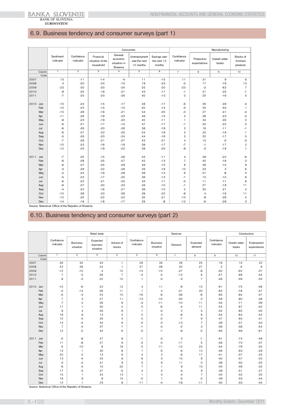## 6.9. Business tendency and consumer surveys (part 1)

|          |        |                        |                         |                                            | Consumers                                       |                                            |                                       |                         |                            | Manufacturing           |                                   |
|----------|--------|------------------------|-------------------------|--------------------------------------------|-------------------------------------------------|--------------------------------------------|---------------------------------------|-------------------------|----------------------------|-------------------------|-----------------------------------|
|          |        | Sentiment<br>indicator | Confidence<br>indicator | Financial<br>situation of the<br>household | General<br>economic<br>situation in<br>Slovenia | Unemployment<br>over the next<br>12 months | Savings over<br>the next 12<br>months | Confidence<br>indicator | Production<br>expectations | Overall order-<br>books | Stocks of<br>finished<br>products |
|          | Column | $\mathbf{1}$           | $\overline{c}$          | 3                                          | $\overline{4}$                                  | 5                                          | 6                                     | $\overline{7}$          | 8                          | 9                       | 10                                |
|          | Code   |                        |                         |                                            |                                                 |                                            |                                       |                         |                            |                         |                                   |
| 2007     |        | 13                     | $-11$                   | $-14$                                      | $-4$                                            | 11                                         | $-15$                                 | 11                      | 31                         | 9                       | 6                                 |
| 2008     |        | 3                      | $-20$                   | $-24$                                      | $-15$                                           | 19                                         | $-23$                                 | $-5$                    | 17                         | $-19$                   | 13                                |
| 2009     |        | $-23$                  | $-30$                   | $-20$                                      | $-24$                                           | 55                                         | $-20$                                 | $-23$                   | $-2$                       | $-62$                   | $\overline{7}$                    |
| 2010     |        | -9                     | $-25$                   | $-18$                                      | $-21$                                           | 43                                         | $-17$                                 | $-1$                    | 21                         | $-25$                   | $-1$                              |
| 2011     |        | $-7$                   | $-25$                   | $-20$                                      | $-26$                                           | 40                                         | $-13$                                 | $\circ$                 | 20                         | $-16$                   | 5                                 |
| 2010 Jan |        | $-10$                  | $-24$                   | $-15$                                      | $-17$                                           | 48                                         | $-17$                                 | -6                      | 26                         | $-49$                   | $-4$                              |
|          | Feb    | $-10$                  | $-23$                   | $-15$                                      | $-15$                                           | 50                                         | $-14$                                 | $-5$                    | 35                         | $-50$                   | $\mathbf{1}$                      |
|          | Mar    | $-15$                  | $-28$                   | $-16$                                      | $-21$                                           | 54                                         | $-20$                                 | $-3$                    | 27                         | $-41$                   | $-4$                              |
|          | Apr    | $-11$                  | $-26$                   | $-18$                                      | $-23$                                           | 46                                         | $-15$                                 | $\overline{c}$          | 28                         | $-23$                   | $-2$                              |
|          | May    | $-8$                   | $-23$                   | $-19$                                      | $-20$                                           | 40                                         | $-11$                                 | $\mathbf{1}$            | 34                         | $-30$                   | $\mathbf 0$                       |
|          | Jun    | $-6$                   | $-21$                   | $-17$                                      | $-15$                                           | 37                                         | $-17$                                 | $-1$                    | 20                         | $-22$                   | $\mathbf 0$                       |
|          | Jul    | $-6$                   | $-26$                   | $-20$                                      | $-26$                                           | 38                                         | $-19$                                 | $\overline{c}$          | 16                         | $-11$                   | $-1$                              |
|          | Aug    | $-6$                   | $-27$                   | $-22$                                      | $-25$                                           | 44                                         | $-18$                                 | $\overline{c}$          | 25                         | $-19$                   | $\mathbf{1}$                      |
|          | Sep    | $-5$                   | $-26$                   | $-20$                                      | $-24$                                           | 44                                         | $-16$                                 | 5                       | 32                         | $-17$                   | 0                                 |
|          | Oct    | $-7$                   | $-28$                   | $-21$                                      | $-27$                                           | 43                                         | $-21$                                 | $\overline{4}$          | 15                         | $-5$                    | -3                                |
|          | Nov    | $-10$                  | $-23$                   | $-18$                                      | $-19$                                           | 38                                         | $-17$                                 | $-7$                    | $-1$                       | $-17$                   | $\overline{c}$                    |
|          | Dec    | $-12$                  | $-25$                   | $-18$                                      | $-22$                                           | 39                                         | $-20$                                 | $-8$                    | $-3$                       | $-19$                   | $\mathbf{1}$                      |
| 2011     | Jan    | $-7$                   | $-25$                   | $-15$                                      | $-28$                                           | 45                                         | $-11$                                 | $\overline{4}$          | 28                         | $-22$                   | $-6$                              |
|          | Feb    | $-6$                   | $-28$                   | $-25$                                      | $-27$                                           | 45                                         | $-13$                                 | $\overline{7}$          | 40                         | $-18$                   | 0                                 |
|          | Mar    | $-6$                   | $-27$                   | $-25$                                      | $-29$                                           | 46                                         | $-10$                                 | 6                       | 36                         | $-10$                   | 9                                 |
|          | Apr    | $-3$                   | $-29$                   | $-22$                                      | $-28$                                           | 46                                         | $-19$                                 | 10                      | 33                         | $\sqrt{2}$              | 6                                 |
|          | May    | $-2$                   | $-24$                   | $-19$                                      | $-28$                                           | 38                                         | $-13$                                 | 6                       | 27                         | -8                      | 3                                 |
|          | Jun    | $-5$                   | $-23$                   | $-17$                                      | $-25$                                           | 36                                         | $-13$                                 | $-1$                    | 15                         | $-10$                   | 8                                 |
|          | Jul    | $-6$                   | $-22$                   | $-21$                                      | $-25$                                           | 33                                         | $-11$                                 | -3                      | 11                         | $-11$                   | 8                                 |
|          | Aug    | $-6$                   | $-27$                   | $-20$                                      | $-33$                                           | 46                                         | $-10$                                 | $-1$                    | 27                         | $-19$                   | 11                                |
|          | Sep    | $-4$                   | $-22$                   | $-16$                                      | $-27$                                           | 36                                         | $-10$                                 | $\overline{c}$          | 30                         | $-21$                   | $\overline{4}$                    |
|          | Oct    | $-10$                  | $-28$                   | $-23$                                      | $-28$                                           | 39                                         | $-22$                                 | -8                      | $\overline{4}$             | $-16$                   | 11                                |
|          | Nov    | $-12$                  | $-25$                   | $-22$                                      | $-22$                                           | 35                                         | $-21$                                 | $-13$                   | $-8$                       | $-26$                   | $\overline{4}$                    |
|          | Dec    | $-14$                  | $-18$                   | $-18$                                      | $-17$                                           | 29                                         | -8                                    | $-12$                   | $-6$                       | $-28$                   | 3                                 |

Source: Statistical Office of the Republic of Slovenia.

## 6.10. Business tendency and consumer surveys (part 2)

|             |                         |                              | Retail trade                      |                     |                         |                              | Services            |                     |                         |                         | Construction               |
|-------------|-------------------------|------------------------------|-----------------------------------|---------------------|-------------------------|------------------------------|---------------------|---------------------|-------------------------|-------------------------|----------------------------|
|             | Confidence<br>indicator | <b>Business</b><br>situation | Expected<br>business<br>situation | Volume of<br>stocks | Confidence<br>indicator | <b>Business</b><br>situation | Demand              | Expected<br>demand  | Confidence<br>indicator | Overall order-<br>books | Employment<br>expectations |
| Column      | $\mathbf{1}$            | $\overline{2}$               | $\overline{3}$                    | $\overline{4}$      | $\overline{5}$          | 6                            | $\overline{7}$      | 8                   | $\mathbf 9$             | 10                      | 11                         |
| Code        |                         |                              |                                   |                     |                         |                              |                     |                     |                         |                         |                            |
| 2007        | 28                      | 35                           | 34                                | $\mathbf{1}$        | 29                      | 35                           | 26                  | 25                  | 19                      | 15                      | 22                         |
| 2008        | 22                      | 28                           | 24                                | $\mathbf{1}$        | 27                      | 28                           | 20                  | 27                  | $\overline{c}$          | $-5$                    | $\boldsymbol{9}$           |
| 2009        | $-12$                   | $-10$                        | $\overline{4}$                    | 15                  | $-14$                   | $-10$                        | $-27$               | -9                  | $-50$                   | $-62$                   | $-37$                      |
| 2010        | $\overline{7}$          | $-2$                         | 28                                | $\overline{7}$      | $-3$                    | $-2$                         | $-12$               | 6                   | $-57$                   | $-69$                   | $-44$                      |
| 2011        | 8                       | $-3$                         | 22                                | 10                  | $\mathbf{1}$            | $-3$                         | $-3$                | $\overline{7}$      | $-46$                   | $-59$                   | $-33$                      |
|             |                         |                              |                                   |                     |                         |                              |                     |                     |                         |                         |                            |
| 2010<br>Jan | $-10$                   | $-6$                         | 23                                | 12                  | 4                       | 11                           | -9                  | 10                  | $-61$                   | $-75$                   | $-48$                      |
| Feb         | $-5$                    | $-14$                        | 28                                | 11                  | $\overline{1}$          | $\overline{4}$               | $-21$               | 20                  | $-62$                   | $-78$                   | $-47$                      |
| Mar         | $-5$                    | $-3$                         | 23                                | 10                  | $-16$                   | $-6$                         | $-36$               | $-6$                | $-65$                   | $-84$                   | $-47$                      |
| Apr         | $\overline{7}$          | 3                            | 27                                | 11                  | $-13$                   | $-10$                        | $-30$               | $\mathsf{O}\xspace$ | $-59$                   | $-80$                   | $-39$                      |
| May         | $\overline{7}$          | $\overline{2}$               | 29                                | 9                   | $-3$                    | $-11$                        | $-10$               | 11                  | $-55$                   | $-71$                   | $-39$                      |
| Jun         | 17                      | $\mathbf{1}$                 | 30                                | $\mathbf 0$         | $\mathsf{O}\xspace$     | $-6$                         | $-4$                | 11                  | $-54$                   | $-67$                   | $-42$                      |
| Jul         | 8                       | $\overline{4}$               | 26                                | 9                   | $\mathbf{1}$            | $-3$                         | $\overline{c}$      | 5                   | $-52$                   | $-65$                   | $-40$                      |
| Aug         | 19                      | 8                            | 13                                | $\overline{4}$      | $\circ$                 | $\mathsf{O}\xspace$          | -8                  | 8                   | $-54$                   | $-64$                   | $-43$                      |
| Sep         | 12                      | $-3$                         | 35                                | 3                   | $\circ$                 | $-2$                         | $-7$                | 9                   | $-47$                   | $-64$                   | $-31$                      |
| Oct         | 14                      | $-4$                         | 34                                | 6                   | -3                      | $-3$                         | $-13$               | $\overline{7}$      | $-49$                   | $-57$                   | $-40$                      |
| Nov         | $\overline{7}$          | $-4$                         | 37                                | $\overline{7}$      | $-1$                    | $-4$                         | $-2$                | 3                   | $-56$                   | $-58$                   | $-54$                      |
| Dec         | 12                      | $-2$                         | 34                                | 6                   | $-3$                    | $-1$                         | -6                  | $-2$                | $-65$                   | $-69$                   | $-61$                      |
|             |                         |                              |                                   |                     |                         |                              |                     |                     |                         |                         |                            |
| 2011<br>Jan | $-5$                    | -8                           | 27                                | 8                   | $-1$                    | $-3$                         | $\mathsf{O}\xspace$ | $-1$                | $-61$                   | $-74$                   | $-48$                      |
| Feb         | 11                      | $-8$                         | 27                                | 6                   | $-3$                    | $-4$                         | $-11$               | 5                   | $-56$                   | $-75$                   | $-37$                      |
| Mar         | $-4$                    | $-10$                        | 8                                 | 16                  | $\circ$                 | $-11$                        | $-12$               | 24                  | $-54$                   | $-76$                   | $-32$                      |
| Apr         | 12                      | $\mathbf{1}$                 | 30                                | 8                   | $\mathbf{1}$            | $-5$                         | $-6$                | 13                  | $-46$                   | $-63$                   | $-29$                      |
| May         | 20                      | $\mathbf 0$                  | 13                                | 6                   | 4                       | $\sqrt{2}$                   | $-6$                | 17                  | $-41$                   | $-57$                   | $-25$                      |
| Jun         | 13                      | $-4$                         | 33                                | 8                   | 6                       | $\mathsf{O}\xspace$          | 10                  | 9                   | $-40$                   | $-57$                   | $-23$                      |
| Jul         | $-3$                    | $-4$                         | 31                                | 9                   | 5                       | 6                            | 11                  | $\mathsf{O}\xspace$ | $-38$                   | $-50$                   | $-25$                      |
| Aug         | $-6$                    | $-2$                         | 10                                | 22                  | $\overline{7}$          | $\mathbf{1}$                 | 9                   | 10                  | $-40$                   | $-49$                   | $-32$                      |
| Sep         | 17                      | $-5$                         | 27                                | $-5$                | $\overline{4}$          | 5                            | $-4$                | 9                   | $-39$                   | $-51$                   | $-27$                      |
| Oct         | 15                      | $\mathbf{1}$                 | 24                                | 13                  | $\overline{1}$          | $\mathsf{O}\xspace$          | -4                  | $\overline{7}$      | $-42$                   | $-52$                   | $-32$                      |
| Nov         | 16                      | 8                            | 8                                 | 15                  | $-2$                    | 1                            | $-5$                | $-2$                | $-48$                   | $-53$                   | $-44$                      |
| Dec         | 12                      | $\mathbf{1}$                 | 25                                | 8                   | $-11$                   | $-4$                         | $-18$               | $-11$               | $-50$                   | $-55$                   | $-45$                      |

Source: Statistical Office of the Republic of Slovenia.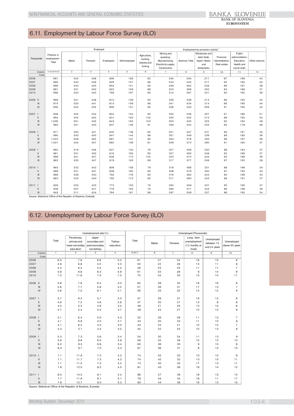## BANKA SLOVENIJE BANK OF SLOVENIA

**EUROSYSTEM**

## 6.11. Employment by Labour Force Survey (ILO)

|                                           |                                     |                | Employed                |                |                |                                                     | Employment by economic activity <sup>1</sup>                                     |                |                                                                         |                                             |                                                                       |                |
|-------------------------------------------|-------------------------------------|----------------|-------------------------|----------------|----------------|-----------------------------------------------------|----------------------------------------------------------------------------------|----------------|-------------------------------------------------------------------------|---------------------------------------------|-----------------------------------------------------------------------|----------------|
| Thousands                                 | Persons in<br>employment -<br>Total | Males          | Females                 | Employees      | Self-employed  | Agriculture,<br>hunting,<br>forestry and<br>fishing | Mining and<br>quanying;<br>Manufacturing;<br>Electricity supply;<br>Construction | Services Total | Wholesale and<br>retail trade,<br>repair; Hotels<br>and<br>restaurants; | Financial<br>intermediation;<br>Real estate | Public<br>administration;<br>Education;<br>Health and<br>social work; | Other services |
| Column                                    | $1 - 2 + 3 - 4 + 5$                 | $\overline{2}$ | $\overline{\mathbf{3}}$ | $\overline{4}$ | $\overline{5}$ | 6                                                   | $\overline{7}$                                                                   | 8              | 9                                                                       | 10                                          | 11                                                                    | 12             |
| Code                                      |                                     |                |                         |                |                |                                                     |                                                                                  |                |                                                                         |                                             |                                                                       |                |
| 2006                                      | 961                                 | 524            | 438                     | 806            | 156            | 92                                                  | 340                                                                              | 530            | 211                                                                     | 87                                          | 189                                                                   | 43             |
| 2007                                      | 985                                 | 540            | 446                     | 829            | 157            | 96                                                  | 343                                                                              | 545            | 217                                                                     | 92                                          | 185                                                                   | 50             |
| 2008                                      | 996                                 | 543            | 453                     | 855            | 141            | 85                                                  | 348                                                                              | 562            | 248                                                                     | 89                                          | 187                                                                   | 38             |
| 2009                                      | 981                                 | 531            | 450                     | 822            | 159            | 89                                                  | 323                                                                              | 568            | 250                                                                     | 93                                          | 188                                                                   | 37             |
| 2010                                      | 966                                 | 523            | 443                     | 799            | 167            | 85                                                  | 314                                                                              | 567            | 247                                                                     | 92                                          | 192                                                                   | 36             |
| 2006 II                                   | 969                                 | 521            | 448                     | 810            | 159            | 93                                                  | 339                                                                              | 538            | 214                                                                     | 86                                          | 194                                                                   | 44             |
| $\mathop{\mathsf{III}}\nolimits$          | 974                                 | 533            | 441                     | 815            | 159            | 98                                                  | 341                                                                              | 534            | 214                                                                     | 86                                          | 190                                                                   | 44             |
| IV                                        | 956                                 | 524            | 432                     | 806            | 151            | 90                                                  | 336                                                                              | 530            | 206                                                                     | 91                                          | 190                                                                   | 42             |
| 2007                                      | 958                                 | 524            | 434                     | 804            | 154            | 90                                                  | 332                                                                              | 536            | 207                                                                     | 91                                          | 186                                                                   | 51             |
| $\mathbf{H}$                              | 994                                 | 542            | 452                     | 831            | 163            | 102                                                 | 340                                                                              | 552            | 215                                                                     | 88                                          | 194                                                                   | 54             |
| $\mathop{\mathsf{III}}\nolimits$          | 1,006                               | 551            | 455                     | 843            | 163            | 103                                                 | 353                                                                              | 550            | 225                                                                     | 92                                          | 184                                                                   | 49             |
| IV                                        | 983                                 | 541            | 443                     | 837            | 146            | 91                                                  | 349                                                                              | 544            | 222                                                                     | 95                                          | 178                                                                   | 48             |
| 2008                                      | 971                                 | 530            | 441                     | 832            | 138            | 82                                                  | 341                                                                              | 547            | 231                                                                     | 85                                          | 191                                                                   | 40             |
| $\mathbf{H}$                              | 990                                 | 540            | 450                     | 847            | 144            | 88                                                  | 351                                                                              | 549            | 239                                                                     | 89                                          | 185                                                                   | 36             |
| $\ensuremath{\mathsf{III}}\xspace$        | 1,023                               | 558            | 464                     | 881            | 141            | 90                                                  | 354                                                                              | 578            | 263                                                                     | 89                                          | 187                                                                   | 38             |
| IV                                        | 1,001                               | 544            | 457                     | 862            | 139            | 81                                                  | 346                                                                              | 573            | 260                                                                     | 91                                          | 185                                                                   | 37             |
| 2009                                      | 962                                 | 516            | 446                     | 827            | 134            | 76                                                  | 327                                                                              | 559            | 250                                                                     | 88                                          | 184                                                                   | 37             |
| $\mathsf{I}\mathsf{I}$                    | 981                                 | 531            | 450                     | 816            | 165            | 90                                                  | 327                                                                              | 563            | 248                                                                     | 93                                          | 186                                                                   | 37             |
| Ш                                         | 998                                 | 541            | 457                     | 826            | 173            | 102                                                 | 323                                                                              | 574            | 254                                                                     | 94                                          | 188                                                                   | 39             |
| IV                                        | 982                                 | 535            | 447                     | 819            | 163            | 89                                                  | 317                                                                              | 577            | 249                                                                     | 97                                          | 193                                                                   | 38             |
|                                           |                                     |                |                         |                |                |                                                     |                                                                                  |                |                                                                         |                                             |                                                                       |                |
| 2010                                      | 965                                 | 522            | 442                     | 806            | 158            | 78                                                  | 318                                                                              | 568            | 251                                                                     | 88                                          | 196                                                                   | 34             |
| $\mathbf{H}$                              | 968                                 | 521            | 447                     | 808            | 160            | 80                                                  | 308                                                                              | 579            | 250                                                                     | 97                                          | 192                                                                   | 40             |
| $\begin{array}{c} \text{III} \end{array}$ | 968                                 | 528            | 440                     | 792            | 176            | 90                                                  | 316                                                                              | 562            | 244                                                                     | 94                                          | 189                                                                   | 34             |
| IV                                        | 963                                 | 523            | 440                     | 792            | 172            | 92                                                  | 311                                                                              | 560            | 243                                                                     | 89                                          | 191                                                                   | 37             |
| 2011<br>-1                                | 928                                 | 503            | 425                     | 773            | 155            | 76                                                  | 294                                                                              | 558            | 237                                                                     | 93                                          | 190                                                                   | 37             |
| $\mathbf{I}$                              | 938                                 | 507            | 431                     | 776            | 162            | 76                                                  | 290                                                                              | 571            | 244                                                                     | 96                                          | 196                                                                   | 36             |
| $\begin{array}{c} \text{III} \end{array}$ | 945                                 | 511            | 434                     | 784            | 161            | 89                                                  | 297                                                                              | 559            | 237                                                                     | 96                                          | 192                                                                   | 34             |

Source: Statistical Office of the Republic of Slovenia, Eurostat.

## 6.12. Unemployment by Labour Force Survey (ILO)

|         |                                    |                |                                                             | Unemployment rate (%)                                    |                       |         |       |                | Unemployed (Thousands)                                |                                          |                              |
|---------|------------------------------------|----------------|-------------------------------------------------------------|----------------------------------------------------------|-----------------------|---------|-------|----------------|-------------------------------------------------------|------------------------------------------|------------------------------|
|         |                                    | Total          | Pre-primary,<br>primary and<br>lower secondary<br>education | Upper<br>secondary and<br>post-secondary<br>non-tertiary | Tertiary<br>education | Total   | Males | Females        | Long - term<br>unemployment<br>(12 months or<br>more) | Unemployed<br>between 15<br>and 24 years | Unemployed<br>above 50 years |
|         | Column                             | $\overline{1}$ | $\overline{2}$                                              | $\overline{3}$                                           | $\overline{4}$        | $5=6+7$ | 6     | $\overline{7}$ | 8                                                     | $\mathsf g$                              | 10                           |
|         | Code                               |                |                                                             |                                                          |                       |         |       |                |                                                       |                                          |                              |
| 2006    |                                    | $6.0\,$        | 7.8                                                         | 6.6                                                      | 3.2                   | 61      | 27    | 34             | 18                                                    | 15                                       | 8                            |
| 2007    |                                    | 4.9            | 6.8                                                         | 5.0                                                      | 3.3                   | 50      | 22    | 28             | 13                                                    | 11                                       | 8                            |
| 2008    |                                    | $4.4\,$        | 6.2                                                         | 4.4                                                      | 4.4                   | 46      | 23    | 23             | 11                                                    | 11                                       | $\overline{7}$               |
| 2009    |                                    | 5.9            | 8.8                                                         | 6.3                                                      | 5.9                   | 61      | 33    | 28             | 9                                                     | 14                                       | 9                            |
| 2010    |                                    | 7.3            | 11.8                                                        | 7.5                                                      | 7.3                   | 75      | 42    | 33             | 15                                                    | 14                                       | 11                           |
| 2006 II |                                    | 5.9            | 7.9                                                         | 6.4                                                      | 3.0                   | 60      | 28    | 32             | 19                                                    | 16                                       | 8                            |
|         | III                                | 5.6            | 7.7                                                         | 5.9                                                      | 3.2                   | 57      | 26    | 31             | 17                                                    | 13                                       | $\overline{7}$               |
|         | IV                                 | 5.6            | 7.5                                                         | 6.1                                                      | 3.1                   | 56      | 25    | 32             | 15                                                    | 12                                       | 9                            |
| 2007    |                                    | 5.7            | 9.2                                                         | 5.7                                                      | 3.3                   | 57      | 26    | 31             | 16                                                    | 12                                       | 9                            |
|         | $\mathbf{II}$                      | 4.6            | 7.2                                                         | 4.6                                                      | 2.8                   | 47      | 20    | 27             | 13                                                    | 8                                        | 8                            |
|         | $\ensuremath{\mathsf{III}}\xspace$ | 4.4            | 5.3                                                         | 4.6                                                      | 3.4                   | 46      | 21    | 25             | 13                                                    | 10                                       | 8                            |
|         | IV                                 | 4.7            | 5.4                                                         | 5.0                                                      | 3.7                   | 49      | 22    | 27             | 10                                                    | 13                                       | 8                            |
|         |                                    |                |                                                             |                                                          |                       |         |       |                |                                                       |                                          |                              |
| 2008    |                                    | 5.1            | 6.4                                                         | 5.0                                                      | 4.3                   | 52      | 26    | 26             | 11                                                    | 13                                       | $\overline{7}$               |
|         | $\mathbf{II}$                      | 4.1            | 6.9                                                         | 4.0                                                      | 2.7                   | 43      | 20    | 23             | 11                                                    | 10                                       | 8                            |
|         | III                                | 4.1            | 6.2                                                         | 4.0                                                      | 3.0                   | 43      | 22    | 21             | 10                                                    | 12                                       | $\overline{7}$               |
|         | IV                                 | 4.3            | 5.1                                                         | 4.4                                                      | 3.5                   | 45      | 22    | 22             | 10                                                    | 12                                       | 8                            |
| 2009    |                                    | 5.3            | 7.3                                                         | 5.6                                                      | 3.4                   | 54      | 30    | 24             | 11                                                    | 13                                       | 9                            |
|         | $\mathbf{II}$                      | 5.6            | 8.6                                                         | 6.0                                                      | 2.8                   | 58      | 32    | 26             | 10                                                    | 12                                       | 10                           |
|         | III                                | 6.2            | 9.5                                                         | 6.6                                                      | 3.4                   | 65      | 36    | 30             | 9                                                     | 15                                       | 8                            |
|         | IV                                 | 6.4            | 9.7                                                         | 7.0                                                      | 3.3                   | 67      | 36    | 31             | 8                                                     | 15                                       | 10                           |
| 2010    |                                    | 7.1            | 11.8                                                        | 7.3                                                      | 4.2                   | 74      | 42    | 32             | 10                                                    | 14                                       | 9                            |
|         | $\rm H$                            | 7.1            | 11.7                                                        | 7.3                                                      | 4.2                   | 74      | 42    | 32             | 13                                                    | 15                                       | 11                           |
|         | III                                | 7.1            | 11.5                                                        | 7.2                                                      | 4.2                   | 73      | 40    | 33             | 17                                                    | 13                                       | 11                           |
|         | IV                                 | 7.8            | 12.0                                                        | 8.2                                                      | 4.5                   | 81      | 45    | 36             | 18                                                    | 14                                       | 12                           |
| $2011$  |                                    | 8.5            | 14.5                                                        | 9.1                                                      | 4.4                   | 86      | 47    | 39             | 18                                                    | 15                                       | 15                           |
|         | II                                 | 7.7            | 11.9                                                        | 8.1                                                      | 5.1                   | 78      | 44    | 34             | 18                                                    | 11                                       | 17                           |
|         | III                                | 7.9            | 12.7                                                        | 8.0                                                      | 5.3                   | 80      | 44    | 36             | 16                                                    | 13                                       | 15                           |

Source: Statistical Office of the Republic of Slovenia, Eurostat.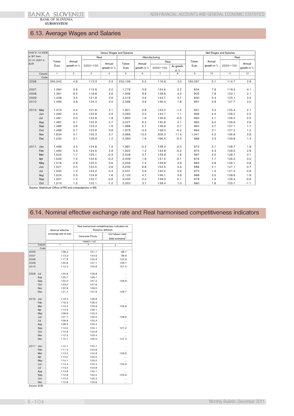## 6.13. Average Wages and Salaries

|               | Until 31.12.2006 |                |                |              |                       | Gross Wages and Salaries |                       |                |                   |         |             | Net Wages and Salaries |                       |
|---------------|------------------|----------------|----------------|--------------|-----------------------|--------------------------|-----------------------|----------------|-------------------|---------|-------------|------------------------|-----------------------|
| in SIT from   |                  |                |                | Real         |                       |                          |                       | Manufacturing  |                   |         |             | Real                   |                       |
| 01.01.2007 in |                  | Tolars         | Annual         |              |                       |                          |                       | Real           |                   | Tolars  | Annual      |                        |                       |
| <b>EUR</b>    |                  | Euro           | arowth in %    | $2000 = 100$ | Annual<br>growth in % | Tolars<br>Euro           | Annual<br>growth in % | $2000 = 100$   | An.growth<br>in % | Euro    | arowth in % | $2000 = 100$           | Annual<br>growth in % |
|               | Column           | $\overline{1}$ | $\overline{2}$ | 3            | $\overline{4}$        | $\overline{5}$           | 6                     | $\overline{7}$ | 8                 | 9       | 10          | 11                     | 12                    |
|               | Code             |                |                |              |                       |                          |                       |                |                   |         |             |                        |                       |
| 2006          |                  | 290,542        | 4.8            | 113.3        | 2.3                   | 252,109                  | 5.5                   | 116.8          | 3.0               | 185,287 | 5.1         | 114.7                  | 2.6                   |
|               |                  |                |                |              |                       |                          |                       |                |                   |         |             |                        |                       |
| 2007          |                  | 1,284          | 5.9            | 115.9        | 2.2                   | 1,778                    | 5.9                   | 134.6          | 2.2               | 834     | 7.9         | 119.5                  | 4.1                   |
| 2008          |                  | 1.391          | 8.4            | 118.8        | 2.6                   | 1.946                    | 9.9                   | 139.6          | 4.0               | 900     | 7.9         | 122.1                  | 2.1                   |
| 2009          |                  | 1.439          | 3.5            | 121.9        | 2.6                   | 2,019                    | 4.6                   | 143.7          | 3.7               | 930     | 3.4         | 125.1                  | 2.5                   |
| 2010          |                  | 1,495          | 3.9            | 124.3        | 2.0                   | 2,096                    | 3.6                   | 146.4          | 1.8               | 967     | 3.9         | 127.7                  | 2.0                   |
|               |                  |                |                |              |                       |                          |                       |                |                   |         |             |                        |                       |
| 2010          | May              | 1,475          | 4.2            | 121.8        | 2.1                   | 1,921                    | 0.8                   | 133.2          | $-1.2$            | 957     | 4.2         | 125.4                  | 2.1                   |
|               | Jun              | 1,492          | 4.4            | 122.8        | 2.5                   | 2,093                    | 3.0                   | 144.7          | 1.1               | 966     | 4.4         | 126.2                  | 2.5                   |
|               | Jul              | 1.481          | 4.0            | 122.8        | 1.9                   | 1,960                    | 1.6                   | 136.6          | $-0.5$            | 960     | 4.1         | 126.4                  | 2.0                   |
|               | Aug              | 1,487          | 5.1            | 122.9        | 2.7                   | 2,027                    | 6.5                   | 140.8          | 4.1               | 965     | 5.0         | 126.6                  | 2.6                   |
|               | Sep              | 1,486          | 3.6            | 123.4        | 1.6                   | 1,989                    | 2.7                   | 138.8          | 0.7               | 964     | 3.7         | 127.1                  | 1.7                   |
|               | Oct              | 1,488          | 2.7            | 123.6        | 0.8                   | 1,978                    | $-3.4$                | 138.0          | $-5.2$            | 964     | 3.1         | 127.2                  | 1.2                   |
|               | Nov              | 1,634          | 4.1            | 135.3        | 2.7                   | 2,966                    | 13.0                  | 206.3          | 11.4              | 1,041   | 4.2         | 136.9                  | 2.8                   |
|               | Dec              | 1,534          | 3.1            | 126.9        | 1.2                   | 2,393                    | 1.6                   | 166.4          | $-0.3$            | 989     | 3.3         | 129.9                  | 1.4                   |
|               |                  |                |                |              |                       |                          |                       |                |                   |         |             |                        |                       |
| 2011          | Jan              | 1.496          | 3.3            | 124.8        | 1.5                   | 1.987                    | $-0.2$                | 139.3          | $-2.0$            | 972     | 3.7         | 128.7                  | 1.9                   |
|               | Feb              | 1,494          | 4.3            | 124.6        | 2.9                   | 1,922                    | 1.2                   | 134.8          | $-0.2$            | 970     | 4.3         | 128.5                  | 2.9                   |
|               | Mar              | 1,524          | 1.7            | 125.1        | $-0.3$                | 2,028                    | 3.7                   | 139.9          | 1.8               | 987     | 2.0         | 128.7                  | 0.1                   |
|               | Apr              | 1,505          | 1.4            | 122.6        | $-0.3$                | 2,009                    | 1.6                   | 137.5          | $-0.1$            | 976     | 1.7         | 126.3                  | 0.0                   |
|               | May              | 1,516          | 2.8            | 122.5        | 0.6                   | 2,059                    | 7.2                   | 139.8          | 4.9               | 983     | 2.8         | 126.1                  | 0.6                   |
|               | Jun              | 1,521          | 2.0            | 123.5        | 0.6                   | 2,235                    | 6.8                   | 152.5          | 5.4               | 986     | 2.1         | 127.1                  | 0.7                   |
|               | Jul              | 1,500          | 1.3            | 123.2        | 0.4                   | 2,031                    | 3.6                   | 140.2          | 2.6               | 975     | 1.5         | 127.2                  | 0.6                   |
|               | Aug              | 1,524          | 2.5            | 124.9        | 1.6                   | 2,123                    | 4.7                   | 146.1          | 3.8               | 988     | 2.5         | 128.6                  | 1.6                   |
|               | Sep              | 1,507          | 1.4            | 122.7        | $-0.6$                | 2,032                    | 2.2                   | 139.0          | 0.1               | 978     | 1.5         | 126.4                  | $-0.6$                |
|               | Oct              | 1,510          | 1.5            | 122.1        | $-1.2$                | 2,052                    | 3.7                   | 139.4          | 1.0               | 980     | 1.6         | 125.7                  | $-1.1$                |

source: Statistical Office of RS and computations in BS.

## 6.14. Nominal effective exchange rate and Real harmonised competitiveness indicators

|             |        |                       | Real harmonised competitiveness indicators for |                   |
|-------------|--------|-----------------------|------------------------------------------------|-------------------|
|             |        | Nominal effective     | Slovenia; deflators                            |                   |
|             |        | exchange rate of euro | <b>Consumer Prices</b>                         | Unit labour costs |
|             |        |                       |                                                | (total economy)   |
|             |        |                       | 1999Q1=100                                     |                   |
|             | Column | 1                     | $\overline{2}$                                 | 3                 |
|             | Code   |                       |                                                |                   |
| 2006        |        | 109.4                 | 101.7                                          | 98.7              |
| 2007        |        | 113.0                 | 103.5                                          | 99.9              |
| 2008        |        | 117.9                 | 105.9                                          | 102.8             |
| 2009        |        | 120.6                 | 107.1                                          | 109.1             |
| 2010        |        | 112.3                 | 105.6                                          | 107.5             |
| 2009        | Jul    | 120.6                 | 106.8                                          | $\ddotsc$         |
|             | Aug    | 120.7                 | 106.7                                          |                   |
|             | Sep    | 122.0                 | 107.2                                          | 108.9             |
|             | Oct    | 123.0                 | 107.6                                          | $\ddotsc$         |
|             | Nov    | 122.9                 | 108.0                                          | $\ddotsc$         |
|             | Dec    | 121.7                 | 107.6                                          | 108.7             |
| 2010        | Jan    | 119.2                 | 106.8                                          | $\ddotsc$         |
|             | Feb    | 116.3                 | 106.5                                          | $\ddotsc$         |
|             | Mar    | 115.2                 | 105.9                                          | 109.8             |
|             | Apr    | 113.5                 | 106.1                                          |                   |
|             | May    | 109.9                 | 105.3                                          | $\ddotsc$         |
|             | Jun    | 107.7                 | 105.0                                          | 108.6             |
|             | Jul    | 109.9                 | 105.4                                          | $\ddotsc$         |
|             | Aug    | 109.5                 | 105.4                                          |                   |
|             | Sep    | 110.0                 | 105.1                                          | 107.2             |
|             | Oct    | 113.8                 | 105.8                                          | $\ddotsc$         |
|             | Nov    | 112.5                 | 105.4                                          |                   |
|             | Dec    | 110.1                 | 105.0                                          | 107.3             |
| 2011        | Jan.   | 110.1                 | 104.7                                          |                   |
|             | Feb    | 111.4                 | 104.6                                          | $\cdots$          |
|             | Mar    | 113.2                 | 104.9                                          | 106.8             |
|             | Apr    | 115.0                 | 105.0                                          | $\cdots$          |
|             | May    | 114.1                 | 105.0                                          | $\cdots$          |
|             | Jun    | 114.4                 | 104.4                                          | 105.9             |
|             | Jul    | 113.4                 | 103.8                                          | $\cdots$          |
|             | Aug    | 113.8                 | 104.1                                          | $\ddotsc$         |
|             | Sep    | 112.8                 | 104.5                                          | 105.6             |
|             | Oct    | 113.3                 | 105.3                                          | $\ddotsc$         |
|             | Nov    | 112.8                 | 105.6                                          |                   |
| Source: ECB |        |                       |                                                |                   |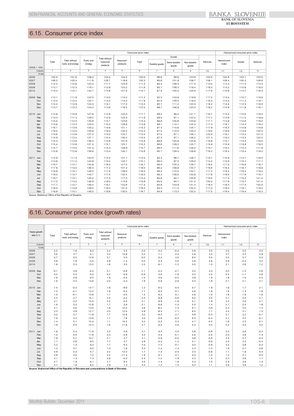## 6.15. Consumer price index

|              | Harmonised consumer price index |                                                         |                     |                      |                      |                      |                |                       |                      |          |                     |       |          |
|--------------|---------------------------------|---------------------------------------------------------|---------------------|----------------------|----------------------|----------------------|----------------|-----------------------|----------------------|----------|---------------------|-------|----------|
|              |                                 |                                                         |                     |                      |                      | Consumer price index |                |                       |                      |          |                     |       |          |
|              |                                 |                                                         |                     | Total without        |                      |                      |                | Goods                 |                      |          |                     |       |          |
| $2005 = 100$ | Total                           | Total without<br>fuels and energy                       | Fuels and<br>energy | seasonal<br>products | Seasonal<br>products | Total                | Durable goods  | Semi-durable<br>goods | Non-durable<br>goods | Services | Harmonised<br>index | Goods | Services |
| Column       | $\overline{1}$                  | $\overline{2}$                                          |                     | $\overline{4}$       | $\overline{5}$       | 6                    | $\overline{7}$ | 8                     | 9                    | 10       | 11                  | 12    | 13       |
| Code         |                                 |                                                         |                     |                      |                      |                      |                |                       |                      |          |                     |       |          |
| 2006         | 102.5                           | 101.6                                                   | 108.2               | 102.4                | 104.5                | 102.0                | 96.8           | 99.6                  | 103.9                | 103.5    | 102.6               | 102.1 | 103.5    |
| 2007         | 106.2                           | 105.4                                                   | 111.6               | 105.7                | 118.9                | 105.3                | 95.8           | 101.8                 | 108.7                | 108.1    | 106.4               | 105.3 | 108.6    |
| 2008         | 112.2                           | 110.6                                                   | 123.4               | 111.7                | 124.9                | 111.5                | 95.4           | 106.3                 | 117.4                | 113.5    | 112.3               | 111.3 | 114.3    |
| 2009         | 113.1                           | 112.3                                                   | 119.1               | 112.8                | 123.2                | 111.6                | 93.1           | 106.3                 | 118.4                | 116.5    | 113.2               | 110.8 | 118.0    |
| 2010         | 115.2                           | 112.7                                                   | 134.7               | 114.8                | 127.5                | 114.1                | 87.4           | 105.0                 | 124.9                | 117.6    | 115.6               | 113.7 | 119.3    |
|              |                                 |                                                         |                     |                      |                      |                      |                |                       |                      |          |                     |       |          |
| 2009<br>Sep  | 113.1                           | 111.9                                                   | 122.0               | 113.0                | 115.2                | 111.2                | 92.3           | 103.6                 | 118.8                | 117.2    | 113.4               | 110.7 | 118.6    |
| Oct          | 113.2                           | 112.2                                                   | 120.7               | 113.2                | 114.4                | 111.8                | 92.0           | 109.5                 | 118.3                | 116.3    | 113.5               | 111.2 | 118.1    |
| Nov          | 114.2                           | 112.9                                                   | 124.5               | 114.1                | 117.0                | 113.3                | 90.7           | 111.2                 | 120.5                | 116.2    | 114.4               | 112.5 | 118.0    |
| Dec          | 113.7                           | 112.3                                                   | 124.3               | 113.6                | 116.5                | 112.5                | 89.7           | 108.9                 | 120.3                | 116.2    | 113.9               | 111.8 | 118.1    |
|              |                                 |                                                         |                     |                      |                      |                      |                |                       |                      |          |                     |       |          |
| 2010<br>Jan  | 112.8                           | 110.9                                                   | 127.8               | 112.6                | 120.0                | 111.1                | 89.2           | 96.4                  | 121.7                | 116.7    | 113.2               | 110.6 | 118.5    |
| Feb          | 113.3                           | 111.3                                                   | 129.0               | 112.9                | 124.3                | 111.6                | 89.0           | 97.1                  | 122.4                | 117.1    | 113.6               | 111.0 | 118.8    |
| Mar          | 114.5                           | 112.4                                                   | 130.8               | 114.1                | 123.6                | 113.3                | 88.6           | 105.8                 | 122.8                | 117.1    | 114.8               | 112.6 | 119.0    |
| Apr          | 115.6                           | 113.3                                                   | 133.5               | 115.3                | 126.8                | 114.8                | 88.1           | 110.1                 | 124.4                | 117.3    | 116.1               | 114.4 | 119.3    |
| May          | 116.1                           | 113.6                                                   | 135.2               | 115.6                | 131.1                | 115.2                | 87.3           | 110.6                 | 125.1                | 117.9    | 116.5               | 114.8 | 119.8    |
| Jun          | 116.4                           | 114.0                                                   | 135.6               | 116.0                | 130.2                | 115.3                | 87.5           | 110.0                 | 125.3                | 119.0    | 116.8               | 114.9 | 120.5    |
| Jul          | 115.6                           | 112.8                                                   | 137.2               | 115.0                | 133.7                | 113.4                | 87.0           | 97.1                  | 126.1                | 120.5    | 116.1               | 113.4 | 121.5    |
| Aug          | 115.9                           | 113.2                                                   | 137.1               | 115.4                | 130.2                | 113.5                | 87.3           | 97.1                  | 126.2                | 121.3    | 116.2               | 113.3 | 122.0    |
| Sep          | 115.3                           | 112.6                                                   | 136.4               | 114.9                | 127.6                | 114.6                | 86.6           | 105.8                 | 125.8                | 116.8    | 115.7               | 114.3 | 118.5    |
| Oct          | 115.4                           | 112.6                                                   | 137.4               | 115.1                | 123.1                | 115.2                | 86.6           | 109.2                 | 125.7                | 115.8    | 115.9               | 114.8 | 118.0    |
| Nov          | 115.7                           | 113.0                                                   | 137.4               | 115.3                | 128.9                | 115.7                | 86.0           | 111.6                 | 126.2                | 115.7    | 116.2               | 115.3 | 117.9    |
| Dec          | 115.8                           | 112.8                                                   | 139.6               | 115.4                | 130.1                | 115.6                | 85.7           | 109.4                 | 126.8                | 116.2    | 116.4               | 115.4 | 118.2    |
|              |                                 |                                                         |                     |                      |                      |                      |                |                       |                      |          |                     |       |          |
| 2011<br>Jan  | 114.9                           | 111.3                                                   | 143.0               | 115.2                | 121.1                | 114.5                | 85.3           | 96.7                  | 128.7                | 115.7    | 115.9               | 114.7 | 118.0    |
| Feb          | 114.9                           | 111.2                                                   | 143.9               | 115.2                | 120.7                | 115.1                | 86.0           | 97.0                  | 129.5                | 114.2    | 115.9               | 115.2 | 117.1    |
| Mar          | 116.7                           | 113.1                                                   | 144.8               | 116.5                | 127.5                | 116.7                | 86.0           | 105.3                 | 129.7                | 116.5    | 117.5               | 116.8 | 118.7    |
| Apr          | 117.6                           | 114.0                                                   | 146.3               | 117.2                | 131.4                | 118.0                | 86.2           | 108.8                 | 130.7                | 116.6    | 118.4               | 118.1 | 118.8    |
| May          | 118.6                           | 115.1                                                   | 146.5               | 117.5                | 139.0                | 119.2                | 86.2           | 110.5                 | 132.1                | 117.2    | 119.4               | 119.3 | 119.4    |
| Jun          | 118.0                           | 114.7                                                   | 143.7               | 117.5                | 132.4                | 118.0                | 86.3           | 108.5                 | 130.8                | 117.8    | 118.6               | 117.9 | 119.7    |
| Jul          | 116.7                           | 113.1                                                   | 145.0               | 117.5                | 117.0                | 115.3                | 85.8           | 94.7                  | 130.6                | 119.5    | 117.3               | 115.4 | 121.0    |
| Aug          | 117.0                           | 113.2                                                   | 146.9               | 118.0                | 115.6                | 115.6                | 85.5           | 94.1                  | 131.2                | 120.0    | 117.6               | 115.7 | 121.4    |
| Sep          | 117.7                           | 114.1                                                   | 146.4               | 118.1                | 122.6                | 117.4                | 85.6           | 103.8                 | 131.3                | 118.4    | 118.3               | 117.2 | 120.5    |
| Oct          | 118.5                           | 114.8                                                   | 148.5               | 118.3                | 131.0                | 119.2                | 85.3           | 111.2                 | 132.2                | 117.0    | 119.3               | 119.1 | 119.4    |
| Nov          | 118.9                           | 115.1                                                   | 149.0               | 118.6                | 130.5                | 119.7                | 84.9           | 113.2                 | 132.5                | 117.0    | 119.4               | 119.4 | 119.3    |
|              |                                 | Source: Statistical Office of the Republic of Slovenia. |                     |                      |                      |                      |                |                       |                      |          |                     |       |          |

## 6.16. Consumer price index (growth rates)

|                            | Consumer price index<br>Harmonised consumer price index |                                   |                     |                                       |                      |        |                |                       |                      |          |                     |        |        |
|----------------------------|---------------------------------------------------------|-----------------------------------|---------------------|---------------------------------------|----------------------|--------|----------------|-----------------------|----------------------|----------|---------------------|--------|--------|
|                            |                                                         |                                   |                     |                                       |                      |        |                |                       |                      |          |                     |        |        |
| Yearly growth<br>rate in % | Total                                                   | Total without<br>fuels and energy | Fuels and<br>energy | Total without<br>seasonal<br>products | Seasonal<br>products | Total  | Durable goods  | Semi-durable<br>goods | Non-durable<br>goods | Services | Harmonised<br>index |        |        |
| Column                     | $\overline{1}$                                          | $\overline{2}$                    |                     | $\overline{4}$                        | $\overline{5}$       | 6      | $\overline{7}$ | 8                     | 9                    | 10       | 11                  | 12     | 13     |
| Code                       |                                                         |                                   |                     |                                       |                      |        |                |                       |                      |          |                     |        |        |
| 2006                       | 2.5                                                     | 1.6                               | 8.2                 | 2.4                                   | 4.5                  | 2.0    | $-3.2$         | $-0.4$                | 3.9                  | 3.5      | 2.5                 | 2.0    | 3.5    |
| 2007                       | 3.6                                                     | 3.7                               | 3.1                 | 3.2                                   | 13.8                 | 3.2    | $-1.1$         | 2.2                   | 4.6                  | 4.5      | 3.7                 | 3.2    | 4.9    |
| 2008                       | 5.7                                                     | 5.0                               | 10.6                | 5.7                                   | 5.0                  | 6.0    | $-0.4$         | 4.5                   | 8.0                  | 5.0      | 5.5                 | 5.7    | 5.3    |
| 2009                       | 0.9                                                     | 1.6                               | $-3.5$              | 0.9                                   | $-1.4$               | 0.0    | $-2.4$         | 0.0                   | 0.8                  | 2.6      | 0.9                 | $-0.4$ | 3.2    |
| 2010                       | 1.8                                                     | 0.3                               | 13.2                | 1.8                                   | 3.5                  | 2.2    | $-6.1$         | $-1.2$                | 5.5                  | 1.0      | 2.1                 | 2.6    | 1.2    |
|                            |                                                         |                                   |                     |                                       |                      |        |                |                       |                      |          |                     |        |        |
| 2009<br>Sep                | $-0.1$                                                  | 0.6                               | $-4.4$              | 0.1                                   | $-5.6$               | $-1.1$ | $-3.2$         | $-2.7$                | 0.0                  | 2.0      | 0.0                 | $-1.3$ | 2.6    |
| Oct                        | 0.0                                                     | 0.5                               | $-3.0$              | 0.2                                   | $-5.9$               | $-0.9$ | $-3.6$         | $-1.6$                | 0.0                  | 2.0      | 0.2                 | $-1.1$ | 2.6    |
| Nov                        | 1.6                                                     | 0.8                               | 8.0                 | 1.8                                   | $-4.5$               | 1.5    | $-3.8$         | $-2.0$                | 3.9                  | 1.9      | 1.8                 | 1.5    | 2.4    |
| <b>Dec</b>                 | 1.8                                                     | 0.3                               | 14.6                | 2.0                                   | $-4.3$               | 1.9    | $-5.8$         | $-2.8$                | 5.3                  | 1.6      | 2.1                 | 2.1    | 2.1    |
|                            |                                                         |                                   |                     |                                       |                      |        |                |                       |                      |          |                     |        |        |
| 2010<br>Jan                | 1.5                                                     | $-0.2$                            | 14.7                | 1.9                                   | $-9.6$               | 1.2    | $-6.0$         | $-4.4$                | 4.7                  | 1.9      | 1.8                 | 1.7    | 2.1    |
| Feb                        | 1.3                                                     | $-0.1$                            | 12.2                | 1.6                                   | $-5.4$               | 1.1    | $-6.5$         | $-4.1$                | 4.6                  | 1.8      | 1.6                 | 1.4    | 1.9    |
| Mar                        | 1.4                                                     | $-0.1$                            | 13.6                | 1.7                                   | $-4.5$               | 1.4    | $-6.4$         | $-3.1$                | 4.8                  | 1.6      | 1.8                 | 1.8    | 1.8    |
| Apr                        | 2.3                                                     | 0.7                               | 15.1                | 2.5                                   | $-2.2$               | 2.5    | $-6.9$         | $-0.6$                | 6.0                  | 2.0      | 2.7                 | 3.0    | 2.1    |
| May                        | 2.1                                                     | 0.3                               | 15.5                | 2.2                                   | $-0.5$               | 2.1    | $-6.9$         | $-1.8$                | 5.7                  | 1.9      | 2.4                 | 2.6    | 2.1    |
| Jun                        | 1.9                                                     | 0.4                               | 12.6                | 1.7                                   | 5.9                  | 2.1    | $-6.6$         | $-1.4$                | 5.4                  | 1.4      | 2.1                 | 2.4    | 1.6    |
| Jul                        | 2.1                                                     | 0.6                               | 13.5                | 1.8                                   | 10.4                 | 2.6    | $-6.2$         | $-1.3$                | 6.1                  | 0.9      | 2.3                 | 3.0    | 1.3    |
| Aug                        | 2.3                                                     | 0.9                               | 12.7                | 2.0                                   | 12.5                 | 2.9    | $-6.3$         | $-1.1$                | 6.5                  | 1.1      | 2.4                 | 3.1    | 1.3    |
| Sep                        | 2.0                                                     | 0.7                               | 11.8                | 1.7                                   | 10.8                 | 3.0    | $-6.2$         | 2.1                   | 5.9                  | $-0.3$   | 2.1                 | 3.2    | $-0.1$ |
| Oct                        | 1.9                                                     | 0.3                               | 13.8                | 1.7                                   | 7.6                  | 3.0    | $-5.9$         | $-0.3$                | 6.3                  | $-0.4$   | 2.1                 | 3.2    | $-0.1$ |
| Nov                        | 1.4                                                     | 0.1                               | 10.4                | 1.1                                   | 10.2                 | 2.2    | $-5.2$         | 0.3                   | 4.7                  | $-0.4$   | 1.6                 | 2.5    | $-0.1$ |
| <b>Dec</b>                 | 1.9                                                     | 0.5                               | 12.3                | 1.6                                   | 11.6                 | 2.7    | $-4.5$         | 0.5                   | 5.4                  | 0.0      | 2.2                 | 3.3    | 0.2    |
|                            |                                                         |                                   |                     |                                       |                      |        |                |                       |                      |          |                     |        |        |
| 2011<br>Jan                | 1.8                                                     | 0.4                               | 11.9                | 2.3                                   | 0.9                  | 3.1    | $-4.3$         | 0.4                   | 5.8                  | $-0.9$   | 2.3                 | 3.8    | $-0.4$ |
| Feb                        | 1.4                                                     | 0.0                               | 11.6                | 2.0                                   | $-2.9$               | 3.2    | $-3.4$         | $-0.1$                | 5.8                  | $-2.5$   | 2.0                 | 3.8    | $-1.4$ |
| Mar                        | 1.9                                                     | 0.7                               | 10.7                | 2.1                                   | 3.1                  | 3.1    | $-2.9$         | $-0.5$                | 5.6                  | $-0.5$   | 2.4                 | 3.7    | $-0.2$ |
| Apr                        | 1.7                                                     | 0.6                               | 9.5                 | 1.7                                   | 3.7                  | 2.8    | $-2.2$         | $-1.2$                | 5.1                  | $-0.6$   | 2.0                 | 3.2    | $-0.4$ |
| May                        | 2.2                                                     | 1.3                               | 8.3                 | 1.7                                   | 6.0                  | 3.4    | $-1.3$         | $-0.1$                | 5.5                  | $-0.6$   | 2.4                 | 3.8    | $-0.3$ |
| Jun                        | 1.3                                                     | 0.7                               | 6.0                 | 1.3                                   | 1.6                  | 2.4    | $-1.4$         | $-1.4$                | 4.3                  | $-1.0$   | 1.6                 | 2.7    | $-0.6$ |
| Jul                        | 0.9                                                     | 0.2                               | 5.7                 | 2.2                                   | $-12.5$              | 1.7    | $-1.4$         | $-2.5$                | 3.5                  | $-0.8$   | 1.1                 | 1.8    | $-0.4$ |
| Aug                        | 0.9                                                     | 0.0                               | 7.2                 | 2.2                                   | $-11.3$              | 1.8    | $-2.1$         | $-3.1$                | 4.0                  | $-1.0$   | 1.2                 | 2.1    | $-0.5$ |
| Sep                        | 2.1                                                     | 1.3                               | 7.3                 | 2.8                                   | $-4.0$               | 2.4    | $-1.2$         | $-1.9$                | 4.3                  | 1.4      | 2.3                 | 2.6    | 1.7    |
| Oct                        | 2.7                                                     | 1.9                               | 8.1                 | 2.7                                   | 6.4                  | 3.5    | $-1.4$         | 1.8                   | 5.2                  | 1.0      | 2.9                 | 3.8    | 1.2    |
| Nov                        | 2.7                                                     | 1.8                               | 8.5                 | 2.9                                   | 1.3                  | 3.4    | $-1.2$         | 1.5                   | 5.0                  | 1.1      | 2.8                 | 3.6    | 1.2    |

**Source: Statistical Office of the Republic of Slovenia and computations in Bank of Slovenia.**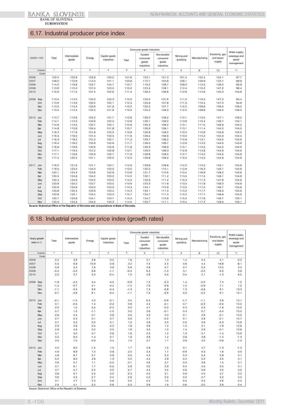## 6.17. Industrial producer price index

|              |            |                |                       |                         |                             |                | Consumer goods industries                  |                                                |                         |                |                                         |                                                      |
|--------------|------------|----------------|-----------------------|-------------------------|-----------------------------|----------------|--------------------------------------------|------------------------------------------------|-------------------------|----------------|-----------------------------------------|------------------------------------------------------|
| $2005 = 100$ |            | Total          | Intermediate<br>goods | Energy                  | Capital goods<br>industries | Total          | Durable<br>consumer<br>goods<br>industries | Non-durable<br>consumer<br>goods<br>industries | Mining and<br>quarrying | Manufacturing  | Electricity, gas<br>and steam<br>supply | Water supply,<br>sewerage and<br>waste<br>management |
|              | Column     | $\overline{1}$ | $\overline{2}$        | $\overline{\mathbf{3}}$ | $\overline{4}$              | $\overline{5}$ | 6                                          | $\overline{7}$                                 | 8                       | 9              | 10                                      | 11                                                   |
|              | Code       |                |                       |                         |                             |                |                                            |                                                |                         |                |                                         |                                                      |
| 2006         |            | 102.4          | 103.9                 | 102.8                   | 100.2                       | 101.6          | 103.1                                      | 101.3                                          | 101.4                   | 102.4          | 104.1                                   | 97.7                                                 |
| 2007         |            | 108.0          | 110.9                 | 114.0                   | 101.1                       | 104.8          | 110.7                                      | 103.8                                          | 106.1                   | 106.9          | 123.7                                   | 89.8                                                 |
| 2008         |            | 114.0          | 116.8                 | 122.7                   | 104.7                       | 110.7          | 116.2                                      | 109.7                                          | 109.0                   | 112.5          | 136.0                                   | 92.9                                                 |
| 2009         |            | 113.6          | 113.0                 | 131.0                   | 103.0                       | 110.2          | 123.4                                      | 108.1                                          | 112.4                   | 110.2          | 147.2                                   | 96.4                                                 |
| 2010         |            | 115.9          | 117.2                 | 131.5                   | 102.6                       | 111.4          | 128.2                                      | 108.6                                          | 112.9                   | 112.6          | 145.3                                   | 104.6                                                |
|              |            |                |                       |                         |                             |                |                                            |                                                |                         |                |                                         |                                                      |
| 2009 Sep     |            | 113.4          | 113.3                 | 130.3                   | 102.3                       | 110.0          | 125.0                                      | 107.6                                          | 111.5                   | 110.2          | 147.2                                   | 94.4                                                 |
|              | Oct        | 113.6          | 113.6                 | 130.2                   | 102.1                       | 110.3          | 125.8                                      | 107.8                                          | 111.5                   | 110.4          | 147.0                                   | 94.6                                                 |
|              | Nov        | 113.5          | 112.4                 | 132.6                   | 101.9                       | 110.2          | 125.2                                      | 107.7                                          | 112.0                   | 109.8          | 146.5                                   | 106.0                                                |
|              | Dec        | 113.5          | 112.4                 | 132.3                   | 101.8                       | 110.5          | 125.2                                      | 108.0                                          | 112.0                   | 109.8          | 146.0                                   | 106.0                                                |
|              |            |                |                       |                         |                             |                |                                            |                                                |                         |                |                                         |                                                      |
| 2010 Jan     |            | 113.7          | 112.6                 | 133.2                   | 101.7                       | 110.8          | 126.3                                      | 108.2                                          | 112.1                   | 110.0          | 147.1                                   | 106.0                                                |
|              | Feb        | 114.1<br>114.6 | 113.3<br>114.5        | 132.6<br>132.7          | 102.2<br>102.1              | 110.8<br>110.8 | 126.1<br>126.3                             | 108.2<br>108.2                                 | 113.6<br>113.1          | 110.4<br>111.0 | 146.7<br>146.9                          | 104.1<br>104.5                                       |
|              | Mar        | 114.8          | 115.6                 | 130.4                   | 101.8                       | 110.7          | 126.6                                      |                                                | 113.1                   | 111.4          | 144.0                                   | 104.5                                                |
|              | Apr        |                |                       |                         |                             |                |                                            | 108.1                                          |                         |                |                                         |                                                      |
|              | May        | 116.2          | 117.8                 | 131.8                   | 103.5                       | 110.9          | 126.6                                      | 108.2                                          | 113.0                   | 112.8          | 145.8                                   | 104.5                                                |
|              | Jun        | 116.5          | 118.0                 | 131.4                   | 103.5                       | 111.6          | 129.4                                      | 108.6                                          | 113.0                   | 113.2          | 145.3                                   | 104.5                                                |
|              | Jul        | 116.3<br>116.4 | 118.2<br>118.2        | 131.2<br>130.8          | 102.7<br>102.9              | 111.3<br>111.7 | 129.7<br>129.5                             | 108.2<br>108.7                                 | 112.8                   | 113.1          | 145.0<br>144.5                          | 104.6                                                |
|              | Aug        |                |                       | 130.6                   | 102.9                       |                | 129.3                                      | 108.9                                          | 112.6                   | 113.2          | 144.2                                   | 104.6                                                |
|              | Sep        | 116.6          | 118.6                 |                         |                             | 111.8          |                                            |                                                | 113.1                   | 113.5          |                                         | 104.6                                                |
|              | Oct        | 117.1          | 119.3                 | 131.2                   | 102.8                       | 112.1          | 129.0                                      | 109.3                                          | 112.9                   | 113.9          | 144.9                                   | 104.6                                                |
|              | Nov        | 117.1          | 119.6                 | 130.8                   | 102.7                       | 111.9          | 129.6                                      | 109.0                                          | 112.7                   | 114.0          | 144.5                                   | 104.6                                                |
|              | Dec        | 117.4          | 120.2                 | 131.1                   | 102.2                       | 112.2          | 129.8                                      | 109.2                                          | 113.0                   | 114.3          | 144.8                                   | 104.6                                                |
| 2011         |            | 118.2          |                       |                         |                             |                |                                            |                                                |                         |                |                                         | 104.6                                                |
|              | Jan<br>Feb |                | 121.6                 | 131.1                   | 102.7                       | 112.6          | 129.8                                      | 109.8                                          | 112.2                   | 115.2          | 145.1                                   |                                                      |
|              | Mar        | 119.5          | 123.5                 | 134.3                   | 103.0                       | 113.0          | 130.3                                      | 110.1                                          | 112.6                   | 116.3          | 149.1<br>148.2                          | 104.6                                                |
|              |            | 120.1          | 124.4                 | 133.6                   | 102.9                       | 113.6          | 131.7                                      | 110.6                                          | 113.4                   | 116.9          | 149.1                                   | 104.6<br>104.6                                       |
|              | Apr        | 120.5<br>120.3 | 124.8                 | 134.2<br>133.2          | 103.2<br>103.0              | 114.2          | 132.1<br>132.6                             | 111.2                                          | 113.4<br>113.3          | 117.4<br>117.2 | 147.8                                   | 104.6                                                |
|              | May        | 120.8          | 124.6<br>125.2        | 133.7                   | 103.0                       | 114.2<br>114.9 | 133.3                                      | 111.2<br>111.8                                 | 113.5                   | 117.8          | 148.3                                   | 104.6                                                |
|              | Jun<br>Jul | 120.6          | 124.9                 | 134.0                   | 103.2                       | 114.3          | 134.1                                      | 110.9                                          | 113.5                   | 117.5          | 148.7                                   | 104.8                                                |
|              |            | 120.8          | 125.4                 | 133.9                   | 103.4                       | 114.3          | 134.1                                      | 111.0                                          | 113.2                   | 117.7          | 148.5                                   | 104.9                                                |
|              | Aug        |                |                       |                         |                             |                |                                            |                                                |                         |                |                                         |                                                      |
|              | Sep<br>Oct | 120.8<br>120.7 | 125.1                 | 134.2                   | 103.3                       | 114.7          | 134.7                                      | 111.3                                          | 113.2                   | 117.7          | 148.8                                   | 104.9                                                |
|              |            |                | 124.9                 | 134.1                   | 103.7                       | 114.3          | 134.7                                      | 110.9                                          | 113.4                   | 117.6          | 148.7                                   | 105.1                                                |
|              | Nov        | 120.5          | 124.5                 | 134.0                   | 103.3                       | 114.5          | 134.7                                      | 111.1                                          | 113.4                   | 117.3          | 148.5                                   | 105.1                                                |

**Source: Statistical Office of the Republic of Slovenia and computations in Bank of Slovenia.**

## 6.18. Industrial producer price index (growth rates)

|                             |              |                       |                         |                             |                | Consumer goods industries                  |                                                |                         |               |                                         |                                                      |
|-----------------------------|--------------|-----------------------|-------------------------|-----------------------------|----------------|--------------------------------------------|------------------------------------------------|-------------------------|---------------|-----------------------------------------|------------------------------------------------------|
| Yearly growth<br>rates in % | Total        | Intermediate<br>goods | Energy                  | Capital goods<br>industries | Total          | Durable<br>consumer<br>goods<br>industries | Non-durable<br>consumer<br>goods<br>industries | Mining and<br>quarrying | Manufacturing | Electricity, gas<br>and steam<br>supply | Water supply,<br>sewerage and<br>waste<br>management |
| Column                      | $\mathbf{1}$ | $\overline{2}$        | $\overline{\mathbf{3}}$ | $\overline{4}$              | $\overline{5}$ | 6                                          | $\overline{7}$                                 | 8                       | 9             | 10                                      | 11                                                   |
|                             | Code         |                       |                         |                             |                |                                            |                                                |                         |               |                                         |                                                      |
| 2006                        | 2.4          | 3.9                   | 2.8                     | 0.2                         | 1.6            | 3.1                                        | 1.3                                            | 1.4                     | 2.4           | 4.1                                     | $-2.3$                                               |
| 2007                        | 5.5          | 6.8                   | 10.9                    | 0.9                         | 3.2            | 7.4                                        | 2.4                                            | 4.6                     | 4.4           | 18.8                                    | $-8.1$                                               |
| 2008                        | 5.6          | 5.3                   | 7.6                     | 3.6                         | 5.6            | 4.9                                        | 5.7                                            | 2.7                     | 5.2           | 10.0                                    | 3.4                                                  |
| 2009                        | $-0.4$       | $-3.2$                | 6.8                     | $-1.7$                      | $-0.4$         | 6.2                                        | $-1.5$                                         | 3.1                     | $-2.0$        | 8.2                                     | 3.8                                                  |
| 2010                        | 2.0          | 3.7                   | 0.3                     | $-0.4$                      | 1.0            | 3.9                                        | 0.5                                            | 0.4                     | 2.1           | $-1.3$                                  | 8.5                                                  |
|                             |              |                       |                         |                             |                |                                            |                                                |                         |               |                                         |                                                      |
| 2009 Sep                    | $-1.6$       | $-4.5$                | 5.4                     | $-4.5$                      | $-0.9$         | 7.2                                        | $-2.3$                                         | 1.4                     | $-3.2$        | 7.4                                     | 1.0                                                  |
| Oct                         | $-1.4$       | $-3.7$                | 5.1                     | $-4.4$                      | $-1.2$         | 7.9                                        | $-2.8$                                         | 1.0                     | $-2.9$        | 7.1                                     | 1.2                                                  |
| Nov                         | $-1.1$       | $-3.4$                | 6.6                     | $-4.4$                      | $-1.3$         | 7.4                                        | $-2.8$                                         | 1.3                     | $-2.8$        | 6.1                                     | 13.3                                                 |
| <b>Dec</b>                  | $-0.7$       | $-2.6$                | 6.1                     | $-3.4$                      | $-1.1$         | 7.4                                        | $-2.6$                                         | 0.0                     | $-2.2$        | 6.1                                     | 12.1                                                 |
|                             |              |                       |                         |                             |                |                                            |                                                |                         |               |                                         |                                                      |
| 2010 Jan                    | $-0.1$       | $-1.5$                | 4.3                     | $-3.1$                      | 0.4            | 6.4                                        | $-0.6$                                         | $-1.7$                  | $-1.1$        | 3.9                                     | 12.1                                                 |
| Feb                         | 0.1          | $-0.5$                | 1.4                     | $-2.2$                      | 0.6            | 4.4                                        | $-0.1$                                         | 0.7                     | $-0.3$        | $-0.5$                                  | 10.0                                                 |
| Mar                         | 0.5          | 1.0                   | 0.5                     | $-2.2$                      | 0.5            | 4.7                                        | $-0.2$                                         | 0.3                     | 0.3           | $-1.6$                                  | 10.5                                                 |
| Apr                         | 0.7          | 1.5                   | $-1.1$                  | $-1.0$                      | 0.5            | 3.6                                        | $-0.1$                                         | 0.3                     | 0.7           | $-3.4$                                  | 10.5                                                 |
| May                         | 2.6          | 5.4                   | 0.1                     | 0.8                         | 0.5            | 3.2                                        | 0.0                                            | 0.1                     | 2.9           | $-2.1$                                  | 10.5                                                 |
| Jun                         | 2.7          | 5.3                   | 0.1                     | 0.7                         | 0.5            | 3.7                                        | $-0.2$                                         | 0.1                     | 2.9           | $-2.1$                                  | 10.7                                                 |
| Jul                         | 2.7          | 5.2                   | 0.0                     | 0.1                         | 1.0            | 3.9                                        | 0.5                                            | 0.5                     | 2.9           | $-2.3$                                  | 10.8                                                 |
| Aug                         | 2.9          | 4.8                   | 0.4                     | 0.2                         | 1.8            | 3.6                                        | 1.4                                            | 1.0                     | 3.1           | $-1.8$                                  | 10.8                                                 |
| Sep                         | 2.8          | 4.6                   | 0.2                     | 0.5                         | 1.6            | 3.5                                        | 1.2                                            | 1.4                     | 2.9           | $-2.1$                                  | 10.8                                                 |
| Oct                         | 3.1          | 5.0                   | 0.7                     | 0.6                         | 1.6            | 2.5                                        | 1.4                                            | 1.3                     | 3.1           | $-1.4$                                  | 10.6                                                 |
| Nov                         | 3.2          | 6.4                   | $-1.4$                  | 0.7                         | 1.6            | 3.6                                        | 1.2                                            | 0.6                     | 3.8           | $-1.4$                                  | $-1.3$                                               |
| <b>Dec</b>                  | 3.5          | 7.0                   | $-0.9$                  | 0.4                         | 1.5            | 3.7                                        | 1.1                                            | 0.9                     | 4.0           | $-0.8$                                  | $-1.3$                                               |
|                             |              |                       |                         |                             |                |                                            |                                                |                         |               |                                         |                                                      |
| 2010 Jan                    | 4.0          | 8.0                   | $-1.5$                  | 1.0                         | 1.7            | 2.8                                        | 1.5                                            | 0.1                     | 4.7           | $-1.3$                                  | $-1.3$                                               |
| Feb                         | 4.8          | 8.9                   | 1.3                     | 0.8                         | 2.0            | 3.4                                        | 1.7                                            | $-0.9$                  | 5.3           | 1.6                                     | 0.5                                                  |
| Mar                         | 4.8          | 8.7                   | 0.7                     | 0.8                         | 2.5            | 4.3                                        | 2.2                                            | 0.3                     | 5.3           | 0.9                                     | 0.1                                                  |
| Apr                         | 5.0          | 8.0                   | 2.9                     | 1.3                         | 3.2            | 4.4                                        | 2.9                                            | 0.2                     | 5.3           | 3.5                                     | 0.1                                                  |
| May                         | 3.6          | 5.7                   | 1.1                     | $-0.5$                      | 3.1            | 4.8                                        | 2.7                                            | 0.2                     | 3.9           | 1.4                                     | 0.1                                                  |
| Jun                         | 3.7          | 6.1                   | 1.7                     | $-0.5$                      | 2.9            | 3.0                                        | 2.9                                            | 0.4                     | 4.0           | 2.0                                     | 0.1                                                  |
| Jul                         | 3.7          | 5.7                   | 2.2                     | 0.5                         | 2.7            | 3.4                                        | 2.5                                            | 0.6                     | 3.9           | 2.5                                     | 0.2                                                  |
| Aug                         | 3.8          | 6.1                   | 2.4                     | 0.5                         | 2.3            | 3.5                                        | 2.1                                            | 0.6                     | 4.0           | 2.7                                     | 0.3                                                  |
| Sep                         | 3.6          | 5.5                   | 2.7                     | 0.4                         | 2.6            | 4.2                                        | 2.3                                            | 0.2                     | 3.7           | 3.2                                     | 0.3                                                  |
| Oct                         | 3.1          | 4.7                   | 2.3                     | 0.9                         | 2.0            | 4.4                                        | 1.5                                            | 0.4                     | 3.2           | 2.6                                     | 0.4                                                  |
| Nov                         | 2.9          | 4.1                   | 2.5                     | 0.6                         | 2.3            | 3.9                                        | 1.9                                            | 0.6                     | 3.0           | 2.8                                     | 0.4                                                  |

Source: Statistical Office of the Republic of Slovenia.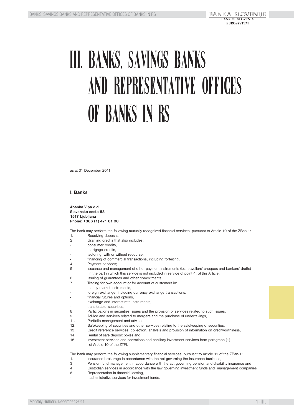# III. BANKS, SAVINGS BANKS AND REPRESENTATIVE OFFICES OF BANKS IN RS

as at 31 December 2011

### **I. Banks**

**Abanka Vipa d.d. Slovenska cesta 58 1517 Ljubljana Phone: +386 (1) 471 81 00**

The bank may perform the following mutually recognized financial services, pursuant to Article 10 of the ZBan-1:

- 1. Receiving deposits<br>2. Granting credits that
- 2. Granting credits that also includes:
- consumer credits,
- mortgage credits.
- factoring, with or without recourse,
- financing of commercial transactions, including forfeiting,
- 4. Payment services;
- 5. Issuance and management of other payment instruments (i.e. travellers' cheques and bankers' drafts) in the part in which this service is not included in service of point 4. of this Article;
- 6. Issuing of guarantees and other commitments,
- 7. Trading for own account or for account of customers in:
- money market instruments,
- foreign exchange, including currency exchange transactions,
- financial futures and options,
- exchange and interest-rate instruments,
- transferable securities.
- 8. Participations in securities issues and the provision of services related to such issues,
- 9. Advice and services related to mergers and the purchase of undertakings,
- 11. Portfolio management and advice,
- 12. Safekeeping of securities and other services relating to the safekeeping of securities,<br>13. Credit reference services: collection, analysis and provision of information on creditw
- Credit reference services: collection, analysis and provision of information on creditworthiness,
- 14. Rental of safe deposit boxes and
- 15. Investment services and operations and ancillary investment services from paragraph (1) of Article 10 of the ZTFI.

The bank may perform the following supplementary financial services, pursuant to Article 11 of the ZBan-1:

- 1. Insurance brokerage in accordance with the act governing the insurance business,
- 3. Pension fund management in accordance with the act governing pension and disability insurance and
- 4. Custodian services in accordance with the law governing investment funds and management companies
- 6. Representation in financial leasing,
- administrative services for investment funds.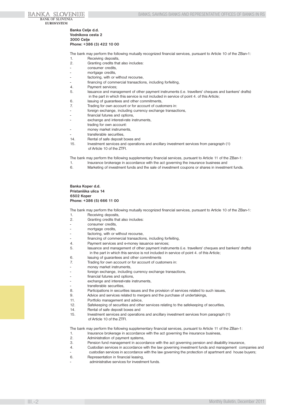#### **Banka Celje d.d. Vodnikova cesta 2 3000 Celje Phone: +386 (3) 422 10 00**

The bank may perform the following mutually recognized financial services, pursuant to Article 10 of the ZBan-1: 1. Receiving deposits,

- 2. Granting credits that also includes:
- consumer credits,
- mortgage credits,
- factoring, with or without recourse,
- financing of commercial transactions, including forfeiting
- 4. Payment services;
- 5. Issuance and management of other payment instruments (i.e. travellers' cheques and bankers' drafts) in the part in which this service is not included in service of point 4. of this Article;
- 6. Issuing of guarantees and other commitments,
- 7. Trading for own account or for account of customers in:
- foreign exchange, including currency exchange transactions,
- financial futures and options.
- exchange and interest-rate instruments,
- trading for own account:
- money market instruments
- transferable securities.
- 14. Rental of safe deposit boxes and
- 15. Investment services and operations and ancillary investment services from paragraph (1) of Article 10 of the ZTFI.

The bank may perform the following supplementary financial services, pursuant to Article 11 of the ZBan-1:

- 1. Insurance brokerage in accordance with the act governing the insurance business and
- 6. Marketing of investment funds and the sale of investment coupons or shares in investment funds.

#### **Banka Koper d.d. Pristaniška ulica 14 6502 Koper Phone: +386 (5) 666 11 00**

The bank may perform the following mutually recognized financial services, pursuant to Article 10 of the ZBan-1: 1. Receiving deposits,

- 2. Granting credits that also includes:
- consumer credits,
- mortgage credits.
- factoring, with or without recourse,
- financing of commercial transactions, including forfeiting,
- 4. Payment services and e-money issuance services;
- 5. Issuance and management of other payment instruments (i.e. travellers' cheques and bankers' drafts) in the part in which this service is not included in service of point 4. of this Article;
- 6. Issuing of guarantees and other commitments
- 7. Trading for own account or for account of customers in:
- money market instruments.
- foreign exchange, including currency exchange transactions,
- financial futures and options.
- exchange and interest-rate instruments,
- transferable securities
- 8. Participations in securities issues and the provision of services related to such issues,
- 9. Advice and services related to mergers and the purchase of undertakings,
- 11. Portfolio management and advice,
- 12. Safekeeping of securities and other services relating to the safekeeping of securities,
- 14. Rental of safe deposit boxes and
- 15. Investment services and operations and ancillary investment services from paragraph (1) of Article 10 of the ZTFI.

The bank may perform the following supplementary financial services, pursuant to Article 11 of the ZBan-1:

- 1. Insurance brokerage in accordance with the act governing the insurance business,
- 2. Administration of payment systems,
- 3. Pension fund management in accordance with the act governing pension and disability insurance,
- 4. Custodian services in accordance with the law governing investment funds and management companies and
	- custodian services in accordance with the law governing the protection of apartment and house buyers;
- 6. Representation in financial leasing,
- administrative services for investment funds.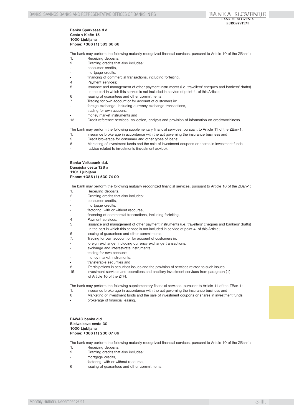

**Banka Sparkasse d.d. Cesta v Kleče 15 1000 Ljubljana Phone: +386 (1) 583 66 66**

The bank may perform the following mutually recognized financial services, pursuant to Article 10 of the ZBan-1: 1. Receiving deposits,

- 2. Granting credits that also includes:
- consumer credits,
- mortgage credits,
- financing of commercial transactions, including forfeiting,
- 4. Payment services;
- 5. Issuance and management of other payment instruments (i.e. travellers' cheques and bankers' drafts) in the part in which this service is not included in service of point 4. of this Article;
- 6. Issuing of guarantees and other commitments,
- 7. Trading for own account or for account of customers in:
- foreign exchange, including currency exchange transactions,
- trading for own account:
- money market instruments and
- 13. Credit reference services: collection, analysis and provision of information on creditworthiness.

The bank may perform the following supplementary financial services, pursuant to Article 11 of the ZBan-1: 1. Insurance brokerage in accordance with the act governing the insurance business and

- 5. Credit brokerage for consumer and other types of loans;
- 6. Marketing of investment funds and the sale of investment coupons or shares in investment funds,
- advice related to investments (investment advice).

**Banka Volksbank d.d. Dunajska cesta 128 a 1101 Ljubljana Phone: +386 (1) 530 74 00**

The bank may perform the following mutually recognized financial services, pursuant to Article 10 of the ZBan-1: 1. Receiving deposits,

- 2. Granting credits that also includes:
- 
- consumer credits, mortgage credits.
- 
- factoring, with or without recourse,
- financing of commercial transactions, including forfeiting,<br>4. Payment services:
- Payment services;

5. Issuance and management of other payment instruments (i.e. travellers' cheques and bankers' drafts) in the part in which this service is not included in service of point 4. of this Article;

- 6. Issuing of guarantees and other commitments,
- 7. Trading for own account or for account of customers in:
- foreign exchange, including currency exchange transactions.
- exchange and interest-rate instruments,
- trading for own account:
- money market instruments,
- transferable securities and
- 8. Participations in securities issues and the provision of services related to such issues,
- 15. Investment services and operations and ancillary investment services from paragraph (1) of Article 10 of the ZTFI.

The bank may perform the following supplementary financial services, pursuant to Article 11 of the ZBan-1: 1. Insurance brokerage in accordance with the act governing the insurance business and

- 6. Marketing of investment funds and the sale of investment coupons or shares in investment funds,
- brokerage of financial leasing.

**BAWAG banka d.d. Bleiweisova cesta 30 1000 Ljubljana Phone: +386 (1) 230 07 06**

The bank may perform the following mutually recognized financial services, pursuant to Article 10 of the ZBan-1:

- 1. Receiving deposits,
- 2. Granting credits that also includes:
- mortgage credits.
- factoring, with or without recourse,<br>6. Saling of quarantees and other co
- 6. Issuing of guarantees and other commitments,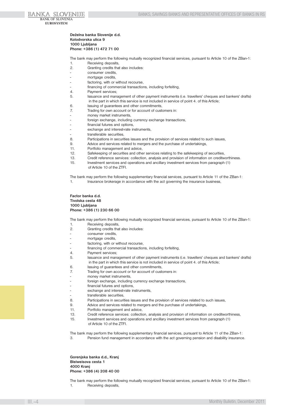**Deželna banka Slovenije d.d. Kolodvorska ulica 9 1000 Ljubljana Phone: +386 (1) 472 71 00**

The bank may perform the following mutually recognized financial services, pursuant to Article 10 of the ZBan-1:

- 1. Receiving deposits,
- 2. Granting credits that also includes:
- consumer credits.
- mortgage credits,
- factoring, with or without recourse.
- financing of commercial transactions, including forfeiting,
- 4. Payment services;
- 5. Issuance and management of other payment instruments (i.e. travellers' cheques and bankers' drafts) in the part in which this service is not included in service of point 4. of this Article;<br>6. Issuing of quarantees and other commitments.
- Issuing of guarantees and other commitments.
- 7. Trading for own account or for account of customers in:
- money market instruments.
- foreign exchange, including currency exchange transactions,
- financial futures and options.
- exchange and interest-rate instruments
- transferable securities,<br>8. Participations in securities
- Participations in securities issues and the provision of services related to such issues.
- 9. Advice and services related to mergers and the purchase of undertakings,
- 11. Portfolio management and advice,
- 12. Safekeeping of securities and other services relating to the safekeeping of securities,
- 13. Credit reference services: collection, analysis and provision of information on creditworthiness.
- 15. Investment services and operations and ancillary investment services from paragraph (1) of Article 10 of the ZTFI.

The bank may perform the following supplementary financial services, pursuant to Article 11 of the ZBan-1: 1. Insurance brokerage in accordance with the act governing the insurance business,

**Factor banka d.d. Tivolska cesta 48 1000 Ljubljana Phone: +386 (1) 230 66 00**

The bank may perform the following mutually recognized financial services, pursuant to Article 10 of the ZBan-1:

- 1. Receiving deposits<br>2. Granting credits that 2. Granting credits that also includes:
- consumer credits,
- mortgage credits.
- factoring, with or without recourse
- financing of commercial transactions, including forfeiting,
- 4. Payment services;
- 5. Issuance and management of other payment instruments (i.e. travellers' cheques and bankers' drafts) in the part in which this service is not included in service of point 4. of this Article;
- 6. Issuing of guarantees and other commitments,
- 7. Trading for own account or for account of customers in:
- money market instruments,
- foreign exchange, including currency exchange transactions,
- financial futures and options
- exchange and interest-rate instruments,
- transferable securities,
- 8. Participations in securities issues and the provision of services related to such issues,
- 9. Advice and services related to mergers and the purchase of undertakings,
- 11 Portfolio management and advice
- 13. Credit reference services: collection, analysis and provision of information on creditworthiness,
- 15. Investment services and operations and ancillary investment services from paragraph (1) of Article 10 of the ZTFI.

The bank may perform the following supplementary financial services, pursuant to Article 11 of the ZBan-1: 3. Pension fund management in accordance with the act governing pension and disability insurance.

**Gorenjska banka d.d., Kranj Bleiweisova cesta 1 4000 Kranj Phone: +386 (4) 208 40 00**

The bank may perform the following mutually recognized financial services, pursuant to Article 10 of the ZBan-1: 1. Receiving deposits,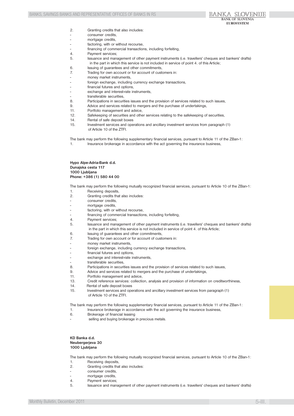

- 2. Granting credits that also includes:
- consumer credits,
- mortgage credits.
- factoring, with or without recourse,
- financing of commercial transactions, including forfeiting,
- 4. Payment services;
- 5. Issuance and management of other payment instruments (i.e. travellers' cheques and bankers' drafts) in the part in which this service is not included in service of point 4. of this Article;
- 6. Issuing of guarantees and other commitments,
- 7. Trading for own account or for account of customers in:
- money market instruments,
- foreign exchange, including currency exchange transactions,
- financial futures and options,
- exchange and interest-rate instruments,
- transferable securities.
- 8. Participations in securities issues and the provision of services related to such issues,
- 9. Advice and services related to mergers and the purchase of undertakings,
- 11. Portfolio management and advice,
- 12. Safekeeping of securities and other services relating to the safekeeping of securities,
- 14. Rental of safe deposit boxes
- 15. Investment services and operations and ancillary investment services from paragraph (1) of Article 10 of the ZTFI.

The bank may perform the following supplementary financial services, pursuant to Article 11 of the ZBan-1: 1. Insurance brokerage in accordance with the act governing the insurance business,

#### **Hypo Alpe-Adria-Bank d.d. Dunajska cesta 117 1000 Ljubljana Phone: +386 (1) 580 44 00**

The bank may perform the following mutually recognized financial services, pursuant to Article 10 of the ZBan-1:

- 1. Receiving deposits,
- 2. Granting credits that also includes:
- consumer credits, mortgage credits.
- factoring, with or without recourse,
- financing of commercial transactions, including forfeiting,<br>4. Payment services:
- Payment services;
- 5. Issuance and management of other payment instruments (i.e. travellers' cheques and bankers' drafts) in the part in which this service is not included in service of point 4. of this Article;
- 6. Issuing of guarantees and other commitments,
- 7. Trading for own account or for account of customers in:
- money market instruments
- foreign exchange, including currency exchange transactions,
- financial futures and options
- exchange and interest-rate instruments,
- transferable securities,
- 8. Participations in securities issues and the provision of services related to such issues,
- 9. Advice and services related to mergers and the purchase of undertakings,
- 11. Portfolio management and advice,
- 13. Credit reference services: collection, analysis and provision of information on creditworthiness,
- 14. Rental of safe deposit boxes
- 15. Investment services and operations and ancillary investment services from paragraph (1) of Article 10 of the ZTFI.

The bank may perform the following supplementary financial services, pursuant to Article 11 of the ZBan-1:

- 1. Insurance brokerage in accordance with the act governing the insurance business,
- 6. Brokerage of financial leasing
- selling and buying brokerage in precious metals.

#### **KD Banka d.d. Neubergerjeva 30 1000 Ljubljana**

The bank may perform the following mutually recognized financial services, pursuant to Article 10 of the ZBan-1: 1. Receiving deposits,

- 2. Granting credits that also includes:
- consumer credits,
- mortgage credits,
- 4. Payment services;
- 5. Issuance and management of other payment instruments (i.e. travellers' cheques and bankers' drafts)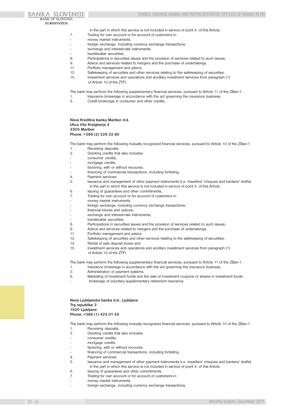- in the part in which this service is not included in service of point 4. of this Article;
- 7. Trading for own account or for account of customers in:
- money market instruments.
- foreign exchange, including currency exchange transactions,
- exchange and interest-rate instruments.
- transferable securities.
- 8. Participations in securities issues and the provision of services related to such issues,
- 9. Advice and services related to mergers and the purchase of undertakings,
- 11. Portfolio management and advice,
- 12. Safekeeping of securities and other services relating to the safekeeping of securities,
- 15. Investment services and operations and ancillary investment services from paragraph (1) of Article 10 of the ZTFI.

The bank may perform the following supplementary financial services, pursuant to Article 11 of the ZBan-1:

- 1. Insurance brokerage in accordance with the act governing the insurance business,
- 5. Credit brokerage in consumer and other credits.

**Nova Kreditna banka Maribor d.d. Ulica Vita Kraigherja 4 2505 Maribor Phone: +386 (2) 229 22 90**

The bank may perform the following mutually recognized financial services, pursuant to Article 10 of the ZBan-1:

- 1. Receiving deposits,
- 2. Granting credits that also includes:
- consumer credits,
- mortgage credits,
- factoring, with or without recourse,
- financing of commercial transactions, including forfeiting,
- 4. Payment services;
- 5. Issuance and management of other payment instruments (i.e. travellers' cheques and bankers' drafts) in the part in which this service is not included in service of point 4. of this Article;<br>6. Issuing of guarantees and other commitments,
- 6. Issuing of guarantees and other commitments,
- 7. Trading for own account or for account of customers in:
- money market instruments,
- foreign exchange, including currency exchange transactions,
- financial futures and options,
- exchange and interest-rate instruments,
- transferable securities
- 8. Participations in securities issues and the provision of services related to such issues,
- 9. Advice and services related to mergers and the purchase of undertakings,
- 11. Portfolio management and advice,
- 12. Safekeeping of securities and other services relating to the safekeeping of securities,
- 14. Rental of safe deposit boxes and
- 15. Investment services and operations and ancillary investment services from paragraph (1) of Article 10 of the ZTFI.

The bank may perform the following supplementary financial services, pursuant to Article 11 of the ZBan-1:

- 1. Insurance brokerage in accordance with the act governing the insurance business,
- 2. Administration of payment systems,
- 6. Marketing of investment funds and the sale of investment coupons or shares in investment funds:
- brokerage of voluntary supplementary retirement insurance.

**Nova Ljubljanska banka d.d., Ljubljana Trg republike 2 1520 Ljubljana Phone: +386 (1) 425 01 55**

The bank may perform the following mutually recognized financial services, pursuant to Article 10 of the ZBan-1: 1. Receiving deposits,

- 2. Granting credits that also includes:
- consumer credits,
- mortgage credits.
- factoring, with or without recourse,
- financing of commercial transactions, including forfeiting,
- 4. Payment services;
- 5. Issuance and management of other payment instruments (i.e. travellers' cheques and bankers' drafts) in the part in which this service is not included in service of point 4. of this Article;
- 6. Issuing of guarantees and other commitments,
- 7. Trading for own account or for account of customers in:
- money market instruments.
- foreign exchange, including currency exchange transactions,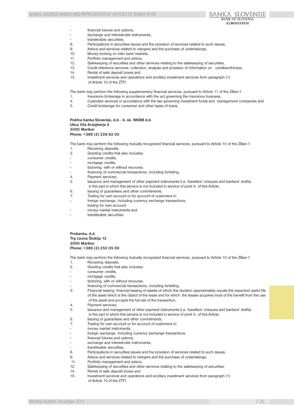

- financial futures and options,
- exchange and interest-rate instruments,
- transferable securities.
- 8. Participations in securities issues and the provision of services related to such issues,
- 9. Advice and services related to mergers and the purchase of undertakings,<br>10. Money broking on inter bank markets,
- Money broking on inter bank markets.
- 11 Portfolio management and advice
- 12. Safekeeping of securities and other services relating to the safekeeping of securities,
- 13. Credit reference services: collection, analysis and provision of information on creditworthiness,
- 14. Rental of safe deposit boxes and
- 15. Investment services and operations and ancillary investment services from paragraph (1) of Article 10 of the ZTFI.

The bank may perform the following supplementary financial services, pursuant to Article 11 of the ZBan-1:

- 1. Insurance brokerage in accordance with the act governing the insurance business,
- 4. Custodian services in accordance with the law governing investment funds and management companies and<br>5. Credit brokerage for consumer and other types of loans.
- 5. Credit brokerage for consumer and other types of loans.

**Poštna banka Slovenije, d.d. - b. sk. NKBM d.d. Ulica Vita Kraigherja 5 2000 Maribor Phone: +386 (2) 228 82 00**

The bank may perform the following mutually recognized financial services, pursuant to Article 10 of the ZBan-1:

- 1. Receiving deposits,
- 2. Granting credits that also includes:
- consumer credits,
- mortgage credits,
- factoring, with or without recourse,
- financing of commercial transactions, including forfeiting,
- 4. Payment services;
- 5. Issuance and management of other payment instruments (i.e. travellers' cheques and bankers' drafts) in the part in which this service is not included in service of point 4. of this Article;<br>6. Issuing of guarantees and other commitments,
- 6. Issuing of guarantees and other commitments,
- 7. Trading for own account or for account of customers in:
- foreign exchange, including currency exchange transactions, trading for own account:
- money market instruments and
- transferable securities.

**Probanka, d.d. Trg Leona Štuklja 12 2000 Maribor Phone: +386 (2) 252 05 00**

The bank may perform the following mutually recognized financial services, pursuant to Article 10 of the ZBan-1:

- 1. Receiving deposits,
- 2. Granting credits that also includes:
- consumer credits.
- mortgage credits,
- factoring, with or without recourse,
- financing of commercial transactions, including forfeiting,
- 3. Financial leasing: financial leasing of assets of which the duration approximately equals the expected useful life of the asset which is the object of the lease and for which the lessee acquires most of the benefit from the use of the asset and accepts the full risk of the transaction,
- 4. Payment services;
- 5. Issuance and management of other payment instruments (i.e. travellers' cheques and bankers' drafts) in the part in which this service is not included in service of point 4. of this Article;
- 6. Issuing of guarantees and other commitments,
- 7. Trading for own account or for account of customers in:
- money market instruments,
- foreign exchange, including currency exchange transactions,
- financial futures and options,
- exchange and interest-rate instruments,
- transferable securities,
- 8. Participations in securities issues and the provision of services related to such issues,
- 9. Advice and services related to mergers and the purchase of undertakings,
- 11. Portfolio management and advice,
- 12. Safekeeping of securities and other services relating to the safekeeping of securities,
- 14. Rental of safe deposit boxes and
- 15. Investment services and operations and ancillary investment services from paragraph (1) of Article 10 of the ZTFI.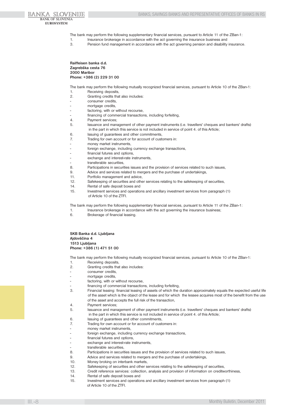The bank may perform the following supplementary financial services, pursuant to Article 11 of the ZBan-1: 1. Insurance brokerage in accordance with the act governing the insurance business and

3. Pension fund management in accordance with the act governing pension and disability insurance.

**Raiffeisen banka d.d. Zagrebška cesta 76 2000 Maribor Phone: +386 (2) 229 31 00**

The bank may perform the following mutually recognized financial services, pursuant to Article 10 of the ZBan-1: 1. Receiving deposits,

- 
- 2. Granting credits that also includes:
- consumer credits, mortgage credits.
- factoring, with or without recourse,
- financing of commercial transactions, including forfeiting,
- 4. Payment services;
- 5. Issuance and management of other payment instruments (i.e. travellers' cheques and bankers' drafts) in the part in which this service is not included in service of point 4. of this Article;
- 6. Issuing of guarantees and other commitments,
- 7. Trading for own account or for account of customers in:
- money market instruments,
- foreign exchange, including currency exchange transactions,
- financial futures and options,
- exchange and interest-rate instruments,
- transferable securities.
- 8. Participations in securities issues and the provision of services related to such issues,
- 9. Advice and services related to mergers and the purchase of undertakings,
- 11. Portfolio management and advice,
- 12. Safekeeping of securities and other services relating to the safekeeping of securities,
- 14. Rental of safe deposit boxes and
- 15. Investment services and operations and ancillary investment services from paragraph (1) of Article 10 of the ZTFI.

The bank may perform the following supplementary financial services, pursuant to Article 11 of the ZBan-1:

- 1. Insurance brokerage in accordance with the act governing the insurance business;
- 6. Brokerage of financial leasing.

**SKB Banka d.d. Ljubljana Ajdovščina 4 1513 Ljubljana Phone: +386 (1) 471 51 00**

The bank may perform the following mutually recognized financial services, pursuant to Article 10 of the ZBan-1:

- 1. Receiving deposits,
- 2. Granting credits that also includes:
- consumer credits.
- mortgage credits,
- factoring, with or without recourse,
- financing of commercial transactions, including forfeiting,
- 3. Financial leasing: financial leasing of assets of which the duration approximately equals the expected useful life of the asset which is the object of the lease and for which the lessee acquires most of the benefit from the use of the asset and accepts the full risk of the transaction,
- 4. Payment services;
- 5. Issuance and management of other payment instruments (i.e. travellers' cheques and bankers' drafts) in the part in which this service is not included in service of point 4. of this Article;
- 6. Issuing of guarantees and other commitments,
- 7. Trading for own account or for account of customers in:
- money market instruments,
- foreign exchange, including currency exchange transactions,
- financial futures and options,
- exchange and interest-rate instruments,
- transferable securities,
- 8. Participations in securities issues and the provision of services related to such issues,
- 9. Advice and services related to mergers and the purchase of undertakings,<br>10. Money broking on interbank markets,
- Money broking on interbank markets,
- 12. Safekeeping of securities and other services relating to the safekeeping of securities,
- 13. Credit reference services: collection, analysis and provision of information on creditworthiness,
- 14. Rental of safe deposit boxes and
- 15. Investment services and operations and ancillary investment services from paragraph (1) of Article 10 of the ZTFI.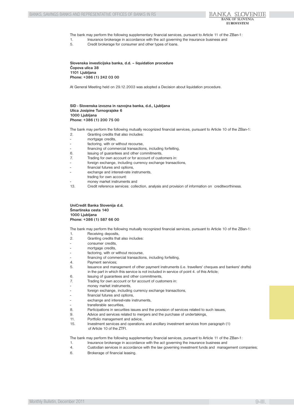BANKA SLOVENIJE BANK OF SLOVENIA **EUROSYSTEM**

The bank may perform the following supplementary financial services, pursuant to Article 11 of the ZBan-1: 1. Insurance brokerage in accordance with the act governing the insurance business and 5. Credit brokerage for consumer and other types of loans.

**Slovenska investicijska banka, d.d. – liquidation procedure Čopova ulica 38 1101 Ljubljana Phone: +386 (1) 242 03 00**

At General Meeting held on 29.12.2003 was adopted a Decision about liquidation procedure.

**SID - Slovenska izvozna in razvojna banka, d.d., Ljubljana Ulica Josipine Turnograjske 6 1000 Ljubljana Phone: +386 (1) 200 75 00**

The bank may perform the following mutually recognized financial services, pursuant to Article 10 of the ZBan-1: 2. Granting credits that also includes:

- mortgage credits.
- factoring, with or without recourse,
- financing of commercial transactions, including forfeiting,
- 6. Issuing of guarantees and other commitments,
- 7. Trading for own account or for account of customers in:
- foreign exchange, including currency exchange transactions,
- financial futures and options,
- exchange and interest-rate instruments.
- trading for own account:
- money market instruments and
- 13. Credit reference services: collection, analysis and provision of information on creditworthiness.

#### **UniCredit Banka Slovenija d.d. Šmartinska cesta 140 1000 Ljubljana Phone: +386 (1) 587 66 00**

The bank may perform the following mutually recognized financial services, pursuant to Article 10 of the ZBan-1:

- 1. Receiving deposits,
- 2. Granting credits that also includes:
- consumer credits,
- mortgage credits,
- factoring, with or without recourse.
- financing of commercial transactions, including forfeiting,
- 4. Payment services;
- 5. Issuance and management of other payment instruments (i.e. travellers' cheques and bankers' drafts) in the part in which this service is not included in service of point 4. of this Article;
- 6. Issuing of guarantees and other commitments,
- 7. Trading for own account or for account of customers in:
- money market instruments
- foreign exchange, including currency exchange transactions,
- financial futures and options,
- exchange and interest-rate instruments,
- transferable securities,
- 8. Participations in securities issues and the provision of services related to such issues,
- 9. Advice and services related to mergers and the purchase of undertakings,
- 11. Portfolio management and advice,
- 15. Investment services and operations and ancillary investment services from paragraph (1) of Article 10 of the ZTFI.

The bank may perform the following supplementary financial services, pursuant to Article 11 of the ZBan-1:

- 1. Insurance brokerage in accordance with the act governing the insurance business and
- 4. Custodian services in accordance with the law governing investment funds and management companies;
- 6. Brokerage of financial leasing.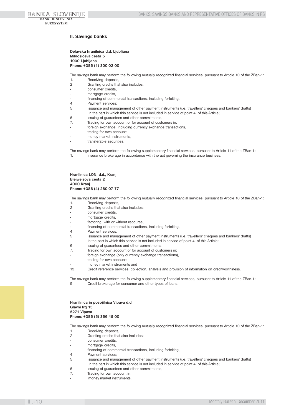#### **II. Savings banks**

**Delavska hranilnica d.d. Ljubljana Miklošičeva cesta 5 1000 Ljubljana Phone: +386 (1) 300 02 00**

The savings bank may perform the following mutually recognized financial services, pursuant to Article 10 of the ZBan-1:

- 1. Receiving deposits,
- 2. Granting credits that also includes:
- consumer credits,
- mortgage credits,
- financing of commercial transactions, including forfeiting,
- 4. Payment services;
- 5. Issuance and management of other payment instruments (i.e. travellers' cheques and bankers' drafts) in the part in which this service is not included in service of point 4. of this Article;
- 6. Issuing of guarantees and other commitments,
- 7. Trading for own account or for account of customers in:
- foreign exchange, including currency exchange transactions,
- trading for own account:
- money market instruments,
- transferable securities.

The savings bank may perform the following supplementary financial services, pursuant to Article 11 of the ZBan-1: 1. Insurance brokerage in accordance with the act governing the insurance business.

**Hranilnica LON, d.d., Kranj Bleiweisova cesta 2 4000 Kranj Phone: +386 (4) 280 07 77**

The savings bank may perform the following mutually recognized financial services, pursuant to Article 10 of the ZBan-1:

- 1. Receiving deposits,
- 2. Granting credits that also includes:
- consumer credits,
- mortgage credits,
- factoring, with or without recourse,
- financing of commercial transactions, including forfeiting,
- 4. Payment services;
- 5. Issuance and management of other payment instruments (i.e. travellers' cheques and bankers' drafts) in the part in which this service is not included in service of point 4. of this Article;<br>6. Issuing of guarantees and other commitments,
- Issuing of guarantees and other commitments,
- 7. Trading for own account or for account of customers in:
- foreign exchange (only currency exchange transactions),
- trading for own account:
- money market instruments and
- 13. Credit reference services: collection, analysis and provision of information on creditworthiness.

The savings bank may perform the following supplementary financial services, pursuant to Article 11 of the ZBan-1: 5. Credit brokerage for consumer and other types of loans.

#### **Hranilnica in posojilnica Vipava d.d. Glavni trg 15 5271 Vipava Phone: +386 (5) 366 45 00**

The savings bank may perform the following mutually recognized financial services, pursuant to Article 10 of the ZBan-1:

- 1. Receiving deposits,
- 2. Granting credits that also includes:
- consumer credits,
- mortgage credits
- financing of commercial transactions, including forfeiting,
- 4. Payment services;
- 5. Issuance and management of other payment instruments (i.e. travellers' cheques and bankers' drafts) in the part in which this service is not included in service of point 4. of this Article;
- 6. Issuing of guarantees and other commitments,
- 7. Trading for own account in:
	- money market instruments.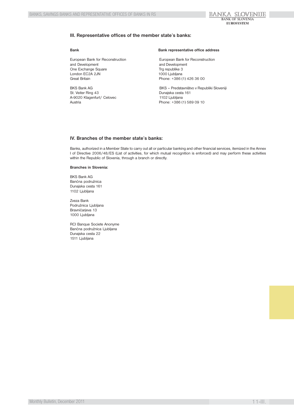BANKA SLOVENIJE BANK OF SLOVENIA **EUROSYSTEM**

### **III. Representative offices of the member state's banks:**

#### **Bank Bank representative office address**

European Bank for Reconstruction European Bank for Reconstruction and Development and Development One Exchange Square Trg republike 3<br>
London EC2A 2JN 1000 Ljubljana London EC2A 2JN Great Britain **Phone: +386 (1) 426 36 00** 

St. Veiter Ring 43 Dunajska cesta 161 A-9020 Klagenfurt/ Celovec 1102 Ljubljana

BKS Bank AG **BKS** – Predstavništvo v Republiki Sloveniji Austria Phone: +386 (1) 589 09 10

### **IV. Branches of the member state's banks:**

Banks, authorized in a Member State to carry out all or particular banking and other financial services, itemized in the Annex I of Directive 2006/48/ES (List of activities, for which mutual recognition is enforced) and may perform these activities within the Republic of Slovenia, through a branch or directly.

#### **Branches in Slovenia:**

BKS Bank AG Bančna podružnica Dunajska cesta 161 1102 Ljubljana

Zveza Bank Podružnica Ljubljana Bravničarjeva 13 1000 Ljubljana

RCI Banque Societe Anonyme Bančna podružnica Ljubljana Dunajska cesta 22 1511 Ljubljana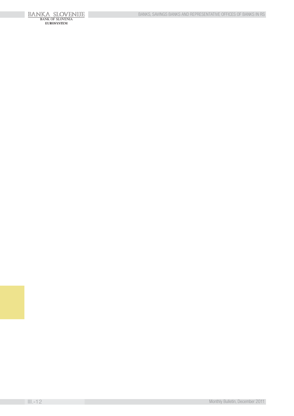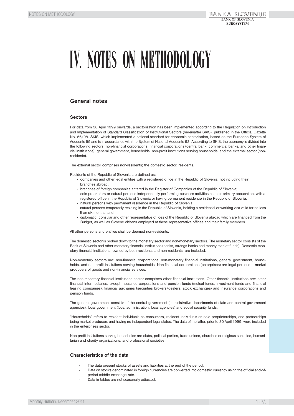## IV. NOTES ON METHODOLOGY

## **General notes**

#### **Sectors**

For data from 30 April 1999 onwards, a sectorization has been implemented according to the Regulation on Introduction and Implementation of Standard Classification of Institutional Sectors (hereinafter SKIS), published in the Official Gazette No. 56/98. SKIS, which implemented a national standard for economic sectorization, based on the European System of Accounts 95 and is in accordance with the System of National Accounts 93. According to SKIS, the economy is divided into the following sectors: non-financial corporations, financial corporations (central bank, commercial banks, and other financial institutions), general government, households, non-profit institutions serving households, and the external sector (nonresidents).

The external sector comprises non-residents; the domestic sector, residents.

Residents of the Republic of Slovenia are defined as:

- companies and other legal entities with a registered office in the Republic of Slovenia, not including their branches abroad;
- branches of foreign companies entered in the Register of Companies of the Republic of Slovenia;
- sole proprietors or natural persons independently performing business activities as their primary occupation, with a registered office in the Republic of Slovenia or having permanent residence in the Republic of Slovenia;
- natural persons with permanent residence in the Republic of Slovenia;
- natural persons temporarily residing in the Republic of Slovenia, holding a residential or working visa valid for no less than six months; and
- diplomatic, consular and other representative offices of the Republic of Slovenia abroad which are financed from the Budget, as well as Slovene citizens employed at these representative offices and their family members.

All other persons and entities shall be deemed non-residents.

The domestic sector is broken down to the monetary sector and non-monetary sectors. The monetary sector consists of the Bank of Slovenia and other monetary financial institutions (banks, savings banks and money market funds). Domestic monetary financial institutions, owned by both residents and non-residents, are included.

Non-monetary sectors are: non-financial corporations, non-monetary financial institutions, general government, households, and non-profit institutions serving households. Non-financial corporations (enterprises) are legal persons – market producers of goods and non-financial services.

The non-monetary financial institutions sector comprises other financial institutions. Other financial institutions are: other financial intermediaries, except insurance corporations and pension funds (mutual funds, investment funds and financial leasing companies), financial auxiliaries (securities brokers/dealers, stock exchanges) and insurance corporations and pension funds.

The general government consists of the central government (administrative departments of state and central government agencies), local government (local administration, local agencies) and social security funds.

"Households" refers to resident individuals as consumers, resident individuals as sole proprietorships, and partnerships being market producers and having no independent legal status. The data of the latter, prior to 30 April 1999, were included in the enterprises sector.

Non-profit institutions serving households are clubs, political parties, trade unions, churches or religious societies, humanitarian and charity organizations, and professional societies.

### **Characteristics of the data**

- The data present stocks of assets and liabilities at the end of the period.
- Data on stocks denominated in foreign currencies are converted into domestic currency using the official end-ofperiod middle exchange rate.
- Data in tables are not seasonally adjusted.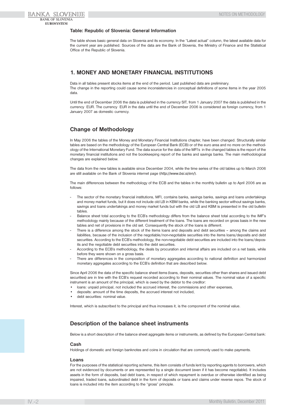#### **Table: Republic of Slovenia: General Information**

The table shows basic general data on Slovenia and its economy. In the "Latest actual" column, the latest available data for the current year are published. Sources of the data are the Bank of Slovenia, the Ministry of Finance and the Statistical Office of the Republic of Slovenia.

## **1. MONEY AND MONETARY FINANCIAL INSTITUTIONS**

Data in all tables present stocks items at the end of the period. Last published data are preliminary. The change in the reporting could cause some inconsistencies in conceptual definitions of some items in the year 2005 data.

Until the end of December 2006 the data is published in the currency SIT, from 1 January 2007 the data is published in the currency EUR. The currency EUR in the data until the end of December 2006 is considered as foreign currency, from 1 January 2007 as domestic currency.

## **Change of Methodology**

In May 2006 the tables of the Money and Monetary Financial Institutions chapter, have been changed. Structurally similar tables are based on the methodology of the European Central Bank (ECB) or of the euro area and no more on the methodology of the International Monetary Fund. The data source for the data of the MFI's in the changed tables is the report of the monetary financial institutions and not the bookkeeping report of the banks and savings banks. The main methodological changes are explained below.

The data from the new tables is available since December 2004, while the time series of the old tables up to March 2006 are still available on the Bank of Slovenia internet page (*http://www.bsi.si/en/*).

The main differences between the methodology of the ECB and the tables in the monthly bulletin up to April 2006 are as follows:

- The sector of the monetary financial institutions, MFI, contains banks, savings banks, savings and loans undertakings and money market funds, but it does not include old LB in KBM banks, while the banking sector without savings banks, savings and loans undertakings and money market funds but with the old LB and KBM is presented in the old bulletin tables.
- Balance sheet total according to the ECB's methodology differs from the balance sheet total according to the IMF's methodology mainly because of the different treatment of the loans. The loans are recorded on gross basis in the new tables and net of provisions in the old set. Consequently the stock of the loans is different.
- There is a difference among the stock of the items loans and deposits and debt securities among the claims and liabilities, because of the inclusion of the negotiable/non-negotiable securities into the items loans/deposits and debt securities. According to the ECB's methodology, the non-negotiable debt securities are included into the loans/deposits and the negotiable debt securities into the debt securities.
- According to the ECB's methodology, the deals by procuration and internal affairs are included on a net basis, while before they were shown on a gross basis.
- There are differences in the composition of monetary aggregates according to national definition and harmonized monetary aggregates according to the ECB's definition that are described below.

Since April 2006 the data of the specific balance sheet items (loans, deposits, securities other than shares and issued debt securities) are in line with the ECB's request recorded according to their nominal values. The nominal value of a specific instrument is an amount of the principal, which is owed by the debtor to the creditor:

- loans: unpaid principal, not included the accrued interest, the commissions and other expenses,
- deposits: amount of the time deposits, the accrued interest not included,
- debt securities: nominal value.

Interest, which is subscribed to the principal and thus increases it, is the component of the nominal value.

## **Description of the balance sheet instruments**

Below is a short description of the balance sheet aggregate items or instruments, as defined by the European Central bank:

#### **Cash**

Holdings of domestic and foreign banknotes and coins in circulation that are commonly used to make payments.

#### **Loans**

For the purposes of the statistical reporting scheme, this item consists of funds lent by reporting agents to borrowers, which are not evidenced by documents or are represented by a single document (even if it has become negotiable). It includes assets in the form of deposits, bad debt loans, in respect of which repayment is overdue or otherwise identified as being impaired, traded loans, subordinated debt in the form of deposits or loans and claims under reverse repos. The stock of loans is included into the item according to the "gross" principle.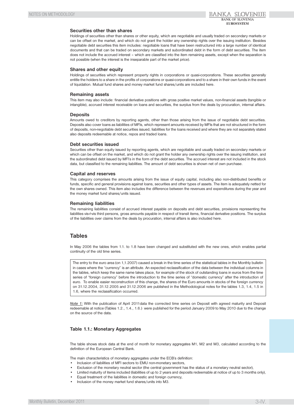#### BANKA SLOVENIJE BANK OF SLOVENIA **EUROSYSTEM**

#### **Securities other than shares**

Holdings of securities other than shares or other equity, which are negotiable and usually traded on secondary markets or can be offset on the market, and which do not grant the holder any ownership rights over the issuing institution. Besides negotiable debt securities this item includes: negotiable loans that have been restructured into a large number of identical documents and that can be traded on secondary markets and subordinated debt in the form of debt securities. The item does not include the accrued interest – which are classified into the item remaining assets, except when the separation is not possible (when the interest is the inseparable part of the market price).

#### **Shares and other equity**

Holdings of securities which represent property rights in corporations or quasi-corporations. These securities generally entitle the holders to a share in the profits of corporations or quasi-corporations and to a share in their own funds in the event of liquidation. Mutual fund shares and money market fund shares/units are included here.

#### **Remaining assets**

This item may also include: financial derivative positions with gross positive market values, non-financial assets (tangible or intangible), accrued interest receivable on loans and securities, the surplus from the deals by procuration, internal affairs.

#### **Deposits**

Amounts owed to creditors by reporting agents, other than those arising from the issue of negotiable debt securities. Deposits also cover loans as liabilities of MFIs, which represent amounts received by MFIs that are not structured in the form of deposits, non-negotiable debt securities issued, liabilities for the loans received and where they are not separately stated also deposits redeemable at notice, repos and traded loans.

#### **Debt securities issued**

Securities other than equity issued by reporting agents, which are negotiable and usually traded on secondary markets or which can be offset on the market, and which do not grant the holder any ownership rights over the issuing institution, and the subordinated debt issued by MFI's in the form of the debt securities. The accrued interest are not included in the stock data, but classified to the remaining liabilities. The amount of debt securities is shown net of own purchase.

#### **Capital and reserves**

This category comprises the amounts arising from the issue of equity capital, including also non-distributed benefits or funds, specific and general provisions against loans, securities and other types of assets. The item is adequately netted for the own shares owned. This item also includes the difference between the revenues and expenditures during the year and the money market fund shares/units issued.

#### **Remaining liabilities**

The remaining liabilities consist of accrued interest payable on deposits and debt securities, provisions representing the liabilities vis-ŕ-vis third persons, gross amounts payable in respect of transit items, financial derivative positions. The surplus of the liabilities over claims from the deals by procuration, internal affairs is also included here.

## **Tables**

In May 2006 the tables from 1.1. to 1.8 have been changed and substituted with the new ones, which enables partial continuity of the old time series.

The entry to the euro area (on 1,1.2007) caused a break in the time series of the statistical tables in the Monthly bulletin in cases where the "currency" is an attribute. An expected reclassification of the data between the individual columns in the tables, which keep the same name takes place, for example of the stock of outstanding loans in euros from the time series of "foreign currency" before the introduction to the time series of "domestic currency" after the introduction of euro. To enable easier reconstruction of this change, the shares of the Euro amounts in stocks of the foreign currency on 31.12.2004, 31.12.2005 and 31.12.2006 are published in the Methodological notes for the tables 1.3, 1.4, 1.5 in 1.6, where the reclassification occurred.

*Note 1:* With the publication of April 2011data the corrected time series on Deposit with agreed maturity and Deposit redeemable at notice (Tables 1.2., 1.4., 1.6.) were published for the period January 2009 to May 2010 due to the change on the source of the data.

#### **Table 1.1.: Monetary Aggregates**

The table shows stock data at the end of month for monetary aggregates M1, M2 and M3, calculated according to the definition of the European Central Bank.

The main characteristics of monetary aggregates under the ECB's definition:

- Inclusion of liabilities of MFI sectors to EMU non-monetary sectors,
- Exclusion of the monetary neutral sector (the central government has the status of a monetary neutral sector),
- Limited maturity of items included (liabilities of up to 2 years and deposits redeemable at notice of up to 3 months only),
- Equal treatment of the liabilities in domestic and foreign currency,
- Inclusion of the money market fund shares/units into M3.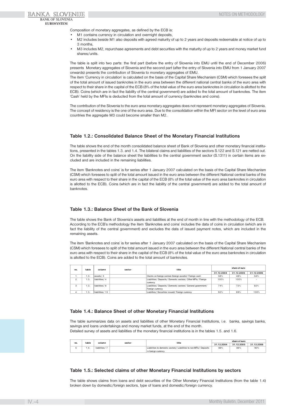Composition of monetary aggregates, as defined by the ECB is:

- M1 contains currency in circulation and overnight deposits,
- M2 includes beside M1 also deposits with agreed maturity of up to 2 years and deposits redeemable at notice of up to 3 months,
- M3 includes M2, repurchase agreements and debt securities with the maturity of up to 2 years and money market fund shares/units.

The table is split into two parts: the first part (before the entry of Slovenia into EMU until the end of December 2006) presents Monetary aggregates of Slovenia and the second part (after the entry of Slovenia into EMU from 1 January 2007 onwards) presents the contribution of Slovenia to monetary aggregates of EMU.

The item 'Currency in circulation' is calculated on the basis of the Capital Share Mechanism (CSM) which foresees the split of the total amount of issued banknotes in the euro area between the different national central banks of the euro area with respect to their share in the capital of the ECB (8% of the total value of the euro area banknotes in circulation is allotted to the ECB). Coins (which are in fact the liability of the central government) are added to the total amount of banknotes. The item 'Cash' held by the MFIs is deducted from the total amount of currency (banknotes and coins).

The contribution of the Slovenia to the euro area monetary aggregates does not represent monetary aggregates of Slovenia. The concept of residency is the one of the euro area. Due to the consolidation within the MFI sector on the level of euro area countries the aggregate M3 could become smaller than M2.

#### **Table 1.2.: Consolidated Balance Sheet of the Monetary Financial Institutions**

The table shows the end of the month consolidated balance sheet of Bank of Slovenia and other monetary financial institutions, presented in the tables 1.3. and 1.4. The bilateral claims and liabilities of the sectors S.122 and S.121 are netted out. On the liability side of the balance sheet the liabilities to the central government sector (S.1311) in certain items are excluded and are included in the remaining liabilities.

The item 'Banknotes and coins' is for series after 1 January 2007 calculated on the basis of the Capital Share Mechanism (CSM) which foresees to split of the total amount issued in the euro area between the different National central banks of the euro area with respect to their share in the capital of the ECB (8% of the total value of the euro area banknotes in circulation is allotted to the ECB). Coins (which are in fact the liability of the central government) are added to the total amount of banknotes.

#### **Table 1.3.: Balance Sheet of the Bank of Slovenia**

The table shows the Bank of Slovenia's assets and liabilities at the end of month in line with the methodology of the ECB. According to the ECB's methodology the item 'Banknotes and coins' includes the data of coins in circulation (which are in fact the liability of the central government) and excludes the data of issued payment notes, which are included in the remaining assets.

The item 'Banknotes and coins' is for series after 1 January 2007 calculated on the basis of the Capital Share Mechanism (CSM) which foresees to split of the total amount issued in the euro area between the different National central banks of the euro area with respect to their share in the capital of the ECB (8% of the total value of the euro area banknotes in circulation is allotted to the ECB). Coins are added to the total amount of banknotes.

| no. | table | column         | sector | title                                                            | share of euro |            |            |
|-----|-------|----------------|--------|------------------------------------------------------------------|---------------|------------|------------|
|     |       |                |        |                                                                  | 31.12.2004    | 31.12.2005 | 31.12.2006 |
|     | 1.3   | assets/3       |        | Claims on foreign sectors (foreign assets)/ Foreign cash         | 58%           | 48%        | 54%        |
|     | .3    | liabilities/4  |        | Liabilities / Deposits / Domestic sectors / Other MFIs / Foreign | 100%          | 100%       |            |
|     |       |                |        | currency                                                         |               |            |            |
| 3   | 1.3   | liabilities/8  |        | Liabilities / Deposits / Domestic sectors / General government/  | 74%           | 72%        | 82%        |
|     |       |                |        | Foreign currency                                                 |               |            |            |
|     | 1.3.  | liabilities/15 |        | Liabilties/ Securities issued/ Foreign currency                  | 92%           | 89%        | 100%       |

#### **Table 1.4.: Balance Sheet of other Monetary Financial Institutions**

The table summarizes data on assets and liabilities of other Monetary Financial Institutions, i.e. banks, savings banks, savings and loans undertakings and money market funds, at the end of the month. Detailed survey of assets and liabilities of the monetary financial institutions is in the tables 1.5. and 1.6.

| no. | table | column             | sector | title                                                              | share of euro |            |            |
|-----|-------|--------------------|--------|--------------------------------------------------------------------|---------------|------------|------------|
|     |       |                    |        |                                                                    | 31.12.2004    | 31.12.2005 | 31.12.2006 |
|     | 1.4.  | . liabilities/ $7$ |        | Liabilities to domestic sectors/ Liabilities to non-MFIs/ Deposits | 88%           | 88%        | 90%        |
|     |       |                    |        | in foreign currency                                                |               |            |            |

#### **Table 1.5.: Selected claims of other Monetary Financial Institutions by sectors**

The table shows claims from loans and debt securities of the Other Monetary Financial Institutions (from the table 1.4) broken down by domestic/foreign sectors, type of loans and domestic/foreign currency.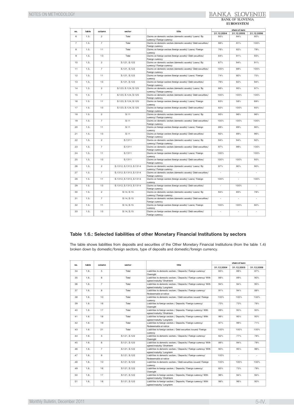#### BANKA SLOVENIJE BANK OF SLOVENIA

## **EUROSYSTEM**

| no.            | table | column           | sector                 | title                                                                                 | share of euro |            |            |  |
|----------------|-------|------------------|------------------------|---------------------------------------------------------------------------------------|---------------|------------|------------|--|
|                |       |                  |                        |                                                                                       | 31.12.2004    | 31.12.2005 | 31.12.2006 |  |
| 6              | 1.5.  | $\overline{2}$   | Total                  | Claims on domestic sectors (domestic assets)/ Loans/ By<br>currency/ Foreign currency | 95%           | 94%        | 92%        |  |
| $\overline{7}$ | 1.5.  | $\overline{7}$   | Total                  | Claims on domestic sectors (domestic assets)/ Debt securities/<br>Foreign currency    | 98%           | 91%        | 100%       |  |
| 8              | 1.5.  | 11               | Total                  | Claims on foreign sectors (foreign assets)/ Loans/ Foreign<br>currency                | 76%           | 82%        | 79%        |  |
| 9              | 1.5.  | 13               | Total                  | Claims on foreign sectors (foreign assets)/ Debt securities/<br>Foreign currency      | 84%           | 91%        | 93%        |  |
| 10             | 1.5.  | $\overline{2}$   | S.121, S.122           | Claims on domestic sectors (domestic assets)/ Loans/ By<br>currency/ Foreign currency | 87%           | 94%        | 91%        |  |
| 11             | 1.5.  | $\overline{7}$   | S.121, S.122           | Claims on domestic sectors (domestic assets)/ Debt securities/<br>Foreign currency    | 100%          | 89%        | 100%       |  |
| 12             | 1.5.  | 11               | S.121, S.122           | Claims on foreign sectors (foreign assets)/ Loans/ Foreign<br>currency                | 74%           | 80%        | 75%        |  |
| 13             | 1.5.  | 13               | S.121, S.122           | Claims on foreign sectors (foreign assets)/ Debt securities/<br>Foreign currency      | 76%           | 82%        | 94%        |  |
| 14             | 1.5.  | $\overline{c}$   | S.123, S.124, S.125    | Claims on domestic sectors (domestic assets)/ Loans/ By<br>currency/ Foreign currency | 96%           | 95%        | 97%        |  |
| 15             | 1.5.  | $\overline{7}$   | S.123. S.124. S.125    | Claims on domestic sectors (domestic assets)/ Debt securities/<br>Foreign currency    | 100%          | 100%       | 100%       |  |
| 16             | 1.5.  | 11               | S.123, S.124, S.125    | Claims on foreign sectors (foreign assets)/ Loans/ Foreign<br>currency                | 63%           | 58%        | 69%        |  |
| 17             | 1.5.  | 13               | S.123, S.124, S.125    | Claims on foreign sectors (foreign assets)/ Debt securities/<br>Foreign currency      | 82%           | 100%       | 93%        |  |
| 18             | 1.5.  | $\overline{2}$   | S.11                   | Claims on domestic sectors (domestic assets)/ Loans/ By<br>currency/ Foreign currency | 95%           | 96%        | 96%        |  |
| 19             | 1.5.  | $\overline{7}$   | S.11                   | Claims on domestic sectors (domestic assets)/ Debt securities/<br>Foreign currency    | 100%          | 100%       | 100%       |  |
| 20             | 1.5.  | 11               | S.11                   | Claims on foreign sectors (foreign assets)/ Loans/ Foreign<br>currency                | 86%           | 89%        | 90%        |  |
| 21             | 1.5.  | 13               | S.11                   | Claims on foreign sectors (foreign assets)/ Debt securities/<br>Foreign currency      | 92%           | 89%        | 96%        |  |
| 22             | 1.5.  | $\overline{2}$   | S.1311                 | Claims on domestic sectors (domestic assets)/ Loans/ By<br>currency/ Foreign currency | 94%           | 94%        | 92%        |  |
| 23             | 1.5.  | $\boldsymbol{7}$ | S.1311                 | Claims on domestic sectors (domestic assets)/ Debt securities/<br>Foreign currency    | 97%           | 99%        | 100%       |  |
| 24             | 1.5.  | 11               | S.1311                 | Claims on foreign sectors (foreign assets)/ Loans/ Foreign<br>currency                | 100%          |            | 100%       |  |
| 25             | 1.5.  | 13               | S.1311                 | Claims on foreign sectors (foreign assets)/ Debt securities/<br>Foreign currency      | 100%          | 100%       | 93%        |  |
| 26             | 1.5.  | $\overline{c}$   | S.1312, S.1313, S.1314 | Claims on domestic sectors (domestic assets)/ Loans/ By<br>currency/ Foreign currency | 97%           | 90%        | 90%        |  |
| 27             | 1.5.  | $\overline{7}$   | S.1312, S.1313, S.1314 | Claims on domestic sectors (domestic assets)/ Debt securities/<br>Foreign currency    |               |            |            |  |
| 28             | 1.5.  | 11               | S.1312. S.1313. S.1314 | Claims on foreign sectors (foreign assets)/ Loans/ Foreign<br>currency                | 100%          | $\sim$     | 100%       |  |
| 29             | 1.5.  | 13               | S.1312, S.1313, S.1314 | Claims on foreign sectors (foreign assets)/ Debt securities/<br>Foreign currency      |               | 100%       |            |  |
| 30             | 1.5.  | $\overline{2}$   | S.14, S.15             | Claims on domestic sectors (domestic assets)/ Loans/ By<br>currency/ Foreign currency | 94%           | 85%        | 78%        |  |
| 31             | 1.5.  | $\overline{7}$   | S.14, S.15             | Claims on domestic sectors (domestic assets)/ Debt securities/<br>Foreign currency    |               |            |            |  |
| 32             | 1.5.  | 11               | S.14, S.15             | Claims on foreign sectors (foreign assets)/ Loans/ Foreign<br>currency                | 100%          | 100%       | 92%        |  |
| 33             | 1.5.  | 13               | S.14, S.15             | Claims on foreign sectors (foreign assets)/ Debt securities/<br>Foreign currency      |               |            |            |  |

## **Table 1.6.: Selected liabilities of other Monetary Financial Institutions by sectors**

The table shows liabilities from deposits and securities of the Other Monetary Financial Institutions (from the table 1.4) broken down by domestic/foreign sectors, type of deposits and domestic/foreign currency.

| no. | table | column         | sector       | title                                                                                             | share of euro |            |            |  |
|-----|-------|----------------|--------------|---------------------------------------------------------------------------------------------------|---------------|------------|------------|--|
|     |       |                |              |                                                                                                   | 31.12.2004    | 31.12.2005 | 31.12.2006 |  |
| 34  | 1.6.  | 5              | Total        | Liabilities to domestic sectors / Deposits/ Foreign currency/<br>Ovemiaht                         | 85%           | 86%        | 87%        |  |
| 35  | 1.6.  | 6              | Total        | Liabilities to domestic sectors / Deposits/ Foreign currency/ With<br>agreed maturity/ Short-term | 88%           | 89%        | 90%        |  |
| 36  | 1.6.  | $\overline{7}$ | Total        | Liabilities to domestic sectors / Deposits/ Foreign currency/ With<br>agreed maturity/ Long-term  | 94%           | 94%        | 95%        |  |
| 37  | 1.6.  | 8              | Total        | Liabilities to domestic sectors / Deposits/ Foreign currency/<br>Redeeemable at notice            | 91%           | 94%        | 88%        |  |
| 38  | 1.6.  | 10             | Total        | Liabilities to domestic sectors / Debt securities issued/ Foreign<br>currency                     | 100%          | 100%       | 100%       |  |
| 39  | 1.6.  | 16             | Total        | Liabilities to foreign sectors / Deposits/ Foreign currency/<br>Ovemight                          | 73%           | 73%        | 78%        |  |
| 40  | 1.6.  | 17             | Total        | Liabilities to foreign sectors / Deposits/ Foreign currency/ With<br>agreed maturity/ Short-term  | 89%           | 93%        | 93%        |  |
| 41  | 1.6.  | 18             | Total        | Liabilities to foreign sectors / Deposits/ Foreign currency/ With<br>agreed maturity/ Long-term   | 96%           | 95%        | 93%        |  |
| 42  | 1.6.  | 19             | Total        | Liabilities to foreign sectors / Deposits/ Foreign currency/<br>Redeeemable at notice             | 97%           | 99%        | 71%        |  |
| 43  | 1.6.  | 21             | Total        | Liabilities to foreign sectors / Debt securities issued/ Foreign<br>currency                      | 100%          | 100%       | 100%       |  |
| 44  | 1.6.  | 5              | S.121, S.122 | Liabilities to domestic sectors / Deposits/ Foreign currency/<br>Ovemight                         | 62%           | 77%        | 78%        |  |
| 45  | 1.6.  | 6              | S.121, S.122 | Liabilities to domestic sectors / Deposits/ Foreign currency/ With<br>agreed maturity/ Short-term | 86%           | 94%        | 79%        |  |
| 46  | 1.6.  | $\overline{7}$ | S.121, S.122 | Liabilities to domestic sectors / Deposits/ Foreign currency/ With<br>agreed maturity/ Long-term  | 93%           | 95%        | 96%        |  |
| 47  | 1.6.  | 8              | S.121.S.122  | Liabilities to domestic sectors / Deposits / Foreign currency/<br>Redeeemable at notice           | 100%          | ٠          | ٠          |  |
| 48  | 1.6.  | 10             | S.121, S.122 | Liabilities to domestic sectors / Debt securities issued/ Foreign<br>currency                     | 100%          | 100%       | 100%       |  |
| 49  | 1.6.  | 16             | S.121, S.122 | Liabilities to foreign sectors / Deposits/ Foreign currency/<br>Ovemight                          | 65%           | 73%        | 79%        |  |
| 50  | 1.6.  | 17             | S.121, S.122 | Liabilities to foreign sectors / Deposits/ Foreign currency/ With<br>agreed maturity/ Short-term  | 96%           | 94%        | 94%        |  |
| 51  | 1.6.  | 18             | S.121. S.122 | Liabilities to foreign sectors / Deposits/ Foreign currency/ With<br>agreed maturity/ Long-term   | 98%           | 96%        | 93%        |  |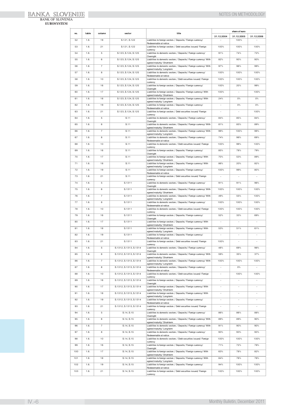#### BANK OF SLOVENIA **EUROSYSTEM**

|     |       |                           |                        |                                                                                                                     |                          | share of euro            |            |
|-----|-------|---------------------------|------------------------|---------------------------------------------------------------------------------------------------------------------|--------------------------|--------------------------|------------|
| no. | table | column                    | sector                 | title                                                                                                               | 31.12.2004               | 31.12.2005               | 31.12.2006 |
| 52  | 1.6.  | 19                        | S.121, S.122           | Liabilities to foreign sectors / Deposits/ Foreign currency/<br>Redeeemable at notice                               | $\sim$                   | 100%                     |            |
| 53  | 1.6.  | 21                        | S.121, S.122           | Liabilities to foreign sectors / Debt securities issued/ Foreign<br>currency                                        | 100%                     | 100%                     | 100%       |
| 54  | 1.6.  | 5                         | S.123, S.124, S.125    | Liabilities to domestic sectors / Deposits/ Foreign currency/<br>Ovemight                                           | 91%                      | 74%                      | 72%        |
| 55  | 1.6.  | 6                         | S.123. S.124. S.125    | Liabilities to domestic sectors / Deposits/ Foreign currency/ With<br>agreed maturity/ Short-term                   | 82%                      | 93%                      | 93%        |
| 56  | 1.6.  | $\overline{7}$            | S.123, S.124, S.125    | Liabilities to domestic sectors / Deposits/ Foreign currency/ With<br>agreed maturity/ Long-term                    | 97%                      | 98%                      | 99%        |
| 57  | 1.6.  | 8                         | S.123, S.124, S.125    | Liabilities to domestic sectors / Deposits/ Foreign currency/<br>Redeeemable at notice                              | 100%                     | 100%                     | 100%       |
| 58  | 1.6.  | 10                        | S.123, S.124, S.125    | Liabilities to domestic sectors / Debt securities issued/ Foreign<br>currency                                       | 100%                     | 100%                     | 100%       |
| 59  | 1.6.  | 16                        | S.123, S.124, S.125    | Liabilities to foreign sectors / Deposits/ Foreign currency/<br>Ovemight                                            | 100%                     | 20%                      | 99%        |
| 60  | 1.6.  | 17                        | S.123, S.124, S.125    | Liabilities to foreign sectors / Deposits/ Foreign currency/ With<br>agreed maturity/ Short-term                    | 100%                     | ÷                        | 100%       |
| 61  | 1.6.  | 18                        | S.123, S.124, S.125    | Liabilities to foreign sectors / Deposits/ Foreign currency/ With                                                   | 24%                      | $O\%$                    | $O\%$      |
| 62  | 1.6.  | 19                        | S.123, S.124, S.125    | agreed maturity/ Long-term<br>Liabilities to foreign sectors / Deposits/ Foreign currency/                          | ×,                       | $O\%$                    | 0%         |
| 63  | 1.6.  | 21                        | S.123, S.124, S.125    | Redeeemable at notice<br>Liabilities to foreign sectors / Debt securities issued/ Foreign                           |                          | ÷,                       | 100%       |
| 64  | 1.6.  | 5                         | S.11                   | currency<br>Liabilities to domestic sectors / Deposits/ Foreign currency/                                           | 84%                      | 85%                      | 84%        |
| 65  | 1.6.  | 6                         | S.11                   | Ovemight<br>Liabilities to domestic sectors / Deposits/ Foreign currency/ With                                      | 81%                      | 85%                      | 89%        |
| 66  | 1.6.  | $\overline{7}$            | S.11                   | agreed maturity/ Short-term<br>Liabilities to domestic sectors / Deposits/ Foreign currency/ With                   | 99%                      | 100%                     | 99%        |
| 67  | 1.6.  | 8                         | S.11                   | agreed maturity/ Long-term<br>Liabilities to domestic sectors / Deposits/ Foreign currency/                         | 74%                      | 98%                      | 69%        |
| 68  | 1.6.  | 10                        | S.11                   | Redeeemable at notice<br>Liabilities to domestic sectors / Debt securities issued/ Foreign                          | 100%                     | 99%                      | 100%       |
| 69  | 1.6.  | 16                        | S.11                   | currency<br>Liabilities to foreign sectors / Deposits/ Foreign currency/                                            | 85%                      | 78%                      | 79%        |
| 70  | 1.6.  | 17                        | S.11                   | Ovemiaht<br>Liabilities to foreign sectors / Deposits/ Foreign currency/ With                                       | 70%                      | 53%                      | 89%        |
| 71  | 1.6.  | 18                        | S.11                   | agreed maturity/ Short-term<br>Liabilities to foreign sectors / Deposits/ Foreign currency/ With                    | 86%                      | 20%                      | 82%        |
|     |       |                           |                        | agreed maturity/ Long-term                                                                                          |                          |                          |            |
| 72  | 1.6.  | 19                        | S.11                   | Liabilities to foreign sectors / Deposits/ Foreign currency/<br>Redeeemable at notice                               | 100%                     | 99%                      | 80%        |
| 73  | 1.6.  | 21                        | S.11                   | Liabilities to foreign sectors / Debt securities issued/ Foreign<br>currency                                        | ×,                       |                          |            |
| 74  | 1.6.  | 5                         | S.1311                 | Liabilities to domestic sectors / Deposits/ Foreign currency/<br>Ovemight                                           | 91%                      | 91%                      | 96%        |
| 75  | 1.6.  | 6                         | S.1311                 | Liabilities to domestic sectors / Deposits/ Foreign currency/ With<br>agreed maturity/ Short-term                   | 100%                     | 100%                     | 100%       |
| 76  | 1.6.  | $\overline{7}$            | S.1311                 | Liabilities to domestic sectors / Deposits/ Foreign currency/ With<br>agreed maturity/ Long-term                    | 49%                      | 55%                      | 100%       |
| 77  | 1.6.  | 8                         | S.1311                 | Liabilities to domestic sectors / Deposits/ Foreign currency/<br>Redeeemable at notice                              | 100%                     | 100%                     | 100%       |
| 78  | 1.6.  | 10                        | S.1311                 | Liabilities to domestic sectors / Debt securities issued/ Foreign<br>currency                                       | 100%                     | 100%                     | 100%       |
| 79  | 1.6.  | 16                        | S.1311                 | Liabilities to foreign sectors / Deposits/ Foreign currency/<br>Ovemight                                            | 52%                      | 33%                      | 69%        |
| 80  | 1.6.  | 17                        | S.1311                 | Liabilities to foreign sectors / Deposits/ Foreign currency/ With<br>agreed maturity/ Short-term                    |                          | ٠                        |            |
| 81  | 1.6.  | 18                        | S.1311                 | Liabilities to foreign sectors / Deposits/ Foreign currency/ With                                                   | 53%                      | 51%                      | 61%        |
| 82  | 1.6.  | 19                        | S.1311                 | agreed maturity/ Long-term<br>Liabilities to foreign sectors / Deposits/ Foreign currency/<br>Redeeemable at notice | $\sim$                   | ÷,                       | ٠          |
| 83  | 1.6.  | 21                        | S.1311                 | Liabilities to foreign sectors / Debt securities issued/ Foreign                                                    | 100%                     | ä,                       |            |
| 84  | 1.6.  | 5                         | S.1312, S.1313, S.1314 | currency<br>Liabilities to domestic sectors / Deposits/ Foreign currency/                                           | 48%                      | 69%                      | 98%        |
| 85  | 1.6.  | 6                         | S.1312, S.1313, S.1314 | Ovemight<br>Liabilities to domestic sectors / Deposits/ Foreign currency/ With                                      | 59%                      | 35%                      | 37%        |
| 86  | 1.6.  | $\overline{7}$            | S.1312, S.1313, S.1314 | agreed maturity/ Short-term<br>Liabilities to domestic sectors / Deposits/ Foreign currency/ With                   | 100%                     | 100%                     | 100%       |
| 87  | 1.6.  | 8                         | S.1312, S.1313, S.1314 | agreed maturity/ Long-term<br>Liabilities to domestic sectors / Deposits/ Foreign currency/                         | ×.                       | $0\%$                    | ÷.         |
| 88  | 1.6.  | 10                        | S.1312, S.1313, S.1314 | Redeeemable at notice<br>Liabilities to domestic sectors / Debt securities issued/ Foreign                          |                          | 100%                     | 100%       |
| 89  | 1.6.  | 16                        | S.1312, S.1313, S.1314 | currency<br>Liabilities to foreign sectors / Deposits/ Foreign currency/                                            | $\sim$                   | ÷,                       |            |
| 90  | 1.6.  | 17                        | S.1312, S.1313, S.1314 | Ovemight<br>Liabilities to foreign sectors / Deposits/ Foreign currency/ With                                       | ٠                        |                          |            |
| 91  | 1.6.  | 18                        | S.1312, S.1313, S.1314 | agreed maturity/ Short-term<br>Liabilities to foreign sectors / Deposits/ Foreign currency/ With                    | ×,                       | $\overline{\phantom{a}}$ | ٠          |
| 92  | 1.6.  | 19                        | S.1312, S.1313, S.1314 | agreed maturity/ Long-term<br>Liabilities to foreign sectors / Deposits/ Foreign currency/                          | ÷,                       | ä,                       | ä,         |
| 93  | 1.6.  | 21                        | S.1312, S.1313, S.1314 | Redeeemable at notice<br>Liabilities to foreign sectors / Debt securities issued/ Foreign                           | $\overline{\phantom{a}}$ | $\overline{\phantom{a}}$ | ä,         |
|     |       |                           |                        | currency                                                                                                            |                          |                          |            |
| 94  | 1.6.  | 5                         | S.14, S.15             | Liabilities to domestic sectors / Deposits/ Foreign currency/<br>Overnight                                          | 86%                      | 86%                      | 88%        |
| 95  | 1.6.  | 6                         | S.14, S.15             | Liabilities to domestic sectors / Deposits/ Foreign currency/ With<br>agreed maturity/ Short-term                   | 89%                      | 89%                      | 90%        |
| 96  | 1.6.  | $\overline{\mathfrak{c}}$ | S.14, S.15             | Liabilities to domestic sectors / Deposits/ Foreign currency/ With<br>agreed maturity/ Long-term                    | 91%                      | 90%                      | 90%        |
| 97  | 1.6.  | 8                         | S.14, S.15             | Liabilities to domestic sectors / Deposits/ Foreign currency/<br>Redeeemable at notice                              | 93%                      | 93%                      | 93%        |
| 98  | 1.6.  | 10                        | S.14, S.15             | Liabilities to domestic sectors / Debt securities issued/ Foreign<br>currency                                       | 100%                     | 100%                     | 100%       |
| 99  | 1.6.  | 16                        | S.14, S.15             | Liabilities to foreign sectors / Deposits/ Foreign currency/<br>Ovemight                                            | 71%                      | 72%                      | 78%        |
| 100 | 1.6.  | 17                        | S.14, S.15             | Liabilities to foreign sectors / Deposits/ Foreign currency/ With<br>agreed maturity/ Short-term                    | 63%                      | 78%                      | 82%        |
| 101 | 1.6.  | 18                        | S.14, S.15             | Liabilities to foreign sectors / Deposits/ Foreign currency/ With<br>agreed maturity/ Long-term                     | 84%                      | 76%                      | 76%        |
| 102 | 1.6.  | 19                        | S.14, S.15             | Liabilities to foreign sectors / Deposits/ Foreign currency/                                                        | 94%                      | 100%                     | 100%       |
| 103 | 1.6.  | 21                        | S.14, S.15             | Redeeemable at notice<br>Liabilities to foreign sectors / Debt securities issued/ Foreign                           | 100%                     | 100%                     | 100%       |
|     |       |                           |                        | currency                                                                                                            |                          |                          |            |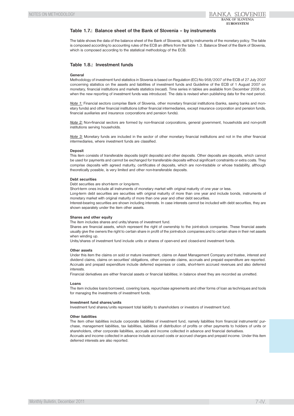#### **Table 1.7.: Balance sheet of the Bank of Slovenia – by instruments**

The table shows the data of the balance sheet of the Bank of Slovenia, split by instruments of the monetary policy. The table is composed according to accounting rules of the ECB an differs from the table 1.3. Balance Sheet of the Bank of Slovenia, which is composed according to the statistical methodology of the ECB.

#### **Table 1.8.: Investment funds**

#### **General**

Methodology of investment fund statistics in Slovenia is based on Regulation (EC) No 958/2007 of the ECB of 27 July 2007 concerning statistics on the assets and liabilities of investment funds and Guideline of the ECB of 1 August 2007 on monetary, financial institutions and markets statistics (recast). Time series in tables are available from December 2008 on, when the new reporting of investment funds was introduced. The data is revised when publishing data for the next period.

*Note 1:* Financial sectors comprise Bank of Slovenia, other monetary financial institutions (banks, saving banks and monetary funds) and other financial institutions (other financial intermediaries, except insurance corporation and pension funds, financial auxiliaries and insurance corporations and pension funds).

*Note 2:* Non-financial sectors are formed by non-financial corporations, general government, households and non-profit institutions serving households.

*Note 3:* Monetary funds are included in the sector of other monetary financial institutions and not in the other financial intermediaries, where investment funds are classified.

#### **Deposit**

This item consists of transferable deposits (sight deposits) and other deposits. Other deposits are deposits, which cannot be used for payments and cannot be exchanged for transferable deposits without significant constraints or extra costs. They comprise deposits with agreed maturity, certificates of deposits, which are non-tradable or whose tradability, although theoretically possible, is very limited and other non-transferable deposits.

#### **Debt securities**

Debt securities are short-term or long-term.

Short-term ones include all instruments of monetary market with original maturity of one year or less.

Long-term debt securities are securities with original maturity of more than one year and include bonds, instruments of monetary market with original maturity of more than one year and other debt securities.

Interest-bearing securities are shown including interests. In case interests cannot be included with debt securities, they are shown separately under the item other assets.

#### **Shares and other equity**

The item includes shares and units/shares of investment fund.

Shares are financial assets, which represent the right of ownership to the joint-stock companies. These financial assets usually give the owners the right to certain share in profit of the joint-stock companies and to certain share in their net assets when winding up.

Units/shares of investment fund include units or shares of open-end and closed-end investment funds.

#### **Other assets**

Under this item the claims on sold or mature investment, claims on Asset Management Company and trustee, interest and dividend claims, claims on securities' obligations, other corporate claims, accruals and prepaid expenditure are reported. Accruals and prepaid expenditure include deferred expenses or costs, short-term accrued revenues and also deferred interests.

Financial derivatives are either financial assets or financial liabilities; in balance sheet they are recorded as unnetted.

#### **Loans**

The item includes loans borrowed, covering loans, repurchase agreements and other forms of loan as techniques and tools for managing the investments of investment funds.

#### **Investment fund shares/units**

Investment fund shares/units represent total liability to shareholders or investors of investment fund.

#### **Other liabilities**

The item other liabilities include corporate liabilities of investment fund, namely liabilities from financial instruments' purchase, management liabilities, tax liabilities, liabilities of distribution of profits or other payments to holders of units or shareholders, other corporate liabilities, accruals and income collected in advance and financial derivatives. Accruals and income collected in advance include accrued costs or accrued charges and prepaid income. Under this item

deferred interests are also reported.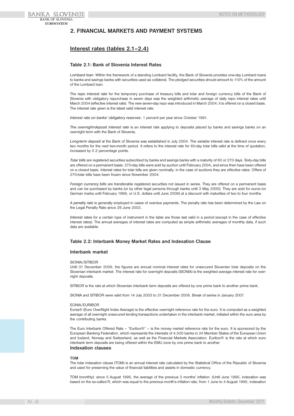## **2. FINANCIAL MARKETS AND PAYMENT SYSTEMS**

## **Interest rates (tables 2.1–2.4)**

#### **Table 2.1: Bank of Slovenia Interest Rates**

*Lombard loan*: Within the framework of a standing Lombard facility, the Bank of Slovenia provides one-day Lombard loans to banks and savings banks with securities used as collateral. The pledged securities should amount to 110% of the amount of the Lombard loan.

The *repo interest rate* for the temporary purchase of treasury bills and tolar and foreign currency bills of the Bank of Slovenia with obligatory repurchase in seven days was the weighted arithmetic average of daily repo interest rates until March 2004 (effective interest rate). The new seven-day repo was introduced in March 2004; it is offered on a closed basis. The interest rate given is the latest valid interest rate.

*Interest rate on banks' obligatory reserves*: 1 percent per year since October 1991.

*The overnight-deposit interest rate* is an interest rate applying to deposits placed by banks and savings banks on an overnight term with the Bank of Slovenia.

*Long-term deposit* at the Bank of Slovenia was established in July 2004. The variable interest rate is defined once every two months for the next two-month period. It refers to the interest rate for 60-day tolar bills valid at the time of quotation, increased by 0.2 percentage points.

*Tolar bills* are registered securities subscribed by banks and savings banks with a maturity of 60 or 270 days. Sixty-day bills are offered on a permanent basis; 270-day bills were sold by auction until February 2004, and since then have been offered on a closed basis. Interest rates for tolar bills are given nominally; in the case of auctions they are effective rates. Offers of 270-tolar bills have been frozen since November 2004.

*Foreign currency bills* are transferable registered securities not issued in series. They are offered on a permanent basis and can be purchased by banks (or by other legal persons through banks until 3 May 2000). They are sold for euros (or German marks until February 1999, or U.S. dollars until June 2006) at a discount with maturities of two to four months.

*A penalty rate* is generally employed in cases of overdue payments. The penalty rate has been determined by the Law on the Legal Penalty Rate since 28 June 2003.

*Interest rates* for a certain type of instrument in the table are those last valid in a period (except in the case of effective interest rates). The annual averages of interest rates are computed as simple arithmetic averages of monthly data, if such data are available.

#### **Table 2.2: Interbank Money Market Rates and Indexation Clause**

#### **Interbank market**

#### SIONIA/SITIBOR

Until 31 December 2006, the figures are annual nominal interest rates for unsecured Slovenian tolar deposits on the Slovenian interbank market. The interest rate for overnight deposits (SIONIA) is the weighted average interest rate for overnight deposits.

SITIBOR is the rate at which Slovenian interbank term deposits are offered by one prime bank to another prime bank.

SIONIA and SITIBOR were valid from 14 July 2003 to 31 December 2006. Break of series in January 2007.

#### EONIA/EURIBOR

Eonia® (Euro OverNight Index Average) is the effective overnight reference rate for the euro. It is computed as a weighted average of all overnight unsecured lending transactions undertaken in the interbank market, initiated within the euro area by the contributing banks.

The Euro Interbank Offered Rate – "Euribor®" – is the money market reference rate for the euro. It is sponsored by the European Banking Federation, which represents the interests of 4,500 banks in 24 Member States of the European Union and Iceland, Norway and Switzerland, as well as the Financial Markets Association. Euribor® is the rate at which euro interbank term deposits are being offered within the EMU zone by one prime bank to another **Indexation clauses**

#### **TOM**

The tolar indexation clause (TOM) is an annual interest rate calculated by the Statistical Office of the Republic of Slovenia and used for preserving the value of financial liabilities and assets in domestic currency.

TOM (monthly): since 5 August 1995, the average of the previous 3 months' inflation. (Until June 1995, indexation was based on the so-called R, which was equal to the previous month's inflation rate; from 1 June to 4 August 1995, indexation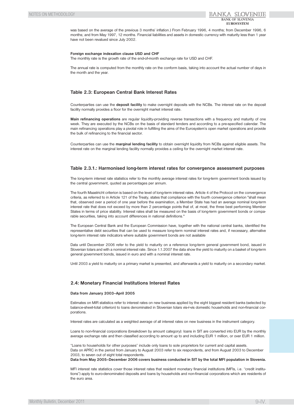was based on the average of the previous 3 months' inflation.) From February 1996, 4 months; from December 1996, 6 months; and from May 1997, 12 months. Financial liabilities and assets in domestic currency with maturity less than 1 year have not been revalued since July 2002.

#### **Foreign exchange indexation clause USD and CHF**

The monthly rate is the growth rate of the end-of-month exchange rate for USD and CHF.

The annual rate is computed from the monthly rate on the conform basis, taking into account the actual number of days in the month and the year.

#### **Table 2.3: European Central Bank Interest Rates**

Counterparties can use the **deposit facility** to make overnight deposits with the NCBs. The interest rate on the deposit facility normally provides a floor for the overnight market interest rate.

**Main refinancing operations** are regular liquidity-providing reverse transactions with a frequency and maturity of one week. They are executed by the NCBs on the basis of standard tenders and according to a pre-specified calendar. The main refinancing operations play a pivotal role in fulfilling the aims of the Eurosystem's open market operations and provide the bulk of refinancing to the financial sector.

Counterparties can use the **marginal lending facility** to obtain overnight liquidity from NCBs against eligible assets. The interest rate on the marginal lending facility normally provides a ceiling for the overnight market interest rate.

#### **Table 2.3.1.: Harmonised long-term interest rates for convergence assessment purposes**

The long-term interest rate statistics refer to the monthly average interest rates for long-term government bonds issued by the central government, quoted as percentages per annum.

The fourth Maastricht criterion is based on the level of long-term interest rates. Article 4 of the Protocol on the convergence criteria, as referred to in Article 121 of the Treaty, states that compliance with the fourth convergence criterion "shall mean that, observed over a period of one year before the examination, a Member State has had an average nominal long-term interest rate that does not exceed by more than 2 percentage points that of, at most, the three best performing Member States in terms of price stability. Interest rates shall be measured on the basis of long-term government bonds or comparable securities, taking into account differences in national definitions."

The European Central Bank and the European Commission have, together with the national central banks, identified the representative debt securities that can be used to measure long-term nominal interest rates and, if necessary, alternative long-term interest rate indicators where suitable government bonds are not available

Data until December 2006 refer to the yield to maturity on a reference long-term general government bond, issued in Slovenian tolars and with a nominal interest rate. Since 1.1.2007 the data show the yield to maturity on a basket of long-term general government bonds, issued in euro and with a nominal interest rate.

Until 2003 a yield to maturity on a primary market is presented, and afterwards a yield to maturity on a secondary market.

### **2.4: Monetary Financial Institutions Interest Rates**

#### **Data from January 2003–April 2005**

Estimates on MIR statistics refer to interest rates on new business applied by the eight biggest resident banks (selected by balance-sheet-total criterion) to loans denominated in Slovenian tolars vis-ŕ-vis domestic households and non-financial corporations.

Interest rates are calculated as a weighted average of all interest rates on new business in the instrument category.

Loans to non-financial corporations (breakdown by amount category): loans in SIT are converted into EUR by the monthly average exchange rate and then classified according to amount up to and including EUR 1 million, or over EUR 1 million.

"Loans to households for other purposes" include only loans to sole proprietors for current and capital assets. Data on APRC in the period from January to August 2003 refer to six respondents, and from August 2003 to December 2003, to seven out of eight total respondents. **Data from May 2005–December 2006 covers business conducted in SIT by the total MFI population in Slovenia.**

MFI interest rate statistics cover those interest rates that resident monetary financial institutions (MFIs, i.e. "credit institutions") apply to euro-denominated deposits and loans by households and non-financial corporations which are residents of the euro area.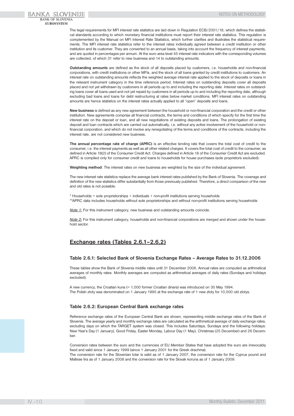The legal requirements for MFI interest rate statistics are laid down in Regulation ECB/2001/18, which defines the statistical standards according to which monetary financial institutions must report their interest rate statistics. This regulation is complemented by the Manual on MFI Interest Rate Statistics, which further clarifies and illustrates the statistical requirements. The MFI interest rate statistics refer to the interest rates individually agreed between a credit institution or other institution and its customer. They are converted to an annual basis, taking into account the frequency of interest payments, and are quoted in percentages per annum. At the euro area level 45 interest rate indicators with the corresponding volumes are collected, of which 31 refer to new business and 14 to outstanding amounts.

**Outstanding amounts** are defined as the stock of all deposits placed by customers, i.e. households and non-financial corporations, with credit institutions or other MFIs, and the stock of all loans granted by credit institutions to customers. An interest rate on outstanding amounts reflects the weighted average interest rate applied to the stock of deposits or loans in the relevant instrument category in the time reference period. Interest rates on outstanding deposits cover all deposits placed and not yet withdrawn by customers in all periods up to and including the reporting date. Interest rates on outstanding loans cover all loans used and not yet repaid by customers in all periods up to and including the reporting date, although excluding bad loans and loans for debt restructuring at rates below market conditions. MFI interest rates on outstanding amounts are hence statistics on the interest rates actually applied to all "open" deposits and loans.

**New business** is defined as any new agreement between the household or non-financial corporation and the credit or other institution. New agreements comprise all financial contracts, the terms and conditions of which specify for the first time the interest rate on the deposit or loan, and all new negotiations of existing deposits and loans. The prolongation of existing deposit and loan contracts which are carried out automatically, i.e. without any active involvement of the household or nonfinancial corporation, and which do not involve any renegotiating of the terms and conditions of the contracts, including the interest rate, are not considered new business.

**The annual percentage rate of charge (APRC)** is an effective lending rate that covers the total cost of credit to the consumer, i.e. the interest payments as well as all other related charges. It covers the total cost of credit to the consumer, as defined in Article 18(2) of the Consumer Credit Act. Charges defined in Article 18 of the Consumer Credit Act are excluded. APRC is compiled only for consumer credit and loans to households for house purchases (sole proprietors excluded).

**Weighting method**: The interest rates on new business are weighted by the size of the individual agreement.

The new interest rate statistics replace the average bank interest rates published by the Bank of Slovenia. The coverage and definition of the new statistics differ substantially from those previously published. Therefore, a direct comparison of the new and old rates is not possible.

\* Households = sole proprietorships + individuals + non-profit institutions serving households

\*\*APRC data includes households without sole proprietorships and without non-profit institutions serving households

**Note 1:** For this instrument category, new business and outstanding amounts coincide.

*Note 2:* For this instrument category, households and non-financial corporations are merged and shown under the household sector.

## **Exchange rates (Tables 2.6.1–2.6.2)**

#### **Table 2.6.1: Selected Bank of Slovenia Exchange Rates – Average Rates to 31.12.2006**

These tables show the Bank of Slovenia middle rates until 31 December 2006. Annual rates are computed as arithmetical averages of monthly rates. Monthly averages are computed as arithmetical averages of daily rates (Sundays and holidays excluded).

A new currency, the Croatian kuna (= 1,000 former Croatian dinars) was introduced on 30 May 1994. The Polish złoty was denominated on 1 January 1995 at the exchange rate of 1 new złoty for 10,000 old złotys.

#### **Table 2.6.2: European Central Bank exchange rates**

Reference exchange rates of the European Central Bank are shown, representing middle exchange rates of the Bank of Slovenia. The average yearly and monthly exchange rates are calculated as the arithmetical average of daily exchange rates, excluding days on which the TARGET system was closed. This includes Saturdays, Sundays and the following holidays: New Year's Day (1 January), Good Friday, Easter Monday, Labour Day (1 May), Christmas (25 December) and 26 December.

Conversion rates between the euro and the currencies of EU Member States that have adopted the euro are irrevocably fixed and valid since 1 January 1999 (since 1 January 2001 for the Greek drachma).

The conversion rate for the Slovenian tolar is valid as of 1 January 2007, the conversion rate for the Cyprus pound and Maltese lira as of 1 January 2008 and the conversion rate for the Slovak koruna as of 1 January 2009.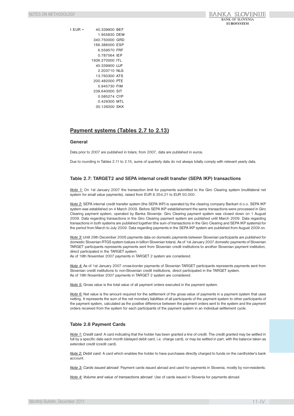- 
- 1 EUR = 40.339900 BEF 1.955830 DEM 340.750000 GRD 166.386000 ESP 6.559570 FRF 0.787564 IEP 1936.270000 ITL 40.339900 LUF 2.203710 NLG 13.760300 ATS 200.482000 PTE 5.945730 FIM 239.640000 SIT 0.585274 CYP 0.429300 MTL 30.126000 SKK

#### BANKA SLOVENIJE **BANK OF SLOVENIA EUROSYSTEM**

## **Payment systems (Tables 2.7 to 2.13)**

#### **General**

Data prior to 2007 are published in tolars; from 2007, data are published in euros.

Due to rounding in Tables 2.11 to 2.15, sums of quarterly data do not always totally comply with relevant yearly data.

#### **Table 2.7: TARGET2 and SEPA internal credit transfer (SEPA IKP) transactions**

*Note 1:* On 1st January 2007 the transaction limit for payments submitted to the Giro Clearing system (multilateral net system for small value payments), raised from EUR 8.354,21 to EUR 50.000.

*Note 2:* SEPA internal credit transfer system (the SEPA IKP) is operated by the clearing company Bankart d.o.o. SEPA IKP system was established on 4 March 2009. Before SEPA IKP establishement the same transactions were processed in Giro Clearing payment system, operated by Banka Slovenije. Giro Clearing payment system was closed down on 1 August 2009. Data regarding transactions in the Giro Clearing payment system are published until March 2009. Data regarding transactions in both systems are published together (the sum of transactions in the Giro Clearing and SEPA IKP systems) for the period from March to July 2009. Data regarding payments in the SEPA IKP system are published from August 2009 on.

*Note 3:* Until 29th December 2006 payments data on domestic payments between Slovenian participants are published for domestic Slovenian RTGS system (values in billion Slovenian tolars). As of 1st January 2007 domestic payments of Slovenian TARGET participants represents payments sent from Slovenian credit institutions to another Slovenian payment institution, direct participated in the TARGET system.

As of 19th November 2007 payments in TARGET 2 system are considered.

*Note 4:* As of 1st January 2007 cross-border payments of Slovenian TARGET participants represents payments sent from Slovenian credit institutions to non-Slovenian credit institutions, direct participated in the TARGET system. As of 19th November 2007 payments in TARGET 2 system are considered.

*Note 5:* Gross value is the total value of all payment orders executed in the payment system.

*Note 6:* Net value is the amount required for the settlement of the gross value of payments in a payment system that uses netting. It represents the sum of the net monetary liabilities of all participants of the payment system to other participants of the payment system, calculated as the positive difference between the payment orders sent to the system and the payment orders received from the system for each participants of the payment system in an individual settlement cycle.

#### **Table 2.8 Payment Cards**

*Note 1: Credit card*: A card indicating that the holder has been granted a line of credit. The credit granted may be settled in full by a specific date each month (delayed debit card, i.e. charge card), or may be settled in part, with the balance taken as extended credit (credit card).

*Note 2: Debit card*: A card which enables the holder to have purchases directly charged to funds on the cardholder's bank account.

*Note 3: Cards issued abroad*: Payment cards issued abroad and used for payments in Slovenia, mostly by non-residents.

*Note 4: Volume and value of transactions abroad*: Use of cards issued in Slovenia for payments abroad.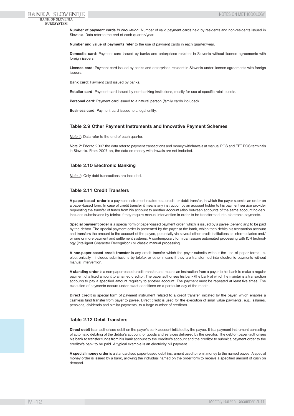#### BANKA SLOVENIJE BANK OF SLOVENIA

## **EUROSYSTEM**

**Number of payment cards** *in circulation*: Number of valid payment cards held by residents and non-residents issued in Slovenia. Data refer to the end of each quarter/year.

**Number and value of payments refer** to the use of payment cards in each quarter/year.

**Domestic card**: Payment card issued by banks and enterprises resident in Slovenia without licence agreements with foreign issuers.

**Licence card**: Payment card issued by banks and enterprises resident in Slovenia under licence agreements with foreign issuers.

**Bank card**: Payment card issued by banks.

**Retailer card**: Payment card issued by non-banking institutions, mostly for use at specific retail outlets.

Personal card: Payment card issued to a natural person (family cards included).

**Business card**: Payment card issued to a legal entity.

#### **Table 2.9 Other Payment Instruments and Innovative Payment Schemes**

*Note 1*: Data refer to the end of each quarter.

*Note 2*: Prior to 2007 the data refer to payment transactions and money withdrawals at manual POS and EFT POS terminals in Slovenia. From 2007 on, the data on money withdrawals are not included.

#### **Table 2.10 Electronic Banking**

*Note 1*: Only debt transactions are included.

#### **Table 2.11 Credit Transfers**

**A paper-based order** is a payment instrument related to a credit or debit transfer, in which the payer submits an order on a paper-based form. In case of credit transfer it means any instruction by an account holder to his payment service provider requesting the transfer of funds from his account to another account (also between accounts of the same account holder). Includes submissions by telefax if they require manual intervention in order to be transformed into electronic payments.

**Special payment order** is a special form of paper-based payment order, which is issued by a payee (beneficiary) to be paid by the debtor. The special payment order is presented by the payer at the bank, which then debits his transaction account and transfers the amount to the account of the payee, potentially via several other credit institutions as intermediaries and/ or one or more payment and settlement systems. A contemporary form can assure automated processing with ICR technology (Intelligent Character Recognition) or classic manual processing.

**A non-paper-based credit transfer** is any credit transfer which the payer submits without the use of paper forms i.e. electronically. Includes submissions by telefax or other means if they are transformed into electronic payments without manual intervention.

**A standing order** is a non-paper-based credit transfer and means an instruction from a payer to his bank to make a regular payment of a fixed amount to a named creditor. The payer authorises his bank (the bank at which he maintains a transaction account) to pay a specified amount regularly to another account. The payment must be repeated at least five times. The execution of payments occurs under exact conditions on a particular day of the month.

**Direct credit** is special form of payment instrument related to a credit transfer, initiated by the payer, which enables a cashless fund transfer from payer to payee. Direct credit is used for the execution of small value payments, e.g., salaries, pensions, dividends and similar payments, to a large number of creditors.

#### **Table 2.12 Debit Transfers**

**Direct debit** is an authorised debit on the payer's bank account initiated by the payee. It is a payment instrument consisting of automatic debiting of the debtor's account for goods and services delivered by the creditor. The debtor (payer) authorises his bank to transfer funds from his bank account to the creditor's account and the creditor to submit a payment order to the creditor's bank to be paid. A typical example is an electricity bill payment.

**A special money order** is a standardised paper-based debit instrument used to remit money to the named payee. A special money order is issued by a bank, allowing the individual named on the order form to receive a specified amount of cash on demand.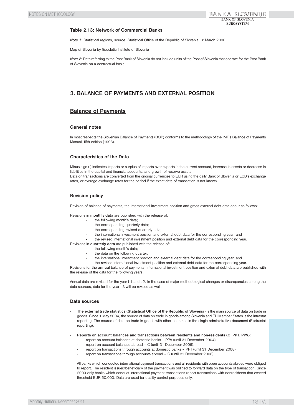#### **Table 2.13: Network of Commercial Banks**

*Note 1*: Statistical regions, source: Statistical Office of the Republic of Slovenia, 31March 2000.

Map of Slovenia by Geodetic Institute of Slovenia

*Note 2*: Data referring to the Post Bank of Slovenia do not include units of the Post of Slovenia that operate for the Post Bank of Slovenia on a contractual basis.

## **3. BALANCE OF PAYMENTS AND EXTERNAL POSITION**

## **Balance of Payments**

#### **General notes**

In most respects the Slovenian Balance of Payments (BOP) conforms to the methodology of the IMF's Balance of Payments Manual, fifth edition (1993).

#### **Characteristics of the Data**

Minus sign (-) indicates imports or surplus of imports over exports in the current account, increase in assets or decrease in liabilities in the capital and financial accounts, and growth of reserve assets. Data on transactions are converted from the original currencies to EUR using the daily Bank of Slovenia or ECB's exchange rates, or average exchange rates for the period if the exact date of transaction is not known.

#### **Revision policy**

Revision of balance of payments, the international investment position and gross external debt data occur as follows:

Revisions in **monthly data** are published with the release of:

- the following month's data;
- the corresponding quarterly data;
- the corresponding revised quarterly data;
- the international investment position and external debt data for the corresponding year; and
- the revised international investment position and external debt data for the corresponding year.

Revisions in **quarterly data** are published with the release of:

- the following month's data;
- the data on the following quarter;
- the international investment position and external debt data for the corresponding year; and
- the revised international investment position and external debt data for the corresponding year.

Revisions for the **annual** balance of payments, international investment position and external debt data are published with the release of the data for the following years.

Annual data are revised for the year t-1 and t-2. In the case of major methodological changes or discrepancies among the data sources, data for the year t-3 will be revised as well.

#### **Data sources**

- · **The external trade statistics (Statistical Office of the Republic of Slovenia)** is the main source of data on trade in goods. Since 1 May 2004, the source of data on trade in goods among Slovenia and EU Member States is the Intrastat reporting. The source of data on trade in goods with other countries is the single administrative document (Exstrastat reporting).
- · **Reports on account balances and transactions between residents and non-residents (C, PPT, PPV):**
	- report on account balances at domestic banks PPV (until 31 December 2004),
	- report on account balances abroad C (until 31 December 2006),
	- report on transactions through accounts at domestic banks PPT (until 31 December 2008),
	- report on transactions through accounts abroad C (until 31 December 2008).

All banks which conducted international payment transactions and all residents with open accounts abroad were obliged to report. The resident issuer/beneficiary of the payment was obliged to forward data on the type of transaction. Since 2009 only banks which conduct international payment transactions report transactions with nonresidents that exceed threshold EUR 50.000. Data are used for quality control purposes only.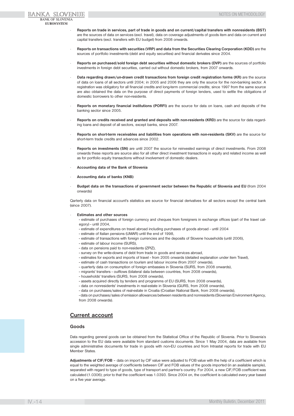- · **Reports on trade in services, part of trade in goods and on current/capital transfers with nonresidents (BST)** are the sources of data on services (excl. travel), data on coverage adjustments of goods item and data on current and capital transfers (excl. transfers with EU budget) from 2008 onwards.
- **Reports on transactions with securities (VRP) and data from the Securities Clearing Corporation (KDD)** are the sources of portfolio investments (debt and equity securities) and financial derivates since 2004.
- · **Reports on purchased/sold foreign debt securities without domestic brokers (DVP)** are the sources of portfolio investments in foreign debt securities, carried out without domestic brokers, from 2007 onwards.
- Data regarding drawn/un-drawn credit transactions from foreign credit registration forms (KR) are the source of data on loans of all sectors until 2004; in 2005 and 2006 they are only the source for the non-banking sector. A registration was obligatory for all financial credits and long-term commercial credits; since 1997 from the same source are also obtained the data on the purpose of direct payments of foreign lenders, used to settle the obligations of domestic borrowers to other non-residents.
- · **Reports on monetary financial institutions (PORFI)** are the source for data on loans, cash and deposits of the banking sector since 2005.
- · **Reports on credits received and granted and deposits with non-residents (KRD)** are the source for data regarding loans and deposit of all sectors, except banks, since 2007.
- · **Reports on short-term receivables and liabilities from operations with non-residents (SKV)** are the source for short-term trade credits and advances since 2002.
- · **Reports on investments (SN)** are until 2007 the source for reinvested earnings of direct investments. From 2008 onwards these reports are source also for all other direct investment transactions in equity and related income as well as for portfolio equity transactions without involvement of domestic dealers.
- · **Accounting data of the Bank of Slovenia**
- · **Accounting data of banks (KNB)**
- · **Budget data on the transactions of government sector between the Republic of Slovenia and EU** (from 2004 onwards)

Qarterly data on financial account's statistics are source for financial derivatives for all sectors except the central bank (since 2007).

- **Estimates and other sources** 
	- estimate of purchases of foreign currency and cheques from foreigners in exchange offices (part of the travel category) - until 2004,
	- estimate of expenditures on travel abroad including purchases of goods abroad until 2004
	- estimate of Italian pensions (UMAR) until the end of 1998,
	- estimate of transactions with foreign currencies and the deposits of Slovene households (until 2006),
	- estimate of labour income (SURS),
	- data on pensions paid to non-residents (ZPIZ),
	- survey on the write-downs of debt from trade in goods and services abroad,
	- estimates for exports and imports of travel from 2005 onwards (detailed explanation under item Travel),
	- estimate of cash transactions on tourism and labour income (from 2007 onwards),
	- quarterly data on consumption of foreign embassies in Slovenia (SURS, from 2008 onwards),
	- migrants' transfers outflows (bilateral data between countries, from 2008 onwards),
	- households' transfers (SURS, from 2008 onwards),
	- assets acquired directly by tenders and programms of EU (SURS, from 2008 onwards),
	- data on nonresidents' investments in real-estate in Slovenia (GURS, from 2008 onwards),
	- data on purchases/sales of real-estate in Croatia (Croatian National Bank, from 2008 onwards),

- data on purchases/sales of emission allowances between residents and nonresidents (Slovenian Environment Agency, from 2008 onwards).

## **Current account**

#### **Goods**

Data regarding general goods can be obtained from the Statistical Office of the Republic of Slovenia. Prior to Slovenia's accession to the EU data were available from standard customs documents. Since 1 May 2004, data are available from single administrative documents for trade in goods with non-EU countries and from Intrastat reports for trade with EU Member States.

**Adjustments of CIF/FOB** – data on import by CIF value were adjusted to FOB value with the help of a coefficient which is equal to the weighted average of coefficients between CIF and FOB values of the goods imported (in an available sample), separated with regard to type of goods, type of transport and partner's country. For 2004, a new CIF/FOB coefficient was calculated (1.0306); prior to that the coefficient was 1.0393. Since 2004 on, the coefficient is calculated every year based on a five year average.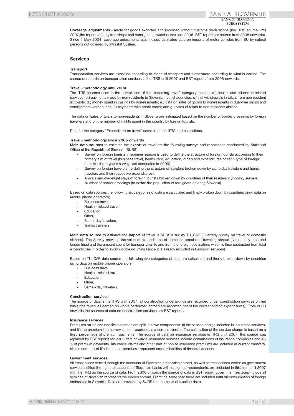#### BANKA SLOVENIJE BANK OF SLOVENIA **EUROSYSTEM**

**Coverage adjustments** - made for goods exported and imported without customs declarations (the ITRS source until 2007,the reports of duty free shops and consignment warehouses until 2005, BST reports as source from 2008 onwards). Since 1 May 2004, coverage adjustments also include estimated data on imports of motor vehicles from EU by natural persons not covered by Intrastat System.

#### **Services**

#### **Transport**

Transportation services are classified according to mode of transport and furthermore according to what is carried. The source of records on transportation services is the ITRS until 2007 and BST reports from 2008 onwards.

#### **Travel - methodology until 2004**

The ITRS sources used in the compilation of the "Incoming travel" category include: a.) health- and education-related services; b.) payments made by non-residents to Slovenian tourist agencies; c.) net withdrawals in tolars from non-resident accounts; d.) money spent in casinos by non-residents; e.) data on sales of goods to non-residents in duty-free shops and consignment warehouses; f.) payments with credit cards; and g.) sales of tolars to non-residents abroad.

The data on sales of tolars to non-residents in Slovenia are estimated based on the number of border crossings by foreign travellers and on the number of nights spent in the country by foreign tourists.

Data for the category "Expenditure on travel" come from the ITRS and estimations.

#### **Travel - methodology since 2005 onwards**

**Main data sources** to estimate the **export** of travel are the following surveys and researches conducted by Statistical Office of the Republic of Slovenia (SURS):

- Survey on foreign tourists in summer season is used to define the structure of foreign tourists according to their primary aim of travel (business travel, health care, education, other) and expenditures of each type of foreign tourists ; three-year's survey -last conducted in 2009)
- Survey on foreign travelers (to define the structure of travelers broken down by same-day travelers and transit travelers and their respective expenditures).
- Arrivals and over-night stays of foreign tourists broken down by countries of their residency (monthly survey).
- Number of border crossings (to define the population of foreigners entering Slovenia).

Based on data sources the following six categories of data are calculated and finally broken down by countries using data on mobile phone operators;

- Business travel,
- Health related travel,
- Education,
- Other.
- Same- day travelers,
- Transit travelers.

**Main data source** to estimate the **import** of travel is SURS's survey TU\_ČAP (Quarterly survey on travel of domestic citizens). The Survey provides the value of expenditures of domestic population traveling abroad (same - day trips and longer trips) and the amount spent for transportation to and from the foreign destination, which is then subtracted from total expenditures in order to avoid double counting (since it is already included in transport services).

Based on TU\_ČAP data source the following five categories of data are calculated and finally broken down by countries using data on mobile phone operators;

- Business travel
- Health related travel,
- Education.
- Other,
- Same day travelers.

#### **Construction services**

The source of data is the ITRS until 2007, all construction undertakings are recorded under construction services on net basis (the revenues earned on works performed abroad are recorded net of the corresponding expenditures). From 2008 onwards the sources of data on construction services are BST reports.

#### **Insurance services**

Premiums on life and non-life insurance are split into two components: (i) the service charge included in insurance services; and (ii) the premium in a narrow sense, recorded as a current transfer. The calculation of the service charge is based on a fixed percentage of premium payments. The source of data on insurance services is ITRS until 2007, this source was replaced by BST reports for 2008 data onwards. Insurance services include commissions of insurance companies and 45 % of premium payments. Insurance claims and other part of nonlife insurance premiums are included in current transfers, claims and part of life insurance premiums represent assets/liabilities of financial account.

#### **Government services**

All transactions settled through the accounts of Slovenian embassies abroad, as well as transactions coded as government services settled through the accounts of Slovenian banks with foreign correspondents, are included in this item until 2007 with the ITRS as the source of data. From 2008 onwards the source of data is BST report, government services include all services of slovenian representative bodies abroad. From the same year there are included data on consumption of foreign embassies in Slovenia. Data are provided by SURS (on the basis of taxation data).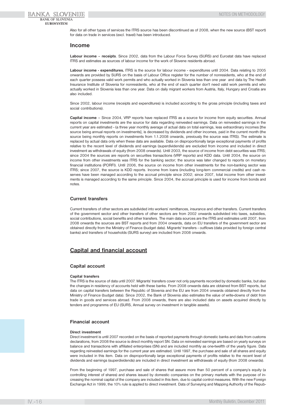Also for all other types of services the ITRS source has been discontinued as of 2008, when the new source (BST report) for data on trade in services (excl. travel) has been introduced.

#### **Income**

**Labour income** – **receipts**. Since 2002, data from the Labour Force Survey (SURS) and Eurostat data have replaced ITRS and estimates as sources of labour income for the work of Slovene residents abroad.

**Labour income - expenditures.** ITRS is the source for labour income - expenditures until 2004. Data relating to 2005 onwards are provided by SURS on the basis of Labour Office register for the number of nonresidents, who at the end of each quarter possess valid work permits and who actually worked in Slovenia less than one year and data by The Health Insurance Institute of Slovenia for nonresidents, who at the end of each quarter don't need valid work permits and who actually worked in Slovenia less than one year. Data on daily migrant workers from Austria, Italy, Hungary and Croatia are also included.

Since 2002, labour income (receipts and expenditures) is included according to the gross principle (including taxes and social contributions).

**Capital income** – Since 2004, VRP reports have replaced ITRS as a source for income from equity securities. Annual reports on capital investments are the source for data regarding reinvested earnings. Data on reinvested earnings in the current year are estimated - (a three year monthly average of actual data on total earnings, less extraordinary incomes [the source being annual reports on investments], is decreased by dividends and other incomes, paid in the current month (the source being monthly reports on investments from 1.1.2008 onwards, previously the source was ITRS). The estimate is replaced by actual data only when these data are available. Data on disproportionally large exceptional payments of profits relative to the recent level of dividends and earnings (superdividends) are excluded from income and included in direct investment as withdrawals of equity (from 2008 onwards). Until 2003, the source of income from debt securities was ITRS; since 2004 the sources are reports on securities transactions (VRP reports) and KDD data. Until 2004, the source on income from other investments was ITRS for the banking sector; the source was later changed to reports on monetary financial institutions (PORFI). Until 2006, the source on income from other investments for the non-banking sector was ITRS; since 2007, the source is KDD reports. Income from loans (including long-tern commercial credits) and cash reserves have been managed according to the accrual principle since 2002; since 2007, total income from other investments is managed according to the same principle. Since 2004, the accrual principle is used for income from bonds and notes.

#### **Current transfers**

Current transfers of other sectors are subdivided into workers' remittances, insurance and other transfers. Current transfers of the government sector and other transfers of other sectors are from 2002 onwards subdivided into taxes, subsidies, social contributions, social benefits and other transfers. The main data sources are the ITRS and estimates until 2007, from 2008 onwards the sources are BST reports and from 2004 onwards, data on EU transfers of the government sector are obtained directly from the Ministry of Finance (budget data). Migrants' transfers - outflows (data provided by foreign central banks) and transfers of households (SURS survey) are included from 2008 onwards.

## **Capital and financial account**

#### **Capital account**

#### **Capital transfers**

The ITRS is the source of data until 2007. Migrants' transfers cover not only payments recorded by domestic banks, but also the changes in residency of accounts held with these banks. From 2008 onwards data are obtained from BST reports, but data on capital transfers between the Republic of Slovenia and the EU are from 2004 onwards obtained directly from the Ministry of Finance (budget data). Since 2002, the Bank of Slovenia also estimates the value of write-downs of debt from trade in goods and services abroad. From 2008 onwards, there are also included data on assets acquired directly by tenders and programms of EU (SURS, Annual survey on investment in tangible assets).

#### **Financial account**

#### **Direct investment**

Direct investment is until 2007 recorded on the basis of reported payments through domestic banks and data from customs declarations, from 2008 the source is direct monthly report SN. Data on reinvested earnings are based on yearly surveys on balance and transactions with affiliated enterprises (SN) and are included monthly as one-twelfth of the yearly figure. Data regarding reinvested earnings for the current year are estimated. Until 1997, the purchase and sale of all shares and equity were included in this item. Data on disproportionally large exceptional payments of profits relative to the recent level of dividends and earnings (superdividends) are included in direct investment as withdrawals of equity (from 2008 onwards).

From the beginning of 1997, purchase and sale of shares that assure more than 50 percent of a company's equity (a controlling interest of shares) and shares issued by domestic companies on the primary markets with the purpose of increasing the nominal capital of the company are included in this item, due to capital control measures. With the new Foreign Exchange Act in 1999, the 10% rule is applied to direct investment. Data of Surveying and Mapping Authority of the Repub-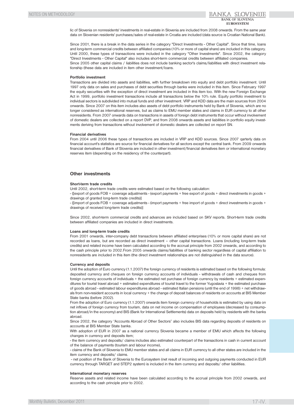#### BANKA SLOVENIJE BANK OF SLOVENIA **EUROSYSTEM**

lic of Slovenia on nonresidents' investments in real-estate in Slovenia are included from 2008 onwards. From the same year data on Slovenian residents' purchases/sales of real-estate in Croatia are included (data source is Croatian National Bank).

Since 2001, there is a break in the data series in the category "Direct Investments - Other Capital". Since that time, loans and long-term commercial credits between affiliated companies (10% or more of capital share) are included in this category. Until 2000, these types of transactions were included in the category "Other Investments". Since 2002, the category "Direct Investments - Other Capital" also includes short-term commercial credits between affiliated companies. Since 2005 other capital claims / liabilities does not include banking sector's claims/liabilities with direct investment relationship (these data are included in item other investment/loans.

#### **Portfolio investment**

Transactions are divided into assets and liabilities, with further breakdown into equity and debt portfolio investment. Until 1997 only data on sales and purchases of debt securities through banks were included in this item. Since February 1997 the equity securities with the exception of direct investment are included in this item too. With the new Foreign Exchange Act in 1999, portfolio investment transactions include all transactions below the 10% rule. Equity portfolio investment to individual sectors is subdivided into mutual funds and other investment. VRP and KDD data are the main sources from 2004 onwards. Since 2007 on this item includes also assets of debt portfolio instruments held by Bank of Slovenia, which are no longer considered as international reserves, but as claims to EMU member states and claims in EUR currency to all other nonresidents. From 2007 onwards data on transactions in assets of foreign debt instruments that occur without involvement of domestic dealers are collected on a report DVP, and from 2008 onwards assets and liabilities in portfolio equity investments deriving from transactions without involvement of domestic dealers are collected on report SN.

#### **Financial derivatives**

From 2004 until 2006 these types of transactions are included in VRP and KDD sources. Since 2007 qarterly data on financial account's statistics are source for financial derivatives for all sectors except the central bank. From 2009 onwards financial derivatives of Bank of Slovenia are included in other investment/financial derivatives item or international monetary reserves item (depending on the residency of the counterpart).

#### **Other investments**

#### **Short-term trade credits**

Until 2002, short-term trade credits were estimated based on the following calculation:

- {[export of goods FOB + coverage adjustments - (export payments + free export of goods + direct investments in goods + drawings of granted long-term trade credits)]

- {[import of goods FOB + coverage adjustments - (import payments + free import of goods + direct investments in goods + drawings of received long-term trade credits)]

Since 2002, short-term commercial credits and advances are included based on SKV reports. Short-term trade credits between affiliated companies are included in direct investments.

#### **Loans and long-term trade credits**

From 2001 onwards, inter-company debt transactions between affiliated enterprises (10% or more capital share) are not recorded as loans, but are recorded as direct investment – other capital transactions. Loans (including long-term trade credits) and related income have been calculated according to the accrual principle from 2002 onwards, and according to the cash principle prior to 2002.From 2005 onwards claims/liabilities of banking sector regardless of capital affiliation to nonresidents are included in this item (the direct investment relationships are not distinguished in the data source).

#### **Currency and deposits**

Until the adoption of Euro currency (1.1.2007) the foreign currency of residents is estimated based on the following formula: deposited currency and cheques on foreign currency accounts of individuals - withdrawals of cash and cheques from foreign currency accounts of individuals + the estimated net purchase of foreign currency by residents + estimated expenditures for tourist travel abroad + estimated expenditures of tourist travel to the former Yugoslavia + the estimated purchase of goods abroad - estimated labour expenditures abroad - estimated Italian pensions (until the end of 1998) + net withdrawals from non-resident accounts in local currency + the change of deposit balances of residents on accounts at BIS Member State banks (before 2002).

From the adoption of Euro currency (1.1.2007) onwards item foreign currency of households is estimated by using data on net inflows of foreign currency from tourism, data on net income on compensation of employees (decreased by consumption abroad/in the economy) and BIS (Bank for International Settlements) data on deposits held by residents with the banks abroad

Since 2002, the category "Accounts Abroad of Other Sectors" also includes BIS data regarding deposits of residents on accounts at BIS Member State banks.

With adoption of EUR in 2007 as a national currency Slovenia became a member of EMU which affects the following changes in currency and deposits item;

- the item currency and deposits/ claims includes also estimated counterpart of the transactions in cash in current account of the balance of payments (tourism and labour income),

- claims of the Bank of Slovenia to EMU member states and all claims in EUR currency to all other states are included in the item currency and deposits/ claims.

 - net position of the Bank of Slovenia to the Eurosystem (net result of incoming and outgoing payments conducted in EUR currency through TARGET and STEP2 system) is included in the item currency and deposits/ other liabilities.

#### **International monetary reserves**

Reserve assets and related income have been calculated according to the accrual principle from 2002 onwards, and according to the cash principle prior to 2002.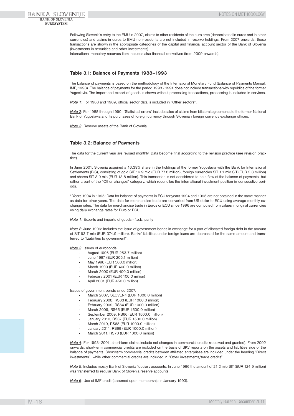Following Slovenia's entry to the EMU in 2007, claims to other residents of the euro area (denominated in euros and in other currencies) and claims in euros to EMU non-residents are not included in reserve holdings. From 2007 onwards, these transactions are shown in the appropriate categories of the capital and financial account sector of the Bank of Slovenia (investments in securities and other investments).

International monetary reserves item includes also financial derivatives (from 2009 onwards).

#### **Table 3.1: Balance of Payments 1988–1993**

The balance of payments is based on the methodology of the International Monetary Fund (Balance of Payments Manual, IMF, 1993). The balance of payments for the period 1998 - 1991 does not include transactions with republics of the former Yugoslavia. The import and export of goods is shown without processing transactions, processing is included in services.

*Note 1*: For 1988 and 1989, official sector data is included in "Other sectors".

*Note 2*: For 1988 through 1990, "Statistical errors" include sales of claims from bilateral agreements to the former National Bank of Yugoslavia and its purchases of foreign currency through Slovenian foreign currency exchange offices.

*Note 3*: Reserve assets of the Bank of Slovenia.

#### **Table 3.2: Balance of Payments**

The data for the current year are revised monthly. Data become final according to the revision practice (see revision practice).

In June 2001, Slovenia acquired a 16.39% share in the holdings of the former Yugoslavia with the Bank for International Settlements (BIS), consisting of gold SIT 16.9 mio (EUR 77.8 million), foreign currencies SIT 1.1 mio SIT (EUR 5.3 million) and shares SIT 3.0 mio (EUR 13.8 million). This transaction is not considered to be a flow of the balance of payments, but rather a part of the "Other changes" category, which reconciles the international investment position in consecutive periods.

\* Years 1994 in 1995: Data for balance of payments in ECU for years 1994 and 1995 are not obtained in the same manner as data for other years. The data for merchandise trade are converted from US dollar to ECU using average monthly exchange rates. The data for merchandise trade in Euros or ECU since 1996 are computed from values in original currencies using daily exchange rates for Euro or ECU.

*Note 1*: Exports and imports of goods - f.o.b. parity

*Note 2*: June 1996: Includes the issue of government bonds in exchange for a part of allocated foreign debt in the amount of SIT 63.7 mio (EUR 374.9 million). Banks' liabilities under foreign loans are decreased for the same amount and transferred to "Liabilities to government".

*Note 3*: Issues of eurobonds:

- August 1996 (EUR 253.7 million)
- June 1997 (EUR 205.1 million)
- May 1998 (EUR 500.0 million)
- March 1999 (EUR 400.0 million)
- March 2000 (EUR 400.0 million)
- February 2001 (EUR 100.0 million)
- April 2001 (EUR 450.0 million)

Issues of government bonds since 2007:

- March 2007, SLOVEN4 (EUR 1000.0 million)
- February 2008, RS63 (EUR 1000.0 million)
- February 2009, RS64 (EUR 1000.0 million)
- March 2009, RS65 (EUR 1500.0 million)
- September 2009, RS66 (EUR 1500.0 million)
- January 2010, RS67 (EUR 1500.0 million)
- March 2010, RS68 (EUR 1000.0 million)
- January 2011, RS69 (EUR 1000.0 million)
- March 2011, RS70 (EUR 1000.0 million)

*Note 4*: For 1993–2001, short-term claims include net changes in commercial credits (received and granted). From 2002 onwards, short-term commercial credits are included on the basis of SKV reports on the assets and liabilities side of the balance of payments. Short-term commercial credits between affiliated enterprises are included under the heading "Direct investments", while other commercial credits are included in "Other investments/trade credits".

*Note 5*: Includes mostly Bank of Slovenia fiduciary accounts. In June 1996 the amount of 21.2 mio SIT (EUR 124.9 million) was transferred to regular Bank of Slovenia reserve accounts.

*Note 6*: Use of IMF credit (assumed upon membership in January 1993).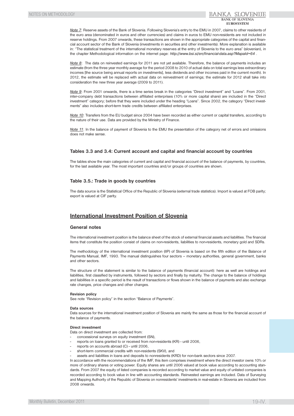#### BANKA SLOVENIJE BANK OF SLOVENIA **EUROSYSTEM**

*Note 7*: Reserve assets of the Bank of Slovenia. Following Slovenia's entry to the EMU in 2007, claims to other residents of the euro area (denominated in euros and other currencies) and claims in euros to EMU non-residents are not included in reserve holdings. From 2007 onwards, these transactions are shown in the appropriate categories of the capital and financial account sector of the Bank of Slovenia (investments in securities and other investments). More explanation is available in: "The statistical treatment of the international monetary reserves at the entry of Slovenia to the euro area" (slovenian), in the chapter Methodological information on the internet page: *http://www.bsi.si/en/financial-data.asp?MapaId=64* .

*Note 8*: The data on reinvested earnings for 2011 are not yet available. Therefore, the balance of payments includes an estimate (from the three year monthly average for the period 2008 to 2010 of actual data on total earnings less extraordinary incomes [the source being annual reports on investments], less dividends and other incomes paid in the current month). In 2012, the estimate will be replaced with actual data on reinvestment of earnings; the estimate for 2012 shall take into consideration the new three year average (2009 to 2011).

*Note 9*: From 2001 onwards, there is a time series break in the categories "Direct investment" and "Loans". From 2001, inter-company debt transactions between affiliated enterprises (10% or more capital share) are included in the "Direct investment" category; before that they were included under the heading "Loans". Since 2002, the category "Direct investments" also includes short-term trade credits between affiliated enterprises.

*Note 10*: Transfers from the EU budget since 2004 have been recorded as either current or capital transfers, according to the nature of their use. Data are provided by the Ministry of Finance.

*Note 11*: In the balance of payment of Slovenia to the EMU the presentation of the category net of errors and omissions does not make sense.

## **Tables 3.3 and 3.4: Current account and capital and financial account by countries**

The tables show the main categories of current and capital and financial account of the balance of payments, by countries, for the last available year. The most important countries and/or groups of countries are shown.

#### **Table 3.5.: Trade in goods by countries**

The data source is the Statistical Office of the Republic of Slovenia (external trade statistics). Import is valued at FOB parity; export is valued at CIF parity.

# **International Investment Position of Slovenia**

#### **General notes**

The international investment position is the balance sheet of the stock of external financial assets and liabilities. The financial items that constitute the position consist of claims on non-residents, liabilities to non-residents, monetary gold and SDRs.

The methodology of the international investment position (IIP) of Slovenia is based on the fifth edition of the Balance of Payments Manual, IMF, 1993. The manual distinguishes four sectors – monetary authorities, general government, banks and other sectors.

The structure of the statement is similar to the balance of payments (financial account): here as well are holdings and liabilities, first classified by instruments, followed by sectors and finally by maturity. The change to the balance of holdings and liabilities in a specific period is the result of transactions or flows shown in the balance of payments and also exchange rate changes, price changes and other changes.

#### **Revision policy**

See note "Revision policy" in the section "Balance of Payments".

#### **Data sources**

Data sources for the international investment position of Slovenia are mainly the same as those for the financial account of the balance of payments.

#### **Direct investment**

Data on direct investment are collected from:

- concessional surveys on equity investment (SN),
- reports on loans granted to or received from non-residents (KR) until 2006,
- reports on accounts abroad (C) until 2006,
- short-term commercial credits with non-residents (SKV), and
- assets and liabilities in loans and deposits to nonresidents (KRD) for non-bank sectors since 2007.

In accordance with the recommendations of the IMF, this item comprises investment where the direct investor owns 10% or more of ordinary shares or voting power. Equity shares are until 2006 valued at book value according to accounting standards. From 2007 the equity of listed companies is recorded according to market value and equity of unlisted companies is recorded according to book value in line with accounting standards. Reinvested earnings are included. Data of Surveying and Mapping Authority of the Republic of Slovenia on nonresidents' investments in real-estate in Slovenia are included from 2008 onwards.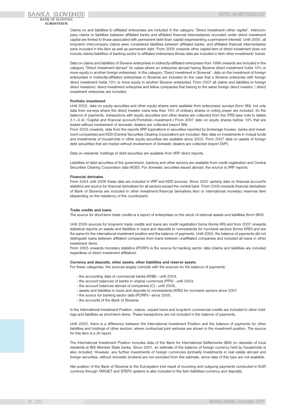## **EUROSYSTEM**

Claims on and liabilities to affiliated enterprises are included in the category "Direct investment–other capital". Intercompany claims or liabilities between affiliated banks and affiliated financial intermediaries recorded under direct investment capital are limited to those associated with permanent debt (loan capital respresenting a permanent interest). Until 2000, all long-term intercompany claims were considered liabilities between affiliated banks, and affiliated financial intermediaries were included in this item as well as permanent debt. From 2005 onwards other capital item of direct investment does not include claims/liabilities of banking sector to affiliated enterprises (those data are included in item other investment/ loans).

Data on claims and liabilities of Slovene enterprises in indirectly-affiliated enterprises from 1996 onwards are included in the category "Direct investment abroad" (in cases where an enterprise abroad having Slovene direct investment holds 10% or more equity in another foreign enterprise). In the category "Direct investment in Slovenia", data on the investment of foreign enterprises in indirectly-affiliated enterprises in Slovenia are included (in the case that a Slovene enterprise with foreign direct investment holds 10% or more equity in another Slovene enterprise). From 2007 all claims and liabilities to foreign direct investors/ direct investment enterprise and fellow companies that belong to the same foreign direct investor / direct investment enterprise are included.

#### **Portfolio investment**

Until 2002, data on equity securities and other equity shares were available from enterprises' surveys (form SN), but only data from surveys where the direct investor owns less than 10% of ordinary shares or voting power are included. (In the balance of payments, transactions with equity securities and other shares are collected from the ITRS [see note to tables 3.1–3.4] /Capital and financial account/Portofolio investment.) From 2007 data on equity shares bellow 10% that are traded without involvement of domestic dealers are collected (report SN).

From 2003 onwards, data from the reports VRP (operations in securities reported by brokerage houses, banks and investment companies) and KDD (Central Securities Clearing Corporation) are included. Also data on investments in mutual funds and investments of households in other equity securities are available since 2003. From 2007 data on assets of foreign debt secuirities that are traded without involvement of domestic dealers are collected (report DVP).

Data on residents' holdings of debt securities are available from VRP direct reports.

Liabilities of debt securities of the government, banking and other sectors are available from credit registration and Central Securities Clearing Corporation data (KDD). For domestic securities issued abroad, the source is VRP reports.

#### **Financial derivates**

From 2004 until 2006 these data are included in VRP and KDD sources. Since 2007 qarterly data on financial account's statistics are source for financial derivatives for all sectors except the central bank. From 2009 onwards financial derivatives of Bank of Slovenia are included in other investment/financial derivatives item or international monetary reserves item (depending on the residency of the counterpart).

#### **Trade credits and loans**

The source for short-term trade credits is a report of enterprises on the stock of external assets and liabilities (form SKV).

Until 2006 sources for long-term trade credits and loans are credit registration forms (forms KR) and from 2007 onwards statistical reports on assets and liabilities in loans and deposits to nonresidents for non-bank sectors (forms KRD) and are the same for the international investment position and the balance of payments. Until 2000, the balance of payments did not distinguish loans between affiliated companies from loans between unaffiliated companies and included all loans in other investment items.

From 2005 onwards monetary statistics (PORFI) is the source for banking sector data (claims and liabilities are included regardless of direct investment affiliation).

#### **Currency and deposits, other assets, other liabilities and reserve assets**

For these categories, the sources largely coincide with the sources for the balance of payments:

- the accounting data of commercial banks (KNB) until 2004,
- the account balances of banks in original currencies (PPV) until 2004,
- the account balances abroad of companies (C) until 2006,
- assets and liabilities in loans and deposits to nonresidents (KRD) for non-bank sectors since 2007
- the source for banking sector data (PORFI) since 2005,
- the accounts of the Bank of Slovenia.

In the International Investment Position, mature, unpaid loans and long-term commercial credits are included in other holdings and liabilities as short-term items. These transactions are not included in the balance of payments.

Until 2002, there is a difference between the International Investment Position and the balance of payments for other liabilities and holdings of other sectors, where contractual joint ventures are shown in the investment position. The source for this item is a JV report.

The International Investment Position includes data of the Bank for International Settlements (BIS) on deposits of local residents at BIS Member State banks. Since 2001, an estimate of the balance of foreign currency held by households is also included. However, any further investments of foreign currencies (primarily investments in real estate abroad and foreign securities, without domestic brokers) are not excluded from this estimate, since data of this type are not available.

Net position of the Bank of Slovenia to the Eurosystem (net result of incoming and outgoing payments conducted in EUR currency through TARGET and STEP2 system) is also included in the item liabilities/currency and deposits.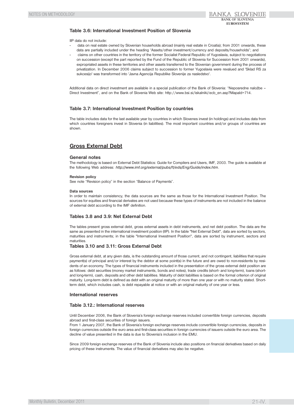## **Table 3.6: International Investment Position of Slovenia**

IIP data do not include:

- data on real estate owned by Slovenian households abroad (mainly real estate in Croatia); from 2001 onwards, these data are partially included under the heading "Assets/other investment/currency and deposits/households"; and
- claims on other countries in the territory of the former Socialist Federal Republic of Yugoslavia, subject to negotiations on succession (except the part reported by the Fund of the Republic of Slovenia for Succession from 2001 onwards), expropriated assets in these territories and other assets transferred to the Slovenian government during the process of privatization. In December 2006 claims subject to succession to former Yugoslavia were revalued and 'Sklad RS za sukcesijo' was transformed into 'Javna Agencija Republike Slovenije za nasledstvo'.

Additional data on direct investment are available in a special publication of the Bank of Slovenia: "Neposredne naložbe – Direct Investment", and on the Bank of Slovenia Web site: http://www.bsi.si/iskalniki/ecb\_en.asp?MapaId=714.

#### **Table 3.7: International Investment Position by countries**

The table includes data for the last available year by countries in which Slovenes invest (in holdings) and includes data from which countries foreigners invest in Slovenia (in liabilities). The most important countries and/or groups of countries are shown.

# **Gross External Debt**

#### **General notes**

The methodology is based on External Debt Statistics: Guide for Compilers and Users, IMF, 2003. The guide is available at the following Web address: *http://www.imf.org/external/pubs/ft/eds/Eng/Guide/index.htm*.

#### **Revision policy**

See note "Revision policy" in the section "Balance of Payments".

#### **Data sources**

In order to maintain consistency, the data sources are the same as those for the International Investment Position. The sources for equities and financial derivates are not used because these types of instruments are not included in the balance of external debt according to the IMF definition.

#### **Tables 3.8 and 3.9: Net External Debt**

The tables present gross external debt, gross external assets in debt instruments, and net debt position. The data are the same as presented in the international investment position (IIP). In the table "Net External Debt", data are sorted by sectors, maturities and instruments; in the table "International Investment Position", data are sorted by instrument, sectors and maturities.

#### **Tables 3.10 and 3.11: Gross External Debt**

Gross external debt, at any given data, is the outstanding amount of those current, and not contingent, liabilities that require payment(s) of principal and/or interest by the debtor at some point(s) in the future and are owed to non-residents by residents of an economy. The types of financial instruments included in the presentation of the gross external debt position are as follows: debt securities (money market instruments, bonds and notes), trade credits (short- and long-term), loans (shortand long-term), cash, deposits and other debt liabilities. Maturity of debt liabilities is based on the formal criterion of original maturity. Long-term debt is defined as debt with an original maturity of more than one year or with no maturity stated. Shortterm debt, which includes cash, is debt repayable at notice or with an original maturity of one year or less.

#### **International reserves**

## **Table 3.12.: International reserves**

Until December 2006, the Bank of Slovenia's foreign exchange reserves included convertible foreign currencies, deposits abroad and first-class securities of foreign issuers.

From 1 January 2007, the Bank of Slovenia's foreign exchange reserves include convertible foreign currencies, deposits in foreign currencies outside the euro area and first-class securities in foreign currencies of issuers outside the euro area. The decline of value presented in the data is due to Slovenia's inclusion in the EMU.

Since 2009 foreign exchange reserves of the Bank of Slovenia include also positions on financial derivatives based on daily pricing of these instruments. The value of financial derivatives may also be negative.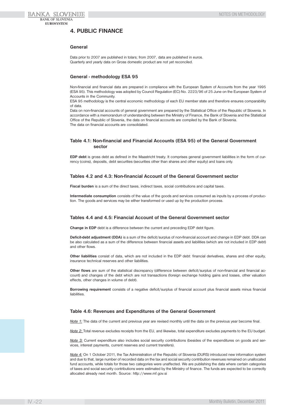# **EUROSYSTEM**

# **4. PUBLIC FINANCE**

#### **General**

Data prior to 2007 are published in tolars; from 2007, data are published in euros. Quarterly and yearly data on Gross domestic product are not yet reconciled.

## **General - methodology ESA 95**

Non-financial and financial data are prepared in compliance with the European System of Accounts from the year 1995 (ESA 95). This methodology was adopted by Council Regulation (EC) No. 2223/96 of 25 June on the European System of Accounts in the Community.

ESA 95 methodology is the central economic methodology of each EU member state and therefore ensures comparability of data.

Data on non-financial accounts of general government are prepared by the Statistical Office of the Republic of Slovenia. In accordance with a memorandum of understanding between the Ministry of Finance, the Bank of Slovenia and the Statistical Office of the Republic of Slovenia, the data on financial accounts are compiled by the Bank of Slovenia. The data on financial accounts are consolidated.

## **Table 4.1: Non-financial and Financial Accounts (ESA 95) of the General Government sector**

**EDP debt** is gross debt as defined in the Maastricht treaty. It comprises general government liabilities in the form of currency (coins), deposits, debt securities (securities other than shares and other equity) and loans only.

#### **Tables 4.2 and 4.3: Non-financial Account of the General Government sector**

**Fiscal burden** is a sum of the direct taxes, indirect taxes, social contributions and capital taxes.

**Intermediate consumption** consists of the value of the goods and services consumed as inputs by a process of production. The goods and services may be either transformed or used up by the production process.

## **Tables 4.4 and 4.5: Financial Account of the General Government sector**

**Change in EDP** debt is a difference between the current and preceding EDP debt figure.

**Deficit-debt adjustment (DDA)** is a sum of the deficit/surplus of non-financial account and change in EDP debt. DDA can be also calculated as a sum of the difference between financial assets and liabilities (which are not included in EDP debt) and other flows.

**Other liabilities** consist of data, which are not included in the EDP debt: financial derivatives, shares and other equity, insurance technical reserves and other liabilities.

**Other flows** are sum of the statistical discrepancy (difference between deficit/surplus of non-financial and financial account) and changes of the debt which are not transactions (foreign exchange holding gains and losses, other valuation effects, other changes in volume of debt).

**Borrowing requirement** consists of a negative deficit/surplus of financial account plus financial assets minus financial liabilities.

## **Table 4.6: Revenues and Expenditures of the General Government**

*Note 1:* The data of the current and previous year are revised monthly until the data on the previous year become final.

*Note 2:* Total revenue excludes receipts from the EU, and likewise, total expenditure excludes payments to the EU budget.

*Note 3:* Current expenditure also includes social security contributions (besides of the expenditures on goods and services, interest payments, current reserves and current transfers).

*Note 4:* On 1 October 2011, the Tax Administration of the Republic of Slovenia (DURS) introduced new information system and due to that, large number of recorded data on the tax and social security contribution revenues remained on unallocated fund accounts, while totals for those two categories were unaffected. We are publishing the data where certain categories of taxes and social security contributions were estimated by the Ministry of finance. The funds are expected to be correctly allocated already next month. Source: http://www.mf.gov.si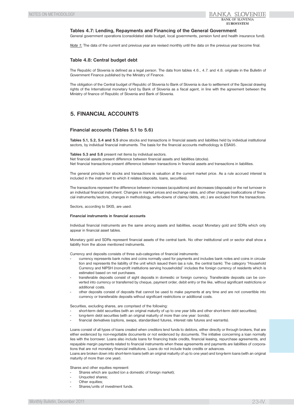**BANK OF SLOVENIA EUROSYSTEM**

## **Tables 4.7: Lending, Repayments and Financing of the General Government**

General government operations (consolidated state budget, local governments, pension fund and health insurance fund).

*Note 1:* The data of the current and previous year are revised monthly until the data on the previous year become final.

## **Table 4.8: Central budget debt**

The Republic of Slovenia is defined as a legal person. The data from tables 4.6., 4.7. and 4.8. originate in the Bulletin of Government Finance published by the Ministry of Finance.

The obligation of the Central budget of Republic of Slovenia to Bank of Slovenia is due to settlement of the Special drawing rights of the International monetary fund by Bank of Slovenia as a fiscal agent, in line with the agreement between the Ministry of finance of Republic of Slovenia and Bank of Slovenia.

# **5. FINANCIAL ACCOUNTS**

#### **Financial accounts (Tables 5.1 to 5.6)**

**Tables 5.1, 5.2, 5.4 and 5.5** show stocks and transactions in financial assets and liabilities held by individual institutional sectors, by individual financial instruments. The basis for the financial accounts methodology is ESA95.

**Tables 5.3 and 5.6** present net items by individual sectors.

Net financial assets present difference between financial assets and liabilities (stocks).

Net financial transactions present difference between transactions in financial assets and transactions in liabilities.

The general principle for stocks and transactions is valuation at the current market price. As a rule accrued interest is included in the instrument to which it relates (deposits, loans, securities).

The transactions represent the difference between increases (acquisitions) and decreases (disposals) or the net turnover in an individual financial instrument. Changes in market prices and exchange rates, and other changes (reallocations of financial instruments/sectors, changes in methodology, write-downs of claims/debts, etc.) are excluded from the transactions.

Sectors, according to SKIS, are used.

#### **Financial instruments in financial accounts**

Individual financial instruments are the same among assets and liabilities, except Monetary gold and SDRs which only appear in financial asset tables.

Monetary gold and SDRs represent financial assets of the central bank. No other institutional unit or sector shall show a liability from the above mentioned instruments.

Currency and deposits consists of three sub-categories of financial instruments:

- currency represents bank notes and coins normally used for payments and includes bank notes and coins in circulation and represents the liability of the unit which issued them (as a rule, the central bank). The category "Household Currency and NIPSH (non-profit institutions serving households)" includes the foreign currency of residents which is estimated based on net purchases.
- transferable deposits consist of sight deposits in domestic or foreign currency. Transferable deposits can be converted into currency or transferred by cheque, payment order, debit entry or the like, without significant restrictions or additional costs.
- other deposits consist of deposits that cannot be used to make payments at any time and are not convertible into currency or transferable deposits without significant restrictions or additional costs.

Securities, excluding shares, are comprised of the following:

- short-term debt securities (with an original maturity of up to one year bills and other short-term debt securities);
- long-term debt securities (with an original maturity of more than one year: bonds);
- financial derivatives (options, swaps, standardised futures, interest rate futures and warrants).

Loans consist of all types of loans created when creditors lend funds to debtors, either directly or through brokers, that are either evidenced by non-negotiable documents or not evidenced by documents. The initiative concerning a loan normally lies with the borrower. Loans also include loans for financing trade credits, financial leasing, repurchase agreements, and repayable margin payments related to financial instruments when these agreements and payments are liabilities of corporations that are not monetary financial institutions. Loans do not include trade credits or advances.

Loans are broken down into short-term loans (with an original maturity of up to one year) and long-term loans (with an original maturity of more than one year).

Shares and other equities represent:

- Shares which are quoted (on a domestic of foreign market);
- Unquoted shares;
- Other equities:
- Shares/units of investment funds.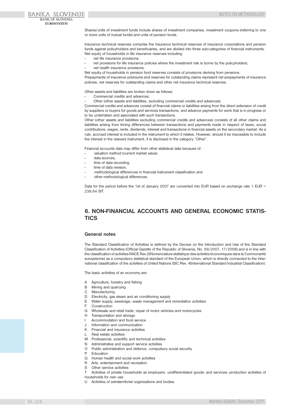#### **EUROSYSTEM**

Shares/units of investment funds include shares of investment companies, investment coupons (referring to one or more units of mutual funds) and units of pension funds.

Insurance technical reserves comprise the insurance technical reserves of insurance corporations and pension funds against policyholders and beneficiaries, and are divided into three sub-categories of financial instruments. Net equity of households in life insurance reserves including:

- net life insurance provisions:
- net provisions for life insurance policies where the investment risk is borne by the policyholders;
- net health insurance provisions.
- Net equity of households in pension fund reserves consists of provisions deriving from pensions.

Prepayments of insurance premiums and reserves for outstanding claims represent net prepayments of insurance policies, net reserves for outstanding claims and other net insurance technical reserves.

Other assets and liabilities are broken down as follows:

- Commercial credits and advances;
- Other (other assets and liabilities, excluding commercial credits and advances).

Commercial credits and advances consist of financial claims or liabilities arising from the direct extension of credit by suppliers or buyers for goods and services transactions, and advance payments for work that is in progress or to be undertaken and associated with such transactions.

Other (other assets and liabilities excluding commercial credits and advances) consists of all other claims and liabilities arising from timing differences between transactions and payments made in respect of taxes, social contributions, wages, rents, dividends, interest and transactions in financial assets on the secondary market. As a rule, accrued interest is included in the instrument to which it relates. However, should it be impossible to include the interest in the relevant instrument, it is disclosed in the category "Other".

Financial accounts data may differ from other statistical data because of:

- valuation method (current market value),
- data sources,
- time of data recording,
- time of data revision,
- methodological differences in financial instrument classification and
- other methodological differences.

Data for the period before the 1st of January 2007 are converted into EUR based on exchange rate 1 EUR = 239,64 SIT.

# **6. NON-FINANCIAL ACCOUNTS AND GENERAL ECONOMIC STATIS-TICS**

#### **General notes**

The Standard Classification of Activities is defined by the Decree on the Introduction and Use of the Standard Classification of Activities (Official Gazette of the Republic of Slovenia, No. 69/2007, 17/2008) and is in line with the classification of activities NACE Rev.2(Nomenclature statistique des activités économiques dans la Communanté européenne) as a compulsory statistical standard of the European Union, which is directly connected to the international classification of the activities of United Nations ISIC Rev. 4(International Standard Industrial Classification).

The basic activities of an economy are:

- A Agriculture, forestry and fishing
- B Mining and quarrying
- C Manufacturing
- D Electricity, gas steam and air conditioning supply
- E Water supply, sewerage, waste management and remediation activities
- F Construction
- G Wholesale and retail trade; repair of motor vehicles and motorcycles
- H Transportation and storage
- I Accommodation and food service
- J Information and communication
- K Financial and insurance activities
- L Real estate activities
- M Professional, scientific and technical activities
- N Administrative and support service activities
- O Public administration and defence, compulsory social security
- P Education
- Q Human health and social work activities
- R Arts, entertainment and recreation
- S Other service activities

T Activities of private households as employers, undifferentiated goods- and services- production activities of households for own use

U Activities of extraterritorial organizations and bodies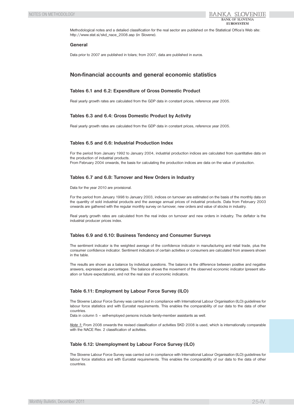#### NK OF SLOVENIA **EUROSYSTEM**

Methodological notes and a detailed classification for the real sector are published on the Statistical Office's Web site: http://www.stat.si/skd\_nace\_2008.asp (in Slovene).

#### **General**

Data prior to 2007 are published in tolars; from 2007, data are published in euros.

## **Non-financial accounts and general economic statistics**

#### **Tables 6.1 and 6.2: Expenditure of Gross Domestic Product**

Real yearly growth rates are calculated from the GDP data in constant prices, reference year 2005.

## **Tables 6.3 and 6.4: Gross Domestic Product by Activity**

Real yearly growth rates are calculated from the GDP data in constant prices, reference year 2005.

#### **Tables 6.5 and 6.6: Industrial Production Index**

For the period from January 1992 to January 2004, industrial production indices are calculated from quantitative data on the production of industrial products.

From February 2004 onwards, the basis for calculating the production indices are data on the value of production.

### **Tables 6.7 and 6.8: Turnover and New Orders in Industry**

Data for the year 2010 are provisional.

For the period from January 1998 to January 2003, indices on turnover are estimated on the basis of the monthly data on the quantity of sold industrial products and the average annual prices of industrial products. Data from February 2003 onwards are gathered with the regular monthly survey on turnover, new orders and value of stocks in industry.

Real yearly growth rates are calculated from the real index on turnover and new orders in industry. The deflator is the industrial producer prices index.

#### **Tables 6.9 and 6.10: Business Tendency and Consumer Surveys**

The sentiment indicator is the weighted average of the confidence indicator in manufacturing and retail trade, plus the consumer confidence indicator. Sentiment indicators of certain activities or consumers are calculated from answers shown in the table.

The results are shown as a balance by individual questions. The balance is the difference between positive and negative answers, expressed as percentages. The balance shows the movement of the observed economic indicator (present situation or future expectations), and not the real size of economic indicators.

#### **Table 6.11: Employment by Labour Force Survey (ILO)**

The Slovene Labour Force Survey was carried out in compliance with International Labour Organisation (ILO) guidelines for labour force statistics and with Eurostat requirements. This enables the comparability of our data to the data of other countries.

Data in column 5 – self-employed persons include family-member assistants as well.

*Note 1:* From 2008 onwards the revised classification of activities SKD 2008 is used, which is internationally comparable with the NACE Rev. 2 classification of activities.

#### **Table 6.12: Unemployment by Labour Force Survey (ILO)**

The Slovene Labour Force Survey was carried out in compliance with International Labour Organisation (ILO) guidelines for labour force statistics and with Eurostat requirements. This enables the comparability of our data to the data of other countries.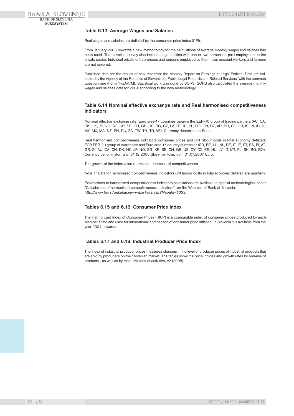

## **Table 6.13: Average Wages and Salaries**

Real wages and salaries are deflated by the consumer price index (CPI).

From January 2005 onwards a new methodology for the calculations of average monthly wages and salaries has been used. The statistical survey also includes legal entities with one or two persons in paid employment in the private sector. Individual private entrepreneurs and persons employed by them, own account workers and farmers are not covered.

Published data are the results of new research: the Monthly Report on Earnings at Legal Entities. Data are collected by the Agency of the Republic of Slovenia for Public Legal Records and Related Services (with the common questionnaire (Form 1–ZAP/M). Statistical work was done by SORS. SORS also calculated the average monthly wages and salaries data for 2004 according to the new methodology.

## **Table 6.14 Nominal effective exchange rate and Real harmonised competitiveness indicators**

Nominal effective exchange rate, Euro area-17 countries vis-a-vis the EER-40 group of trading partners (AU, CA, DK, HK, JP, NO, SG, KR, SE, CH, GB, US, BG, CZ, LV, LT, HU, PL, RO, CN, DZ, AR, BR, CL, HR, IS, IN, ID, IL, MY, MX, MA, NZ, PH, RU, ZA, TW, TH, TR, VE); Currency denominator: Euro.

Real harmonised competitiveness indicators consumer prices and unit labour costs in total economy deflated; ECB EER-20 group of currencies and Euro area 17 country currencies (FR, BE, LU, NL, DE, IT, IE, PT, ES, FI, AT, GR, SI, AU, CA, CN, DK, HK, JP, NO, SG, KR, SE, CH, GB, US, CY, CZ, EE, HU, LV, LT, MT, PL, SK, BG, RO); Currency denominator: until 31.12.2006 Slovenian tolar, from 01.01.2007 Euro.

The growth of the index value represents decrease of competitiveness.

*Note 1:* Data for harmonised competitiveness indicators unit labour costs in total economy deflated are quarterly.

Explanations to harmonised competitiveness indicators calculations are available in special methodological paper "Calculations of harmonised competitiveness indicators", on the Web site of Bank of Slovenia: *http://www.bsi.si/publikacije-in-raziskave.asp?MapaId=1039.*

#### **Tables 6.15 and 6.16: Consumer Price Index**

The Harmonized Index of Consumer Prices (HICP) is a comparable index of consumer prices produced by each Member State and used for international comparison of consumer price inflation. In Slovenia it is available from the year 2001 onwards.

## **Tables 6.17 and 6.18: Industrial Producer Price Index**

The index of industrial producer prices measures changes in the level of producer prices of industrial products that are sold by producers on the Slovenian market. The tables show the price indices and growth rates by end-use of products , as well as by main divisions of activities, v2 (2008).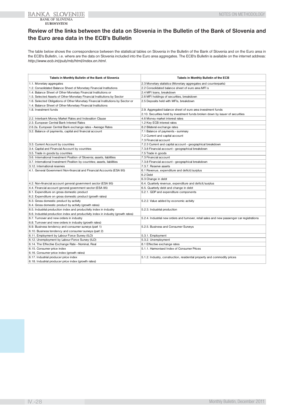BANKA SLOVENIJE

BANK OF SLOVENIA **EUROSYSTEM**

# **Review of the links between the data on Slovenia in the Bulletin of the Bank of Slovenia and the Euro area data in the ECB's Bulletin**

The table below shows the correspondence between the statistical tables on Slovenia in the Bulletin of the Bank of Slovenia and on the Euro area in the ECB's Bulletin, i.e. where are the data on Slovenia included into the Euro area aggregates. The ECB's Bulletin is available on the internet address: *http://www.ecb.int/pub/mb/html/index.en.html*.

| Tabels in Monthly Bulletin of the Bank of Slovenia                                 | Tabels in Monthly Bulletin of the ECB                                                       |  |  |
|------------------------------------------------------------------------------------|---------------------------------------------------------------------------------------------|--|--|
| 1.1. Monetary aggregates                                                           | 2.3 Monetary statistics (Monetary aggregates and counterparts)                              |  |  |
| 1.2. Consolidated Balance Sheet of Monetary Financial Institutions                 | 2.2 Consolidated balance sheet of euro area MFI s                                           |  |  |
| 1.4. Balance Sheet of Other Monetary Financial Institutions or                     | 2.4 MFI loans, breakdown                                                                    |  |  |
| 1.5. Selected Assets of Other Monetary Financial Institutions by Sector            | 2.6 MFI holdings of securities, breakdown                                                   |  |  |
| 1.6. Selected Obligations of Other Monetary Financial Institutions by Sector or    | 2.5 Deposits held with MFIs, breakdown                                                      |  |  |
| 1.4. Balance Sheet of Other Monetary Financial Institutions                        |                                                                                             |  |  |
| 1.8. Investment funds                                                              | 2.9. Aggregated balance sheet of euro area investment funds                                 |  |  |
|                                                                                    | 2.10. Securities held by investment funds broken down by issuer of securities               |  |  |
| 2.2. Interbank Money Market Rates and Indexation Clause                            | 4.6 Money market interest rates                                                             |  |  |
| 2.3. European Central Bank Interest Rates                                          | 1.2 Key ECB interest rates                                                                  |  |  |
| 2.6.2a. European Central Bank exchange rates - Average Rates                       | 8.2 Bilateral exchange rates                                                                |  |  |
| 3.2. Balance of payments, capital and financial account                            | 7.1 Balance of payments - summary                                                           |  |  |
|                                                                                    | 7.2 Current and capital account                                                             |  |  |
|                                                                                    | 7.3 Financial account                                                                       |  |  |
| 3.3. Current Account by countries                                                  | 7.2.3 Current and capital account - geographical breakdown                                  |  |  |
| 3.4. Capital and Financial Account by countries                                    | 7.3.8 Financial account - geographical breakdown                                            |  |  |
| 3.5. Trade in goods by countries                                                   | 7.5 Trade in goods                                                                          |  |  |
| 3.6. International Investment Position of Slovenia; assets, liabilities            | 7.3 Financial account                                                                       |  |  |
| 3.7. International Investment Position by countries; assets, liabilities           | 7.3.8 Financial account - geographical breakdown                                            |  |  |
| 3.12. International reserves                                                       | 7.3.7. Reserve assets                                                                       |  |  |
| 4.1. General Government Non-financial and Financial Accounts (ESA 95)              | 6.1 Revenue, expenditure and deficit/surplus                                                |  |  |
|                                                                                    | 6.2 Debt                                                                                    |  |  |
|                                                                                    | 6.3 Change in debt                                                                          |  |  |
| 4.2. Non-financial account general government sector (ESA 95)                      | 6.4. Quarterly revenue, expenditure and deficit/surplus                                     |  |  |
| 4.4. Financial account general government sector (ESA 95)                          | 6.5. Quarterly debt and change in debt                                                      |  |  |
| 6.1. Expenditure on gross domestic product                                         | 5.2.1. GDP and expenditure components                                                       |  |  |
| 6.2. Expenditure on gross domestic product (growth rates)                          |                                                                                             |  |  |
| 6.3. Gross domestic product by activity                                            | 5.2.2. Value added by economic activity                                                     |  |  |
| 6.4. Gross domestic product by activity (growth rates)                             |                                                                                             |  |  |
| 6.5. Industrial production index and productivity index in industry                | 5.2.3. Industrial production                                                                |  |  |
| 6.6. Industrial production index and productivity index in industry (growth rates) |                                                                                             |  |  |
| 6.7. Tumover and new orders in industry                                            | 5.2.4. Industrial new orders and turnover, retail sales and new passenger car registrations |  |  |
| 6.8. Tumover and new orders in industry (growth rates)                             |                                                                                             |  |  |
| 6.9. Business tendency and consumer surveys (part 1)                               | 5.2.5. Business and Consumer Surveys                                                        |  |  |
| 6.10. Business tendency and consumer surveys (part 2)                              |                                                                                             |  |  |
| 6.11. Employment by Labour Force Survey (ILO)                                      | 5.3.1. Employment                                                                           |  |  |
| 6.12. Unemployment by Labour Force Survey (ILO)                                    | 5.3.2. Unemployment                                                                         |  |  |
| 6.14. The Effective Exchange Rate - Nominal, Real                                  | 8.1 Effective exchange rates                                                                |  |  |
| 6.15. Consumer price index                                                         | 5.1.1. Harmonised Index of Consumer Prices                                                  |  |  |
| 6.16. Consumer price index (growth rates)                                          |                                                                                             |  |  |
| 6.17. Industrial producer price index                                              | 5.1.2. Industry, construction, residential property and commodity prices                    |  |  |
| 6.18. Industrial producer price index (growth rates)                               |                                                                                             |  |  |